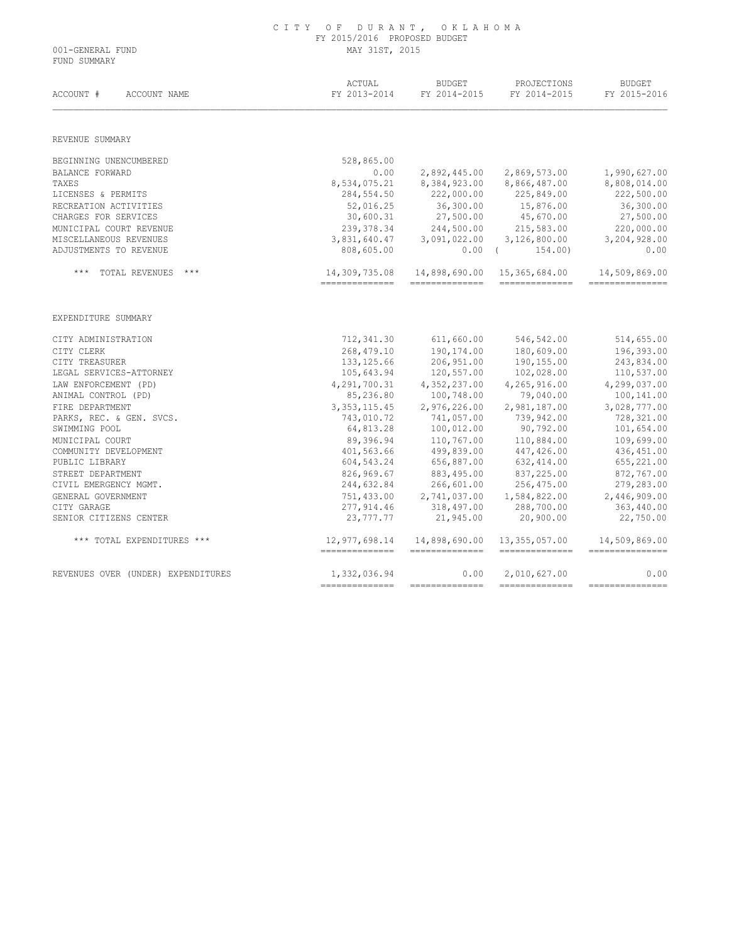|                  | CITY OF DURANT, OKLAHOMA     |
|------------------|------------------------------|
|                  | FY 2015/2016 PROPOSED BUDGET |
| 001-GENERAL FUND | MAY 31ST, 2015               |

FUND SUMMARY

| ACCOUNT #<br>ACCOUNT NAME          | ACTUAL<br>FY 2013-2014          | <b>BUDGET</b><br>FY 2014-2015    | PROJECTIONS<br>FY 2014-2015       | <b>BUDGET</b><br>FY 2015-2016     |  |
|------------------------------------|---------------------------------|----------------------------------|-----------------------------------|-----------------------------------|--|
| REVENUE SUMMARY                    |                                 |                                  |                                   |                                   |  |
| BEGINNING UNENCUMBERED             | 528,865.00                      |                                  |                                   |                                   |  |
| BALANCE FORWARD                    | 0.00                            | 2,892,445.00                     | 2,869,573.00                      | 1,990,627.00                      |  |
| TAXES                              | 8,534,075.21                    | 8,384,923.00                     | 8,866,487.00                      | 8,808,014.00                      |  |
| LICENSES & PERMITS                 | 284,554.50                      | 222,000.00                       | 225,849.00                        | 222,500.00                        |  |
| RECREATION ACTIVITIES              | 52,016.25                       | 36,300.00                        | 15,876.00                         | 36,300.00                         |  |
| CHARGES FOR SERVICES               | 30,600.31                       | 27,500.00                        | 45,670.00                         | 27,500.00                         |  |
| MUNICIPAL COURT REVENUE            | 239, 378.34                     | 244,500.00                       | 215,583.00                        | 220,000.00                        |  |
| MISCELLANEOUS REVENUES             | 3,831,640.47                    | 3,091,022.00                     | 3,126,800.00                      | 3,204,928.00                      |  |
| ADJUSTMENTS TO REVENUE             | 808,605.00                      | $0.00$ (                         | 154.00)                           | 0.00                              |  |
| TOTAL REVENUES<br>$***$            | 14,309,735.08<br>-------------- | 14,898,690.00<br>--------------  | 15,365,684.00<br>---------------  | 14,509,869.00<br>---------------  |  |
| EXPENDITURE SUMMARY                |                                 |                                  |                                   |                                   |  |
| CITY ADMINISTRATION                | 712,341.30                      | 611,660.00                       | 546,542.00                        | 514,655.00                        |  |
| CITY CLERK                         | 268,479.10                      | 190, 174.00                      | 180,609.00                        | 196,393.00                        |  |
| CITY TREASURER                     | 133, 125.66                     | 206,951.00                       | 190,155.00                        | 243,834.00                        |  |
| LEGAL SERVICES-ATTORNEY            | 105,643.94                      | 120,557.00                       | 102,028.00                        | 110,537.00                        |  |
| LAW ENFORCEMENT (PD)               | 4, 291, 700.31                  | 4,352,237.00                     | 4,265,916.00                      | 4,299,037.00                      |  |
| ANIMAL CONTROL (PD)                | 85,236.80                       | 100,748.00                       | 79,040.00                         | 100,141.00                        |  |
| FIRE DEPARTMENT                    | 3, 353, 115.45                  | 2,976,226.00                     | 2,981,187.00                      | 3,028,777.00                      |  |
| PARKS, REC. & GEN. SVCS.           | 743,010.72                      | 741,057.00                       | 739,942.00                        | 728,321.00                        |  |
| SWIMMING POOL                      | 64,813.28                       | 100,012.00                       | 90,792.00                         | 101,654.00                        |  |
| MUNICIPAL COURT                    | 89,396.94                       | 110,767.00                       | 110,884.00                        | 109,699.00                        |  |
| COMMUNITY DEVELOPMENT              | 401,563.66                      | 499,839.00                       | 447,426.00                        | 436, 451.00                       |  |
| PUBLIC LIBRARY                     | 604,543.24                      | 656,887.00                       | 632, 414.00                       | 655,221.00                        |  |
| STREET DEPARTMENT                  | 826,969.67                      | 883,495.00                       | 837,225.00                        | 872,767.00                        |  |
| CIVIL EMERGENCY MGMT.              | 244,632.84                      | 266,601.00                       | 256,475.00                        | 279,283.00                        |  |
| GENERAL GOVERNMENT                 | 751,433.00                      | 2,741,037.00                     | 1,584,822.00                      | 2,446,909.00                      |  |
| CITY GARAGE                        | 277,914.46                      | 318,497.00                       | 288,700.00                        | 363,440.00                        |  |
| SENIOR CITIZENS CENTER             | 23,777.77                       | 21,945.00                        | 20,900.00                         | 22,750.00                         |  |
| *** TOTAL EXPENDITURES ***         | 12,977,698.14<br>-------------- | 14,898,690.00<br>--------------- | 13, 355, 057.00<br>-------------- | 14,509,869.00<br>---------------- |  |
| REVENUES OVER (UNDER) EXPENDITURES | 1,332,036.94                    | 0.00                             | 2,010,627.00                      | 0.00                              |  |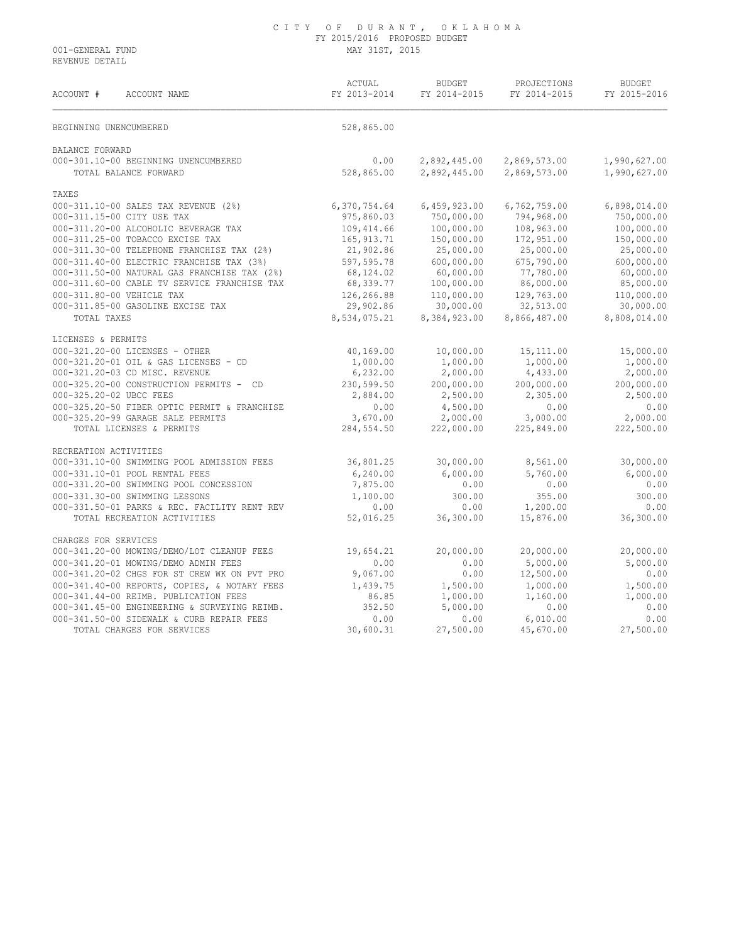REVENUE DETAIL

| ACCOUNT #<br>ACCOUNT NAME                    | ACTUAL<br>FY 2013-2014 | <b>BUDGET</b><br>FY 2014-2015 | PROJECTIONS<br>FY 2014-2015 | <b>BUDGET</b><br>FY 2015-2016 |
|----------------------------------------------|------------------------|-------------------------------|-----------------------------|-------------------------------|
| BEGINNING UNENCUMBERED                       | 528,865.00             |                               |                             |                               |
| BALANCE FORWARD                              |                        |                               |                             |                               |
| 000-301.10-00 BEGINNING UNENCUMBERED         | 0.00                   | 2,892,445.00                  | 2,869,573.00                | 1,990,627.00                  |
| TOTAL BALANCE FORWARD                        | 528,865.00             | 2,892,445.00                  | 2,869,573.00                | 1,990,627.00                  |
| TAXES                                        |                        |                               |                             |                               |
| 000-311.10-00 SALES TAX REVENUE (2%)         | 6,370,754.64           | 6,459,923.00                  | 6,762,759.00                | 6,898,014.00                  |
| 000-311.15-00 CITY USE TAX                   | 975,860.03             | 750,000.00                    | 794,968.00                  | 750,000.00                    |
| 000-311.20-00 ALCOHOLIC BEVERAGE TAX         | 109,414.66             | 100,000.00                    | 108,963.00                  | 100,000.00                    |
| 000-311.25-00 TOBACCO EXCISE TAX             | 165, 913.71            | 150,000.00                    | 172,951.00                  | 150,000.00                    |
| 000-311.30-00 TELEPHONE FRANCHISE TAX (2%)   | 21,902.86              | 25,000.00                     | 25,000.00                   | 25,000.00                     |
| 000-311.40-00 ELECTRIC FRANCHISE TAX (3%)    | 597,595.78             | 600,000.00                    | 675,790.00                  | 600,000.00                    |
| 000-311.50-00 NATURAL GAS FRANCHISE TAX (2%) | 68,124.02              | 60,000.00                     | 77,780.00                   | 60,000.00                     |
| 000-311.60-00 CABLE TV SERVICE FRANCHISE TAX | 68,339.77              | 100,000.00                    | 86,000.00                   | 85,000.00                     |
| 000-311.80-00 VEHICLE TAX                    | 126,266.88             | 110,000.00                    | 129,763.00                  | 110,000.00                    |
| 000-311.85-00 GASOLINE EXCISE TAX            | 29,902.86              | 30,000.00                     | 32,513.00                   | 30,000.00                     |
| TOTAL TAXES                                  | 8,534,075.21           | 8,384,923.00                  | 8,866,487.00                | 8,808,014.00                  |
| LICENSES & PERMITS                           |                        |                               |                             |                               |
| 000-321.20-00 LICENSES - OTHER               | 40,169.00              | 10,000.00                     | 15, 111, 00                 | 15,000.00                     |
| 000-321.20-01 OIL & GAS LICENSES - CD        | 1,000.00               | 1,000.00                      | 1,000.00                    | 1,000.00                      |
| 000-321.20-03 CD MISC. REVENUE               | 6,232.00               | 2,000.00                      | 4,433.00                    | 2,000.00                      |
| 000-325.20-00 CONSTRUCTION PERMITS - CD      | 230,599.50             | 200,000.00                    | 200,000.00                  | 200,000.00                    |
| 000-325.20-02 UBCC FEES                      | 2,884.00               | 2,500.00                      | 2,305.00                    | 2,500.00                      |
| 000-325.20-50 FIBER OPTIC PERMIT & FRANCHISE | 0.00                   | 4,500.00                      | 0.00                        | 0.00                          |
| 000-325.20-99 GARAGE SALE PERMITS            | 3,670.00               | 2,000.00                      | 3,000.00                    | 2,000.00                      |
| TOTAL LICENSES & PERMITS                     | 284,554.50             | 222,000.00                    | 225,849.00                  | 222,500.00                    |
| RECREATION ACTIVITIES                        |                        |                               |                             |                               |
| 000-331.10-00 SWIMMING POOL ADMISSION FEES   | 36,801.25              | 30,000.00                     | 8,561.00                    | 30,000.00                     |
| 000-331.10-01 POOL RENTAL FEES               | 6, 240.00              | 6,000.00                      | 5,760.00                    | 6,000.00                      |
| 000-331.20-00 SWIMMING POOL CONCESSION       | 7,875.00               | 0.00                          | 0.00                        | 0.00                          |
| 000-331.30-00 SWIMMING LESSONS               | 1,100.00               | 300.00                        | 355.00                      | 300.00                        |
| 000-331.50-01 PARKS & REC. FACILITY RENT REV | 0.00                   | 0.00                          | 1,200.00                    | 0.00                          |
| TOTAL RECREATION ACTIVITIES                  | 52,016.25              | 36,300.00                     | 15,876.00                   | 36,300.00                     |
| CHARGES FOR SERVICES                         |                        |                               |                             |                               |
| 000-341.20-00 MOWING/DEMO/LOT CLEANUP FEES   | 19,654.21              | 20,000.00                     | 20,000.00                   | 20,000.00                     |
| 000-341.20-01 MOWING/DEMO ADMIN FEES         | 0.00                   | 0.00                          | 5,000.00                    | 5,000.00                      |
| 000-341.20-02 CHGS FOR ST CREW WK ON PVT PRO | 9,067.00               | 0.00                          | 12,500.00                   | 0.00                          |
| 000-341.40-00 REPORTS, COPIES, & NOTARY FEES | 1,439.75               | 1,500.00                      | 1,000.00                    | 1,500.00                      |
| 000-341.44-00 REIMB. PUBLICATION FEES        | 86.85                  | 1,000.00                      | 1,160.00                    | 1,000.00                      |
| 000-341.45-00 ENGINEERING & SURVEYING REIMB. | 352.50                 | 5,000.00                      | 0.00                        | 0.00                          |
| 000-341.50-00 SIDEWALK & CURB REPAIR FEES    | 0.00                   | 0.00                          | 6,010.00                    | 0.00                          |
| TOTAL CHARGES FOR SERVICES                   | 30,600.31              | 27,500.00                     | 45,670.00                   | 27,500.00                     |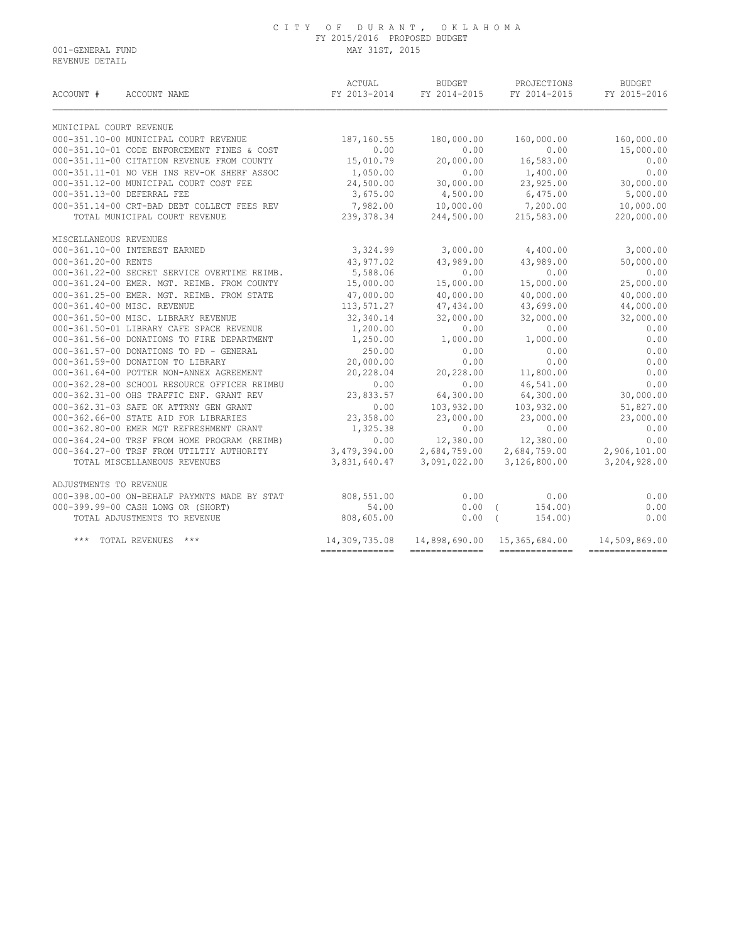|                         | ACCOUNT # ACCOUNT NAME                       |               | BUDGET             | PROJECTIONS<br>FY 2013-2014 FY 2014-2015 FY 2014-2015 | <b>BUDGET</b><br>FY 2015-2016 |
|-------------------------|----------------------------------------------|---------------|--------------------|-------------------------------------------------------|-------------------------------|
| MUNICIPAL COURT REVENUE |                                              |               |                    |                                                       |                               |
|                         | 000-351.10-00 MUNICIPAL COURT REVENUE        | 187,160.55    | 180,000.00         | 160,000.00                                            | 160,000.00                    |
|                         | 000-351.10-01 CODE ENFORCEMENT FINES & COST  | 0.00          | 0.00               | 0.00                                                  | 15,000.00                     |
|                         | 000-351.11-00 CITATION REVENUE FROM COUNTY   | 15,010.79     | 20,000.00          | 16,583.00                                             | 0.00                          |
|                         | 000-351.11-01 NO VEH INS REV-OK SHERF ASSOC  | 1,050.00      | 0.00               | 1,400.00                                              | 0.00                          |
|                         | 000-351.12-00 MUNICIPAL COURT COST FEE       | 24,500.00     | 30,000.00          | 23,925.00                                             | 30,000.00                     |
|                         | 000-351.13-00 DEFERRAL FEE                   | 3,675.00      | 4,500.00           | 6,475.00                                              | 5,000.00                      |
|                         | 000-351.14-00 CRT-BAD DEBT COLLECT FEES REV  |               | 7,982.00 10,000.00 | 7,200.00                                              | 10,000.00                     |
|                         | TOTAL MUNICIPAL COURT REVENUE                | 239,378.34    | 244,500.00         | 215,583.00                                            | 220,000.00                    |
| MISCELLANEOUS REVENUES  |                                              |               |                    |                                                       |                               |
|                         | 000-361.10-00 INTEREST EARNED                | 3,324.99      | 3,000.00           | 4,400.00                                              | 3,000.00                      |
| 000-361.20-00 RENTS     |                                              | 43,977.02     | 43,989.00          | 43,989.00                                             | 50,000.00                     |
|                         | 000-361.22-00 SECRET SERVICE OVERTIME REIMB. | 5,588.06      | 0.00               | 0.00                                                  | 0.00                          |
|                         | 000-361.24-00 EMER. MGT. REIMB. FROM COUNTY  | 15,000.00     | 15,000.00          | 15,000.00                                             | 25,000.00                     |
|                         | 000-361.25-00 EMER. MGT. REIMB. FROM STATE   | 47,000.00     | 40,000.00          | 40,000.00                                             | 40,000.00                     |
|                         | 000-361.40-00 MISC. REVENUE                  | 113,571.27    | 47,434.00          | 43,699.00                                             | 44,000.00                     |
|                         | 000-361.50-00 MISC. LIBRARY REVENUE          | 32,340.14     | 32,000.00          | 32,000.00                                             | 32,000.00                     |
|                         | 000-361.50-01 LIBRARY CAFE SPACE REVENUE     | 1,200.00      | 0.00               | 0.00                                                  | 0.00                          |
|                         | 000-361.56-00 DONATIONS TO FIRE DEPARTMENT   | 1,250.00      | 1,000.00           | 1,000.00                                              | 0.00                          |
|                         | 000-361.57-00 DONATIONS TO PD - GENERAL      | 250.00        | 0.00               | 0.00                                                  | 0.00                          |
|                         | 000-361.59-00 DONATION TO LIBRARY            | 20,000.00     | 0.00               | 0.00                                                  | 0.00                          |
|                         | 000-361.64-00 POTTER NON-ANNEX AGREEMENT     | 20,228.04     | 20,228.00          | 11,800.00                                             | 0.00                          |
|                         | 000-362.28-00 SCHOOL RESOURCE OFFICER REIMBU | 0.00          | 0.00               | 46,541.00                                             | 0.00                          |
|                         | 000-362.31-00 OHS TRAFFIC ENF. GRANT REV     | 23,833.57     | 64,300.00          | 64,300.00                                             | 30,000.00                     |
|                         | 000-362.31-03 SAFE OK ATTRNY GEN GRANT       | 0.00          | 103,932.00         | 103,932.00                                            | 51,827.00                     |
|                         | 000-362.66-00 STATE AID FOR LIBRARIES        | 23,358.00     | 23,000.00          | 23,000.00                                             | 23,000.00                     |
|                         | 000-362.80-00 EMER MGT REFRESHMENT GRANT     | 1,325.38      | 0.00               | 0.00                                                  | 0.00                          |
|                         | 000-364.24-00 TRSF FROM HOME PROGRAM (REIMB) | 0.00          | 12,380.00          | 12,380.00                                             | 0.00                          |
|                         | 000-364.27-00 TRSF FROM UTILTIY AUTHORITY    |               |                    | $3,479,394.00$<br>2,684,759.00<br>2,684,759.00        | 2,906,101.00                  |
|                         | TOTAL MISCELLANEOUS REVENUES                 | 3,831,640.47  | 3,091,022.00       | 3,126,800.00                                          | 3,204,928.00                  |
| ADJUSTMENTS TO REVENUE  |                                              |               |                    |                                                       |                               |
|                         | 000-398.00-00 ON-BEHALF PAYMNTS MADE BY STAT | 808,551.00    | 0.00               | 0.00                                                  | 0.00                          |
|                         | 000-399.99-00 CASH LONG OR (SHORT)           | 54.00         | $0.00$ (           | 154,00)                                               | 0.00                          |
|                         | TOTAL ADJUSTMENTS TO REVENUE                 | 808,605.00    |                    | $0.00$ (<br>154,00)                                   | 0.00                          |
| $***$                   | TOTAL REVENUES ***                           | 14,309,735.08 |                    | 14,898,690.00 15,365,684.00                           | 14,509,869.00                 |

============== ============== ============== ===============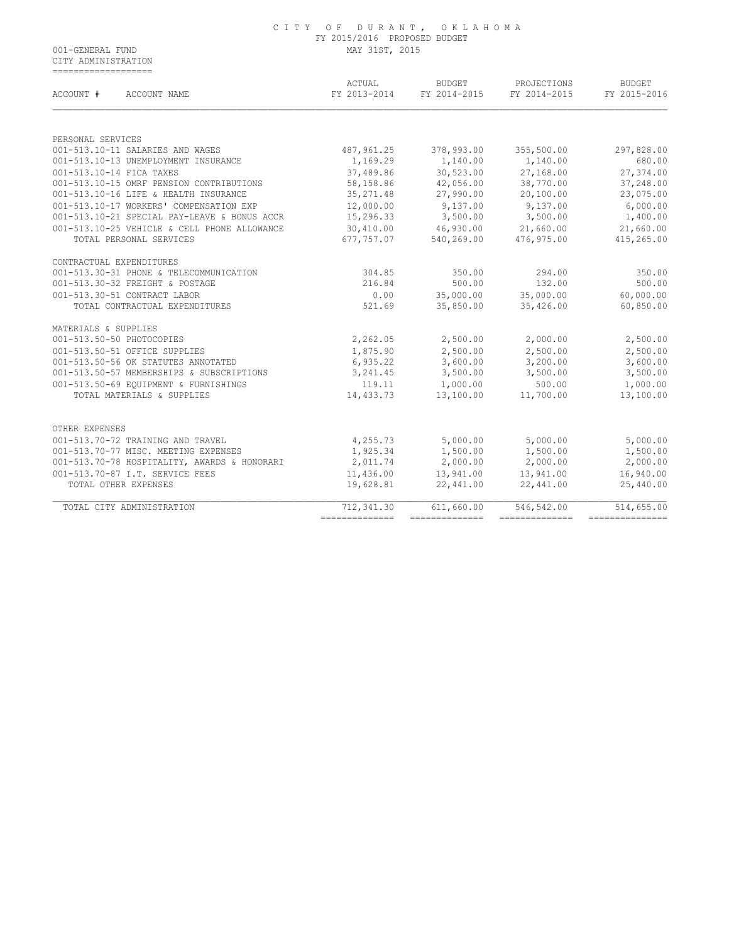CITY ADMINISTRATION ===================

| ACCOUNT #<br>ACCOUNT NAME                    | ACTUAL<br>FY 2013-2014 | <b>BUDGET</b><br>FY 2014-2015 | PROJECTIONS<br>FY 2014-2015 | <b>BUDGET</b><br>FY 2015-2016 |
|----------------------------------------------|------------------------|-------------------------------|-----------------------------|-------------------------------|
|                                              |                        |                               |                             |                               |
| PERSONAL SERVICES                            |                        |                               |                             |                               |
| 001-513.10-11 SALARIES AND WAGES             | 487,961.25             | 378,993.00                    | 355,500.00                  | 297,828.00                    |
| 001-513.10-13 UNEMPLOYMENT INSURANCE         | 1,169.29               | 1,140.00                      | 1,140.00                    | 680.00                        |
| 001-513.10-14 FICA TAXES                     | 37,489.86              | 30,523.00                     | 27,168.00                   | 27,374.00                     |
| 001-513.10-15 OMRF PENSION CONTRIBUTIONS     | 58,158.86              | 42,056.00                     | 38,770.00                   | 37,248.00                     |
| 001-513.10-16 LIFE & HEALTH INSURANCE        | 35, 271.48             | 27,990.00                     | 20,100.00                   | 23,075.00                     |
| 001-513.10-17 WORKERS' COMPENSATION EXP      | 12,000.00              | 9,137.00                      | 9,137.00                    | 6,000.00                      |
| 001-513.10-21 SPECIAL PAY-LEAVE & BONUS ACCR | 15,296.33              | 3,500.00                      | 3,500.00                    | 1,400.00                      |
| 001-513.10-25 VEHICLE & CELL PHONE ALLOWANCE |                        | 30,410.00 46,930.00           | 21,660.00                   | 21,660.00                     |
| TOTAL PERSONAL SERVICES                      | 677,757.07             | 540,269.00                    | 476,975.00                  | 415,265.00                    |
| CONTRACTUAL EXPENDITURES                     |                        |                               |                             |                               |
| 001-513.30-31 PHONE & TELECOMMUNICATION      | 304.85                 | 350.00                        | 294.00                      | 350.00                        |
| 001-513.30-32 FREIGHT & POSTAGE              | 216.84                 | 500.00                        | 132.00                      | 500.00                        |
| 001-513.30-51 CONTRACT LABOR                 | 0.00                   | 35,000.00                     | 35,000.00                   | 60,000.00                     |
| TOTAL CONTRACTUAL EXPENDITURES               | 521.69                 | 35,850.00                     | 35,426.00                   | 60,850.00                     |
| MATERIALS & SUPPLIES                         |                        |                               |                             |                               |
| 001-513.50-50 PHOTOCOPIES                    | 2,262.05               | 2,500.00                      | 2,000.00                    | 2,500.00                      |
| 001-513.50-51 OFFICE SUPPLIES                | 1,875.90               | 2,500.00                      | 2,500.00                    | 2,500.00                      |
| 001-513.50-56 OK STATUTES ANNOTATED          | 6,935.22               | 3,600.00                      | 3,200.00                    | 3,600.00                      |
| 001-513.50-57 MEMBERSHIPS & SUBSCRIPTIONS    | 3,241.45               | 3,500.00                      | 3,500.00                    | 3,500.00                      |
| 001-513.50-69 EOUIPMENT & FURNISHINGS        | 119.11                 | 1,000.00                      | 500.00                      | 1,000.00                      |
| TOTAL MATERIALS & SUPPLIES                   | 14,433.73              | 13,100.00                     | 11,700.00                   | 13,100.00                     |
| OTHER EXPENSES                               |                        |                               |                             |                               |
| 001-513.70-72 TRAINING AND TRAVEL            | 4,255.73               | 5,000.00                      | 5,000.00                    | 5,000.00                      |
| 001-513.70-77 MISC. MEETING EXPENSES         | 1,925.34               | 1,500.00                      | 1,500.00                    | 1,500.00                      |
| 001-513.70-78 HOSPITALITY, AWARDS & HONORARI | 2,011.74               | 2,000.00                      | 2,000.00                    | 2,000.00                      |
| 001-513.70-87 I.T. SERVICE FEES              | 11,436.00              | 13,941.00                     | 13,941.00                   | 16,940.00                     |
| TOTAL OTHER EXPENSES                         | 19,628.81              | 22,441.00                     | 22,441.00                   | 25,440.00                     |
| TOTAL CITY ADMINISTRATION                    | 712,341.30             | 611,660.00                    | 546,542.00                  | 514,655.00                    |
|                                              |                        | ---------------               | ===============             | ---------------               |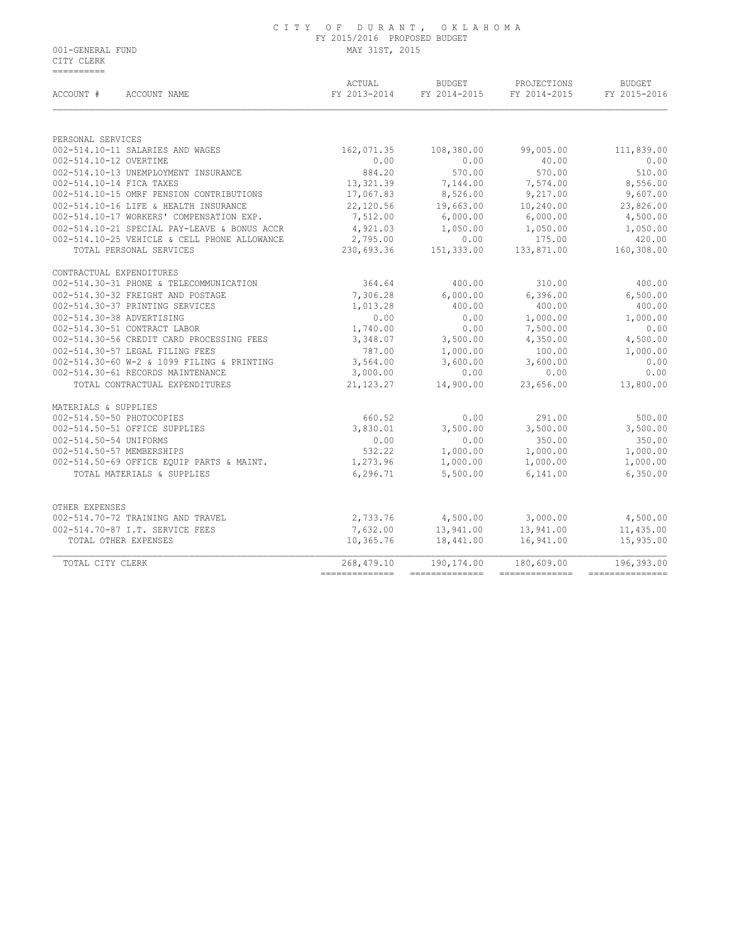|                  | CITY OF DURANT, OKLAHOMA     |
|------------------|------------------------------|
|                  | FY 2015/2016 PROPOSED BUDGET |
| 001-GENERAL FUND | MAY 31ST, 2015               |

 CITY CLERK ==========

| ACCOUNT #              | ACCOUNT NAME                                 | ACTUAL<br>FY 2013-2014                                                                                                                                                                                                                                                                                                                                                                                                                                                                 | <b>BUDGET</b><br>FY 2014-2015 | PROJECTIONS<br>FY 2014-2015 | <b>BUDGET</b><br>FY 2015-2016 |  |
|------------------------|----------------------------------------------|----------------------------------------------------------------------------------------------------------------------------------------------------------------------------------------------------------------------------------------------------------------------------------------------------------------------------------------------------------------------------------------------------------------------------------------------------------------------------------------|-------------------------------|-----------------------------|-------------------------------|--|
|                        |                                              |                                                                                                                                                                                                                                                                                                                                                                                                                                                                                        |                               |                             |                               |  |
| PERSONAL SERVICES      |                                              |                                                                                                                                                                                                                                                                                                                                                                                                                                                                                        |                               |                             |                               |  |
|                        | 002-514.10-11 SALARIES AND WAGES             | 162,071.35                                                                                                                                                                                                                                                                                                                                                                                                                                                                             | 108,380.00                    | 99,005.00                   | 111,839.00                    |  |
| 002-514.10-12 OVERTIME |                                              | 0.00                                                                                                                                                                                                                                                                                                                                                                                                                                                                                   | 0.00                          | 40.00                       | 0.00                          |  |
|                        | 002-514.10-13 UNEMPLOYMENT INSURANCE         | 884.20                                                                                                                                                                                                                                                                                                                                                                                                                                                                                 | 570.00                        | 570.00                      | 510.00                        |  |
|                        | 002-514.10-14 FICA TAXES                     | 13,321.39                                                                                                                                                                                                                                                                                                                                                                                                                                                                              | 7,144.00                      | 7,574.00                    | 8,556.00                      |  |
|                        | 002-514.10-15 OMRF PENSION CONTRIBUTIONS     | 17,067.83                                                                                                                                                                                                                                                                                                                                                                                                                                                                              | 8,526.00                      | 9,217.00                    | 9,607.00                      |  |
|                        | 002-514.10-16 LIFE & HEALTH INSURANCE        | 22,120.56                                                                                                                                                                                                                                                                                                                                                                                                                                                                              | 19,663.00                     | 10,240.00                   | 23,826.00                     |  |
|                        | 002-514.10-17 WORKERS' COMPENSATION EXP.     | 7,512.00                                                                                                                                                                                                                                                                                                                                                                                                                                                                               | 6,000.00                      | 6,000.00                    | 4,500.00                      |  |
|                        | 002-514.10-21 SPECIAL PAY-LEAVE & BONUS ACCR | 4,921.03                                                                                                                                                                                                                                                                                                                                                                                                                                                                               | 1,050.00                      | 1,050.00                    | 1,050.00                      |  |
|                        | 002-514.10-25 VEHICLE & CELL PHONE ALLOWANCE | 2,795.00                                                                                                                                                                                                                                                                                                                                                                                                                                                                               | 0.00                          | 175.00                      | 420.00                        |  |
|                        | TOTAL PERSONAL SERVICES                      | 230,693.36                                                                                                                                                                                                                                                                                                                                                                                                                                                                             | 151, 333.00                   | 133,871.00                  | 160,308.00                    |  |
|                        | CONTRACTUAL EXPENDITURES                     |                                                                                                                                                                                                                                                                                                                                                                                                                                                                                        |                               |                             |                               |  |
|                        | 002-514.30-31 PHONE & TELECOMMUNICATION      | 364.64                                                                                                                                                                                                                                                                                                                                                                                                                                                                                 | 400.00                        | 310.00                      | 400.00                        |  |
|                        | 002-514.30-32 FREIGHT AND POSTAGE            | 7,306.28                                                                                                                                                                                                                                                                                                                                                                                                                                                                               | 6,000.00                      | 6,396.00                    | 6,500.00                      |  |
|                        | 002-514.30-37 PRINTING SERVICES              | 1,013.28                                                                                                                                                                                                                                                                                                                                                                                                                                                                               | 400.00                        | 400.00                      | 400.00                        |  |
|                        | 002-514.30-38 ADVERTISING                    | 0.00                                                                                                                                                                                                                                                                                                                                                                                                                                                                                   | 0.00                          | 1,000.00                    | 1,000.00                      |  |
|                        | 002-514.30-51 CONTRACT LABOR                 | 1,740.00                                                                                                                                                                                                                                                                                                                                                                                                                                                                               | 0.00                          | 7,500.00                    | 0.00                          |  |
|                        | 002-514.30-56 CREDIT CARD PROCESSING FEES    | 3,348.07                                                                                                                                                                                                                                                                                                                                                                                                                                                                               | 3,500.00                      | 4,350.00                    | 4,500.00                      |  |
|                        | 002-514.30-57 LEGAL FILING FEES              | 787.00                                                                                                                                                                                                                                                                                                                                                                                                                                                                                 | 1,000.00                      | 100.00                      | 1,000.00                      |  |
|                        | 002-514.30-60 W-2 & 1099 FILING & PRINTING   | 3,564.00                                                                                                                                                                                                                                                                                                                                                                                                                                                                               | 3,600.00                      | 3,600.00                    | 0.00                          |  |
|                        | 002-514.30-61 RECORDS MAINTENANCE            | 3,000.00                                                                                                                                                                                                                                                                                                                                                                                                                                                                               | 0.00                          | 0.00                        | 0.00                          |  |
|                        | TOTAL CONTRACTUAL EXPENDITURES               | 21, 123. 27                                                                                                                                                                                                                                                                                                                                                                                                                                                                            | 14,900.00                     | 23,656.00                   | 13,800.00                     |  |
| MATERIALS & SUPPLIES   |                                              |                                                                                                                                                                                                                                                                                                                                                                                                                                                                                        |                               |                             |                               |  |
|                        | 002-514.50-50 PHOTOCOPIES                    | 660.52                                                                                                                                                                                                                                                                                                                                                                                                                                                                                 | 0.00                          | 291.00                      | 500.00                        |  |
|                        | 002-514.50-51 OFFICE SUPPLIES                | 3,830.01                                                                                                                                                                                                                                                                                                                                                                                                                                                                               | 3,500.00                      | 3,500.00                    | 3,500.00                      |  |
| 002-514.50-54 UNIFORMS |                                              | 0.00                                                                                                                                                                                                                                                                                                                                                                                                                                                                                   | 0.00                          | 350.00                      | 350.00                        |  |
|                        | 002-514.50-57 MEMBERSHIPS                    | 532.22                                                                                                                                                                                                                                                                                                                                                                                                                                                                                 | 1,000.00                      | 1,000.00                    | 1,000.00                      |  |
|                        | 002-514.50-69 OFFICE EQUIP PARTS & MAINT.    | 1,273.96                                                                                                                                                                                                                                                                                                                                                                                                                                                                               | 1,000.00                      | 1,000.00                    | 1,000.00                      |  |
|                        | TOTAL MATERIALS & SUPPLIES                   | 6,296.71                                                                                                                                                                                                                                                                                                                                                                                                                                                                               | 5,500.00                      | 6,141.00                    | 6,350.00                      |  |
|                        |                                              |                                                                                                                                                                                                                                                                                                                                                                                                                                                                                        |                               |                             |                               |  |
| OTHER EXPENSES         | 002-514.70-72 TRAINING AND TRAVEL            |                                                                                                                                                                                                                                                                                                                                                                                                                                                                                        |                               |                             |                               |  |
|                        |                                              | 2,733.76                                                                                                                                                                                                                                                                                                                                                                                                                                                                               | 4,500.00                      | 3,000.00                    | 4,500.00                      |  |
|                        | 002-514.70-87 I.T. SERVICE FEES              | 7,632.00                                                                                                                                                                                                                                                                                                                                                                                                                                                                               | 13,941.00                     | 13,941.00                   | 11,435.00                     |  |
|                        | TOTAL OTHER EXPENSES                         | 10,365.76                                                                                                                                                                                                                                                                                                                                                                                                                                                                              | 18,441.00                     | 16,941.00                   | 15,935.00                     |  |
| TOTAL CITY CLERK       |                                              | 268,479.10                                                                                                                                                                                                                                                                                                                                                                                                                                                                             | 190,174.00<br>==============  | 180,609.00                  | 196,393.00                    |  |
|                        |                                              | $\begin{array}{cccccccccc} \multicolumn{2}{c}{} & \multicolumn{2}{c}{} & \multicolumn{2}{c}{} & \multicolumn{2}{c}{} & \multicolumn{2}{c}{} & \multicolumn{2}{c}{} & \multicolumn{2}{c}{} & \multicolumn{2}{c}{} & \multicolumn{2}{c}{} & \multicolumn{2}{c}{} & \multicolumn{2}{c}{} & \multicolumn{2}{c}{} & \multicolumn{2}{c}{} & \multicolumn{2}{c}{} & \multicolumn{2}{c}{} & \multicolumn{2}{c}{} & \multicolumn{2}{c}{} & \multicolumn{2}{c}{} & \multicolumn{2}{c}{} & \mult$ |                               | --------------              | ----------------              |  |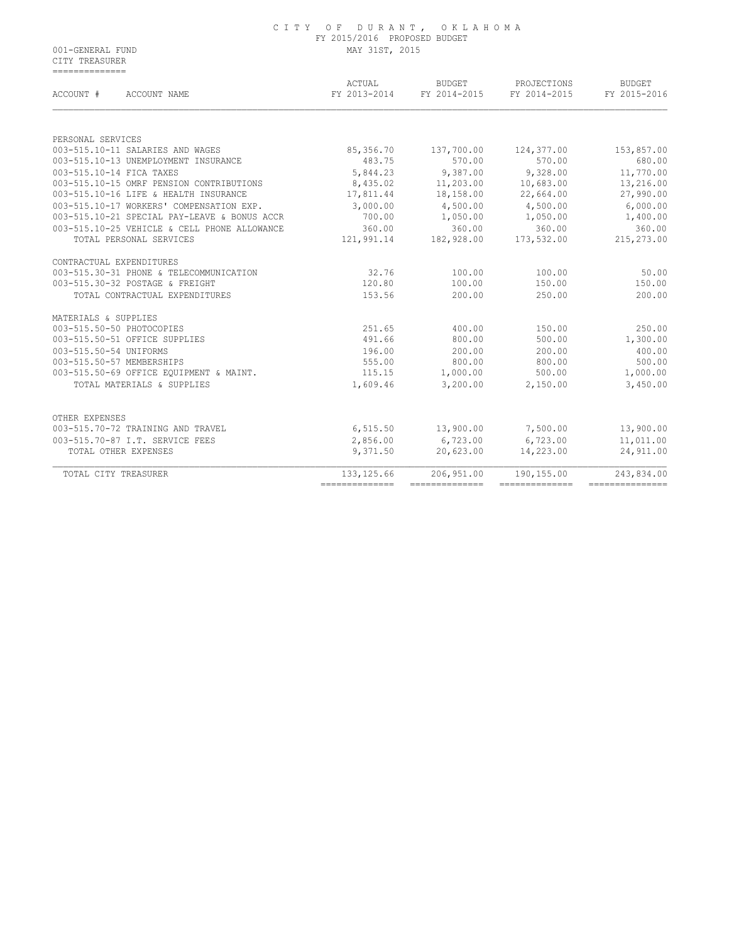CITY TREASURER ==============

| FY 2013-2014 | FY 2014-2015                                                                                                                                                         | FY 2014-2015                                                                                                                                                               | FY 2015-2016                                                                                                                                                           |
|--------------|----------------------------------------------------------------------------------------------------------------------------------------------------------------------|----------------------------------------------------------------------------------------------------------------------------------------------------------------------------|------------------------------------------------------------------------------------------------------------------------------------------------------------------------|
|              |                                                                                                                                                                      |                                                                                                                                                                            |                                                                                                                                                                        |
|              |                                                                                                                                                                      |                                                                                                                                                                            |                                                                                                                                                                        |
|              |                                                                                                                                                                      |                                                                                                                                                                            | 153,857.00<br>680.00                                                                                                                                                   |
|              |                                                                                                                                                                      |                                                                                                                                                                            | 11,770.00                                                                                                                                                              |
|              |                                                                                                                                                                      |                                                                                                                                                                            | 13,216.00                                                                                                                                                              |
|              |                                                                                                                                                                      |                                                                                                                                                                            | 27,990.00                                                                                                                                                              |
|              |                                                                                                                                                                      |                                                                                                                                                                            | 6,000.00                                                                                                                                                               |
|              |                                                                                                                                                                      |                                                                                                                                                                            | 1,400.00                                                                                                                                                               |
|              |                                                                                                                                                                      |                                                                                                                                                                            | 360.00                                                                                                                                                                 |
| 121,991.14   | 182,928.00                                                                                                                                                           | 173,532.00                                                                                                                                                                 | 215,273.00                                                                                                                                                             |
|              |                                                                                                                                                                      |                                                                                                                                                                            |                                                                                                                                                                        |
| 32.76        | 100.00                                                                                                                                                               | 100.00                                                                                                                                                                     | 50.00                                                                                                                                                                  |
| 120.80       | 100.00                                                                                                                                                               | 150.00                                                                                                                                                                     | 150.00                                                                                                                                                                 |
| 153.56       | 200.00                                                                                                                                                               | 250.00                                                                                                                                                                     | 200.00                                                                                                                                                                 |
|              |                                                                                                                                                                      |                                                                                                                                                                            |                                                                                                                                                                        |
| 251.65       | 400.00                                                                                                                                                               | 150.00                                                                                                                                                                     | 250.00                                                                                                                                                                 |
| 491.66       | 800.00                                                                                                                                                               | 500.00                                                                                                                                                                     | 1,300.00                                                                                                                                                               |
| 196.00       | 200.00                                                                                                                                                               | 200.00                                                                                                                                                                     | 400.00                                                                                                                                                                 |
|              |                                                                                                                                                                      |                                                                                                                                                                            | 500.00                                                                                                                                                                 |
|              |                                                                                                                                                                      |                                                                                                                                                                            | 1,000.00                                                                                                                                                               |
|              |                                                                                                                                                                      |                                                                                                                                                                            | 3,450.00                                                                                                                                                               |
|              |                                                                                                                                                                      |                                                                                                                                                                            |                                                                                                                                                                        |
|              |                                                                                                                                                                      |                                                                                                                                                                            | 13,900.00                                                                                                                                                              |
|              |                                                                                                                                                                      |                                                                                                                                                                            | 11,011.00                                                                                                                                                              |
| 9,371.50     | 20,623.00                                                                                                                                                            | 14,223.00                                                                                                                                                                  | 24,911.00                                                                                                                                                              |
| 133, 125.66  | 206,951.00                                                                                                                                                           | 190,155.00                                                                                                                                                                 | 243,834.00<br>----------------                                                                                                                                         |
|              | 85,356.70<br>483.75<br>5,844.23<br>8,435.02<br>17,811.44<br>3,000.00<br>700.00<br>360.00<br>555.00<br>115.15<br>1,609.46<br>6, 515.50<br>2,856.00<br>--------------- | 137,700.00<br>570.00<br>9,387.00<br>11,203.00<br>18,158.00<br>4,500.00<br>1,050.00<br>360.00<br>800.00<br>1,000.00<br>3,200.00<br>13,900.00<br>6,723.00<br>--------------- | 124,377.00<br>570.00<br>9,328.00<br>10,683.00<br>22,664.00<br>4,500.00<br>1,050.00<br>360.00<br>800.00<br>500.00<br>2,150.00<br>7,500.00<br>6,723.00<br>============== |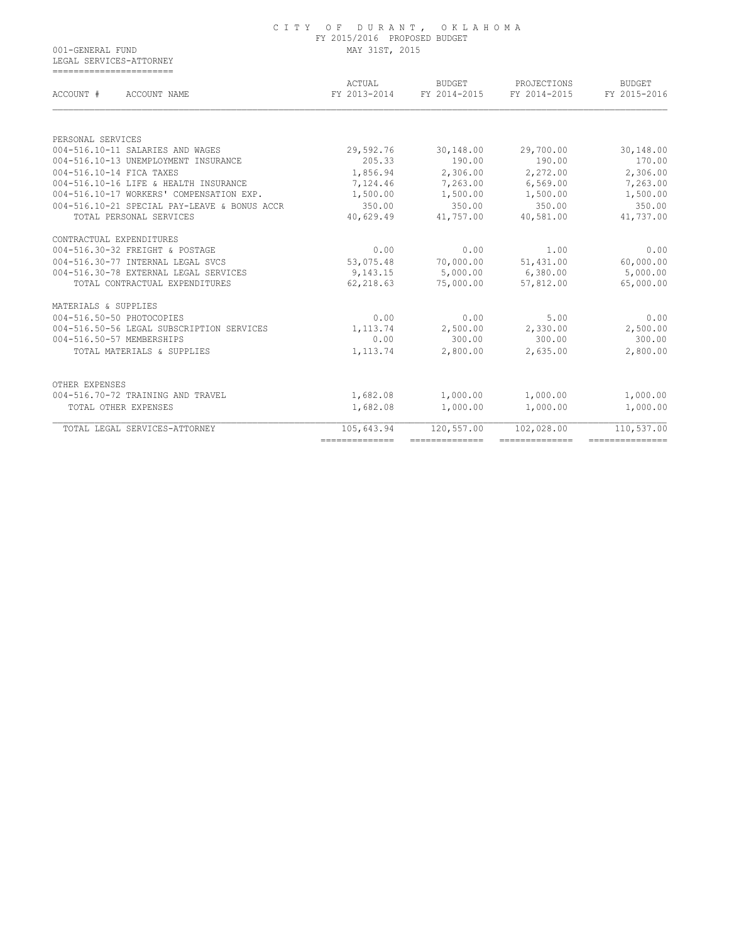|                  | CITY OF DURANT, OKLAHOMA     |
|------------------|------------------------------|
|                  | FY 2015/2016 PROPOSED BUDGET |
| 001-GENERAL FUND | MAY 31ST, 2015               |

 LEGAL SERVICES-ATTORNEY ==========================

| ACCOUNT #<br>ACCOUNT NAME                    | ACTUAL<br>FY 2013-2014 | <b>BUDGET</b><br>FY 2014-2015 | PROJECTIONS<br>FY 2014-2015 | <b>BUDGET</b><br>FY 2015-2016 |
|----------------------------------------------|------------------------|-------------------------------|-----------------------------|-------------------------------|
|                                              |                        |                               |                             |                               |
| PERSONAL SERVICES                            |                        |                               |                             |                               |
| 004-516.10-11 SALARIES AND WAGES             | 29,592.76              | 30,148.00                     | 29,700.00                   | 30,148.00                     |
| 004-516.10-13 UNEMPLOYMENT INSURANCE         | 205.33                 | 190.00                        | 190.00                      | 170.00                        |
| 004-516.10-14 FICA TAXES                     | 1,856.94               | 2,306.00                      | 2,272.00                    | 2,306.00                      |
| 004-516.10-16 LIFE & HEALTH INSURANCE        | 7,124.46               | 7,263.00                      | 6,569.00                    | 7,263.00                      |
| 004-516.10-17 WORKERS' COMPENSATION EXP.     | 1,500.00               | 1,500.00                      | 1,500.00                    | 1,500.00                      |
| 004-516.10-21 SPECIAL PAY-LEAVE & BONUS ACCR | 350.00                 | 350.00                        | 350.00                      | 350.00                        |
| TOTAL PERSONAL SERVICES                      | 40,629.49              | 41,757.00                     | 40,581.00                   | 41,737.00                     |
| CONTRACTUAL EXPENDITURES                     |                        |                               |                             |                               |
| 004-516.30-32 FREIGHT & POSTAGE              | 0.00                   | 0.00                          | 1.00                        | 0.00                          |
| 004-516.30-77 INTERNAL LEGAL SVCS            | 53,075.48              | 70,000.00                     | 51,431.00                   | 60,000.00                     |
| 004-516.30-78 EXTERNAL LEGAL SERVICES        | 9,143.15               | 5,000.00                      | 6,380.00                    | 5,000.00                      |
| TOTAL CONTRACTUAL EXPENDITURES               | 62,218.63              | 75,000.00                     | 57,812.00                   | 65,000.00                     |
| MATERIALS & SUPPLIES                         |                        |                               |                             |                               |
| 004-516.50-50 PHOTOCOPIES                    | 0.00                   | 0.00                          | 5.00                        | 0.00                          |
| 004-516.50-56 LEGAL SUBSCRIPTION SERVICES    | 1,113.74               | 2,500.00                      | 2,330.00                    | 2,500.00                      |
| 004-516.50-57 MEMBERSHIPS                    | 0.00                   | 300.00                        | 300.00                      | 300.00                        |
| TOTAL MATERIALS & SUPPLIES                   | 1,113.74               | 2,800.00                      | 2,635.00                    | 2,800.00                      |
| OTHER EXPENSES                               |                        |                               |                             |                               |
| 004-516.70-72 TRAINING AND TRAVEL            | 1,682.08               | 1,000.00                      | 1,000.00                    | 1,000.00                      |
| TOTAL OTHER EXPENSES                         | 1,682.08               | 1,000.00                      | 1,000.00                    | 1,000.00                      |
| TOTAL LEGAL SERVICES-ATTORNEY                | 105,643.94             | 120,557.00                    | 102,028.00                  | 110,537.00                    |
|                                              | ---------------        | ---------------               | --------------              | ---------------               |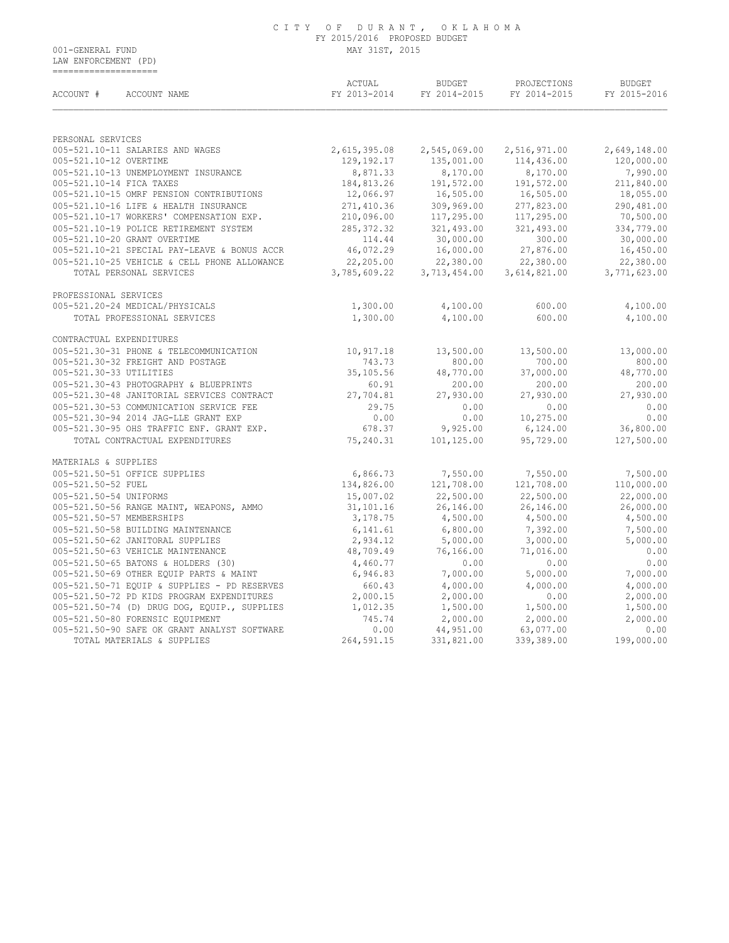LAW ENFORCEMENT (PD) ====================

| ACCOUNT #<br>ACCOUNT NAME                    | ACTUAL<br>FY 2013-2014 | <b>BUDGET</b><br>FY 2014-2015 | PROJECTIONS<br>FY 2014-2015 | <b>BUDGET</b><br>FY 2015-2016 |  |
|----------------------------------------------|------------------------|-------------------------------|-----------------------------|-------------------------------|--|
| PERSONAL SERVICES                            |                        |                               |                             |                               |  |
| 005-521.10-11 SALARIES AND WAGES             | 2,615,395.08           | 2,545,069.00                  | 2,516,971.00                | 2,649,148.00                  |  |
| 005-521.10-12 OVERTIME                       | 129,192.17             | 135,001.00                    | 114,436.00                  | 120,000.00                    |  |
| 005-521.10-13 UNEMPLOYMENT INSURANCE         | 8,871.33               | 8,170.00                      | 8,170.00                    | 7,990.00                      |  |
| 005-521.10-14 FICA TAXES                     | 184,813.26             | 191,572.00                    | 191,572.00                  | 211,840.00                    |  |
| 005-521.10-15 OMRF PENSION CONTRIBUTIONS     | 12,066.97              | 16,505.00                     | 16,505.00                   | 18,055.00                     |  |
| 005-521.10-16 LIFE & HEALTH INSURANCE        | 271,410.36             | 309,969.00                    | 277,823.00                  | 290,481.00                    |  |
| 005-521.10-17 WORKERS' COMPENSATION EXP.     | 210,096.00             | 117,295.00                    | 117,295.00                  | 70,500.00                     |  |
| 005-521.10-19 POLICE RETIREMENT SYSTEM       | 285, 372.32            | 321,493.00                    | 321,493.00                  | 334,779.00                    |  |
| 005-521.10-20 GRANT OVERTIME                 | 114.44                 | 30,000.00                     | 300.00                      | 30,000.00                     |  |
| 005-521.10-21 SPECIAL PAY-LEAVE & BONUS ACCR | 46,072.29              | 16,000.00                     | 27,876.00                   | 16,450.00                     |  |
| 005-521.10-25 VEHICLE & CELL PHONE ALLOWANCE | 22,205.00              | 22,380.00                     | 22,380.00                   | 22,380.00                     |  |
| TOTAL PERSONAL SERVICES                      | 3,785,609.22           | 3,713,454.00                  | 3,614,821.00                | 3,771,623.00                  |  |
| PROFESSIONAL SERVICES                        |                        |                               |                             |                               |  |
| 005-521.20-24 MEDICAL/PHYSICALS              | 1,300.00               | 4,100.00                      | 600.00                      | 4,100.00                      |  |
| TOTAL PROFESSIONAL SERVICES                  | 1,300.00               | 4,100.00                      | 600.00                      | 4,100.00                      |  |
| CONTRACTUAL EXPENDITURES                     |                        |                               |                             |                               |  |
| 005-521.30-31 PHONE & TELECOMMUNICATION      | 10,917.18              | 13,500.00                     | 13,500.00                   | 13,000.00                     |  |
| 005-521.30-32 FREIGHT AND POSTAGE            | 743.73                 | 800.00                        | 700.00                      | 800.00                        |  |
| 005-521.30-33 UTILITIES                      | 35,105.56              | 48,770.00                     | 37,000.00                   | 48,770.00                     |  |
| 005-521.30-43 PHOTOGRAPHY & BLUEPRINTS       | 60.91                  | 200.00                        | 200.00                      | 200.00                        |  |
| 005-521.30-48 JANITORIAL SERVICES CONTRACT   | 27,704.81              | 27,930.00                     | 27,930.00                   | 27,930.00                     |  |
| 005-521.30-53 COMMUNICATION SERVICE FEE      | 29.75                  | 0.00                          | 0.00                        | 0.00                          |  |
| 005-521.30-94 2014 JAG-LLE GRANT EXP         | 0.00                   | 0.00                          | 10,275.00                   | 0.00                          |  |
| 005-521.30-95 OHS TRAFFIC ENF. GRANT EXP.    | 678.37                 | 9,925.00                      | 6,124.00                    | 36,800.00                     |  |
| TOTAL CONTRACTUAL EXPENDITURES               | 75,240.31              | 101,125.00                    | 95,729.00                   | 127,500.00                    |  |
| MATERIALS & SUPPLIES                         |                        |                               |                             |                               |  |
| 005-521.50-51 OFFICE SUPPLIES                | 6,866.73               | 7,550.00                      | 7,550.00                    | 7,500.00                      |  |
| 005-521.50-52 FUEL                           | 134,826.00             | 121,708.00                    | 121,708.00                  | 110,000.00                    |  |
| 005-521.50-54 UNIFORMS                       | 15,007.02              | 22,500.00                     | 22,500.00                   | 22,000.00                     |  |
| 005-521.50-56 RANGE MAINT, WEAPONS, AMMO     | 31,101.16              | 26,146.00                     | 26,146.00                   | 26,000.00                     |  |
| 005-521.50-57 MEMBERSHIPS                    | 3,178.75               | 4,500.00                      | 4,500.00                    | 4,500.00                      |  |
| 005-521.50-58 BUILDING MAINTENANCE           | 6,141.61               | 6,800.00                      | 7,392.00                    | 7,500.00                      |  |
| 005-521.50-62 JANITORAL SUPPLIES             | 2,934.12               | 5,000.00                      | 3,000.00                    | 5,000.00                      |  |
| 005-521.50-63 VEHICLE MAINTENANCE            | 48,709.49              | 76,166.00                     | 71,016.00                   | 0.00                          |  |
| 005-521.50-65 BATONS & HOLDERS (30)          | 4,460.77               | 0.00                          | 0.00                        | 0.00                          |  |
| 005-521.50-69 OTHER EQUIP PARTS & MAINT      | 6,946.83               | 7,000.00                      | 5,000.00                    | 7,000.00                      |  |
| 005-521.50-71 EQUIP & SUPPLIES - PD RESERVES | 660.43                 | 4,000.00                      | 4,000.00                    | 4,000.00                      |  |
| 005-521.50-72 PD KIDS PROGRAM EXPENDITURES   | 2,000.15               | 2,000.00                      | 0.00                        | 2,000.00                      |  |
| 005-521.50-74 (D) DRUG DOG, EQUIP., SUPPLIES | 1,012.35               | 1,500.00                      | 1,500.00                    | 1,500.00                      |  |
| 005-521.50-80 FORENSIC EQUIPMENT             | 745.74                 | 2,000.00                      | 2,000.00                    | 2,000.00                      |  |
| 005-521.50-90 SAFE OK GRANT ANALYST SOFTWARE | 0.00                   | 44,951.00                     | 63,077.00                   | 0.00                          |  |
| TOTAL MATERIALS & SUPPLIES                   | 264,591.15             | 331,821.00                    | 339,389.00                  | 199,000.00                    |  |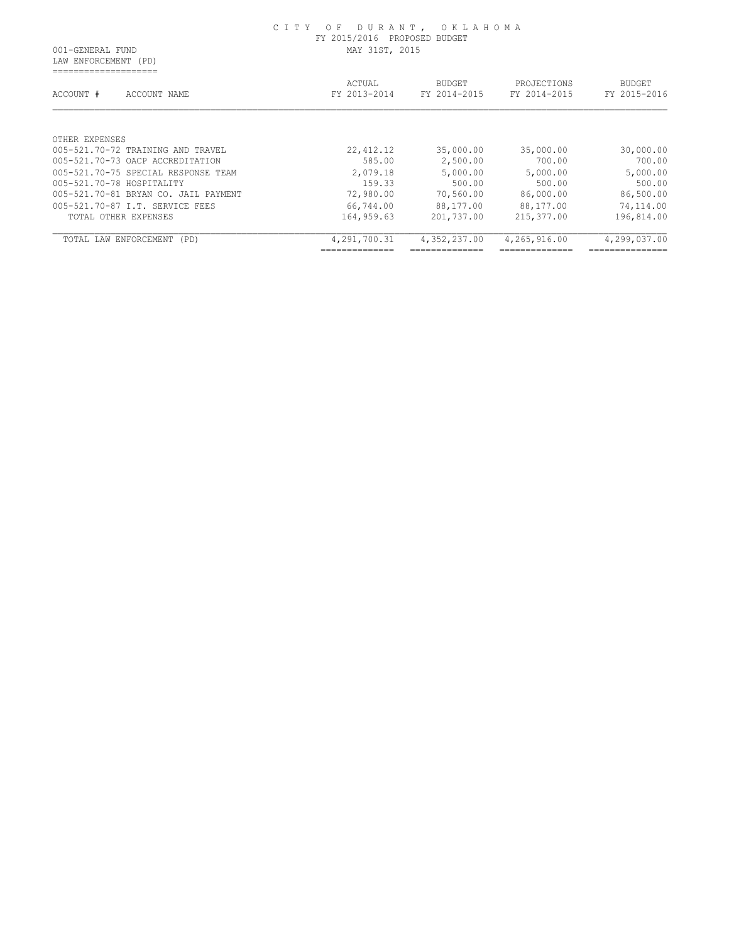LAW ENFORCEMENT (PD) ====================

| ACCOUNT #                 | ACCOUNT NAME                         | ACTUAL<br>FY 2013-2014 | <b>BUDGET</b><br>FY 2014-2015 |              | PROJECTIONS<br>FY 2014-2015 | <b>BUDGET</b><br>FY 2015-2016 |
|---------------------------|--------------------------------------|------------------------|-------------------------------|--------------|-----------------------------|-------------------------------|
|                           |                                      |                        |                               |              |                             |                               |
| OTHER EXPENSES            |                                      |                        |                               |              |                             |                               |
|                           | 005-521.70-72 TRAINING AND TRAVEL    | 22, 412.12             | 35,000.00                     |              | 35,000.00                   | 30,000.00                     |
|                           | 005-521.70-73 OACP ACCREDITATION     | 585.00                 | 2,500.00                      |              | 700.00                      | 700.00                        |
|                           | 005-521.70-75 SPECIAL RESPONSE TEAM  | 2,079.18               | 5,000.00                      |              | 5,000.00                    | 5,000.00                      |
| 005-521.70-78 HOSPITALITY |                                      | 159.33                 | 500.00                        |              | 500.00                      | 500.00                        |
|                           | 005-521.70-81 BRYAN CO. JAIL PAYMENT | 72,980.00              | 70,560.00                     |              | 86,000.00                   | 86,500.00                     |
|                           | 005-521.70-87 T.T. SERVICE FEES      | 66,744.00              | 88,177.00                     |              | 88,177.00                   | 74,114.00                     |
| TOTAL OTHER EXPENSES      |                                      | 164,959.63             | 201,737.00                    | 215,377.00   |                             | 196,814.00                    |
| TOTAL LAW ENFORCEMENT     | (PD)                                 | 4,291,700.31           | 4,352,237.00                  | 4,265,916.00 |                             | 4,299,037.00                  |
|                           |                                      | _____________          |                               |              |                             | _____________                 |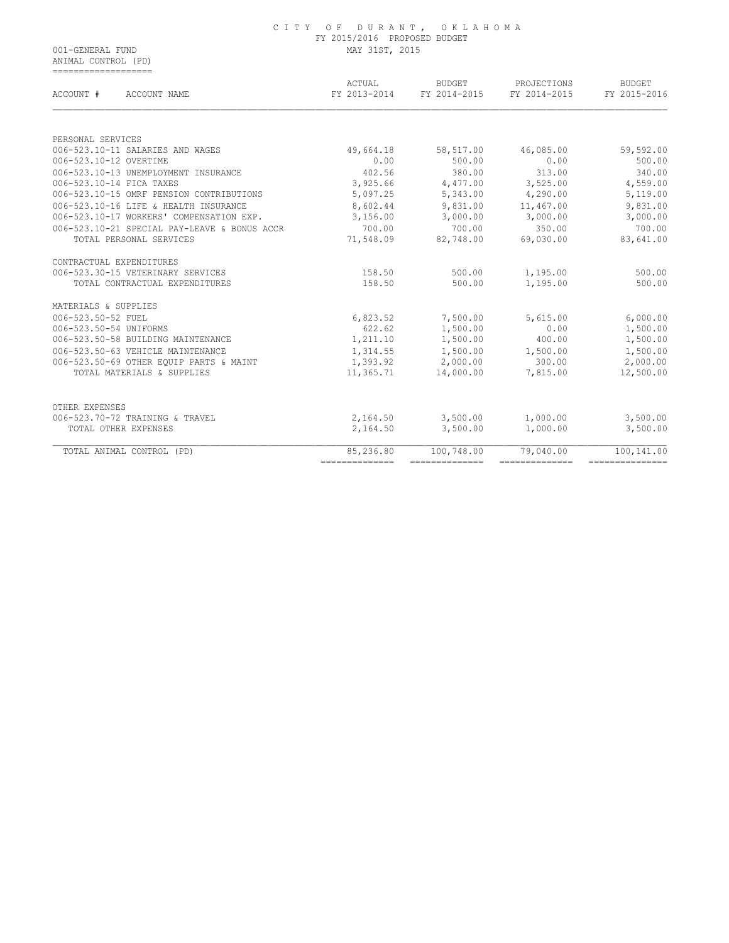ANIMAL CONTROL (PD) ===================

| ACTUAL<br>FY 2013-2014                                 | <b>BUDGET</b><br>FY 2014-2015 | PROJECTIONS<br>FY 2014-2015 | <b>BUDGET</b><br>FY 2015-2016 |
|--------------------------------------------------------|-------------------------------|-----------------------------|-------------------------------|
|                                                        |                               |                             |                               |
|                                                        |                               |                             |                               |
| 49,664.18                                              | 58,517.00                     | 46,085.00                   | 59,592.00                     |
| 0.00                                                   | 500.00                        | 0.00                        | 500.00                        |
| 402.56                                                 | 380.00                        | 313.00                      | 340.00                        |
| 3,925.66                                               | 4,477.00                      | 3,525.00                    | 4,559.00                      |
| 5,097.25                                               | 5,343.00                      | 4,290.00                    | 5,119.00                      |
| 8,602.44                                               | 9,831.00                      | 11,467.00                   | 9,831.00                      |
| 3,156.00                                               | 3,000.00                      | 3,000.00                    | 3,000.00                      |
| 700.00<br>006-523.10-21 SPECIAL PAY-LEAVE & BONUS ACCR | 700.00                        | 350.00                      | 700.00                        |
| 71,548.09                                              | 82,748.00                     | 69,030.00                   | 83,641.00                     |
|                                                        |                               |                             |                               |
| 158.50                                                 | 500.00                        | 1,195.00                    | 500.00                        |
| 158.50                                                 | 500.00                        | 1,195.00                    | 500.00                        |
|                                                        |                               |                             |                               |
| 6,823.52                                               | 7,500.00                      | 5,615.00                    | 6,000.00                      |
| 622.62                                                 | 1,500.00                      | 0.00                        | 1,500.00                      |
| 1,211.10                                               | 1,500.00                      | 400.00                      | 1,500.00                      |
| 1,314.55                                               | 1,500.00                      | 1,500.00                    | 1,500.00                      |
| 1,393.92                                               | 2,000.00                      | 300.00                      | 2,000.00                      |
| 11,365.71                                              | 14,000.00                     | 7,815.00                    | 12,500.00                     |
|                                                        |                               |                             |                               |
|                                                        |                               |                             | 3,500.00                      |
| 2,164.50                                               | 3,500.00                      | 1,000.00                    | 3,500.00                      |
| 85,236.80                                              | 100,748.00                    | 79,040.00                   | 100,141.00                    |
|                                                        | 2,164.50                      | 3,500.00                    | 1,000.00                      |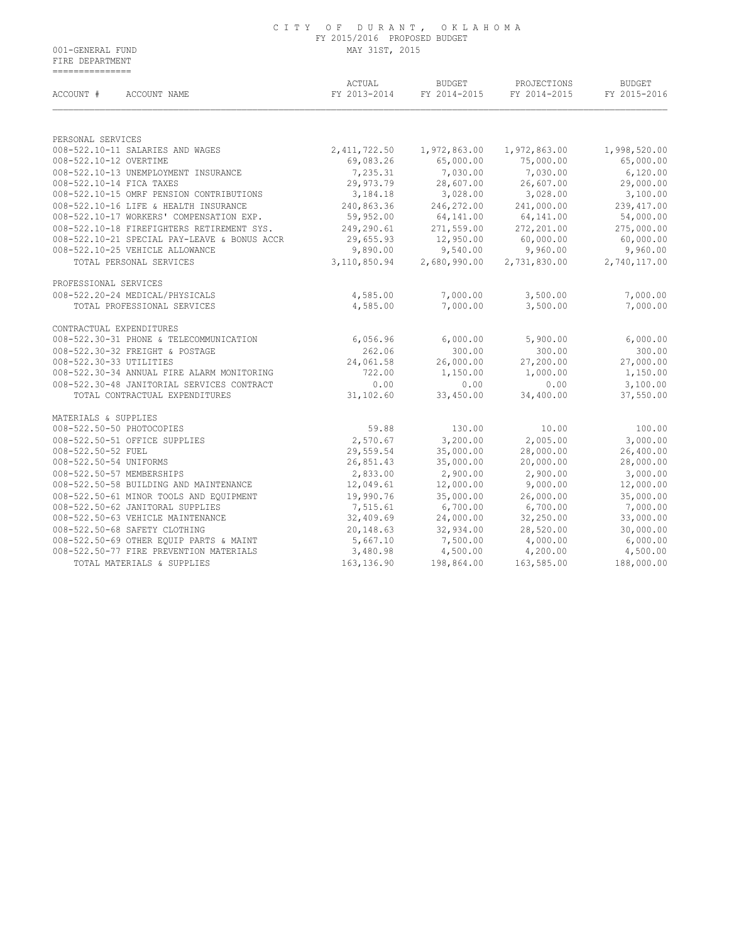FIRE DEPARTMENT ===============

| ACCOUNT #<br>ACCOUNT NAME                    | ACTUAL<br>FY 2013-2014 | <b>BUDGET</b><br>FY 2014-2015 | PROJECTIONS<br>FY 2014-2015 | <b>BUDGET</b><br>FY 2015-2016 |
|----------------------------------------------|------------------------|-------------------------------|-----------------------------|-------------------------------|
|                                              |                        |                               |                             |                               |
| PERSONAL SERVICES                            |                        |                               |                             |                               |
| 008-522.10-11 SALARIES AND WAGES             | 2, 411, 722.50         | 1,972,863.00                  | 1,972,863.00                | 1,998,520.00                  |
| 008-522.10-12 OVERTIME                       | 69,083.26              | 65,000.00                     | 75,000.00                   | 65,000.00                     |
| 008-522.10-13 UNEMPLOYMENT INSURANCE         | 7,235.31               | 7,030.00                      | 7,030.00                    | 6,120.00                      |
| 008-522.10-14 FICA TAXES                     | 29,973.79              | 28,607.00                     | 26,607.00                   | 29,000.00                     |
| 008-522.10-15 OMRF PENSION CONTRIBUTIONS     | 3,184.18               | 3,028.00                      | 3,028.00                    | 3,100.00                      |
| 008-522.10-16 LIFE & HEALTH INSURANCE        | 240,863.36             | 246,272.00                    | 241,000.00                  | 239, 417.00                   |
| 008-522.10-17 WORKERS' COMPENSATION EXP.     | 59,952.00              | 64,141.00                     | 64,141.00                   | 54,000.00                     |
| 008-522.10-18 FIREFIGHTERS RETIREMENT SYS.   | 249,290.61             | 271,559.00                    | 272,201.00                  | 275,000.00                    |
| 008-522.10-21 SPECIAL PAY-LEAVE & BONUS ACCR | 29,655.93              | 12,950.00                     | 60,000.00                   | 60,000.00                     |
| 008-522.10-25 VEHICLE ALLOWANCE              | 9,890.00               | 9,540.00                      | 9,960.00                    | 9,960.00                      |
| TOTAL PERSONAL SERVICES                      | 3,110,850.94           | 2,680,990.00                  | 2,731,830.00                | 2,740,117.00                  |
| PROFESSIONAL SERVICES                        |                        |                               |                             |                               |
| 008-522.20-24 MEDICAL/PHYSICALS              | 4,585.00               | 7,000.00                      | 3,500.00                    | 7,000.00                      |
| TOTAL PROFESSIONAL SERVICES                  | 4,585.00               | 7,000.00                      | 3,500.00                    | 7,000.00                      |
| CONTRACTUAL EXPENDITURES                     |                        |                               |                             |                               |
| 008-522.30-31 PHONE & TELECOMMUNICATION      | 6,056.96               | 6,000.00                      | 5,900.00                    | 6,000.00                      |
| 008-522.30-32 FREIGHT & POSTAGE              | 262.06                 | 300.00                        | 300.00                      | 300.00                        |
| 008-522.30-33 UTILITIES                      | 24,061.58              | 26,000.00                     | 27,200.00                   | 27,000.00                     |
| 008-522.30-34 ANNUAL FIRE ALARM MONITORING   | 722.00                 | 1,150.00                      | 1,000.00                    | 1,150.00                      |
| 008-522.30-48 JANITORIAL SERVICES CONTRACT   | 0.00                   | 0.00                          | 0.00                        | 3,100.00                      |
| TOTAL CONTRACTUAL EXPENDITURES               | 31,102.60              | 33,450.00                     | 34,400.00                   | 37,550.00                     |
| MATERIALS & SUPPLIES                         |                        |                               |                             |                               |
| 008-522.50-50 PHOTOCOPIES                    | 59.88                  | 130.00                        | 10.00                       | 100.00                        |
| 008-522.50-51 OFFICE SUPPLIES                | 2,570.67               | 3,200.00                      | 2,005.00                    | 3,000.00                      |
| 008-522.50-52 FUEL                           | 29,559.54              | 35,000.00                     | 28,000.00                   | 26,400.00                     |
| 008-522.50-54 UNIFORMS                       | 26,851.43              | 35,000.00                     | 20,000.00                   | 28,000.00                     |
| 008-522.50-57 MEMBERSHIPS                    | 2,833.00               | 2,900.00                      | 2,900.00                    | 3,000.00                      |
| 008-522.50-58 BUILDING AND MAINTENANCE       | 12,049.61              | 12,000.00                     | 9,000.00                    | 12,000.00                     |
| 008-522.50-61 MINOR TOOLS AND EQUIPMENT      | 19,990.76              | 35,000.00                     | 26,000.00                   | 35,000.00                     |
| 008-522.50-62 JANITORAL SUPPLIES             | 7,515.61               | 6,700.00                      | 6,700.00                    | 7,000.00                      |
| 008-522.50-63 VEHICLE MAINTENANCE            | 32,409.69              | 24,000.00                     | 32,250.00                   | 33,000.00                     |
| 008-522.50-68 SAFETY CLOTHING                | 20,148.63              | 32,934.00                     | 28,520.00                   | 30,000.00                     |
| 008-522.50-69 OTHER EQUIP PARTS & MAINT      | 5,667.10               | 7,500.00                      | 4,000.00                    | 6,000.00                      |
| 008-522.50-77 FIRE PREVENTION MATERIALS      | 3,480.98               | 4,500.00                      | 4,200.00                    | 4,500.00                      |
| TOTAL MATERIALS & SUPPLIES                   | 163, 136.90            | 198,864.00                    | 163,585.00                  | 188,000.00                    |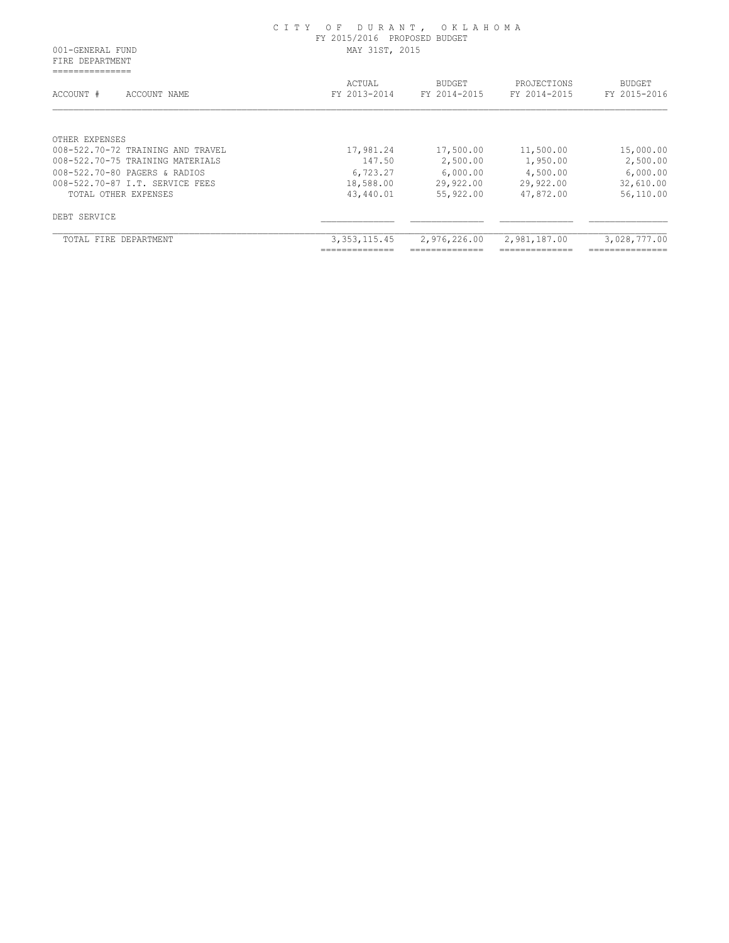FIRE DEPARTMENT ===============

| ACCOUNT #<br>ACCOUNT NAME         | ACTUAL<br>FY 2013-2014 | <b>BUDGET</b><br>FY 2014-2015 | PROJECTIONS<br>FY 2014-2015 | <b>BUDGET</b><br>FY 2015-2016 |
|-----------------------------------|------------------------|-------------------------------|-----------------------------|-------------------------------|
| OTHER EXPENSES                    |                        |                               |                             |                               |
| 008-522.70-72 TRAINING AND TRAVEL | 17,981.24              | 17,500.00                     | 11,500.00                   | 15,000.00                     |
| 008-522.70-75 TRAINING MATERIALS  | 147.50                 | 2,500.00                      | 1,950.00                    | 2,500.00                      |
| 008-522.70-80 PAGERS & RADIOS     | 6,723.27               | 6,000.00                      | 4,500.00                    | 6,000.00                      |
| 008-522.70-87 I.T. SERVICE FEES   | 18,588.00              | 29,922.00                     | 29,922.00                   | 32,610.00                     |
| TOTAL OTHER EXPENSES              | 43,440.01              | 55,922.00                     | 47,872.00                   | 56,110.00                     |
| DEBT SERVICE                      |                        |                               |                             |                               |
| TOTAL FIRE<br>DEPARTMENT          | 3, 353, 115.45         | 2,976,226.00                  | 2,981,187.00                | 3,028,777.00                  |
|                                   | ______________         | _____________                 | ______________              | _______________               |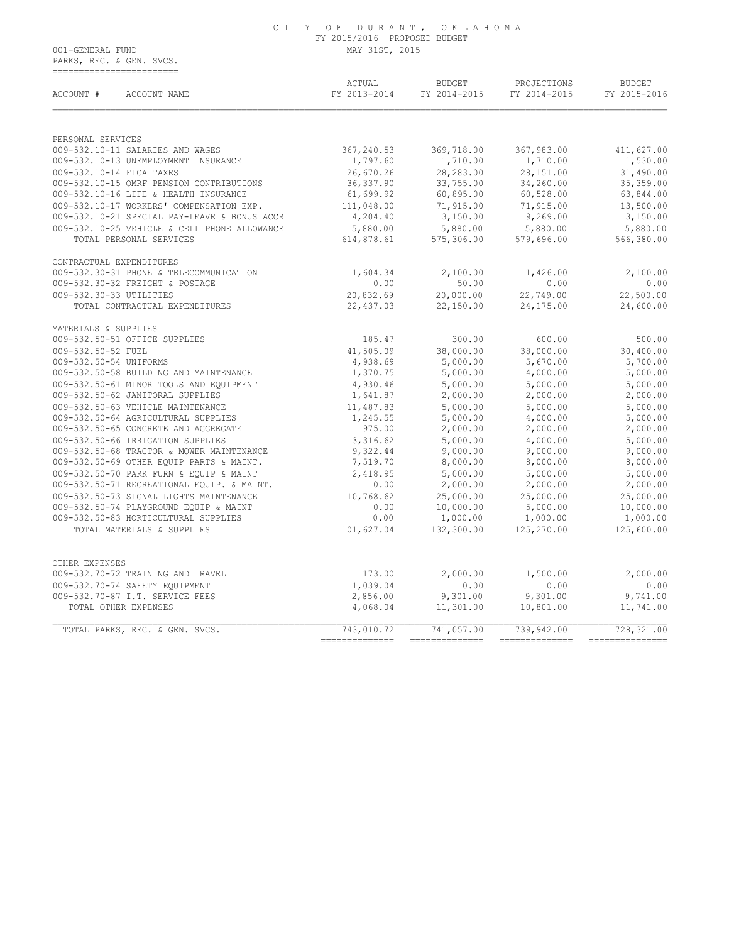## C I T Y O F D U R A N T , O K L A H O M A FY 2015/2016 PROPOSED BUDGET

001-GENERAL FUND MAY 31ST, 2015 PARKS, REC. & GEN. SVCS. ===========================

| ACCOUNT #<br>ACCOUNT NAME                    | ACTUAL<br>FY 2013-2014 | <b>BUDGET</b><br>FY 2014-2015 | PROJECTIONS<br>FY 2014-2015 | <b>BUDGET</b><br>FY 2015-2016 |
|----------------------------------------------|------------------------|-------------------------------|-----------------------------|-------------------------------|
|                                              |                        |                               |                             |                               |
| PERSONAL SERVICES                            |                        |                               |                             |                               |
| 009-532.10-11 SALARIES AND WAGES             | 367,240.53             | 369,718.00                    | 367,983.00                  | 411,627.00                    |
| 009-532.10-13 UNEMPLOYMENT INSURANCE         | 1,797.60               | 1,710.00                      | 1,710.00                    | 1,530.00                      |
| 009-532.10-14 FICA TAXES                     | 26,670.26              | 28,283.00                     | 28,151.00                   | 31,490.00                     |
| 009-532.10-15 OMRF PENSION CONTRIBUTIONS     | 36,337.90              | 33,755.00                     | 34,260.00                   | 35,359.00                     |
| 009-532.10-16 LIFE & HEALTH INSURANCE        | 61,699.92              | 60,895.00                     | 60,528.00                   | 63,844.00                     |
| 009-532.10-17 WORKERS' COMPENSATION EXP.     | 111,048.00             | 71,915.00                     | 71,915.00                   | 13,500.00                     |
| 009-532.10-21 SPECIAL PAY-LEAVE & BONUS ACCR | 4,204.40               | 3,150.00                      | 9,269.00                    | 3,150.00                      |
| 009-532.10-25 VEHICLE & CELL PHONE ALLOWANCE | 5,880.00               | 5,880.00                      | 5,880.00                    | 5,880.00                      |
| TOTAL PERSONAL SERVICES                      | 614,878.61             | 575, 306.00                   | 579,696.00                  | 566,380.00                    |
| CONTRACTUAL EXPENDITURES                     |                        |                               |                             |                               |
| 009-532.30-31 PHONE & TELECOMMUNICATION      | 1,604.34               | 2,100.00                      | 1,426.00                    | 2,100.00                      |
| 009-532.30-32 FREIGHT & POSTAGE              | 0.00                   | 50.00                         | 0.00                        | 0.00                          |
| 009-532.30-33 UTILITIES                      | 20,832.69              | 20,000.00                     | 22,749.00                   | 22,500.00                     |
| TOTAL CONTRACTUAL EXPENDITURES               | 22,437.03              | 22,150.00                     | 24,175.00                   | 24,600.00                     |
| MATERIALS & SUPPLIES                         |                        |                               |                             |                               |
| 009-532.50-51 OFFICE SUPPLIES                | 185.47                 | 300.00                        | 600.00                      | 500.00                        |
| 009-532.50-52 FUEL                           | 41,505.09              | 38,000.00                     | 38,000.00                   | 30,400.00                     |
| 009-532.50-54 UNIFORMS                       | 4,938.69               | 5,000.00                      | 5,670.00                    | 5,700.00                      |
| 009-532.50-58 BUILDING AND MAINTENANCE       | 1,370.75               | 5,000.00                      | 4,000.00                    | 5,000.00                      |
| 009-532.50-61 MINOR TOOLS AND EQUIPMENT      | 4,930.46               | 5,000.00                      | 5,000.00                    | 5,000.00                      |
| 009-532.50-62 JANITORAL SUPPLIES             | 1,641.87               | 2,000.00                      | 2,000.00                    | 2,000.00                      |
| 009-532.50-63 VEHICLE MAINTENANCE            | 11,487.83              | 5,000.00                      | 5,000.00                    | 5,000.00                      |
| 009-532.50-64 AGRICULTURAL SUPPLIES          | 1,245.55               | 5,000.00                      | 4,000.00                    | 5,000.00                      |
| 009-532.50-65 CONCRETE AND AGGREGATE         | 975.00                 | 2,000.00                      | 2,000.00                    | 2,000.00                      |
| 009-532.50-66 IRRIGATION SUPPLIES            | 3,316.62               | 5,000.00                      | 4,000.00                    | 5,000.00                      |
| 009-532.50-68 TRACTOR & MOWER MAINTENANCE    | 9,322.44               | 9,000.00                      | 9,000.00                    | 9,000.00                      |
| 009-532.50-69 OTHER EQUIP PARTS & MAINT.     | 7,519.70               | 8,000.00                      | 8,000.00                    | 8,000.00                      |
| 009-532.50-70 PARK FURN & EQUIP & MAINT      | 2,418.95               | 5,000.00                      | 5,000.00                    | 5,000.00                      |
| 009-532.50-71 RECREATIONAL EQUIP. & MAINT.   | 0.00                   | 2,000.00                      | 2,000.00                    | 2,000.00                      |
| 009-532.50-73 SIGNAL LIGHTS MAINTENANCE      | 10,768.62              | 25,000.00                     | 25,000.00                   | 25,000.00                     |
| 009-532.50-74 PLAYGROUND EQUIP & MAINT       | 0.00                   | 10,000.00                     | 5,000.00                    | 10,000.00                     |
| 009-532.50-83 HORTICULTURAL SUPPLIES         | 0.00                   | 1,000.00                      | 1,000.00                    | 1,000.00                      |
| TOTAL MATERIALS & SUPPLIES                   | 101,627.04             | $1,000.00$<br>132,300.00      | 125,270.00                  | 125,600.00                    |
|                                              |                        |                               |                             |                               |
| OTHER EXPENSES                               |                        |                               |                             |                               |
| 009-532.70-72 TRAINING AND TRAVEL            | 173.00                 | 2,000.00                      | 1,500.00                    | 2,000.00                      |
| 009-532.70-74 SAFETY EQUIPMENT               | 1,039.04               | 0.00                          | 0.00                        | 0.00                          |
| 009-532.70-87 I.T. SERVICE FEES              | 2,856.00               | 9,301.00                      | 9,301.00                    | 9,741.00                      |
| TOTAL OTHER EXPENSES                         | 4,068.04               | 11,301.00                     | 10,801.00                   | 11,741.00                     |
| TOTAL PARKS, REC. & GEN. SVCS.               | 743,010.72             | 741,057.00                    | 739,942.00                  | 728,321.00                    |
|                                              | --------------         | ==============                | ==============              | =========                     |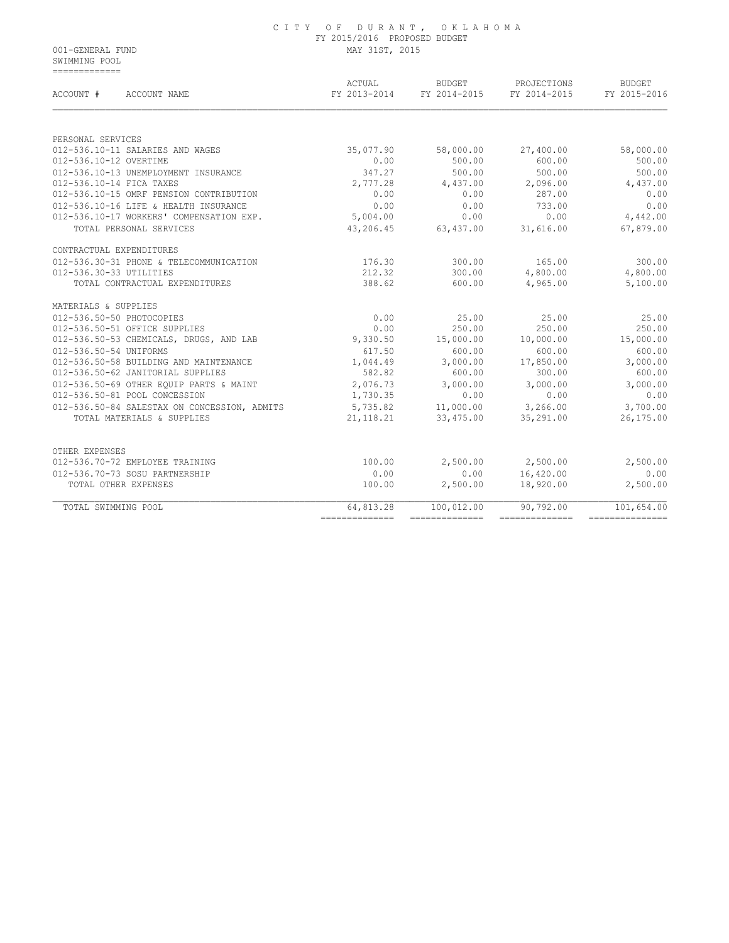|                  | CITY OF DURANT, OKLAHOMA     |
|------------------|------------------------------|
|                  | FY 2015/2016 PROPOSED BUDGET |
| 001-GENERAL FUND | MAY 31ST, 2015               |

 SWIMMING POOL =============

| ACCOUNT #<br>ACCOUNT NAME                    | ACTUAL<br>FY 2013-2014 | BUDGET<br>FY 2014-2015 | PROJECTIONS<br>FY 2014-2015 | <b>BUDGET</b><br>FY 2015-2016 |
|----------------------------------------------|------------------------|------------------------|-----------------------------|-------------------------------|
|                                              |                        |                        |                             |                               |
| PERSONAL SERVICES                            |                        |                        |                             |                               |
| 012-536.10-11 SALARIES AND WAGES             | 35,077.90              | 58,000.00              | 27,400.00                   | 58,000.00                     |
| 012-536.10-12 OVERTIME                       | 0.00                   | 500.00                 | 600.00                      | 500.00                        |
| 012-536.10-13 UNEMPLOYMENT INSURANCE         | 347.27                 | 500.00                 | 500.00                      | 500.00                        |
| 012-536.10-14 FICA TAXES                     | 2,777.28               | 4,437.00               | 2,096.00                    | 4,437.00                      |
| 012-536.10-15 OMRF PENSION CONTRIBUTION      | 0.00                   | 0.00                   | 287.00                      | 0.00                          |
| 012-536.10-16 LIFE & HEALTH INSURANCE        | 0.00                   | 0.00                   | 733.00                      | 0.00                          |
| 012-536.10-17 WORKERS' COMPENSATION EXP.     | 5,004.00               | 0.00                   | 0.00                        | 4,442.00                      |
| TOTAL PERSONAL SERVICES                      | 43,206.45              | 63,437.00              | 31,616.00                   | 67,879.00                     |
| CONTRACTUAL EXPENDITURES                     |                        |                        |                             |                               |
| 012-536.30-31 PHONE & TELECOMMUNICATION      | 176.30                 | 300.00                 | 165.00                      | 300.00                        |
| 012-536.30-33 UTILITIES                      | 212.32                 | 300.00                 | 4,800.00                    | 4,800.00                      |
| TOTAL CONTRACTUAL EXPENDITURES               | 388.62                 | 600.00                 | 4,965.00                    | 5,100.00                      |
| MATERIALS & SUPPLIES                         |                        |                        |                             |                               |
| 012-536.50-50 PHOTOCOPIES                    | 0.00                   | 25.00                  | 25.00                       | 25.00                         |
| 012-536.50-51 OFFICE SUPPLIES                | 0.00                   | 250.00                 | 250.00                      | 250.00                        |
| 012-536.50-53 CHEMICALS, DRUGS, AND LAB      | 9,330.50               | 15,000.00              | 10,000.00                   | 15,000.00                     |
| 012-536.50-54 UNIFORMS                       | 617.50                 | 600.00                 | 600.00                      | 600.00                        |
| 012-536.50-58 BUILDING AND MAINTENANCE       | 1,044.49               | 3,000.00               | 17,850.00                   | 3,000.00                      |
| 012-536.50-62 JANITORIAL SUPPLIES            | 582.82                 | 600.00                 | 300.00                      | 600.00                        |
| 012-536.50-69 OTHER EQUIP PARTS & MAINT      | 2,076.73               | 3,000.00               | 3,000.00                    | 3,000.00                      |
| 012-536.50-81 POOL CONCESSION                | 1,730.35               | 0.00                   | 0.00                        | 0.00                          |
| 012-536.50-84 SALESTAX ON CONCESSION, ADMITS | 5,735.82               | 11,000.00              | 3,266.00                    | 3,700.00                      |
| TOTAL MATERIALS & SUPPLIES                   | 21, 118. 21            | 33,475.00              | 35,291.00                   | 26,175.00                     |
|                                              |                        |                        |                             |                               |
| OTHER EXPENSES                               |                        |                        |                             |                               |
| 012-536.70-72 EMPLOYEE TRAINING              | 100.00                 | 2,500.00               | 2,500.00                    | 2,500.00                      |
| 012-536.70-73 SOSU PARTNERSHIP               | 0.00                   | 0.00                   | 16,420.00                   | 0.00                          |
| TOTAL OTHER EXPENSES                         | 100.00                 | 2,500.00               | 18,920.00                   | 2,500.00                      |
| TOTAL SWIMMING POOL                          | 64,813.28              | 100,012.00             | 90,792.00                   | 101,654.00                    |
|                                              | ===============        | ==============         |                             | ---------------               |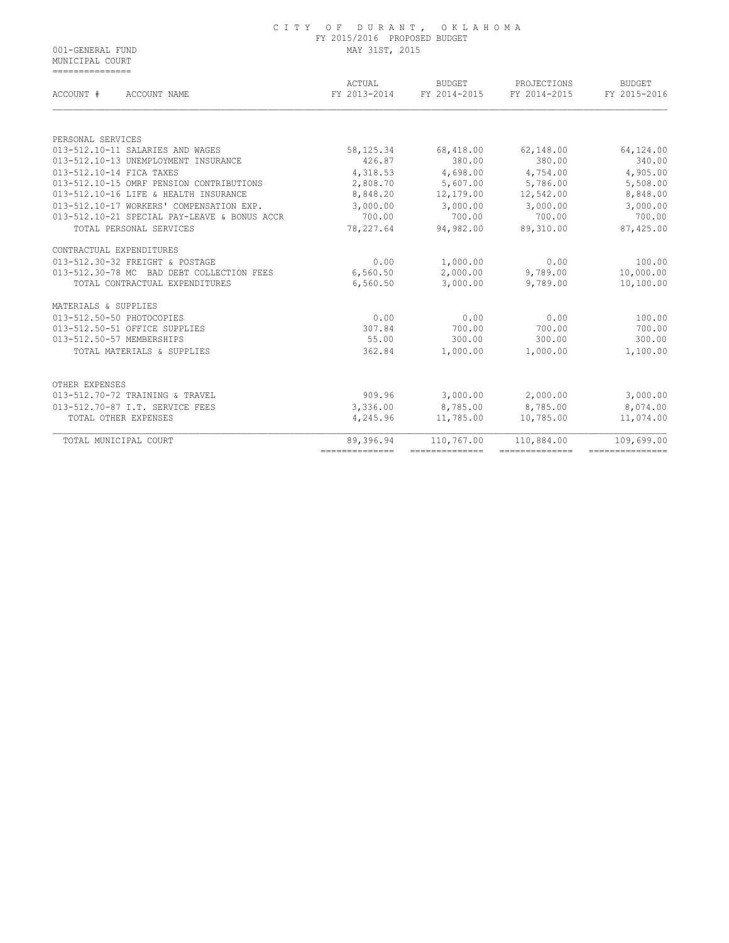MUNICIPAL COURT ===============

| ACCOUNT #<br>ACCOUNT NAME                    | ACTUAL<br>FY 2013-2014 | <b>BUDGET</b><br>FY 2014-2015 | PROJECTIONS<br>FY 2014-2015 | <b>BUDGET</b><br>FY 2015-2016 |
|----------------------------------------------|------------------------|-------------------------------|-----------------------------|-------------------------------|
|                                              |                        |                               |                             |                               |
| PERSONAL SERVICES                            |                        |                               |                             |                               |
| 013-512.10-11 SALARIES AND WAGES             | 58,125.34              | 68,418.00                     | 62,148.00                   | 64,124.00                     |
| 013-512.10-13 UNEMPLOYMENT INSURANCE         | 426.87                 | 380.00                        | 380.00                      | 340.00                        |
| 013-512.10-14 FICA TAXES                     | 4,318.53               | 4,698.00                      | 4,754.00                    | 4,905.00                      |
| 013-512.10-15 OMRF PENSION CONTRIBUTIONS     | 2,808.70               | 5,607.00                      | 5,786.00                    | 5,508.00                      |
| 013-512.10-16 LIFE & HEALTH INSURANCE        | 8,848.20               | 12,179.00                     | 12,542.00                   | 8,848.00                      |
| 013-512.10-17 WORKERS' COMPENSATION EXP.     | 3,000.00               | 3,000.00                      | 3,000.00                    | 3,000.00                      |
| 013-512.10-21 SPECIAL PAY-LEAVE & BONUS ACCR | 700.00                 | 700.00                        | 700.00                      | 700.00                        |
| TOTAL PERSONAL SERVICES                      | 78, 227.64             | 94,982.00                     | 89,310.00                   | 87,425.00                     |
| CONTRACTUAL EXPENDITURES                     |                        |                               |                             |                               |
| 013-512.30-32 FREIGHT & POSTAGE              | 0.00                   | 1,000.00                      | 0.00                        | 100.00                        |
| 013-512.30-78 MC BAD DEBT COLLECTION FEES    | 6,560.50               | 2,000.00                      | 9,789.00                    | 10,000.00                     |
| TOTAL CONTRACTUAL EXPENDITURES               | 6,560.50               | 3,000.00                      | 9,789.00                    | 10,100.00                     |
| MATERIALS & SUPPLIES                         |                        |                               |                             |                               |
| 013-512.50-50 PHOTOCOPIES                    | 0.00                   | 0.00                          | 0.00                        | 100.00                        |
| 013-512.50-51 OFFICE SUPPLIES                | 307.84                 | 700.00                        | 700.00                      | 700.00                        |
| 013-512.50-57 MEMBERSHIPS                    | 55.00                  | 300.00                        | 300.00                      | 300.00                        |
| TOTAL MATERIALS & SUPPLIES                   | 362.84                 | 1,000.00                      | 1,000.00                    | 1,100.00                      |
| OTHER EXPENSES                               |                        |                               |                             |                               |
| 013-512.70-72 TRAINING & TRAVEL              | 909.96                 | 3,000.00                      | 2,000.00                    | 3,000.00                      |
| 013-512.70-87 I.T. SERVICE FEES              | 3,336.00               | 8,785.00                      | 8,785.00                    | 8,074.00                      |
| TOTAL OTHER EXPENSES                         | 4,245.96               | 11,785.00                     | 10,785.00                   | 11,074.00                     |
| TOTAL MUNICIPAL COURT                        | 89,396.94              | 110,767.00                    | 110,884.00                  | 109,699.00                    |
|                                              | ==============         | ==============                | --------------              | ===============               |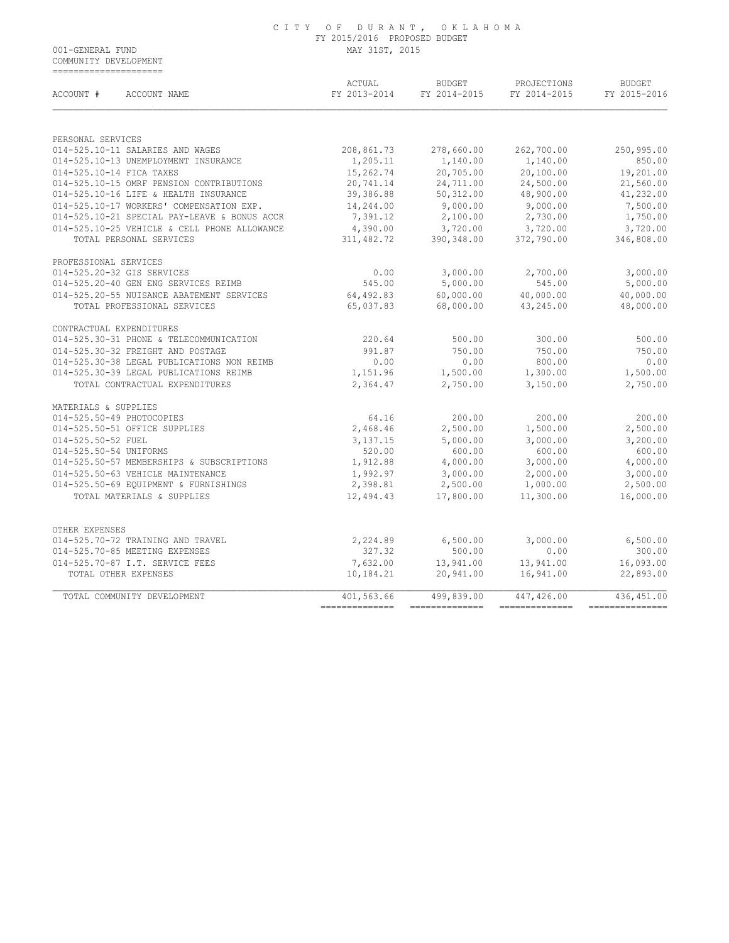COMMUNITY DEVELOPMENT =====================

| ACCOUNT #<br>ACCOUNT NAME                    | ACTUAL<br>FY 2013-2014 | <b>BUDGET</b><br>FY 2014-2015 | PROJECTIONS<br>FY 2014-2015 | <b>BUDGET</b><br>FY 2015-2016 |
|----------------------------------------------|------------------------|-------------------------------|-----------------------------|-------------------------------|
|                                              |                        |                               |                             |                               |
| PERSONAL SERVICES                            |                        |                               |                             |                               |
| 014-525.10-11 SALARIES AND WAGES             | 208,861.73             | 278,660.00                    | 262,700.00                  | 250,995.00                    |
| 014-525.10-13 UNEMPLOYMENT INSURANCE         | 1,205.11               | 1,140.00                      | 1,140.00                    | 850.00                        |
| 014-525.10-14 FICA TAXES                     | 15,262.74              | 20,705.00                     | 20,100.00                   | 19,201.00                     |
| 014-525.10-15 OMRF PENSION CONTRIBUTIONS     | 20,741.14              | 24,711.00                     | 24,500.00                   | 21,560.00                     |
| 014-525.10-16 LIFE & HEALTH INSURANCE        | 39,386.88              | 50, 312.00                    | 48,900.00                   | 41,232.00                     |
| 014-525.10-17 WORKERS' COMPENSATION EXP.     | 14,244.00              | 9,000.00                      | 9,000.00                    | 7,500.00                      |
| 014-525.10-21 SPECIAL PAY-LEAVE & BONUS ACCR | 7,391.12               | 2,100.00                      | 2,730.00                    | 1,750.00                      |
| 014-525.10-25 VEHICLE & CELL PHONE ALLOWANCE | 4,390.00               | 3,720.00                      | 3,720.00                    | 3,720.00                      |
| TOTAL PERSONAL SERVICES                      | 311,482.72             | 390, 348.00                   | 372,790.00                  | 346,808.00                    |
| PROFESSIONAL SERVICES                        |                        |                               |                             |                               |
| 014-525.20-32 GIS SERVICES                   | 0.00                   | 3,000.00                      | 2,700.00                    | 3,000.00                      |
| 014-525.20-40 GEN ENG SERVICES REIMB         | 545.00                 | 5,000.00                      | 545.00                      | 5,000.00                      |
| 014-525.20-55 NUISANCE ABATEMENT SERVICES    | 64,492.83              | 60,000.00                     | 40,000.00                   | 40,000.00                     |
| TOTAL PROFESSIONAL SERVICES                  | 65,037.83              | 68,000.00                     | 43,245.00                   | 48,000.00                     |
| CONTRACTUAL EXPENDITURES                     |                        |                               |                             |                               |
| 014-525.30-31 PHONE & TELECOMMUNICATION      | 220.64                 | 500.00                        | 300.00                      | 500.00                        |
| 014-525.30-32 FREIGHT AND POSTAGE            | 991.87                 | 750.00                        | 750.00                      | 750.00                        |
| 014-525.30-38 LEGAL PUBLICATIONS NON REIMB   | 0.00                   | 0.00                          | 800.00                      | 0.00                          |
| 014-525.30-39 LEGAL PUBLICATIONS REIMB       | 1,151.96               | 1,500.00                      | 1,300.00                    | 1,500.00                      |
| TOTAL CONTRACTUAL EXPENDITURES               | 2,364.47               | 2,750.00                      | 3,150.00                    | 2,750.00                      |
| MATERIALS & SUPPLIES                         |                        |                               |                             |                               |
| 014-525.50-49 PHOTOCOPIES                    | 64.16                  | 200.00                        | 200.00                      | 200.00                        |
| 014-525.50-51 OFFICE SUPPLIES                | 2,468.46               | 2,500.00                      | 1,500.00                    | 2,500.00                      |
| 014-525.50-52 FUEL                           | 3, 137. 15             | 5,000.00                      | 3,000.00                    | 3,200.00                      |
| 014-525.50-54 UNIFORMS                       | 520.00                 | 600.00                        | 600.00                      | 600.00                        |
| 014-525.50-57 MEMBERSHIPS & SUBSCRIPTIONS    | 1,912.88               | 4,000.00                      | 3,000.00                    | 4,000.00                      |
| 014-525.50-63 VEHICLE MAINTENANCE            | 1,992.97               | 3,000.00                      | 2,000.00                    | 3,000.00                      |
| 014-525.50-69 EQUIPMENT & FURNISHINGS        | 2,398.81               | 2,500.00                      | 1,000.00                    | 2,500.00                      |
| TOTAL MATERIALS & SUPPLIES                   | 12,494.43              | 17,800.00                     | 11,300.00                   | 16,000.00                     |
|                                              |                        |                               |                             |                               |
| OTHER EXPENSES                               |                        |                               |                             |                               |
| 014-525.70-72 TRAINING AND TRAVEL            | 2,224.89               | 6,500.00                      | 3,000.00                    | 6,500.00                      |
| 014-525.70-85 MEETING EXPENSES               | 327.32                 | 500.00                        | 0.00                        | 300.00                        |
| 014-525.70-87 I.T. SERVICE FEES              | 7,632.00               | 13,941.00                     | 13,941.00                   | 16,093.00                     |
| TOTAL OTHER EXPENSES                         | 10,184.21              | 20,941.00                     | 16,941.00                   | 22,893.00                     |
| TOTAL COMMUNITY DEVELOPMENT                  | 401,563.66             | 499,839.00                    | 447,426.00                  | 436,451.00                    |
|                                              | ==============         | --------------                | ---------------             | ---------------               |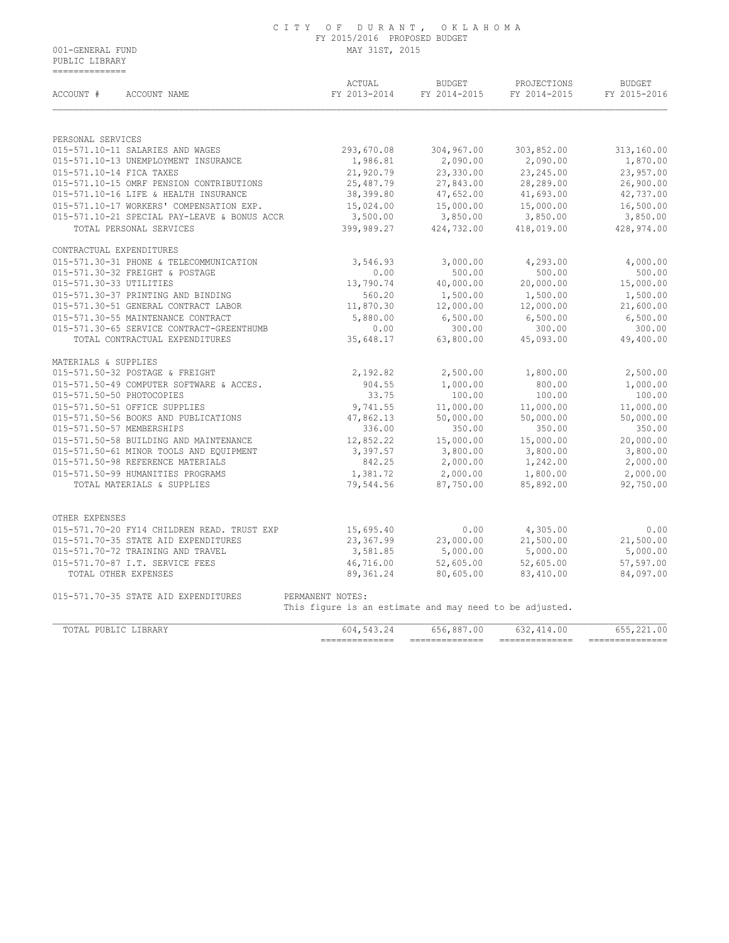PUBLIC LIBRARY ==============

| ACCOUNT #<br>ACCOUNT NAME                    | ACTUAL<br>FY 2013-2014                                  | BUDGET<br>FY 2014-2015 | PROJECTIONS<br>FY 2014-2015 | <b>BUDGET</b><br>FY 2015-2016 |
|----------------------------------------------|---------------------------------------------------------|------------------------|-----------------------------|-------------------------------|
|                                              |                                                         |                        |                             |                               |
| PERSONAL SERVICES                            |                                                         |                        |                             |                               |
| 015-571.10-11 SALARIES AND WAGES             | 293,670.08                                              | 304,967.00             | 303,852.00                  | 313,160.00                    |
| 015-571.10-13 UNEMPLOYMENT INSURANCE         | 1,986.81                                                | 2,090.00               | 2,090.00                    | 1,870.00                      |
| 015-571.10-14 FICA TAXES                     | 21,920.79                                               | 23,330.00              | 23, 245.00                  | 23,957.00                     |
| 015-571.10-15 OMRF PENSION CONTRIBUTIONS     | 25,487.79                                               | 27,843.00              | 28,289.00                   | 26,900.00                     |
| 015-571.10-16 LIFE & HEALTH INSURANCE        | 38,399.80                                               | 47,652.00              | 41,693.00                   | 42,737.00                     |
| 015-571.10-17 WORKERS' COMPENSATION EXP.     | 15,024.00                                               | 15,000.00              | 15,000.00                   | 16,500.00                     |
| 015-571.10-21 SPECIAL PAY-LEAVE & BONUS ACCR | 3,500.00                                                |                        | $3,850.00$ $3,850.00$       | 3,850.00                      |
| TOTAL PERSONAL SERVICES                      | 399,989.27                                              | 424,732.00             | 418,019.00                  | 428,974.00                    |
| CONTRACTUAL EXPENDITURES                     |                                                         |                        |                             |                               |
| 015-571.30-31 PHONE & TELECOMMUNICATION      | 3,546.93                                                | 3,000.00               | 4,293.00                    | 4,000.00                      |
| 015-571.30-32 FREIGHT & POSTAGE              | 0.00                                                    | 500.00                 | 500.00                      | 500.00                        |
| 015-571.30-33 UTILITIES                      | 13,790.74                                               | 40,000.00              | 20,000.00                   | 15,000.00                     |
| 015-571.30-37 PRINTING AND BINDING           | 560.20                                                  | 1,500.00               | 1,500.00                    | 1,500.00                      |
| 015-571.30-51 GENERAL CONTRACT LABOR         | 11,870.30                                               | 12,000.00              | 12,000.00                   | 21,600.00                     |
| 015-571.30-55 MAINTENANCE CONTRACT           | 5,880.00                                                | 6,500.00               | 6,500.00                    | 6,500.00                      |
| 015-571.30-65 SERVICE CONTRACT-GREENTHUMB    | 0.00                                                    | 300.00                 | 300.00                      | 300.00                        |
| TOTAL CONTRACTUAL EXPENDITURES               | 35,648.17                                               | 63,800.00              | 45,093.00                   | 49,400.00                     |
| MATERIALS & SUPPLIES                         |                                                         |                        |                             |                               |
| 015-571.50-32 POSTAGE & FREIGHT              | 2,192.82                                                | 2,500.00               | 1,800.00                    | 2,500.00                      |
| 015-571.50-49 COMPUTER SOFTWARE & ACCES.     | 904.55                                                  | 1,000.00               | 800.00                      | 1,000.00                      |
| 015-571.50-50 PHOTOCOPIES                    | 33.75                                                   | 100.00                 | 100.00                      | 100.00                        |
| 015-571.50-51 OFFICE SUPPLIES                | 9,741.55                                                | 11,000.00              | 11,000.00                   | 11,000.00                     |
| 015-571.50-56 BOOKS AND PUBLICATIONS         | 47,862.13                                               | 50,000.00              | 50,000.00                   | 50,000.00                     |
| 015-571.50-57 MEMBERSHIPS                    | 336.00                                                  | 350.00                 | 350.00                      | 350.00                        |
| 015-571.50-58 BUILDING AND MAINTENANCE       | 12,852.22                                               | 15,000.00              | 15,000.00                   | 20,000.00                     |
| 015-571.50-61 MINOR TOOLS AND EQUIPMENT      | 3,397.57                                                | 3,800.00               | 3,800.00                    | 3,800.00                      |
| 015-571.50-98 REFERENCE MATERIALS            | 842.25                                                  | 2,000.00               | 1,242.00                    | 2,000.00                      |
| 015-571.50-99 HUMANITIES PROGRAMS            | 1,381.72                                                | 2,000.00               |                             | 2,000.00                      |
| TOTAL MATERIALS & SUPPLIES                   | 79,544.56                                               | 87,750.00              | 1,800.00<br>85,892.00       | 92,750.00                     |
|                                              |                                                         |                        |                             |                               |
| OTHER EXPENSES                               |                                                         |                        |                             |                               |
| 015-571.70-20 FY14 CHILDREN READ. TRUST EXP  | 15,695.40                                               | 0.00                   | 4,305.00                    | 0.00                          |
| 015-571.70-35 STATE AID EXPENDITURES         | 23,367.99                                               | 23,000.00              | 21,500.00                   | 21,500.00                     |
| 015-571.70-72 TRAINING AND TRAVEL            | 3,581.85                                                | 5,000.00               | 5,000.00                    | 5,000.00                      |
| 015-571.70-87 I.T. SERVICE FEES              | 46,716.00                                               | 52,605.00              | 52,605.00                   | 57,597.00                     |
| TOTAL OTHER EXPENSES                         | 89,361.24                                               | 80,605.00              | 83,410.00                   | 84,097.00                     |
| 015-571.70-35 STATE AID EXPENDITURES         | PERMANENT NOTES:                                        |                        |                             |                               |
|                                              | This figure is an estimate and may need to be adjusted. |                        |                             |                               |
| TOTAL PUBLIC LIBRARY                         | 604,543.24                                              | 656,887.00             | 632, 414.00                 | 655,221.00                    |
|                                              | ========                                                |                        | =========                   | =========                     |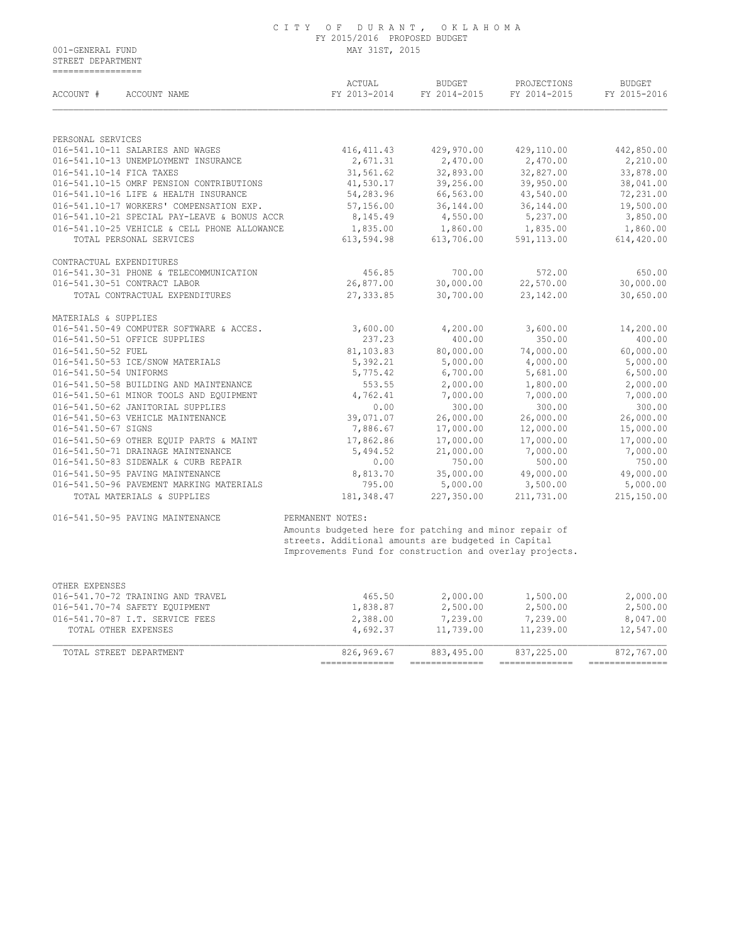STREET DEPARTMENT =================

| ACCOUNT #<br>ACCOUNT NAME                                              | ACTUAL<br>FY 2013-2014                                   | <b>BUDGET</b><br>FY 2014-2015 | PROJECTIONS<br>FY 2014-2015 | <b>BUDGET</b><br>FY 2015-2016 |
|------------------------------------------------------------------------|----------------------------------------------------------|-------------------------------|-----------------------------|-------------------------------|
| PERSONAL SERVICES                                                      |                                                          |                               |                             |                               |
| 016-541.10-11 SALARIES AND WAGES                                       | 416, 411.43                                              | 429,970.00                    | 429,110.00                  | 442,850.00                    |
| 016-541.10-13 UNEMPLOYMENT INSURANCE                                   | 2,671.31                                                 | 2,470.00                      | 2,470.00                    | 2,210.00                      |
| 016-541.10-14 FICA TAXES                                               | 31,561.62                                                | 32,893.00                     | 32,827.00                   | 33,878.00                     |
| 016-541.10-15 OMRF PENSION CONTRIBUTIONS                               | 41,530.17                                                | 39,256.00                     | 39,950.00                   | 38,041.00                     |
| 016-541.10-16 LIFE & HEALTH INSURANCE                                  | 54,283.96                                                | 66,563.00                     | 43,540.00                   | 72,231.00                     |
| 016-541.10-17 WORKERS' COMPENSATION EXP.                               | 57,156.00                                                | 36, 144.00                    | 36,144.00                   | 19,500.00                     |
| 016-541.10-21 SPECIAL PAY-LEAVE & BONUS ACCR                           | 8,145.49                                                 | 4,550.00                      | 5,237.00                    | 3,850.00                      |
| 016-541.10-25 VEHICLE & CELL PHONE ALLOWANCE                           | 1,835.00                                                 | 1,860.00                      | 1,835.00                    | 1,860.00                      |
| TOTAL PERSONAL SERVICES                                                | 613,594.98                                               | 613,706.00                    | 591,113.00                  | 614,420.00                    |
| CONTRACTUAL EXPENDITURES                                               |                                                          |                               |                             |                               |
| 016-541.30-31 PHONE & TELECOMMUNICATION                                | 456.85                                                   | 700.00                        | 572.00                      | 650.00                        |
| 016-541.30-51 CONTRACT LABOR                                           | 26,877.00                                                | 30,000.00                     | 22,570.00                   | 30,000.00                     |
| TOTAL CONTRACTUAL EXPENDITURES                                         | 27, 333.85                                               | 30,700.00                     | 23,142.00                   | 30,650.00                     |
| MATERIALS & SUPPLIES                                                   |                                                          |                               |                             |                               |
| 016-541.50-49 COMPUTER SOFTWARE & ACCES.                               | 3,600.00                                                 | 4,200.00                      | 3,600.00                    | 14,200.00                     |
| 016-541.50-51 OFFICE SUPPLIES                                          | 237.23                                                   | 400.00                        | 350.00                      | 400.00                        |
| 016-541.50-52 FUEL                                                     | 81,103.83                                                | 80,000.00                     | 74,000.00                   | 60,000.00                     |
| 016-541.50-53 ICE/SNOW MATERIALS                                       | 5,392.21                                                 | 5,000.00                      | 4,000.00                    | 5,000.00                      |
| 016-541.50-54 UNIFORMS                                                 | 5,775.42                                                 | 6,700.00                      | 5,681.00                    | 6,500.00                      |
| 016-541.50-58 BUILDING AND MAINTENANCE                                 | 553.55                                                   | 2,000.00                      | 1,800.00                    | 2,000.00                      |
| 016-541.50-61 MINOR TOOLS AND EQUIPMENT                                | 4,762.41                                                 | 7,000.00                      | 7,000.00                    | 7,000.00                      |
| 016-541.50-62 JANITORIAL SUPPLIES<br>016-541.50-63 VEHICLE MAINTENANCE | 0.00                                                     | 300.00                        | 300.00                      | 300.00                        |
| 016-541.50-67 SIGNS                                                    | 39,071.07<br>7,886.67                                    | 26,000.00<br>17,000.00        | 26,000.00<br>12,000.00      | 26,000.00<br>15,000.00        |
| 016-541.50-69 OTHER EQUIP PARTS & MAINT                                | 17,862.86                                                | 17,000.00                     | 17,000.00                   | 17,000.00                     |
| 016-541.50-71 DRAINAGE MAINTENANCE                                     | 5,494.52                                                 | 21,000.00                     | 7,000.00                    | 7,000.00                      |
| 016-541.50-83 SIDEWALK & CURB REPAIR                                   | 0.00                                                     | 750.00                        | 500.00                      | 750.00                        |
| 016-541.50-95 PAVING MAINTENANCE                                       | 8,813.70                                                 | 35,000.00                     | 49,000.00                   | 49,000.00                     |
| 016-541.50-96 PAVEMENT MARKING MATERIALS                               | 795.00                                                   | 5,000.00                      | 3,500.00                    | 5,000.00                      |
| TOTAL MATERIALS & SUPPLIES                                             | 181,348.47                                               | 227,350.00                    | 211,731.00                  | 215,150.00                    |
| 016-541.50-95 PAVING MAINTENANCE                                       | PERMANENT NOTES:                                         |                               |                             |                               |
|                                                                        | Amounts budgeted here for patching and minor repair of   |                               |                             |                               |
|                                                                        | streets. Additional amounts are budgeted in Capital      |                               |                             |                               |
|                                                                        | Improvements Fund for construction and overlay projects. |                               |                             |                               |
|                                                                        |                                                          |                               |                             |                               |
| OTHER EXPENSES<br>016-541.70-72 TRAINING AND TRAVEL                    | 465.50                                                   | 2,000.00                      | 1,500.00                    | 2,000.00                      |
| 016-541.70-74 SAFETY EQUIPMENT                                         | 1,838.87                                                 | 2,500.00                      | 2,500.00                    | 2,500.00                      |
| 016-541.70-87 I.T. SERVICE FEES                                        | 2,388.00                                                 | 7,239.00                      | 7,239.00                    | 8,047.00                      |
|                                                                        |                                                          |                               |                             |                               |

|                  |                 | ___              | ___           | ___        |                         |
|------------------|-----------------|------------------|---------------|------------|-------------------------|
| mom <sub>n</sub> | חוות אחתם גם הח | $82696967$       | 883,495.00    | 837,225.00 | 872,767.00              |
| ∩THFR<br>ΤΟΤΑ.   | EXPENSES        | 692 <sub>2</sub> | ר פר<br>39.00 | 11,239.00  | .00<br>$\sim$ 4 $\cdot$ |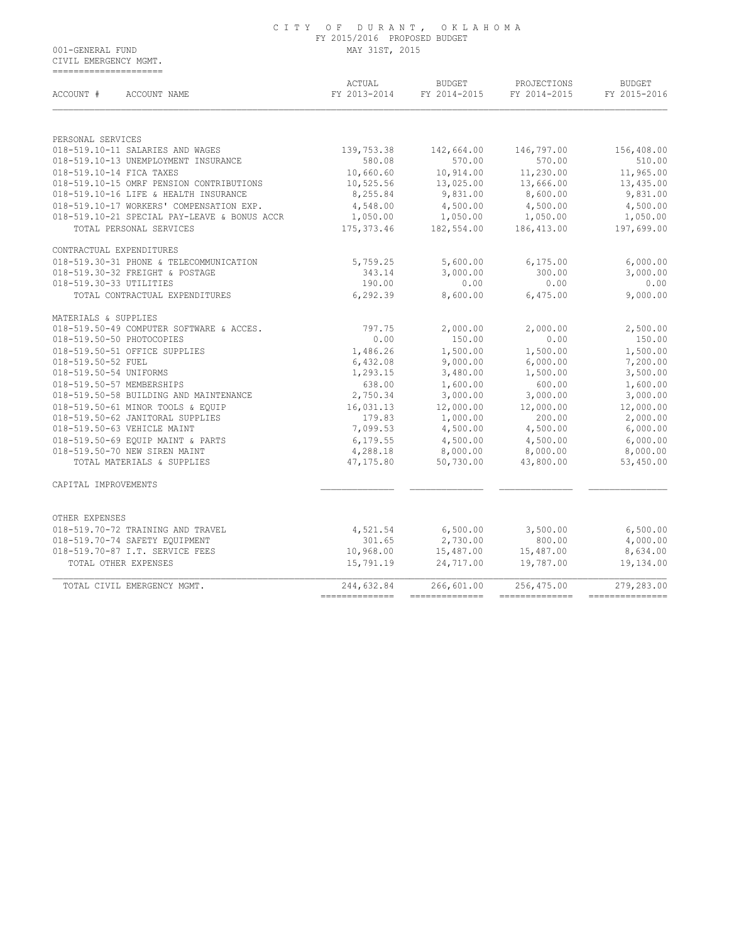CIVIL EMERGENCY MGMT. =====================

| ACCOUNT #<br>ACCOUNT NAME                    | ACTUAL<br>FY 2013-2014 | <b>BUDGET</b><br>FY 2014-2015 | PROJECTIONS<br>FY 2014-2015 | <b>BUDGET</b><br>FY 2015-2016 |
|----------------------------------------------|------------------------|-------------------------------|-----------------------------|-------------------------------|
|                                              |                        |                               |                             |                               |
| PERSONAL SERVICES                            |                        |                               |                             |                               |
| 018-519.10-11 SALARIES AND WAGES             | 139,753.38             | 142,664.00                    | 146,797.00                  | 156,408.00                    |
| 018-519.10-13 UNEMPLOYMENT INSURANCE         | 580.08                 | 570.00                        | 570.00                      | 510.00                        |
| 018-519.10-14 FICA TAXES                     | 10,660.60              | 10,914.00                     | 11,230.00                   | 11,965.00                     |
| 018-519.10-15 OMRF PENSION CONTRIBUTIONS     | 10,525.56              | 13,025.00                     | 13,666.00                   | 13,435.00                     |
| 018-519.10-16 LIFE & HEALTH INSURANCE        | 8,255.84               | 9,831.00                      | 8,600.00                    | 9,831.00                      |
| 018-519.10-17 WORKERS' COMPENSATION EXP.     | 4,548.00               | 4,500.00                      | 4,500.00                    | 4,500.00                      |
| 018-519.10-21 SPECIAL PAY-LEAVE & BONUS ACCR | 1,050.00               | 1,050.00                      | 1,050.00                    | 1,050.00                      |
| TOTAL PERSONAL SERVICES                      | 175, 373.46            | 182,554.00                    | 186,413.00                  | 197,699.00                    |
| CONTRACTUAL EXPENDITURES                     |                        |                               |                             |                               |
| 018-519.30-31 PHONE & TELECOMMUNICATION      | 5,759.25               | 5,600.00                      | 6, 175.00                   | 6,000.00                      |
| 018-519.30-32 FREIGHT & POSTAGE              | 343.14                 | 3,000.00                      | 300.00                      | 3,000.00                      |
| 018-519.30-33 UTILITIES                      | 190.00                 | 0.00                          | 0.00                        | 0.00                          |
| TOTAL CONTRACTUAL EXPENDITURES               | 6,292.39               | 8,600.00                      | 6,475.00                    | 9,000.00                      |
| MATERIALS & SUPPLIES                         |                        |                               |                             |                               |
| 018-519.50-49 COMPUTER SOFTWARE & ACCES.     | 797.75                 | 2,000.00                      | 2,000.00                    | 2,500.00                      |
| 018-519.50-50 PHOTOCOPIES                    | 0.00                   | 150.00                        | 0.00                        | 150.00                        |
| 018-519.50-51 OFFICE SUPPLIES                | 1,486.26               | 1,500.00                      | 1,500.00                    | 1,500.00                      |
| 018-519.50-52 FUEL                           | 6,432.08               | 9,000.00                      | 6,000.00                    | 7,200.00                      |
| 018-519.50-54 UNIFORMS                       | 1,293.15               | 3,480.00                      | 1,500.00                    | 3,500.00                      |
| 018-519.50-57 MEMBERSHIPS                    | 638.00                 | 1,600.00                      | 600.00                      | 1,600.00                      |
| 018-519.50-58 BUILDING AND MAINTENANCE       | 2,750.34               | 3,000.00                      | 3,000.00                    | 3,000.00                      |
| 018-519.50-61 MINOR TOOLS & EQUIP            | 16,031.13              | 12,000.00                     | 12,000.00                   | 12,000.00                     |
| 018-519.50-62 JANITORAL SUPPLIES             | 179.83                 | 1,000.00                      | 200.00                      | 2,000.00                      |
| 018-519.50-63 VEHICLE MAINT                  | 7,099.53               | 4,500.00                      | 4,500.00                    | 6,000.00                      |
| 018-519.50-69 EQUIP MAINT & PARTS            | 6,179.55               | 4,500.00                      | 4,500.00                    | 6,000.00                      |
| 018-519.50-70 NEW SIREN MAINT                | 4,288.18               | 8,000.00                      | 8,000.00                    | 8,000.00                      |
| TOTAL MATERIALS & SUPPLIES                   | 47,175.80              | 50,730.00                     | 43,800.00                   | 53,450.00                     |
| CAPITAL IMPROVEMENTS                         |                        |                               |                             |                               |
| OTHER EXPENSES                               |                        |                               |                             |                               |
| 018-519.70-72 TRAINING AND TRAVEL            | 4,521.54               | 6,500.00                      | 3,500.00                    | 6,500.00                      |
| 018-519.70-74 SAFETY EQUIPMENT               | 301.65                 | 2,730.00                      | 800.00                      | 4,000.00                      |
| 018-519.70-87 I.T. SERVICE FEES              | 10,968.00              | 15,487.00                     | 15,487.00                   | 8,634.00                      |
| TOTAL OTHER EXPENSES                         | 15,791.19              | 24,717.00                     | 19,787.00                   | 19,134.00                     |
| TOTAL CIVIL EMERGENCY MGMT.                  | 244,632.84             | 266,601.00                    | 256,475.00                  | 279,283.00                    |
|                                              |                        |                               |                             |                               |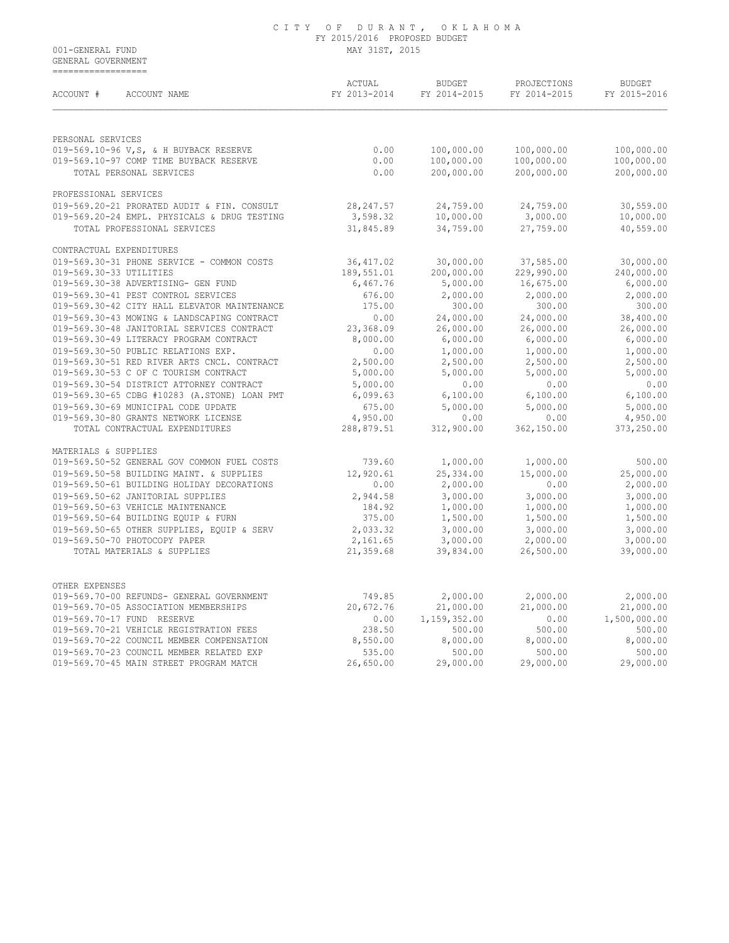GENERAL GOVERNMENT ==================

| ACCOUNT #<br>ACCOUNT NAME                    | ACTUAL<br>FY 2013-2014 | <b>BUDGET</b><br>FY 2014-2015 | PROJECTIONS<br>FY 2014-2015 | <b>BUDGET</b><br>FY 2015-2016 |
|----------------------------------------------|------------------------|-------------------------------|-----------------------------|-------------------------------|
|                                              |                        |                               |                             |                               |
| PERSONAL SERVICES                            |                        |                               |                             |                               |
| 019-569.10-96 V, S, & H BUYBACK RESERVE      | 0.00                   | 100,000.00                    | 100,000.00                  | 100,000.00                    |
| 019-569.10-97 COMP TIME BUYBACK RESERVE      | 0.00                   | 100,000.00                    | 100,000.00                  | 100,000.00                    |
| TOTAL PERSONAL SERVICES                      | 0.00                   | 200,000.00                    | 200,000.00                  | 200,000.00                    |
| PROFESSIONAL SERVICES                        |                        |                               |                             |                               |
| 019-569.20-21 PRORATED AUDIT & FIN. CONSULT  | 28, 247.57             | 24,759.00                     | 24,759.00                   | 30,559.00                     |
| 019-569.20-24 EMPL. PHYSICALS & DRUG TESTING | 3,598.32               | 10,000.00                     | 3,000.00                    | 10,000.00                     |
| TOTAL PROFESSIONAL SERVICES                  | 31,845.89              | 34,759.00                     | 27,759.00                   | 40,559.00                     |
| CONTRACTUAL EXPENDITURES                     |                        |                               |                             |                               |
| 019-569.30-31 PHONE SERVICE - COMMON COSTS   | 36,417.02              | 30,000.00                     | 37,585.00                   | 30,000.00                     |
| 019-569.30-33 UTILITIES                      | 189,551.01             | 200,000.00                    | 229,990.00                  | 240,000.00                    |
| 019-569.30-38 ADVERTISING- GEN FUND          | 6,467.76               | 5,000.00                      | 16,675.00                   | 6,000.00                      |
| 019-569.30-41 PEST CONTROL SERVICES          | 676.00                 | 2,000.00                      | 2,000.00                    | 2,000.00                      |
| 019-569.30-42 CITY HALL ELEVATOR MAINTENANCE | 175.00                 | 300.00                        | 300.00                      | 300.00                        |
| 019-569.30-43 MOWING & LANDSCAPING CONTRACT  | 0.00                   | 24,000.00                     | 24,000.00                   | 38,400.00                     |
| 019-569.30-48 JANITORIAL SERVICES CONTRACT   | 23,368.09              | 26,000.00                     | 26,000.00                   | 26,000.00                     |
| 019-569.30-49 LITERACY PROGRAM CONTRACT      | 8,000.00               | 6,000.00                      | 6,000.00                    | 6,000.00                      |
| 019-569.30-50 PUBLIC RELATIONS EXP.          | 0.00                   | 1,000.00                      | 1,000.00                    | 1,000.00                      |
| 019-569.30-51 RED RIVER ARTS CNCL. CONTRACT  | 2,500.00               | 2,500.00                      | 2,500.00                    | 2,500.00                      |
| 019-569.30-53 C OF C TOURISM CONTRACT        | 5,000.00               | 5,000.00                      | 5,000.00                    | 5,000.00                      |
| 019-569.30-54 DISTRICT ATTORNEY CONTRACT     | 5,000.00               | 0.00                          | 0.00                        | 0.00                          |
| 019-569.30-65 CDBG #10283 (A.STONE) LOAN PMT | 6,099.63               | 6,100.00                      | 6,100.00                    | 6,100.00                      |
| 019-569.30-69 MUNICIPAL CODE UPDATE          | 675.00                 | 5,000.00                      | 5,000.00                    | 5,000.00                      |
| 019-569.30-80 GRANTS NETWORK LICENSE         | 4,950.00               | 0.00                          | 0.00                        | 4,950.00                      |
| TOTAL CONTRACTUAL EXPENDITURES               | 288,879.51             | 312,900.00                    | 362,150.00                  | 373,250.00                    |
| MATERIALS & SUPPLIES                         |                        |                               |                             |                               |
| 019-569.50-52 GENERAL GOV COMMON FUEL COSTS  | 739.60                 | 1,000.00                      | 1,000.00                    | 500.00                        |
| 019-569.50-58 BUILDING MAINT. & SUPPLIES     | 12,920.61              | 25,334.00                     | 15,000.00                   | 25,000.00                     |
| 019-569.50-61 BUILDING HOLIDAY DECORATIONS   | 0.00                   | 2,000.00                      | 0.00                        | 2,000.00                      |
| 019-569.50-62 JANITORIAL SUPPLIES            | 2,944.58               | 3,000.00                      | 3,000.00                    | 3,000.00                      |
| 019-569.50-63 VEHICLE MAINTENANCE            | 184.92                 | 1,000.00                      | 1,000.00                    | 1,000.00                      |
| 019-569.50-64 BUILDING EQUIP & FURN          | 375.00                 | 1,500.00                      | 1,500.00                    | 1,500.00                      |
| 019-569.50-65 OTHER SUPPLIES, EQUIP & SERV   | 2,033.32               | 3,000.00                      | 3,000.00                    | 3,000.00                      |
| 019-569.50-70 PHOTOCOPY PAPER                | 2,161.65               | 3,000.00                      | 2,000.00                    | 3,000.00                      |
| TOTAL MATERIALS & SUPPLIES                   | 21,359.68              | 39,834.00                     | 26,500.00                   | 39,000.00                     |
| OTHER EXPENSES                               |                        |                               |                             |                               |
| 019-569.70-00 REFUNDS- GENERAL GOVERNMENT    | 749.85                 | 2,000.00                      | 2,000.00                    | 2,000.00                      |
| 019-569.70-05 ASSOCIATION MEMBERSHIPS        | 20,672.76              | 21,000.00                     | 21,000.00                   | 21,000.00                     |
| 019-569.70-17 FUND RESERVE                   | 0.00                   | 1,159,352.00                  | 0.00                        | 1,500,000.00                  |
| 019-569.70-21 VEHICLE REGISTRATION FEES      | 238.50                 | 500.00                        | 500.00                      | 500.00                        |
| 019-569.70-22 COUNCIL MEMBER COMPENSATION    | 8,550.00               | 8,000.00                      | 8,000.00                    | 8,000.00                      |
| 019-569.70-23 COUNCIL MEMBER RELATED EXP     | 535.00                 | 500.00                        | 500.00                      | 500.00                        |
| 019-569.70-45 MAIN STREET PROGRAM MATCH      | 26,650.00              | 29,000.00                     | 29,000.00                   | 29,000.00                     |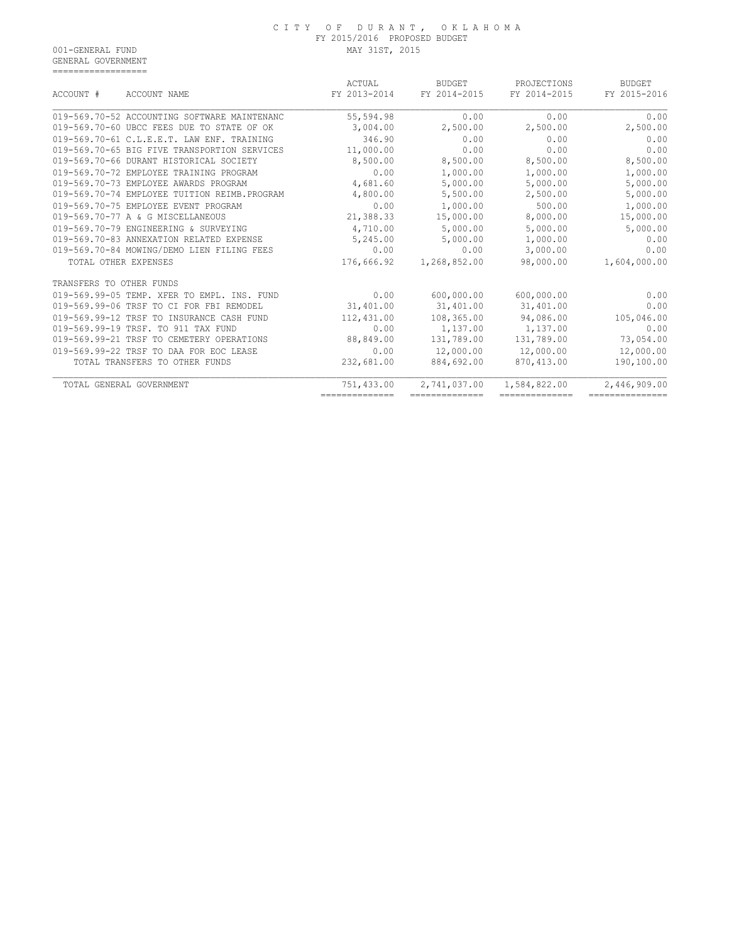GENERAL GOVERNMENT ==================

|                                              | ACTUAL         | <b>BUDGET</b>  | PROJECTIONS    | <b>BUDGET</b>   |
|----------------------------------------------|----------------|----------------|----------------|-----------------|
| ACCOUNT #<br>ACCOUNT NAME                    | FY 2013-2014   | FY 2014-2015   | FY 2014-2015   | FY 2015-2016    |
| 019-569.70-52 ACCOUNTING SOFTWARE MAINTENANC | 55,594.98      | 0.00           | 0.00           | 0.00            |
| 019-569.70-60 UBCC FEES DUE TO STATE OF OK   | 3,004.00       | 2,500.00       | 2,500.00       | 2,500.00        |
| 019-569.70-61 C.L.E.E.T. LAW ENF. TRAINING   | 346.90         | 0.00           | 0.00           | 0.00            |
| 019-569.70-65 BIG FIVE TRANSPORTION SERVICES | 11,000.00      | 0.00           | 0.00           | 0.00            |
| 019-569.70-66 DURANT HISTORICAL SOCIETY      | 8,500.00       | 8,500.00       | 8,500.00       | 8,500.00        |
| 019-569.70-72 EMPLOYEE TRAINING PROGRAM      | 0.00           | 1,000.00       | 1,000.00       | 1,000.00        |
| 019-569.70-73 EMPLOYEE AWARDS PROGRAM        | 4,681.60       | 5,000.00       | 5,000.00       | 5,000.00        |
| 019-569.70-74 EMPLOYEE TUITION REIMB.PROGRAM | 4,800.00       | 5,500.00       | 2,500.00       | 5,000.00        |
| 019-569.70-75 EMPLOYEE EVENT PROGRAM         | 0.00           | 1,000.00       | 500.00         | 1,000.00        |
| 019-569.70-77 A & G MISCELLANEOUS            | 21,388.33      | 15,000.00      | 8,000.00       | 15,000.00       |
| 019-569.70-79 ENGINEERING & SURVEYING        | 4,710.00       | 5,000.00       | 5,000.00       | 5,000.00        |
| 019-569.70-83 ANNEXATION RELATED EXPENSE     | 5,245.00       | 5,000.00       | 1,000.00       | 0.00            |
| 019-569.70-84 MOWING/DEMO LIEN FILING FEES   | 0.00           | 0.00           | 3,000.00       | 0.00            |
| TOTAL OTHER EXPENSES                         | 176,666.92     | 1,268,852.00   | 98,000.00      | 1,604,000.00    |
| TRANSFERS TO OTHER FUNDS                     |                |                |                |                 |
| 019-569.99-05 TEMP. XFER TO EMPL. INS. FUND  | 0.00           | 600,000.00     | 600,000.00     | 0.00            |
| 019-569.99-06 TRSF TO CI FOR FBI REMODEL     | 31,401.00      | 31,401.00      | 31,401.00      | 0.00            |
| 019-569.99-12 TRSF TO INSURANCE CASH FUND    | 112,431.00     | 108,365.00     | 94,086.00      | 105,046.00      |
| 019-569.99-19 TRSF. TO 911 TAX FUND          | 0.00           | 1,137.00       | 1,137.00       | 0.00            |
| 019-569.99-21 TRSF TO CEMETERY OPERATIONS    | 88,849.00      | 131,789.00     | 131,789.00     | 73,054.00       |
| 019-569.99-22 TRSF TO DAA FOR EOC LEASE      | 0.00           | 12,000.00      | 12,000.00      | 12,000.00       |
| TOTAL TRANSFERS TO OTHER FUNDS               | 232,681.00     | 884,692.00     | 870,413.00     | 190,100.00      |
| TOTAL GENERAL GOVERNMENT                     | 751,433.00     | 2,741,037.00   | 1,584,822.00   | 2,446,909.00    |
|                                              | ============== | ============== | ============== | --------------- |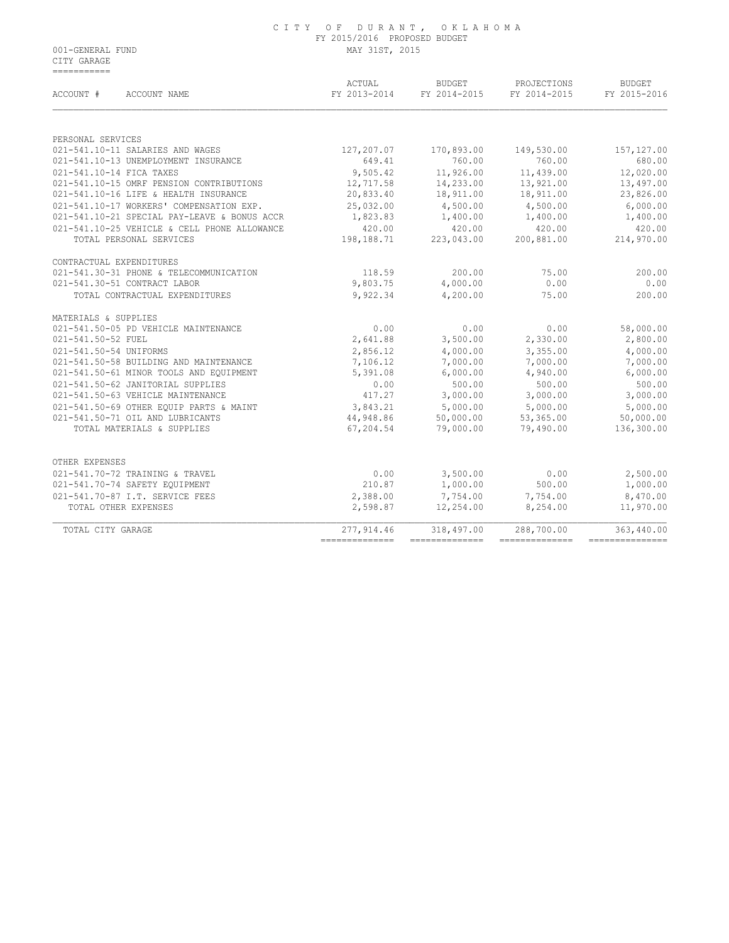CITY GARAGE ===========

| ACCOUNT #<br>ACCOUNT NAME                             | ACTUAL          | BUDGET             | PROJECTIONS<br>FY 2013-2014 FY 2014-2015 FY 2014-2015 | <b>BUDGET</b><br>FY 2015-2016 |
|-------------------------------------------------------|-----------------|--------------------|-------------------------------------------------------|-------------------------------|
|                                                       |                 |                    |                                                       |                               |
| PERSONAL SERVICES<br>021-541.10-11 SALARIES AND WAGES | 127,207.07      | 170,893.00         | 149,530.00                                            | 157, 127.00                   |
| 021-541.10-13 UNEMPLOYMENT INSURANCE                  | 649.41          | 760.00             | 760.00                                                | 680.00                        |
| 021-541.10-14 FICA TAXES                              |                 | 9,505.42 11,926.00 | 11,439.00                                             | 12,020.00                     |
| 021-541.10-15 OMRF PENSION CONTRIBUTIONS              | 12,717.58       | 14,233.00          | 13,921.00                                             | 13,497.00                     |
| 021-541.10-16 LIFE & HEALTH INSURANCE                 | 20,833.40       | 18,911.00          | 18,911.00                                             | 23,826.00                     |
| 021-541.10-17 WORKERS' COMPENSATION EXP.              | 25,032.00       | 4,500.00           | 4,500.00                                              | 6,000.00                      |
| 021-541.10-21 SPECIAL PAY-LEAVE & BONUS ACCR          | 1,823.83        | 1,400.00 1,400.00  |                                                       | 1,400.00                      |
| 021-541.10-25 VEHICLE & CELL PHONE ALLOWANCE          | 420.00          | 420.00             | 420.00                                                | 420.00                        |
| TOTAL PERSONAL SERVICES                               | 198,188.71      | 223,043.00         | 200,881.00                                            | 214,970.00                    |
| CONTRACTUAL EXPENDITURES                              |                 |                    |                                                       |                               |
| 021-541.30-31 PHONE & TELECOMMUNICATION               | 118.59          | 200.00             | 75.00                                                 | 200.00                        |
| 021-541.30-51 CONTRACT LABOR                          | 9,803.75        | 4,000.00           | 0.00                                                  | 0.00                          |
| TOTAL CONTRACTUAL EXPENDITURES                        | 9,922.34        | 4,200.00           | 75.00                                                 | 200.00                        |
| MATERIALS & SUPPLIES                                  |                 |                    |                                                       |                               |
| 021-541.50-05 PD VEHICLE MAINTENANCE                  | 0.00            | 0.00               | 0.00                                                  | 58,000.00                     |
| 021-541.50-52 FUEL                                    | 2,641.88        | 3,500.00           | 2,330.00                                              | 2,800.00                      |
| 021-541.50-54 UNIFORMS                                | 2,856.12        | 4,000.00           | 3,355.00                                              | 4,000.00                      |
| 021-541.50-58 BUILDING AND MAINTENANCE                | 7,106.12        | 7,000.00           | 7,000.00                                              | 7,000.00                      |
| 021-541.50-61 MINOR TOOLS AND EQUIPMENT               | 5,391.08        | 6,000.00           | 4,940.00                                              | 6,000.00                      |
| 021-541.50-62 JANITORIAL SUPPLIES                     | 0.00            | 500.00             | 500.00                                                | 500.00                        |
| 021-541.50-63 VEHICLE MAINTENANCE                     | 417.27          | 3,000.00           | 3,000.00                                              | 3,000.00                      |
| 021-541.50-69 OTHER EOUIP PARTS & MAINT               | 3,843.21        | 5,000.00           | 5,000.00                                              | 5,000.00                      |
| 021-541.50-71 OIL AND LUBRICANTS                      | 44,948.86       | 50,000.00          | 53,365.00                                             | 50,000.00                     |
| TOTAL MATERIALS & SUPPLIES                            | 67,204.54       | 79,000.00          | 79,490.00                                             | 136,300.00                    |
| OTHER EXPENSES                                        |                 |                    |                                                       |                               |
| 021-541.70-72 TRAINING & TRAVEL                       | 0.00            | 3,500.00           | 0.00                                                  | 2,500.00                      |
| 021-541.70-74 SAFETY EQUIPMENT                        | 210.87          | 1,000.00           | 500.00                                                | 1,000.00                      |
| 021-541.70-87 I.T. SERVICE FEES                       | 2,388.00        | 7,754.00           | 7,754.00                                              | 8,470.00                      |
| TOTAL OTHER EXPENSES                                  | 2,598.87        | 12,254.00          | 8,254.00                                              | 11,970.00                     |
| TOTAL CITY GARAGE                                     | 277, 914.46     | 318,497.00         | 288,700.00                                            | 363,440.00                    |
|                                                       | --------------- | ==============     | --------------                                        | ----------------              |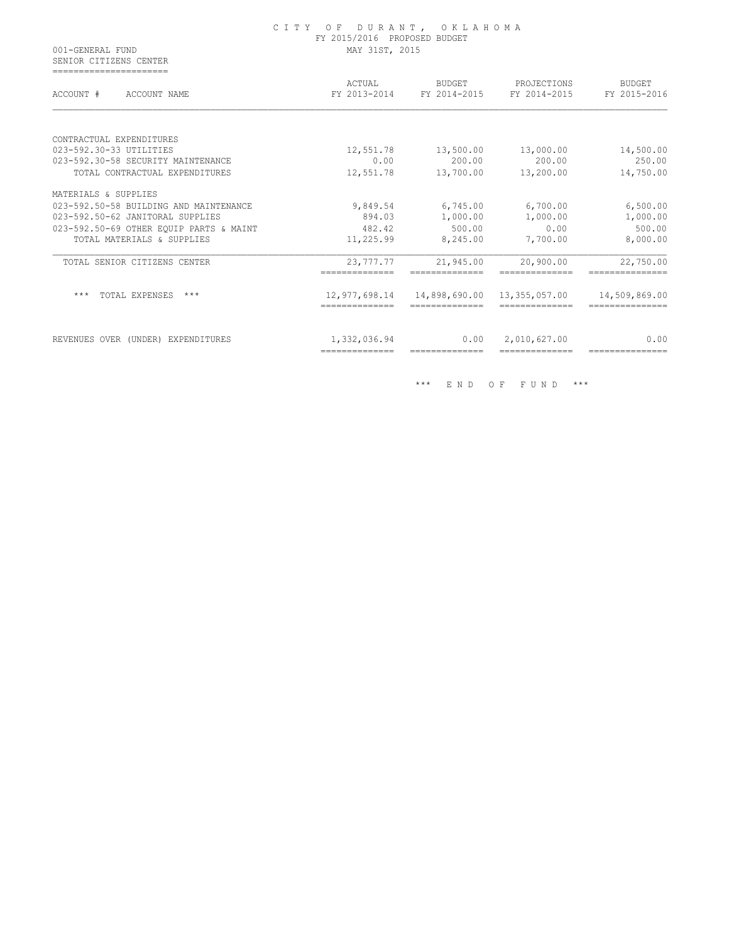| 001-GENERAL FUND<br>SENIOR CITIZENS CENTER           | CITY OF DURANT, OKLAHOMA<br>FY 2015/2016 PROPOSED BUDGET<br>MAY 31ST, 2015 |                                 |                                                       |                                  |  |
|------------------------------------------------------|----------------------------------------------------------------------------|---------------------------------|-------------------------------------------------------|----------------------------------|--|
| =======================<br>ACCOUNT #<br>ACCOUNT NAME | ACTUAL                                                                     | BUDGET                          | PROJECTIONS<br>FY 2013-2014 FY 2014-2015 FY 2014-2015 | <b>BUDGET</b><br>FY 2015-2016    |  |
| CONTRACTUAL EXPENDITURES                             |                                                                            |                                 |                                                       |                                  |  |
| 023-592.30-33 UTILITIES                              | 12,551.78                                                                  | 13,500.00                       | 13,000.00                                             | 14,500.00                        |  |
| 023-592.30-58 SECURITY MAINTENANCE                   | 0.00                                                                       | 200.00                          | 200.00                                                | 250.00                           |  |
| TOTAL CONTRACTUAL EXPENDITURES                       | 12,551.78                                                                  | 13,700.00                       | 13,200.00                                             | 14,750.00                        |  |
| MATERIALS & SUPPLIES                                 |                                                                            |                                 |                                                       |                                  |  |
| 023-592.50-58 BUILDING AND MAINTENANCE               | 9,849.54                                                                   |                                 | 6,745.00 6,700.00                                     | 6,500.00                         |  |
| 023-592.50-62 JANITORAL SUPPLIES                     | 894.03                                                                     | 1,000.00                        | 1,000.00                                              | 1,000.00                         |  |
| 023-592.50-69 OTHER EOUIP PARTS & MAINT              | 482.42                                                                     | 500.00                          | 0.00                                                  | 500.00                           |  |
| TOTAL MATERIALS & SUPPLIES                           | 11,225.99                                                                  | 8,245.00                        | 7,700.00                                              | 8,000.00                         |  |
| TOTAL SENIOR CITIZENS CENTER                         | 23,777.77                                                                  | 21,945.00                       | 20,900.00                                             | 22,750.00                        |  |
| TOTAL EXPENSES ***<br>***                            | 12,977,698.14<br>--------------                                            | 14,898,690.00<br>-------------- | 13,355,057.00<br>--------------                       | 14,509,869.00<br>=============== |  |
| REVENUES OVER (UNDER) EXPENDITURES                   | 1,332,036.94                                                               | 0.00                            | 2,010,627.00                                          | 0.00                             |  |

\*\*\* E N D O F F U N D \*\*\*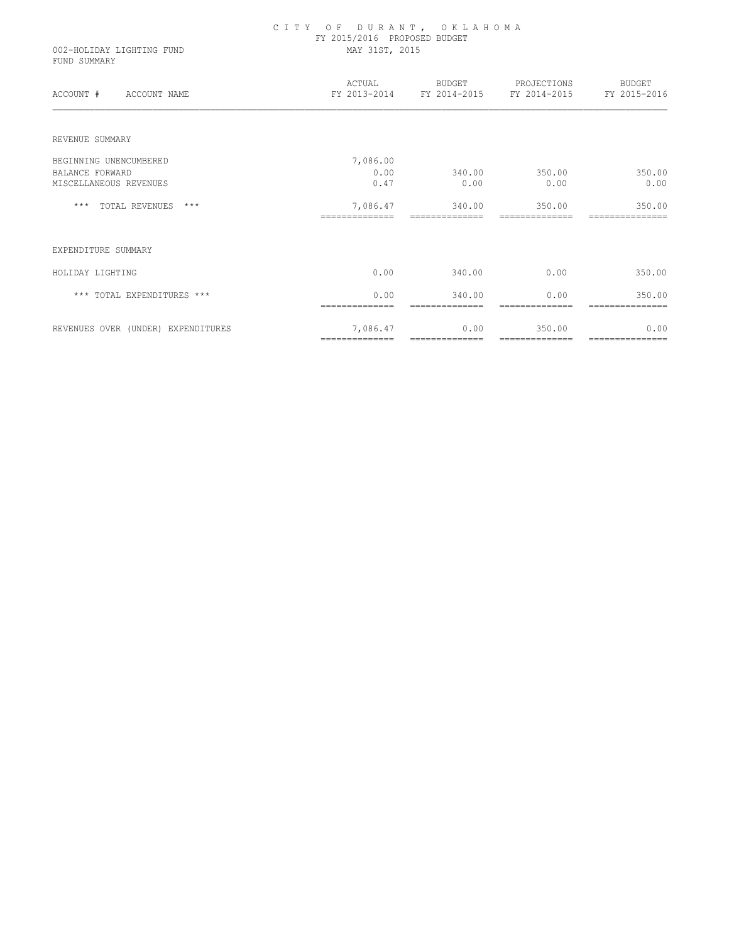| 002-HOLIDAY LIGHTING FUND<br>FUND SUMMARY | CITY OF DURANT, OKLAHOMA<br>FY 2015/2016 PROPOSED BUDGET<br>MAY 31ST, 2015 |                                   |                                                                     |                           |
|-------------------------------------------|----------------------------------------------------------------------------|-----------------------------------|---------------------------------------------------------------------|---------------------------|
| ACCOUNT # ACCOUNT NAME                    |                                                                            |                                   | ACTUAL BUDGET PROJECTIONS<br>FY 2013-2014 FY 2014-2015 FY 2014-2015 | BUDGET<br>FY 2015-2016    |
| REVENUE SUMMARY                           |                                                                            |                                   |                                                                     |                           |
| BEGINNING UNENCUMBERED                    | 7,086.00                                                                   |                                   |                                                                     |                           |
| BALANCE FORWARD                           | 0.00                                                                       | 340.00 350.00                     |                                                                     | 350.00                    |
| MISCELLANEOUS REVENUES                    | 0.47                                                                       | 0.00                              | 0.00                                                                | 0.00                      |
| *** TOTAL REVENUES ***                    | ==============                                                             | 7,086.47 340.00<br>============== | 350.00<br>==============                                            | 350.00<br>--------------- |
| EXPENDITURE SUMMARY                       |                                                                            |                                   |                                                                     |                           |
| HOLIDAY LIGHTING                          | 0.00                                                                       | 340.00                            | 0.00                                                                | 350.00                    |
| *** TOTAL EXPENDITURES ***                | 0.00                                                                       | 340.00                            | 0.00                                                                | 350.00                    |
| REVENUES OVER (UNDER) EXPENDITURES        | 7,086.47<br>==============                                                 | 0.00<br>==============            | 350.00<br>==============                                            | 0.00<br>===============   |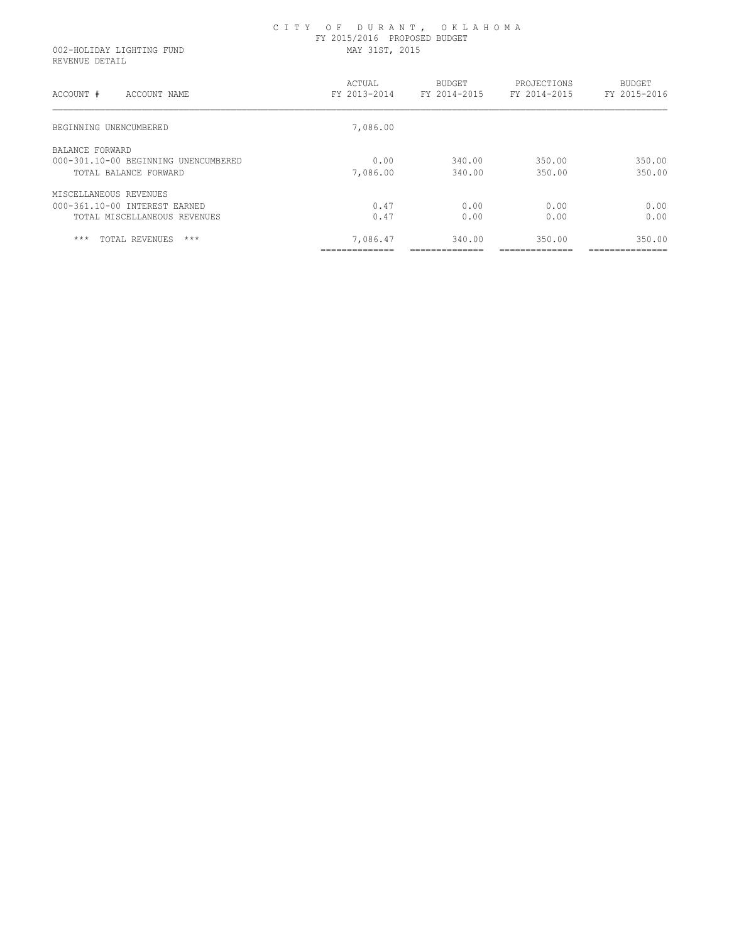|                           | CITY OF DURANT, OKLAHOMA     |
|---------------------------|------------------------------|
|                           | FY 2015/2016 PROPOSED BUDGET |
| 002-HOLIDAY LIGHTING FUND | MAY 31ST, 2015               |

002-HOLIDAY LIGHTING FUND REVENUE DETAIL

| ACCOUNT #<br>ACCOUNT NAME            | ACTUAL<br>FY 2013-2014 | <b>BUDGET</b><br>FY 2014-2015 | PROJECTIONS<br>FY 2014-2015 | <b>BUDGET</b><br>FY 2015-2016 |
|--------------------------------------|------------------------|-------------------------------|-----------------------------|-------------------------------|
| BEGINNING UNENCUMBERED               | 7,086.00               |                               |                             |                               |
| BALANCE FORWARD                      |                        |                               |                             |                               |
| 000-301.10-00 BEGINNING UNENCUMBERED | 0.00                   | 340.00                        | 350.00                      | 350.00                        |
| TOTAL BALANCE FORWARD                | 7,086.00               | 340.00                        | 350.00                      | 350.00                        |
| MISCELLANEOUS REVENUES               |                        |                               |                             |                               |
| 000-361.10-00 INTEREST EARNED        | 0.47                   | 0.00                          | 0.00                        | 0.00                          |
| TOTAL MISCELLANEOUS REVENUES         | 0.47                   | 0.00                          | 0.00                        | 0.00                          |
| $***$<br>$***$<br>TOTAL REVENUES     | 7,086.47               | 340.00                        | 350.00                      | 350.00                        |
|                                      | _____________          | _____________                 | ______________              | _______________               |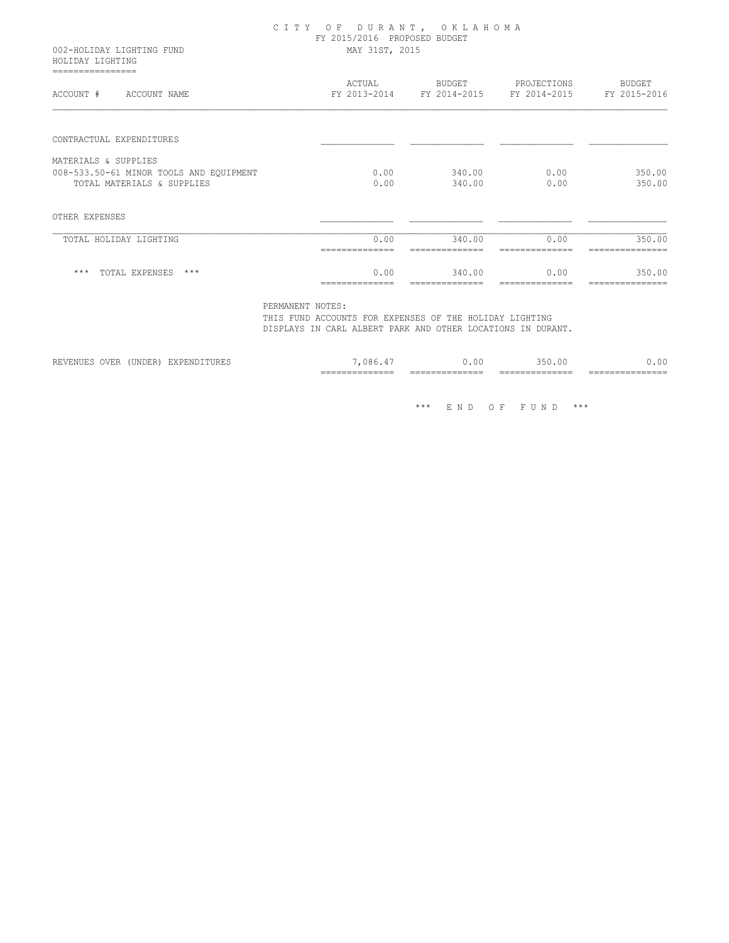### C I T Y O F D U R A N T , O K L A H O M A FY 2015/2016 PROPOSED BUDGET 002-HOLIDAY LIGHTING FUND MAY 31ST, 2015

 HOLIDAY LIGHTING ================

| ACCOUNT #<br>ACCOUNT NAME               | ACTUAL<br>FY 2013-2014 | <b>BUDGET</b><br>FY 2014-2015 | PROJECTIONS<br>FY 2014-2015 | BUDGET<br>FY 2015-2016 |
|-----------------------------------------|------------------------|-------------------------------|-----------------------------|------------------------|
|                                         |                        |                               |                             |                        |
| CONTRACTUAL EXPENDITURES                |                        |                               |                             |                        |
| MATERIALS & SUPPLIES                    |                        |                               |                             |                        |
| 008-533.50-61 MINOR TOOLS AND EQUIPMENT | 0.00                   | 340.00                        | 0.00                        | 350.00                 |
| TOTAL MATERIALS & SUPPLIES              | 0.00                   | 340.00                        | 0.00                        | 350.00                 |
| OTHER EXPENSES                          |                        |                               |                             |                        |
| TOTAL HOLIDAY LIGHTING                  | 0.00                   | 340.00                        | 0.00                        | 350.00                 |
|                                         |                        |                               |                             |                        |
| $***$<br>TOTAL EXPENSES<br>$***$        | 0.00                   | 340.00                        | 0.00                        | 350.00                 |
|                                         |                        |                               |                             |                        |

PERMANENT NOTES:

 THIS FUND ACCOUNTS FOR EXPENSES OF THE HOLIDAY LIGHTING DISPLAYS IN CARL ALBERT PARK AND OTHER LOCATIONS IN DURANT.

|         |                  |                  | _______________<br>__________<br>___ | -----<br>__________<br>___________<br>___ | ______________<br>__________<br>___ | $- -$<br>____<br>---     |
|---------|------------------|------------------|--------------------------------------|-------------------------------------------|-------------------------------------|--------------------------|
| ن سال س | ۰۰ تىل سال سال پ | <b>VIJI</b><br>. | ገጸհ                                  | $\sim$<br>. UU                            | つにの<br>350.00                       | ነ በ<br>$\sim$ $\sqrt{2}$ |

\*\*\* E N D O F F U N D \*\*\*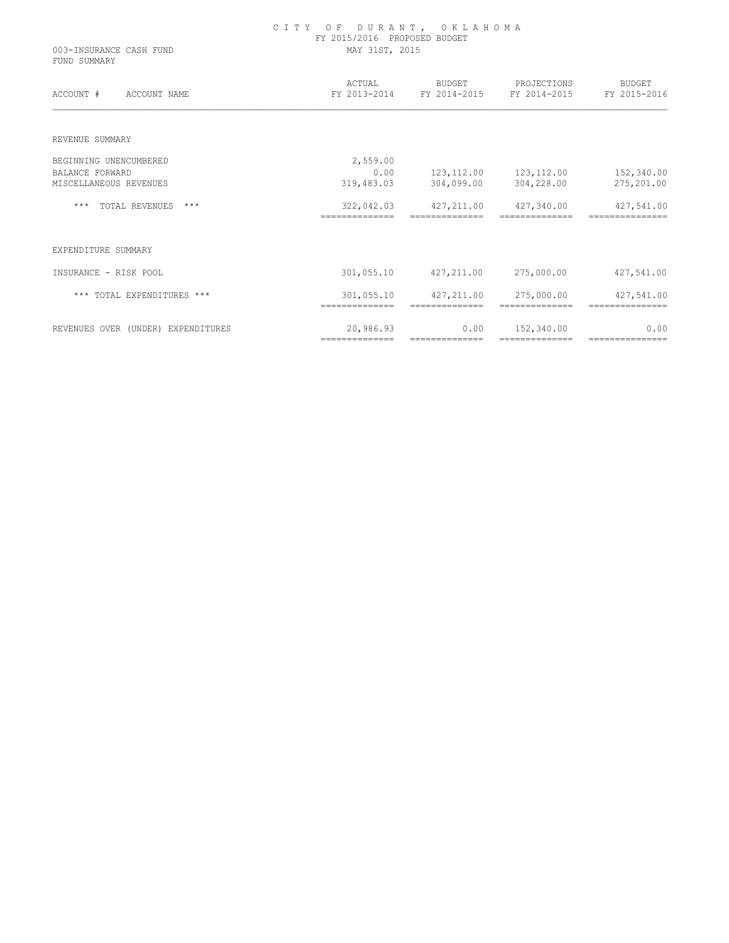| 003-INSURANCE CASH FUND<br>FUND SUMMARY | CITY OF DURANT, OKLAHOMA<br>FY 2015/2016 PROPOSED BUDGET<br>MAY 31ST, 2015 |                |                                                              |                          |
|-----------------------------------------|----------------------------------------------------------------------------|----------------|--------------------------------------------------------------|--------------------------|
| ACCOUNT # ACCOUNT NAME                  | ACTUAL                                                                     |                | BUDGET PROJECTIONS<br>FY 2013-2014 FY 2014-2015 FY 2014-2015 | BUDGET<br>FY 2015-2016   |
| REVENUE SUMMARY                         |                                                                            |                |                                                              |                          |
| BEGINNING UNENCUMBERED                  | 2,559.00                                                                   |                |                                                              |                          |
| BALANCE FORWARD                         | 0.00                                                                       |                | 123, 112.00    123, 112.00                                   | 152,340.00               |
| MISCELLANEOUS REVENUES                  | 319,483.03                                                                 | 304,099.00     | 304,228.00                                                   | 275,201.00               |
| *** TOTAL REVENUES<br>$***$             | 322,042.03<br>--------------                                               | ============== | 427, 211.00 427, 340.00<br>==============                    | 427,541.00               |
| EXPENDITURE SUMMARY                     |                                                                            |                |                                                              |                          |
| INSURANCE - RISK POOL                   | 301,055.10                                                                 |                | 427,211.00 275,000.00                                        | 427,541.00               |
| *** TOTAL EXPENDITURES ***              | 301,055.10<br>--------------                                               | ============== | 427,211.00 275,000.00                                        | 427,541.00<br>========== |
| REVENUES OVER (UNDER) EXPENDITURES      | 20,986.93                                                                  | 0.00           | 152,340.00                                                   | 0.00                     |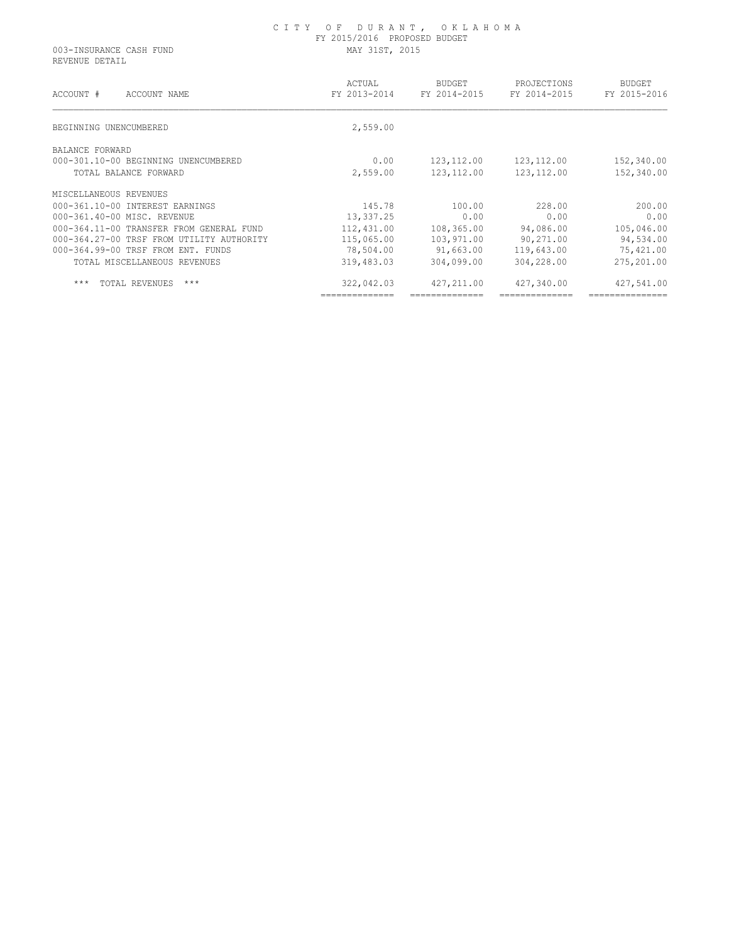REVENUE DETAIL

| ACCOUNT #<br>ACCOUNT NAME                 | ACTUAL<br>FY 2013-2014 | <b>BUDGET</b><br>FY 2014-2015 | PROJECTIONS<br>FY 2014-2015 | <b>BUDGET</b><br>FY 2015-2016 |
|-------------------------------------------|------------------------|-------------------------------|-----------------------------|-------------------------------|
| BEGINNING UNENCUMBERED                    | 2,559.00               |                               |                             |                               |
| BALANCE FORWARD                           |                        |                               |                             |                               |
| 000-301.10-00 BEGINNING UNENCUMBERED      | 0.00                   | 123, 112.00                   | 123, 112.00                 | 152,340.00                    |
| TOTAL BALANCE FORWARD                     | 2,559.00               | 123, 112.00                   | 123, 112.00                 | 152,340.00                    |
| MISCELLANEOUS REVENUES                    |                        |                               |                             |                               |
| 000-361.10-00 INTEREST EARNINGS           | 145.78                 | 100.00                        | 228.00                      | 200.00                        |
| 000-361.40-00 MISC. REVENUE               | 13,337.25              | 0.00                          | 0.00                        | 0.00                          |
| 000-364.11-00 TRANSFER FROM GENERAL FUND  | 112,431.00             | 108,365.00                    | 94,086.00                   | 105,046.00                    |
| 000-364.27-00 TRSF FROM UTILITY AUTHORITY | 115,065.00             | 103,971.00                    | 90,271.00                   | 94,534.00                     |
| 000-364.99-00 TRSF FROM ENT. FUNDS        | 78,504.00              | 91,663.00                     | 119,643.00                  | 75,421.00                     |
| TOTAL MISCELLANEOUS REVENUES              | 319,483.03             | 304,099.00                    | 304,228.00                  | 275,201.00                    |
| $***$<br>TOTAL REVENUES<br>$***$          | 322,042.03             | 427, 211, 00                  | 427,340.00                  | 427,541.00                    |
|                                           |                        |                               |                             |                               |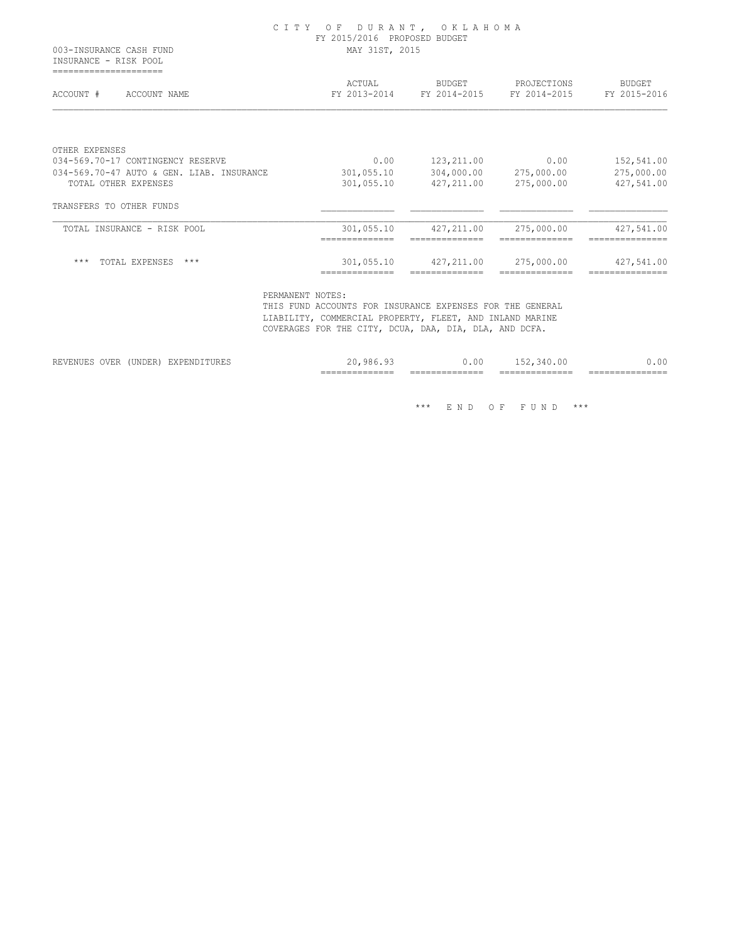INSURANCE - RISK POOL =====================

| ACCOUNT #<br>ACCOUNT NAME                           | ACTUAL<br>FY 2013-2014 | <b>BUDGET</b><br>FY 2014-2015 | PROJECTIONS<br>FY 2014-2015 | <b>BUDGET</b><br>FY 2015-2016 |
|-----------------------------------------------------|------------------------|-------------------------------|-----------------------------|-------------------------------|
|                                                     |                        |                               |                             |                               |
| OTHER EXPENSES<br>034-569.70-17 CONTINGENCY RESERVE | 0.00                   | 123, 211.00                   | 0.00                        | 152,541.00                    |
| 034-569.70-47 AUTO & GEN. LIAB. INSURANCE           | 301,055.10             | 304,000.00                    | 275,000.00                  | 275,000.00                    |
| TOTAL OTHER EXPENSES                                | 301,055.10             | 427,211.00                    | 275,000.00                  | 427,541.00                    |
| TRANSFERS TO OTHER FUNDS                            |                        |                               |                             |                               |
| TOTAL INSURANCE - RISK POOL                         | 301,055.10             | 427, 211.00                   | 275,000.00                  | 427,541.00                    |
| $***$<br>TOTAL EXPENSES<br>$***$                    | 301,055.10             | 427,211.00                    | 275,000.00                  | 427,541.00                    |

 PERMANENT NOTES: THIS FUND ACCOUNTS FOR INSURANCE EXPENSES FOR THE GENERAL LIABILITY, COMMERCIAL PROPERTY, FLEET, AND INLAND MARINE COVERAGES FOR THE CITY, DCUA, DAA, DIA, DLA, AND DCFA.

|                                              |                           |                        | _______________<br>_______________ | _______________<br>______________ | ______________<br>_______________ | ________________<br>________________ |
|----------------------------------------------|---------------------------|------------------------|------------------------------------|-----------------------------------|-----------------------------------|--------------------------------------|
| <b>OVER</b><br>------<br>T T T T<br>REVENUES | <b>*******</b><br>'UNDER, | ------<br>EXPENDITURES | 986                                | 0.00                              | $\sim$ $\vee$                     | .00.                                 |

\*\*\* E N D O F F U N D \*\*\*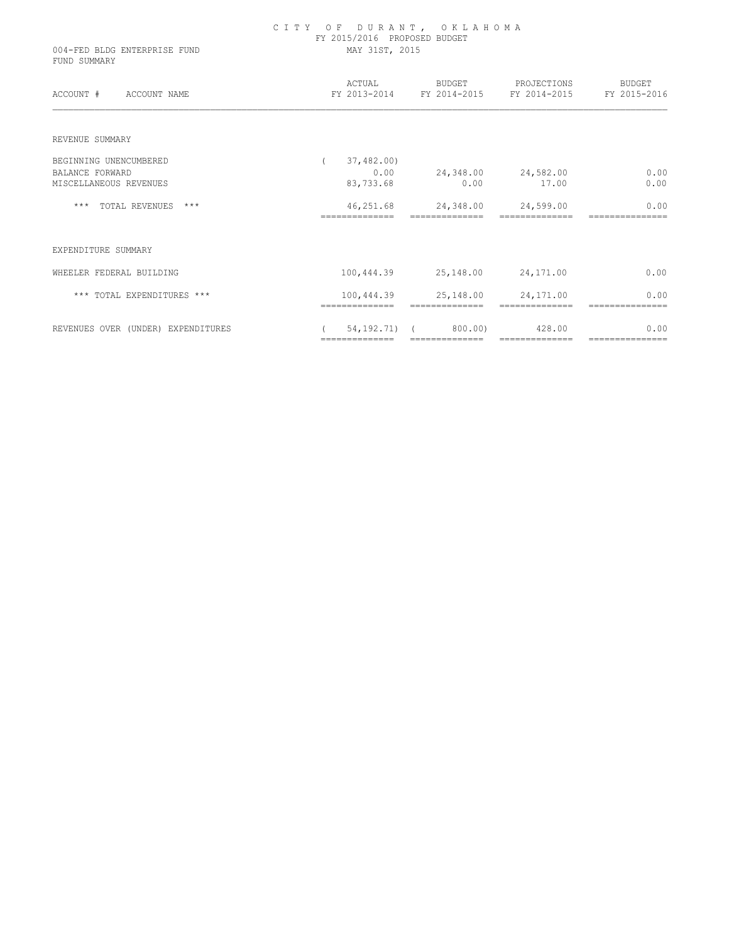| 004-FED BLDG ENTERPRISE FUND<br>FUND SUMMARY | CITY OF DURANT, OKLAHOMA<br>FY 2015/2016 PROPOSED BUDGET<br>MAY 31ST, 2015 |                                                 |                                                                     |                         |  |  |
|----------------------------------------------|----------------------------------------------------------------------------|-------------------------------------------------|---------------------------------------------------------------------|-------------------------|--|--|
| ACCOUNT # ACCOUNT NAME                       |                                                                            |                                                 | ACTUAL BUDGET PROJECTIONS<br>FY 2013-2014 FY 2014-2015 FY 2014-2015 | BUDGET<br>FY 2015-2016  |  |  |
| REVENUE SUMMARY                              |                                                                            |                                                 |                                                                     |                         |  |  |
| BEGINNING UNENCUMBERED<br>BALANCE FORWARD    | 37,482.00)<br>0.00                                                         | 24,348.00 24,582.00                             |                                                                     | 0.00                    |  |  |
| MISCELLANEOUS REVENUES                       | 83,733.68                                                                  | 0.00                                            | 17.00                                                               | 0.00                    |  |  |
| *** TOTAL REVENUES ***                       | --------------                                                             | 46,251.68 24,348.00 24,599.00<br>============== |                                                                     | 0.00                    |  |  |
| EXPENDITURE SUMMARY                          |                                                                            |                                                 |                                                                     |                         |  |  |
| WHEELER FEDERAL BUILDING                     |                                                                            | 100, 444.39 25, 148.00 24, 171.00               |                                                                     | 0.00                    |  |  |
| *** TOTAL EXPENDITURES ***                   |                                                                            | 100,444.39 25,148.00                            | 24,171.00                                                           | 0.00                    |  |  |
| REVENUES OVER (UNDER) EXPENDITURES           | 54,192.71)<br>==============                                               | 800.00)<br>--------------                       | 428.00<br>==============                                            | 0.00<br>=============== |  |  |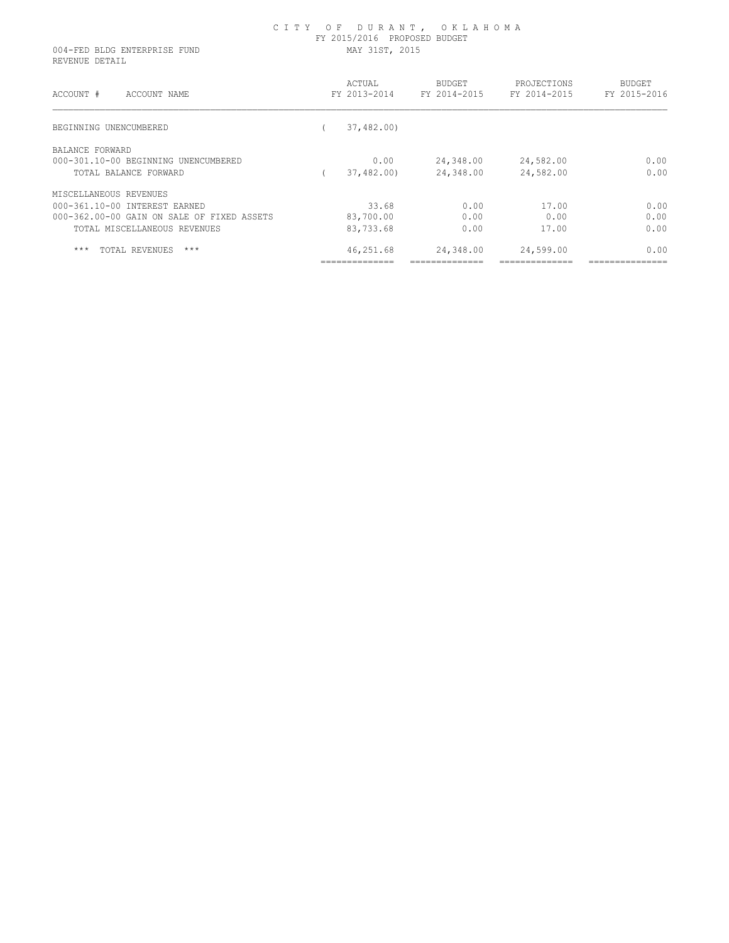| 004-FED BLDG ENTERPRISE FUND<br>REVENUE DETAIL | FY 2015/2016 PROPOSED BUDGET<br>MAY 31ST, 2015 |                        |                        |                             |                        |  |
|------------------------------------------------|------------------------------------------------|------------------------|------------------------|-----------------------------|------------------------|--|
| ACCOUNT #<br>ACCOUNT NAME                      |                                                | ACTUAL<br>FY 2013-2014 | BUDGET<br>FY 2014-2015 | PROJECTIONS<br>FY 2014-2015 | BUDGET<br>FY 2015-2016 |  |
| BEGINNING UNENCUMBERED                         |                                                | 37,482.00)             |                        |                             |                        |  |
| BALANCE FORWARD                                |                                                |                        |                        |                             |                        |  |
| 000-301.10-00 BEGINNING UNENCUMBERED           |                                                | 0.00                   | 24,348.00              | 24,582.00                   | 0.00                   |  |
| TOTAL BALANCE FORWARD                          |                                                | 37,482.00)             | 24,348.00              | 24,582.00                   | 0.00                   |  |
| MISCELLANEOUS REVENUES                         |                                                |                        |                        |                             |                        |  |
| 000-361.10-00 INTEREST EARNED                  |                                                | 33.68                  | 0.00                   | 17.00                       | 0.00                   |  |
| 000-362.00-00 GAIN ON SALE OF FIXED ASSETS     |                                                | 83,700.00              | 0.00                   | 0.00                        | 0.00                   |  |
| TOTAL MISCELLANEOUS REVENUES                   |                                                | 83,733.68              | 0.00                   | 17.00                       | 0.00                   |  |
| $***$<br>TOTAL REVENUES<br>$***$               |                                                | 46,251.68              | 24,348.00              | 24,599.00                   | 0.00                   |  |
|                                                |                                                |                        |                        |                             |                        |  |

C I T Y O F D U R A N T , O K L A H O M A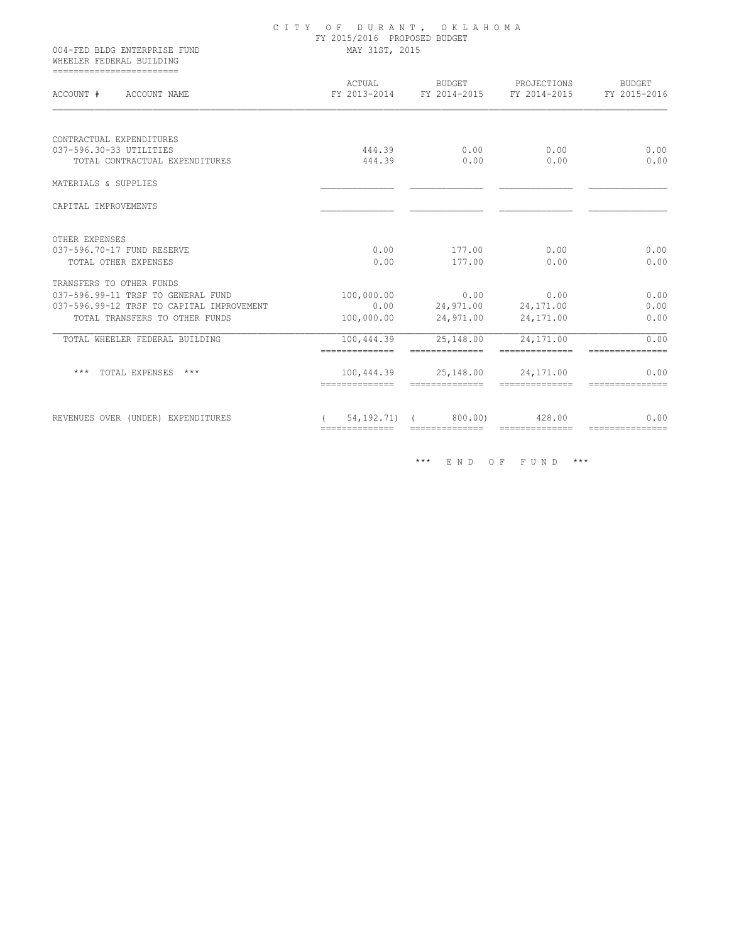| 004-FED BLDG ENTERPRISE FUND<br>WHEELER FEDERAL BUILDING                    | CITY OF DURANT, OKLAHOMA<br>FY 2015/2016 PROPOSED BUDGET<br>MAY 31ST, 2015 |                                              |                                                                                                                                                                                                                                                                                                                                                                                                                                                                                        |                                                                                                                                                                                                                                                                                                                                                                                                                                                                                        |  |  |
|-----------------------------------------------------------------------------|----------------------------------------------------------------------------|----------------------------------------------|----------------------------------------------------------------------------------------------------------------------------------------------------------------------------------------------------------------------------------------------------------------------------------------------------------------------------------------------------------------------------------------------------------------------------------------------------------------------------------------|----------------------------------------------------------------------------------------------------------------------------------------------------------------------------------------------------------------------------------------------------------------------------------------------------------------------------------------------------------------------------------------------------------------------------------------------------------------------------------------|--|--|
| -------------------------<br>ACCOUNT # ACCOUNT NAME                         |                                                                            |                                              | ACTUAL BUDGET PROJECTIONS<br>FY 2013-2014 FY 2014-2015 FY 2014-2015                                                                                                                                                                                                                                                                                                                                                                                                                    | BUDGET<br>FY 2015-2016                                                                                                                                                                                                                                                                                                                                                                                                                                                                 |  |  |
| CONTRACTUAL EXPENDITURES                                                    |                                                                            |                                              |                                                                                                                                                                                                                                                                                                                                                                                                                                                                                        |                                                                                                                                                                                                                                                                                                                                                                                                                                                                                        |  |  |
| 037-596.30-33 UTILITIES<br>TOTAL CONTRACTUAL EXPENDITURES                   | 444.39<br>444.39                                                           | 0.00<br>0.00                                 | 0.00<br>0.00                                                                                                                                                                                                                                                                                                                                                                                                                                                                           |                                                                                                                                                                                                                                                                                                                                                                                                                                                                                        |  |  |
|                                                                             |                                                                            |                                              |                                                                                                                                                                                                                                                                                                                                                                                                                                                                                        |                                                                                                                                                                                                                                                                                                                                                                                                                                                                                        |  |  |
| MATERIALS & SUPPLIES                                                        |                                                                            |                                              |                                                                                                                                                                                                                                                                                                                                                                                                                                                                                        |                                                                                                                                                                                                                                                                                                                                                                                                                                                                                        |  |  |
| CAPITAL IMPROVEMENTS                                                        |                                                                            |                                              |                                                                                                                                                                                                                                                                                                                                                                                                                                                                                        |                                                                                                                                                                                                                                                                                                                                                                                                                                                                                        |  |  |
| OTHER EXPENSES                                                              |                                                                            |                                              |                                                                                                                                                                                                                                                                                                                                                                                                                                                                                        |                                                                                                                                                                                                                                                                                                                                                                                                                                                                                        |  |  |
| 037-596.70-17 FUND RESERVE                                                  | 0.00                                                                       | 177.00                                       | 0.00                                                                                                                                                                                                                                                                                                                                                                                                                                                                                   |                                                                                                                                                                                                                                                                                                                                                                                                                                                                                        |  |  |
| TOTAL OTHER EXPENSES                                                        | 0.00                                                                       | 177.00                                       | 0.00                                                                                                                                                                                                                                                                                                                                                                                                                                                                                   |                                                                                                                                                                                                                                                                                                                                                                                                                                                                                        |  |  |
| TRANSFERS TO OTHER FUNDS                                                    |                                                                            |                                              |                                                                                                                                                                                                                                                                                                                                                                                                                                                                                        |                                                                                                                                                                                                                                                                                                                                                                                                                                                                                        |  |  |
| 037-596.99-11 TRSF TO GENERAL FUND                                          | 100,000.00                                                                 | 0.00                                         | 0.00                                                                                                                                                                                                                                                                                                                                                                                                                                                                                   |                                                                                                                                                                                                                                                                                                                                                                                                                                                                                        |  |  |
| 037-596.99-12 TRSF TO CAPITAL IMPROVEMENT<br>TOTAL TRANSFERS TO OTHER FUNDS | 0.00<br>100,000.00                                                         | 24,971.00<br>24,971.00                       | 24,171.00<br>24,171.00                                                                                                                                                                                                                                                                                                                                                                                                                                                                 |                                                                                                                                                                                                                                                                                                                                                                                                                                                                                        |  |  |
|                                                                             |                                                                            |                                              |                                                                                                                                                                                                                                                                                                                                                                                                                                                                                        |                                                                                                                                                                                                                                                                                                                                                                                                                                                                                        |  |  |
| TOTAL WHEELER FEDERAL BUILDING                                              | 100,444.39                                                                 | 25,148.00                                    | 24,171.00                                                                                                                                                                                                                                                                                                                                                                                                                                                                              |                                                                                                                                                                                                                                                                                                                                                                                                                                                                                        |  |  |
|                                                                             | ==============                                                             |                                              |                                                                                                                                                                                                                                                                                                                                                                                                                                                                                        | ===============                                                                                                                                                                                                                                                                                                                                                                                                                                                                        |  |  |
| *** TOTAL EXPENSES ***                                                      |                                                                            | 100,444.39 25,148.00                         | 24,171.00                                                                                                                                                                                                                                                                                                                                                                                                                                                                              |                                                                                                                                                                                                                                                                                                                                                                                                                                                                                        |  |  |
|                                                                             | ==============                                                             | ==============                               | $\begin{array}{cccccccccc} \multicolumn{2}{c}{} & \multicolumn{2}{c}{} & \multicolumn{2}{c}{} & \multicolumn{2}{c}{} & \multicolumn{2}{c}{} & \multicolumn{2}{c}{} & \multicolumn{2}{c}{} & \multicolumn{2}{c}{} & \multicolumn{2}{c}{} & \multicolumn{2}{c}{} & \multicolumn{2}{c}{} & \multicolumn{2}{c}{} & \multicolumn{2}{c}{} & \multicolumn{2}{c}{} & \multicolumn{2}{c}{} & \multicolumn{2}{c}{} & \multicolumn{2}{c}{} & \multicolumn{2}{c}{} & \multicolumn{2}{c}{} & \mult$ | ===============                                                                                                                                                                                                                                                                                                                                                                                                                                                                        |  |  |
| REVENUES OVER (UNDER) EXPENDITURES                                          | 54, 192. 71)<br>==============                                             | 800.00)<br>--------------------------------- | 428.00                                                                                                                                                                                                                                                                                                                                                                                                                                                                                 | $\begin{array}{cccccccccc} \multicolumn{2}{c}{} & \multicolumn{2}{c}{} & \multicolumn{2}{c}{} & \multicolumn{2}{c}{} & \multicolumn{2}{c}{} & \multicolumn{2}{c}{} & \multicolumn{2}{c}{} & \multicolumn{2}{c}{} & \multicolumn{2}{c}{} & \multicolumn{2}{c}{} & \multicolumn{2}{c}{} & \multicolumn{2}{c}{} & \multicolumn{2}{c}{} & \multicolumn{2}{c}{} & \multicolumn{2}{c}{} & \multicolumn{2}{c}{} & \multicolumn{2}{c}{} & \multicolumn{2}{c}{} & \multicolumn{2}{c}{} & \mult$ |  |  |

\*\*\* E N D O F F U N D \*\*\*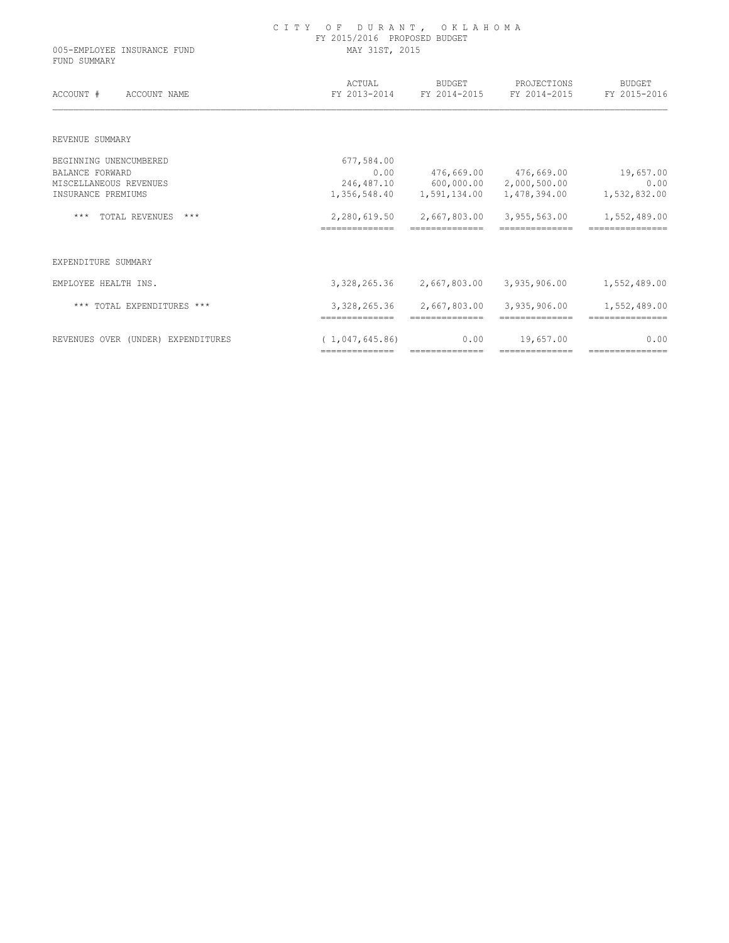| 005-EMPLOYEE INSURANCE FUND<br>FUND SUMMARY | OF DURANT, OKLAHOMA<br>C I T Y<br>FY 2015/2016 PROPOSED BUDGET<br>MAY 31ST, 2015 |                                |                                |                                 |  |  |  |
|---------------------------------------------|----------------------------------------------------------------------------------|--------------------------------|--------------------------------|---------------------------------|--|--|--|
| ACCOUNT #<br>ACCOUNT NAME                   | ACTUAL<br>FY 2013-2014                                                           | <b>BUDGET</b><br>FY 2014-2015  | PROJECTIONS<br>FY 2014-2015    | <b>BUDGET</b><br>FY 2015-2016   |  |  |  |
| REVENUE SUMMARY                             |                                                                                  |                                |                                |                                 |  |  |  |
| BEGINNING UNENCUMBERED                      | 677,584.00                                                                       |                                |                                |                                 |  |  |  |
| <b>BALANCE FORWARD</b>                      | 0.00                                                                             | 476,669.00                     | 476,669.00                     | 19,657.00                       |  |  |  |
| MISCELLANEOUS REVENUES                      | 246,487.10                                                                       | 600,000.00                     | 2,000,500.00                   | 0.00                            |  |  |  |
| INSURANCE PREMIUMS                          | 1,356,548.40                                                                     | 1,591,134.00                   | 1,478,394.00                   | 1,532,832.00                    |  |  |  |
| $***$<br>TOTAL REVENUES<br>$***$            | 2,280,619.50<br>==============                                                   | 2,667,803.00                   | 3,955,563.00                   | 1,552,489.00                    |  |  |  |
| EXPENDITURE SUMMARY                         |                                                                                  |                                |                                |                                 |  |  |  |
| EMPLOYEE HEALTH INS.                        | 3,328,265.36                                                                     | 2,667,803.00                   | 3,935,906.00                   | 1,552,489.00                    |  |  |  |
| *** TOTAL EXPENDITURES ***                  | 3,328,265.36<br>==============                                                   | 2,667,803.00<br>============== | 3,935,906.00<br>============== | 1,552,489.00<br>=============== |  |  |  |
| REVENUES OVER (UNDER) EXPENDITURES          | (1, 047, 645, 86)                                                                | 0.00                           | 19,657.00                      | 0.00                            |  |  |  |

============== ============== ============== ===============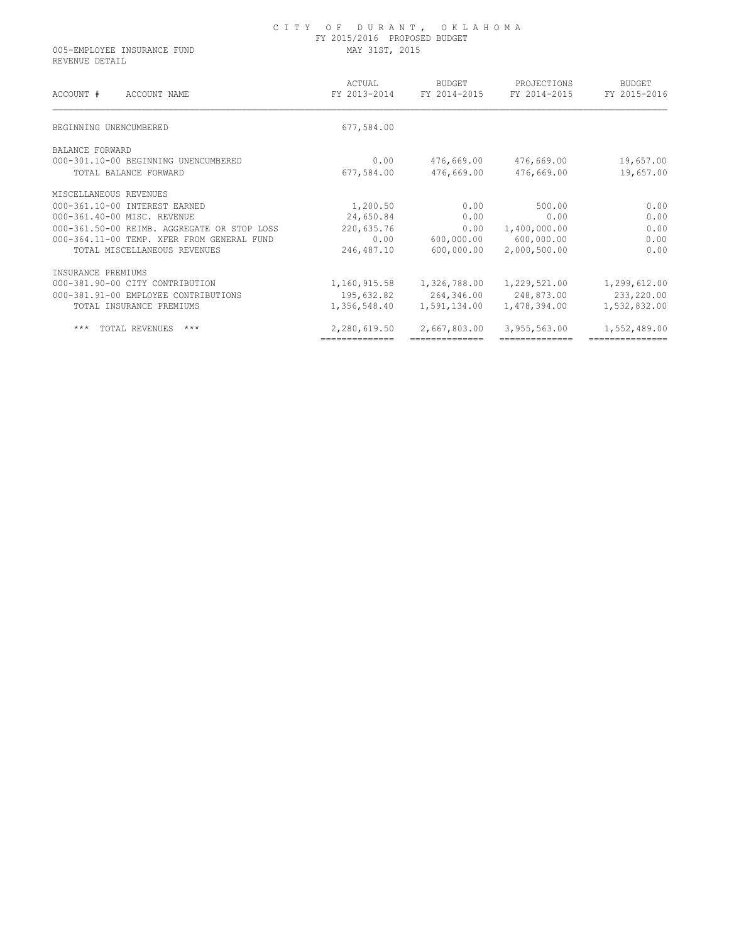# C I T Y O F D U R A N T , O K L A H O M A FY 2015/2016 PROPOSED BUDGET

005-EMPLOYEE INSURANCE FUND MAY 31ST, 2015 REVENUE DETAIL

| ACCOUNT #<br>ACCOUNT NAME                   | ACTUAL<br>FY 2013-2014 | <b>BUDGET</b><br>FY 2014-2015 | PROJECTIONS<br>FY 2014-2015 | <b>BUDGET</b><br>FY 2015-2016 |
|---------------------------------------------|------------------------|-------------------------------|-----------------------------|-------------------------------|
| BEGINNING UNENCUMBERED                      | 677,584.00             |                               |                             |                               |
| BALANCE FORWARD                             |                        |                               |                             |                               |
| 000-301.10-00 BEGINNING UNENCUMBERED        | 0.00                   | 476,669.00                    | 476,669.00                  | 19,657.00                     |
| TOTAL BALANCE FORWARD                       | 677,584.00             | 476,669.00                    | 476,669.00                  | 19,657.00                     |
| MISCELLANEOUS REVENUES                      |                        |                               |                             |                               |
| 000-361.10-00 INTEREST EARNED               | 1,200.50               | 0.00                          | 500.00                      | 0.00                          |
| 000-361.40-00 MISC. REVENUE                 | 24,650.84              | 0.00                          | 0.00                        | 0.00                          |
| 000-361.50-00 REIMB. AGGREGATE OR STOP LOSS | 220,635.76             | 0.00                          | 1,400,000.00                | 0.00                          |
| 000-364.11-00 TEMP. XFER FROM GENERAL FUND  | 0.00                   | 600,000.00                    | 600,000.00                  | 0.00                          |
| TOTAL MISCELLANEOUS REVENUES                | 246,487.10             | 600,000.00                    | 2,000,500.00                | 0.00                          |
| INSURANCE PREMIUMS                          |                        |                               |                             |                               |
| 000-381.90-00 CITY CONTRIBUTION             | 1,160,915.58           | 1,326,788.00                  | 1,229,521.00                | 1,299,612.00                  |
| 000-381.91-00 EMPLOYEE CONTRIBUTIONS        | 195,632.82             | 264,346.00                    | 248,873.00                  | 233,220.00                    |
| TOTAL INSURANCE PREMIUMS                    | 1,356,548.40           | 1,591,134.00                  | 1,478,394.00                | 1,532,832.00                  |
| ***<br>TOTAL REVENUES<br>$***$              | 2,280,619.50           | 2,667,803.00                  | 3,955,563.00                | 1,552,489.00                  |
|                                             | ==============         |                               |                             |                               |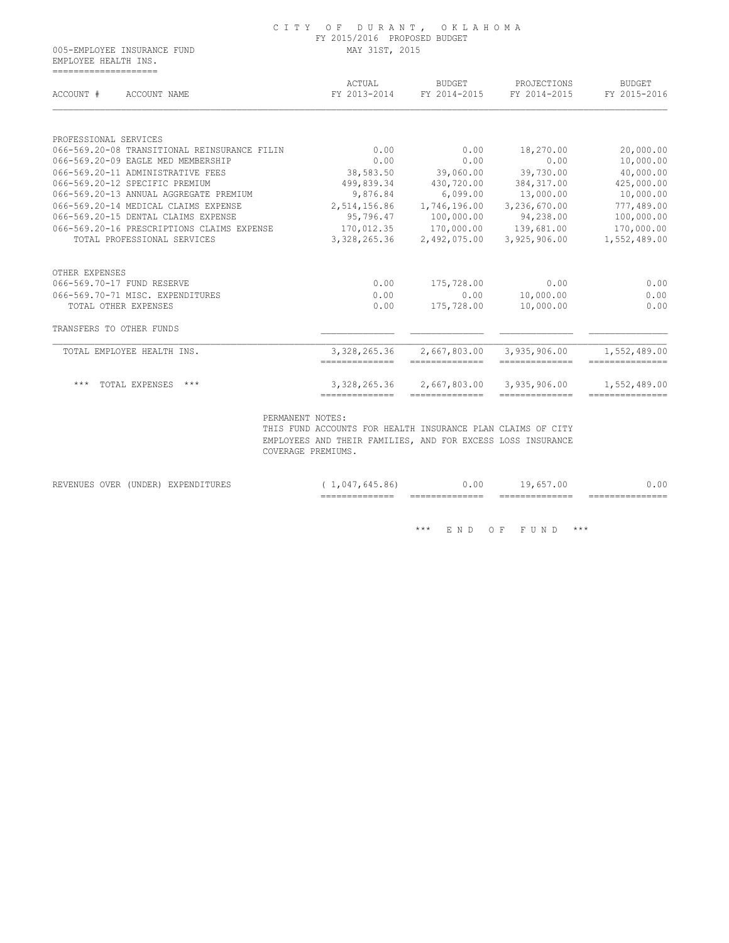EMPLOYEE HEALTH INS. ====================

| ACCOUNT #                | ACCOUNT NAME                                 | ACTUAL<br>FY 2013-2014          | <b>BUDGET</b><br>FY 2014-2015   | PROJECTIONS<br>FY 2014-2015     | <b>BUDGET</b><br>FY 2015-2016   |
|--------------------------|----------------------------------------------|---------------------------------|---------------------------------|---------------------------------|---------------------------------|
| PROFESSIONAL SERVICES    |                                              |                                 |                                 |                                 |                                 |
|                          | 066-569.20-08 TRANSITIONAL REINSURANCE FILIN | 0.00                            | 0.00                            | 18,270.00                       | 20,000.00                       |
|                          | 066-569.20-09 EAGLE MED MEMBERSHIP           | 0.00                            | 0.00                            | 0.00                            | 10,000.00                       |
|                          | 066-569.20-11 ADMINISTRATIVE FEES            | 38,583.50                       | 39,060.00                       | 39,730.00                       | 40,000.00                       |
|                          | 066-569.20-12 SPECIFIC PREMIUM               | 499,839.34                      | 430,720.00                      | 384, 317.00                     | 425,000.00                      |
|                          | 066-569.20-13 ANNUAL AGGREGATE PREMIUM       | 9,876.84                        | 6,099.00                        | 13,000.00                       | 10,000.00                       |
|                          | 066-569.20-14 MEDICAL CLAIMS EXPENSE         | 2,514,156.86                    | 1,746,196.00                    | 3,236,670.00                    | 777,489.00                      |
|                          | 066-569.20-15 DENTAL CLAIMS EXPENSE          | 95,796.47                       | 100,000.00                      | 94,238.00                       | 100,000.00                      |
|                          | 066-569.20-16 PRESCRIPTIONS CLAIMS EXPENSE   |                                 | 170,012.35 170,000.00           | 139,681.00                      | 170,000.00                      |
|                          | TOTAL PROFESSIONAL SERVICES                  | 3,328,265.36                    | 2,492,075.00                    | 3,925,906.00                    | 1,552,489.00                    |
| OTHER EXPENSES           |                                              |                                 |                                 |                                 |                                 |
|                          | 066-569.70-17 FUND RESERVE                   | 0.00                            | 175,728.00                      | 0.00                            | 0.00                            |
|                          | 066-569.70-71 MISC. EXPENDITURES             | 0.00                            | 0.00                            | 10,000.00                       | 0.00                            |
|                          | TOTAL OTHER EXPENSES                         | 0.00                            | 175,728.00                      | 10,000.00                       | 0.00                            |
| TRANSFERS TO OTHER FUNDS |                                              |                                 |                                 |                                 |                                 |
|                          | TOTAL EMPLOYEE HEALTH INS.                   | 3,328,265.36<br>--------------- | 2,667,803.00<br>--------------- | 3,935,906.00<br>--------------- | 1,552,489.00<br>=============== |
|                          |                                              |                                 |                                 |                                 |                                 |

|                                                                                                                                                                         |         |              | _______________<br>_______________ | -------------<br>_______________ | ______________<br>_______________ | ________<br>________________ |
|-------------------------------------------------------------------------------------------------------------------------------------------------------------------------|---------|--------------|------------------------------------|----------------------------------|-----------------------------------|------------------------------|
| <b>OVER</b><br>$D = T T T T T T T T T L$<br>REVENUES<br>the contract of the contract of the contract of the contract of the contract of the contract of the contract of | (UNDER) | EXPENDITURES | . (14<br>$\times$ h<br>. h4<br>.   | 0.00                             | 657.00<br>◡<br>. n –              | ,.00                         |

 $\hspace{0.1cm}^{\star\star\star}$   $\hspace{0.1cm}$  E N D  $\hspace{0.1cm}$  O F  $\hspace{0.1cm}$  F U N D  $\hspace{0.1cm}$   $\hspace{0.1cm}^{\star\star\star}$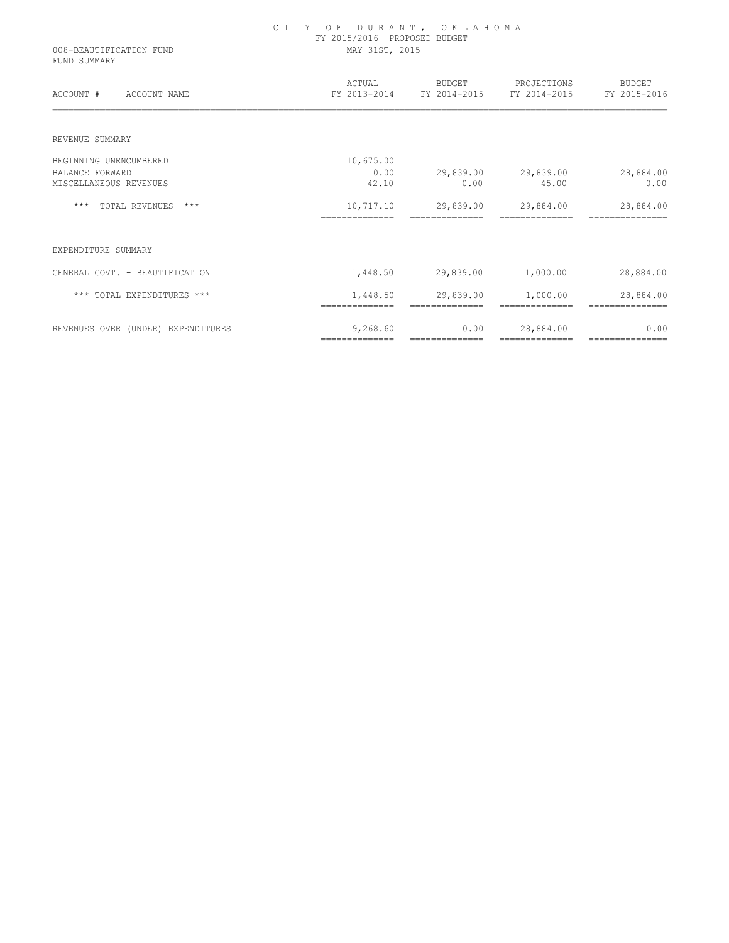| 008-BEAUTIFICATION FUND<br>FUND SUMMARY | CITY OF DURANT, OKLAHOMA<br>FY 2015/2016 PROPOSED BUDGET<br>MAY 31ST, 2015 |                                                 |                                                                     |                             |  |
|-----------------------------------------|----------------------------------------------------------------------------|-------------------------------------------------|---------------------------------------------------------------------|-----------------------------|--|
| ACCOUNT # ACCOUNT NAME                  |                                                                            |                                                 | ACTUAL BUDGET PROJECTIONS<br>FY 2013-2014 FY 2014-2015 FY 2014-2015 | BUDGET<br>FY 2015-2016      |  |
| REVENUE SUMMARY                         |                                                                            |                                                 |                                                                     |                             |  |
| BEGINNING UNENCUMBERED                  | 10,675.00                                                                  |                                                 |                                                                     |                             |  |
| <b>BALANCE FORWARD</b>                  | 0.00                                                                       |                                                 | 29,839.00 29,839.00 28,884.00                                       |                             |  |
| MISCELLANEOUS REVENUES                  | 42.10                                                                      | 0.00                                            | 45.00                                                               | 0.00                        |  |
| *** TOTAL REVENUES ***                  | ==============                                                             | 10,717.10 29,839.00 29,884.00<br>============== | ==============                                                      | 28,884.00<br>============== |  |
| EXPENDITURE SUMMARY                     |                                                                            |                                                 |                                                                     |                             |  |
| GENERAL GOVT. - BEAUTIFICATION          |                                                                            |                                                 | $1,448.50$ 29,839.00 $1,000.00$                                     | 28,884.00                   |  |
| *** TOTAL EXPENDITURES ***              |                                                                            | 1,448.50 29,839.00 1,000.00                     |                                                                     | 28,884.00                   |  |
| REVENUES OVER (UNDER) EXPENDITURES      | 9,268.60<br>==============                                                 | 0.00<br>==============                          | 28,884.00<br>---------------                                        | 0.00<br>===============     |  |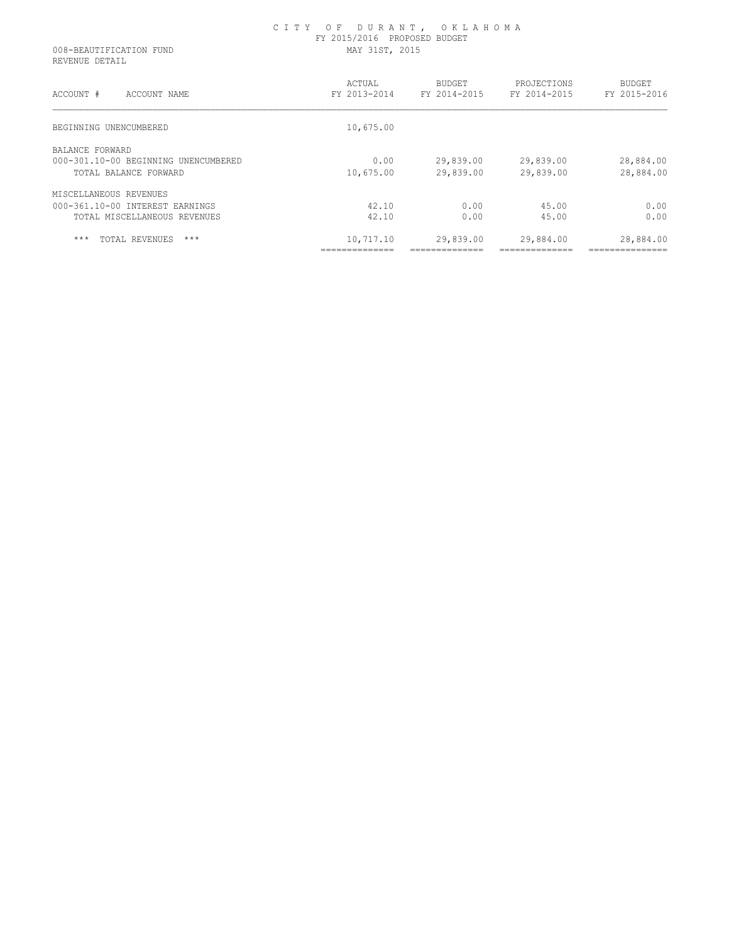| 008-BEAUTIFICATION FUND<br>REVENUE DETAIL | FY 2015/2016 PROPOSED BUDGET<br>MAY 31ST, 2015 |                               |                             |                        |  |
|-------------------------------------------|------------------------------------------------|-------------------------------|-----------------------------|------------------------|--|
| ACCOUNT #<br>ACCOUNT NAME                 | ACTUAL<br>FY 2013-2014                         | <b>BUDGET</b><br>FY 2014-2015 | PROJECTIONS<br>FY 2014-2015 | BUDGET<br>FY 2015-2016 |  |
| BEGINNING UNENCUMBERED                    | 10,675.00                                      |                               |                             |                        |  |
| BALANCE FORWARD                           |                                                |                               |                             |                        |  |
| 000-301.10-00 BEGINNING UNENCUMBERED      | 0.00                                           | 29,839.00                     | 29,839.00                   | 28,884.00              |  |
| TOTAL BALANCE FORWARD                     | 10,675.00                                      | 29,839.00                     | 29,839.00                   | 28,884.00              |  |
| MISCELLANEOUS REVENUES                    |                                                |                               |                             |                        |  |
| 000-361.10-00 INTEREST EARNINGS           | 42.10                                          | 0.00                          | 45.00                       | 0.00                   |  |
| TOTAL MISCELLANEOUS REVENUES              | 42.10                                          | 0.00                          | 45.00                       | 0.00                   |  |
| $***$<br>$***$<br>TOTAL REVENUES          | 10,717.10                                      | 29,839.00                     | 29,884.00                   | 28,884.00              |  |
|                                           |                                                |                               |                             |                        |  |

C I T Y O F D U R A N T , O K L A H O M A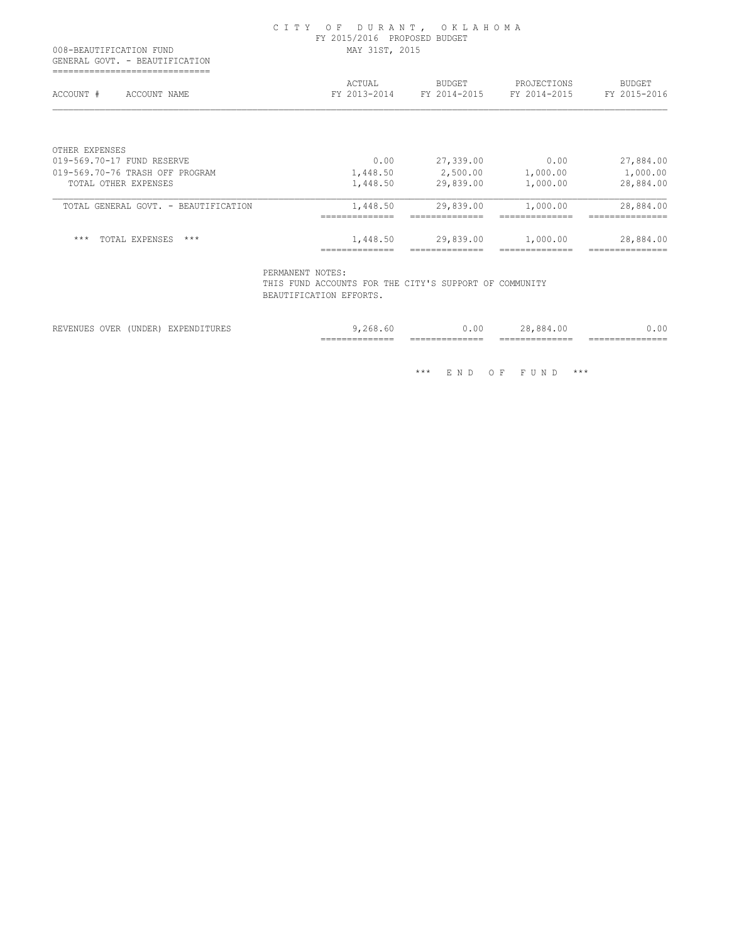| GENERAL GOVT. - BEAUTIFICATION       | MAY 31ST, 2015         |                        |                             |                        |
|--------------------------------------|------------------------|------------------------|-----------------------------|------------------------|
| ACCOUNT #<br>ACCOUNT NAME            | ACTUAL<br>FY 2013-2014 | BUDGET<br>FY 2014-2015 | PROJECTIONS<br>FY 2014-2015 | BUDGET<br>FY 2015-2016 |
| OTHER EXPENSES                       |                        |                        |                             |                        |
| 019-569.70-17 FUND RESERVE           | 0.00                   | 27,339.00              | 0.00                        | 27,884.00              |
| 019-569.70-76 TRASH OFF PROGRAM      | 1,448.50               | 2,500.00 1,000.00      |                             | 1,000.00               |
| TOTAL OTHER EXPENSES                 | 1,448.50               | 29,839.00              | 1,000.00                    | 28,884.00              |
|                                      | 1,448.50               | 29,839.00              | 1,000.00                    | 28,884.00              |
| TOTAL GENERAL GOVT. - BEAUTIFICATION |                        |                        |                             |                        |

BEAUTIFICATION EFFORTS.

|                        |              |   | __________<br>$- -$<br>________________ | -------<br>$- -$<br>_______________ | $-$<br>_____<br>________________ | ________________ |
|------------------------|--------------|---|-----------------------------------------|-------------------------------------|----------------------------------|------------------|
| ')VE1<br>$\sim$ $\sim$ | ⋰<br>◡▴▾◡∸▴◟ | . | n,                                      | - UU                                | .                                | . $0^{\circ}$    |

\*\*\* E N D O F F U N D \*\*\*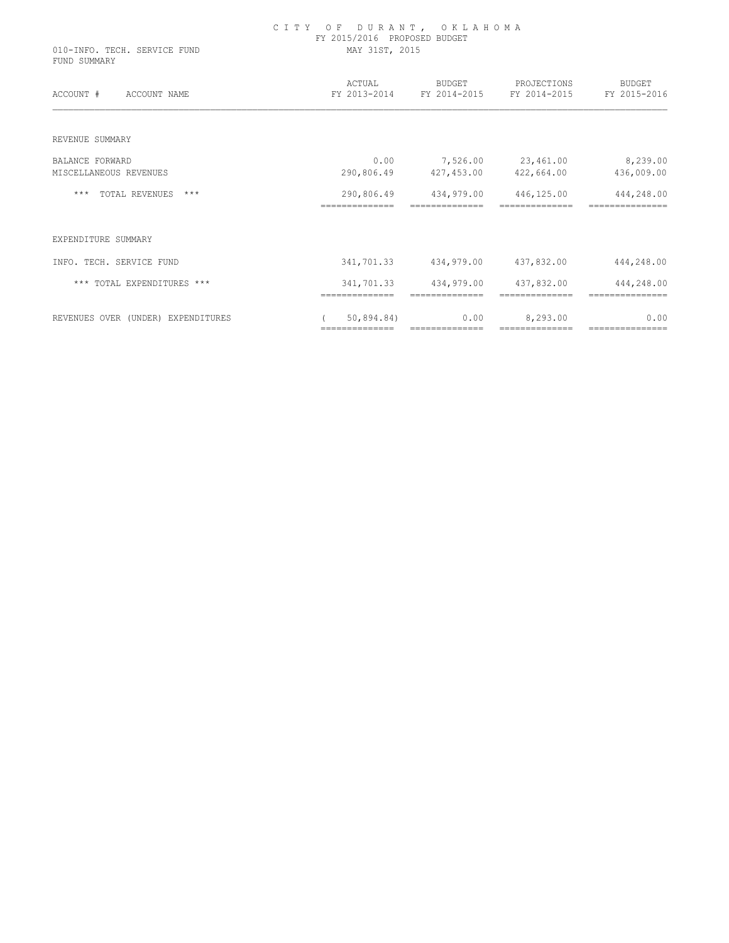| 010-INFO. TECH. SERVICE FUND<br>FUND SUMMARY | CITY OF DURANT, OKLAHOMA<br>FY 2015/2016 PROPOSED BUDGET<br>MAY 31ST, 2015 |                              |                             |                               |  |  |
|----------------------------------------------|----------------------------------------------------------------------------|------------------------------|-----------------------------|-------------------------------|--|--|
| ACCOUNT #<br>ACCOUNT NAME                    | ACTUAL<br>FY 2013-2014                                                     | BUDGET<br>FY 2014-2015       | PROJECTIONS<br>FY 2014-2015 | BUDGET<br>FY 2015-2016        |  |  |
| REVENUE SUMMARY                              |                                                                            |                              |                             |                               |  |  |
| <b>BALANCE FORWARD</b>                       | 0.00                                                                       |                              | 7,526.00 23,461.00          | 8,239.00                      |  |  |
| MISCELLANEOUS REVENUES                       | 290,806.49                                                                 |                              | 427,453.00 422,664.00       | 436,009.00                    |  |  |
| TOTAL REVENUES ***<br>***                    | 290,806.49<br>==============                                               | 434,979.00                   | 446,125.00                  | 444,248.00                    |  |  |
| EXPENDITURE SUMMARY                          |                                                                            |                              |                             |                               |  |  |
| INFO. TECH. SERVICE FUND                     | 341,701.33                                                                 | 434,979.00                   | 437,832.00                  | 444,248.00                    |  |  |
| *** TOTAL EXPENDITURES ***                   | 341,701.33<br>==============                                               | 434,979.00<br>============== | 437,832.00                  | 444,248.00<br>=============== |  |  |
| REVENUES OVER (UNDER) EXPENDITURES           | 50,894.84)<br>==============                                               | 0.00<br>==============       | 8,293.00<br>--------------  | 0.00<br>===============       |  |  |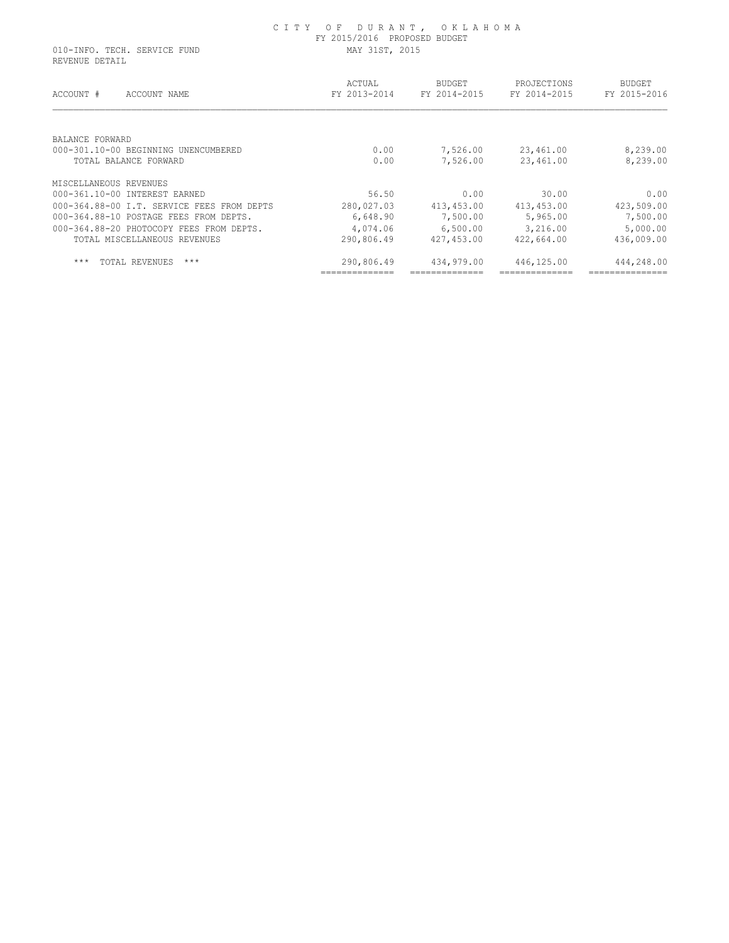010-INFO. TECH. SERVICE FUND MAY 31ST, 2015 REVENUE DETAIL

| ACCOUNT #<br>ACCOUNT NAME                  | ACTUAL<br>FY 2013-2014 | <b>BUDGET</b><br>FY 2014-2015 | PROJECTIONS<br>FY 2014-2015 | <b>BUDGET</b><br>FY 2015-2016 |
|--------------------------------------------|------------------------|-------------------------------|-----------------------------|-------------------------------|
| BALANCE FORWARD                            |                        |                               |                             |                               |
| 000-301.10-00 BEGINNING UNENCUMBERED       | 0.00                   | 7,526.00                      | 23,461.00                   | 8,239.00                      |
| TOTAL BALANCE FORWARD                      | 0.00                   | 7,526.00                      | 23,461.00                   | 8,239.00                      |
| MISCELLANEOUS REVENUES                     |                        |                               |                             |                               |
| 000-361.10-00 INTEREST EARNED              | 56.50                  | 0.00                          | 30.00                       | 0.00                          |
| 000-364.88-00 I.T. SERVICE FEES FROM DEPTS | 280,027.03             | 413,453.00                    | 413,453.00                  | 423,509.00                    |
| 000-364.88-10 POSTAGE FEES FROM DEPTS.     | 6,648.90               | 7,500.00                      | 5,965.00                    | 7,500.00                      |
| 000-364.88-20 PHOTOCOPY FEES FROM DEPTS.   | 4,074.06               | 6,500.00                      | 3,216.00                    | 5,000.00                      |
| TOTAL MISCELLANEOUS REVENUES               | 290,806.49             | 427,453.00                    | 422,664.00                  | 436,009.00                    |
| $***$<br>$***$<br>TOTAL REVENUES           | 290,806.49             | 434,979.00                    | 446,125.00                  | 444,248.00                    |
|                                            |                        |                               |                             |                               |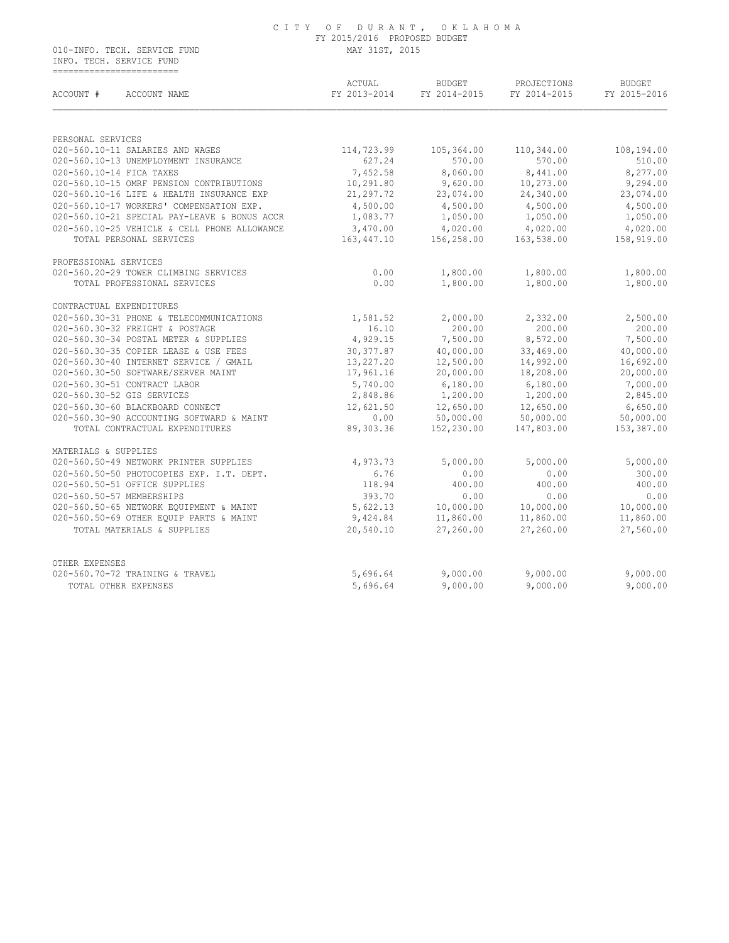#### C I T Y O F D U R A N T , O K L A H O M A FY 2015/2016 PROPOSED BUDGET 010-INFO. TECH. SERVICE FUND MAY 31ST, 2015

 INFO. TECH. SERVICE FUND ==========================

| ACCOUNT #                 | ACCOUNT NAME                                 | ACTUAL<br>FY 2013-2014 | BUDGET<br>FY 2014-2015 | PROJECTIONS<br>FY 2014-2015 | <b>BUDGET</b><br>FY 2015-2016 |
|---------------------------|----------------------------------------------|------------------------|------------------------|-----------------------------|-------------------------------|
|                           |                                              |                        |                        |                             |                               |
| PERSONAL SERVICES         |                                              |                        |                        |                             |                               |
|                           | 020-560.10-11 SALARIES AND WAGES             | 114,723.99             | 105,364.00             | 110,344.00                  | 108,194.00                    |
|                           | 020-560.10-13 UNEMPLOYMENT INSURANCE         | 627.24                 | 570.00                 | 570.00                      | 510.00                        |
| 020-560.10-14 FICA TAXES  |                                              | 7,452.58               | 8,060.00               | 8,441.00                    | 8,277.00                      |
|                           | 020-560.10-15 OMRF PENSION CONTRIBUTIONS     | 10,291.80              | 9,620.00               | 10,273.00                   | 9,294.00                      |
|                           | 020-560.10-16 LIFE & HEALTH INSURANCE EXP    | 21, 297. 72            | 23,074.00              | 24,340.00                   | 23,074.00                     |
|                           | 020-560.10-17 WORKERS' COMPENSATION EXP.     | 4,500.00               | 4,500.00               | 4,500.00                    | 4,500.00                      |
|                           | 020-560.10-21 SPECIAL PAY-LEAVE & BONUS ACCR | 1,083.77               | 1,050.00               | 1,050.00                    | 1,050.00                      |
|                           | 020-560.10-25 VEHICLE & CELL PHONE ALLOWANCE | 3,470.00               | 4,020.00               | 4,020.00                    | 4,020.00                      |
|                           | TOTAL PERSONAL SERVICES                      | 163,447.10             | 156,258.00             | 163,538.00                  | 158,919.00                    |
| PROFESSIONAL SERVICES     |                                              |                        |                        |                             |                               |
|                           | 020-560.20-29 TOWER CLIMBING SERVICES        | 0.00                   | 1,800.00               | 1,800.00                    | 1,800.00                      |
|                           | TOTAL PROFESSIONAL SERVICES                  | 0.00                   | 1,800.00               | 1,800.00                    | 1,800.00                      |
| CONTRACTUAL EXPENDITURES  |                                              |                        |                        |                             |                               |
|                           | 020-560.30-31 PHONE & TELECOMMUNICATIONS     | 1,581.52               | 2,000.00               | 2,332.00                    | 2,500.00                      |
|                           | 020-560.30-32 FREIGHT & POSTAGE              | 16.10                  | 200.00                 | 200.00                      | 200.00                        |
|                           | 020-560.30-34 POSTAL METER & SUPPLIES        | 4,929.15               | 7,500.00               | 8,572.00                    | 7,500.00                      |
|                           | 020-560.30-35 COPIER LEASE & USE FEES        | 30,377.87              | 40,000.00              | 33,469.00                   | 40,000.00                     |
|                           | 020-560.30-40 INTERNET SERVICE / GMAIL       | 13,227.20              | 12,500.00              | 14,992.00                   | 16,692.00                     |
|                           | 020-560.30-50 SOFTWARE/SERVER MAINT          | 17,961.16              | 20,000.00              | 18,208.00                   | 20,000.00                     |
|                           | 020-560.30-51 CONTRACT LABOR                 | 5,740.00               | 6,180.00               | 6,180.00                    | 7,000.00                      |
|                           | 020-560.30-52 GIS SERVICES                   | 2,848.86               | 1,200.00               | 1,200.00                    | 2,845.00                      |
|                           | 020-560.30-60 BLACKBOARD CONNECT             | 12,621.50              | 12,650.00              | 12,650.00                   | 6,650.00                      |
|                           | 020-560.30-90 ACCOUNTING SOFTWARD & MAINT    | 0.00                   | 50,000.00              | 50,000.00                   | 50,000.00                     |
|                           | TOTAL CONTRACTUAL EXPENDITURES               | 89,303.36              | 152,230.00             | 147,803.00                  | 153,387.00                    |
| MATERIALS & SUPPLIES      |                                              |                        |                        |                             |                               |
|                           | 020-560.50-49 NETWORK PRINTER SUPPLIES       | 4,973.73               | 5,000.00               | 5,000.00                    | 5,000.00                      |
|                           | 020-560.50-50 PHOTOCOPIES EXP. I.T. DEPT.    | 6.76                   | 0.00                   | 0.00                        | 300.00                        |
|                           | 020-560.50-51 OFFICE SUPPLIES                | 118.94                 | 400.00                 | 400.00                      | 400.00                        |
| 020-560.50-57 MEMBERSHIPS |                                              | 393.70                 | 0.00                   | 0.00                        | 0.00                          |
|                           | 020-560.50-65 NETWORK EQUIPMENT & MAINT      | 5,622.13               | 10,000.00              | 10,000.00                   | 10,000.00                     |
|                           | 020-560.50-69 OTHER EQUIP PARTS & MAINT      | 9,424.84               | 11,860.00              | 11,860.00                   | 11,860.00                     |
|                           | TOTAL MATERIALS & SUPPLIES                   | 20,540.10              | 27,260.00              | 27,260.00                   | 27,560.00                     |
|                           |                                              |                        |                        |                             |                               |
| OTHER EXPENSES            |                                              |                        |                        |                             |                               |
|                           | 020-560.70-72 TRAINING & TRAVEL              | 5,696.64               | 9,000.00               | 9,000.00                    | 9,000.00                      |
|                           | TOTAL OTHER EXPENSES                         | 5,696.64               | 9,000.00               | 9,000.00                    | 9,000.00                      |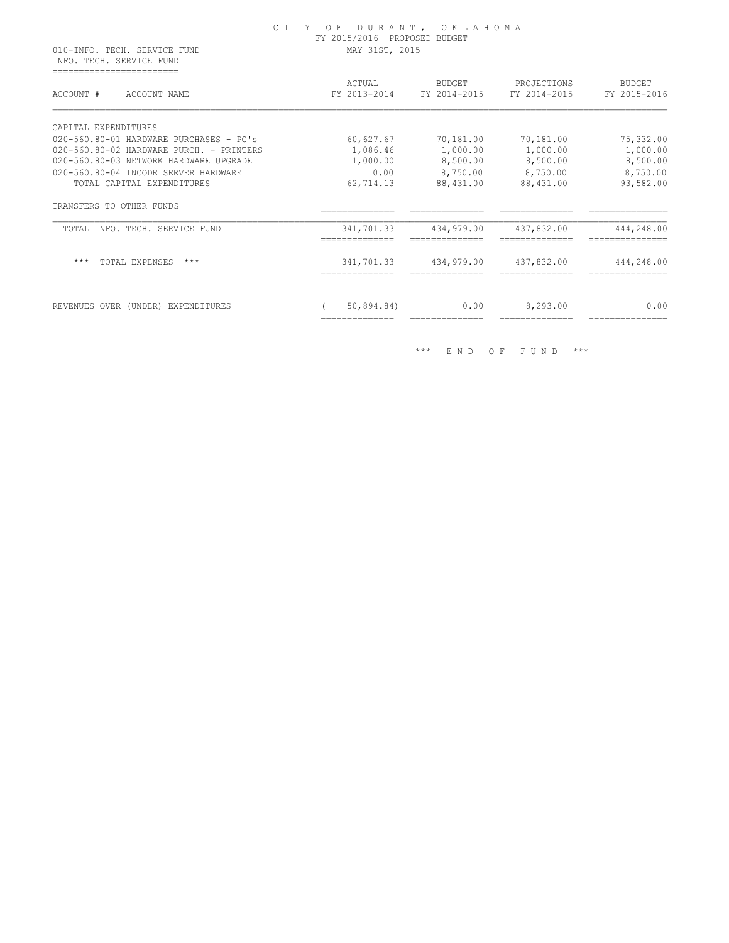#### C I T Y O F D U R A N T , O K L A H O M A FY 2015/2016 PROPOSED BUDGET 010-INFO. TECH. SERVICE FUND MAY 31ST, 2015

 INFO. TECH. SERVICE FUND ===========================

| ACCOUNT #<br>ACCOUNT NAME                | ACTUAL<br>FY 2013-2014 | <b>BUDGET</b><br>FY 2014-2015 | PROJECTIONS<br>FY 2014-2015 | <b>BUDGET</b><br>FY 2015-2016 |
|------------------------------------------|------------------------|-------------------------------|-----------------------------|-------------------------------|
| CAPITAL EXPENDITURES                     |                        |                               |                             |                               |
| 020-560.80-01 HARDWARE PURCHASES - PC's  | 60,627.67              | 70,181.00                     | 70,181.00                   | 75,332.00                     |
| 020-560.80-02 HARDWARE PURCH. - PRINTERS | 1,086.46               | 1,000.00                      | 1,000.00                    | 1,000.00                      |
| 020-560.80-03 NETWORK HARDWARE UPGRADE   | 1,000.00               | 8,500.00                      | 8,500.00                    | 8,500.00                      |
| 020-560.80-04 INCODE SERVER HARDWARE     | 0.00                   | 8,750.00                      | 8,750.00                    | 8,750.00                      |
| TOTAL CAPITAL EXPENDITURES               | 62,714.13              | 88,431.00                     | 88,431.00                   | 93,582.00                     |
| TRANSFERS TO OTHER FUNDS                 |                        |                               |                             |                               |
| TOTAL INFO. TECH. SERVICE FUND           | 341,701.33             | 434,979.00                    | 437,832.00                  | 444,248.00                    |
| $***$<br>TOTAL EXPENSES<br>$***$         | 341,701.33             | 434,979.00                    | 437,832.00                  | 444,248.00                    |
|                                          |                        |                               | 8,293.00                    | 0.00                          |

\*\*\* E N D O F F U N D \*\*\*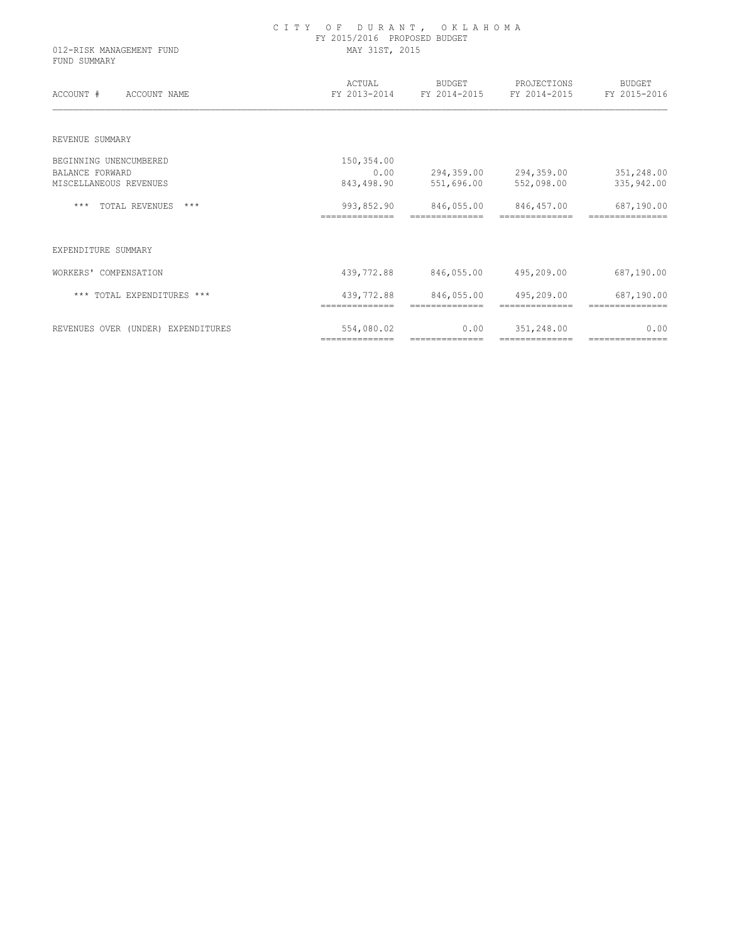| 012-RISK MANAGEMENT FUND<br>FUND SUMMARY | CITY OF DURANT, OKLAHOMA<br>FY 2015/2016 PROPOSED BUDGET<br>MAY 31ST, 2015 |                              |                                                       |                               |  |  |
|------------------------------------------|----------------------------------------------------------------------------|------------------------------|-------------------------------------------------------|-------------------------------|--|--|
| ACCOUNT #<br>ACCOUNT NAME                | ACTUAL                                                                     | BUDGET                       | PROJECTIONS<br>FY 2013-2014 FY 2014-2015 FY 2014-2015 | <b>BUDGET</b><br>FY 2015-2016 |  |  |
| REVENUE SUMMARY                          |                                                                            |                              |                                                       |                               |  |  |
| BEGINNING UNENCUMBERED                   | 150,354.00                                                                 |                              |                                                       |                               |  |  |
| <b>BALANCE FORWARD</b>                   | 0.00                                                                       |                              | 294,359.00 294,359.00 351,248.00                      |                               |  |  |
| MISCELLANEOUS REVENUES                   | 843,498.90                                                                 | 551,696.00                   | 552,098.00                                            | 335,942.00                    |  |  |
| *** TOTAL REVENUES<br>$***$              | 993,852.90<br>==============                                               | ==============               | 846,055.00 846,457.00<br>==============               | 687,190.00                    |  |  |
| EXPENDITURE SUMMARY                      |                                                                            |                              |                                                       |                               |  |  |
| WORKERS' COMPENSATION                    | 439,772.88                                                                 | 846,055.00                   | 495,209.00                                            | 687,190.00                    |  |  |
| *** TOTAL EXPENDITURES ***               | 439,772.88<br>==============                                               | 846,055.00<br>============== | 495,209.00                                            | 687,190.00                    |  |  |
| REVENUES OVER (UNDER) EXPENDITURES       | 554,080.02                                                                 | 0.00                         | 351,248.00                                            | 0.00                          |  |  |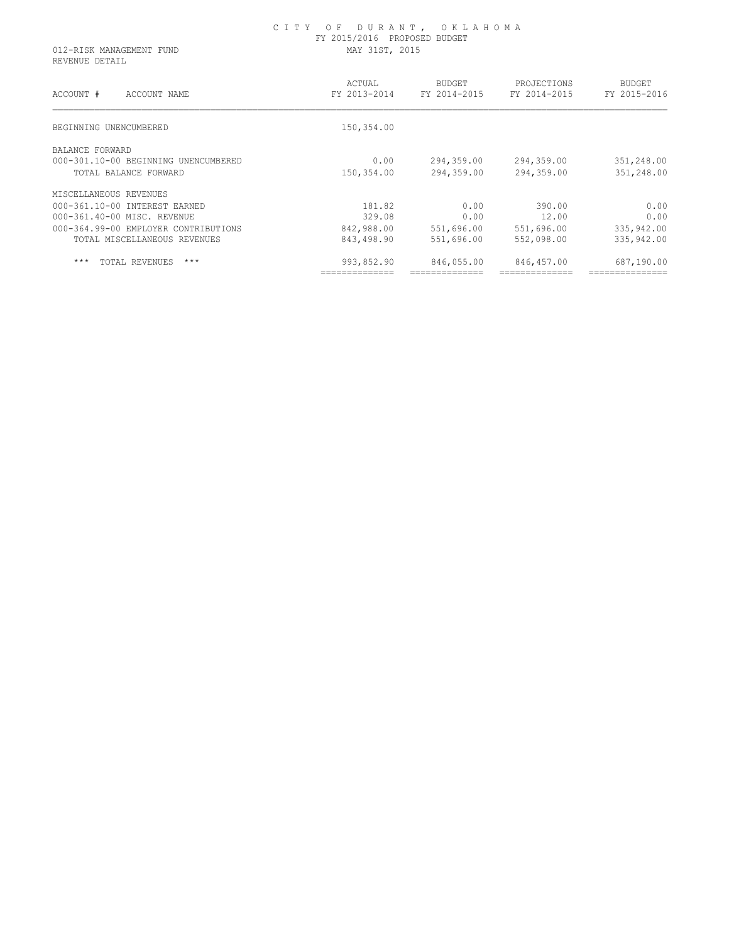REVENUE DETAIL

| ACCOUNT #<br>ACCOUNT NAME            | ACTUAL<br>FY 2013-2014 | BUDGET<br>FY 2014-2015 | PROJECTIONS<br>FY 2014-2015 | <b>BUDGET</b><br>FY 2015-2016 |
|--------------------------------------|------------------------|------------------------|-----------------------------|-------------------------------|
| BEGINNING UNENCUMBERED               | 150,354.00             |                        |                             |                               |
| BALANCE FORWARD                      |                        |                        |                             |                               |
| 000-301.10-00 BEGINNING UNENCUMBERED | 0.00                   | 294,359.00             | 294,359.00                  | 351,248.00                    |
| TOTAL BALANCE FORWARD                | 150,354.00             | 294,359.00             | 294,359.00                  | 351,248.00                    |
| MISCELLANEOUS REVENUES               |                        |                        |                             |                               |
| 000-361.10-00 INTEREST EARNED        | 181.82                 | 0.00                   | 390.00                      | 0.00                          |
| 000-361.40-00 MISC. REVENUE          | 329.08                 | 0.00                   | 12.00                       | 0.00                          |
| 000-364.99-00 EMPLOYER CONTRIBUTIONS | 842,988.00             | 551,696.00             | 551,696.00                  | 335,942.00                    |
| TOTAL MISCELLANEOUS REVENUES         | 843,498.90             | 551,696.00             | 552,098.00                  | 335,942.00                    |
| $***$<br>$***$<br>TOTAL REVENUES     | 993,852.90             | 846,055.00             | 846,457.00                  | 687,190.00                    |
|                                      |                        |                        |                             |                               |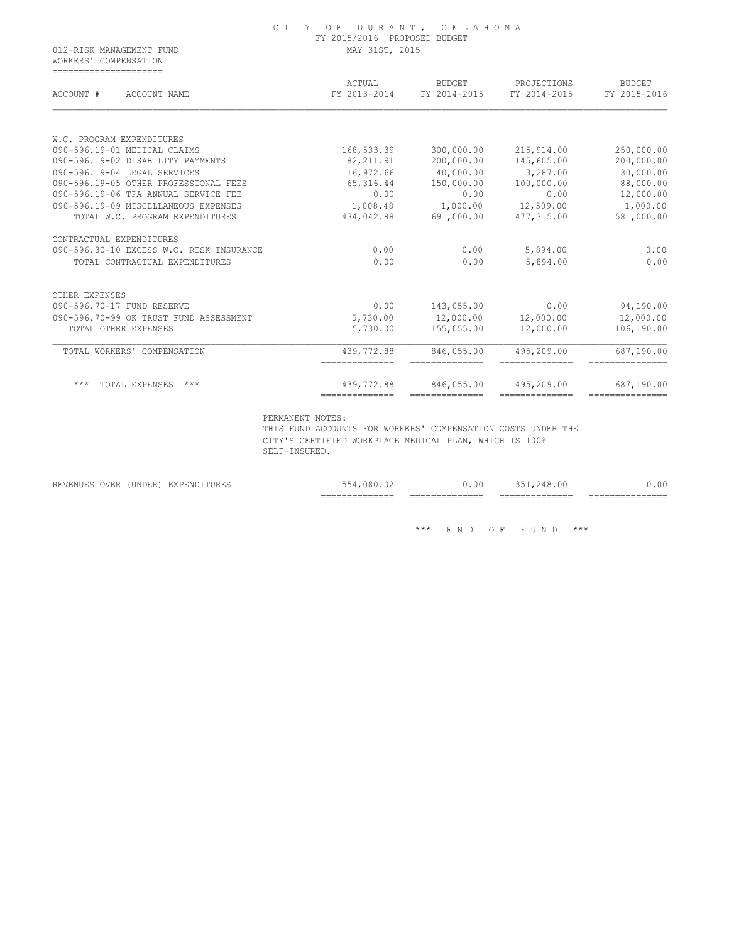| FY 2015/2016 PROPOSED BUDGET  |                                                                         |                                                                         |                                                                                      |  |  |
|-------------------------------|-------------------------------------------------------------------------|-------------------------------------------------------------------------|--------------------------------------------------------------------------------------|--|--|
| MAY 31ST, 2015                |                                                                         |                                                                         |                                                                                      |  |  |
| ACTUAL<br>FY 2013-2014        | BUDGET<br>FY 2014-2015                                                  | PROJECTIONS<br>FY 2014-2015                                             | <b>BUDGET</b><br>FY 2015-2016                                                        |  |  |
|                               |                                                                         |                                                                         |                                                                                      |  |  |
|                               |                                                                         |                                                                         |                                                                                      |  |  |
|                               |                                                                         |                                                                         | 250,000.00                                                                           |  |  |
|                               |                                                                         |                                                                         | 200,000.00                                                                           |  |  |
|                               |                                                                         |                                                                         | 30,000.00<br>88,000.00                                                               |  |  |
|                               |                                                                         |                                                                         | 12,000.00                                                                            |  |  |
|                               |                                                                         |                                                                         | 1,000.00                                                                             |  |  |
| 434,042.88                    | 691,000.00                                                              | 477,315.00                                                              | 581,000.00                                                                           |  |  |
|                               |                                                                         |                                                                         |                                                                                      |  |  |
| 0.00                          | 0.00                                                                    | 5,894.00                                                                | 0.00                                                                                 |  |  |
| 0.00                          | 0.00                                                                    | 5,894.00                                                                | 0.00                                                                                 |  |  |
|                               |                                                                         |                                                                         |                                                                                      |  |  |
| 0.00                          | 143,055.00                                                              | 0.00                                                                    | 94,190.00                                                                            |  |  |
| 5,730.00                      |                                                                         | 12,000.00                                                               | 12,000.00                                                                            |  |  |
| 5,730.00                      | 155,055.00                                                              | 12,000.00                                                               | 106,190.00                                                                           |  |  |
| 439,772.88<br>--------------- | 846,055.00<br>==============                                            | 495,209.00<br>--------------                                            | 687,190.00                                                                           |  |  |
| 439,772.88                    | 846,055.00                                                              | 495,209.00                                                              | 687,190.00                                                                           |  |  |
|                               | 168,533.39<br>182, 211.91<br>16,972.66<br>65,316.44<br>0.00<br>1,008.48 | 300,000.00<br>200,000.00<br>40,000.00<br>150,000.00<br>0.00<br>1,000.00 | 215,914.00<br>145,605.00<br>3,287.00<br>100,000.00<br>0.00<br>12,509.00<br>12,000.00 |  |  |

C I T Y O F D U R A N T , O K L A H O M A

PERMANENT NOTES:

 THIS FUND ACCOUNTS FOR WORKERS' COMPENSATION COSTS UNDER THE CITY'S CERTIFIED WORKPLACE MEDICAL PLAN, WHICH IS 100% SELF-INSURED.

|                         |        |                       | _______________<br>.=======-----<br>____ | _______________<br>. _ _ _ _ _ _ _ _ _ _ _<br>___ | ______________<br>. ===========<br>-- | $-$<br>_____ |
|-------------------------|--------|-----------------------|------------------------------------------|---------------------------------------------------|---------------------------------------|--------------|
| OVER<br><b>REVENUES</b> | UNDER) | 7V DE<br>EXPENDITURES | 080                                      | 00.ر                                              | . . 00 -<br>∙4 X                      | .00          |

 $\hspace{0.1cm}^{\star\star\star} \hspace{0.1cm}$  E N D  $\hspace{0.1cm}$  O F  $\hspace{0.1cm}$  F U N D  $\hspace{0.1cm}$   $\hspace{0.1cm}^{\star\star\star}$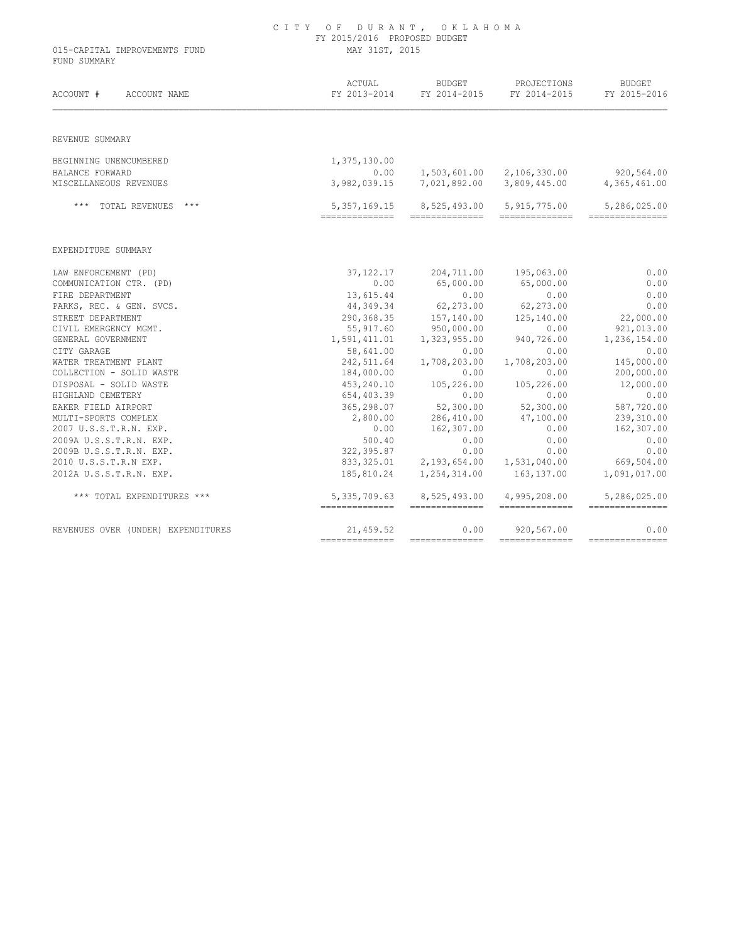| 015-CAPITAL IMPROVEMENTS FUND<br>FUND SUMMARY | FY 2015/2016 PROPOSED BUDGET<br>MAY 31ST, 2015 |                                         |                                             |                                 |  |
|-----------------------------------------------|------------------------------------------------|-----------------------------------------|---------------------------------------------|---------------------------------|--|
| ACCOUNT #<br>ACCOUNT NAME                     | ACTUAL<br>FY 2013-2014                         | BUDGET<br>FY 2014-2015                  | PROJECTIONS<br>FY 2014-2015                 | BUDGET<br>FY 2015-2016          |  |
| REVENUE SUMMARY                               |                                                |                                         |                                             |                                 |  |
| BEGINNING UNENCUMBERED                        | 1,375,130.00                                   |                                         |                                             |                                 |  |
| BALANCE FORWARD                               | 0.00                                           | 1,503,601.00 2,106,330.00               |                                             | 920,564.00                      |  |
| MISCELLANEOUS REVENUES                        |                                                | 3,982,039.15 7,021,892.00 3,809,445.00  |                                             | 4,365,461.00                    |  |
| *** TOTAL REVENUES ***                        | 5,357,169.15<br>--------------                 | --------------                          | 8,525,493.00 5,915,775.00<br>-------------- | 5,286,025.00<br>=============== |  |
| EXPENDITURE SUMMARY                           |                                                |                                         |                                             |                                 |  |
| LAW ENFORCEMENT (PD)                          | 37, 122. 17                                    | 204,711.00                              | 195,063.00                                  | 0.00                            |  |
| COMMUNICATION CTR. (PD)                       | 0.00                                           | 65,000.00                               | 65,000.00                                   | 0.00                            |  |
| FIRE DEPARTMENT                               | 13,615.44                                      | 0.00                                    | 0.00                                        | 0.00                            |  |
| PARKS, REC. & GEN. SVCS.                      | 44,349.34                                      | 62,273.00                               | 62,273.00                                   | 0.00                            |  |
| STREET DEPARTMENT                             | 290,368.35                                     | 157,140.00                              | 125,140.00                                  | 22,000.00                       |  |
| CIVIL EMERGENCY MGMT.<br>GENERAL GOVERNMENT   | 55,917.60                                      | 950,000.00<br>1,591,411.01 1,323,955.00 | 0.00<br>940,726.00                          | 921,013.00<br>1,236,154.00      |  |
| CITY GARAGE                                   | 58,641.00                                      | 0.00                                    | 0.00                                        | 0.00                            |  |
| WATER TREATMENT PLANT                         | 242,511.64                                     | 1,708,203.00                            | 1,708,203.00                                | 145,000.00                      |  |
| COLLECTION - SOLID WASTE                      | 184,000.00                                     | 0.00                                    | 0.00                                        | 200,000.00                      |  |
| DISPOSAL - SOLID WASTE                        | 453,240.10                                     | 105,226.00                              | 105,226.00                                  | 12,000.00                       |  |
| HIGHLAND CEMETERY                             | 654,403.39                                     | 0.00                                    | 0.00                                        | 0.00                            |  |
| EAKER FIELD AIRPORT                           | 365,298.07                                     | 52,300.00                               | 52,300.00                                   | 587,720.00                      |  |
| MULTI-SPORTS COMPLEX                          | 2,800.00                                       | 286,410.00                              | 47,100.00                                   | 239,310.00                      |  |
| 2007 U.S.S.T.R.N. EXP.                        | 0.00                                           | 162,307.00                              | 0.00                                        | 162,307.00                      |  |
| 2009A U.S.S.T.R.N. EXP.                       | 500.40                                         | 0.00                                    | 0.00                                        | 0.00                            |  |
| 2009B U.S.S.T.R.N. EXP.                       | 322,395.87                                     | 0.00                                    | 0.00                                        | 0.00                            |  |
| 2010 U.S.S.T.R.N EXP.                         |                                                | 833, 325.01 2, 193, 654.00              | 1,531,040.00                                | 669,504.00                      |  |
| 2012A U.S.S.T.R.N. EXP.                       |                                                | 185,810.24 1,254,314.00                 | 163,137.00                                  | 1,091,017.00                    |  |
| *** TOTAL EXPENDITURES ***                    | 5,335,709.63<br>===============                | 8,525,493.00<br>===============         | 4,995,208.00<br>--------------              | 5,286,025.00<br>=============== |  |
| REVENUES OVER (UNDER) EXPENDITURES            | 21,459.52                                      | 0.00                                    | 920,567.00                                  | 0.00                            |  |

# C I T Y O F D U R A N T , O K L A H O M A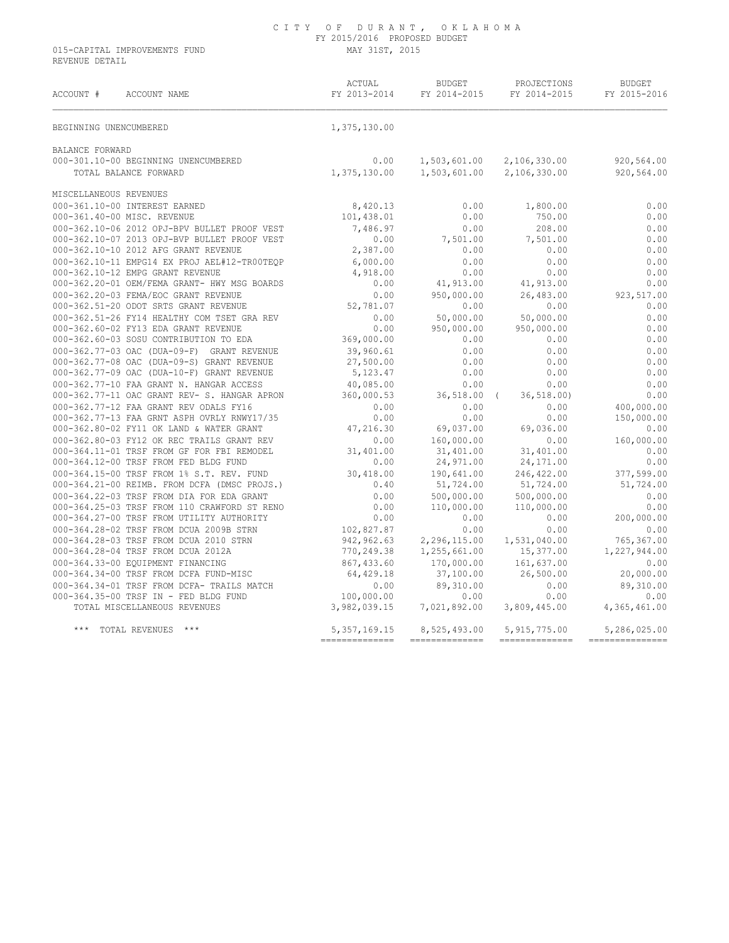015-CAPITAL IMPROVEMENTS FUND MAY 31ST, 2015 REVENUE DETAIL

| ACTUAL BUDGET PROJECTIONS BUDGET<br>FY 2013-2014 FY 2014-2015 FY 2014-2015 FY 2015-2016<br>ACCOUNT #<br>ACCOUNT NAME                                                                                                                                                                                                                                                                            |  |      |
|-------------------------------------------------------------------------------------------------------------------------------------------------------------------------------------------------------------------------------------------------------------------------------------------------------------------------------------------------------------------------------------------------|--|------|
| 1,375,130.00<br>BEGINNING UNENCUMBERED                                                                                                                                                                                                                                                                                                                                                          |  |      |
| BALANCE FORWARD                                                                                                                                                                                                                                                                                                                                                                                 |  |      |
|                                                                                                                                                                                                                                                                                                                                                                                                 |  |      |
| 0.00 1,503,601.00 2,106,330.00 920,564.00<br>000-301.10-00 BEGINNING UNENCUMBERED 1,375,130.00 1,503,601.00 2,106,330.00 920,564.00<br>1,375,130.00 1,503,601.00 2,106,330.00 920,564.00                                                                                                                                                                                                        |  |      |
| MISCELLANEOUS REVENUES                                                                                                                                                                                                                                                                                                                                                                          |  |      |
|                                                                                                                                                                                                                                                                                                                                                                                                 |  | 0.00 |
|                                                                                                                                                                                                                                                                                                                                                                                                 |  | 0.00 |
| MISCELLANEOOS REVENUES<br>000-361.10-00 INTEREST EARNED<br>000-361.40-00 MISC. REVENUE<br>000-362.10-06 2012 OPJ-BPV BULLET PROOF VEST<br>0.438.01<br>0.00 7,486.97<br>0.00 208.00                                                                                                                                                                                                              |  |      |
|                                                                                                                                                                                                                                                                                                                                                                                                 |  |      |
|                                                                                                                                                                                                                                                                                                                                                                                                 |  |      |
|                                                                                                                                                                                                                                                                                                                                                                                                 |  |      |
|                                                                                                                                                                                                                                                                                                                                                                                                 |  |      |
|                                                                                                                                                                                                                                                                                                                                                                                                 |  |      |
|                                                                                                                                                                                                                                                                                                                                                                                                 |  |      |
|                                                                                                                                                                                                                                                                                                                                                                                                 |  |      |
|                                                                                                                                                                                                                                                                                                                                                                                                 |  |      |
|                                                                                                                                                                                                                                                                                                                                                                                                 |  |      |
|                                                                                                                                                                                                                                                                                                                                                                                                 |  |      |
|                                                                                                                                                                                                                                                                                                                                                                                                 |  |      |
|                                                                                                                                                                                                                                                                                                                                                                                                 |  |      |
|                                                                                                                                                                                                                                                                                                                                                                                                 |  |      |
|                                                                                                                                                                                                                                                                                                                                                                                                 |  |      |
|                                                                                                                                                                                                                                                                                                                                                                                                 |  |      |
|                                                                                                                                                                                                                                                                                                                                                                                                 |  |      |
|                                                                                                                                                                                                                                                                                                                                                                                                 |  |      |
|                                                                                                                                                                                                                                                                                                                                                                                                 |  |      |
|                                                                                                                                                                                                                                                                                                                                                                                                 |  |      |
|                                                                                                                                                                                                                                                                                                                                                                                                 |  |      |
|                                                                                                                                                                                                                                                                                                                                                                                                 |  |      |
|                                                                                                                                                                                                                                                                                                                                                                                                 |  |      |
|                                                                                                                                                                                                                                                                                                                                                                                                 |  |      |
|                                                                                                                                                                                                                                                                                                                                                                                                 |  |      |
|                                                                                                                                                                                                                                                                                                                                                                                                 |  |      |
|                                                                                                                                                                                                                                                                                                                                                                                                 |  |      |
|                                                                                                                                                                                                                                                                                                                                                                                                 |  |      |
|                                                                                                                                                                                                                                                                                                                                                                                                 |  |      |
|                                                                                                                                                                                                                                                                                                                                                                                                 |  |      |
|                                                                                                                                                                                                                                                                                                                                                                                                 |  |      |
|                                                                                                                                                                                                                                                                                                                                                                                                 |  |      |
|                                                                                                                                                                                                                                                                                                                                                                                                 |  |      |
|                                                                                                                                                                                                                                                                                                                                                                                                 |  |      |
|                                                                                                                                                                                                                                                                                                                                                                                                 |  |      |
| 0.5-3011-0-001 and the stress of the stress of the stress of the stress of the stress of the stress of the stress of the stress of the stress of the stress of the stress of the stress of the stress of the stress of the st<br>TOTAL MISCELLANEOUS REVENUES 3,982,039.15 7,021,892.00 3,809,445.00 4,365,461.00<br>*** TOTAL REVENUES *** 5,357,169.15 8,525,493.00 5,915,775.00 5,286,025.00 |  |      |
|                                                                                                                                                                                                                                                                                                                                                                                                 |  |      |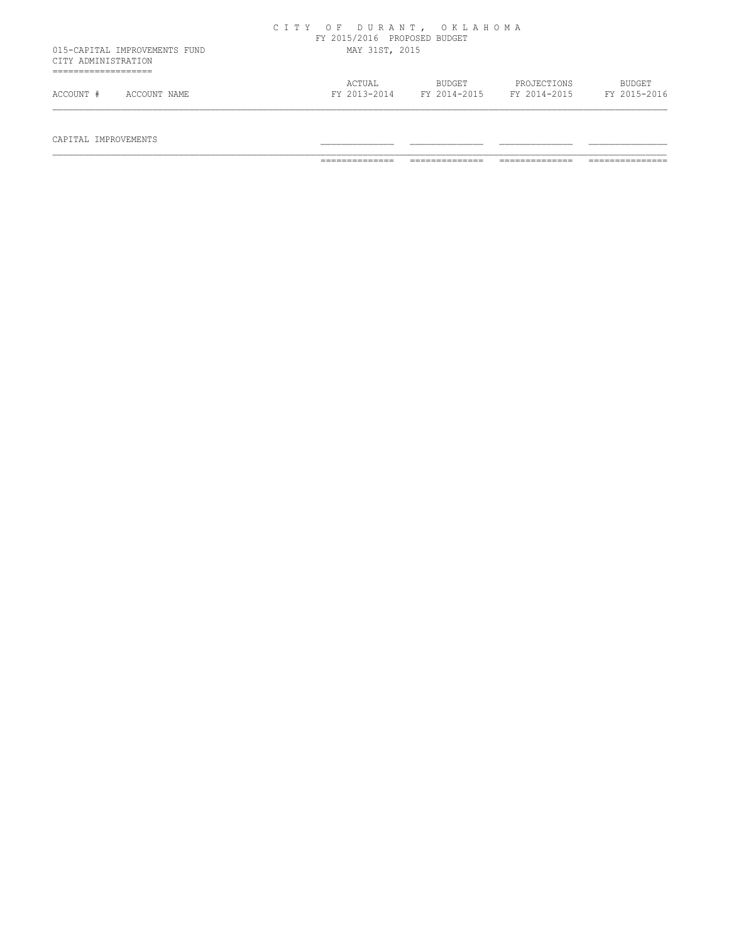|                                                           | FY 2015/2016 PROPOSED BUDGET | CITY OF DURANT, OKLAHOMA |                             |                               |
|-----------------------------------------------------------|------------------------------|--------------------------|-----------------------------|-------------------------------|
| 015-CAPITAL IMPROVEMENTS FUND<br>CITY ADMINISTRATION<br>. | MAY 31ST, 2015               |                          |                             |                               |
| ACCOUNT #<br>ACCOUNT NAME                                 | ACTUAL<br>FY 2013-2014       | BUDGET<br>FY 2014-2015   | PROJECTIONS<br>FY 2014-2015 | <b>BUDGET</b><br>FY 2015-2016 |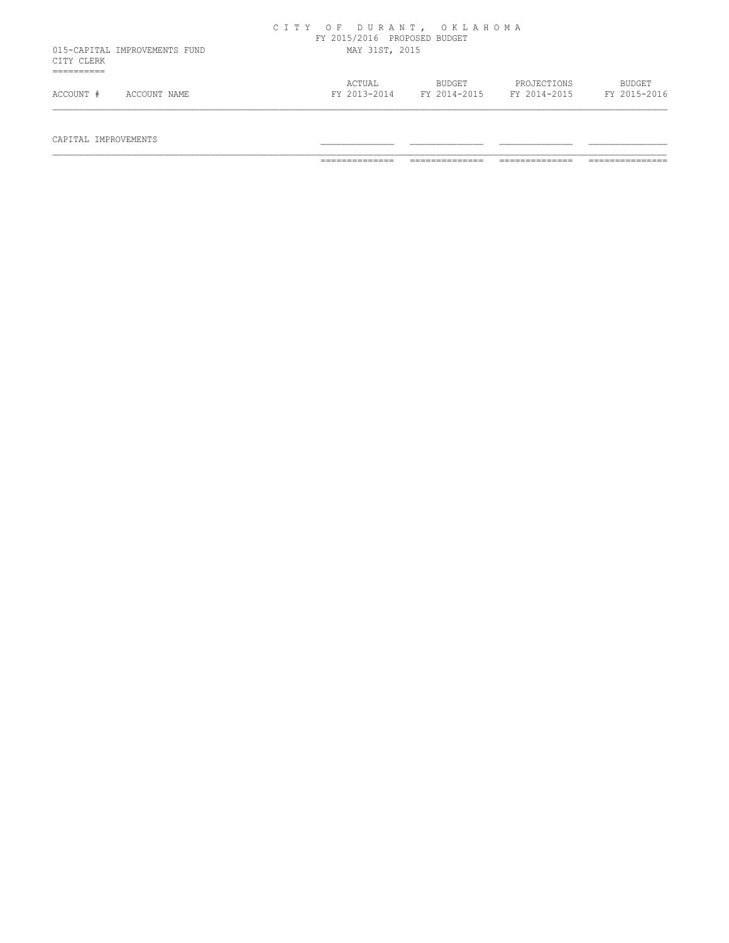|                                             | CITY OF DURANT, OKLAHOMA | FY 2015/2016 PROPOSED BUDGET |                        |                             |                               |  |
|---------------------------------------------|--------------------------|------------------------------|------------------------|-----------------------------|-------------------------------|--|
| 015-CAPITAL IMPROVEMENTS FUND<br>CITY CLERK |                          | MAY 31ST, 2015               |                        |                             |                               |  |
| ACCOUNT #<br>ACCOUNT NAME                   |                          | ACTUAL<br>FY 2013-2014       | BUDGET<br>FY 2014-2015 | PROJECTIONS<br>FY 2014-2015 | <b>BUDGET</b><br>FY 2015-2016 |  |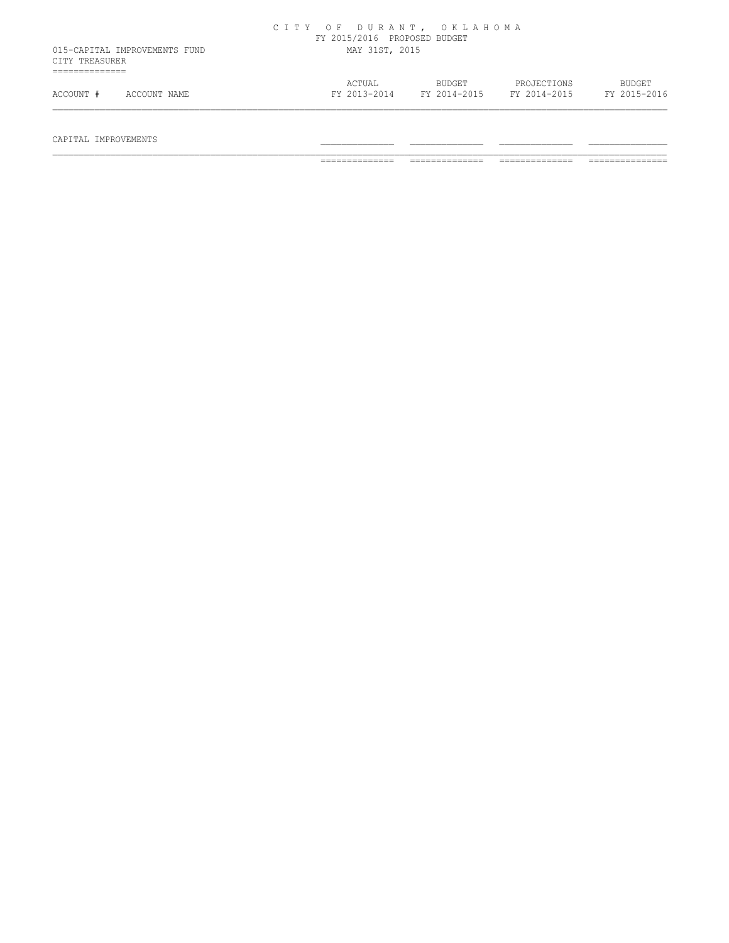|                |                               | CITY OF DURANT, OKLAHOMA | FY 2015/2016 PROPOSED BUDGET |  |                        |                             |                               |
|----------------|-------------------------------|--------------------------|------------------------------|--|------------------------|-----------------------------|-------------------------------|
| CITY TREASURER | 015-CAPITAL IMPROVEMENTS FUND | MAY 31ST, 2015           |                              |  |                        |                             |                               |
| ACCOUNT #      | ACCOUNT NAME                  |                          | ACTUAL<br>FY 2013-2014       |  | BUDGET<br>FY 2014-2015 | PROJECTIONS<br>FY 2014-2015 | <b>BUDGET</b><br>FY 2015-2016 |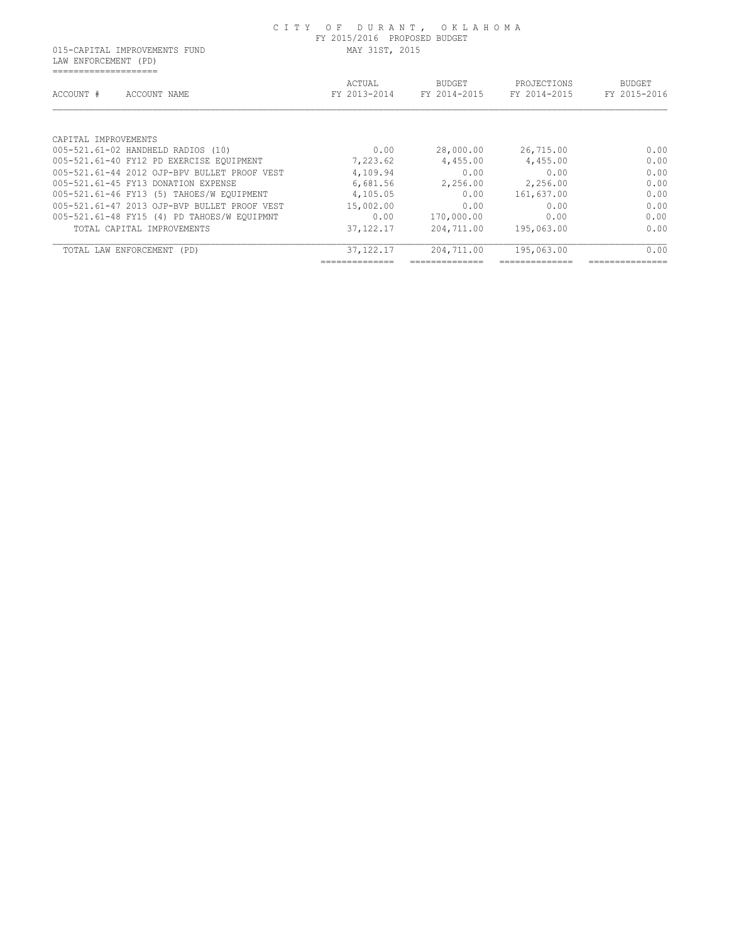LAW ENFORCEMENT (PD) ====================

| ACCOUNT #             | ACCOUNT NAME                                 | ACTUAL<br>FY 2013-2014 | <b>BUDGET</b><br>FY 2014-2015 | PROJECTIONS<br>FY 2014-2015 | <b>BUDGET</b><br>FY 2015-2016 |
|-----------------------|----------------------------------------------|------------------------|-------------------------------|-----------------------------|-------------------------------|
|                       |                                              |                        |                               |                             |                               |
| CAPITAL IMPROVEMENTS  |                                              |                        |                               |                             |                               |
|                       | 005-521.61-02 HANDHELD RADIOS (10)           | 0.00                   | 28,000.00                     | 26,715.00                   | 0.00                          |
|                       | 005-521.61-40 FY12 PD EXERCISE EQUIPMENT     | 7,223.62               | 4,455.00                      | 4,455.00                    | 0.00                          |
|                       | 005-521.61-44 2012 OJP-BPV BULLET PROOF VEST | 4,109.94               | 0.00                          | 0.00                        | 0.00                          |
|                       | 005-521.61-45 FY13 DONATION EXPENSE          | 6,681.56               | 2,256.00                      | 2,256.00                    | 0.00                          |
|                       | 005-521.61-46 FY13 (5) TAHOES/W EQUIPMENT    | 4,105.05               | 0.00                          | 161,637.00                  | 0.00                          |
|                       | 005-521.61-47 2013 OJP-BVP BULLET PROOF VEST | 15,002.00              | 0.00                          | 0.00                        | 0.00                          |
|                       | 005-521.61-48 FY15 (4) PD TAHOES/W EOUIPMNT  | 0.00                   | 170,000.00                    | 0.00                        | 0.00                          |
|                       | TOTAL CAPITAL IMPROVEMENTS                   | 37, 122, 17            | 204,711.00                    | 195,063.00                  | 0.00                          |
| TOTAL LAW ENFORCEMENT | (PD)                                         | 37, 122, 17            | 204,711.00                    | 195,063.00                  | 0.00                          |
|                       |                                              |                        |                               |                             |                               |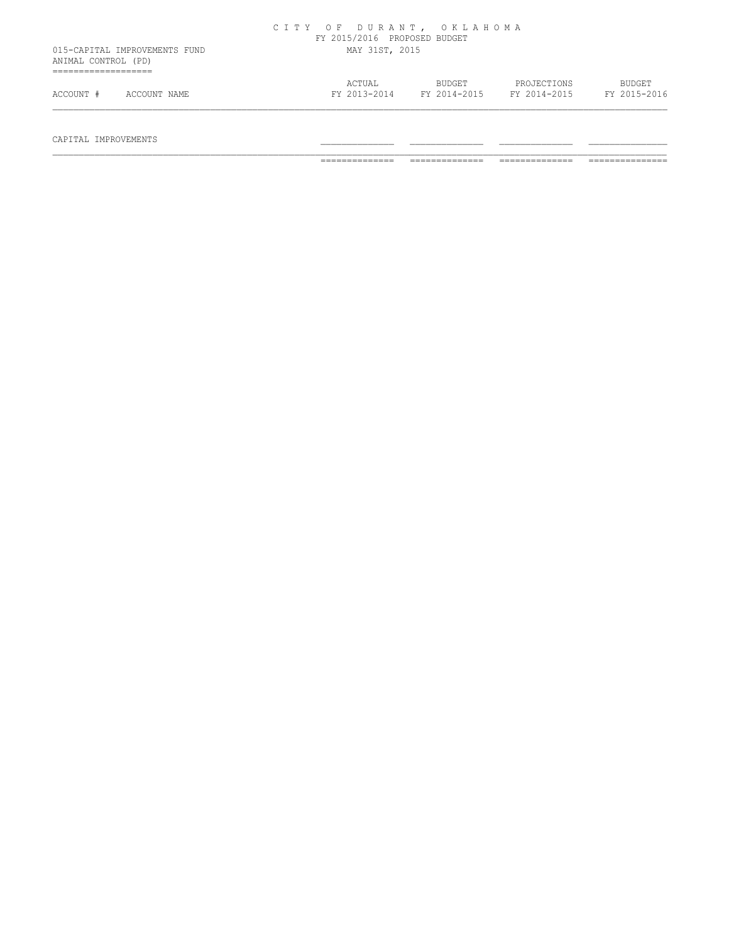| ANIMAL CONTROL (PD) | 015-CAPITAL IMPROVEMENTS FUND | FY 2015/2016 PROPOSED BUDGET<br>MAY 31ST, 2015 |                        |                             |                               |
|---------------------|-------------------------------|------------------------------------------------|------------------------|-----------------------------|-------------------------------|
| ACCOUNT #           | ACCOUNT NAME                  | ACTUAL<br>FY 2013-2014                         | BUDGET<br>FY 2014-2015 | PROJECTIONS<br>FY 2014-2015 | <b>BUDGET</b><br>FY 2015-2016 |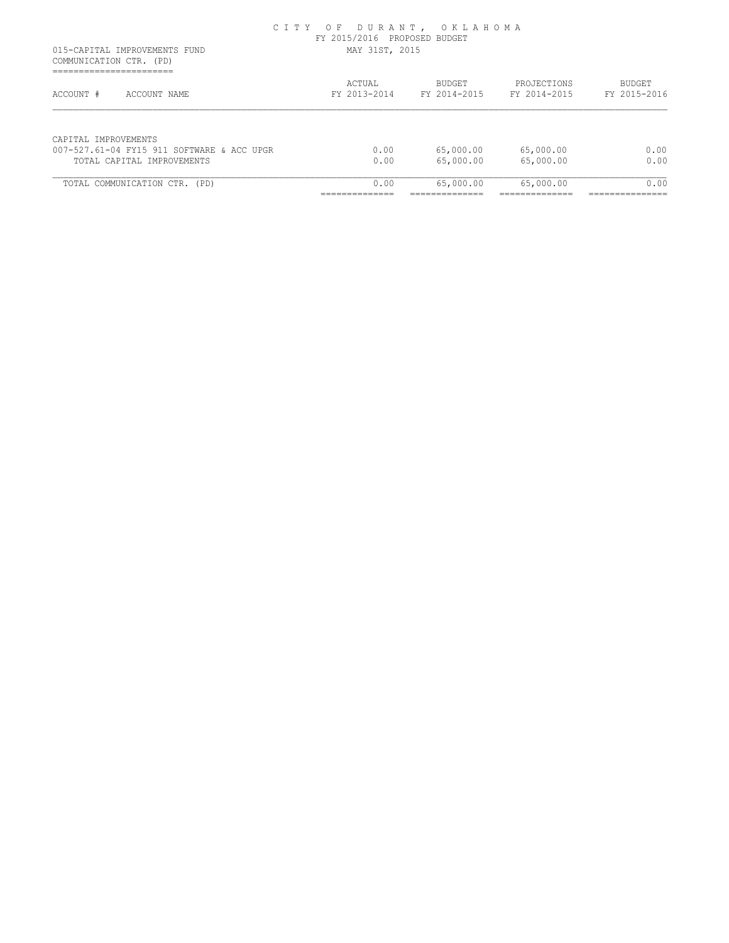COMMUNICATION CTR. (PD) ==========================

| ACCOUNT #<br>ACCOUNT NAME                  | ACTUAL<br>FY 2013-2014 | BUDGET<br>FY 2014-2015 | PROJECTIONS<br>FY 2014-2015 | BUDGET<br>FY 2015-2016 |
|--------------------------------------------|------------------------|------------------------|-----------------------------|------------------------|
| CAPITAL IMPROVEMENTS                       |                        |                        |                             |                        |
| 007-527.61-04 FY15 911 SOFTWARE & ACC UPGR | 0.00                   | 65,000.00              | 65,000.00                   | 0.00                   |
| TOTAL CAPITAL IMPROVEMENTS                 | 0.00                   | 65,000.00              | 65,000.00                   | 0.00                   |
| TOTAL COMMUNICATION CTR.<br>(PD)           | 0.00                   | 65,000.00              | 65,000.00                   | 0.00                   |
|                                            |                        |                        |                             |                        |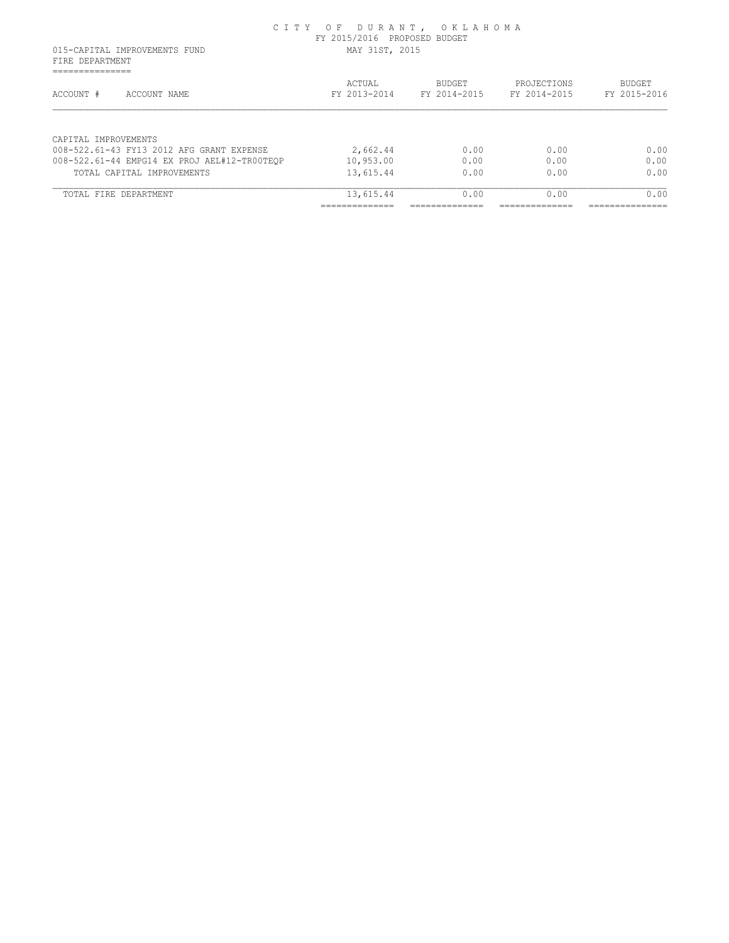| 015-CAPITAL IMPROVEMENTS FUND<br>FIRE DEPARTMENT | MAY 31ST, 2015         |                               |                             |                        |  |  |
|--------------------------------------------------|------------------------|-------------------------------|-----------------------------|------------------------|--|--|
| ----------------<br>ACCOUNT #<br>ACCOUNT NAME    | ACTUAL<br>FY 2013-2014 | <b>BUDGET</b><br>FY 2014-2015 | PROJECTIONS<br>FY 2014-2015 | BUDGET<br>FY 2015-2016 |  |  |
|                                                  |                        |                               |                             |                        |  |  |
| CAPTTAL IMPROVEMENTS                             |                        |                               |                             |                        |  |  |
| 008-522.61-43 FY13 2012 AFG GRANT EXPENSE        | 2,662.44               | 0.00                          | 0.00                        | 0.00                   |  |  |
| 008-522.61-44 EMPG14 EX PROJ AEL#12-TR00TEOP     | 10,953.00              | 0.00                          | 0.00                        | 0.00                   |  |  |
| TOTAL CAPITAL IMPROVEMENTS                       | 13,615.44              | 0.00                          | 0.00                        | 0.00                   |  |  |
| TOTAL FIRE DEPARTMENT                            | 13,615.44              | 0.00                          | 0.00                        | 0.00                   |  |  |
|                                                  |                        |                               |                             |                        |  |  |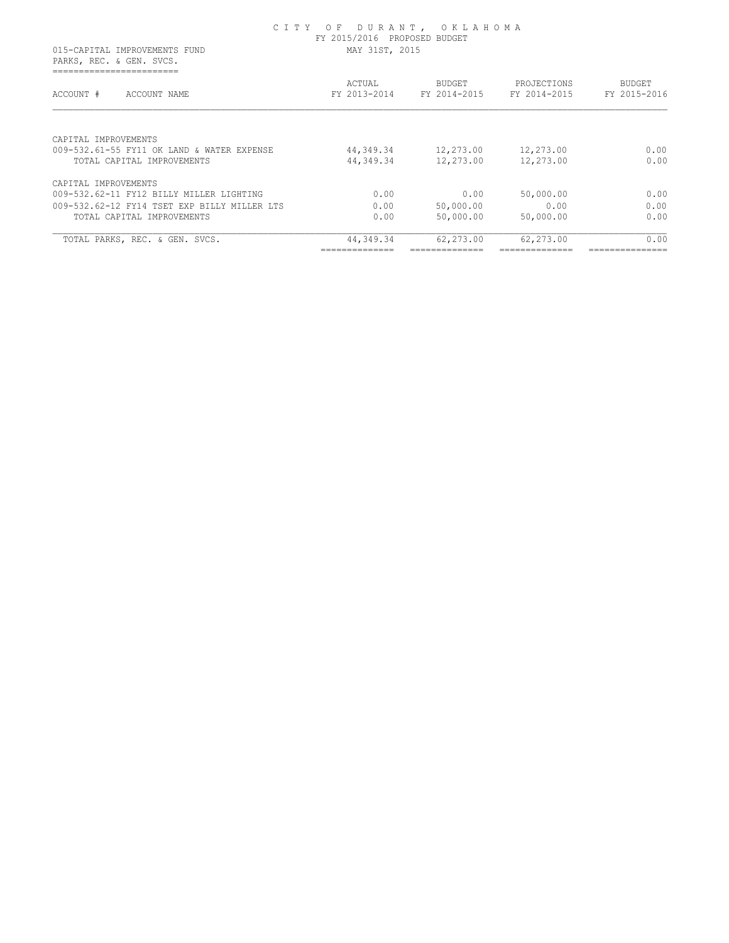|                                                                          | FY 2015/2016 PROPOSED BUDGET |                               |                             |                        |
|--------------------------------------------------------------------------|------------------------------|-------------------------------|-----------------------------|------------------------|
| 015-CAPITAL IMPROVEMENTS FUND<br>PARKS, REC. & GEN. SVCS.                | MAY 31ST, 2015               |                               |                             |                        |
| ACCOUNT #<br>ACCOUNT NAME                                                | ACTUAL<br>FY 2013-2014       | <b>BUDGET</b><br>FY 2014-2015 | PROJECTIONS<br>FY 2014-2015 | BUDGET<br>FY 2015-2016 |
| CAPITAL IMPROVEMENTS                                                     |                              |                               |                             |                        |
| 009-532.61-55 FY11 OK LAND & WATER EXPENSE<br>TOTAL CAPITAL IMPROVEMENTS | 44,349.34<br>44,349.34       | 12,273.00<br>12,273.00        | 12,273.00<br>12,273.00      | 0.00<br>0.00           |
| CAPITAL IMPROVEMENTS                                                     |                              |                               |                             |                        |
| 009-532.62-11 FY12 BILLY MILLER LIGHTING                                 | 0.00                         | 0.00                          | 50,000.00                   | 0.00                   |
| 009-532.62-12 FY14 TSET EXP BILLY MILLER LTS                             | 0.00                         | 50,000.00                     | 0.00                        | 0.00                   |
| TOTAL CAPITAL IMPROVEMENTS                                               | 0.00                         | 50,000.00                     | 50,000.00                   | 0.00                   |
| TOTAL PARKS, REC. & GEN. SVCS.                                           | 44,349.34                    | 62,273.00                     | 62,273.00                   | 0.00                   |
|                                                                          |                              |                               |                             |                        |

C I T Y O F D U R A N T , O K L A H O M A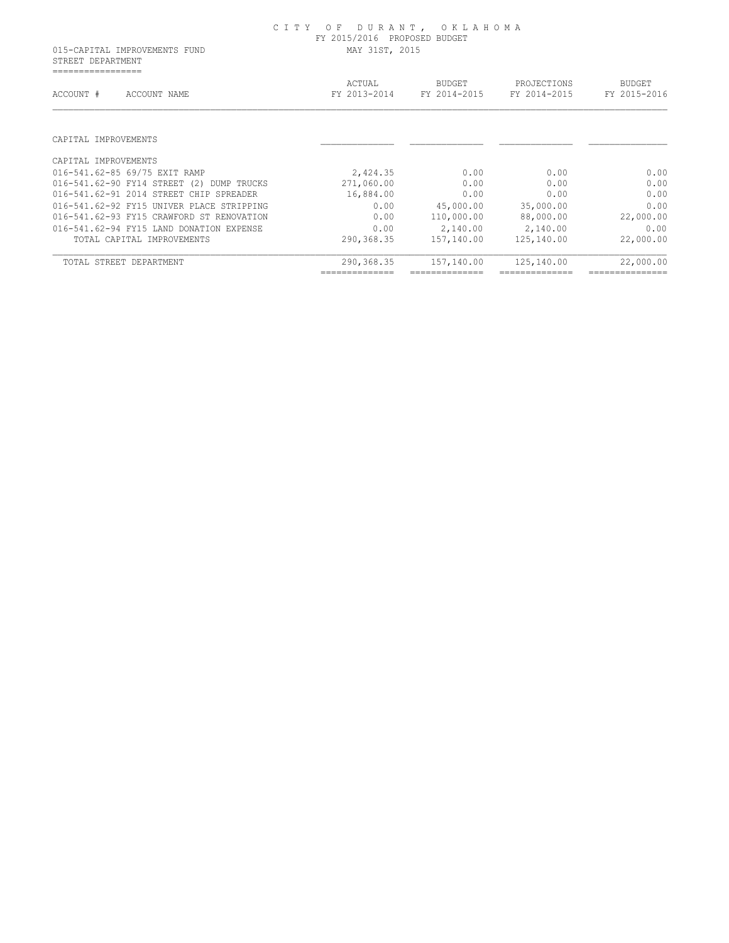STREET DEPARTMENT =================

| ACTUAL<br>FY 2013-2014 | <b>BUDGET</b><br>FY 2014-2015 | PROJECTIONS<br>FY 2014-2015 | <b>BUDGET</b><br>FY 2015-2016 |
|------------------------|-------------------------------|-----------------------------|-------------------------------|
|                        |                               |                             |                               |
|                        |                               |                             |                               |
| 2,424.35               | 0.00                          | 0.00                        | 0.00                          |
| 271,060.00             | 0.00                          | 0.00                        | 0.00                          |
| 16,884.00              | 0.00                          | 0.00                        | 0.00                          |
| 0.00                   | 45,000.00                     | 35,000.00                   | 0.00                          |
| 0.00                   | 110,000.00                    | 88,000.00                   | 22,000.00                     |
| 0.00                   | 2,140.00                      | 2,140.00                    | 0.00                          |
| 290,368.35             | 157,140.00                    | 125,140.00                  | 22,000.00                     |
| 290,368.35             | 157,140.00                    | 125,140.00                  | 22,000.00                     |
|                        |                               |                             |                               |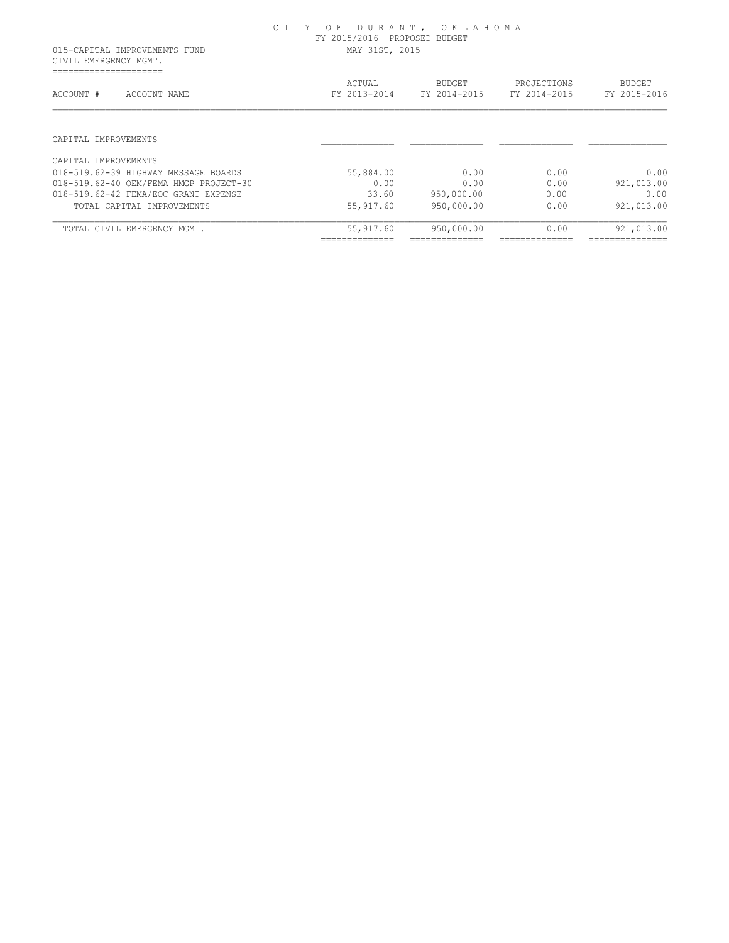CIVIL EMERGENCY MGMT. =====================

| ACCOUNT #<br>ACCOUNT NAME              | ACTUAL<br>FY 2013-2014 | <b>BUDGET</b><br>FY 2014-2015 | PROJECTIONS<br>FY 2014-2015 | <b>BUDGET</b><br>FY 2015-2016 |
|----------------------------------------|------------------------|-------------------------------|-----------------------------|-------------------------------|
| CAPITAL IMPROVEMENTS                   |                        |                               |                             |                               |
| CAPITAL IMPROVEMENTS                   |                        |                               |                             |                               |
| 018-519.62-39 HIGHWAY MESSAGE BOARDS   | 55,884.00              | 0.00                          | 0.00                        | 0.00                          |
| 018-519.62-40 OEM/FEMA HMGP PROJECT-30 | 0.00                   | 0.00                          | 0.00                        | 921,013.00                    |
| 018-519.62-42 FEMA/EOC GRANT EXPENSE   | 33.60                  | 950,000.00                    | 0.00                        | 0.00                          |
| TOTAL CAPITAL IMPROVEMENTS             | 55, 917.60             | 950,000.00                    | 0.00                        | 921,013.00                    |
| TOTAL CIVIL EMERGENCY MGMT.            | 55,917.60              | 950,000.00                    | 0.00                        | 921,013.00                    |
|                                        |                        |                               |                             |                               |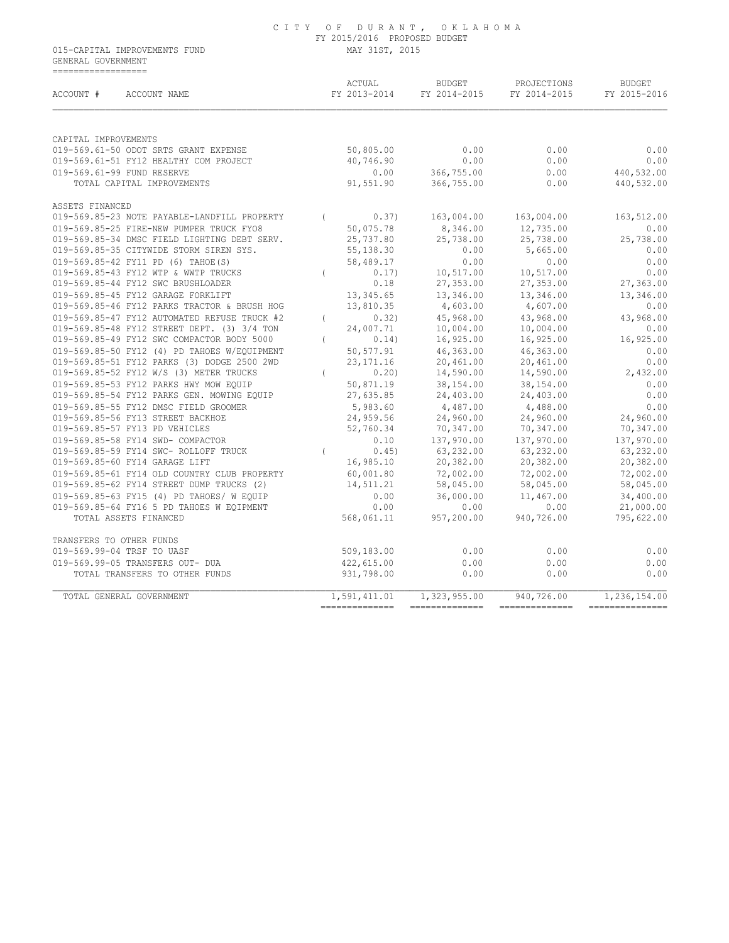015-CAPITAL IMPROVEMENTS FUND MAY 31ST, 2015 GENERAL GOVERNMENT ==================

| ACCOUNT #<br>ACCOUNT NAME                                     |          | ACTUAL<br>FY 2013-2014 | BUDGET<br>FY 2014-2015      | PROJECTIONS<br>FY 2014-2015 | <b>BUDGET</b><br>FY 2015-2016 |
|---------------------------------------------------------------|----------|------------------------|-----------------------------|-----------------------------|-------------------------------|
|                                                               |          |                        |                             |                             |                               |
| CAPITAL IMPROVEMENTS<br>019-569.61-50 ODOT SRTS GRANT EXPENSE |          | 50,805.00              | 0.00                        | 0.00                        | 0.00                          |
| 019-569.61-51 FY12 HEALTHY COM PROJECT                        |          | 40,746.90              | 0.00                        | 0.00                        | 0.00                          |
| 019-569.61-99 FUND RESERVE                                    |          | 0.00                   | 366,755.00                  | 0.00                        | 440,532.00                    |
| TOTAL CAPITAL IMPROVEMENTS                                    |          | 91,551.90              | 366,755.00                  | 0.00                        | 440,532.00                    |
| ASSETS FINANCED                                               |          |                        |                             |                             |                               |
| 019-569.85-23 NOTE PAYABLE-LANDFILL PROPERTY                  | $\left($ | 0.37)                  | 163,004.00                  | 163,004.00                  | 163,512.00                    |
| 019-569.85-25 FIRE-NEW PUMPER TRUCK FYO8                      |          | 50,075.78              | 8,346.00                    | 12,735.00                   | 0.00                          |
| 019-569.85-34 DMSC FIELD LIGHTING DEBT SERV.                  |          | 25,737.80              | 25,738.00                   | 25,738.00                   | 25,738.00                     |
| 019-569.85-35 CITYWIDE STORM SIREN SYS.                       |          | 55,138.30              | 0.00                        | 5,665.00                    | 0.00                          |
| 019-569.85-42 FY11 PD (6) TAHOE(S)                            |          | 58,489.17              | 0.00                        | 0.00                        | 0.00                          |
| 019-569.85-43 FY12 WTP & WWTP TRUCKS                          |          | 0.17)                  | 10, 517.00                  | 10,517.00                   | 0.00                          |
| 019-569.85-44 FY12 SWC BRUSHLOADER                            |          | 0.18                   | 27,353.00                   | 27,353.00                   | 27,363.00                     |
| 019-569.85-45 FY12 GARAGE FORKLIFT                            |          | 13,345.65              | 13,346.00                   | 13,346.00                   | 13,346.00                     |
| 019-569.85-46 FY12 PARKS TRACTOR & BRUSH HOG                  |          | 13,810.35              | 4,603.00                    | 4,607.00                    | 0.00                          |
| 019-569.85-47 FY12 AUTOMATED REFUSE TRUCK #2                  | $\left($ | 0.32)                  | 45,968.00                   | 43,968.00                   | 43,968.00                     |
| 019-569.85-48 FY12 STREET DEPT. (3) 3/4 TON                   |          | 24,007.71              | 10,004.00                   | 10,004.00                   | 0.00                          |
| 019-569.85-49 FY12 SWC COMPACTOR BODY 5000                    | $\left($ | 0.14)                  | 16,925.00                   | 16,925.00                   | 16,925.00                     |
| 019-569.85-50 FY12 (4) PD TAHOES W/EQUIPMENT                  |          | 50,577.91              | 46,363.00                   | 46,363.00                   | 0.00                          |
| 019-569.85-51 FY12 PARKS (3) DODGE 2500 2WD                   |          | 23, 171. 16            | 20,461.00                   | 20,461.00                   | 0.00                          |
| 019-569.85-52 FY12 W/S (3) METER TRUCKS                       |          | 0.20                   | 14,590.00                   | 14,590.00                   | 2,432.00                      |
| 019-569.85-53 FY12 PARKS HWY MOW EOUIP                        |          | 50,871.19              | 38,154.00                   | 38,154.00                   | 0.00                          |
| 019-569.85-54 FY12 PARKS GEN. MOWING EQUIP                    |          | 27,635.85              | 24,403.00                   | 24,403.00                   | 0.00                          |
| 019-569.85-55 FY12 DMSC FIELD GROOMER                         |          | 5,983.60               | 4,487.00                    | 4,488.00                    | 0.00                          |
| 019-569.85-56 FY13 STREET BACKHOE                             |          | 24,959.56              | 24,960.00                   | 24,960.00                   | 24,960.00                     |
| 019-569.85-57 FY13 PD VEHICLES                                |          | 52,760.34              | 70,347.00                   | 70,347.00                   | 70,347.00                     |
| 019-569.85-58 FY14 SWD- COMPACTOR                             |          | 0.10                   | $(0, 34)$ .00<br>137,970.00 | 137,970.00                  | 137,970.00                    |
| 019-569.85-59 FY14 SWC- ROLLOFF TRUCK                         |          | 0.45)                  | 63,232.00                   | 63,232.00                   | 63,232.00                     |
| 019-569.85-60 FY14 GARAGE LIFT                                |          | 16,985.10              | 20,382.00                   | 20,382.00                   | 20,382.00                     |
| 019-569.85-61 FY14 OLD COUNTRY CLUB PROPERTY                  |          | 60,001.80              | 72,002.00                   | 72,002.00                   | 72,002.00                     |
| 019-569.85-62 FY14 STREET DUMP TRUCKS (2)                     |          | 14,511.21              | 58,045.00                   | 58,045.00                   | 58,045.00                     |
| 019-569.85-63 FY15 (4) PD TAHOES/ W EOUIP                     |          | 0.00                   | 36,000.00                   | 11,467.00                   | 34,400.00                     |
| 019-569.85-64 FY16 5 PD TAHOES W EQIPMENT                     |          | 0.00                   | 0.00                        | 0.00                        | 21,000.00                     |
| TOTAL ASSETS FINANCED                                         |          | 568,061.11             | 957,200.00                  | 940,726.00                  | 795,622.00                    |
| TRANSFERS TO OTHER FUNDS                                      |          |                        |                             |                             |                               |
| 019-569.99-04 TRSF TO UASF                                    |          | 509,183.00             | 0.00                        | 0.00                        | 0.00                          |
| 019-569.99-05 TRANSFERS OUT- DUA                              |          | 422,615.00             | 0.00                        | 0.00                        | 0.00                          |
| TOTAL TRANSFERS TO OTHER FUNDS                                |          | 931,798.00             | 0.00                        | 0.00                        | 0.00                          |
| TOTAL GENERAL GOVERNMENT                                      |          | 1,591,411.01           | 1,323,955.00                | 940,726.00                  | 1,236,154.00                  |
|                                                               |          | --------------         | --------------              | ---------------             |                               |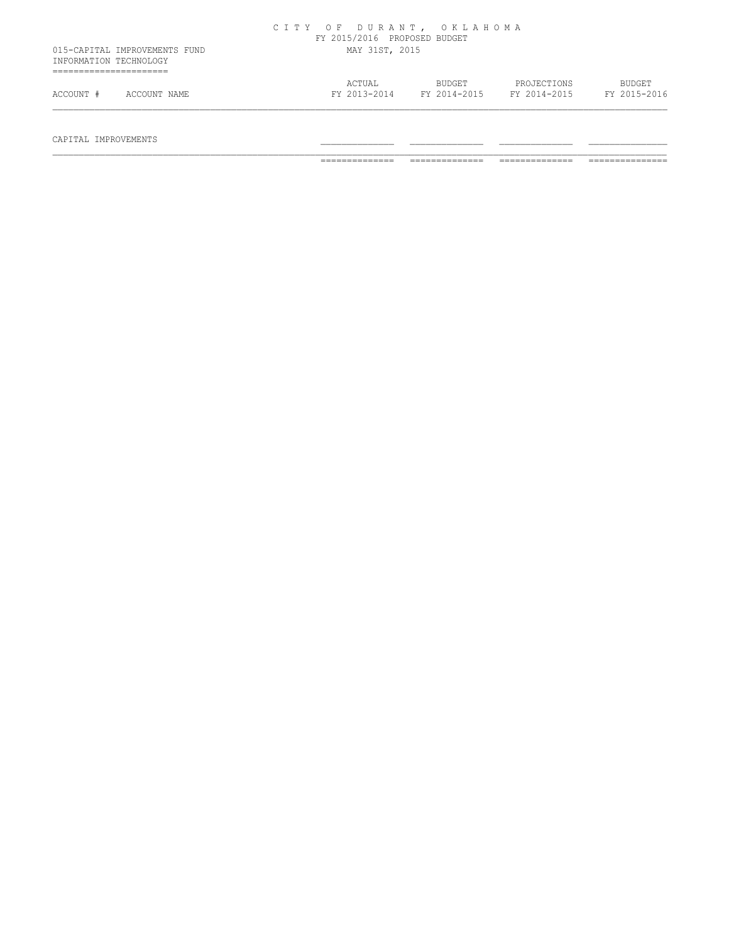|                        |                               | CITY OF DURANT, OKLAHOMA | FY 2015/2016 PROPOSED BUDGET |                        |                             |                               |
|------------------------|-------------------------------|--------------------------|------------------------------|------------------------|-----------------------------|-------------------------------|
| INFORMATION TECHNOLOGY | 015-CAPITAL IMPROVEMENTS FUND |                          | MAY 31ST, 2015               |                        |                             |                               |
| ACCOUNT #              | ACCOUNT NAME                  |                          | ACTUAL<br>FY 2013-2014       | BUDGET<br>FY 2014-2015 | PROJECTIONS<br>FY 2014-2015 | <b>BUDGET</b><br>FY 2015-2016 |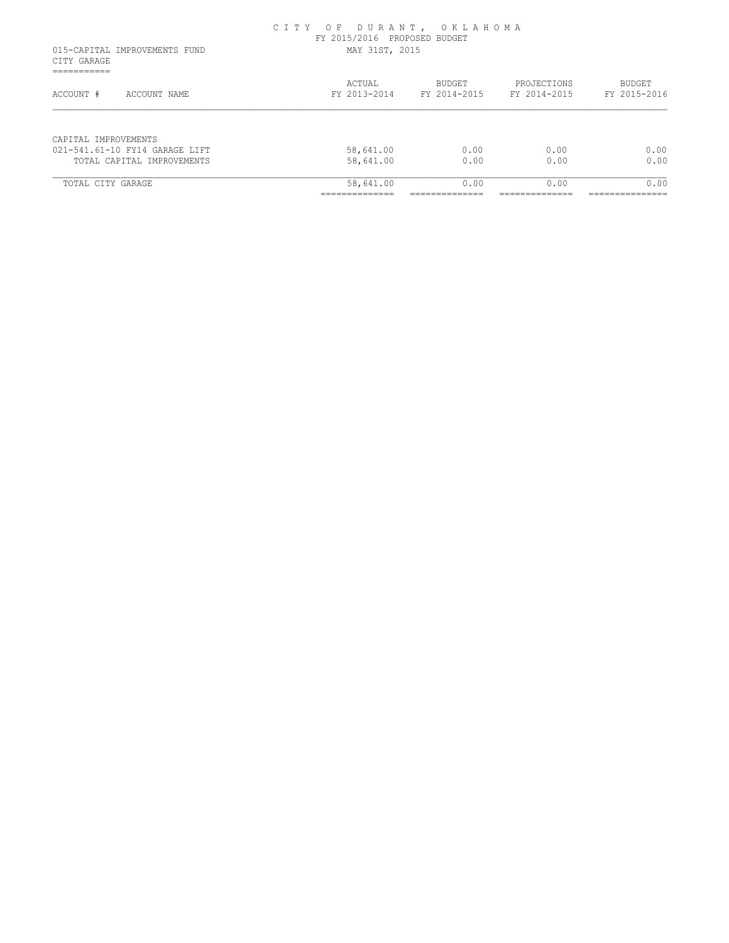|                                                             | CITY OF DURANT, OKLAHOMA | FY 2015/2016 PROPOSED BUDGET |               |              |                |                |
|-------------------------------------------------------------|--------------------------|------------------------------|---------------|--------------|----------------|----------------|
| 015-CAPITAL IMPROVEMENTS FUND<br>CITY GARAGE<br>=========== | MAY 31ST, 2015           |                              |               |              |                |                |
|                                                             |                          | ACTUAL                       |               | BUDGET       | PROJECTIONS    | <b>BUDGET</b>  |
| ACCOUNT #<br>ACCOUNT NAME                                   |                          | FY 2013-2014                 |               | FY 2014-2015 | FY 2014-2015   | FY 2015-2016   |
|                                                             |                          |                              |               |              |                |                |
| CAPITAL IMPROVEMENTS                                        |                          |                              |               |              |                |                |
| 021-541.61-10 FY14 GARAGE LIFT                              |                          | 58,641.00                    |               | 0.00         | 0.00           | 0.00           |
| TOTAL CAPITAL IMPROVEMENTS                                  |                          | 58,641.00                    |               | 0.00         | 0.00           | 0.00           |
| TOTAL CITY GARAGE                                           |                          | 58,641.00                    |               | 0.00         | 0.00           | 0.00           |
|                                                             |                          | --------------               | _____________ |              | -------------- | -------------- |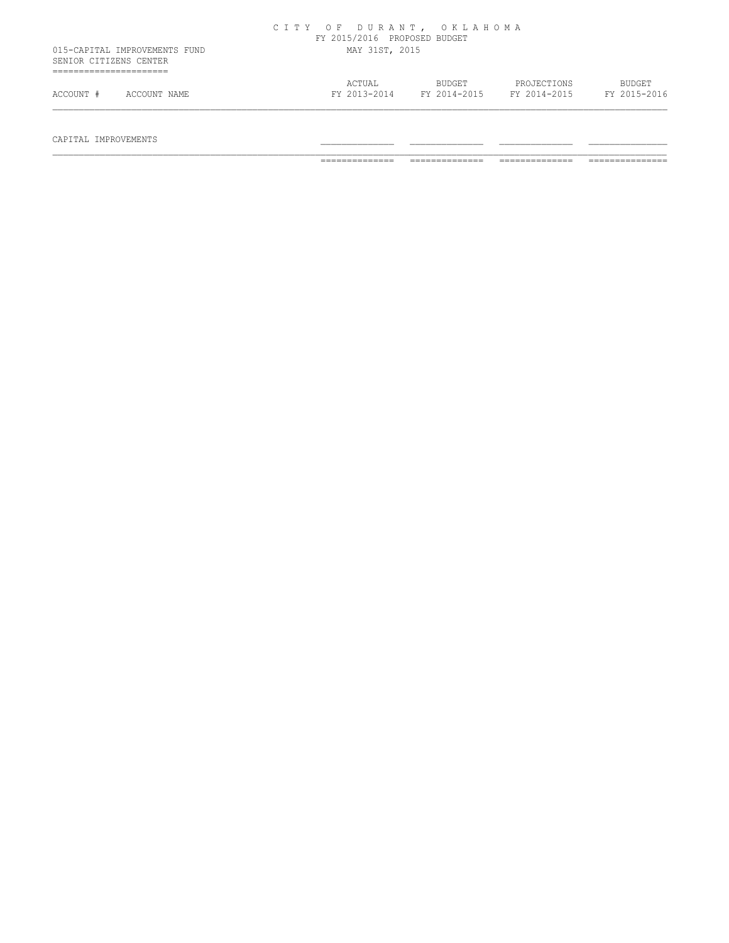| SENIOR CITIZENS CENTER | 015-CAPITAL IMPROVEMENTS FUND | CITY OF DURANT, OKLAHOMA | FY 2015/2016 PROPOSED BUDGET<br>MAY 31ST, 2015 |                        |                             |                               |
|------------------------|-------------------------------|--------------------------|------------------------------------------------|------------------------|-----------------------------|-------------------------------|
|                        |                               |                          |                                                |                        |                             |                               |
| ACCOUNT #              | ACCOUNT NAME                  |                          | ACTUAL<br>FY 2013-2014                         | BUDGET<br>FY 2014-2015 | PROJECTIONS<br>FY 2014-2015 | <b>BUDGET</b><br>FY 2015-2016 |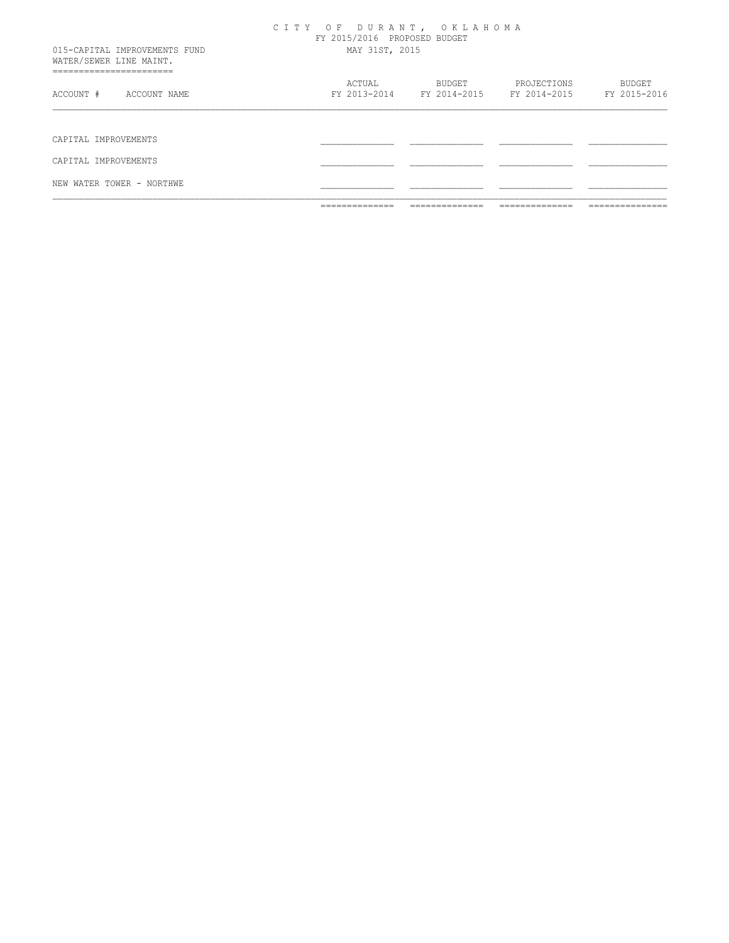|                                                                                     | _____________<br>______________ | _____________<br>______________ | _____________<br>______________                       | _____________<br>______________ |
|-------------------------------------------------------------------------------------|---------------------------------|---------------------------------|-------------------------------------------------------|---------------------------------|
| NEW WATER TOWER - NORTHWE                                                           |                                 |                                 |                                                       |                                 |
| CAPITAL IMPROVEMENTS                                                                |                                 |                                 |                                                       |                                 |
| CAPITAL IMPROVEMENTS                                                                |                                 |                                 |                                                       |                                 |
| ACCOUNT #<br>ACCOUNT NAME                                                           | ACTUAL                          | <b>BUDGET</b>                   | PROJECTIONS<br>FY 2013-2014 FY 2014-2015 FY 2014-2015 | <b>BUDGET</b><br>FY 2015-2016   |
| 015-CAPITAL IMPROVEMENTS FUND<br>WATER/SEWER LINE MAINT.<br>_______________________ | MAY 31ST, 2015                  | FY 2015/2016 PROPOSED BUDGET    |                                                       |                                 |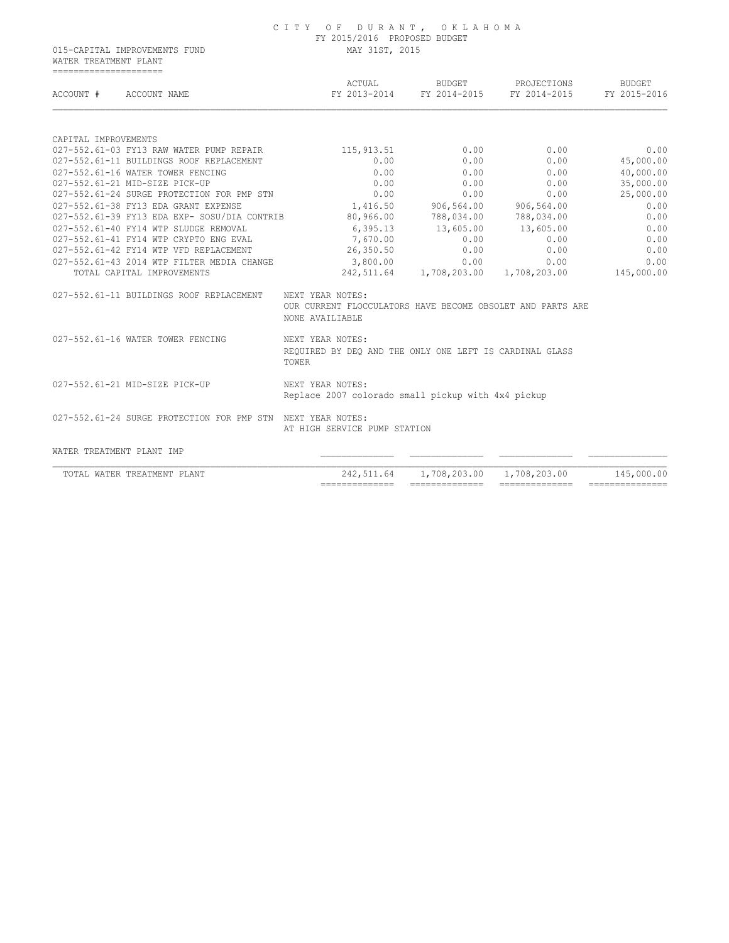WATER TREATMENT PLANT =====================

| ACCOUNT #<br>ACCOUNT NAME                |                                                             | ACTUAL                                                                                            | BUDGET<br>FY 2013-2014 FY 2014-2015 | PROJECTIONS<br>FY 2014-2015                     | <b>BUDGET</b><br>FY 2015-2016 |
|------------------------------------------|-------------------------------------------------------------|---------------------------------------------------------------------------------------------------|-------------------------------------|-------------------------------------------------|-------------------------------|
| CAPITAL IMPROVEMENTS                     |                                                             |                                                                                                   |                                     |                                                 |                               |
|                                          | 027-552.61-03 FY13 RAW WATER PUMP REPAIR                    | 115, 913.51                                                                                       | 0.00                                | 0.00                                            | 0.00                          |
| 027-552.61-11 BUILDINGS ROOF REPLACEMENT |                                                             | 0.00                                                                                              | 0.00                                | 0.00                                            | 45,000.00                     |
| 027-552.61-16 WATER TOWER FENCING        |                                                             | 0.00                                                                                              | 0.00                                | 0.00                                            | 40,000.00                     |
| 027-552.61-21 MID-SIZE PICK-UP           |                                                             | 0.00                                                                                              | 0.00                                | 0.00                                            | 35,000.00                     |
|                                          | 027-552.61-24 SURGE PROTECTION FOR PMP STN                  | 0.00                                                                                              | 0.00                                | 0.00                                            | 25,000.00                     |
| 027-552.61-38 FY13 EDA GRANT EXPENSE     |                                                             |                                                                                                   | 1,416.50 906,564.00 906,564.00      |                                                 | 0.00                          |
|                                          | 027-552.61-39 FY13 EDA EXP- SOSU/DIA CONTRIB                | 80,966.00                                                                                         |                                     | 788,034.00 788,034.00                           | 0.00                          |
| 027-552.61-40 FY14 WTP SLUDGE REMOVAL    |                                                             |                                                                                                   | $6,395.13$ $13,605.00$ $13,605.00$  |                                                 | 0.00                          |
| 027-552.61-41 FY14 WTP CRYPTO ENG EVAL   |                                                             | 7,670.00                                                                                          | 0.00                                | 0.00                                            | 0.00                          |
| 027-552.61-42 FY14 WTP VFD REPLACEMENT   |                                                             | 26,350.50                                                                                         | 0.00                                | 0.00                                            | 0.00                          |
|                                          | 027-552.61-43 2014 WTP FILTER MEDIA CHANGE                  | 3,800.00                                                                                          | 0.00                                | 0.00                                            | 0.00                          |
| TOTAL CAPITAL IMPROVEMENTS               |                                                             |                                                                                                   |                                     | 242,511.64 1,708,203.00 1,708,203.00 145,000.00 |                               |
|                                          | 027-552.61-11 BUILDINGS ROOF REPLACEMENT                    | NEXT YEAR NOTES:<br>OUR CURRENT FLOCCULATORS HAVE BECOME OBSOLET AND PARTS ARE<br>NONE AVAILIABLE |                                     |                                                 |                               |
| 027-552.61-16 WATER TOWER FENCING        |                                                             | NEXT YEAR NOTES:<br>REQUIRED BY DEO AND THE ONLY ONE LEFT IS CARDINAL GLASS<br>TOWER              |                                     |                                                 |                               |
| 027-552.61-21 MID-SIZE PICK-UP           |                                                             | NEXT YEAR NOTES:<br>Replace 2007 colorado small pickup with 4x4 pickup                            |                                     |                                                 |                               |
|                                          | 027-552.61-24 SURGE PROTECTION FOR PMP STN NEXT YEAR NOTES: | AT HIGH SERVICE PUMP STATION                                                                      |                                     |                                                 |                               |
|                                          |                                                             |                                                                                                   |                                     |                                                 |                               |
| WATER TREATMENT PLANT IMP                |                                                             |                                                                                                   |                                     |                                                 |                               |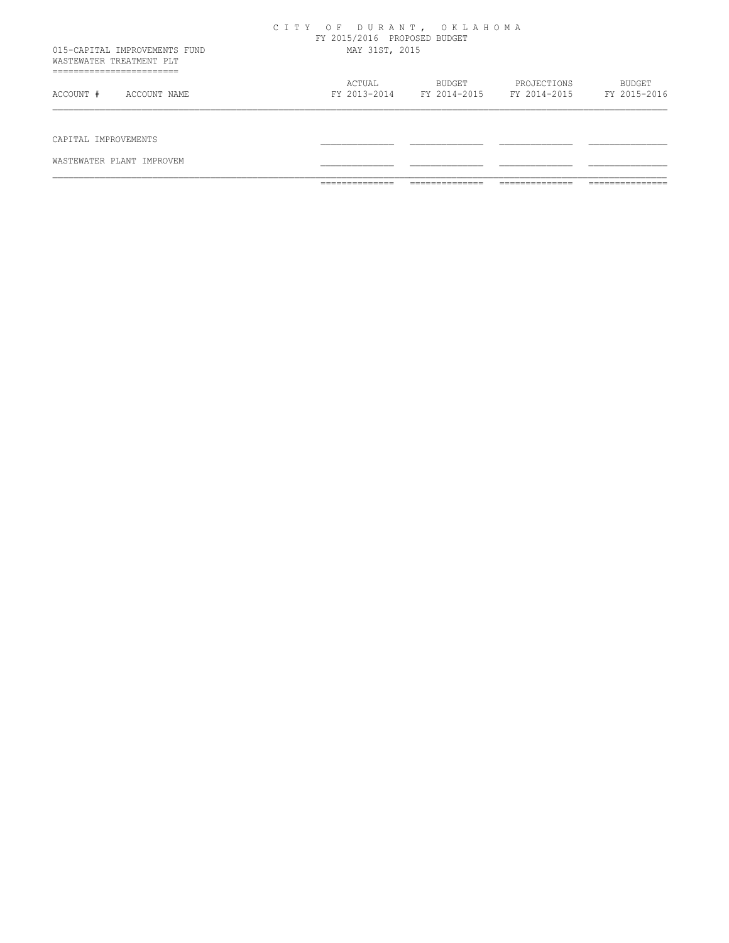|                                                           | ______________<br>______________ | ______________<br>______________       | ______________<br>_______________ | _______________<br>________________ |
|-----------------------------------------------------------|----------------------------------|----------------------------------------|-----------------------------------|-------------------------------------|
| WASTEWATER PLANT IMPROVEM                                 |                                  |                                        |                                   |                                     |
| CAPITAL IMPROVEMENTS                                      |                                  |                                        |                                   |                                     |
| ACCOUNT #<br>ACCOUNT NAME                                 |                                  | FY 2013-2014 FY 2014-2015 FY 2014-2015 |                                   | FY 2015-2016                        |
| ________________________<br>----------------------------- | ACTUAL                           | BUDGET                                 | PROJECTIONS                       | <b>BUDGET</b>                       |
| 015-CAPITAL IMPROVEMENTS FUND<br>WASTEWATER TREATMENT PLT | MAY 31ST, 2015                   |                                        |                                   |                                     |
|                                                           | CITY OF DURANT, OKLAHOMA         | FY 2015/2016 PROPOSED BUDGET           |                                   |                                     |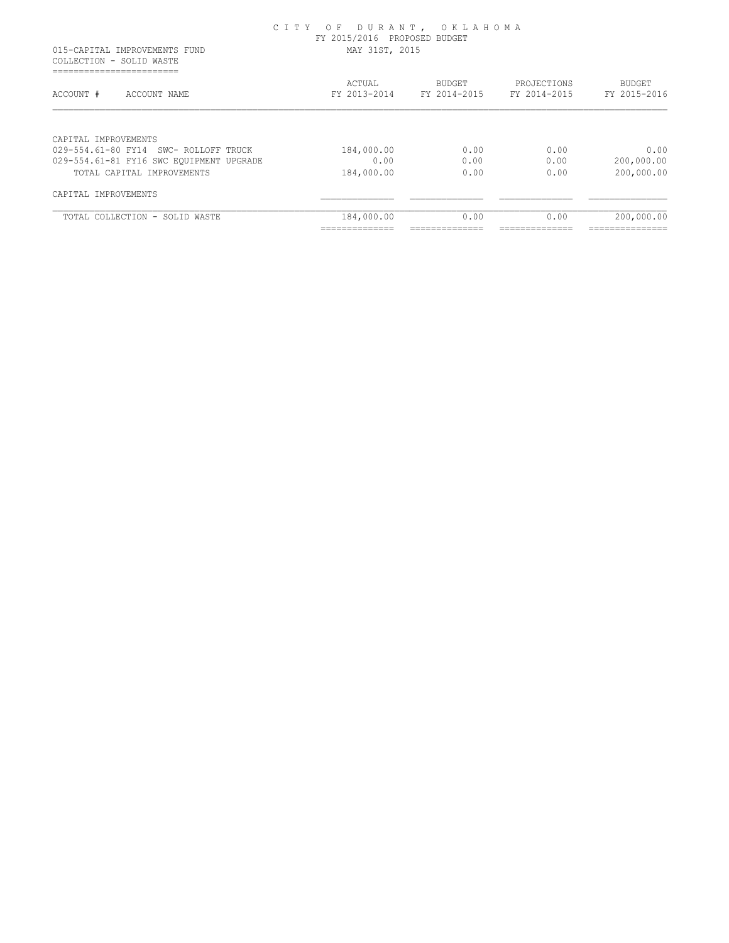015-CAPITAL IMPROVEMENTS FUND MAY 31ST, 2015 COLLECTION - SOLID WASTE ===========================

| ACTUAL<br>FY 2013-2014 | BUDGET<br>FY 2014-2015 | PROJECTIONS<br>FY 2014-2015 | BUDGET<br>FY 2015-2016 |
|------------------------|------------------------|-----------------------------|------------------------|
|                        |                        |                             |                        |
| 184,000.00             | 0.00                   | 0.00                        | 0.00                   |
| 0.00                   | 0.00                   | 0.00                        | 200,000.00             |
| 184,000.00             | 0.00                   | 0.00                        | 200,000.00             |
|                        |                        |                             |                        |
| 184,000.00             | 0.00                   | 0.00                        | 200,000.00             |
|                        |                        |                             |                        |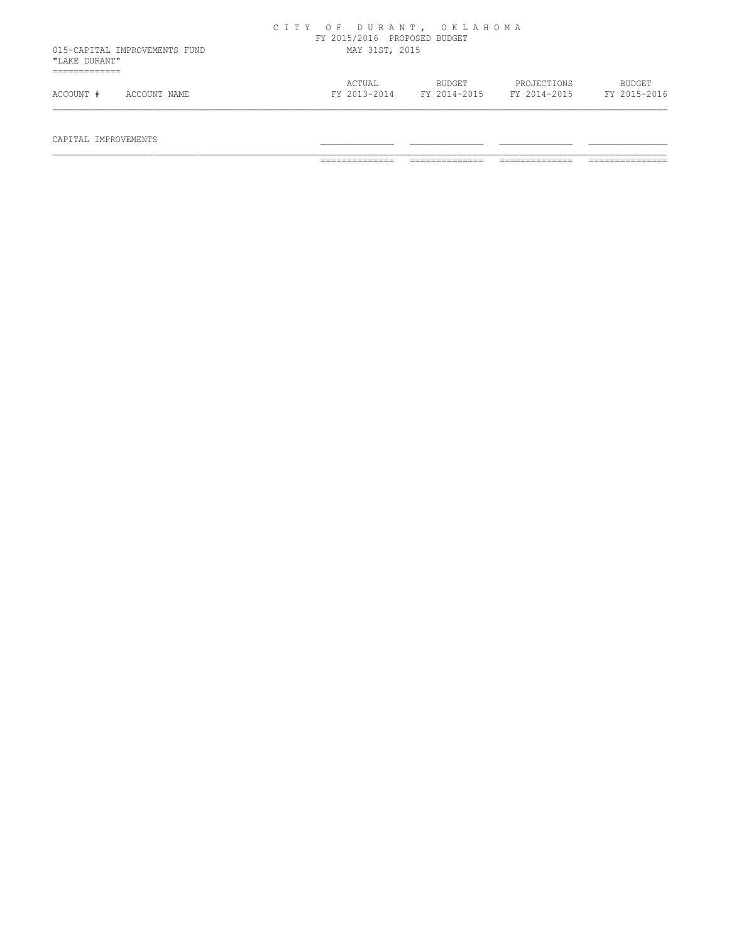|               |                               | CITY OF DURANT, OKLAHOMA | FY 2015/2016 PROPOSED BUDGET |                               |                             |                               |
|---------------|-------------------------------|--------------------------|------------------------------|-------------------------------|-----------------------------|-------------------------------|
| "LAKE DURANT" | 015-CAPITAL IMPROVEMENTS FUND |                          | MAY 31ST, 2015               |                               |                             |                               |
| ACCOUNT #     | ACCOUNT NAME                  |                          | ACTUAL<br>FY 2013-2014       | <b>BUDGET</b><br>FY 2014-2015 | PROJECTIONS<br>FY 2014-2015 | <b>BUDGET</b><br>FY 2015-2016 |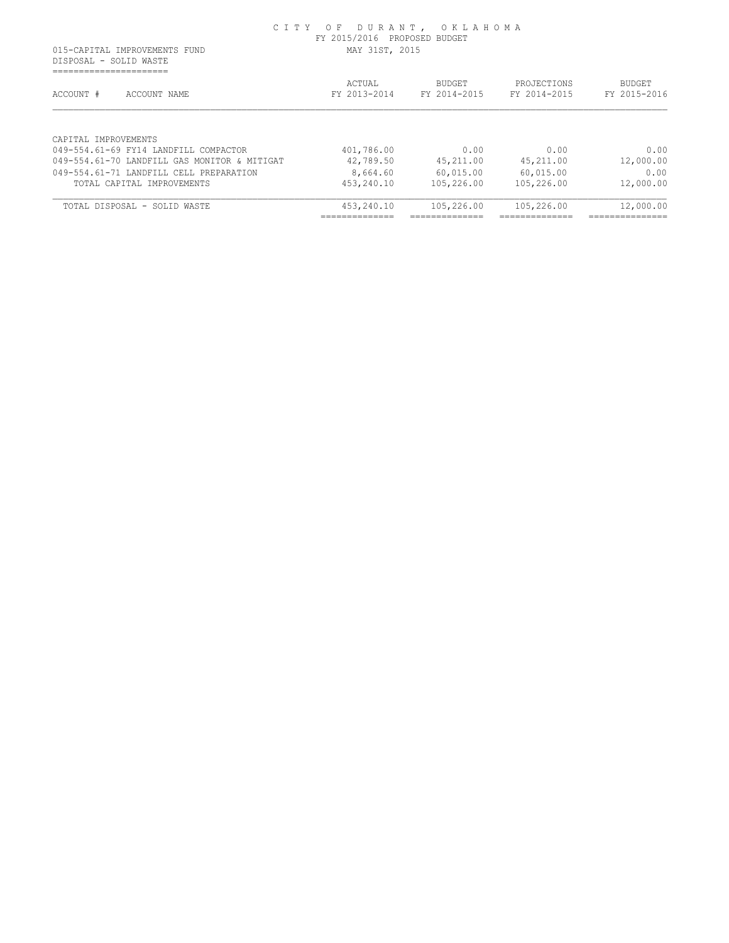DISPOSAL - SOLID WASTE ======================

| ACCOUNT #<br>ACCOUNT NAME                                                             | ACTUAL<br>FY 2013-2014                         | <b>BUDGET</b><br>FY 2014-2015 | PROJECTIONS<br>FY 2014-2015 | <b>BUDGET</b><br>FY 2015-2016 |
|---------------------------------------------------------------------------------------|------------------------------------------------|-------------------------------|-----------------------------|-------------------------------|
| CAPTTAL IMPROVEMENTS                                                                  |                                                |                               |                             |                               |
| 049-554.61-69 FY14 LANDFILL COMPACTOR<br>049-554.61-70 LANDFILL GAS MONITOR & MITIGAT | 401,786.00<br>42,789.50                        | 0.00<br>45,211.00             | 0.00<br>45,211.00           | 0.00<br>12,000.00             |
| 049-554.61-71 LANDFILL CELL PREPARATION                                               |                                                |                               |                             | 0.00                          |
| TOTAL CAPITAL IMPROVEMENTS                                                            | 8,664.60<br>453,240.10                         | 60,015.00<br>105,226.00       | 60,015.00<br>105,226.00     | 12,000.00                     |
| TOTAL DISPOSAL - SOLID WASTE                                                          | 453,240.10                                     | 105,226.00                    | 105,226.00                  | 12,000.00                     |
|                                                                                       | . _ _ _ _ _ _ _ _ _ _ _ _ _<br>--------------- | ---------------               |                             | ______________                |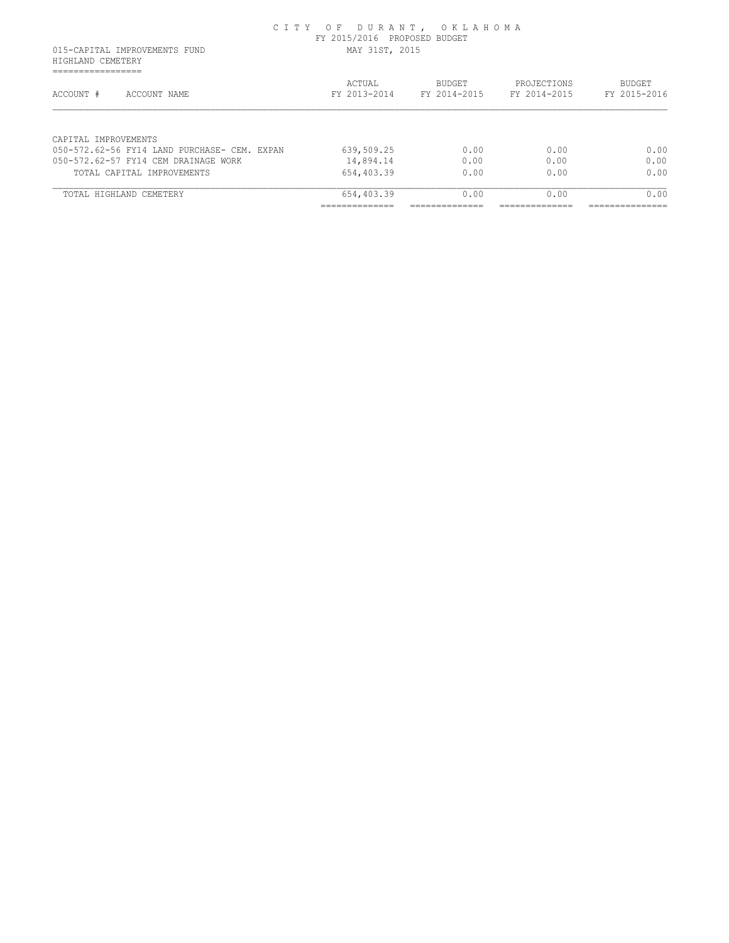| 015-CAPITAL IMPROVEMENTS FUND<br>HIGHLAND CEMETERY                     | MAY 31ST, 2015         |                               |                             |                        |
|------------------------------------------------------------------------|------------------------|-------------------------------|-----------------------------|------------------------|
| _________________<br>--------------------<br>ACCOUNT #<br>ACCOUNT NAME | ACTUAL<br>FY 2013-2014 | <b>BUDGET</b><br>FY 2014-2015 | PROJECTIONS<br>FY 2014-2015 | BUDGET<br>FY 2015-2016 |
| CAPITAL IMPROVEMENTS                                                   |                        |                               |                             |                        |
| 050-572.62-56 FY14 LAND PURCHASE- CEM. EXPAN                           | 639,509.25             | 0.00                          | 0.00                        | 0.00                   |
| 050-572.62-57 FY14 CEM DRAINAGE WORK                                   | 14,894.14              | 0.00                          | 0.00                        | 0.00                   |
| TOTAL CAPITAL IMPROVEMENTS                                             | 654,403.39             | 0.00                          | 0.00                        | 0.00                   |
| TOTAL HIGHLAND CEMETERY                                                | 654,403.39             | 0.00                          | 0.00                        | 0.00                   |
|                                                                        |                        |                               |                             |                        |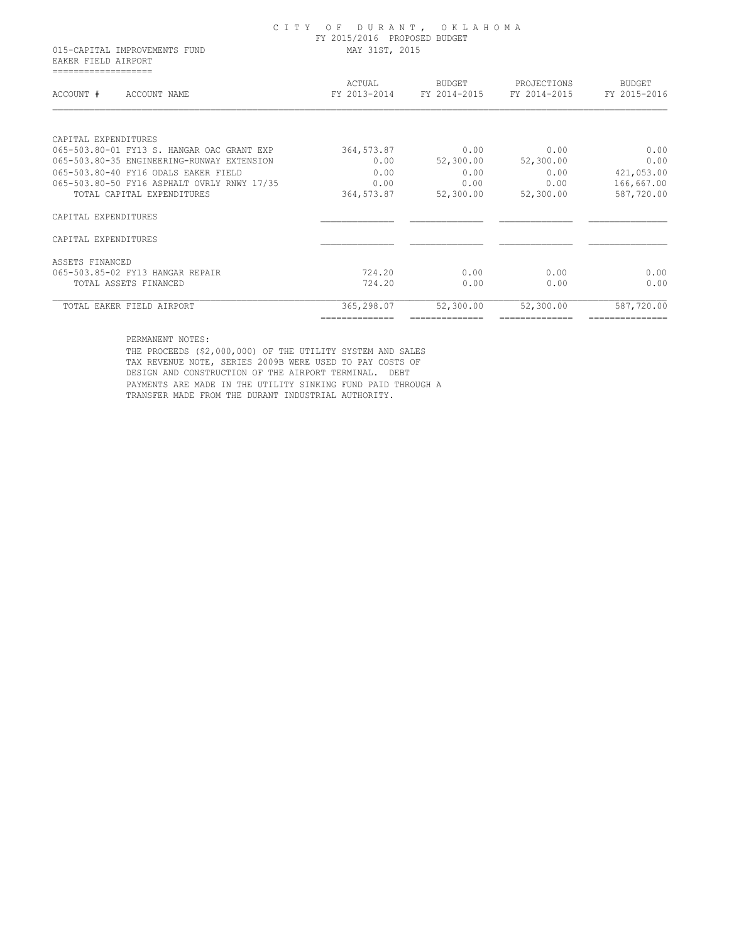015-CAPITAL IMPROVEMENTS FUND MAY 31ST, 2015 EAKER FIELD AIRPORT ===================

| ACCOUNT #<br>ACCOUNT NAME                   | ACTUAL<br>FY 2013-2014 | <b>BUDGET</b><br>FY 2014-2015 | PROJECTIONS<br>FY 2014-2015 | <b>BUDGET</b><br>FY 2015-2016 |
|---------------------------------------------|------------------------|-------------------------------|-----------------------------|-------------------------------|
| CAPITAL EXPENDITURES                        |                        |                               |                             |                               |
| 065-503.80-01 FY13 S. HANGAR OAC GRANT EXP  | 364,573.87             | 0.00                          | 0.00                        | 0.00                          |
| 065-503.80-35 ENGINEERING-RUNWAY EXTENSION  | 0.00                   | 52,300.00                     | 52,300.00                   | 0.00                          |
| 065-503.80-40 FY16 ODALS EAKER FIELD        | 0.00                   | 0.00                          | 0.00                        | 421,053.00                    |
| 065-503.80-50 FY16 ASPHALT OVRLY RNWY 17/35 | 0.00                   | 0.00                          | 0.00                        | 166,667.00                    |
| TOTAL CAPITAL EXPENDITURES                  | 364,573.87             | 52,300.00                     | 52,300.00                   | 587,720.00                    |
| CAPITAL EXPENDITURES                        |                        |                               |                             |                               |
| CAPITAL EXPENDITURES                        |                        |                               |                             |                               |
| ASSETS FINANCED                             |                        |                               |                             |                               |
| 065-503.85-02 FY13 HANGAR REPAIR            | 724.20                 | 0.00                          | 0.00                        | 0.00                          |
| TOTAL ASSETS FINANCED                       | 724.20                 | 0.00                          | 0.00                        | 0.00                          |
| TOTAL EAKER FIELD AIRPORT                   | 365,298.07             | 52,300.00                     | 52,300.00                   | 587,720.00                    |
|                                             |                        |                               |                             |                               |

PERMANENT NOTES:

 THE PROCEEDS (\$2,000,000) OF THE UTILITY SYSTEM AND SALES TAX REVENUE NOTE, SERIES 2009B WERE USED TO PAY COSTS OF DESIGN AND CONSTRUCTION OF THE AIRPORT TERMINAL. DEBT PAYMENTS ARE MADE IN THE UTILITY SINKING FUND PAID THROUGH A TRANSFER MADE FROM THE DURANT INDUSTRIAL AUTHORITY.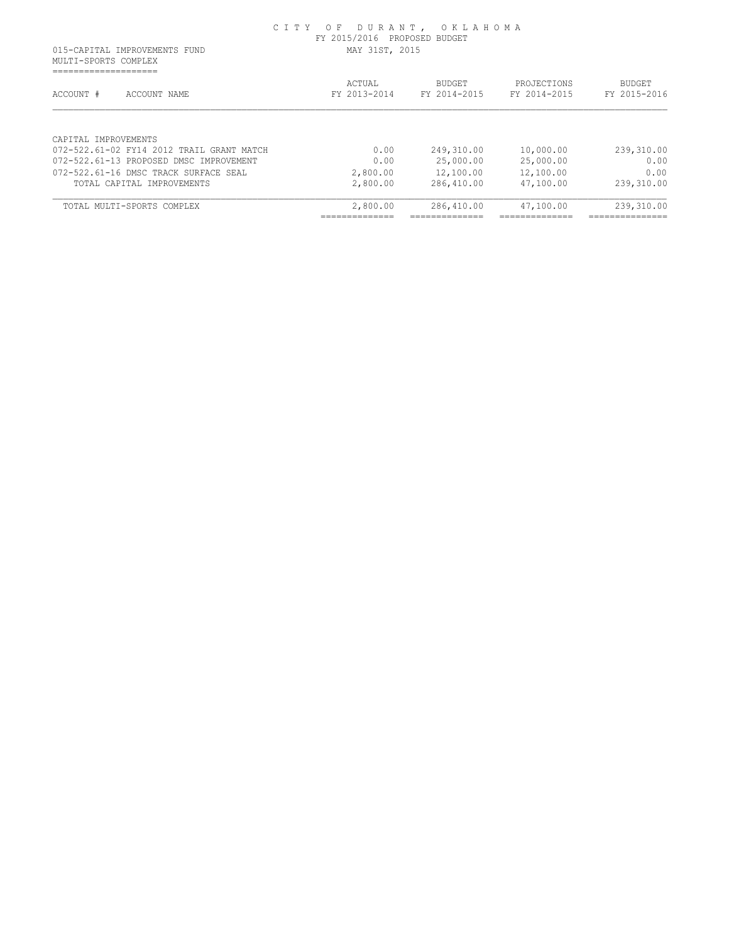MULTI-SPORTS COMPLEX ====================

| ACCOUNT #<br>ACCOUNT NAME                 | ACTUAL<br>FY 2013-2014                         | <b>BUDGET</b><br>FY 2014-2015 | PROJECTIONS<br>FY 2014-2015 | <b>BUDGET</b><br>FY 2015-2016 |
|-------------------------------------------|------------------------------------------------|-------------------------------|-----------------------------|-------------------------------|
| CAPTTAL IMPROVEMENTS                      |                                                |                               |                             |                               |
| 072-522.61-02 FY14 2012 TRAIL GRANT MATCH | 0.00                                           | 249,310.00                    | 10,000.00                   | 239,310.00                    |
| 072-522.61-13 PROPOSED DMSC IMPROVEMENT   | 0.00                                           | 25,000.00                     | 25,000.00                   | 0.00                          |
| 072-522.61-16 DMSC TRACK SURFACE SEAL     | 2,800.00                                       | 12,100.00                     | 12,100.00                   | 0.00                          |
| TOTAL CAPITAL IMPROVEMENTS                | 2,800.00                                       | 286,410.00                    | 47,100.00                   | 239,310.00                    |
| TOTAL MULTI-SPORTS COMPLEX                | 2,800.00                                       | 286,410.00                    | 47,100.00                   | 239,310.00                    |
|                                           | . _ _ _ _ _ _ _ _ _ _ _ _ _<br>--------------- | ---------------               | ---------------             | ----------------              |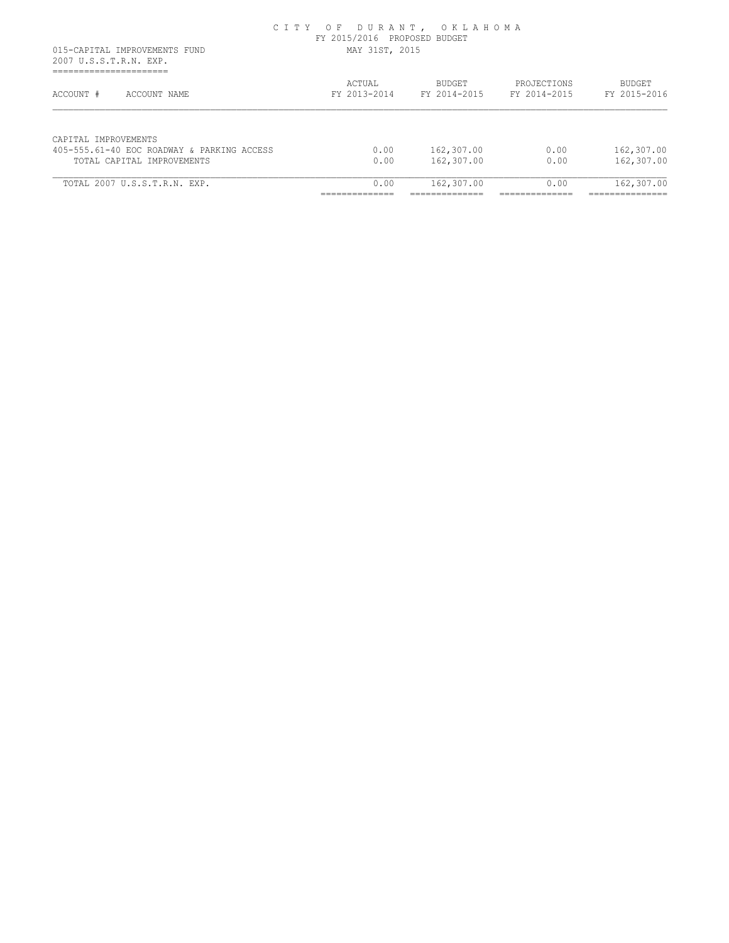|                                                                    | CITY OF DURANT, OKLAHOMA<br>FY 2015/2016 PROPOSED BUDGET |                               |                             |                        |
|--------------------------------------------------------------------|----------------------------------------------------------|-------------------------------|-----------------------------|------------------------|
| 015-CAPITAL IMPROVEMENTS FUND<br>2007 U.S.S.T.R.N. EXP.            | MAY 31ST, 2015                                           |                               |                             |                        |
| ACCOUNT #<br>ACCOUNT NAME                                          | ACTUAL<br>FY 2013-2014                                   | <b>BUDGET</b><br>FY 2014-2015 | PROJECTIONS<br>FY 2014-2015 | BUDGET<br>FY 2015-2016 |
| CAPTTAL IMPROVEMENTS<br>405-555.61-40 EOC ROADWAY & PARKING ACCESS | 0.00                                                     | 162,307.00                    | 0.00                        | 162,307.00             |
| TOTAL CAPITAL IMPROVEMENTS                                         | 0.00                                                     | 162,307.00                    | 0.00                        | 162,307.00             |
| TOTAL 2007 U.S.S.T.R.N. EXP.                                       | 0.00                                                     | 162,307.00                    | 0.00                        | 162,307.00             |
|                                                                    |                                                          |                               |                             |                        |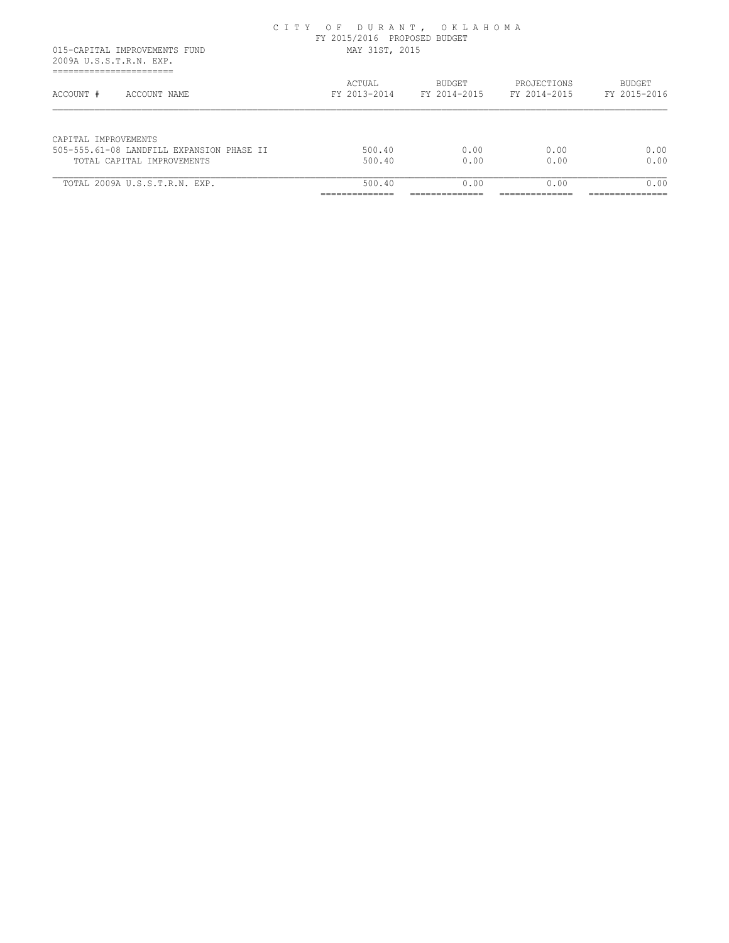|                                                                                      | CITY OF DURANT, OKLAHOMA<br>FY 2015/2016 PROPOSED BUDGET<br>MAY 31ST, 2015 |                               |                             |                               |
|--------------------------------------------------------------------------------------|----------------------------------------------------------------------------|-------------------------------|-----------------------------|-------------------------------|
| 015-CAPITAL IMPROVEMENTS FUND<br>2009A U.S.S.T.R.N. EXP.<br>------------------------ |                                                                            |                               |                             |                               |
| ACCOUNT #<br>ACCOUNT NAME                                                            | ACTUAL<br>FY 2013-2014                                                     | <b>BUDGET</b><br>FY 2014-2015 | PROJECTIONS<br>FY 2014-2015 | <b>BUDGET</b><br>FY 2015-2016 |
| CAPITAL IMPROVEMENTS                                                                 |                                                                            |                               |                             |                               |
| 505-555.61-08 LANDFILL EXPANSION PHASE II<br>TOTAL CAPITAL IMPROVEMENTS              | 500.40<br>500.40                                                           | 0.00<br>0.00                  | 0.00<br>0.00                | 0.00<br>0.00                  |
| TOTAL 2009A U.S.S.T.R.N. EXP.                                                        | 500.40                                                                     | 0.00                          | 0.00                        | 0.00                          |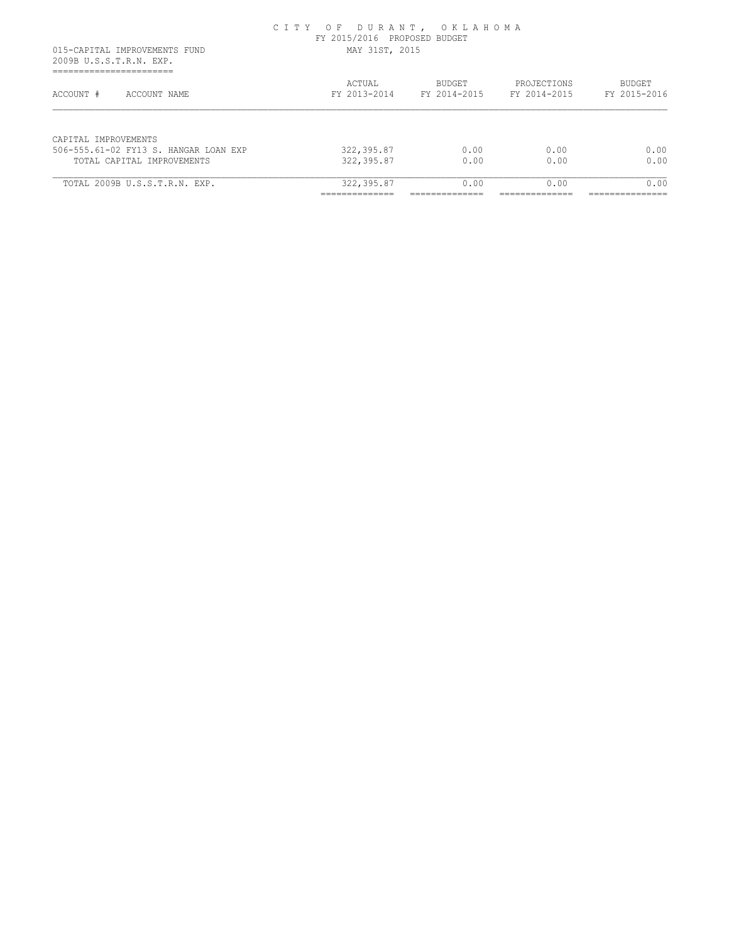| 015-CAPITAL IMPROVEMENTS FUND<br>2009B U.S.S.T.R.N. EXP.<br>______________________ | CITY OF DURANT, OKLAHOMA<br>FY 2015/2016 PROPOSED BUDGET<br>MAY 31ST, 2015 |                               |                             |                               |
|------------------------------------------------------------------------------------|----------------------------------------------------------------------------|-------------------------------|-----------------------------|-------------------------------|
| -----------------------<br>ACCOUNT #<br>ACCOUNT NAME                               | ACTUAL<br>FY 2013-2014                                                     | <b>BUDGET</b><br>FY 2014-2015 | PROJECTIONS<br>FY 2014-2015 | <b>BUDGET</b><br>FY 2015-2016 |
| CAPTTAL IMPROVEMENTS<br>506-555.61-02 FY13 S. HANGAR LOAN EXP                      | 322,395.87                                                                 | 0.00                          | 0.00                        | 0.00                          |
| TOTAL CAPITAL IMPROVEMENTS                                                         | 322,395.87                                                                 | 0.00                          | 0.00                        | 0.00                          |
| TOTAL 2009B U.S.S.T.R.N. EXP.                                                      | 322,395.87                                                                 | 0.00                          | 0.00                        | 0.00                          |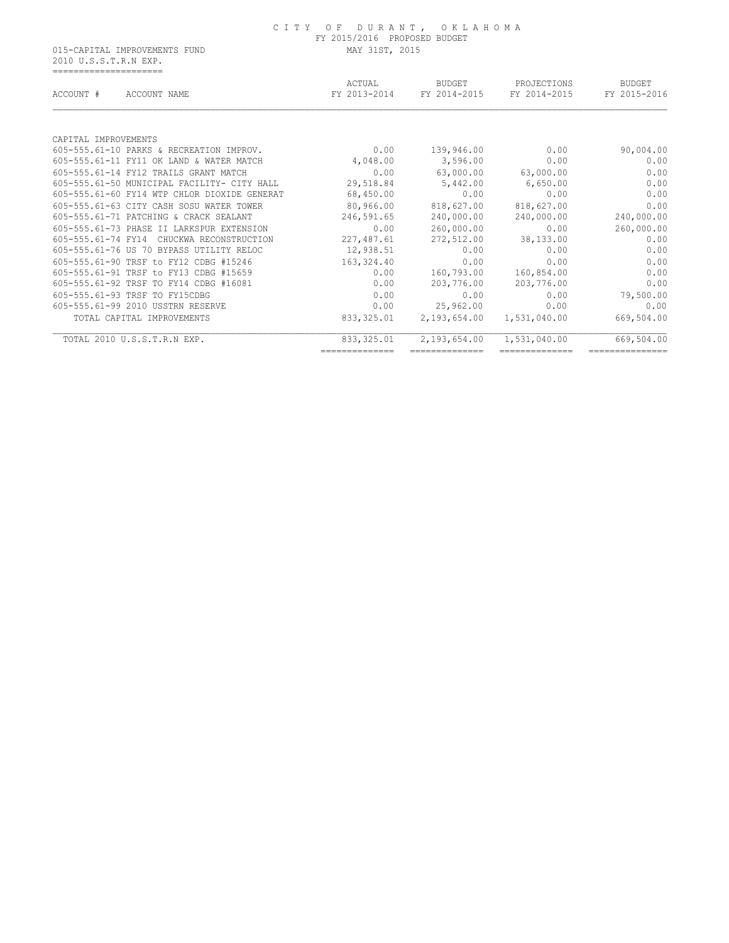015-CAPITAL IMPROVEMENTS FUND MAY 31ST, 2015 2010 U.S.S.T.R.N EXP. =====================

| ACCOUNT #<br>ACCOUNT NAME                    | ACTUAL<br>FY 2013-2014 | <b>BUDGET</b><br>FY 2014-2015 | PROJECTIONS<br>FY 2014-2015 | <b>BUDGET</b><br>FY 2015-2016 |
|----------------------------------------------|------------------------|-------------------------------|-----------------------------|-------------------------------|
| CAPITAL IMPROVEMENTS                         |                        |                               |                             |                               |
| 605-555.61-10 PARKS & RECREATION IMPROV.     | 0.00                   | 139,946.00                    | 0.00                        | 90,004.00                     |
| 605-555.61-11 FY11 OK LAND & WATER MATCH     | 4,048.00               | 3,596.00                      | 0.00                        | 0.00                          |
| 605-555.61-14 FY12 TRAILS GRANT MATCH        | 0.00                   | 63,000.00                     | 63,000.00                   | 0.00                          |
| 605-555.61-50 MUNICIPAL FACILITY- CITY HALL  | 29,518.84              | 5,442.00                      | 6,650.00                    | 0.00                          |
| 605-555.61-60 FY14 WTP CHLOR DIOXIDE GENERAT | 68,450.00              | 0.00                          | 0.00                        | 0.00                          |
| 605-555.61-63 CITY CASH SOSU WATER TOWER     | 80,966.00              | 818,627.00                    | 818,627.00                  | 0.00                          |
| 605-555.61-71 PATCHING & CRACK SEALANT       | 246,591.65             | 240,000.00                    | 240,000.00                  | 240,000.00                    |
| 605-555.61-73 PHASE II LARKSPUR EXTENSION    | 0.00                   | 260,000.00                    | 0.00                        | 260,000.00                    |
| 605-555.61-74 FY14 CHUCKWA RECONSTRUCTION    | 227,487.61             | 272,512.00                    | 38,133.00                   | 0.00                          |
| 605-555.61-76 US 70 BYPASS UTILITY RELOC     | 12,938.51              | 0.00                          | 0.00                        | 0.00                          |
| 605-555.61-90 TRSF to FY12 CDBG #15246       | 163,324.40             | 0.00                          | 0.00                        | 0.00                          |
| 605-555.61-91 TRSF to FY13 CDBG #15659       | 0.00                   | 160,793.00                    | 160,854.00                  | 0.00                          |
| 605-555.61-92 TRSF TO FY14 CDBG #16081       | 0.00                   | 203,776.00                    | 203,776.00                  | 0.00                          |
| 605-555.61-93 TRSF TO FY15CDBG               | 0.00                   | 0.00                          | 0.00                        | 79,500.00                     |
| 605-555.61-99 2010 USSTRN RESERVE            | 0.00                   | 25,962.00                     | 0.00                        | 0.00                          |
| TOTAL CAPITAL IMPROVEMENTS                   | 833, 325.01            | 2,193,654.00                  | 1,531,040.00                | 669,504.00                    |
| TOTAL 2010 U.S.S.T.R.N EXP.                  | 833, 325.01            | 2,193,654.00                  | 1,531,040.00                | 669,504.00                    |
|                                              | ==============         |                               |                             |                               |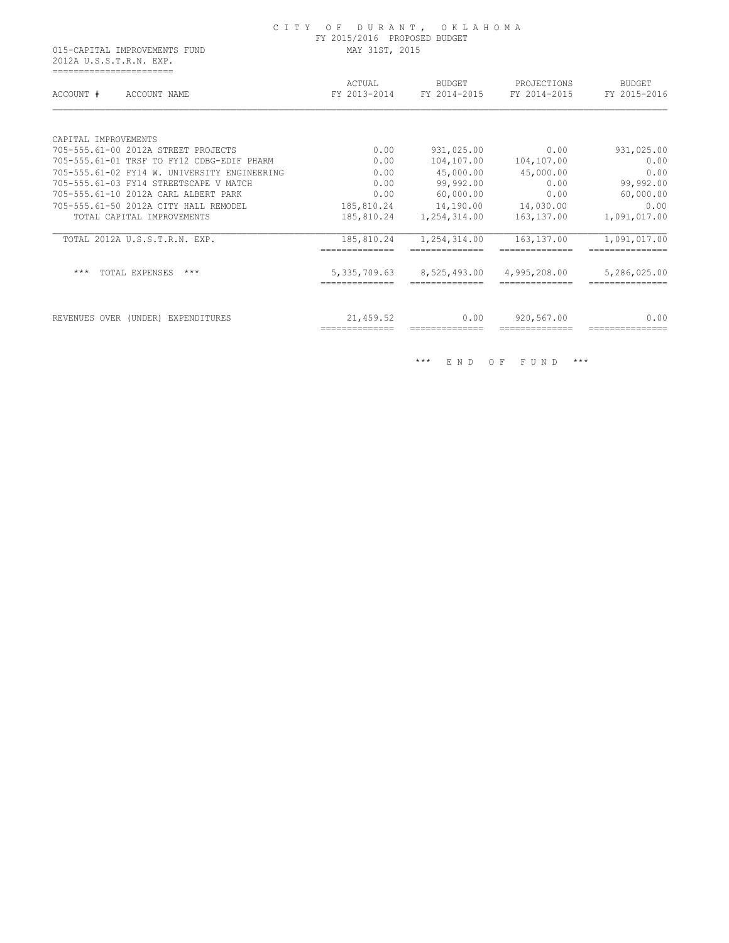#### C I T Y O F D U R A N T , O K L A H O M A FY 2015/2016 PROPOSED BUDGET 015-CAPITAL IMPROVEMENTS FUND MAY 31ST, 2015

 2012A U.S.S.T.R.N. EXP. =======================

| ACCOUNT #<br>ACCOUNT NAME              |                                              | ACTUAL<br>FY 2013-2014           | <b>BUDGET</b><br>FY 2014-2015 | PROJECTIONS<br>FY 2014-2015 | <b>BUDGET</b><br>FY 2015-2016  |
|----------------------------------------|----------------------------------------------|----------------------------------|-------------------------------|-----------------------------|--------------------------------|
|                                        |                                              |                                  |                               |                             |                                |
| CAPITAL IMPROVEMENTS                   |                                              |                                  |                               |                             |                                |
| 705-555.61-00 2012A STREET PROJECTS    |                                              | 0.00                             | 931,025.00                    | 0.00                        | 931,025.00                     |
|                                        | 705-555.61-01 TRSF TO FY12 CDBG-EDIF PHARM   | 0.00                             | 104,107.00                    | 104,107.00                  | 0.00                           |
|                                        | 705-555.61-02 FY14 W. UNIVERSITY ENGINEERING | 0.00                             | 45,000.00                     | 45,000.00                   | 0.00                           |
| 705-555.61-03 FY14 STREETSCAPE V MATCH |                                              | 0.00                             | 99,992.00                     | 0.00                        | 99,992.00                      |
| 705-555.61-10 2012A CARL ALBERT PARK   |                                              | 0.00                             | 60,000.00                     | 0.00                        | 60,000.00                      |
| 705-555.61-50 2012A CITY HALL REMODEL  |                                              | 185,810.24                       | 14,190.00                     | 14,030.00                   | 0.00                           |
| TOTAL CAPITAL IMPROVEMENTS             |                                              | 185,810.24                       | 1,254,314.00                  | 163,137.00                  | 1,091,017.00                   |
| TOTAL 2012A U.S.S.T.R.N. EXP.          |                                              | 185,810.24                       | 1,254,314.00                  | 163, 137.00                 | 1,091,017.00                   |
| $***$<br>TOTAL EXPENSES                | $***$                                        | 5, 335, 709.63<br>-------------- | 8,525,493.00<br>===========   | 4,995,208.00                | 5,286,025.00<br>============== |
| REVENUES OVER<br>(UNDER)               | <b>EXPENDITURES</b>                          | 21,459.52<br>--------------      | 0.00                          | 920,567.00                  | 0.00                           |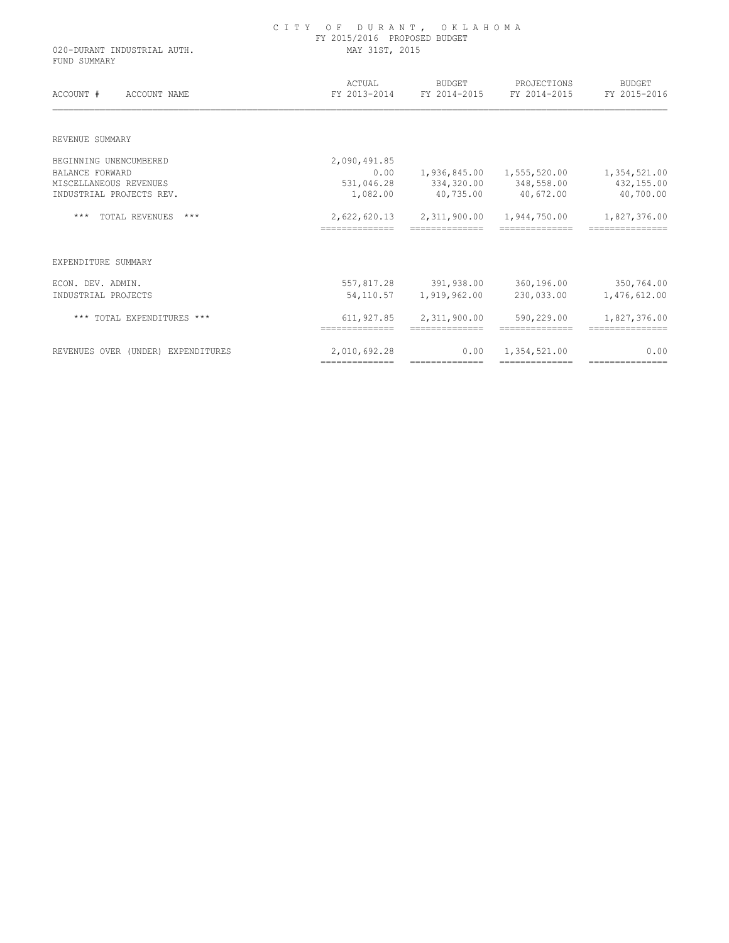| MAY 31ST, 2015               |                                |                                                                         |                                                                                                                                                                                                                                                                                                                                                                                                                                                                                                                                                                                              |  |  |
|------------------------------|--------------------------------|-------------------------------------------------------------------------|----------------------------------------------------------------------------------------------------------------------------------------------------------------------------------------------------------------------------------------------------------------------------------------------------------------------------------------------------------------------------------------------------------------------------------------------------------------------------------------------------------------------------------------------------------------------------------------------|--|--|
| ACTUAL                       | <b>BUDGET</b>                  | PROJECTIONS                                                             | <b>BUDGET</b>                                                                                                                                                                                                                                                                                                                                                                                                                                                                                                                                                                                |  |  |
|                              |                                |                                                                         | FY 2015-2016                                                                                                                                                                                                                                                                                                                                                                                                                                                                                                                                                                                 |  |  |
|                              |                                |                                                                         |                                                                                                                                                                                                                                                                                                                                                                                                                                                                                                                                                                                              |  |  |
| 2,090,491.85                 |                                |                                                                         |                                                                                                                                                                                                                                                                                                                                                                                                                                                                                                                                                                                              |  |  |
| 0.00                         |                                |                                                                         | 1,354,521.00                                                                                                                                                                                                                                                                                                                                                                                                                                                                                                                                                                                 |  |  |
| 531,046.28                   |                                |                                                                         | 432,155.00                                                                                                                                                                                                                                                                                                                                                                                                                                                                                                                                                                                   |  |  |
| 1,082.00                     | 40,735.00                      | 40,672.00                                                               | 40,700.00                                                                                                                                                                                                                                                                                                                                                                                                                                                                                                                                                                                    |  |  |
|                              |                                | 1,944,750.00                                                            | 1,827,376.00                                                                                                                                                                                                                                                                                                                                                                                                                                                                                                                                                                                 |  |  |
| ==============               | ==============                 | ==============                                                          | ==============                                                                                                                                                                                                                                                                                                                                                                                                                                                                                                                                                                               |  |  |
|                              |                                |                                                                         |                                                                                                                                                                                                                                                                                                                                                                                                                                                                                                                                                                                              |  |  |
| 557,817.28                   |                                | 360,196.00                                                              | 350,764.00                                                                                                                                                                                                                                                                                                                                                                                                                                                                                                                                                                                   |  |  |
|                              | 1,919,962.00                   | 230,033.00                                                              | 1,476,612.00                                                                                                                                                                                                                                                                                                                                                                                                                                                                                                                                                                                 |  |  |
| 611,927.85<br>============== | 2,311,900.00<br>============== | 590,229.00<br>==============                                            | 1,827,376.00<br>===============                                                                                                                                                                                                                                                                                                                                                                                                                                                                                                                                                              |  |  |
| 2,010,692.28                 | 0.00                           | 1,354,521.00                                                            | 0.00<br>---------------                                                                                                                                                                                                                                                                                                                                                                                                                                                                                                                                                                      |  |  |
|                              | FY 2013-2014                   | FY 2015/2016 PROPOSED BUDGET<br>FY 2014-2015<br>391,938.00<br>54,110.57 | FY 2014-2015<br>334, 320.00 348, 558.00<br>2,622,620.13 2,311,900.00<br>$\begin{array}{cccccccccc} \multicolumn{2}{c}{{\color{red}a}} & \multicolumn{2}{c}{{\color{red}a}} & \multicolumn{2}{c}{{\color{red}a}} & \multicolumn{2}{c}{{\color{red}a}} & \multicolumn{2}{c}{{\color{red}a}} & \multicolumn{2}{c}{{\color{red}a}} & \multicolumn{2}{c}{{\color{red}a}} & \multicolumn{2}{c}{{\color{red}a}} & \multicolumn{2}{c}{{\color{red}a}} & \multicolumn{2}{c}{{\color{red}a}} & \multicolumn{2}{c}{{\color{red}a}} & \multicolumn{2}{c}{{\color{$<br>---------------<br>--------------- |  |  |

C I T Y O F D U R A N T , O K L A H O M A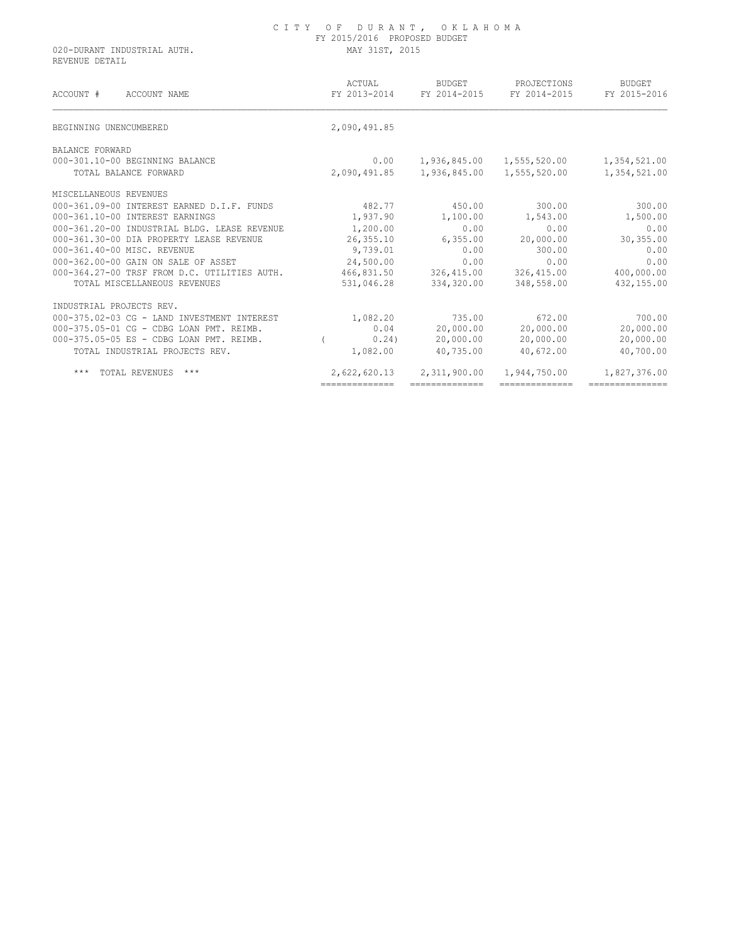020-DURANT INDUSTRIAL AUTH. MAY 31ST, 2015 REVENUE DETAIL

| ACCOUNT #<br>ACCOUNT NAME                    | ACTUAL<br>FY 2013-2014 | BUDGET<br>FY 2014-2015 | PROJECTIONS<br>FY 2014-2015 | <b>BUDGET</b><br>FY 2015-2016 |
|----------------------------------------------|------------------------|------------------------|-----------------------------|-------------------------------|
| BEGINNING UNENCUMBERED                       | 2,090,491.85           |                        |                             |                               |
| BALANCE FORWARD                              |                        |                        |                             |                               |
| 000-301.10-00 BEGINNING BALANCE              | 0.00                   | 1,936,845.00           | 1,555,520.00                | 1,354,521.00                  |
| TOTAL BALANCE FORWARD                        | 2,090,491.85           | 1,936,845.00           | 1,555,520.00                | 1,354,521.00                  |
| MISCELLANEOUS REVENUES                       |                        |                        |                             |                               |
| 000-361.09-00 INTEREST EARNED D.I.F. FUNDS   | 482.77                 | 450.00                 | 300.00                      | 300.00                        |
| 000-361.10-00 INTEREST EARNINGS              | 1,937.90               | 1,100.00               | 1,543.00                    | 1,500.00                      |
| 000-361.20-00 INDUSTRIAL BLDG. LEASE REVENUE | 1,200.00               | 0.00                   | 0.00                        | 0.00                          |
| 000-361.30-00 DIA PROPERTY LEASE REVENUE     | 26,355.10              | 6, 355.00              | 20,000.00                   | 30,355.00                     |
| 000-361.40-00 MISC. REVENUE                  | 9,739.01               | 0.00                   | 300.00                      | 0.00                          |
| 000-362.00-00 GAIN ON SALE OF ASSET          | 24,500.00              | 0.00                   | 0.00                        | 0.00                          |
| 000-364.27-00 TRSF FROM D.C. UTILITIES AUTH. | 466,831.50             | 326,415.00             | 326,415.00                  | 400,000.00                    |
| TOTAL MISCELLANEOUS REVENUES                 | 531,046.28             | 334,320.00             | 348,558.00                  | 432,155.00                    |
| INDUSTRIAL PROJECTS REV.                     |                        |                        |                             |                               |
| 000-375.02-03 CG - LAND INVESTMENT INTEREST  | 1,082.20               | 735.00                 | 672.00                      | 700.00                        |
| 000-375.05-01 CG - CDBG LOAN PMT. REIMB.     | 0.04                   | 20,000.00              | 20,000.00                   | 20,000.00                     |
| 000-375.05-05 ES - CDBG LOAN PMT. REIMB.     | 0.24                   | 20,000.00              | 20,000.00                   | 20,000.00                     |
| TOTAL INDUSTRIAL PROJECTS REV.               | 1,082.00               | 40,735.00              | 40,672.00                   | 40,700.00                     |
| $***$<br>$***$<br>TOTAL REVENUES             | 2,622,620.13           | 2,311,900.00           | 1,944,750.00                | 1,827,376.00                  |
|                                              | ==============         | ==============         | ==============              | ===============               |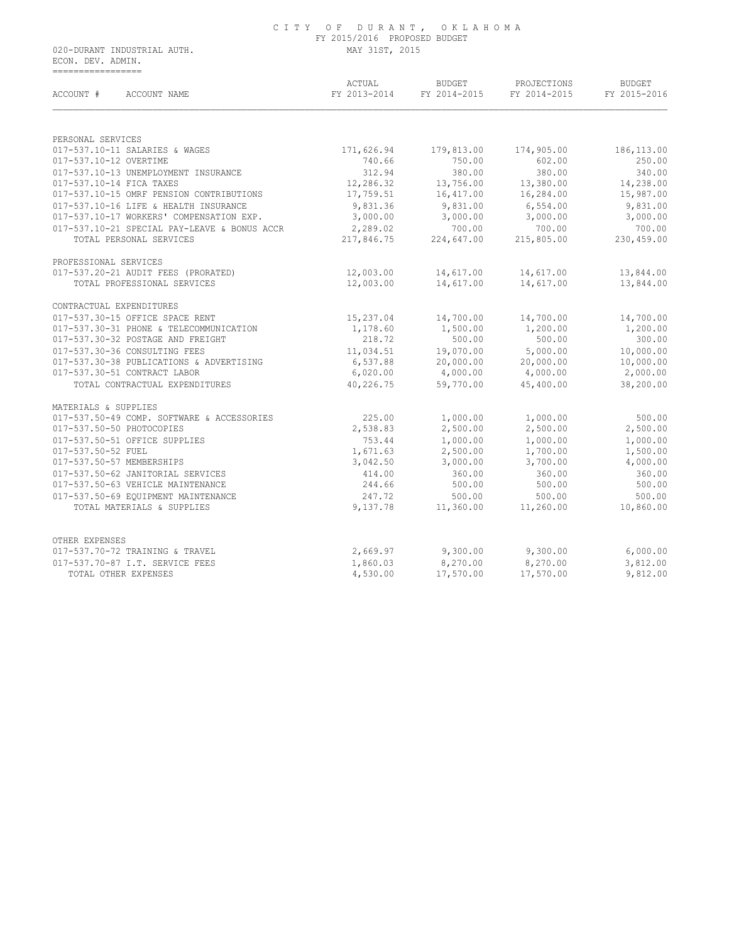020-DURANT INDUSTRIAL AUTH. MAY 31ST, 2015 ECON. DEV. ADMIN. =================

| ACCOUNT #<br>ACCOUNT NAME                         | ACTUAL<br>FY 2013-2014 | <b>BUDGET</b><br>FY 2014-2015 | PROJECTIONS<br>FY 2014-2015 | <b>BUDGET</b><br>FY 2015-2016 |  |
|---------------------------------------------------|------------------------|-------------------------------|-----------------------------|-------------------------------|--|
|                                                   |                        |                               |                             |                               |  |
| PERSONAL SERVICES                                 |                        |                               |                             |                               |  |
| 017-537.10-11 SALARIES & WAGES                    | 171,626.94             | 179,813.00                    | 174,905.00                  | 186, 113.00                   |  |
| 017-537.10-12 OVERTIME                            | 740.66                 | 750.00                        | 602.00                      | 250.00                        |  |
| 017-537.10-13 UNEMPLOYMENT INSURANCE              | 312.94                 | 380.00                        | 380.00                      | 340.00                        |  |
| 017-537.10-14 FICA TAXES                          | 12,286.32              | 13,756.00                     | 13,380.00                   | 14,238.00                     |  |
| 017-537.10-15 OMRF PENSION CONTRIBUTIONS          | 17,759.51              | 16,417.00                     | 16,284.00                   | 15,987.00                     |  |
| 017-537.10-16 LIFE & HEALTH INSURANCE             | 9,831.36               | 9,831.00                      | 6,554.00                    | 9,831.00                      |  |
| 017-537.10-17 WORKERS' COMPENSATION EXP.          | 3,000.00               | 3,000.00                      | 3,000.00                    | 3,000.00                      |  |
| 017-537.10-21 SPECIAL PAY-LEAVE & BONUS ACCR      | 2,289.02               | 700.00                        | 700.00                      | 700.00                        |  |
| TOTAL PERSONAL SERVICES                           | 217,846.75             | 224,647.00                    | 215,805.00                  | 230,459.00                    |  |
| PROFESSIONAL SERVICES                             |                        |                               |                             |                               |  |
| 017-537.20-21 AUDIT FEES (PRORATED)               | 12,003.00              | 14,617.00                     | 14,617.00                   | 13,844.00                     |  |
| TOTAL PROFESSIONAL SERVICES                       | 12,003.00              | 14,617.00                     | 14,617.00                   | 13,844.00                     |  |
| CONTRACTUAL EXPENDITURES                          |                        |                               |                             |                               |  |
| 017-537.30-15 OFFICE SPACE RENT                   | 15,237.04              | 14,700.00                     | 14,700.00                   | 14,700.00                     |  |
| 017-537.30-31 PHONE & TELECOMMUNICATION           | 1,178.60               | 1,500.00                      | 1,200.00                    | 1,200.00                      |  |
| 017-537.30-32 POSTAGE AND FREIGHT                 | 218.72                 | 500.00                        | 500.00                      | 300.00                        |  |
| 017-537.30-36 CONSULTING FEES                     | 11,034.51              | 19,070.00                     | 5,000.00                    | 10,000.00                     |  |
| 017-537.30-38 PUBLICATIONS & ADVERTISING          | 6,537.88               | 20,000.00                     | 20,000.00                   | 10,000.00                     |  |
| 017-537.30-51 CONTRACT LABOR                      | 6,020.00               | 4,000.00                      | 4,000.00                    | 2,000.00                      |  |
| TOTAL CONTRACTUAL EXPENDITURES                    | 40,226.75              | 59,770.00                     | 45,400.00                   | 38,200.00                     |  |
| MATERIALS & SUPPLIES                              |                        |                               |                             |                               |  |
| 017-537.50-49 COMP. SOFTWARE & ACCESSORIES        | 225.00                 | 1,000.00                      | 1,000.00                    | 500.00                        |  |
| 017-537.50-50 PHOTOCOPIES                         | 2,538.83               | 2,500.00                      | 2,500.00                    | 2,500.00                      |  |
| 017-537.50-51 OFFICE SUPPLIES                     | 753.44                 | 1,000.00                      | 1,000.00                    | 1,000.00                      |  |
| 017-537.50-52 FUEL                                | 1,671.63               | 2,500.00                      | 1,700.00                    | 1,500.00                      |  |
| 017-537.50-57 MEMBERSHIPS                         | 3,042.50               | 3,000.00                      | 3,700.00                    | 4,000.00                      |  |
| 017-537.50-62 JANITORIAL SERVICES                 | 414.00                 | 360.00                        | 360.00                      | 360.00                        |  |
| 017-537.50-63 VEHICLE MAINTENANCE                 | 244.66                 | 500.00                        | 500.00                      | 500.00                        |  |
| 017-537.50-69 EOUIPMENT MAINTENANCE               | 247.72                 | 500.00                        | 500.00                      | 500.00                        |  |
| TOTAL MATERIALS & SUPPLIES                        | 9,137.78               | 11,360.00                     | 11,260.00                   | 10,860.00                     |  |
|                                                   |                        |                               |                             |                               |  |
| OTHER EXPENSES<br>017-537.70-72 TRAINING & TRAVEL | 2,669.97               | 9,300.00                      | 9,300.00                    | 6,000.00                      |  |
| 017-537.70-87 I.T. SERVICE FEES                   |                        |                               |                             |                               |  |
|                                                   | 1,860.03               | 8,270.00                      | 8,270.00                    | 3,812.00<br>9,812.00          |  |
| TOTAL OTHER EXPENSES                              | 4,530.00               | 17,570.00                     | 17,570.00                   |                               |  |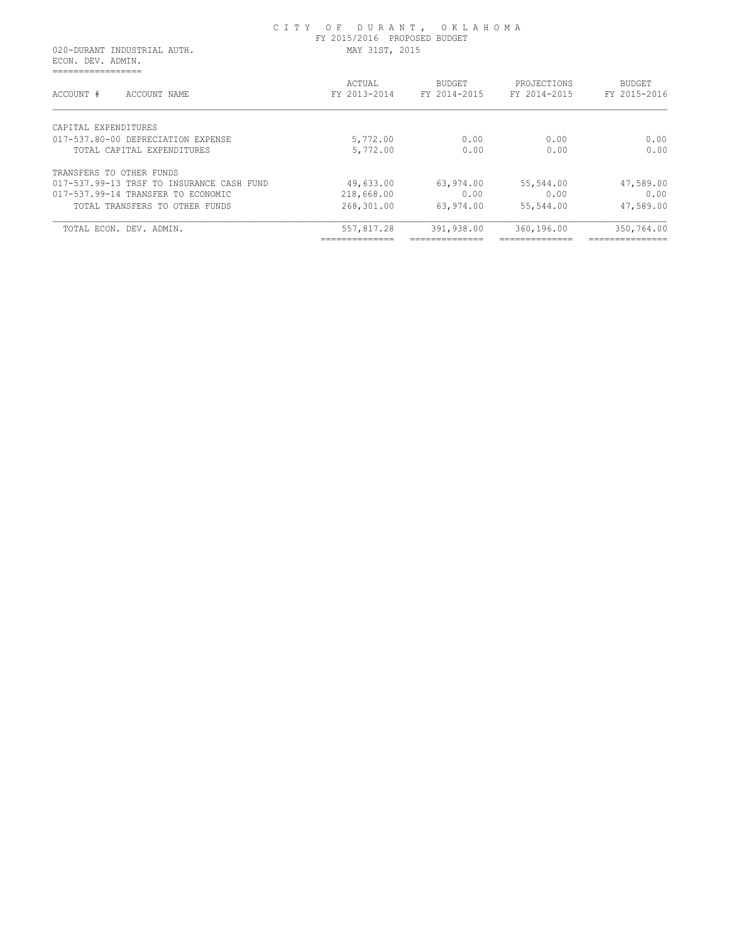020-DURANT INDUSTRIAL AUTH. MAY 31ST, 2015 ECON. DEV. ADMIN. =================

| ACCOUNT #<br>ACCOUNT NAME                 | ACTUAL<br>FY 2013-2014 | <b>BUDGET</b><br>FY 2014-2015 | PROJECTIONS<br>FY 2014-2015 | BUDGET<br>FY 2015-2016 |
|-------------------------------------------|------------------------|-------------------------------|-----------------------------|------------------------|
| CAPITAL EXPENDITURES                      |                        |                               |                             |                        |
| 017-537.80-00 DEPRECIATION EXPENSE        | 5,772.00               | 0.00                          | 0.00                        | 0.00                   |
| TOTAL CAPITAL EXPENDITURES                | 5,772.00               | 0.00                          | 0.00                        | 0.00                   |
| TRANSFERS TO OTHER FUNDS                  |                        |                               |                             |                        |
| 017-537.99-13 TRSF TO INSURANCE CASH FUND | 49,633.00              | 63,974.00                     | 55,544.00                   | 47,589.00              |
| 017-537.99-14 TRANSFER TO ECONOMIC        | 218,668.00             | 0.00                          | 0.00                        | 0.00                   |
| TOTAL TRANSFERS TO OTHER FUNDS            | 268,301.00             | 63,974.00                     | 55,544.00                   | 47,589.00              |
| TOTAL ECON. DEV. ADMIN.                   | 557,817.28             | 391,938.00                    | 360,196.00                  | 350,764.00             |
|                                           |                        |                               |                             | ______________         |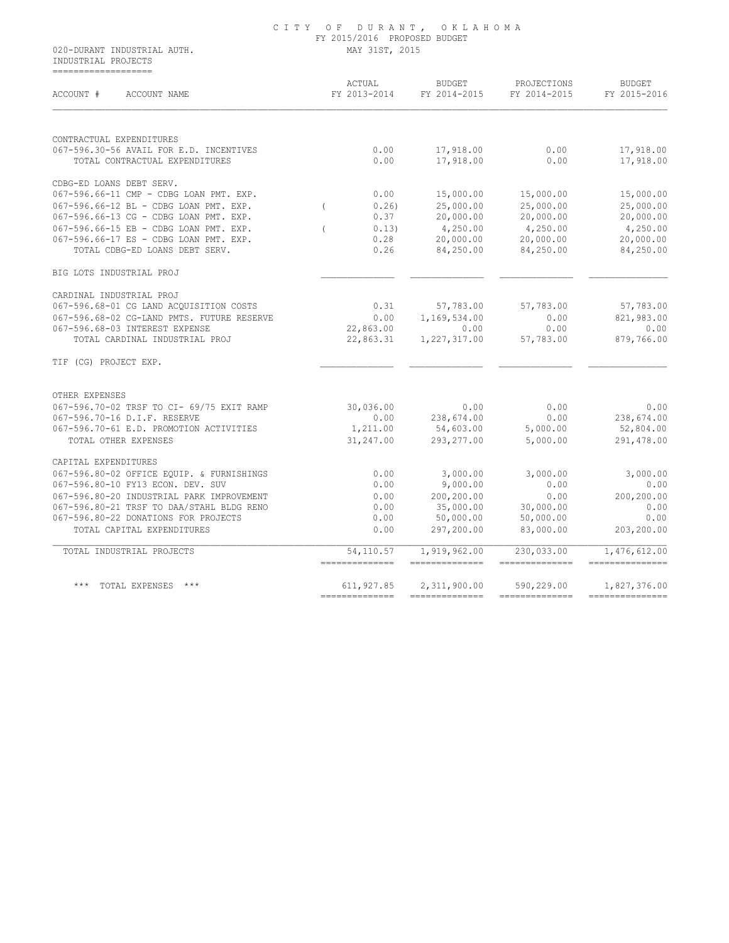#### C I T Y O F D U R A N T , O K L A H O M A FY 2015/2016 PROPOSED BUDGET 020-DURANT INDUSTRIAL AUTH. MAY 31ST, 2015

 INDUSTRIAL PROJECTS ===================

| ACCOUNT #<br>ACCOUNT NAME                  | ACTUAL<br>FY 2013-2014       | <b>BUDGET</b><br>FY 2014-2015   | PROJECTIONS<br>FY 2014-2015  | <b>BUDGET</b><br>FY 2015-2016    |  |
|--------------------------------------------|------------------------------|---------------------------------|------------------------------|----------------------------------|--|
| CONTRACTUAL EXPENDITURES                   |                              |                                 |                              |                                  |  |
| 067-596.30-56 AVAIL FOR E.D. INCENTIVES    | 0.00                         | 17,918.00                       | 0.00                         | 17,918.00                        |  |
| TOTAL CONTRACTUAL EXPENDITURES             | 0.00                         | 17,918.00                       | 0.00                         | 17,918.00                        |  |
| CDBG-ED LOANS DEBT SERV.                   |                              |                                 |                              |                                  |  |
| 067-596.66-11 CMP - CDBG LOAN PMT. EXP.    | 0.00                         | 15,000.00                       | 15,000.00                    | 15,000.00                        |  |
| 067-596.66-12 BL - CDBG LOAN PMT. EXP.     | 0.261<br>$\left($            | 25,000.00                       | 25,000.00                    | 25,000.00                        |  |
| 067-596.66-13 CG - CDBG LOAN PMT. EXP.     | 0.37                         | 20,000.00                       | 20,000.00                    | 20,000.00                        |  |
| 067-596.66-15 EB - CDBG LOAN PMT. EXP.     | 0.13)                        | 4,250.00                        | 4,250.00                     | 4,250.00                         |  |
| 067-596.66-17 ES - CDBG LOAN PMT. EXP.     | 0.28                         | 20,000.00                       | 20,000.00                    | 20,000.00                        |  |
| TOTAL CDBG-ED LOANS DEBT SERV.             | 0.26                         | 84,250.00                       | 84,250.00                    | 84,250.00                        |  |
| BIG LOTS INDUSTRIAL PROJ                   |                              |                                 |                              |                                  |  |
| CARDINAL INDUSTRIAL PROJ                   |                              |                                 |                              |                                  |  |
| 067-596.68-01 CG LAND ACQUISITION COSTS    | 0.31                         | 57,783.00                       | 57,783.00                    | 57,783.00                        |  |
| 067-596.68-02 CG-LAND PMTS. FUTURE RESERVE | 0.00                         | 1,169,534.00                    | 0.00                         | 821,983.00                       |  |
| 067-596.68-03 INTEREST EXPENSE             | 22,863.00                    | 0.00                            | 0.00                         | 0.00                             |  |
| TOTAL CARDINAL INDUSTRIAL PROJ             | 22,863.31                    | 1,227,317.00                    | 57,783.00                    | 879,766.00                       |  |
| TIF (CG) PROJECT EXP.                      |                              |                                 |                              |                                  |  |
| OTHER EXPENSES                             |                              |                                 |                              |                                  |  |
| 067-596.70-02 TRSF TO CI- 69/75 EXIT RAMP  | 30,036.00                    | 0.00                            | 0.00                         | 0.00                             |  |
| 067-596.70-16 D.I.F. RESERVE               | 0.00                         | 238,674.00                      | 0.00                         | 238,674.00                       |  |
| 067-596.70-61 E.D. PROMOTION ACTIVITIES    | 1,211.00                     | 54,603.00                       | 5,000.00                     | 52,804.00                        |  |
| TOTAL OTHER EXPENSES                       | 31,247.00                    | 293, 277.00                     | 5,000.00                     | 291,478.00                       |  |
| CAPITAL EXPENDITURES                       |                              |                                 |                              |                                  |  |
| 067-596.80-02 OFFICE EQUIP. & FURNISHINGS  | 0.00                         | 3,000.00                        | 3,000.00                     | 3,000.00                         |  |
| 067-596.80-10 FY13 ECON. DEV. SUV          | 0.00                         | 9,000.00                        | 0.00                         | 0.00                             |  |
| 067-596.80-20 INDUSTRIAL PARK IMPROVEMENT  | 0.00                         | 200,200.00                      | 0.00                         | 200,200.00                       |  |
| 067-596.80-21 TRSF TO DAA/STAHL BLDG RENO  | 0.00                         | 35,000.00                       | 30,000.00                    | 0.00                             |  |
| 067-596.80-22 DONATIONS FOR PROJECTS       | 0.00                         | 50,000.00                       | 50,000.00                    | 0.00                             |  |
| TOTAL CAPITAL EXPENDITURES                 | 0.00                         | 297,200.00                      | 83,000.00                    | 203,200.00                       |  |
| TOTAL INDUSTRIAL PROJECTS                  | 54,110.57<br>--------------- | 1,919,962.00<br>--------------- | 230,033.00<br>-------------- | 1,476,612.00<br>---------------- |  |
| *** TOTAL EXPENSES ***                     | 611,927.85                   | 2,311,900.00                    | 590,229.00                   | 1,827,376.00                     |  |
|                                            |                              |                                 |                              |                                  |  |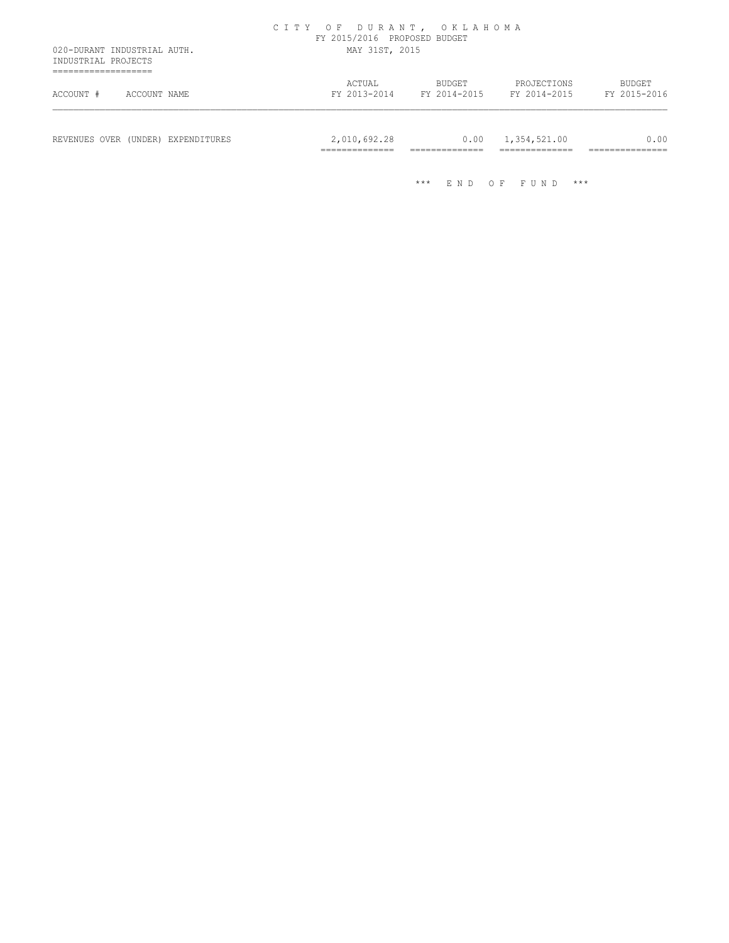| ACTUAL<br>FY 2013-2014 |                                                 | BUDGET<br>FY 2014-2015 | PROJECTIONS<br>FY 2014-2015                 | BUDGET                          |
|------------------------|-------------------------------------------------|------------------------|---------------------------------------------|---------------------------------|
|                        |                                                 |                        |                                             | FY 2015-2016                    |
|                        |                                                 | 0.00                   | 1,354,521.00<br>______________<br>--------- | _______________<br>------------ |
|                        | 2,010,692.28<br>______________<br>------------- | $***$                  | ______________<br>______________<br>END.    | $O$ F<br>***<br>FU.<br>N D      |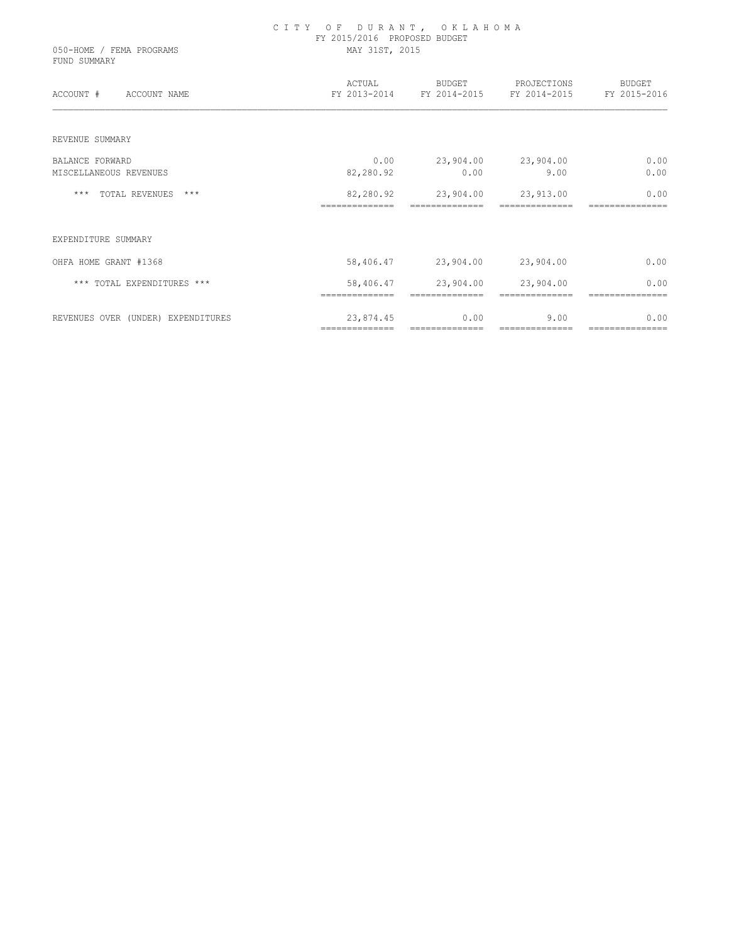| 050-HOME / FEMA PROGRAMS<br>FUND SUMMARY | CITY OF DURANT, OKLAHOMA<br>FY 2015/2016 PROPOSED BUDGET<br>MAY 31ST, 2015 |                             |                                                                     |                        |  |  |
|------------------------------------------|----------------------------------------------------------------------------|-----------------------------|---------------------------------------------------------------------|------------------------|--|--|
| ACCOUNT # ACCOUNT NAME                   |                                                                            |                             | ACTUAL BUDGET PROJECTIONS<br>FY 2013-2014 FY 2014-2015 FY 2014-2015 | BUDGET<br>FY 2015-2016 |  |  |
| REVENUE SUMMARY                          |                                                                            |                             |                                                                     |                        |  |  |
| <b>BALANCE FORWARD</b>                   | 0.00                                                                       | 23,904.00 23,904.00         |                                                                     | 0.00                   |  |  |
| MISCELLANEOUS REVENUES                   | 82,280.92                                                                  | 0.00                        | 9.00                                                                | 0.00                   |  |  |
| *** TOTAL REVENUES ***                   | 82,280.92                                                                  | 23,904.00                   | 23,913.00                                                           | 0.00                   |  |  |
| EXPENDITURE SUMMARY                      |                                                                            |                             |                                                                     |                        |  |  |
| OHFA HOME GRANT #1368                    |                                                                            | 58,406.47 23,904.00         | 23,904.00                                                           | 0.00                   |  |  |
| *** TOTAL EXPENDITURES ***               | 58,406.47<br>==============                                                | 23,904.00<br>============== | 23,904.00                                                           | 0.00                   |  |  |
| REVENUES OVER (UNDER) EXPENDITURES       | 23,874.45                                                                  | 0.00                        | 9.00                                                                | 0.00                   |  |  |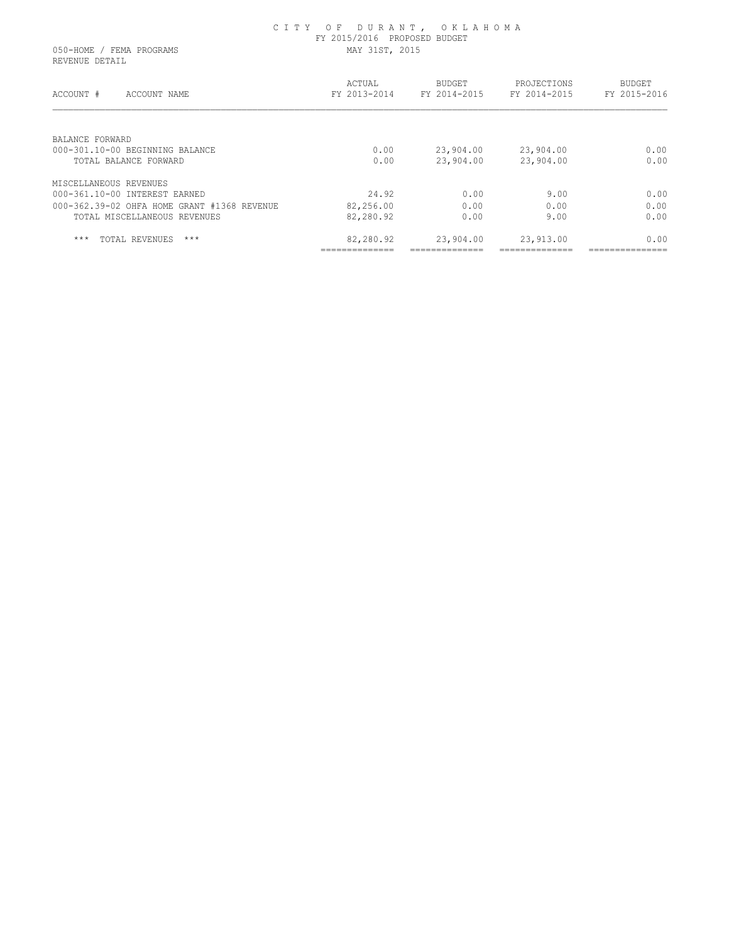| FY 2015/2016 PROPOSED BUDGET<br>MAY 31ST, 2015 |               |                             |                        |  |
|------------------------------------------------|---------------|-----------------------------|------------------------|--|
| ACTUAL<br>FY 2013-2014                         | <b>BUDGET</b> | PROJECTIONS<br>FY 2014-2015 | BUDGET<br>FY 2015-2016 |  |
|                                                |               |                             |                        |  |
| 0.00                                           | 23,904.00     | 23,904.00                   | 0.00<br>0.00           |  |
|                                                |               |                             |                        |  |
| 24.92                                          | 0.00          | 9.00                        | 0.00                   |  |
| 82,256.00                                      | 0.00          | 0.00                        | 0.00                   |  |
| 82,280.92                                      | 0.00          | 9.00                        | 0.00                   |  |
| 82,280.92                                      | 23,904.00     | 23,913.00                   | 0.00                   |  |
|                                                | 0.00          | FY 2014-2015                | 23,904.00<br>23,904.00 |  |

C I T Y O F D U R A N T , O K L A H O M A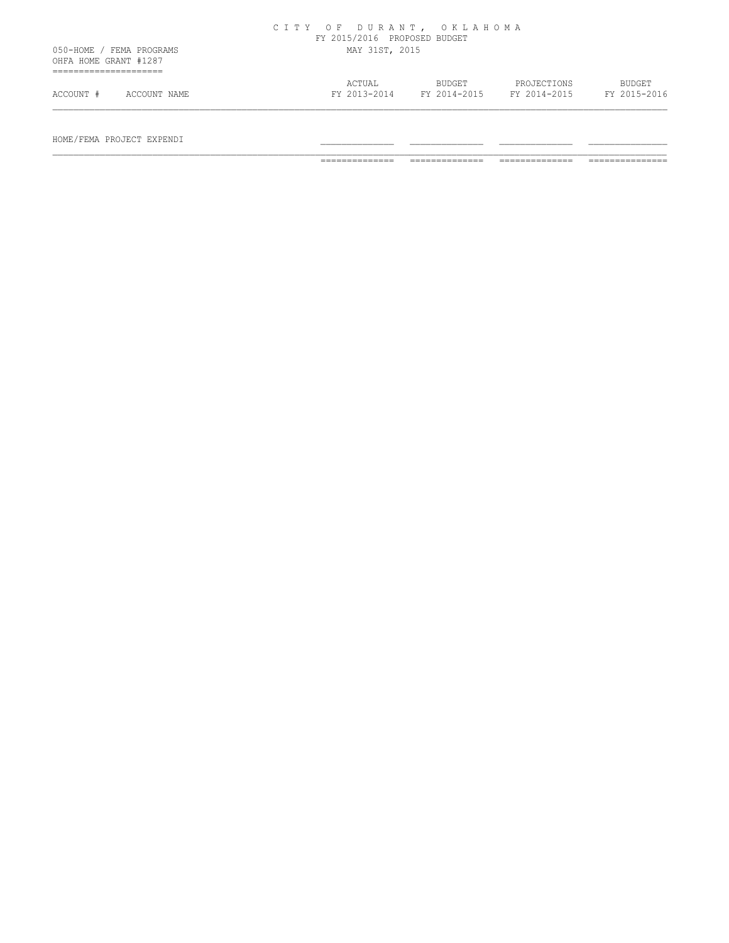|                       |                          | CITY OF DURANT, OKLAHOMA | FY 2015/2016 PROPOSED BUDGET |                        |                             |                               |
|-----------------------|--------------------------|--------------------------|------------------------------|------------------------|-----------------------------|-------------------------------|
| OHFA HOME GRANT #1287 | 050-HOME / FEMA PROGRAMS |                          | MAY 31ST, 2015               |                        |                             |                               |
| .<br>ACCOUNT #        | ACCOUNT NAME             |                          | ACTUAL<br>FY 2013-2014       | BUDGET<br>FY 2014-2015 | PROJECTIONS<br>FY 2014-2015 | <b>BUDGET</b><br>FY 2015-2016 |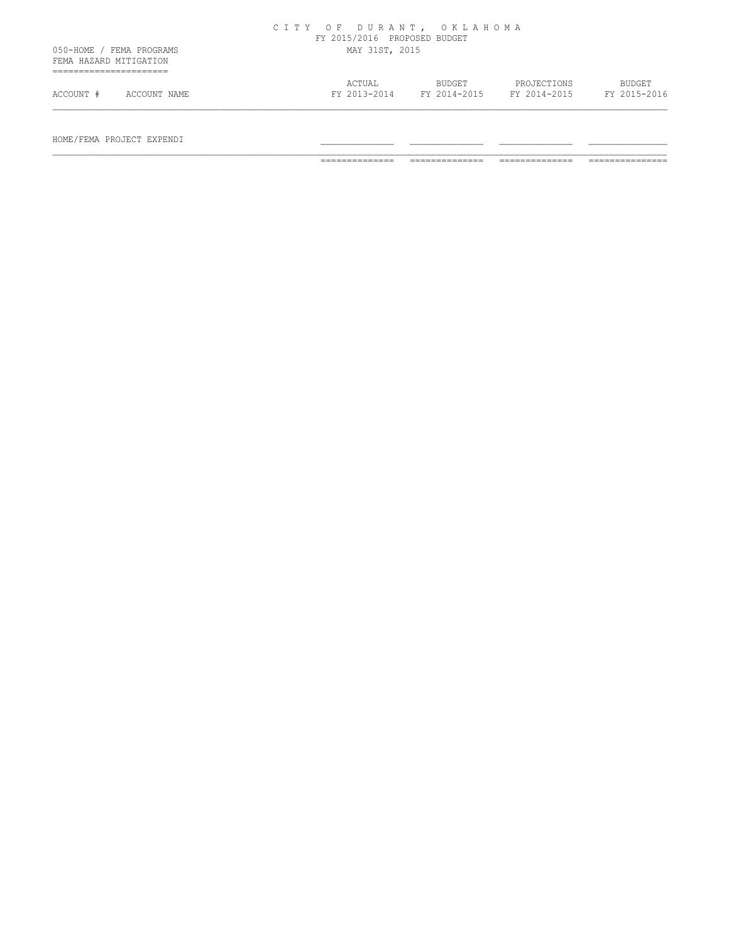|                                                    | CITY OF DURANT, OKLAHOMA<br>FY 2015/2016 PROPOSED BUDGET                                                  |
|----------------------------------------------------|-----------------------------------------------------------------------------------------------------------|
| 050-HOME / FEMA PROGRAMS<br>FEMA HAZARD MITIGATION | MAY 31ST, 2015                                                                                            |
| ACCOUNT #<br>ACCOUNT NAME                          | ACTUAL<br>BUDGET<br>PROJECTIONS<br>BUDGET<br>FY 2015-2016<br>FY 2013-2014<br>FY 2014-2015<br>FY 2014-2015 |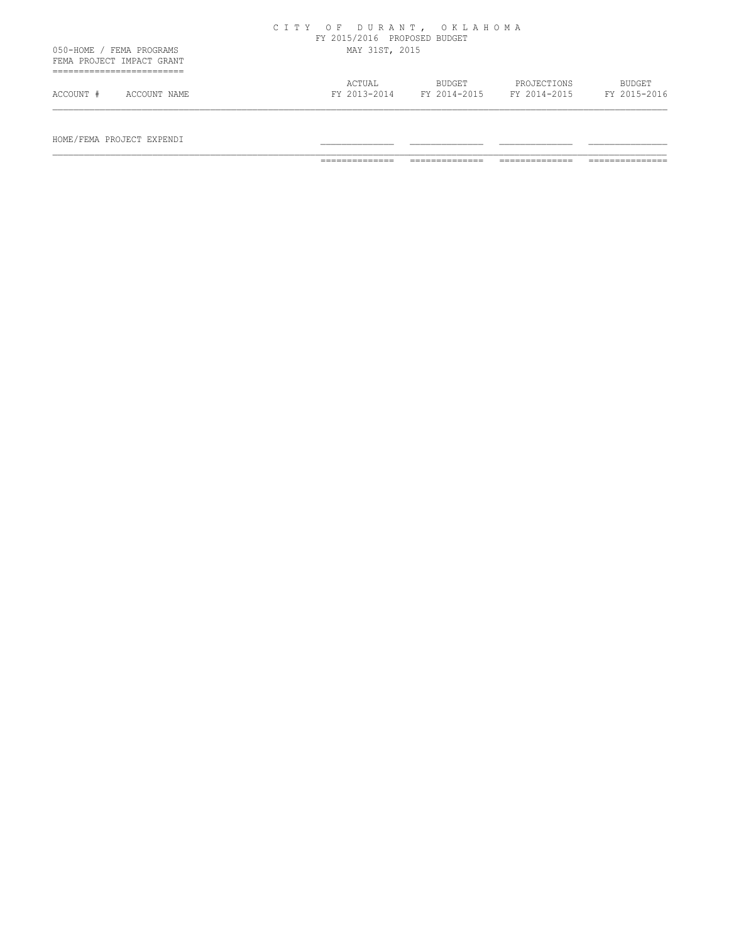|           |                                                       | CITY OF DURANT, OKLAHOMA | FY 2015/2016 PROPOSED BUDGET |                        |                             |                               |
|-----------|-------------------------------------------------------|--------------------------|------------------------------|------------------------|-----------------------------|-------------------------------|
|           | 050-HOME / FEMA PROGRAMS<br>FEMA PROJECT IMPACT GRANT |                          | MAY 31ST, 2015               |                        |                             |                               |
| ACCOUNT # | ACCOUNT NAME                                          |                          | ACTUAL<br>FY 2013-2014       | BUDGET<br>FY 2014-2015 | PROJECTIONS<br>FY 2014-2015 | <b>BUDGET</b><br>FY 2015-2016 |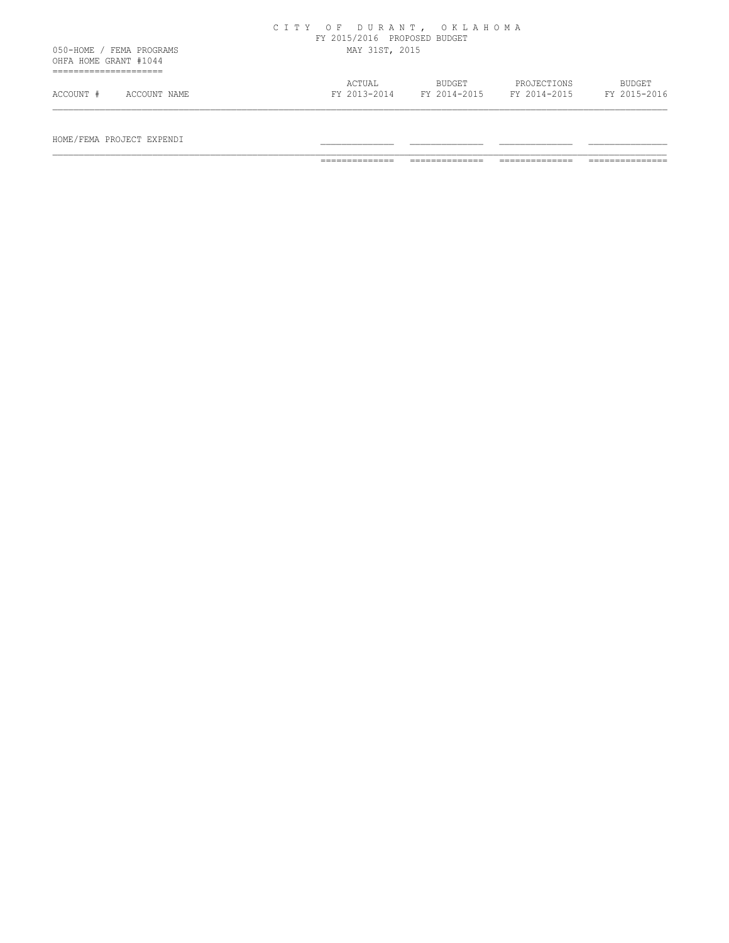|                                                   |              | CITY OF DURANT, OKLAHOMA | FY 2015/2016 PROPOSED BUDGET |                        |                             |                               |
|---------------------------------------------------|--------------|--------------------------|------------------------------|------------------------|-----------------------------|-------------------------------|
| 050-HOME / FEMA PROGRAMS<br>OHFA HOME GRANT #1044 |              |                          | MAY 31ST, 2015               |                        |                             |                               |
| ACCOUNT #                                         | ACCOUNT NAME |                          | ACTUAL<br>FY 2013-2014       | BUDGET<br>FY 2014-2015 | PROJECTIONS<br>FY 2014-2015 | <b>BUDGET</b><br>FY 2015-2016 |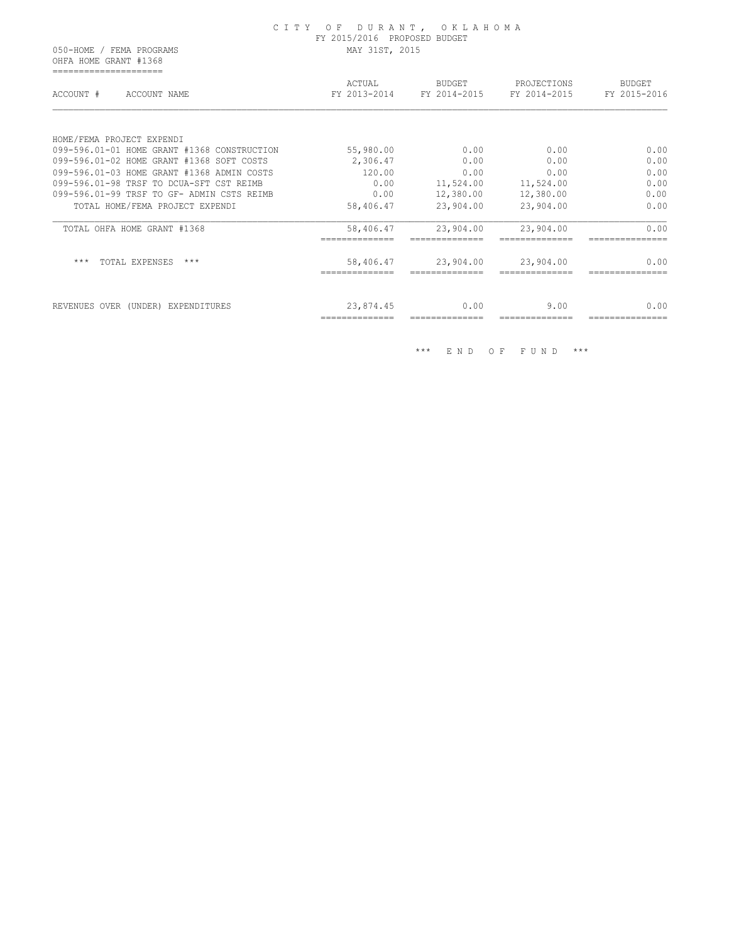#### C I T Y O F D U R A N T , O K L A H O M A FY 2015/2016 PROPOSED BUDGET 050-HOME / FEMA PROGRAMS MAY 31ST, 2015

 OHFA HOME GRANT #1368 =====================

| ACTUAL<br>FY 2013-2014 | <b>BUDGET</b><br>FY 2014-2015 | PROJECTIONS<br>FY 2014-2015 | <b>BUDGET</b><br>FY 2015-2016 |
|------------------------|-------------------------------|-----------------------------|-------------------------------|
|                        |                               |                             |                               |
|                        |                               |                             |                               |
| 55,980.00              | 0.00                          | 0.00                        | 0.00                          |
| 2,306.47               | 0.00                          | 0.00                        | 0.00                          |
| 120.00                 | 0.00                          | 0.00                        | 0.00                          |
| 0.00                   | 11,524.00                     | 11,524.00                   | 0.00                          |
| 0.00                   | 12,380.00                     | 12,380.00                   | 0.00                          |
| 58,406.47              | 23,904.00                     | 23,904.00                   | 0.00                          |
| 58,406.47              | 23,904.00                     | 23,904.00                   | 0.00                          |
| 58,406.47              | 23,904.00                     | 23,904.00                   | 0.00                          |
| 23,874.45              | 0.00                          | 9.00                        | 0.00                          |
|                        |                               |                             |                               |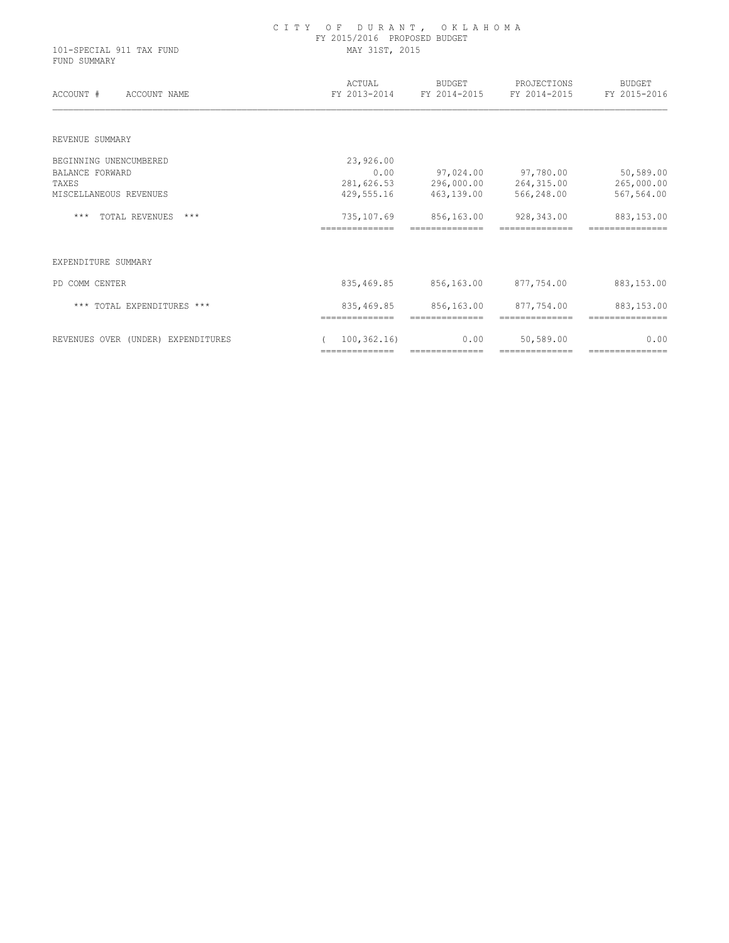| 101-SPECIAL 911 TAX FUND<br>FUND SUMMARY | FY 2015/2016 PROPOSED BUDGET<br>MAY 31ST, 2015 |                                     |                              |                               |
|------------------------------------------|------------------------------------------------|-------------------------------------|------------------------------|-------------------------------|
| ACCOUNT #<br>ACCOUNT NAME                | ACTUAL                                         | BUDGET<br>FY 2013-2014 FY 2014-2015 | PROJECTIONS<br>FY 2014-2015  | <b>BUDGET</b><br>FY 2015-2016 |
| REVENUE SUMMARY                          |                                                |                                     |                              |                               |
| BEGINNING UNENCUMBERED                   | 23,926.00                                      |                                     |                              |                               |
| <b>BALANCE FORWARD</b>                   | 0.00                                           |                                     | 97,024.00 97,780.00          | 50,589.00                     |
| TAXES                                    | 281,626.53                                     | 296,000.00                          | 264,315.00                   | 265,000.00                    |
| MISCELLANEOUS REVENUES                   | 429,555.16                                     | 463,139.00                          | 566,248.00                   | 567,564.00                    |
| <b>TOTAL REVENUES</b><br>$***$<br>$***$  | 735,107.69                                     | 856,163.00                          | 928,343.00                   | 883,153.00                    |
| EXPENDITURE SUMMARY                      |                                                |                                     |                              |                               |
| PD COMM CENTER                           | 835,469.85                                     | 856,163.00                          | 877,754.00                   | 883,153.00                    |
| *** TOTAL EXPENDITURES ***               | 835,469.85<br>==============                   | 856,163.00<br>==============        | 877,754.00<br>============== | 883,153.00<br>=============== |
| REVENUES OVER (UNDER) EXPENDITURES       | 100, 362, 16                                   | 0.00                                | 50,589.00                    | 0.00                          |

============== ============== ============== ===============

C I T Y O F D U R A N T , O K L A H O M A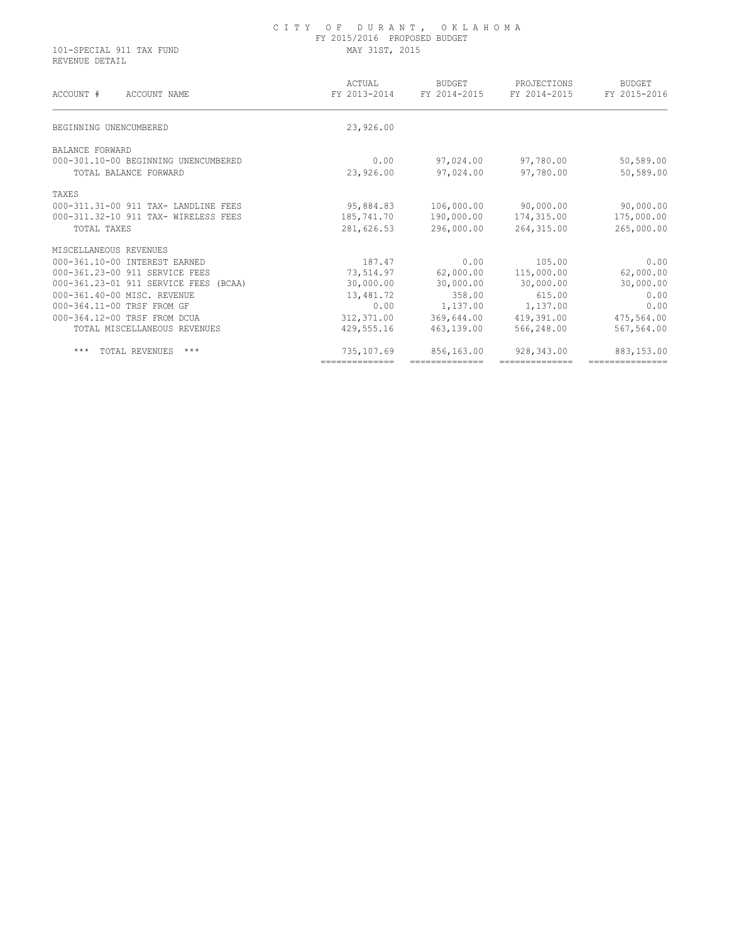#### C I T Y O F D U R A N T , O K L A H O M A FY 2015/2016 PROPOSED BUDGET 101-SPECIAL 911 TAX FUND MAY 31ST, 2015

REVENUE DETAIL

| ACTUAL<br>FY 2013-2014 | BUDGET<br>FY 2014-2015 | PROJECTIONS<br>FY 2014-2015 | <b>BUDGET</b><br>FY 2015-2016 |
|------------------------|------------------------|-----------------------------|-------------------------------|
| 23,926.00              |                        |                             |                               |
|                        |                        |                             |                               |
| 0.00                   | 97,024.00              | 97,780.00                   | 50,589.00                     |
| 23,926.00              | 97,024.00              | 97,780.00                   | 50,589.00                     |
|                        |                        |                             |                               |
| 95,884.83              | 106,000.00             | 90,000.00                   | 90,000.00                     |
| 185,741.70             | 190,000.00             | 174,315.00                  | 175,000.00                    |
| 281,626.53             | 296,000.00             | 264,315.00                  | 265,000.00                    |
|                        |                        |                             |                               |
| 187.47                 | 0.00                   | 105.00                      | 0.00                          |
| 73,514.97              | 62,000.00              | 115,000.00                  | 62,000.00                     |
| 30,000.00              | 30,000.00              | 30,000.00                   | 30,000.00                     |
| 13,481.72              | 358.00                 | 615.00                      | 0.00                          |
| 0.00                   | 1,137.00               | 1,137.00                    | 0.00                          |
| 312,371.00             | 369,644.00             | 419,391.00                  | 475,564.00                    |
| 429,555.16             | 463,139.00             | 566,248.00                  | 567,564.00                    |
| 735,107.69             | 856,163.00             | 928,343.00                  | 883,153.00                    |
|                        |                        |                             |                               |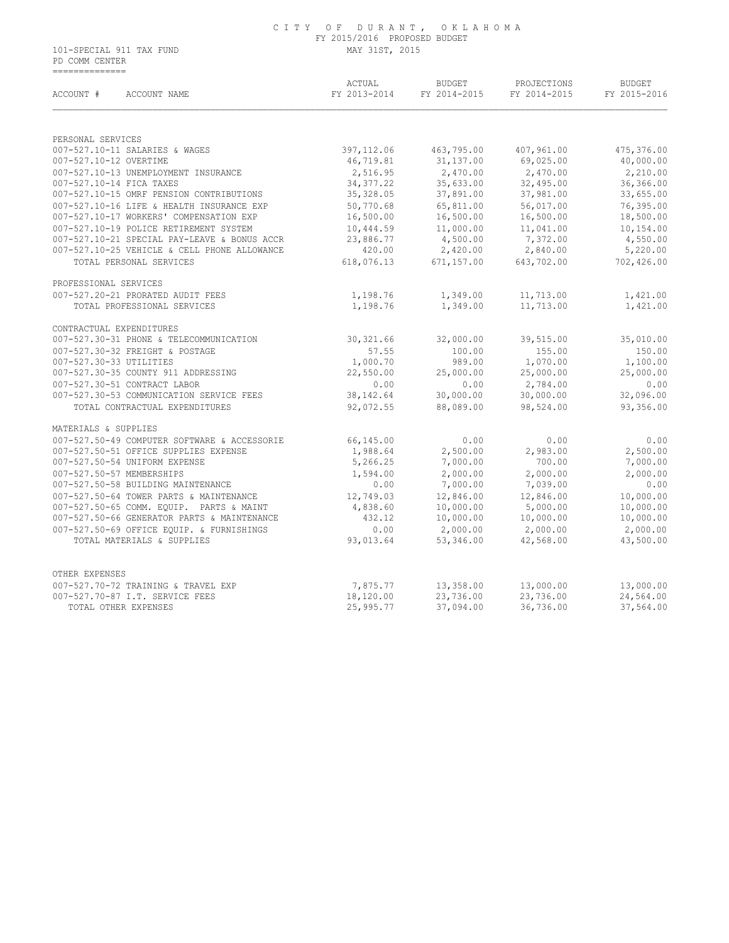#### C I T Y O F D U R A N T , O K L A H O M A FY 2015/2016 PROPOSED BUDGET 101-SPECIAL 911 TAX FUND MAY 31ST, 2015

 PD COMM CENTER ==============

| ACCOUNT #<br>ACCOUNT NAME                                                                    | ACTUAL<br>FY 2013-2014   | <b>BUDGET</b><br>FY 2014-2015 | PROJECTIONS<br>FY 2014-2015 | <b>BUDGET</b><br>FY 2015-2016 |
|----------------------------------------------------------------------------------------------|--------------------------|-------------------------------|-----------------------------|-------------------------------|
|                                                                                              |                          |                               |                             |                               |
| PERSONAL SERVICES                                                                            |                          |                               |                             |                               |
| 007-527.10-11 SALARIES & WAGES                                                               | 397, 112.06              | 463,795.00                    | 407,961.00                  | 475,376.00                    |
| 007-527.10-12 OVERTIME                                                                       | 46,719.81                | 31, 137.00                    | 69,025.00                   | 40,000.00                     |
| 007-527.10-13 UNEMPLOYMENT INSURANCE                                                         | 2,516.95                 | 2,470.00                      | 2,470.00                    | 2,210.00                      |
| 007-527.10-14 FICA TAXES<br>007-527.10-15 OMRF PENSION CONTRIBUTIONS                         | 34, 377.22<br>35, 328.05 | 35,633.00<br>37,891.00        | 32,495.00                   | 36,366.00                     |
|                                                                                              |                          |                               | 37,981.00                   | 33,655.00                     |
| 007-527.10-16 LIFE & HEALTH INSURANCE EXP<br>007-527.10-17 WORKERS' COMPENSATION EXP         | 50,770.68<br>16,500.00   | 65,811.00<br>16,500.00        | 56,017.00<br>16,500.00      | 76,395.00<br>18,500.00        |
|                                                                                              |                          |                               |                             |                               |
| 007-527.10-19 POLICE RETIREMENT SYSTEM                                                       | 10,444.59                | 11,000.00                     | 11,041.00                   | 10,154.00                     |
| 007-527.10-21 SPECIAL PAY-LEAVE & BONUS ACCR<br>007-527.10-25 VEHICLE & CELL PHONE ALLOWANCE | 23,886.77<br>420.00      | 4,500.00<br>2,420.00          | 7,372.00<br>2,840.00        | 4,550.00<br>5,220.00          |
|                                                                                              |                          |                               |                             |                               |
| TOTAL PERSONAL SERVICES                                                                      | 618,076.13               | 671,157.00                    | 643,702.00                  | 702,426.00                    |
| PROFESSIONAL SERVICES                                                                        |                          |                               |                             |                               |
| 007-527.20-21 PRORATED AUDIT FEES                                                            | 1,198.76                 | 1,349.00                      | 11,713.00                   | 1,421.00                      |
| TOTAL PROFESSIONAL SERVICES                                                                  | 1,198.76                 | 1,349.00                      | 11,713.00                   | 1,421.00                      |
| CONTRACTUAL EXPENDITURES                                                                     |                          |                               |                             |                               |
| 007-527.30-31 PHONE & TELECOMMUNICATION                                                      | 30, 321.66               | 32,000.00                     | 39,515.00                   | 35,010.00                     |
| 007-527.30-32 FREIGHT & POSTAGE                                                              | 57.55                    | 100.00                        | 155.00                      | 150.00                        |
| 007-527.30-33 UTILITIES                                                                      | 1,000.70                 | 989.00                        | 1,070.00                    | 1,100.00                      |
| 007-527.30-35 COUNTY 911 ADDRESSING                                                          | 22,550.00                | 25,000.00                     | 25,000.00                   | 25,000.00                     |
| 007-527.30-51 CONTRACT LABOR                                                                 | 0.00                     | 0.00                          | 2,784.00                    | 0.00                          |
| 007-527.30-53 COMMUNICATION SERVICE FEES                                                     | 38, 142.64               | 30,000.00                     | 30,000.00                   | 32,096.00                     |
| TOTAL CONTRACTUAL EXPENDITURES                                                               | 92,072.55                | 88,089.00                     | 98,524.00                   | 93,356.00                     |
| MATERIALS & SUPPLIES                                                                         |                          |                               |                             |                               |
| 007-527.50-49 COMPUTER SOFTWARE & ACCESSORIE                                                 | 66,145.00                | 0.00                          | 0.00                        | 0.00                          |
| 007-527.50-51 OFFICE SUPPLIES EXPENSE                                                        | 1,988.64                 | 2,500.00                      | 2,983.00                    | 2,500.00                      |
| 007-527.50-54 UNIFORM EXPENSE                                                                | 5,266.25                 | 7,000.00                      | 700.00                      | 7,000.00                      |
| 007-527.50-57 MEMBERSHIPS                                                                    | 1,594.00                 | 2,000.00                      | 2,000.00                    | 2,000.00                      |
| 007-527.50-58 BUILDING MAINTENANCE                                                           | 0.00                     | 7,000.00                      | 7,039.00                    | 0.00                          |
| 007-527.50-64 TOWER PARTS & MAINTENANCE                                                      | 12,749.03                | 12,846.00                     | 12,846.00                   | 10,000.00                     |
| 007-527.50-65 COMM. EQUIP. PARTS & MAINT                                                     | 4,838.60                 | 10,000.00                     | 5,000.00                    | 10,000.00                     |
| 007-527.50-66 GENERATOR PARTS & MAINTENANCE                                                  | 432.12                   | 10,000.00                     | 10,000.00                   | 10,000.00                     |
| 007-527.50-69 OFFICE EOUIP. & FURNISHINGS                                                    | 0.00                     | 2,000.00                      | 2,000.00                    | 2,000.00                      |
| TOTAL MATERIALS & SUPPLIES                                                                   | 93,013.64                | 53,346.00                     | 42,568.00                   | 43,500.00                     |
| OTHER EXPENSES                                                                               |                          |                               |                             |                               |
|                                                                                              |                          |                               |                             |                               |
| 007-527.70-72 TRAINING & TRAVEL EXP                                                          | 7,875.77                 | 13,358.00                     | 13,000.00                   | 13,000.00                     |
| 007-527.70-87 I.T. SERVICE FEES                                                              | 18,120.00<br>25,995.77   | 23,736.00<br>37,094.00        | 23,736.00<br>36,736.00      | 24,564.00                     |
| TOTAL OTHER EXPENSES                                                                         |                          |                               |                             | 37,564.00                     |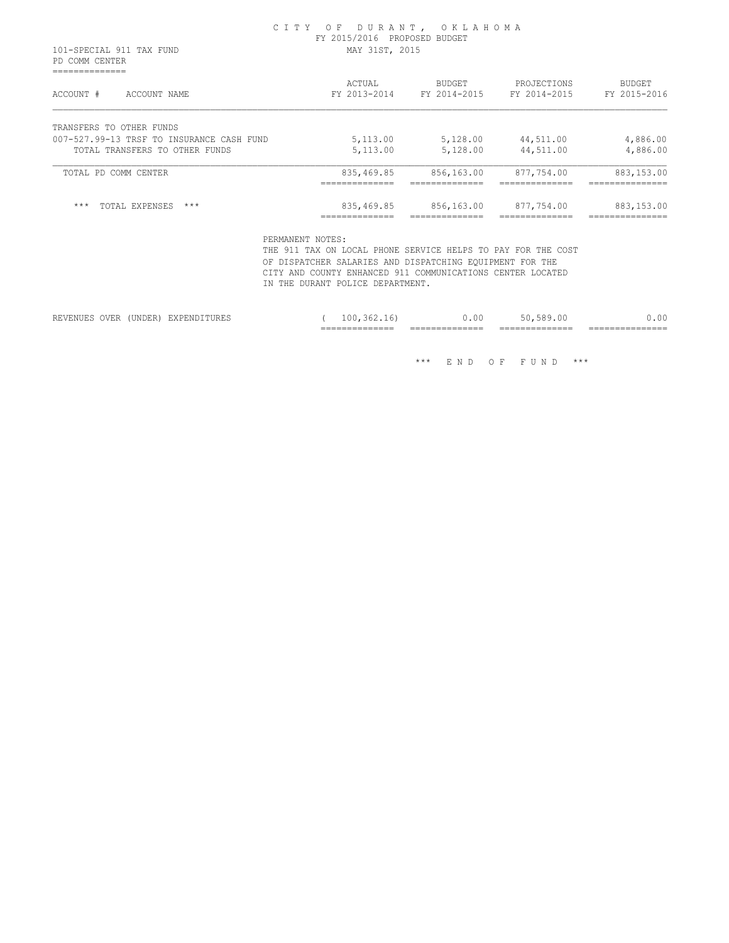#### C I T Y O F D U R A N T , O K L A H O M A FY 2015/2016 PROPOSED BUDGET 101-SPECIAL 911 TAX FUND MAY 31ST, 2015

 PD COMM CENTER ==============

| ACCOUNT #                                 | ACTUAL         | <b>BUDGET</b>  | PROJECTIONS    | <b>BUDGET</b>   |
|-------------------------------------------|----------------|----------------|----------------|-----------------|
| ACCOUNT NAME                              | FY 2013-2014   | FY 2014-2015   | FY 2014-2015   | FY 2015-2016    |
| TRANSFERS TO OTHER FUNDS                  |                |                |                |                 |
| 007-527.99-13 TRSF TO INSURANCE CASH FUND | 5,113.00       | 5,128.00       | 44,511.00      | 4,886.00        |
| TOTAL TRANSFERS TO OTHER FUNDS            | 5,113.00       | 5,128.00       | 44,511.00      | 4,886.00        |
| TOTAL PD COMM CENTER                      | 835,469.85     | 856,163.00     | 877,754.00     | 883,153.00      |
|                                           | ______________ | ______________ | ______________ | ______________  |
|                                           | ______________ | ______________ | ______________ | _______________ |
| $***$                                     | 835,469.85     | 856,163.00     | 877,754.00     | 883,153.00      |
| $***$                                     | _____________  | _____________  | ______________ | _______________ |
| TOTAL EXPENSES                            | ------------   | -------------  | -------------  | --------------- |

PERMANENT NOTES:

 THE 911 TAX ON LOCAL PHONE SERVICE HELPS TO PAY FOR THE COST OF DISPATCHER SALARIES AND DISPATCHING EQUIPMENT FOR THE CITY AND COUNTY ENHANCED 911 COMMUNICATIONS CENTER LOCATED IN THE DURANT POLICE DEPARTMENT.

|                                  |      |                                                                                                             |                                          | _______________<br>_______________ | _______________<br>_______________ | _______________<br>_______________ | ________________<br>________________ |
|----------------------------------|------|-------------------------------------------------------------------------------------------------------------|------------------------------------------|------------------------------------|------------------------------------|------------------------------------|--------------------------------------|
| -----<br>------<br>™HN ⊾<br>' ⊔\ | OVER | <b>*******</b><br>UNDER.<br>the contract of the contract of the contract of the contract of the contract of | -------<br>----<br>Y PRIN<br>⊔∠∖⊥ ⊔⊥∖∟∕. | nη                                 | .00                                | $\sim$ 1<br>.                      | 0.00                                 |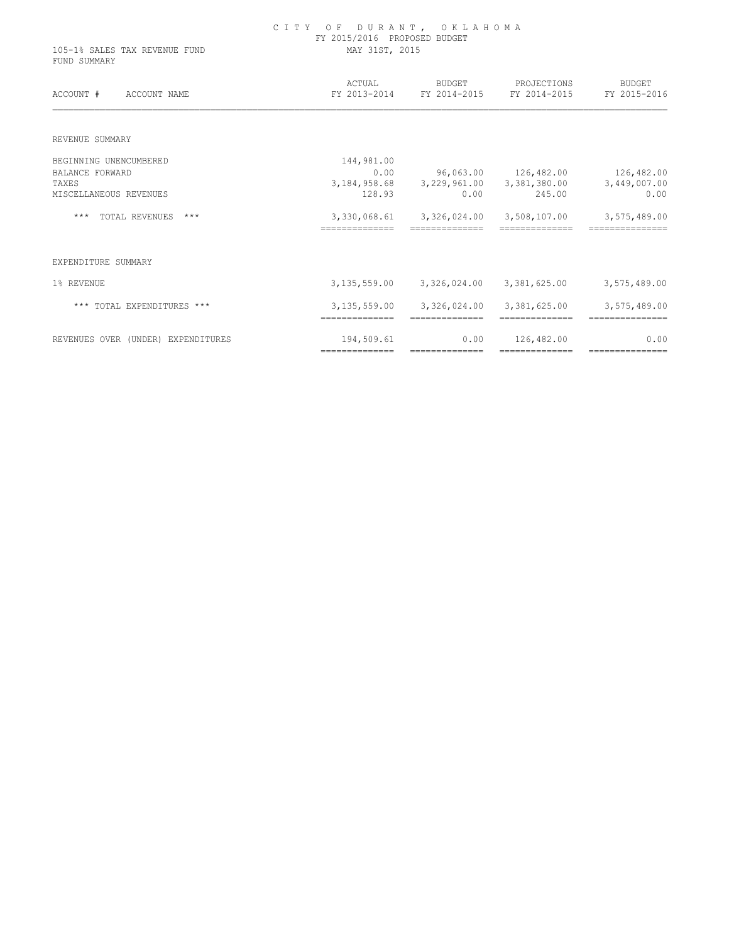| 105-1% SALES TAX REVENUE FUND<br>FUND SUMMARY | OF DURANT, OKLAHOMA<br>C I T Y<br>FY 2015/2016 PROPOSED BUDGET<br>MAY 31ST, 2015 |                                                  |                      |                        |  |  |
|-----------------------------------------------|----------------------------------------------------------------------------------|--------------------------------------------------|----------------------|------------------------|--|--|
| ACCOUNT #<br>ACCOUNT NAME                     | ACTUAL                                                                           | BUDGET<br>FY 2013-2014 FY 2014-2015 FY 2014-2015 | PROJECTIONS          | BUDGET<br>FY 2015-2016 |  |  |
| REVENUE SUMMARY                               |                                                                                  |                                                  |                      |                        |  |  |
| BEGINNING UNENCUMBERED                        | 144,981.00                                                                       |                                                  |                      |                        |  |  |
| <b>BALANCE FORWARD</b>                        | 0.00                                                                             |                                                  | 96,063.00 126,482.00 | 126,482.00             |  |  |
| TAXES                                         | 3,184,958.68                                                                     | 3,229,961.00                                     | 3,381,380.00         | 3,449,007.00           |  |  |
| MISCELLANEOUS REVENUES                        | 128.93                                                                           | 0.00                                             | 245.00               | 0.00                   |  |  |
| $***$<br>TOTAL REVENUES<br>***                | --------------                                                                   | 3,330,068.61 3,326,024.00<br>--------------      | 3,508,107.00         | 3,575,489.00           |  |  |
| EXPENDITURE SUMMARY                           |                                                                                  |                                                  |                      |                        |  |  |
| 1% REVENUE                                    |                                                                                  | 3, 135, 559.00 3, 326, 024.00                    | 3,381,625.00         | 3,575,489.00           |  |  |
| *** TOTAL EXPENDITURES ***                    | 3,135,559.00                                                                     | 3,326,024.00<br>==============                   | 3,381,625.00         | 3,575,489.00           |  |  |
| REVENUES OVER (UNDER) EXPENDITURES            | 194,509.61                                                                       | 0.00                                             | 126,482.00           | 0.00                   |  |  |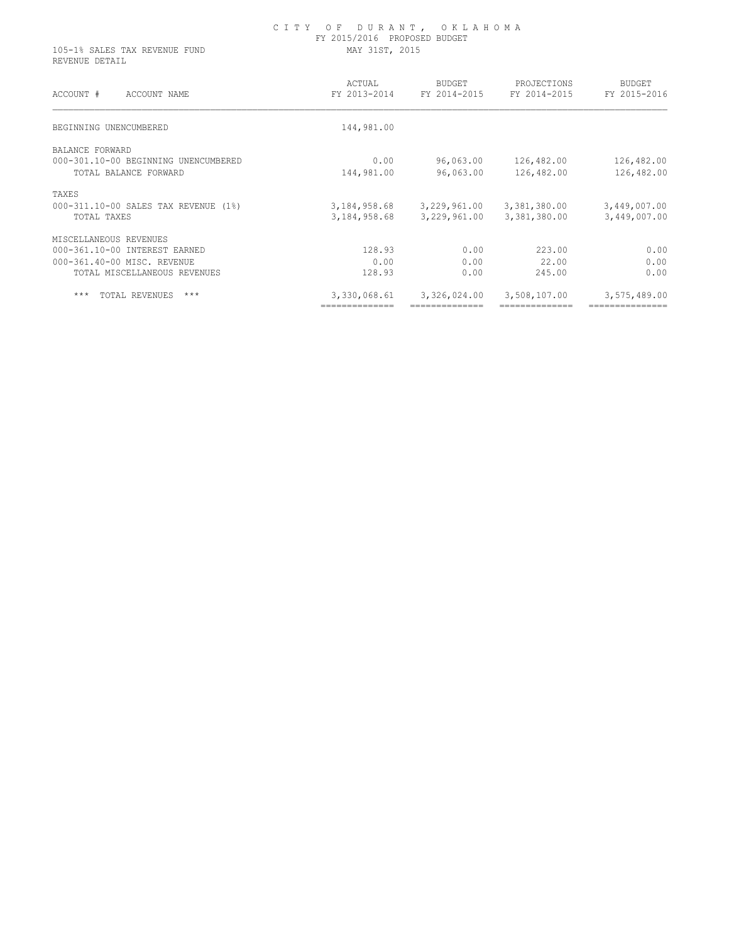| 105-1% SALES TAX REVENUE FUND<br>REVENUE DETAIL | FY 2015/2016 PROPOSED BUDGET<br>MAY 31ST, 2015 |                        |                             |                               |  |  |
|-------------------------------------------------|------------------------------------------------|------------------------|-----------------------------|-------------------------------|--|--|
| ACCOUNT #<br>ACCOUNT NAME                       | ACTUAL<br>FY 2013-2014                         | BUDGET<br>FY 2014-2015 | PROJECTIONS<br>FY 2014-2015 | <b>BUDGET</b><br>FY 2015-2016 |  |  |
| BEGINNING UNENCUMBERED                          | 144,981.00                                     |                        |                             |                               |  |  |
| BALANCE FORWARD                                 |                                                |                        |                             |                               |  |  |
| 000-301.10-00 BEGINNING UNENCUMBERED            | 0.00                                           | 96,063.00              | 126,482.00                  | 126,482.00                    |  |  |
| TOTAL BALANCE FORWARD                           | 144,981.00                                     | 96,063.00              | 126,482.00                  | 126,482.00                    |  |  |
| TAXES                                           |                                                |                        |                             |                               |  |  |
| 000-311.10-00 SALES TAX REVENUE (1%)            | 3,184,958.68                                   | 3,229,961.00           | 3,381,380.00                | 3,449,007.00                  |  |  |
| TOTAL TAXES                                     | 3,184,958.68                                   | 3,229,961.00           | 3,381,380.00                | 3,449,007.00                  |  |  |
| MISCELLANEOUS REVENUES                          |                                                |                        |                             |                               |  |  |
| 000-361.10-00 INTEREST EARNED                   | 128.93                                         | 0.00                   | 223.00                      | 0.00                          |  |  |
| 000-361.40-00 MISC. REVENUE                     | 0.00                                           | 0.00                   | 22.00                       | 0.00                          |  |  |
| TOTAL MISCELLANEOUS REVENUES                    | 128.93                                         | 0.00                   | 245.00                      | 0.00                          |  |  |
| $***$<br>TOTAL REVENUES<br>$***$                | 3,330,068.61                                   | 3,326,024.00           | 3,508,107.00                | 3,575,489.00                  |  |  |
|                                                 | ==============                                 |                        |                             | ---------------               |  |  |

C I T Y O F D U R A N T , O K L A H O M A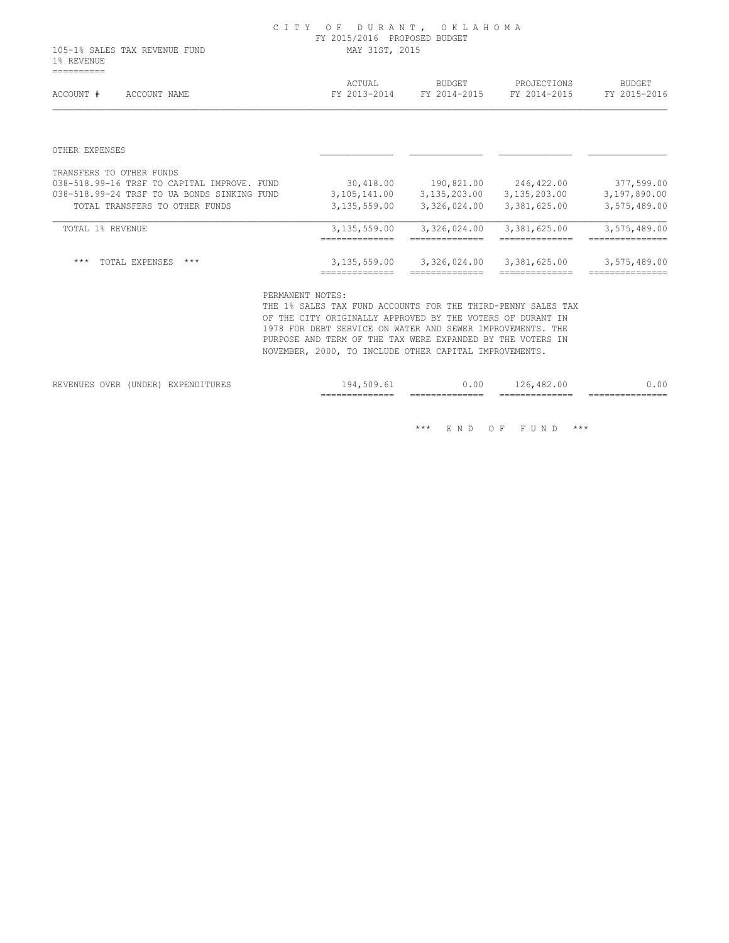105-1% SALES TAX REVENUE FUND MAY 31ST, 2015 1% REVENUE ==========

| ACCOUNT #<br>ACCOUNT NAME                      | ACTUAL<br>FY 2013-2014 | <b>BUDGET</b><br>FY 2014-2015 | PROJECTIONS<br>FY 2014-2015 | <b>BUDGET</b><br>FY 2015-2016  |
|------------------------------------------------|------------------------|-------------------------------|-----------------------------|--------------------------------|
|                                                |                        |                               |                             |                                |
| OTHER EXPENSES                                 |                        |                               |                             |                                |
| TRANSFERS TO OTHER FUNDS                       |                        |                               |                             |                                |
| 038-518.99-16 TRSF TO CAPITAL IMPROVE.<br>FUND | 30,418.00              | 190,821.00                    | 246,422.00                  | 377,599.00                     |
| 038-518.99-24 TRSF TO UA BONDS SINKING FUND    | 3,105,141.00           | 3,135,203.00                  | 3,135,203.00                | 3,197,890.00                   |
| TOTAL TRANSFERS TO OTHER FUNDS                 | 3, 135, 559.00         | 3,326,024.00                  | 3,381,625.00                | 3,575,489.00                   |
| TOTAL 1% REVENUE                               | 3,135,559.00           | 3,326,024.00                  | 3,381,625.00                | 3,575,489.00<br>-------------- |
|                                                |                        |                               |                             |                                |
| $***$<br>$***$<br>TOTAL EXPENSES               | 3,135,559.00           | 3,326,024.00                  | 3,381,625.00                | 3,575,489.00                   |
|                                                | _____________          |                               |                             | ______________                 |

PERMANENT NOTES:

 THE 1% SALES TAX FUND ACCOUNTS FOR THE THIRD-PENNY SALES TAX OF THE CITY ORIGINALLY APPROVED BY THE VOTERS OF DURANT IN 1978 FOR DEBT SERVICE ON WATER AND SEWER IMPROVEMENTS. THE PURPOSE AND TERM OF THE TAX WERE EXPANDED BY THE VOTERS IN NOVEMBER, 2000, TO INCLUDE OTHER CAPITAL IMPROVEMENTS.

|                                 |                  |                        | $- - -$<br>___<br>-----<br>_______________ | -----<br>---<br>_______________ | -----<br>--<br>_______________                  | ________________ |
|---------------------------------|------------------|------------------------|--------------------------------------------|---------------------------------|-------------------------------------------------|------------------|
| -----<br>$ -$<br>------<br>JVER | -------<br>חתחות | ----<br>.<br>שותם דעים | . Y 4                                      | Λſ<br>. . u                     | $\sim$<br>$\sim$<br>. .<br>$\sim$ $\sim$<br>ᆂᅀᇦ | n                |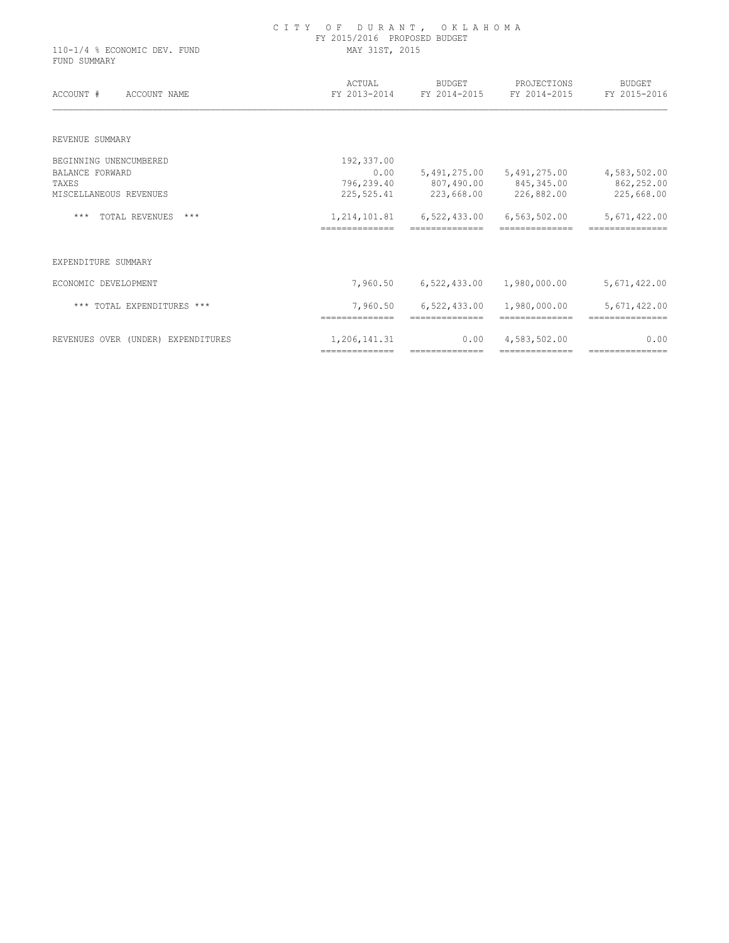| 110-1/4 % ECONOMIC DEV. FUND<br>FUND SUMMARY | FY 2015/2016 PROPOSED BUDGET<br>MAY 31ST, 2015 |                                     |                                |                                 |  |
|----------------------------------------------|------------------------------------------------|-------------------------------------|--------------------------------|---------------------------------|--|
| ACCOUNT #<br>ACCOUNT NAME                    | ACTUAL                                         | BUDGET<br>FY 2013-2014 FY 2014-2015 | PROJECTIONS<br>FY 2014-2015    | <b>BUDGET</b><br>FY 2015-2016   |  |
| REVENUE SUMMARY                              |                                                |                                     |                                |                                 |  |
| BEGINNING UNENCUMBERED                       | 192,337.00                                     |                                     |                                |                                 |  |
| <b>BALANCE FORWARD</b>                       | 0.00                                           |                                     | 5,491,275.00 5,491,275.00      | 4,583,502.00                    |  |
| TAXES                                        | 796,239.40                                     | 807,490.00 845,345.00               |                                | 862,252.00                      |  |
| MISCELLANEOUS REVENUES                       | 225,525.41                                     |                                     | 223,668.00 226,882.00          | 225,668.00                      |  |
| $***$<br>TOTAL REVENUES<br>$***$             | 1,214,101.81                                   | 6,522,433.00                        | 6,563,502.00                   | 5,671,422.00                    |  |
| EXPENDITURE SUMMARY                          |                                                |                                     |                                |                                 |  |
| ECONOMIC DEVELOPMENT                         | 7,960.50                                       | 6,522,433.00                        | 1,980,000.00                   | 5,671,422.00                    |  |
| *** TOTAL EXPENDITURES ***                   | 7,960.50<br>==============                     | 6,522,433.00<br>==============      | 1,980,000.00<br>-------------- | 5,671,422.00<br>=============== |  |
| REVENUES OVER (UNDER) EXPENDITURES           | 1,206,141.31                                   | 0.00                                | 4,583,502.00                   | 0.00                            |  |

============== ============== ============== ===============

# C I T Y O F D U R A N T , O K L A H O M A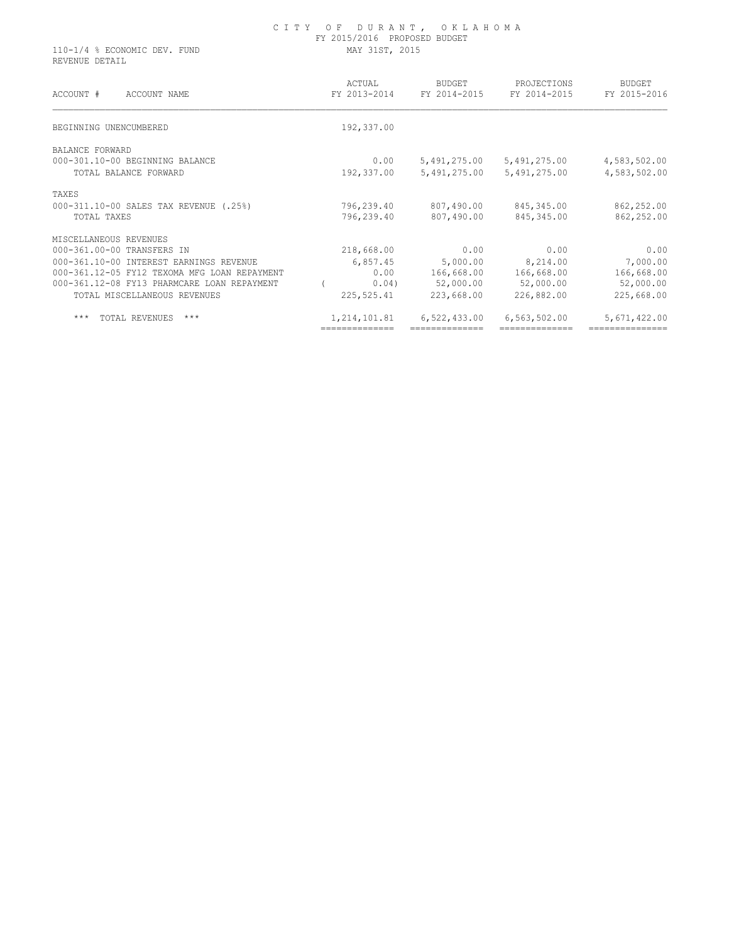#### C I T Y O F D U R A N T , O K L A H O M A FY 2015/2016 PROPOSED BUDGET 110-1/4 % ECONOMIC DEV. FUND MAY 31ST, 2015

REVENUE DETAIL

| ACTUAL<br>FY 2013-2014 | <b>BUDGET</b><br>FY 2014-2015 | PROJECTIONS<br>FY 2014-2015 | BUDGET<br>FY 2015-2016 |
|------------------------|-------------------------------|-----------------------------|------------------------|
| 192,337.00             |                               |                             |                        |
|                        |                               |                             |                        |
| 0.00                   | 5,491,275.00                  | 5,491,275.00                | 4,583,502.00           |
| 192,337.00             | 5,491,275.00                  | 5,491,275.00                | 4,583,502.00           |
|                        |                               |                             |                        |
| 796,239.40             | 807,490.00                    | 845, 345.00                 | 862,252.00             |
| 796,239.40             | 807,490.00                    | 845,345.00                  | 862,252.00             |
|                        |                               |                             |                        |
| 218,668.00             | 0.00                          | 0.00                        | 0.00                   |
| 6,857.45               | 5,000.00                      | 8,214.00                    | 7,000.00               |
| 0.00                   | 166,668.00                    | 166,668.00                  | 166,668.00             |
| 0.04)                  | 52,000.00                     | 52,000.00                   | 52,000.00              |
| 225,525.41             | 223,668.00                    | 226,882.00                  | 225,668.00             |
| 1,214,101.81           | 6,522,433.00                  | 6,563,502.00                | 5,671,422.00           |
|                        |                               |                             |                        |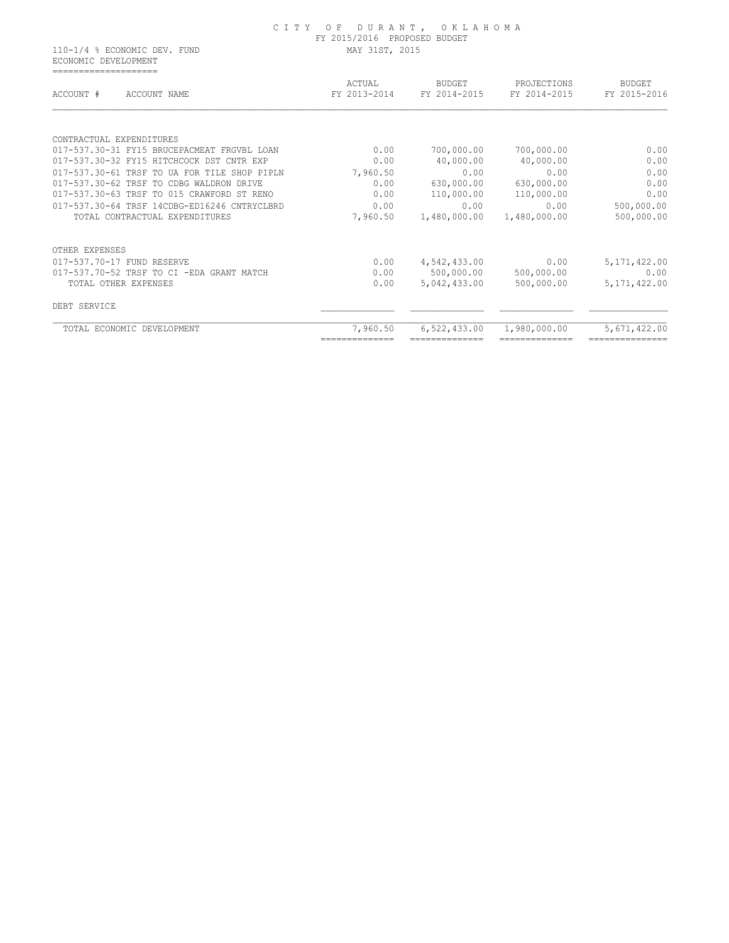#### C I T Y O F D U R A N T , O K L A H O M A FY 2015/2016 PROPOSED BUDGET 110-1/4 % ECONOMIC DEV. FUND MAY 31ST, 2015

 ECONOMIC DEVELOPMENT ====================

| ACCOUNT #<br>ACCOUNT NAME                    | ACTUAL<br>FY 2013-2014 | <b>BUDGET</b><br>FY 2014-2015 | PROJECTIONS<br>FY 2014-2015 | <b>BUDGET</b><br>FY 2015-2016 |
|----------------------------------------------|------------------------|-------------------------------|-----------------------------|-------------------------------|
|                                              |                        |                               |                             |                               |
| CONTRACTUAL EXPENDITURES                     |                        |                               |                             |                               |
| 017-537.30-31 FY15 BRUCEPACMEAT FRGVBL LOAN  | 0.00                   | 700,000.00                    | 700,000.00                  | 0.00                          |
| 017-537.30-32 FY15 HITCHCOCK DST CNTR EXP    | 0.00                   | 40,000.00                     | 40,000.00                   | 0.00                          |
| 017-537.30-61 TRSF TO UA FOR TILE SHOP PIPLN | 7,960.50               | 0.00                          | 0.00                        | 0.00                          |
| 017-537.30-62 TRSF TO CDBG WALDRON DRIVE     | 0.00                   | 630,000.00                    | 630,000.00                  | 0.00                          |
| 017-537.30-63 TRSF TO 015 CRAWFORD ST RENO   | 0.00                   | 110,000.00                    | 110,000.00                  | 0.00                          |
| 017-537.30-64 TRSF 14CDBG-ED16246 CNTRYCLBRD | 0.00                   | 0.00                          | 0.00                        | 500,000.00                    |
| TOTAL CONTRACTUAL EXPENDITURES               | 7,960.50               | 1,480,000.00                  | 1,480,000.00                | 500,000.00                    |
| OTHER EXPENSES                               |                        |                               |                             |                               |
| 017-537.70-17 FUND RESERVE                   | 0.00                   | 4,542,433.00                  | 0.00                        | 5, 171, 422.00                |
| 017-537.70-52 TRSF TO CI -EDA GRANT MATCH    | 0.00                   | 500,000.00                    | 500,000.00                  | 0.00                          |
| TOTAL OTHER EXPENSES                         | 0.00                   | 5,042,433.00                  | 500,000.00                  | 5, 171, 422.00                |
| DEBT SERVICE                                 |                        |                               |                             |                               |
| TOTAL ECONOMIC DEVELOPMENT                   | 7,960.50               | 6,522,433.00                  | 1,980,000.00                | 5,671,422.00                  |
|                                              |                        |                               |                             |                               |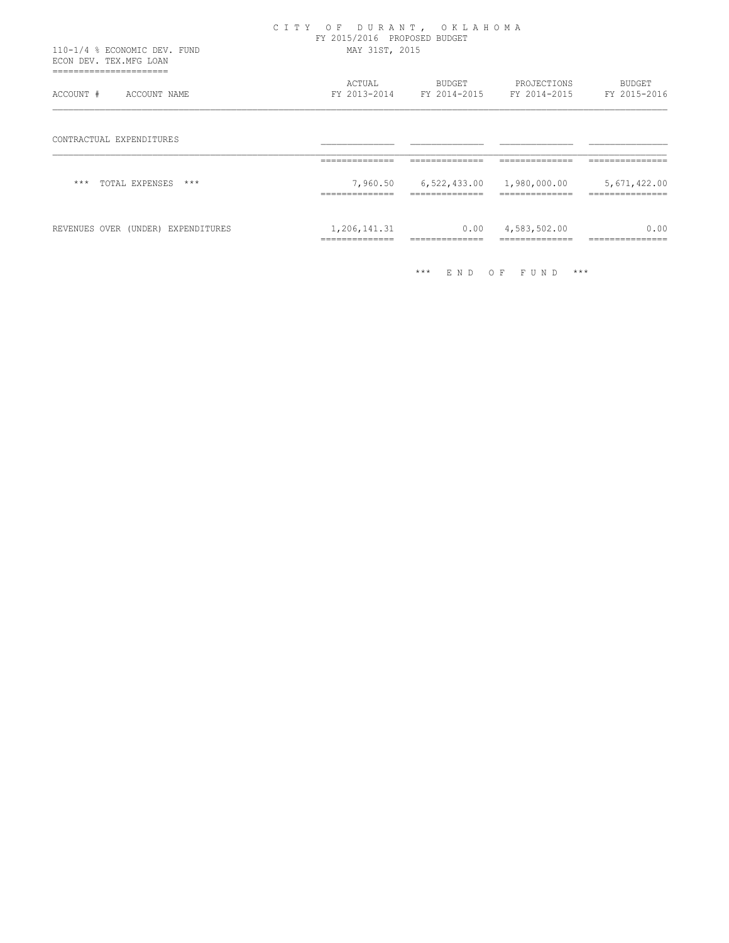| 110-1/4 % ECONOMIC DEV. FUND<br>ECON DEV. TEX.MFG LOAN     | CITY OF DURANT, OKLAHOMA<br>FY 2015/2016 PROPOSED BUDGET<br>MAY 31ST, 2015 |                                                      |                             |                                |  |
|------------------------------------------------------------|----------------------------------------------------------------------------|------------------------------------------------------|-----------------------------|--------------------------------|--|
| -----------------------------<br>ACCOUNT #<br>ACCOUNT NAME | ACTUAL<br>FY 2013-2014                                                     | <b>BUDGET</b><br>FY 2014-2015 FY 2014-2015           | PROJECTIONS                 | <b>BUDGET</b><br>FY 2015-2016  |  |
| CONTRACTUAL EXPENDITURES                                   | ==============                                                             | ==============                                       | ==============              | =============                  |  |
| $***$<br>TOTAL EXPENSES<br>***                             | ==============                                                             | 7,960.50 6,522,433.00 1,980,000.00<br>============== | ==============              | 5,671,422.00<br>============== |  |
| REVENUES OVER (UNDER) EXPENDITURES                         | 1,206,141.31<br>==============                                             | 0.00                                                 | 4,583,502.00<br>=========== | 0.00<br>--------------         |  |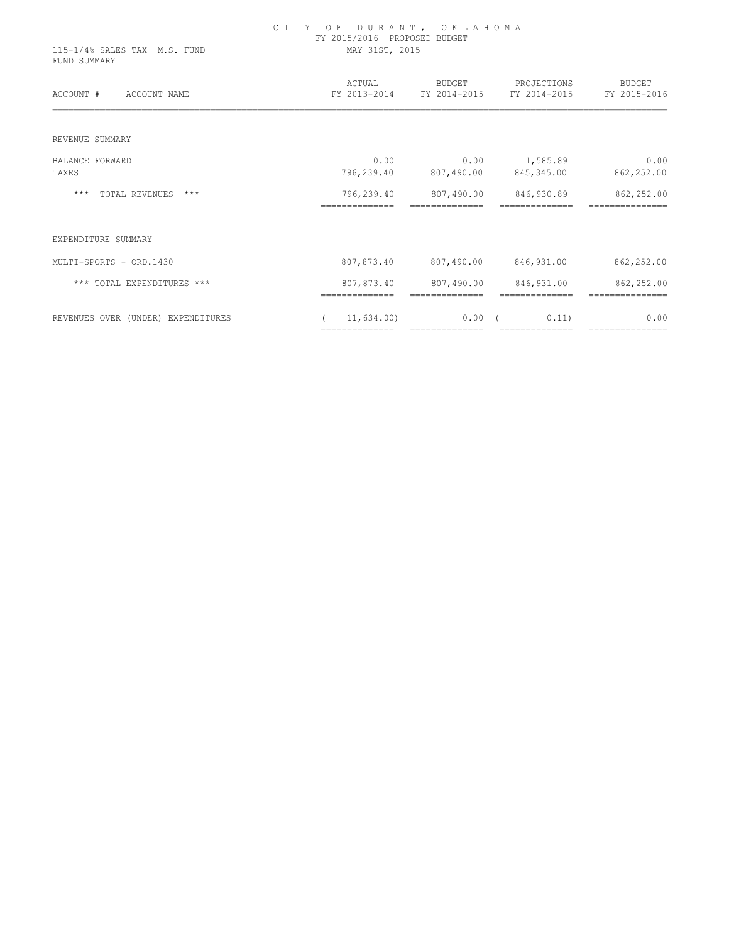| 115-1/4% SALES TAX M.S. FUND<br>FUND SUMMARY | CITY OF DURANT, OKLAHOMA<br>FY 2015/2016 PROPOSED BUDGET<br>MAY 31ST, 2015 |                              |                                                       |                        |  |  |  |
|----------------------------------------------|----------------------------------------------------------------------------|------------------------------|-------------------------------------------------------|------------------------|--|--|--|
| ACCOUNT #<br>ACCOUNT NAME                    | ACTUAL                                                                     | <b>BUDGET</b>                | PROJECTIONS<br>FY 2013-2014 FY 2014-2015 FY 2014-2015 | BUDGET<br>FY 2015-2016 |  |  |  |
| REVENUE SUMMARY                              |                                                                            |                              |                                                       |                        |  |  |  |
| <b>BALANCE FORWARD</b>                       | 0.00                                                                       |                              | $0.00$ 1,585.89                                       | 0.00                   |  |  |  |
| TAXES                                        | 796,239.40                                                                 |                              | 807,490.00 845,345.00                                 | 862,252.00             |  |  |  |
| TOTAL REVENUES ***<br>***                    | 796,239.40                                                                 | 807,490.00                   | 846,930.89                                            | 862,252.00             |  |  |  |
| EXPENDITURE SUMMARY                          |                                                                            |                              |                                                       |                        |  |  |  |
| MULTI-SPORTS - ORD.1430                      | 807,873.40                                                                 |                              | 807,490.00 846,931.00                                 | 862,252.00             |  |  |  |
| *** TOTAL EXPENDITURES ***                   | 807,873.40<br>==============                                               | 807,490.00<br>============== | 846,931.00<br>==============                          | 862,252.00             |  |  |  |
| REVENUES OVER (UNDER) EXPENDITURES           | 11,634.00)<br>==============                                               | 0.00                         | 0.11)                                                 | 0.00                   |  |  |  |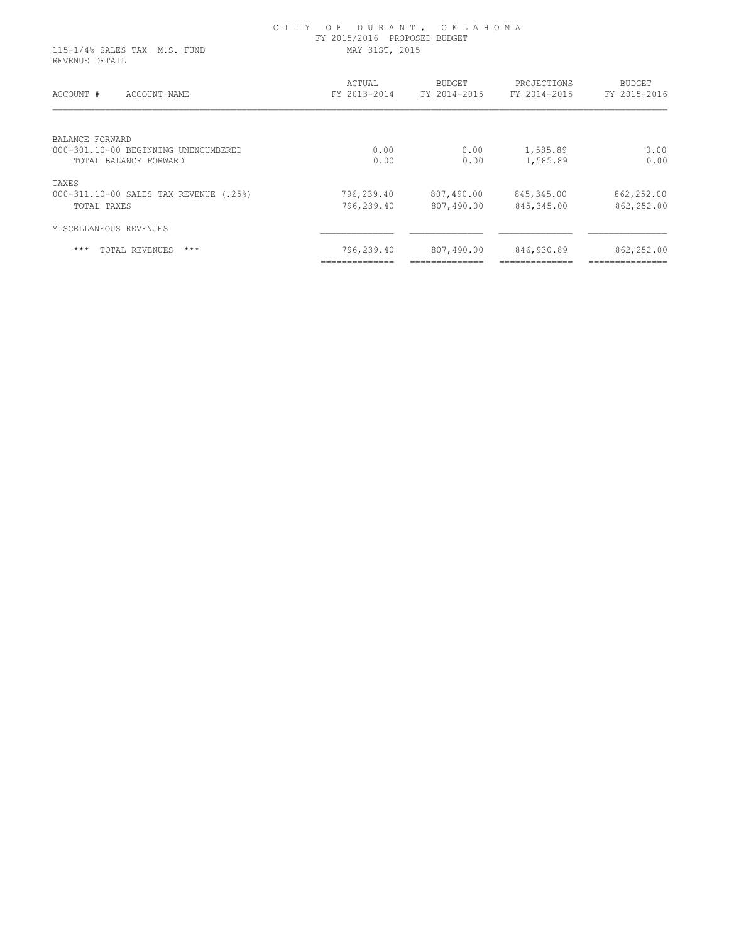#### C I T Y O F D U R A N T , O K L A H O M A FY 2015/2016 PROPOSED BUDGET 115-1/4% SALES TAX M.S. FUND MAY 31ST, 2015

REVENUE DETAIL

| ACCOUNT #<br>ACCOUNT NAME              | ACTUAL<br>FY 2013-2014 | <b>BUDGET</b><br>FY 2014-2015 | PROJECTIONS<br>FY 2014-2015 | <b>BUDGET</b><br>FY 2015-2016 |
|----------------------------------------|------------------------|-------------------------------|-----------------------------|-------------------------------|
| BALANCE FORWARD                        |                        |                               |                             |                               |
| 000-301.10-00 BEGINNING UNENCUMBERED   | 0.00                   | 0.00                          | 1,585.89                    | 0.00                          |
| TOTAL BALANCE FORWARD                  | 0.00                   | 0.00                          | 1,585.89                    | 0.00                          |
| TAXES                                  |                        |                               |                             |                               |
| 000-311.10-00 SALES TAX REVENUE (.25%) | 796,239.40             | 807,490.00                    | 845, 345.00                 | 862,252.00                    |
| TOTAL TAXES                            | 796,239.40             | 807,490.00                    | 845, 345.00                 | 862,252.00                    |
| MISCELLANEOUS REVENUES                 |                        |                               |                             |                               |
| $***$<br>TOTAL REVENUES<br>$***$       | 796,239.40             | 807,490.00                    | 846,930.89                  | 862,252.00                    |
|                                        | ______________         | ----------------              | ----------------            | -----------------             |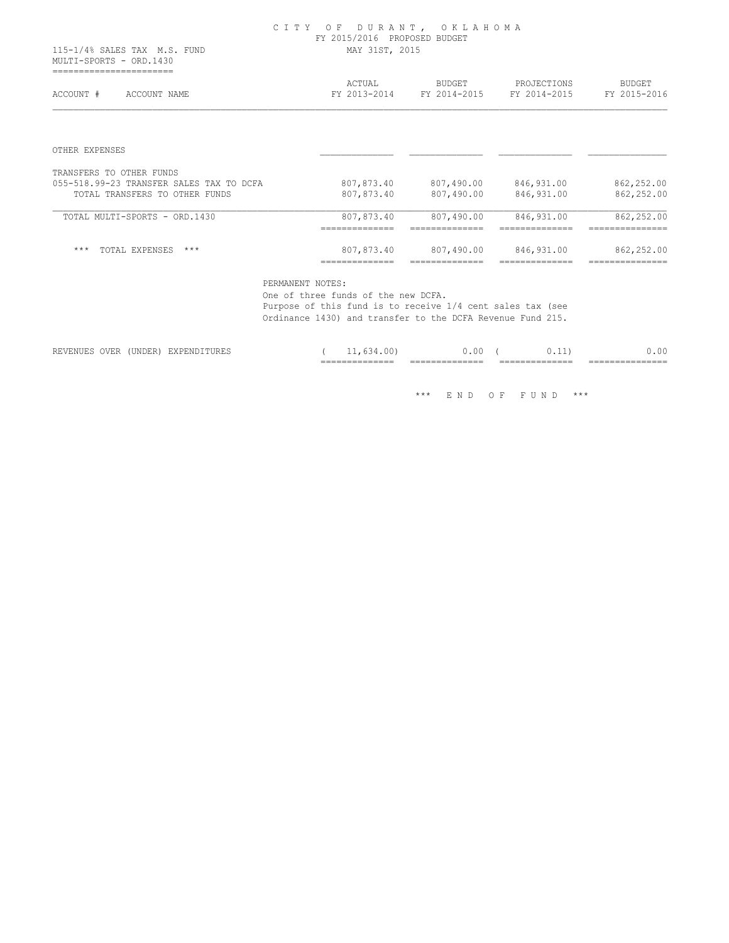#### C I T Y O F D U R A N T , O K L A H O M A FY 2015/2016 PROPOSED BUDGET 115-1/4% SALES TAX M.S. FUND MAY 31ST, 2015

 MULTI-SPORTS - ORD.1430 =======================

| FY 2013-2014                                   | FY 2014-2015                                     | FY 2014-2015                                     | <b>BUDGET</b><br>FY 2015-2016                     |
|------------------------------------------------|--------------------------------------------------|--------------------------------------------------|---------------------------------------------------|
|                                                |                                                  |                                                  |                                                   |
|                                                |                                                  |                                                  |                                                   |
|                                                |                                                  |                                                  |                                                   |
| 807,873.40                                     | 807,490.00                                       | 846,931.00                                       | 862,252.00                                        |
| 807,873.40                                     | 807,490.00                                       | 846,931.00                                       | 862,252.00                                        |
| 807,873.40<br>--------------<br>______________ | 807,490.00<br>---------------<br>_______________ | 846, 931.00<br>--------------<br>--------------- | 862,252.00<br>---------------<br>---------------- |
| 807,873.40                                     | 807,490.00                                       | 846,931.00                                       | 862,252.00                                        |
|                                                |                                                  |                                                  |                                                   |

PERMANENT NOTES:

 One of three funds of the new DCFA. Purpose of this fund is to receive 1/4 cent sales tax (see Ordinance 1430) and transfer to the DCFA Revenue Fund 215.

| <b>OVE1</b><br>$-117$<br>х Рн<br>UNDER)<br>.<br>H. VZ<br>7. U U<br>, <u>, , ,</u><br>فللطائف عالم المناسب<br>. . u<br>the contract of the contract of the contract of the contract of the contract of the contract of the contract of<br>$\mathbf{v}$ and $\mathbf{v}$ and $\mathbf{v}$ and $\mathbf{v}$<br>the contract of the contract of the contract of the contract of the contract of the contract of the contract of<br>$- -$<br>_______________<br>$- -$<br>---<br>__________<br>_________<br>___<br>_______________<br>_______________<br>_______________<br>________________ |
|----------------------------------------------------------------------------------------------------------------------------------------------------------------------------------------------------------------------------------------------------------------------------------------------------------------------------------------------------------------------------------------------------------------------------------------------------------------------------------------------------------------------------------------------------------------------------------------|
| 00                                                                                                                                                                                                                                                                                                                                                                                                                                                                                                                                                                                     |
|                                                                                                                                                                                                                                                                                                                                                                                                                                                                                                                                                                                        |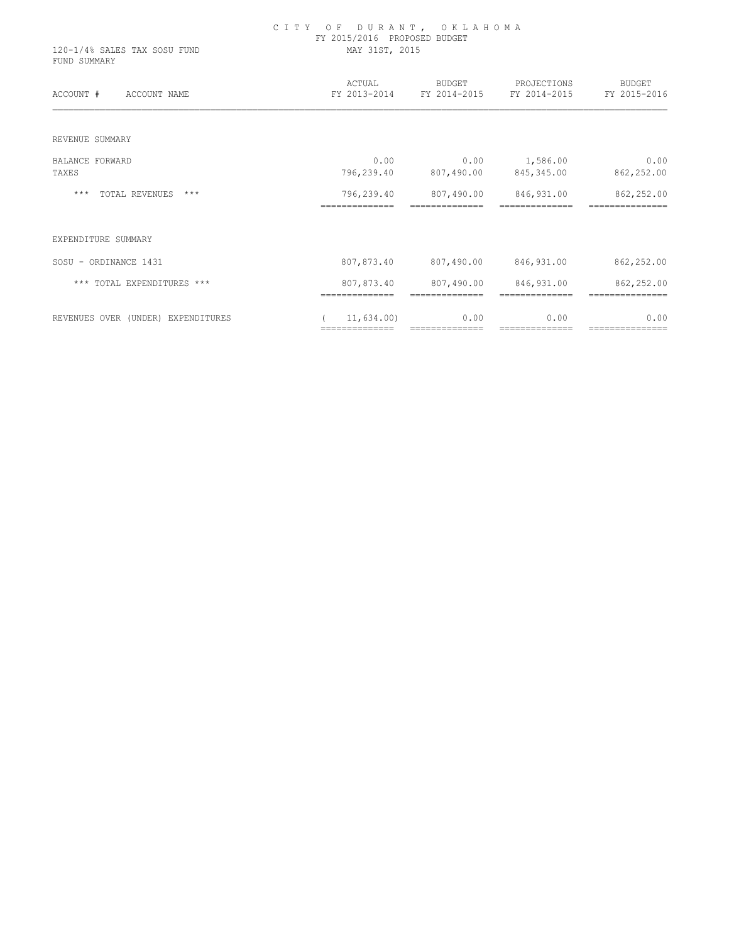| 120-1/4% SALES TAX SOSU FUND<br>FUND SUMMARY | CITY OF DURANT, OKLAHOMA<br>FY 2015/2016 PROPOSED BUDGET<br>MAY 31ST, 2015 |                              |                                                       |                        |  |  |
|----------------------------------------------|----------------------------------------------------------------------------|------------------------------|-------------------------------------------------------|------------------------|--|--|
| ACCOUNT #<br>ACCOUNT NAME                    | ACTUAL                                                                     | <b>BUDGET</b>                | PROJECTIONS<br>FY 2013-2014 FY 2014-2015 FY 2014-2015 | BUDGET<br>FY 2015-2016 |  |  |
| REVENUE SUMMARY                              |                                                                            |                              |                                                       |                        |  |  |
| <b>BALANCE FORWARD</b>                       | 0.00                                                                       | 0.00                         | 1,586.00                                              | 0.00                   |  |  |
| TAXES                                        | 796,239.40                                                                 | 807,490.00                   | 845,345.00                                            | 862,252.00             |  |  |
| TOTAL REVENUES ***<br>***                    | 796,239.40                                                                 | 807,490.00                   | 846,931.00                                            | 862,252.00             |  |  |
| EXPENDITURE SUMMARY                          |                                                                            |                              |                                                       |                        |  |  |
| SOSU - ORDINANCE 1431                        | 807,873.40                                                                 |                              | 807,490.00 846,931.00                                 | 862,252.00             |  |  |
| *** TOTAL EXPENDITURES ***                   | 807,873.40<br>==============                                               | 807,490.00<br>============== | 846,931.00<br>==============                          | 862,252.00             |  |  |
| REVENUES OVER (UNDER) EXPENDITURES           | 11,634.00)<br>==============                                               | 0.00<br>==============       | 0.00<br>==============                                | 0.00                   |  |  |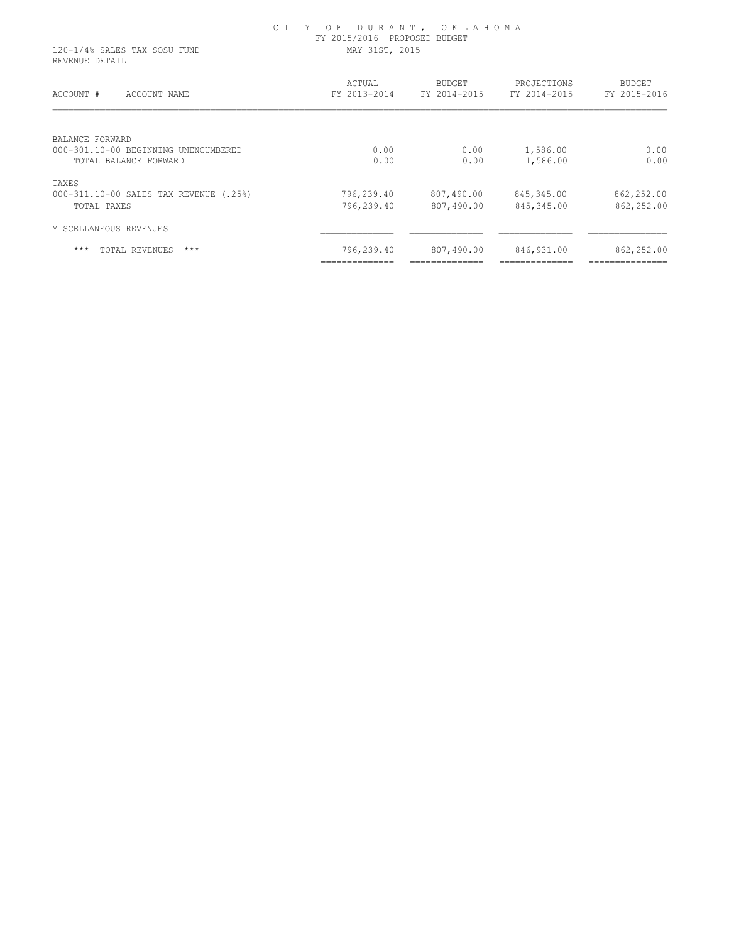| 120-1/4% SALES TAX SOSU FUND<br>REVENUE DETAIL                                   | CITY OF DURANT, OKLAHOMA<br>FY 2015/2016 PROPOSED BUDGET<br>MAY 31ST, 2015 |                        |  |                        |                             |                        |
|----------------------------------------------------------------------------------|----------------------------------------------------------------------------|------------------------|--|------------------------|-----------------------------|------------------------|
| ACCOUNT #<br>ACCOUNT NAME                                                        |                                                                            | ACTUAL<br>FY 2013-2014 |  | BUDGET<br>FY 2014-2015 | PROJECTIONS<br>FY 2014-2015 | BUDGET<br>FY 2015-2016 |
| BALANCE FORWARD<br>000-301.10-00 BEGINNING UNENCUMBERED<br>TOTAL BALANCE FORWARD |                                                                            | 0.00<br>0.00           |  | 0.00<br>0.00           | 1,586.00<br>1,586.00        | 0.00<br>0.00           |

| TOTAL REVENUES<br>$***$<br>$***$                      | 796,239.40               | 807,490.00               | 846,931.00               | 862,252.00               |
|-------------------------------------------------------|--------------------------|--------------------------|--------------------------|--------------------------|
| MISCELLANEOUS REVENUES                                |                          |                          |                          |                          |
| 000-311.10-00 SALES TAX REVENUE (.25%)<br>TOTAL TAXES | 796,239.40<br>796,239.40 | 807,490.00<br>807,490.00 | 845,345.00<br>845,345.00 | 862,252.00<br>862,252.00 |
| TAXES                                                 |                          |                          |                          |                          |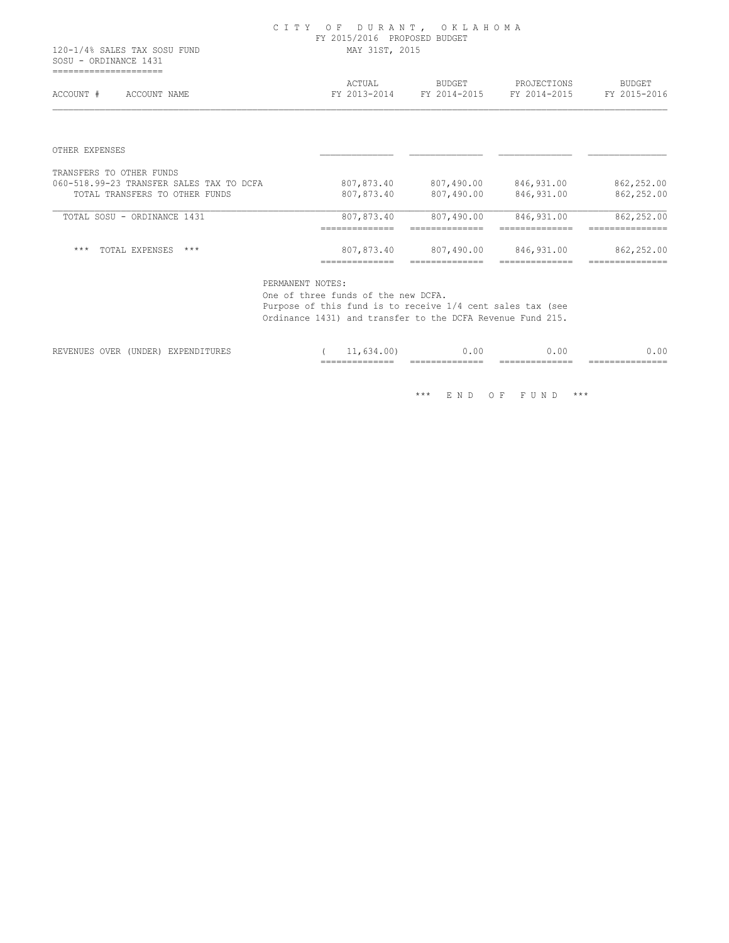#### C I T Y O F D U R A N T , O K L A H O M A FY 2015/2016 PROPOSED BUDGET 120-1/4% SALES TAX SOSU FUND MAY 31ST, 2015

 SOSU - ORDINANCE 1431 =====================

| ACCOUNT #<br>ACCOUNT NAME                | ACTUAL<br>FY 2013-2014        | <b>BUDGET</b><br>FY 2014-2015 | PROJECTIONS<br>FY 2014-2015  | <b>BUDGET</b><br>FY 2015-2016 |
|------------------------------------------|-------------------------------|-------------------------------|------------------------------|-------------------------------|
|                                          |                               |                               |                              |                               |
| OTHER EXPENSES                           |                               |                               |                              |                               |
| TRANSFERS TO OTHER FUNDS                 |                               |                               |                              |                               |
| 060-518.99-23 TRANSFER SALES TAX TO DCFA | 807,873.40                    | 807,490.00                    | 846,931.00                   | 862,252.00                    |
| TOTAL TRANSFERS TO OTHER FUNDS           | 807,873.40                    | 807,490.00                    | 846,931.00                   | 862,252.00                    |
| TOTAL SOSU - ORDINANCE 1431              | 807,873.40<br>--------------- | 807,490.00                    | 846,931.00                   | 862,252.00                    |
| $***$<br>$***$                           | ---------                     |                               |                              | ----------                    |
| TOTAL EXPENSES                           | 807,873.40<br>==============  | 807,490.00<br>==============  | 846,931.00<br>============== | 862,252.00<br>=============== |

PERMANENT NOTES:

 One of three funds of the new DCFA. Purpose of this fund is to receive 1/4 cent sales tax (see Ordinance 1431) and transfer to the DCFA Revenue Fund 215.

|                                                     |                                                                                           |                           | ___ | _______________<br>____ | ______________<br>-----<br>___ | ______________<br>____<br>___ | -----<br>____<br>____<br>--- |
|-----------------------------------------------------|-------------------------------------------------------------------------------------------|---------------------------|-----|-------------------------|--------------------------------|-------------------------------|------------------------------|
| -----<br>$- - - -$<br>------<br>19 H. V. H.<br>OVER | 'UNDER<br>the contract of the contract of the contract of the contract of the contract of | --------<br>Y PH<br>----- |     | .00<br>- -<br>___       | O.OO                           | 0.00                          | nη                           |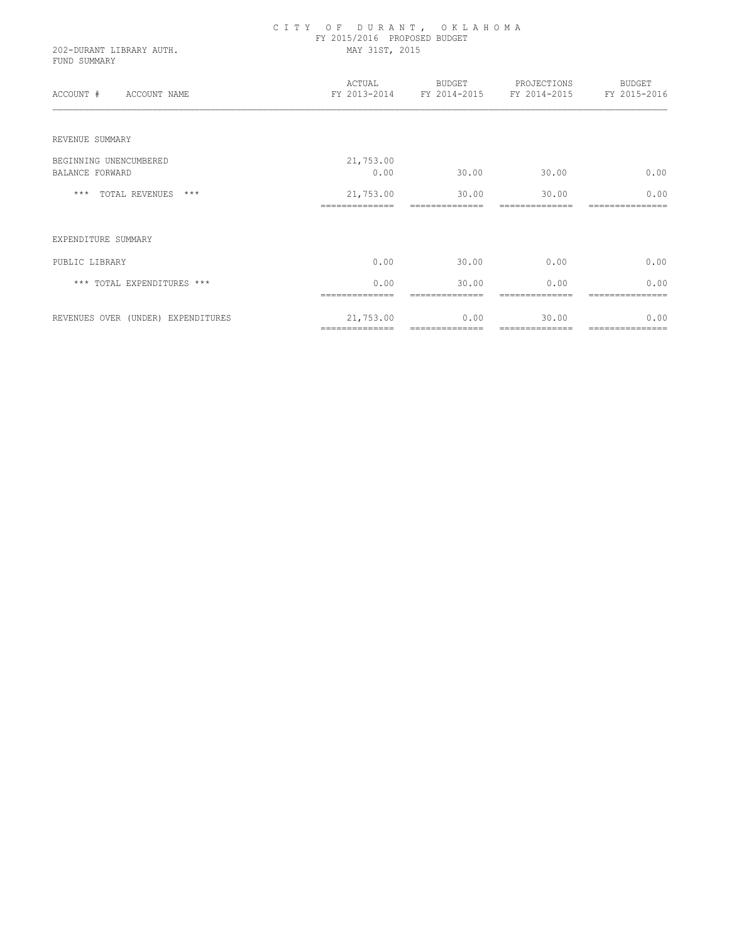| 202-DURANT LIBRARY AUTH.<br>FUND SUMMARY | CITY OF DURANT, OKLAHOMA<br>FY 2015/2016 PROPOSED BUDGET<br>MAY 31ST, 2015 |                         |                                                              |                         |
|------------------------------------------|----------------------------------------------------------------------------|-------------------------|--------------------------------------------------------------|-------------------------|
| ACCOUNT #<br>ACCOUNT NAME                | ACTUAL                                                                     |                         | BUDGET PROJECTIONS<br>FY 2013-2014 FY 2014-2015 FY 2014-2015 | BUDGET<br>FY 2015-2016  |
| REVENUE SUMMARY                          |                                                                            |                         |                                                              |                         |
| BEGINNING UNENCUMBERED                   | 21,753.00                                                                  |                         |                                                              |                         |
| <b>BALANCE FORWARD</b>                   | 0.00                                                                       | 30.00                   | 30.00                                                        | 0.00                    |
| *** TOTAL REVENUES ***                   | 21,753.00                                                                  | 30.00                   | 30.00                                                        | 0.00                    |
| EXPENDITURE SUMMARY                      |                                                                            |                         |                                                              |                         |
| PUBLIC LIBRARY                           | 0.00                                                                       | 30.00                   | 0.00                                                         | 0.00                    |
| *** TOTAL EXPENDITURES ***               | 0.00<br>--------------                                                     | 30.00<br>-------------- | 0.00<br>--------------                                       | 0.00<br>=============== |
| REVENUES OVER (UNDER) EXPENDITURES       | 21,753.00<br>==============                                                | 0.00<br>==============  | 30.00<br>==============                                      | 0.00<br>=============== |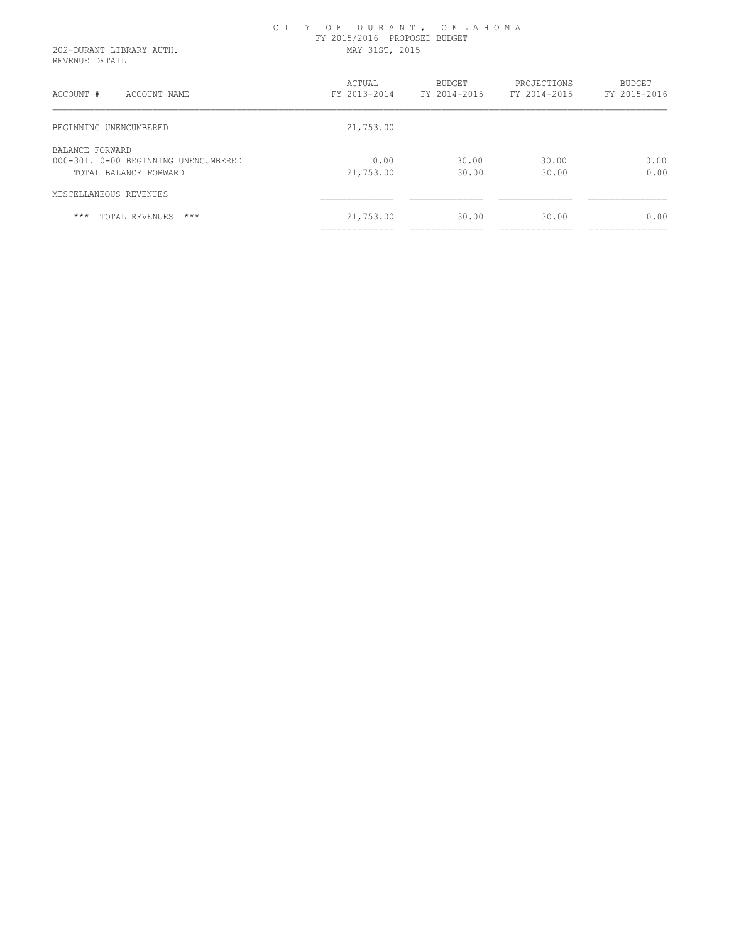#### C I T Y O F D U R A N T , O K L A H O M A FY 2015/2016 PROPOSED BUDGET 202-DURANT LIBRARY AUTH. MAY 31ST, 2015

REVENUE DETAIL

| ACCOUNT #<br>ACCOUNT NAME                                                        | ACTUAL<br>FY 2013-2014           | BUDGET<br>FY 2014-2015                | PROJECTIONS<br>FY 2014-2015            | <b>BUDGET</b><br>FY 2015-2016           |
|----------------------------------------------------------------------------------|----------------------------------|---------------------------------------|----------------------------------------|-----------------------------------------|
| BEGINNING UNENCUMBERED                                                           | 21,753.00                        |                                       |                                        |                                         |
| BALANCE FORWARD<br>000-301.10-00 BEGINNING UNENCUMBERED<br>TOTAL BALANCE FORWARD | 0.00<br>21,753.00                | 30.00<br>30.00                        | 30.00<br>30.00                         | 0.00<br>0.00                            |
| MISCELLANEOUS REVENUES                                                           |                                  |                                       |                                        |                                         |
| $***$<br>TOTAL REVENUES<br>$***$                                                 | 21,753.00<br>______________<br>. | 30.00<br>______________<br>---------- | 30.00<br>--------------<br>----------- | 0.00<br>---------------<br>------------ |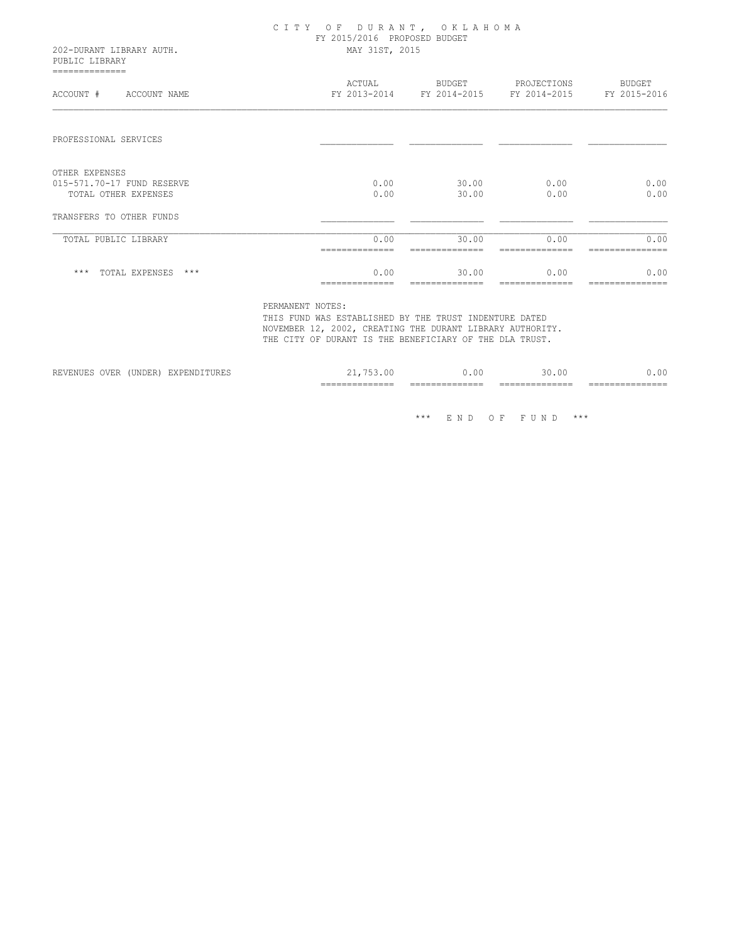| 202-DURANT LIBRARY AUTH.<br>PUBLIC LIBRARY         | CITY OF DURANT, OKLAHOMA<br>FY 2015/2016 PROPOSED BUDGET<br>MAY 31ST, 2015 |                |                                                       |                        |  |  |
|----------------------------------------------------|----------------------------------------------------------------------------|----------------|-------------------------------------------------------|------------------------|--|--|
| --------------<br>ACCOUNT #<br>ACCOUNT NAME        | ACTUAL                                                                     | BUDGET         | PROJECTIONS<br>FY 2013-2014 FY 2014-2015 FY 2014-2015 | BUDGET<br>FY 2015-2016 |  |  |
| PROFESSIONAL SERVICES                              |                                                                            |                |                                                       |                        |  |  |
| OTHER EXPENSES                                     |                                                                            |                |                                                       |                        |  |  |
| 015-571.70-17 FUND RESERVE<br>TOTAL OTHER EXPENSES | 0.00<br>0.00                                                               | 30.00<br>30.00 | 0.00<br>0.00                                          | 0.00<br>0.00           |  |  |
| TRANSFERS TO OTHER FUNDS                           |                                                                            |                |                                                       |                        |  |  |
| TOTAL PUBLIC LIBRARY                               | 0.00                                                                       | 30.00          | 0.00                                                  | 0.00                   |  |  |
| *** TOTAL EXPENSES ***                             | 0.00                                                                       | 30.00          | 0.00                                                  | 0.00                   |  |  |

PERMANENT NOTES:

 THIS FUND WAS ESTABLISHED BY THE TRUST INDENTURE DATED NOVEMBER 12, 2002, CREATING THE DURANT LIBRARY AUTHORITY. THE CITY OF DURANT IS THE BENEFICIARY OF THE DLA TRUST.

|                                 |                  |                     | ____________<br>$- - -$<br>________________ | $- -$<br>_____<br>_______________ | $-$<br>-------<br>________________ | ___<br>_____  |
|---------------------------------|------------------|---------------------|---------------------------------------------|-----------------------------------|------------------------------------|---------------|
| IVE.<br>KLVLNUL:<br><b>VIII</b> | ™DER L<br>UINDIN | ، ب<br>uni unu tunu |                                             | . U J                             | 111.1                              | $\sim$ $\sim$ |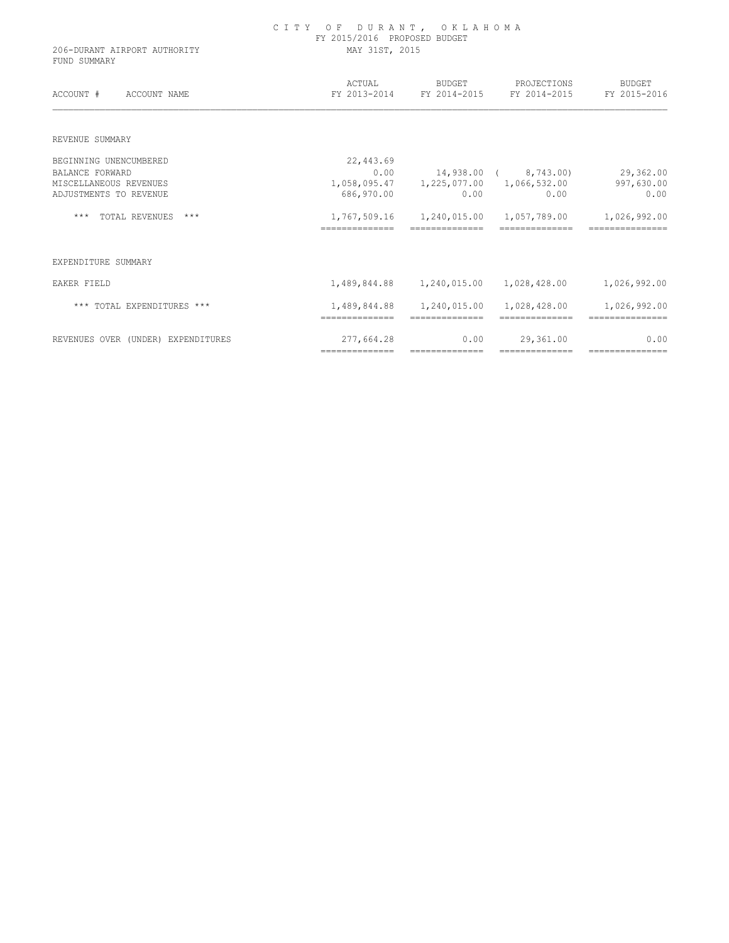| 206-DURANT AIRPORT AUTHORITY<br>FUND SUMMARY | CITY OF DURANT, OKLAHOMA<br>FY 2015/2016 PROPOSED BUDGET<br>MAY 31ST, 2015 |                                |                                                       |                                 |  |  |  |
|----------------------------------------------|----------------------------------------------------------------------------|--------------------------------|-------------------------------------------------------|---------------------------------|--|--|--|
| ACCOUNT #<br>ACCOUNT NAME                    | ACTUAL                                                                     | BUDGET                         | PROJECTIONS<br>FY 2013-2014 FY 2014-2015 FY 2014-2015 | BUDGET<br>FY 2015-2016          |  |  |  |
| REVENUE SUMMARY                              |                                                                            |                                |                                                       |                                 |  |  |  |
| BEGINNING UNENCUMBERED                       | 22,443.69                                                                  |                                |                                                       |                                 |  |  |  |
| <b>BALANCE FORWARD</b>                       | 0.00                                                                       |                                | 14,938.00 ( 8,743.00)                                 | 29,362.00                       |  |  |  |
| MISCELLANEOUS REVENUES                       |                                                                            |                                | 1,058,095.47   1,225,077.00   1,066,532.00            | 997,630.00                      |  |  |  |
| ADJUSTMENTS TO REVENUE                       | 686,970.00                                                                 | 0.00                           | 0.00                                                  | 0.00                            |  |  |  |
| *** TOTAL REVENUES<br>***                    | ==============                                                             | 1,767,509.16 1,240,015.00      | 1,057,789.00                                          | 1,026,992.00                    |  |  |  |
| EXPENDITURE SUMMARY                          |                                                                            |                                |                                                       |                                 |  |  |  |
| EAKER FIELD                                  |                                                                            | 1,489,844.88   1,240,015.00    | 1,028,428.00                                          | 1,026,992.00                    |  |  |  |
| *** TOTAL EXPENDITURES ***                   | 1,489,844.88<br>==============                                             | 1,240,015.00<br>============== | 1,028,428.00<br>==============                        | 1,026,992.00<br>=============== |  |  |  |
| REVENUES OVER (UNDER) EXPENDITURES           | 277,664.28                                                                 | 0.00                           | 29,361.00                                             | 0.00                            |  |  |  |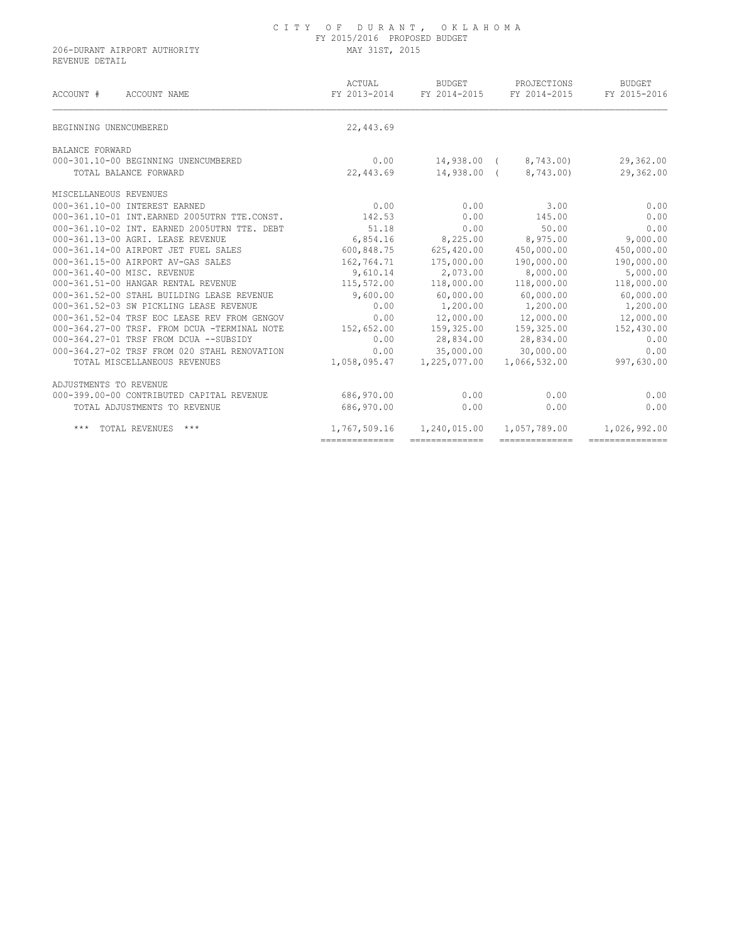## C I T Y O F D U R A N T , O K L A H O M A FY 2015/2016 PROPOSED BUDGET

206-DURANT AIRPORT AUTHORITY MAY 31ST, 2015 REVENUE DETAIL

| ACCOUNT #<br>ACCOUNT NAME                    | ACTUAL          | BUDGET<br>FY 2013-2014 FY 2014-2015 | PROJECTIONS<br>FY 2014-2015 | <b>BUDGET</b><br>FY 2015-2016 |
|----------------------------------------------|-----------------|-------------------------------------|-----------------------------|-------------------------------|
| BEGINNING UNENCUMBERED                       | 22,443.69       |                                     |                             |                               |
| BALANCE FORWARD                              |                 |                                     |                             |                               |
| 000-301.10-00 BEGINNING UNENCUMBERED         | 0.00            | 14,938.00 (                         | 8,743.00)                   | 29,362.00                     |
| TOTAL BALANCE FORWARD                        | 22,443.69       |                                     | 14,938.00 ( 8,743.00)       | 29,362.00                     |
| MISCELLANEOUS REVENUES                       |                 |                                     |                             |                               |
| 000-361.10-00 INTEREST EARNED                | 0.00            | 0.00                                | 3.00                        | 0.00                          |
| 000-361.10-01 INT.EARNED 2005UTRN TTE.CONST. | 142.53          | 0.00                                | 145.00                      | 0.00                          |
| 000-361.10-02 INT. EARNED 2005UTRN TTE. DEBT | 51.18           | 0.00                                | 50.00                       | 0.00                          |
| 000-361.13-00 AGRI. LEASE REVENUE            | 6,854.16        | 8,225.00                            | 8,975.00                    | 9,000.00                      |
| 000-361.14-00 AIRPORT JET FUEL SALES         | 600,848.75      | 625,420.00                          | 450,000.00                  | 450,000.00                    |
| 000-361.15-00 AIRPORT AV-GAS SALES           | 162,764.71      | 175,000.00                          | 190,000.00                  | 190,000.00                    |
| 000-361.40-00 MISC. REVENUE                  | 9,610.14        | 2,073.00                            | 8,000.00                    | 5,000.00                      |
| 000-361.51-00 HANGAR RENTAL REVENUE          | 115,572.00      | 118,000.00                          | 118,000.00                  | 118,000.00                    |
| 000-361.52-00 STAHL BUILDING LEASE REVENUE   | 9,600.00        | 60,000.00                           | 60,000.00                   | 60,000.00                     |
| 000-361.52-03 SW PICKLING LEASE REVENUE      | 0.00            | 1,200.00                            | 1,200.00                    | 1,200.00                      |
| 000-361.52-04 TRSF EOC LEASE REV FROM GENGOV | 0.00            | 12,000.00                           | 12,000.00                   | 12,000.00                     |
| 000-364.27-00 TRSF. FROM DCUA -TERMINAL NOTE | 152,652.00      |                                     | 159,325.00 159,325.00       | 152,430.00                    |
| 000-364.27-01 TRSF FROM DCUA --SUBSIDY       | 0.00            |                                     | 28,834.00 28,834.00         | 0.00                          |
| 000-364.27-02 TRSF FROM 020 STAHL RENOVATION | 0.00            | 35,000.00                           | 30,000.00                   | 0.00                          |
| TOTAL MISCELLANEOUS REVENUES                 | 1,058,095.47    | 1,225,077.00                        | 1,066,532.00                | 997,630.00                    |
| ADJUSTMENTS TO REVENUE                       |                 |                                     |                             |                               |
| 000-399.00-00 CONTRIBUTED CAPITAL REVENUE    | 686,970.00      | 0.00                                | 0.00                        | 0.00                          |
| TOTAL ADJUSTMENTS TO REVENUE                 | 686,970.00      | 0.00                                | 0.00                        | 0.00                          |
| $***$<br>TOTAL REVENUES<br>***               | 1,767,509.16    | 1,240,015.00                        | 1,057,789.00                | 1,026,992.00                  |
|                                              | --------------- | ---------------                     | --------------              | ----------------              |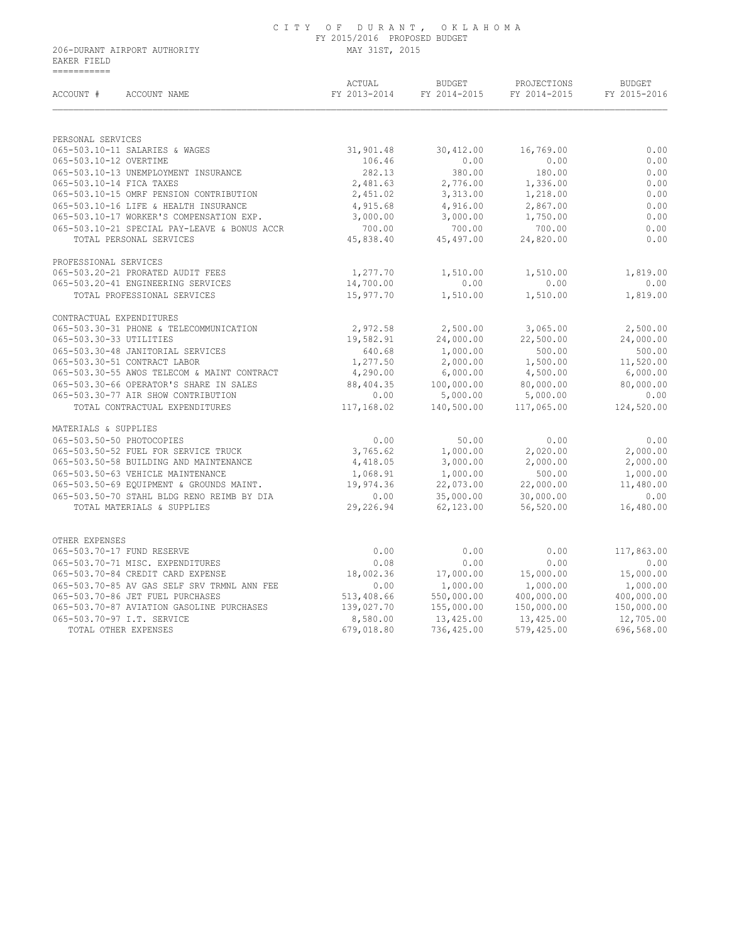## C I T Y O F D U R A N T , O K L A H O M A FY 2015/2016 PROPOSED BUDGET

206-DURANT AIRPORT AUTHORITY MAY 31ST, 2015 EAKER FIELD ===========

| ACCOUNT #<br>ACCOUNT NAME                                                              | ACTUAL<br>FY 2013-2014 | <b>BUDGET</b><br>FY 2014-2015 | PROJECTIONS<br>FY 2014-2015 | <b>BUDGET</b><br>FY 2015-2016 |
|----------------------------------------------------------------------------------------|------------------------|-------------------------------|-----------------------------|-------------------------------|
| PERSONAL SERVICES                                                                      |                        |                               |                             |                               |
| 065-503.10-11 SALARIES & WAGES                                                         | 31,901.48              | 30,412.00                     | 16,769.00                   | 0.00                          |
| 065-503.10-12 OVERTIME                                                                 | 106.46                 | 0.00                          | 0.00                        | 0.00                          |
| 065-503.10-13 UNEMPLOYMENT INSURANCE                                                   | 282.13                 | 380.00                        | 180.00                      | 0.00                          |
| 065-503.10-14 FICA TAXES                                                               | 2,481.63               | 2,776.00                      | 1,336.00                    | 0.00                          |
| 065-503.10-15 OMRF PENSION CONTRIBUTION                                                | 2,451.02               | 3,313.00                      | 1,218.00                    | 0.00                          |
| 065-503.10-16 LIFE & HEALTH INSURANCE                                                  | 4,915.68               | 4,916.00                      | 2,867.00                    | 0.00                          |
| 065-503.10-17 WORKER'S COMPENSATION EXP.                                               | 3,000.00               | 3,000.00                      | 1,750.00                    | 0.00                          |
| 065-503.10-21 SPECIAL PAY-LEAVE & BONUS ACCR                                           | 700.00                 | 700.00                        | 700.00                      | 0.00                          |
| TOTAL PERSONAL SERVICES                                                                | 45,838.40              | 45,497.00                     | 24,820.00                   | 0.00                          |
| PROFESSIONAL SERVICES                                                                  |                        |                               |                             |                               |
| 065-503.20-21 PRORATED AUDIT FEES                                                      | 1,277.70               | 1,510.00                      | 1,510.00                    | 1,819.00                      |
| 065-503.20-41 ENGINEERING SERVICES                                                     | 14,700.00              | 0.00                          | 0.00                        | 0.00                          |
| TOTAL PROFESSIONAL SERVICES                                                            | 15,977.70              | 1,510.00                      | 1,510.00                    | 1,819.00                      |
| CONTRACTUAL EXPENDITURES                                                               |                        |                               |                             |                               |
| 065-503.30-31 PHONE & TELECOMMUNICATION                                                | 2,972.58               | 2,500.00                      | 3,065.00                    | 2,500.00                      |
| 065-503.30-33 UTILITIES                                                                | 19,582.91              | 24,000.00                     | 22,500.00                   | 24,000.00                     |
| 065-503.30-48 JANITORIAL SERVICES                                                      | 640.68                 | 1,000.00                      | 500.00                      | 500.00                        |
| 065-503.30-51 CONTRACT LABOR                                                           | 1,277.50               | 2,000.00                      | 1,500.00                    | 11,520.00                     |
| 065-503.30-55 AWOS TELECOM & MAINT CONTRACT<br>065-503.30-66 OPERATOR'S SHARE IN SALES | 4,290.00               | 6,000.00                      | 4,500.00                    | 6,000.00                      |
| 065-503.30-77 AIR SHOW CONTRIBUTION                                                    | 88,404.35<br>0.00      | 100,000.00<br>5,000.00        | 80,000.00                   | 80,000.00<br>0.00             |
| TOTAL CONTRACTUAL EXPENDITURES                                                         | 117,168.02             | 140,500.00                    | 5,000.00<br>117,065.00      | 124,520.00                    |
|                                                                                        |                        |                               |                             |                               |
| MATERIALS & SUPPLIES                                                                   |                        |                               |                             |                               |
| 065-503.50-50 PHOTOCOPIES                                                              | 0.00                   | 50.00                         | 0.00                        | 0.00                          |
| 065-503.50-52 FUEL FOR SERVICE TRUCK                                                   | 3,765.62               | 1,000.00                      | 2,020.00                    | 2,000.00                      |
| 065-503.50-58 BUILDING AND MAINTENANCE                                                 | 4,418.05               | 3,000.00                      | 2,000.00                    | 2,000.00                      |
| 065-503.50-63 VEHICLE MAINTENANCE<br>065-503.50-69 EQUIPMENT & GROUNDS MAINT.          | 1,068.91<br>19,974.36  | 1,000.00<br>22,073.00         | 500.00<br>22,000.00         | 1,000.00<br>11,480.00         |
| 065-503.50-70 STAHL BLDG RENO REIMB BY DIA                                             | 0.00                   | 35,000.00                     | 30,000.00                   | 0.00                          |
| TOTAL MATERIALS & SUPPLIES                                                             | 29,226.94              | 62,123.00                     | 56,520.00                   | 16,480.00                     |
| OTHER EXPENSES                                                                         |                        |                               |                             |                               |
| 065-503.70-17 FUND RESERVE                                                             | 0.00                   | 0.00                          | 0.00                        | 117,863.00                    |
| 065-503.70-71 MISC. EXPENDITURES                                                       | 0.08                   | 0.00                          | 0.00                        | 0.00                          |
| 065-503.70-84 CREDIT CARD EXPENSE                                                      | 18,002.36              | 17,000.00                     | 15,000.00                   | 15,000.00                     |
| 065-503.70-85 AV GAS SELF SRV TRMNL ANN FEE                                            | 0.00                   | 1,000.00                      | 1,000.00                    | 1,000.00                      |
| 065-503.70-86 JET FUEL PURCHASES                                                       | 513,408.66             | 550,000.00                    | 400,000.00                  | 400,000.00                    |
|                                                                                        |                        |                               |                             |                               |
| 065-503.70-87 AVIATION GASOLINE PURCHASES                                              | 139,027.70             | 155,000.00                    | 150,000.00                  | 150,000.00                    |
| 065-503.70-97 I.T. SERVICE                                                             | 8,580.00               | 13,425.00                     | 13,425.00                   | 12,705.00                     |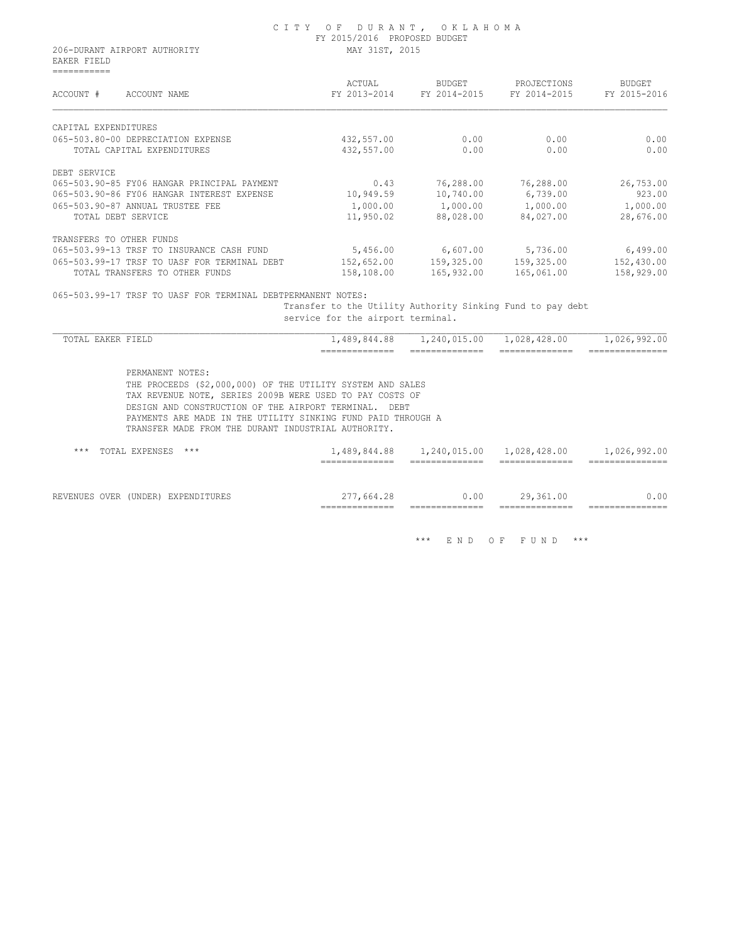|                              | CITY OF DURANT, OKLAHOMA     |
|------------------------------|------------------------------|
|                              | FY 2015/2016 PROPOSED BUDGET |
| 206-DURANT AIRPORT AUTHORITY | MAY 31ST, 2015               |

 EAKER FIELD ===========

| ACCOUNT #<br>ACCOUNT NAME                    | ACTUAL<br>FY 2013-2014 | BUDGET<br>FY 2014-2015 | PROJECTIONS<br>FY 2014-2015 | BUDGET<br>FY 2015-2016 |
|----------------------------------------------|------------------------|------------------------|-----------------------------|------------------------|
| CAPITAL EXPENDITURES                         |                        |                        |                             |                        |
| 065-503.80-00 DEPRECIATION EXPENSE           | 432,557.00             | 0.00                   | 0.00                        | 0.00                   |
| TOTAL CAPITAL EXPENDITURES                   | 432,557.00             | 0.00                   | 0.00                        | 0.00                   |
| DEBT SERVICE                                 |                        |                        |                             |                        |
| 065-503.90-85 FY06 HANGAR PRINCIPAL PAYMENT  | 0.43                   | 76,288.00              | 76,288.00                   | 26,753.00              |
| 065-503.90-86 FY06 HANGAR INTEREST EXPENSE   | 10,949.59              | 10,740.00              | 6,739.00                    | 923.00                 |
| 065-503.90-87 ANNUAL TRUSTEE FEE             | 1,000.00               | 1,000.00               | 1,000.00                    | 1,000.00               |
| TOTAL DEBT SERVICE                           | 11,950.02              | 88,028.00              | 84,027.00                   | 28,676.00              |
| TRANSFERS TO OTHER FUNDS                     |                        |                        |                             |                        |
| 065-503.99-13 TRSF TO INSURANCE CASH FUND    | 5,456.00               | 6,607.00               | 5,736.00                    | 6,499.00               |
| 065-503.99-17 TRSF TO UASF FOR TERMINAL DEBT | 152,652.00             | 159,325.00             | 159,325.00                  | 152,430.00             |
| TOTAL TRANSFERS TO<br>OTHER FUNDS            | 158,108.00             | 165,932.00             | 165,061.00                  | 158,929.00             |
|                                              |                        |                        |                             |                        |

065-503.99-17 TRSF TO UASF FOR TERMINAL DEBTPERMANENT NOTES:

 Transfer to the Utility Authority Sinking Fund to pay debt service for the airport terminal.

| TOTAL EAKER FIELD     |                                                                                                                                                                                                                                                                                                                       |                                                 | 1,489,844.88   1,240,015.00   1,028,428.00                                     |                                   | 1,026,992.00                                       |
|-----------------------|-----------------------------------------------------------------------------------------------------------------------------------------------------------------------------------------------------------------------------------------------------------------------------------------------------------------------|-------------------------------------------------|--------------------------------------------------------------------------------|-----------------------------------|----------------------------------------------------|
|                       |                                                                                                                                                                                                                                                                                                                       | ______________<br>---------------               | ______________<br>______________                                               | ______________                    | ________________<br>_______________                |
|                       | PERMANENT NOTES:<br>THE PROCEEDS (\$2,000,000) OF THE UTILITY SYSTEM AND SALES<br>TAX REVENUE NOTE, SERIES 2009B WERE USED TO PAY COSTS OF<br>DESIGN AND CONSTRUCTION OF THE AIRPORT TERMINAL.<br>PAYMENTS ARE MADE IN THE UTILITY SINKING FUND PAID THROUGH A<br>TRANSFER MADE FROM THE DURANT INDUSTRIAL AUTHORITY. | DEBT                                            |                                                                                |                                   |                                                    |
| $***$                 | TOTAL EXPENSES<br>$***$                                                                                                                                                                                                                                                                                               | ______________<br>______________                | 1,489,844.88   1,240,015.00   1,028,428.00<br>______________<br>______________ | ______________<br>_______________ | 1,026,992.00<br>_______________<br>=============== |
| REVENUES OVER (UNDER) | EXPENDITURES                                                                                                                                                                                                                                                                                                          | 277,664.28<br>______________<br>--------------- | 0.00<br>______________                                                         | 29,361.00<br>______________       | 0.00<br>_______________                            |

\*\*\* E N D O F F U N D \*\*\*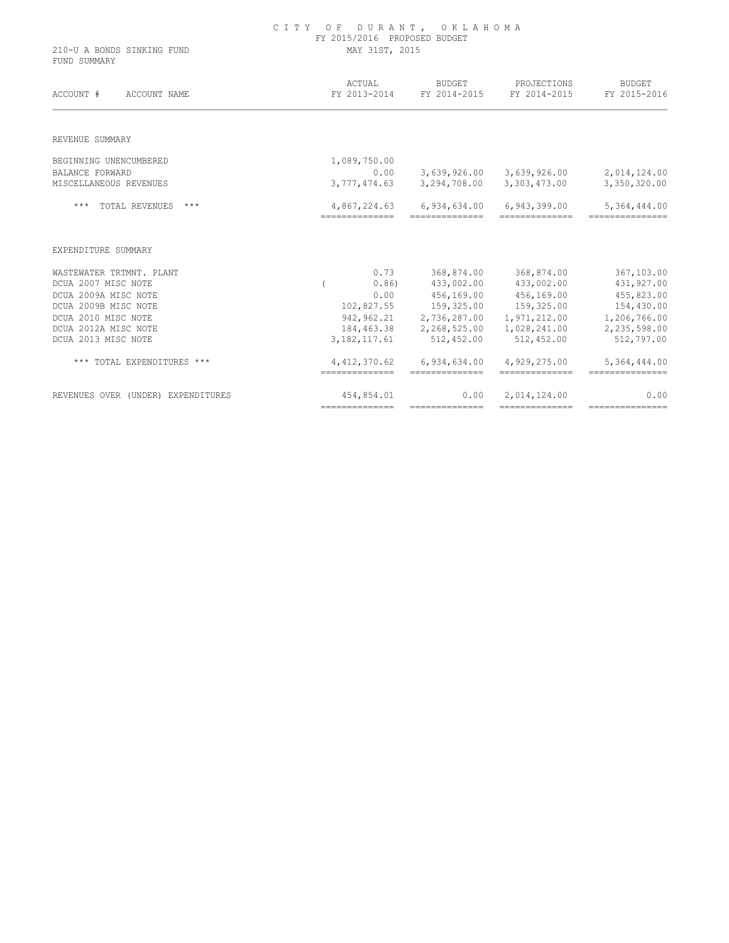|                                            | FY 2015/2016 PROPOSED BUDGET<br>MAY 31ST, 2015 |                                 |                                |                                                      |  |  |  |
|--------------------------------------------|------------------------------------------------|---------------------------------|--------------------------------|------------------------------------------------------|--|--|--|
| 210-U A BONDS SINKING FUND<br>FUND SUMMARY |                                                |                                 |                                |                                                      |  |  |  |
|                                            | ACTUAL                                         | <b>BUDGET</b>                   | PROJECTIONS                    | <b>BUDGET</b>                                        |  |  |  |
| ACCOUNT #<br>ACCOUNT NAME                  | FY 2013-2014                                   | FY 2014-2015                    | FY 2014-2015                   | FY 2015-2016                                         |  |  |  |
| REVENUE SUMMARY                            |                                                |                                 |                                |                                                      |  |  |  |
| BEGINNING UNENCUMBERED                     | 1,089,750.00                                   |                                 |                                |                                                      |  |  |  |
| <b>BALANCE FORWARD</b>                     | 0.00                                           | 3,639,926.00                    | 3,639,926.00                   | 2,014,124.00                                         |  |  |  |
| MISCELLANEOUS REVENUES                     | 3,777,474.63                                   | 3,294,708.00                    | 3,303,473.00                   | 3,350,320.00                                         |  |  |  |
| TOTAL REVENUES<br>$***$<br>$***$           | 4,867,224.63                                   | 6,934,634.00                    | 6,943,399.00                   | 5,364,444.00                                         |  |  |  |
| EXPENDITURE SUMMARY                        |                                                |                                 |                                |                                                      |  |  |  |
|                                            |                                                |                                 |                                |                                                      |  |  |  |
| WASTEWATER TRTMNT. PLANT                   | 0.73                                           | 368,874.00                      | 368,874.00                     |                                                      |  |  |  |
| DCUA 2007 MISC NOTE                        | 0.86)                                          | 433,002.00                      | 433,002.00                     |                                                      |  |  |  |
| DCUA 2009A MISC NOTE                       | 0.00                                           | 456,169.00                      | 456,169.00                     |                                                      |  |  |  |
| DCUA 2009B MISC NOTE                       | 102,827.55                                     | 159,325.00                      | 159,325.00                     | 367,103.00<br>431,927.00<br>455,823.00<br>154,430.00 |  |  |  |
| DCUA 2010 MISC NOTE                        | 942,962.21                                     | 2,736,287.00                    | 1,971,212.00                   |                                                      |  |  |  |
| DCUA 2012A MISC NOTE                       | 184,463.38                                     | 2,268,525.00                    | 1,028,241.00                   |                                                      |  |  |  |
| DCUA 2013 MISC NOTE                        | 3, 182, 117.61                                 | 512,452.00                      | 512,452.00                     | 1,206,766.00<br>2,235,598.00<br>512,797.00           |  |  |  |
| *** TOTAL EXPENDITURES ***                 | 4, 412, 370.62<br>---------------              | 6,934,634.00<br>--------------- | 4,929,275.00<br>-------------- | 5,364,444.00<br>---------------                      |  |  |  |

C I T Y O F D U R A N T , O K L A H O M A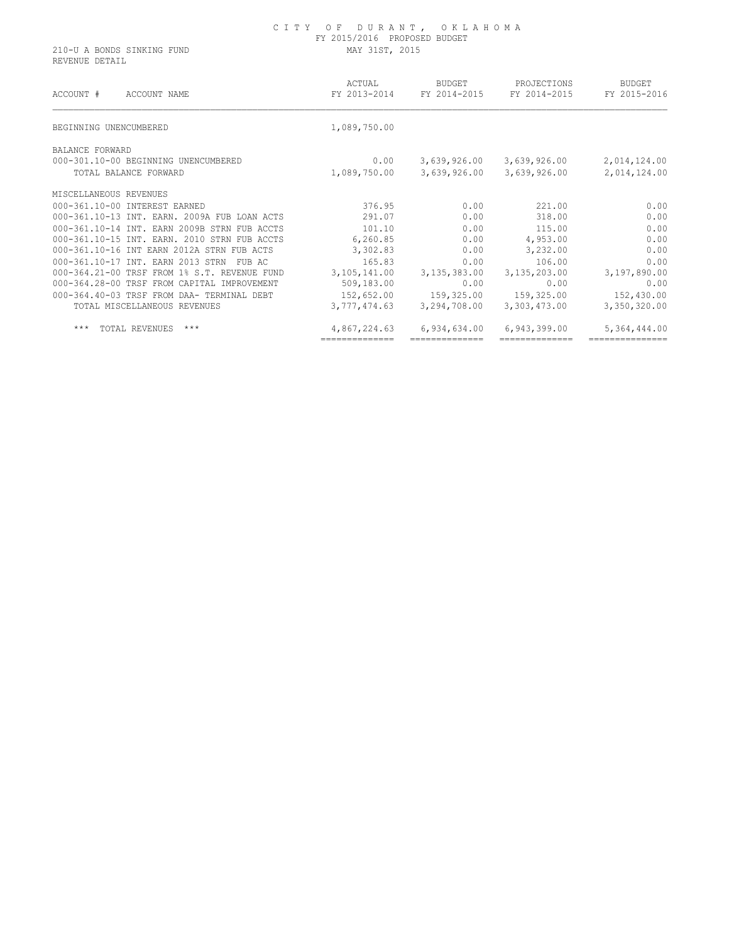REVENUE DETAIL

| ACCOUNT #<br>ACCOUNT NAME                    | ACTUAL<br>FY 2013-2014 | <b>BUDGET</b><br>FY 2014-2015 | PROJECTIONS<br>FY 2014-2015 | BUDGET<br>FY 2015-2016 |
|----------------------------------------------|------------------------|-------------------------------|-----------------------------|------------------------|
| BEGINNING UNENCUMBERED                       | 1,089,750.00           |                               |                             |                        |
| BALANCE FORWARD                              |                        |                               |                             |                        |
| 000-301.10-00 BEGINNING UNENCUMBERED         | 0.00                   | 3,639,926.00                  | 3,639,926.00                | 2,014,124.00           |
| TOTAL BALANCE FORWARD                        | 1,089,750.00           | 3,639,926.00                  | 3,639,926.00                | 2,014,124.00           |
| MISCELLANEOUS REVENUES                       |                        |                               |                             |                        |
| 000-361.10-00 INTEREST EARNED                | 376.95                 | 0.00                          | 221.00                      | 0.00                   |
| 000-361.10-13 INT. EARN. 2009A FUB LOAN ACTS | 291.07                 | 0.00                          | 318.00                      | 0.00                   |
| 000-361.10-14 TNT, EARN 2009B STRN FUB ACCTS | 101.10                 | 0.00                          | 115.00                      | 0.00                   |
| 000-361.10-15 INT. EARN. 2010 STRN FUB ACCTS | 6,260.85               | 0.00                          | 4,953.00                    | 0.00                   |
| 000-361.10-16 INT EARN 2012A STRN FUB ACTS   | 3,302.83               | 0.00                          | 3,232.00                    | 0.00                   |
| 000-361.10-17 INT. EARN 2013 STRN<br>FUB AC  | 165.83                 | 0.00                          | 106.00                      | 0.00                   |
| 000-364.21-00 TRSF FROM 1% S.T. REVENUE FUND | 3,105,141.00           | 3,135,383.00                  | 3,135,203.00                | 3,197,890.00           |
| 000-364.28-00 TRSF FROM CAPITAL IMPROVEMENT  | 509,183.00             | 0.00                          | 0.00                        | 0.00                   |
| 000-364.40-03 TRSF FROM DAA- TERMINAL DEBT   | 152,652.00             | 159,325.00                    | 159,325.00                  | 152,430.00             |
| TOTAL MISCELLANEOUS REVENUES                 | 3,777,474.63           | 3,294,708.00                  | 3,303,473.00                | 3,350,320.00           |
| $***$<br>$***$<br>TOTAL REVENUES             | 4,867,224.63           | 6,934,634.00                  | 6,943,399.00                | 5,364,444.00           |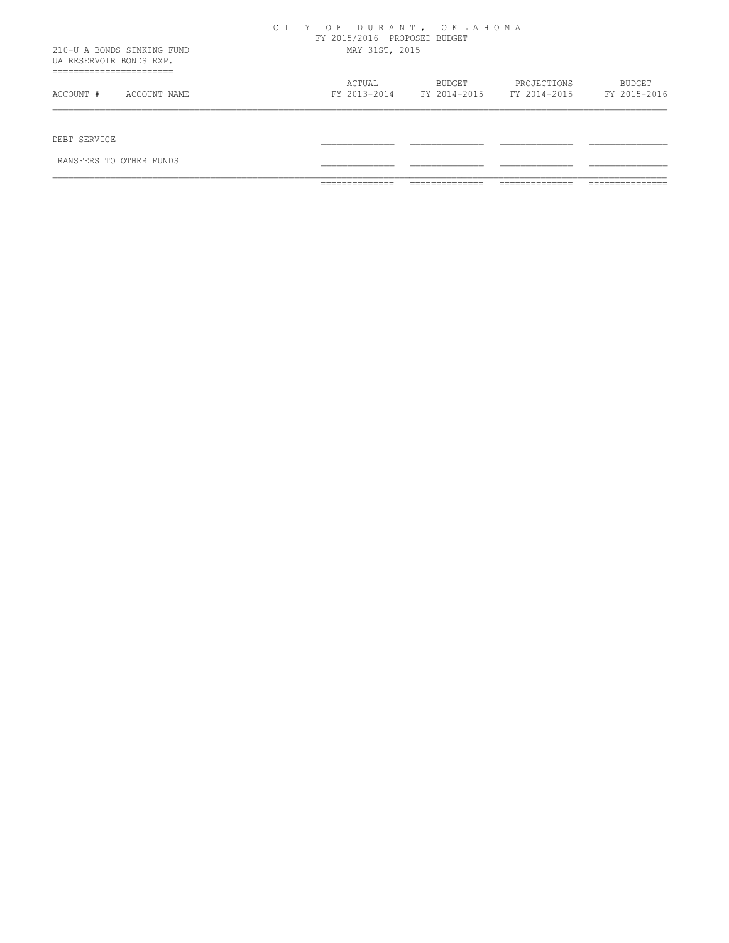| ACTUAL         | <b>BUDGET</b> | PROJECTIONS<br>FY 2013-2014 FY 2014-2015 FY 2014-2015 FY 2015-2016 | <b>BUDGET</b>            |
|----------------|---------------|--------------------------------------------------------------------|--------------------------|
|                |               |                                                                    |                          |
|                |               |                                                                    |                          |
|                |               |                                                                    |                          |
|                |               |                                                                    |                          |
| MAY 31ST, 2015 |               |                                                                    |                          |
|                |               |                                                                    |                          |
|                |               | FY 2015/2016 PROPOSED BUDGET                                       | CITY OF DURANT, OKLAHOMA |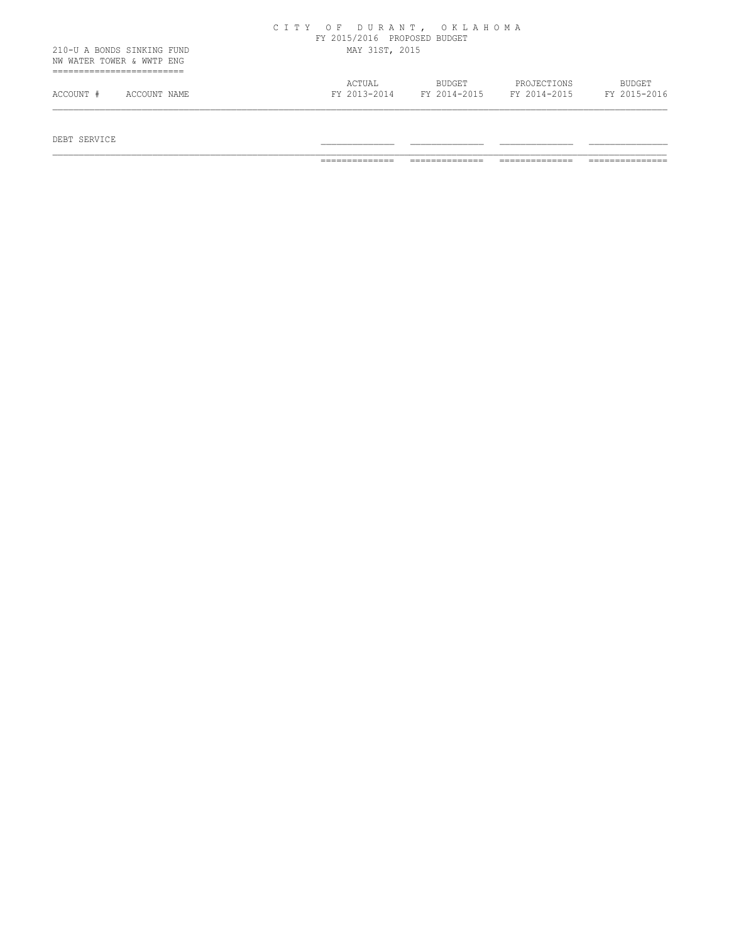|                                                         |              |                | CITY OF DURANT, OKLAHOMA<br>FY 2015/2016 PROPOSED BUDGET |  |                        |                             |  |                               |
|---------------------------------------------------------|--------------|----------------|----------------------------------------------------------|--|------------------------|-----------------------------|--|-------------------------------|
| 210-U A BONDS SINKING FUND<br>NW WATER TOWER & WWTP ENG |              | MAY 31ST, 2015 |                                                          |  |                        |                             |  |                               |
| ACCOUNT #                                               | ACCOUNT NAME |                | ACTUAL<br>FY 2013-2014                                   |  | BUDGET<br>FY 2014-2015 | PROJECTIONS<br>FY 2014-2015 |  | <b>BUDGET</b><br>FY 2015-2016 |

 $DEBT$  SERVICE  $\blacksquare$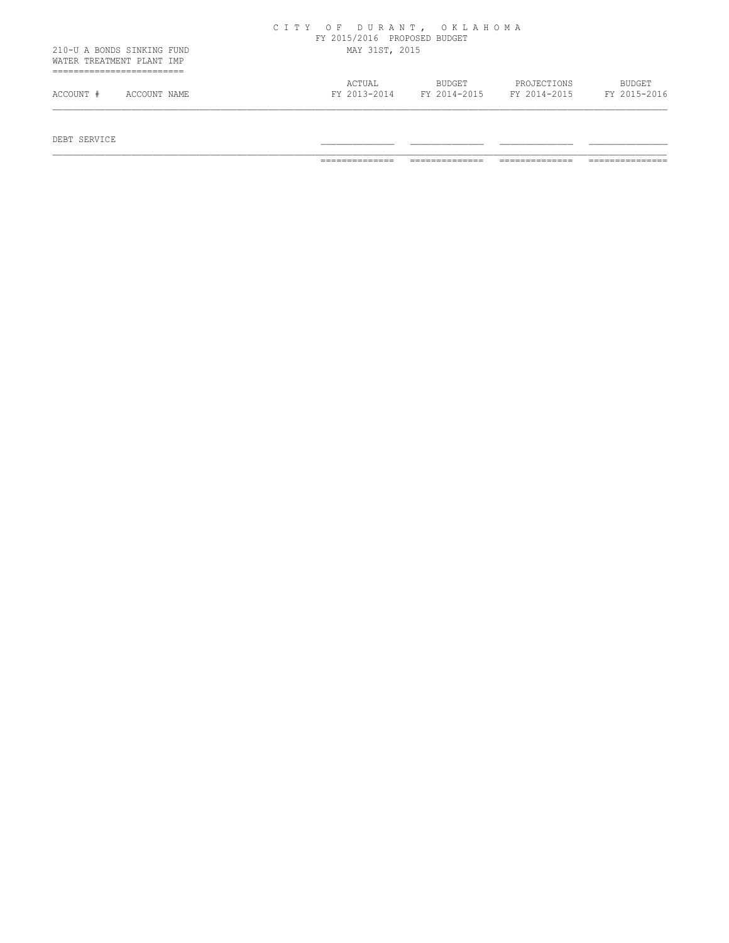|                                                         |              |                | CITY OF DURANT, OKLAHOMA<br>FY 2015/2016 PROPOSED BUDGET |  |                        |                             |  |                               |
|---------------------------------------------------------|--------------|----------------|----------------------------------------------------------|--|------------------------|-----------------------------|--|-------------------------------|
| 210-U A BONDS SINKING FUND<br>WATER TREATMENT PLANT IMP |              | MAY 31ST, 2015 |                                                          |  |                        |                             |  |                               |
| ACCOUNT #                                               | ACCOUNT NAME |                | ACTUAL<br>FY 2013-2014                                   |  | BUDGET<br>FY 2014-2015 | PROJECTIONS<br>FY 2014-2015 |  | <b>BUDGET</b><br>FY 2015-2016 |

 $DEBT$  SERVICE  $\blacksquare$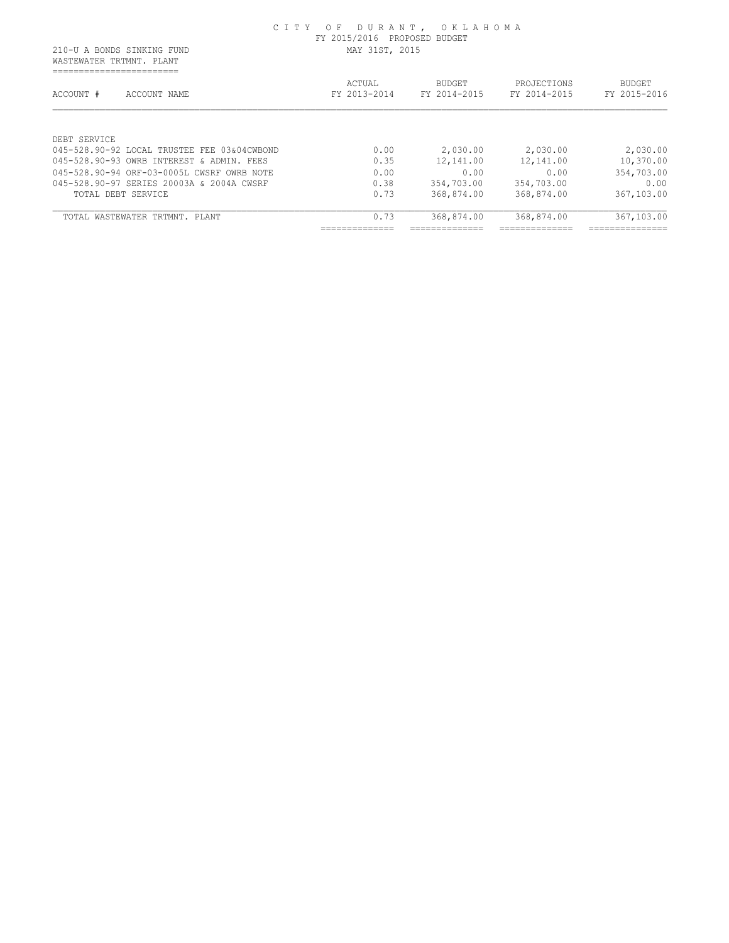WASTEWATER TRTMNT. PLANT ==========================

| ACCOUNT #<br>ACCOUNT NAME                   | ACTUAL<br>FY 2013-2014 | <b>BUDGET</b><br>FY 2014-2015 | PROJECTIONS<br>FY 2014-2015 | <b>BUDGET</b><br>FY 2015-2016                |
|---------------------------------------------|------------------------|-------------------------------|-----------------------------|----------------------------------------------|
| DEBT SERVICE                                |                        |                               |                             |                                              |
| 045-528.90-92 LOCAL TRUSTEE FEE 03&04CWBOND | 0.00                   | 2,030.00                      | 2,030.00                    | 2,030.00                                     |
| 045-528.90-93 OWRB INTEREST & ADMIN. FEES   | 0.35                   | 12,141.00                     | 12,141.00                   | 10,370.00                                    |
| 045-528.90-94 ORF-03-0005L CWSRF OWRB NOTE  | 0.00                   | 0.00                          | 0.00                        | 354,703.00                                   |
| 045-528.90-97 SERIES 20003A & 2004A CWSRF   | 0.38                   | 354,703.00                    | 354,703.00                  | 0.00                                         |
| TOTAL DEBT SERVICE                          | 0.73                   | 368,874.00                    | 368,874.00                  | 367,103.00                                   |
| TOTAL WASTEWATER TRTMNT. PLANT              | 0.73                   | 368,874.00                    | 368,874.00                  | 367,103.00                                   |
|                                             | _____________          |                               | --------------              | . _ _ _ _ _ _ _ _ _ _ _ _ _ _<br>___________ |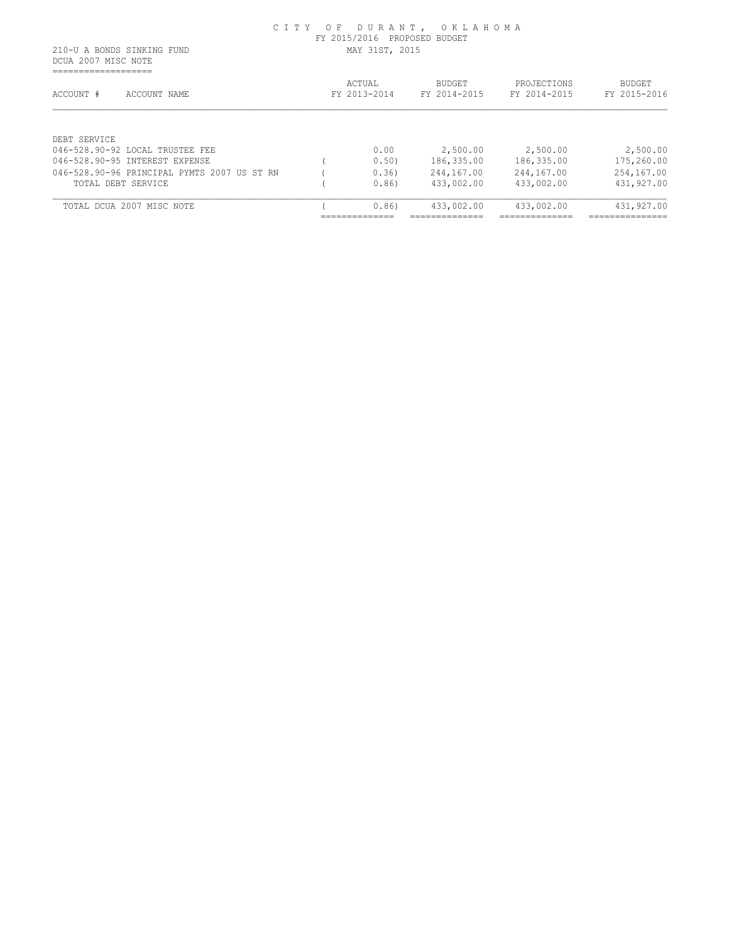DCUA 2007 MISC NOTE ===================

| ACCOUNT #<br>ACCOUNT NAME                   | ACTUAL<br>FY 2013-2014           | <b>BUDGET</b><br>FY 2014-2015    | PROJECTIONS<br>FY 2014-2015      | <b>BUDGET</b><br>FY 2015-2016      |
|---------------------------------------------|----------------------------------|----------------------------------|----------------------------------|------------------------------------|
| DEBT SERVICE                                |                                  |                                  |                                  |                                    |
| 046-528.90-92 LOCAL TRUSTEE FEE             | 0.00                             | 2,500.00                         | 2,500.00                         | 2,500.00                           |
| 046-528.90-95 INTEREST EXPENSE              | 0.50                             | 186,335.00                       | 186,335.00                       | 175,260.00                         |
| 046-528.90-96 PRINCIPAL PYMTS 2007 US ST RN | 0.36                             | 244,167.00                       | 244,167.00                       | 254,167.00                         |
| TOTAL DEBT SERVICE                          | 0.86                             | 433,002.00                       | 433,002.00                       | 431,927.00                         |
| TOTAL DCUA 2007 MISC NOTE                   | 0.86                             | 433,002.00                       | 433,002.00                       | 431,927.00                         |
|                                             | ______________<br>______________ | ______________<br>______________ | ______________<br>______________ | ---------------<br>--------------- |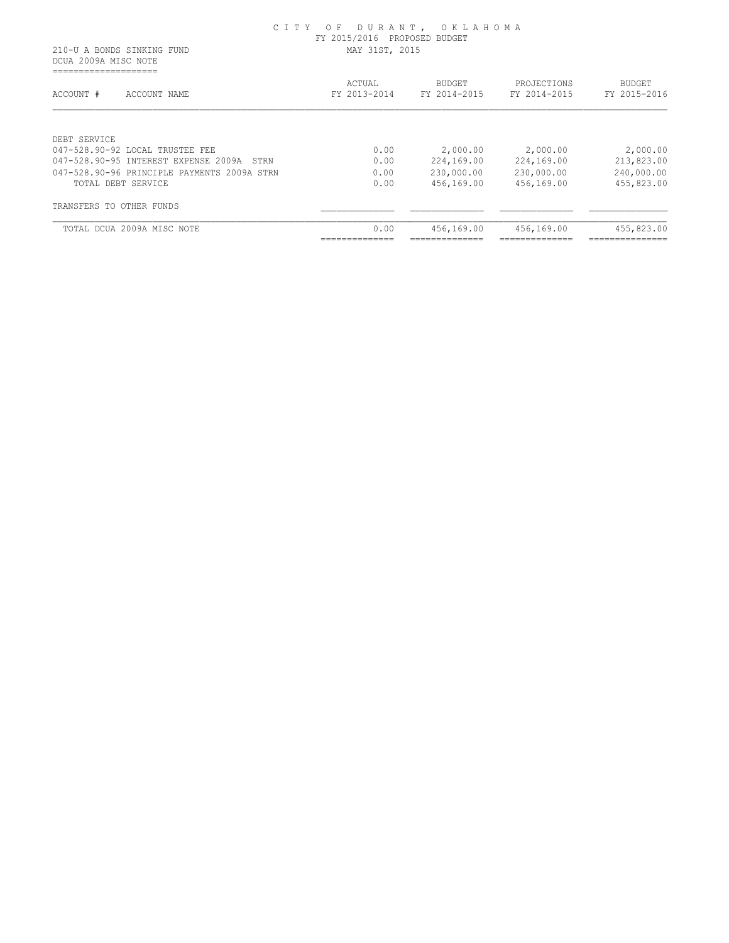DCUA 2009A MISC NOTE ====================

| ACTUAL<br>FY 2013-2014 | <b>BUDGET</b><br>FY 2014-2015 | PROJECTIONS<br>FY 2014-2015 | <b>BUDGET</b><br>FY 2015-2016 |
|------------------------|-------------------------------|-----------------------------|-------------------------------|
|                        |                               |                             |                               |
| 0.00                   | 2,000.00                      | 2,000.00                    | 2,000.00                      |
| 0.00                   | 224,169.00                    | 224,169.00                  | 213,823.00                    |
| 0.00                   | 230,000.00                    | 230,000.00                  | 240,000.00                    |
| 0.00                   | 456,169.00                    | 456,169.00                  | 455,823.00                    |
|                        |                               |                             |                               |
| 0.00                   | 456,169.00                    | 456,169.00                  | 455,823.00                    |
|                        |                               |                             |                               |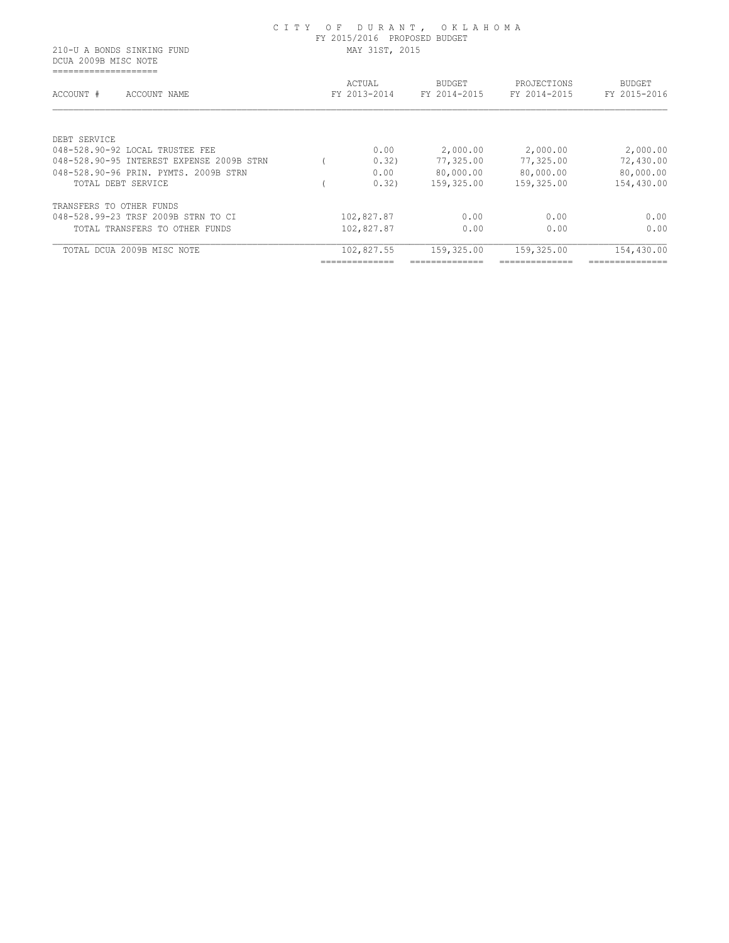DCUA 2009B MISC NOTE ====================

|                                           | ACTUAL       | <b>BUDGET</b> | PROJECTIONS  | <b>BUDGET</b>   |
|-------------------------------------------|--------------|---------------|--------------|-----------------|
| ACCOUNT #<br>ACCOUNT NAME                 | FY 2013-2014 | FY 2014-2015  | FY 2014-2015 | FY 2015-2016    |
| DEBT SERVICE                              |              |               |              |                 |
| 048-528.90-92 LOCAL TRUSTEE FEE           | 0.00         | 2,000.00      | 2,000.00     | 2,000.00        |
| 048-528.90-95 INTEREST EXPENSE 2009B STRN | 0.32)        | 77,325.00     | 77,325.00    | 72,430.00       |
| 048-528.90-96 PRIN, PYMTS, 2009B STRN     | 0.00         | 80,000.00     | 80,000.00    | 80,000.00       |
| TOTAL DEBT SERVICE                        | 0.32)        | 159,325.00    | 159,325.00   | 154,430.00      |
| TRANSFERS TO OTHER FUNDS                  |              |               |              |                 |
| 048-528.99-23 TRSF 2009B STRN TO CI       | 102,827.87   | 0.00          | 0.00         | 0.00            |
| TOTAL TRANSFERS TO OTHER FUNDS            | 102,827.87   | 0.00          | 0.00         | 0.00            |
| TOTAL DCUA 2009B MISC NOTE                | 102,827.55   | 159,325.00    | 159,325.00   | 154,430.00      |
|                                           |              |               |              | --------------- |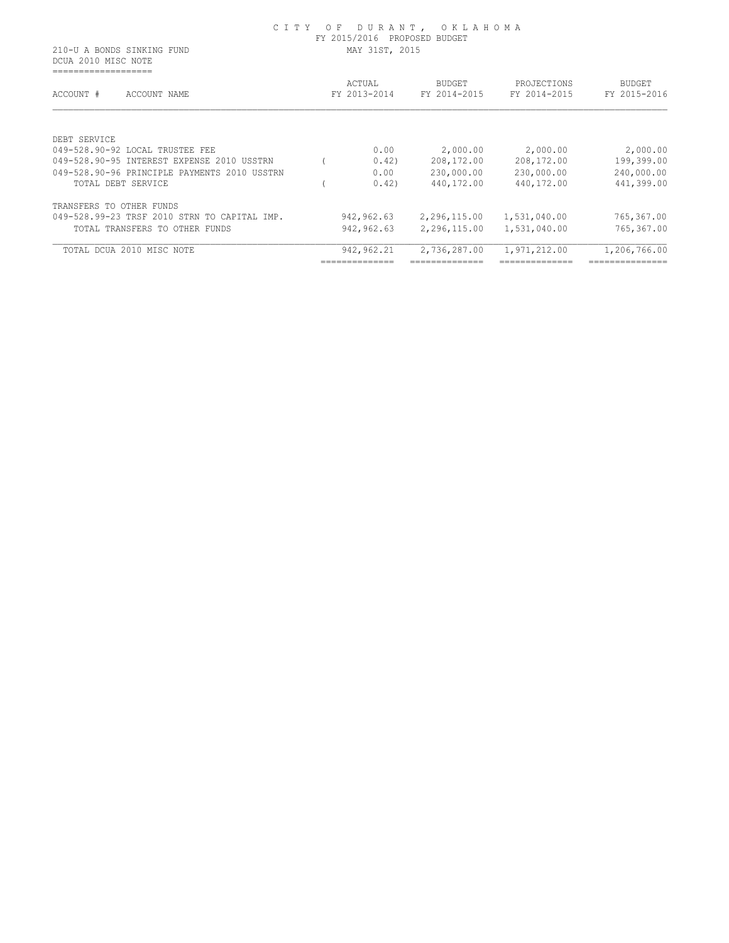DCUA 2010 MISC NOTE ===================

| ACCOUNT #<br>ACCOUNT NAME                    | ACTUAL<br>FY 2013-2014 | <b>BUDGET</b><br>FY 2014-2015 | PROJECTIONS<br>FY 2014-2015 | <b>BUDGET</b><br>FY 2015-2016 |
|----------------------------------------------|------------------------|-------------------------------|-----------------------------|-------------------------------|
|                                              |                        |                               |                             |                               |
| DEBT SERVICE                                 |                        |                               |                             |                               |
| 049-528.90-92 LOCAL TRUSTEE FEE              | 0.00                   | 2,000.00                      | 2,000.00                    | 2,000.00                      |
| 049-528.90-95 INTEREST EXPENSE 2010 USSTRN   | 0.42)                  | 208, 172.00                   | 208,172.00                  | 199,399.00                    |
| 049-528.90-96 PRINCIPLE PAYMENTS 2010 USSTRN | 0.00                   | 230,000.00                    | 230,000.00                  | 240,000.00                    |
| TOTAL DEBT SERVICE                           | 0.42)                  | 440,172.00                    | 440,172.00                  | 441,399.00                    |
| TRANSFERS TO OTHER FUNDS                     |                        |                               |                             |                               |
| 049-528.99-23 TRSF 2010 STRN TO CAPITAL IMP. | 942,962.63             | 2,296,115.00                  | 1,531,040.00                | 765,367.00                    |
| TOTAL TRANSFERS TO OTHER FUNDS               | 942,962.63             | 2,296,115.00                  | 1,531,040.00                | 765,367.00                    |
| TOTAL DCUA 2010 MISC NOTE                    | 942, 962.21            | 2,736,287.00                  | 1,971,212.00                | 1,206,766.00                  |
|                                              |                        |                               |                             | --------------                |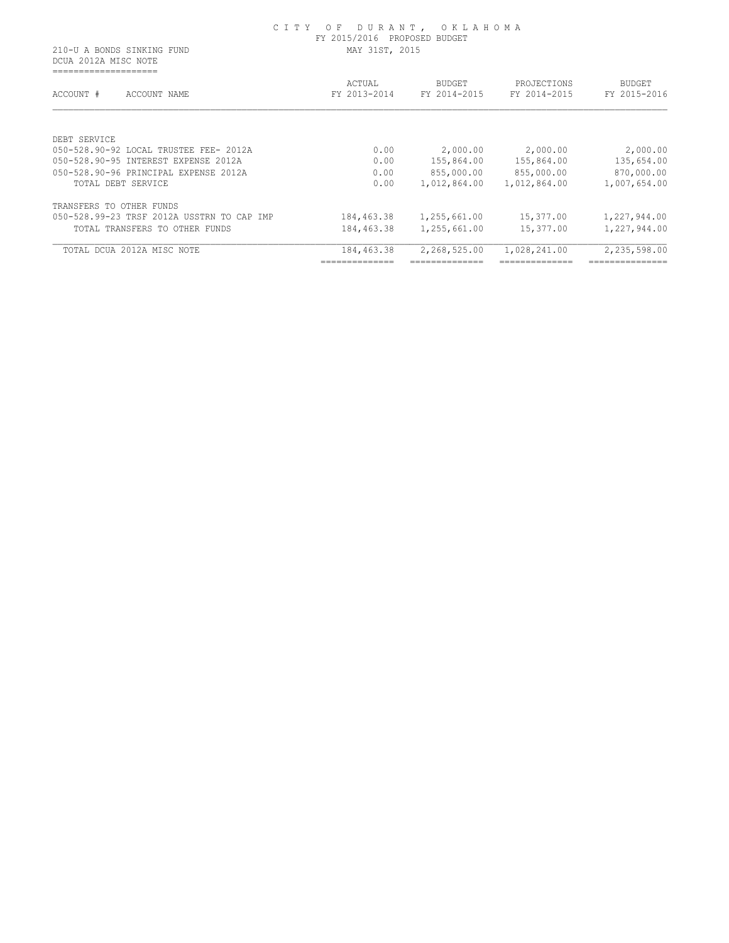DCUA 2012A MISC NOTE ====================

| ACCOUNT #<br>ACCOUNT NAME                  | ACTUAL<br>FY 2013-2014 | <b>BUDGET</b><br>FY 2014-2015 | PROJECTIONS<br>FY 2014-2015 | <b>BUDGET</b><br>FY 2015-2016 |
|--------------------------------------------|------------------------|-------------------------------|-----------------------------|-------------------------------|
|                                            |                        |                               |                             |                               |
| DEBT SERVICE                               |                        |                               |                             |                               |
| 050-528.90-92 LOCAL TRUSTEE FEE- 2012A     | 0.00                   | 2,000.00                      | 2,000.00                    | 2,000.00                      |
| 050-528.90-95 INTEREST EXPENSE 2012A       | 0.00                   | 155,864.00                    | 155,864.00                  | 135,654.00                    |
| 050-528.90-96 PRINCIPAL EXPENSE 2012A      | 0.00                   | 855,000.00                    | 855,000.00                  | 870,000.00                    |
| TOTAL DEBT SERVICE                         | 0.00                   | 1,012,864.00                  | 1,012,864.00                | 1,007,654.00                  |
| TRANSFERS TO OTHER FUNDS                   |                        |                               |                             |                               |
| 050-528.99-23 TRSF 2012A USSTRN TO CAP IMP | 184,463.38             | 1,255,661.00                  | 15,377.00                   | 1,227,944.00                  |
| TOTAL TRANSFERS TO OTHER FUNDS             | 184,463.38             | 1,255,661.00                  | 15,377.00                   | 1,227,944.00                  |
| TOTAL DCUA 2012A MISC NOTE                 | 184,463.38             | 2,268,525.00                  | 1,028,241.00                | 2,235,598.00                  |
|                                            | _____________          |                               |                             | _____________                 |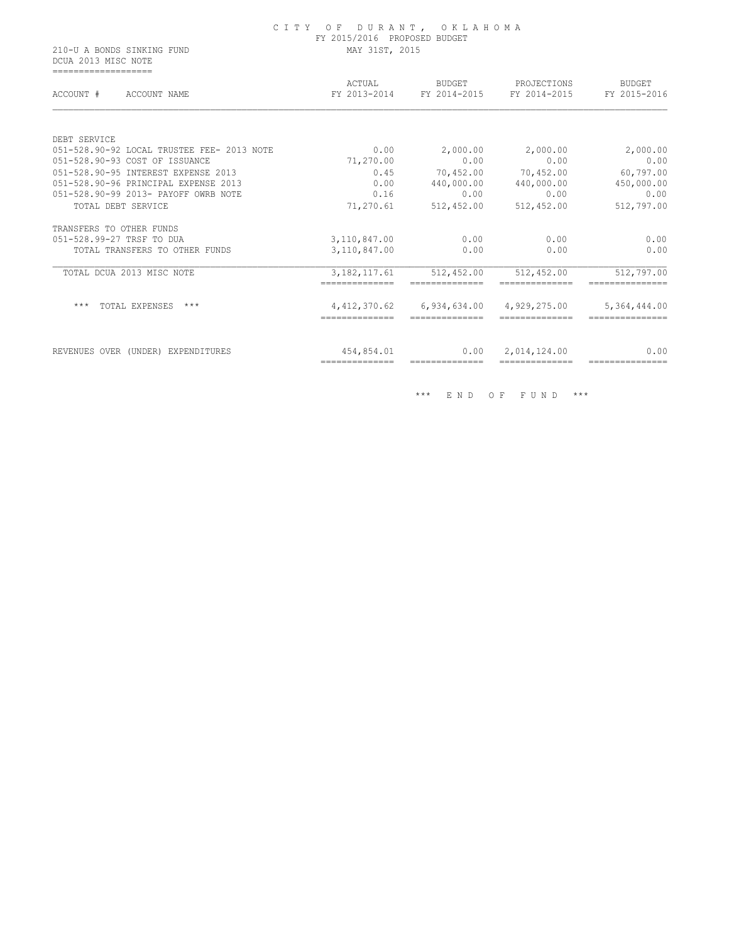DCUA 2013 MISC NOTE ===================

| ACCOUNT #<br>ACCOUNT NAME                  | ACTUAL<br>FY 2013-2014           | BUDGET<br>FY 2014-2015 | PROJECTIONS<br>FY 2014-2015 | <b>BUDGET</b><br>FY 2015-2016 |
|--------------------------------------------|----------------------------------|------------------------|-----------------------------|-------------------------------|
|                                            |                                  |                        |                             |                               |
| DEBT SERVICE                               |                                  |                        |                             |                               |
| 051-528.90-92 LOCAL TRUSTEE FEE- 2013 NOTE | 0.00                             | 2,000.00               | 2,000.00                    | 2,000.00                      |
| 051-528.90-93 COST OF ISSUANCE             | 71,270.00                        | 0.00                   | 0.00                        | 0.00                          |
| 051-528.90-95 INTEREST EXPENSE 2013        | 0.45                             | 70,452.00              | 70,452.00                   | 60,797.00                     |
| 051-528.90-96 PRINCIPAL EXPENSE 2013       | 0.00                             | 440,000.00             | 440,000.00                  | 450,000.00                    |
| 051-528.90-99 2013- PAYOFF OWRB NOTE       | 0.16                             | 0.00                   | 0.00                        | 0.00                          |
| TOTAL DEBT SERVICE                         | 71,270.61                        | 512,452.00             | 512,452.00                  | 512,797.00                    |
| TRANSFERS TO OTHER FUNDS                   |                                  |                        |                             |                               |
| 051-528.99-27 TRSF TO DUA                  | 3,110,847.00                     | 0.00                   | 0.00                        | 0.00                          |
| TOTAL TRANSFERS TO OTHER FUNDS             | 3,110,847.00                     | 0.00                   | 0.00                        | 0.00                          |
| TOTAL DCUA 2013 MISC NOTE                  | 3, 182, 117.61<br>-------------- | 512,452.00             | 512,452.00                  | 512,797.00                    |
| $***$<br>TOTAL EXPENSES<br>***             | 4, 412, 370.62                   | 6,934,634.00           | 4,929,275.00                | 5,364,444.00                  |
|                                            |                                  |                        |                             |                               |
| REVENUES OVER (UNDER) EXPENDITURES         | 454,854.01                       | 0.00                   | 2,014,124.00                | 0.00                          |
|                                            | ==============                   |                        |                             | ---------------               |

\*\*\* E N D O F F U N D \*\*\*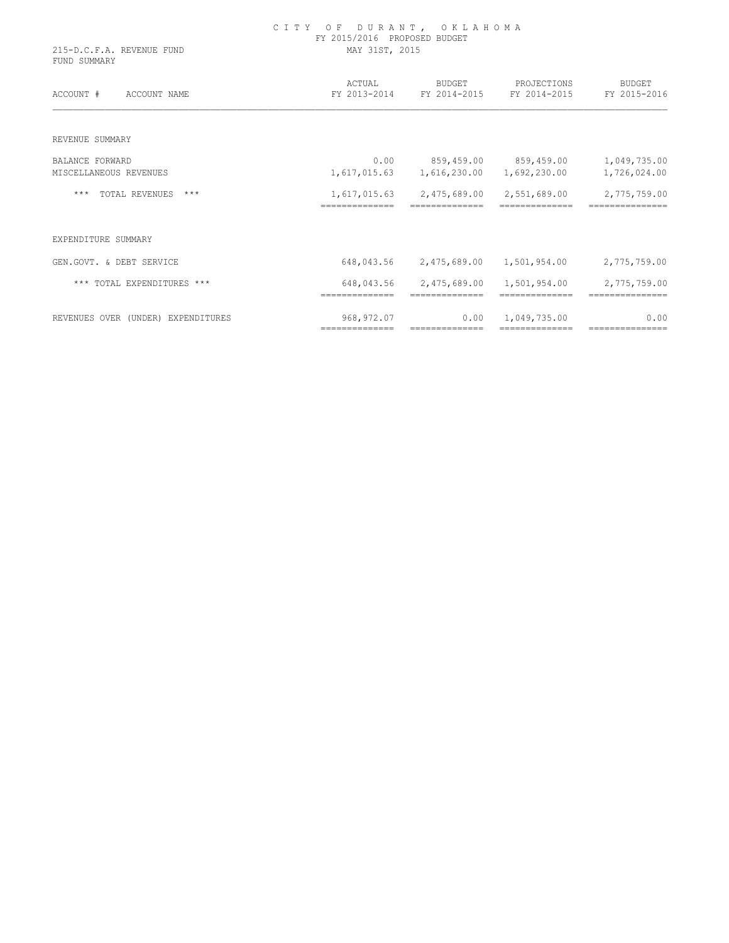| 215-D.C.F.A. REVENUE FUND<br>FUND SUMMARY | C I T Y<br>OF DURANT, OKLAHOMA<br>FY 2015/2016 PROPOSED BUDGET<br>MAY 31ST, 2015 |                                |                             |                                 |  |  |
|-------------------------------------------|----------------------------------------------------------------------------------|--------------------------------|-----------------------------|---------------------------------|--|--|
| ACCOUNT #<br>ACCOUNT NAME                 | ACTUAL<br>FY 2013-2014                                                           | BUDGET<br>FY 2014-2015         | PROJECTIONS<br>FY 2014-2015 | <b>BUDGET</b><br>FY 2015-2016   |  |  |
| REVENUE SUMMARY                           |                                                                                  |                                |                             |                                 |  |  |
| BALANCE FORWARD                           | 0.00                                                                             | 859,459.00                     | 859,459.00                  | 1,049,735.00                    |  |  |
| MISCELLANEOUS REVENUES                    | 1,617,015.63                                                                     | 1,616,230.00                   | 1,692,230.00                | 1,726,024.00                    |  |  |
| TOTAL REVENUES<br>$***$<br>***            | 1,617,015.63<br>==============                                                   | 2,475,689.00                   | 2,551,689.00                | 2,775,759.00                    |  |  |
| EXPENDITURE SUMMARY                       |                                                                                  |                                |                             |                                 |  |  |
| GEN.GOVT. & DEBT SERVICE                  | 648,043.56                                                                       | 2,475,689.00                   | 1,501,954.00                | 2,775,759.00                    |  |  |
| *** TOTAL EXPENDITURES ***                | 648,043.56<br>==============                                                     | 2,475,689.00<br>-------------- | 1,501,954.00                | 2,775,759.00<br>=============== |  |  |
| REVENUES OVER (UNDER) EXPENDITURES        | 968, 972.07                                                                      | 0.00                           | 1,049,735.00                | 0.00                            |  |  |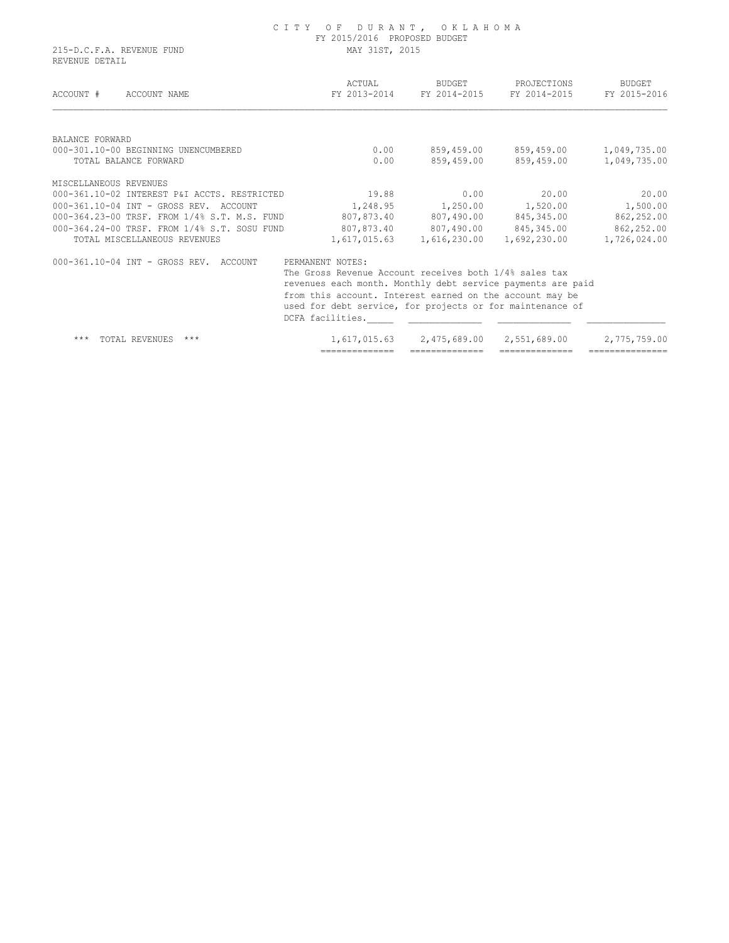#### C I T Y O F D U R A N T , O K L A H O M A FY 2015/2016 PROPOSED BUDGET 215-D.C.F.A. REVENUE FUND MAY 31ST, 2015

REVENUE DETAIL

| ACCOUNT #<br>ACCOUNT NAME                    | ACTUAL<br>FY 2013-2014                                                                                                                                                                                                                                             | BUDGET<br>FY 2014-2015 | PROJECTIONS<br>FY 2014-2015 | <b>BUDGET</b><br>FY 2015-2016 |
|----------------------------------------------|--------------------------------------------------------------------------------------------------------------------------------------------------------------------------------------------------------------------------------------------------------------------|------------------------|-----------------------------|-------------------------------|
| BALANCE FORWARD                              |                                                                                                                                                                                                                                                                    |                        |                             |                               |
| 000-301.10-00 BEGINNING UNENCUMBERED         | 0.00                                                                                                                                                                                                                                                               | 859,459.00             | 859,459.00                  | 1,049,735.00                  |
| TOTAL BALANCE FORWARD                        | 0.00                                                                                                                                                                                                                                                               | 859,459.00             | 859,459.00                  | 1,049,735.00                  |
| MISCELLANEOUS REVENUES                       |                                                                                                                                                                                                                                                                    |                        |                             |                               |
| 000-361.10-02 INTEREST P&I ACCTS. RESTRICTED | 19.88                                                                                                                                                                                                                                                              | 0.00                   | 20.00                       | 20.00                         |
| 000-361.10-04 INT - GROSS REV. ACCOUNT       | 1,248.95                                                                                                                                                                                                                                                           |                        | 1,250.00 1,520.00           | 1,500.00                      |
| 000-364.23-00 TRSF. FROM 1/4% S.T. M.S. FUND | 807,873.40                                                                                                                                                                                                                                                         | 807,490.00             | 845,345.00                  | 862,252.00                    |
| 000-364.24-00 TRSF. FROM 1/4% S.T. SOSU FUND | 807,873.40                                                                                                                                                                                                                                                         |                        | 807,490.00 845,345.00       | 862,252.00                    |
| TOTAL MISCELLANEOUS REVENUES                 | 1,617,015.63                                                                                                                                                                                                                                                       | 1,616,230.00           | 1,692,230.00                | 1,726,024.00                  |
| 000-361.10-04 INT - GROSS REV. ACCOUNT       | PERMANENT NOTES:<br>The Gross Revenue Account receives both 1/4% sales tax<br>revenues each month. Monthly debt service payments are paid<br>from this account. Interest earned on the account may be<br>used for debt service, for projects or for maintenance of |                        |                             |                               |
| $***$<br>TOTAL REVENUES<br>$***$             | DCFA facilities.<br>1,617,015.63                                                                                                                                                                                                                                   | 2,475,689.00           | 2,551,689.00                | 2,775,759.00                  |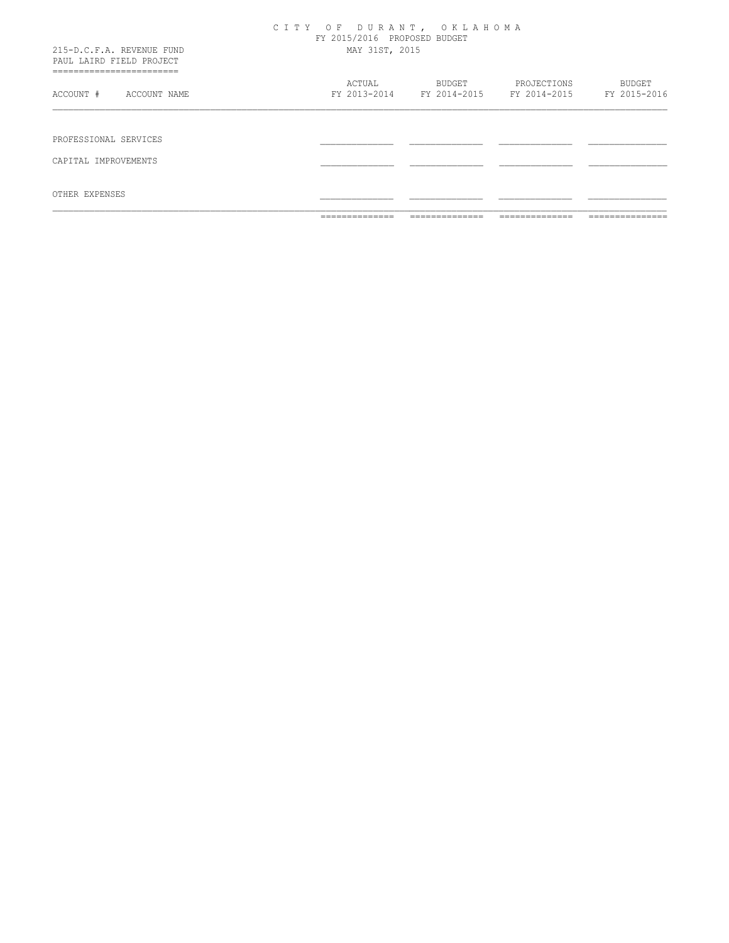| OTHER EXPENSES                                        |                        |                              |                                          |                               |
|-------------------------------------------------------|------------------------|------------------------------|------------------------------------------|-------------------------------|
| CAPITAL IMPROVEMENTS                                  |                        |                              |                                          |                               |
|                                                       |                        |                              |                                          |                               |
| PROFESSIONAL SERVICES                                 |                        |                              |                                          |                               |
|                                                       |                        |                              |                                          |                               |
| ACCOUNT #<br>ACCOUNT NAME                             | ACTUAL<br>FY 2013-2014 | BUDGET                       | PROJECTIONS<br>FY 2014-2015 FY 2014-2015 | <b>BUDGET</b><br>FY 2015-2016 |
| =========================                             |                        |                              |                                          |                               |
| 215-D.C.F.A. REVENUE FUND<br>PAUL LAIRD FIELD PROJECT | MAY 31ST, 2015         |                              |                                          |                               |
|                                                       |                        | FY 2015/2016 PROPOSED BUDGET |                                          |                               |
|                                                       |                        | CITY OF DURANT, OKLAHOMA     |                                          |                               |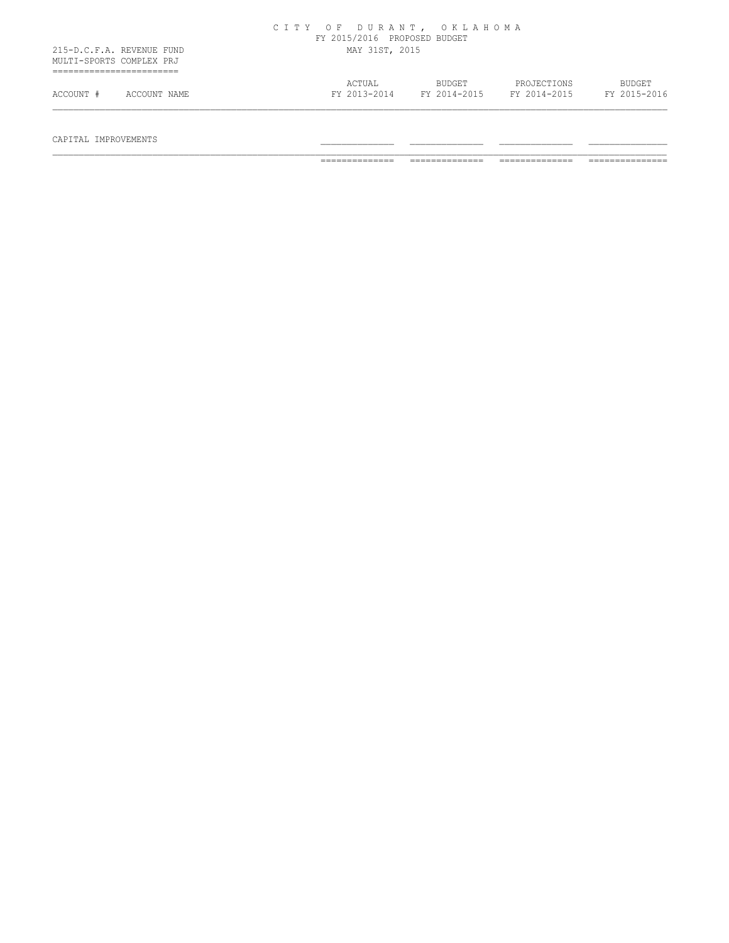|                                                       | CITY OF DURANT, OKLAHOMA<br>FY 2015/2016 PROPOSED BUDGET                                                         |  |
|-------------------------------------------------------|------------------------------------------------------------------------------------------------------------------|--|
| 215-D.C.F.A. REVENUE FUND<br>MULTI-SPORTS COMPLEX PRJ | MAY 31ST, 2015                                                                                                   |  |
| ACCOUNT #<br>ACCOUNT NAME                             | ACTUAL<br>BUDGET<br>PROJECTIONS<br><b>BUDGET</b><br>FY 2015-2016<br>FY 2013-2014<br>FY 2014-2015<br>FY 2014-2015 |  |

CAPITAL IMPROVEMENTS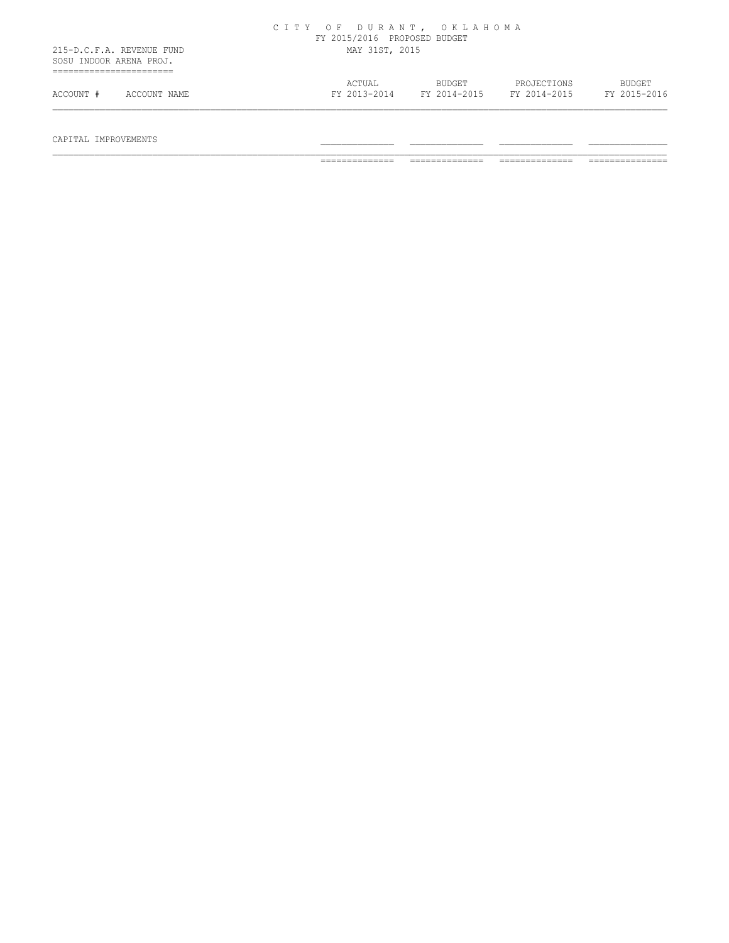|                                                      |              | FY 2015/2016 PROPOSED BUDGET | CITY OF DURANT, OKLAHOMA      |                             |                               |
|------------------------------------------------------|--------------|------------------------------|-------------------------------|-----------------------------|-------------------------------|
| 215-D.C.F.A. REVENUE FUND<br>SOSU INDOOR ARENA PROJ. |              | MAY 31ST, 2015               |                               |                             |                               |
| ACCOUNT #                                            | ACCOUNT NAME | ACTUAL<br>FY 2013-2014       | <b>BUDGET</b><br>FY 2014-2015 | PROJECTIONS<br>FY 2014-2015 | <b>BUDGET</b><br>FY 2015-2016 |

# $\begin{array}{cccccccccccccc} \texttt{CAPTIAL} & \texttt{IMPROVEMENTS} & & & & & \texttt{-----} & \texttt{-----} & \texttt{-----} & \texttt{-----} & \texttt{-----} & \texttt{-----} & \texttt{-----} & \end{array}$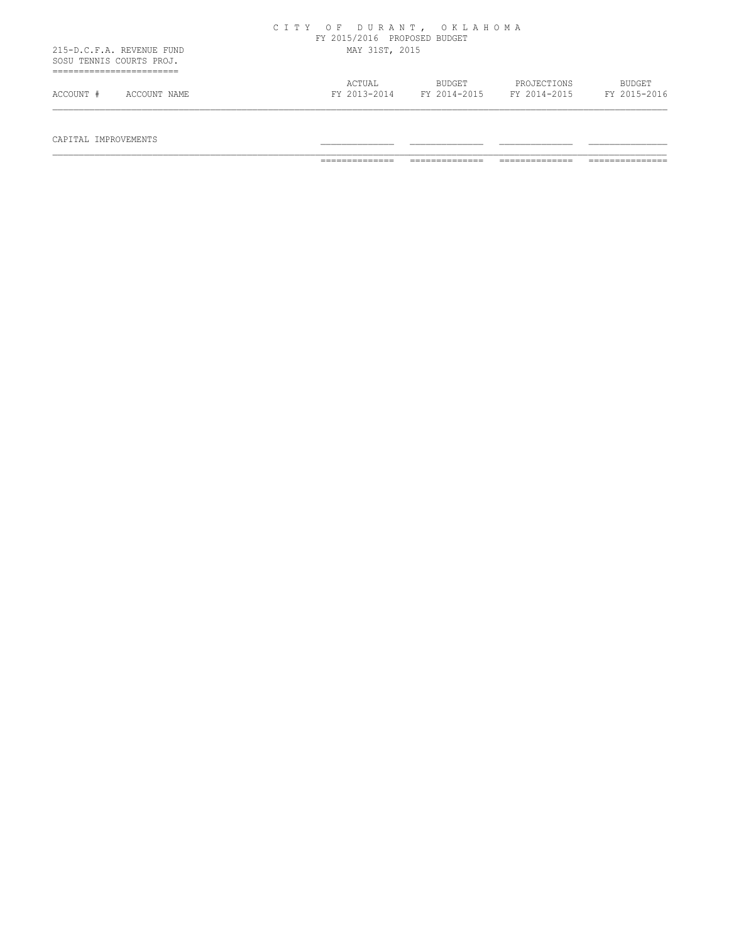|                                                       | CITY OF DURANT, OKLAHOMA<br>FY 2015/2016 PROPOSED BUDGET                                                         |  |
|-------------------------------------------------------|------------------------------------------------------------------------------------------------------------------|--|
| 215-D.C.F.A. REVENUE FUND<br>SOSU TENNIS COURTS PROJ. | MAY 31ST, 2015                                                                                                   |  |
| ACCOUNT #<br>ACCOUNT NAME                             | BUDGET<br><b>BUDGET</b><br>ACTUAL<br>PROJECTIONS<br>FY 2015-2016<br>FY 2014-2015<br>FY 2013-2014<br>FY 2014-2015 |  |

CAPITAL IMPROVEMENTS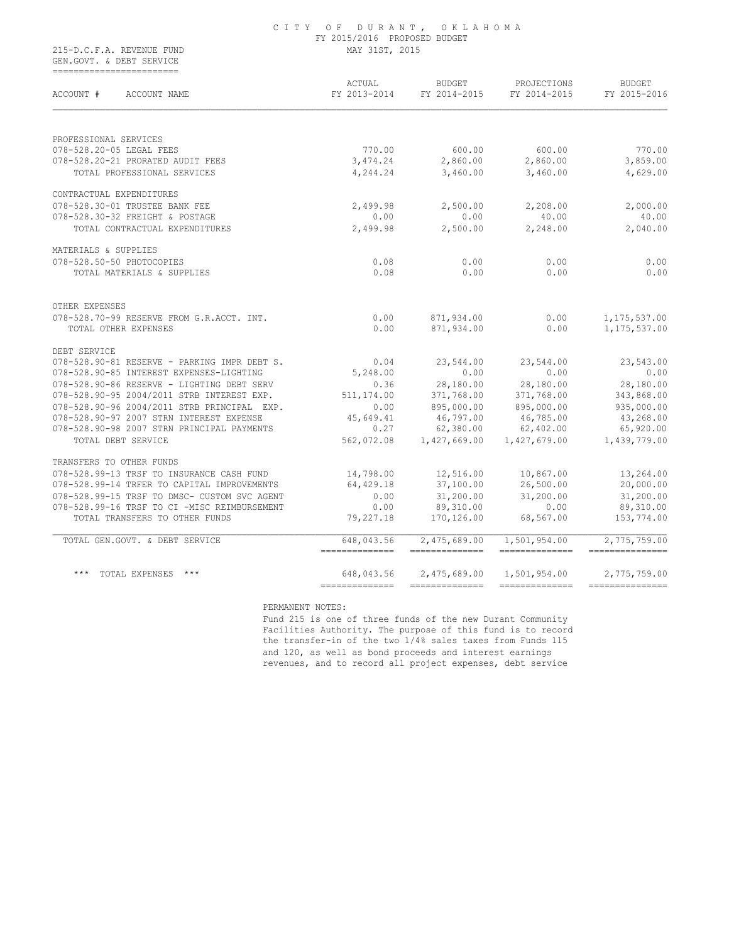|                           | CITY OF DURANT, OKLAHOMA     |
|---------------------------|------------------------------|
|                           | FY 2015/2016 PROPOSED BUDGET |
| 215-D.C.F.A. REVENUE FUND | MAY 31ST, 2015               |

 GEN.GOVT. & DEBT SERVICE ========================

| ACCOUNT #<br>ACCOUNT NAME                    | ACTUAL<br>FY 2013-2014        | BUDGET<br>FY 2014-2015         | PROJECTIONS<br>FY 2014-2015    | <b>BUDGET</b><br>FY 2015-2016    |
|----------------------------------------------|-------------------------------|--------------------------------|--------------------------------|----------------------------------|
|                                              |                               |                                |                                |                                  |
| PROFESSIONAL SERVICES                        |                               |                                |                                |                                  |
| 078-528.20-05 LEGAL FEES                     | 770.00                        | 600.00                         | 600.00                         | 770.00                           |
| 078-528.20-21 PRORATED AUDIT FEES            | 3,474.24                      | 2,860.00                       | 2,860.00                       | 3,859.00                         |
| TOTAL PROFESSIONAL SERVICES                  | 4,244.24                      | 3,460.00                       | 3,460.00                       | 4,629.00                         |
| CONTRACTUAL EXPENDITURES                     |                               |                                |                                |                                  |
| 078-528.30-01 TRUSTEE BANK FEE               | 2,499.98                      | 2,500.00                       | 2,208.00                       | 2,000.00                         |
| 078-528.30-32 FREIGHT & POSTAGE              | 0.00                          | 0.00                           | 40.00                          | 40.00                            |
| TOTAL CONTRACTUAL EXPENDITURES               | 2,499.98                      | 2,500.00                       | 2,248.00                       | 2,040.00                         |
| MATERIALS & SUPPLIES                         |                               |                                |                                |                                  |
| 078-528.50-50 PHOTOCOPIES                    | 0.08                          | 0.00                           | 0.00                           | 0.00                             |
| TOTAL MATERIALS & SUPPLIES                   | 0.08                          | 0.00                           | 0.00                           | 0.00                             |
| OTHER EXPENSES                               |                               |                                |                                |                                  |
| 078-528.70-99 RESERVE FROM G.R.ACCT. INT.    | 0.00                          | 871,934.00                     | 0.00                           | 1, 175, 537.00                   |
| TOTAL OTHER EXPENSES                         | 0.00                          | 871,934.00                     | 0.00                           | 1, 175, 537.00                   |
| DEBT SERVICE                                 |                               |                                |                                |                                  |
| 078-528.90-81 RESERVE - PARKING IMPR DEBT S. | 0.04                          | 23,544.00                      | 23,544.00                      | 23,543.00                        |
| 078-528.90-85 INTEREST EXPENSES-LIGHTING     | 5,248.00                      | 0.00                           | 0.00                           | 0.00                             |
| 078-528.90-86 RESERVE - LIGHTING DEBT SERV   | 0.36                          | 28,180.00                      | 28,180.00                      | 28,180.00                        |
| 078-528.90-95 2004/2011 STRB INTEREST EXP.   | 511,174.00                    | 371,768.00                     | 371,768.00                     | 343,868.00                       |
| 078-528.90-96 2004/2011 STRB PRINCIPAL EXP.  | 0.00                          | 895,000.00                     | 895,000.00                     | 935,000.00                       |
| 078-528.90-97 2007 STRN INTEREST EXPENSE     | 45,649.41                     | 46,797.00                      | 46,785.00                      | 43,268.00                        |
| 078-528.90-98 2007 STRN PRINCIPAL PAYMENTS   | 0.27                          | 62,380.00                      | 62,402.00                      | 65,920.00                        |
| TOTAL DEBT SERVICE                           | 562,072.08                    | 1,427,669.00                   | 1,427,679.00                   | 1,439,779.00                     |
| TRANSFERS TO OTHER FUNDS                     |                               |                                |                                |                                  |
| 078-528.99-13 TRSF TO INSURANCE CASH FUND    | 14,798.00                     | 12,516.00                      | 10,867.00                      | 13,264.00                        |
| 078-528.99-14 TRFER TO CAPITAL IMPROVEMENTS  | 64,429.18                     | 37,100.00                      | 26,500.00                      | 20,000.00                        |
| 078-528.99-15 TRSF TO DMSC- CUSTOM SVC AGENT | 0.00                          | 31,200.00                      | 31,200.00                      | 31,200.00                        |
| 078-528.99-16 TRSF TO CI -MISC REIMBURSEMENT | 0.00                          | 89,310.00                      | 0.00                           | 89,310.00                        |
| TOTAL TRANSFERS TO OTHER FUNDS               | 79,227.18                     | 170,126.00                     | 68,567.00                      | 153,774.00                       |
| TOTAL GEN.GOVT. & DEBT SERVICE               | 648,043.56<br>--------------- | 2,475,689.00<br>-------------- | 1,501,954.00<br>-------------- | 2,775,759.00<br>---------------- |
| *** TOTAL EXPENSES ***                       | 648,043.56                    | 2,475,689.00                   | 1,501,954.00                   | 2,775,759.00                     |
|                                              | ==============                |                                | ---------------                | ===============                  |

PERMANENT NOTES:

 Fund 215 is one of three funds of the new Durant Community Facilities Authority. The purpose of this fund is to record the transfer-in of the two 1/4% sales taxes from Funds 115 and 120, as well as bond proceeds and interest earnings revenues, and to record all project expenses, debt service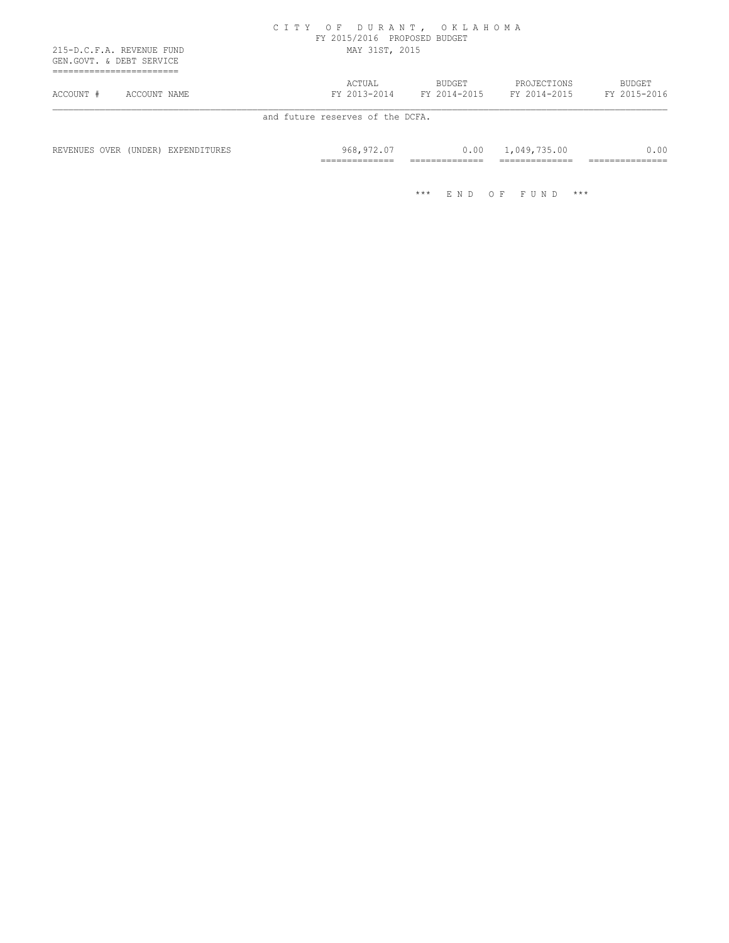|           | 215-D.C.F.A. REVENUE FUND<br>GEN.GOVT. & DEBT SERVICE | MAY 31ST, 2015 | FY 2015/2016 PROPOSED BUDGET |              |              |
|-----------|-------------------------------------------------------|----------------|------------------------------|--------------|--------------|
|           |                                                       | ACTUAL         | BUDGET                       | PROJECTIONS  | BUDGET       |
| ACCOUNT # | ACCOUNT NAME                                          | FY 2013-2014   | FY 2014-2015                 | FY 2014-2015 | FY 2015-2016 |

 REVENUES OVER (UNDER) EXPENDITURES 968,972.07 0.00 1,049,735.00 0.00 ============== ============== ============== ===============

\*\*\* E N D O F F U N D \*\*\*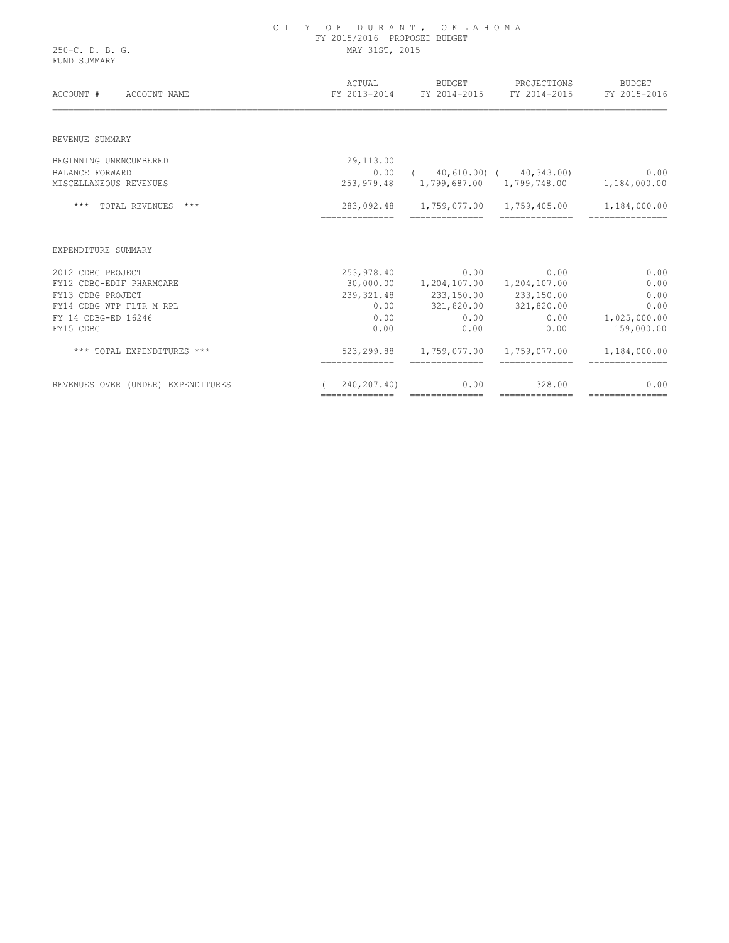|                                    | FY 2015/2016 PROPOSED BUDGET |                                       |                                                       |                        |  |
|------------------------------------|------------------------------|---------------------------------------|-------------------------------------------------------|------------------------|--|
| 250-C. D. B. G.<br>FUND SUMMARY    | MAY 31ST, 2015               |                                       |                                                       |                        |  |
| ACCOUNT #<br>ACCOUNT NAME          | ACTUAL                       | BUDGET                                | PROJECTIONS<br>FY 2013-2014 FY 2014-2015 FY 2014-2015 | BUDGET<br>FY 2015-2016 |  |
| REVENUE SUMMARY                    |                              |                                       |                                                       |                        |  |
| BEGINNING UNENCUMBERED             | 29,113.00                    |                                       |                                                       |                        |  |
| <b>BALANCE FORWARD</b>             | 0.00                         |                                       | $(40,610.00)$ $(40,343.00)$                           | 0.00                   |  |
| MISCELLANEOUS REVENUES             |                              |                                       | 253,979.48 1,799,687.00 1,799,748.00 1,184,000.00     |                        |  |
| *** TOTAL REVENUES ***             | 283,092.48                   |                                       |                                                       | 1,184,000.00           |  |
| EXPENDITURE SUMMARY                |                              |                                       |                                                       |                        |  |
| 2012 CDBG PROJECT                  | 253,978.40                   | 0.00                                  | 0.00                                                  | 0.00                   |  |
| FY12 CDBG-EDIF PHARMCARE           |                              | 30,000.00  1,204,107.00  1,204,107.00 |                                                       | 0.00                   |  |
| FY13 CDBG PROJECT                  |                              | 239, 321.48 233, 150.00 233, 150.00   |                                                       | 0.00                   |  |
| FY14 CDBG WTP FLTR M RPL           | 0.00                         |                                       | 321,820.00 321,820.00                                 | 0.00                   |  |
| FY 14 CDBG-ED 16246                | 0.00                         | 0.00                                  | 0.00                                                  | 1,025,000.00           |  |
| FY15 CDBG                          | 0.00                         | 0.00                                  | 0.00                                                  | 159,000.00             |  |
| *** TOTAL EXPENDITURES ***         | 523,299.88<br>-------------- | 1,759,077.00<br>==============        | 1,759,077.00<br>--------------                        | 1,184,000.00           |  |
| REVENUES OVER (UNDER) EXPENDITURES | 240,207.40)                  | 0.00                                  | 328.00                                                | 0.00                   |  |

============== ============== ============== ===============

C I T Y O F D U R A N T , O K L A H O M A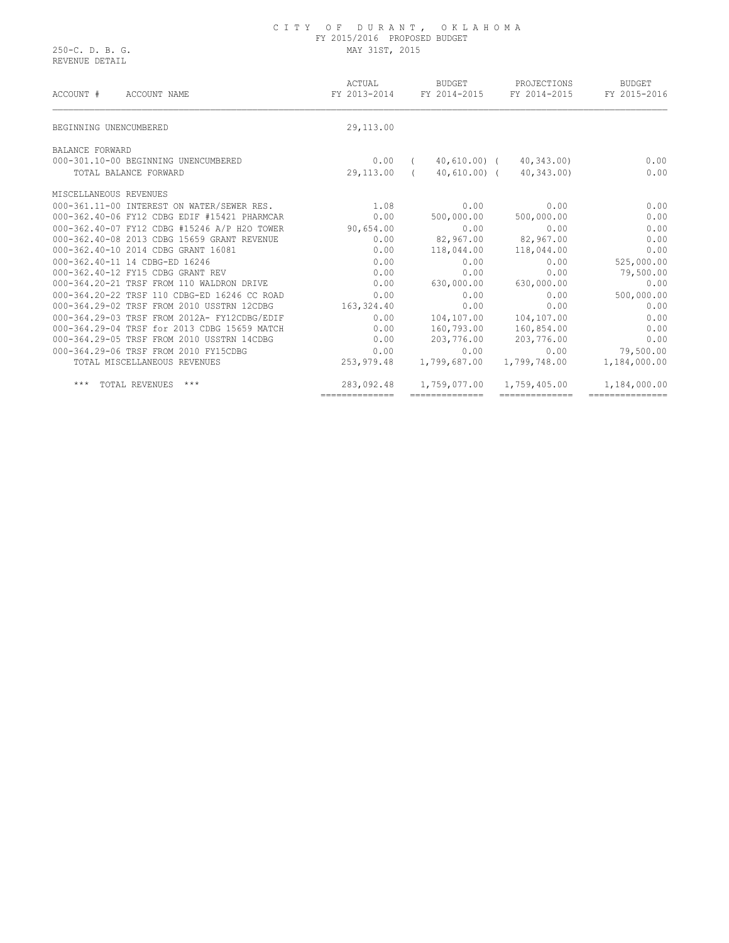#### C I T Y O F D U R A N T , O K L A H O M A FY 2015/2016 PROPOSED BUDGET 250-C. D. B. G. MAY 31ST, 2015

REVENUE DETAIL

| ACCOUNT #<br>ACCOUNT NAME                    | ACTUAL<br>FY 2013-2014 | BUDGET<br>FY 2014-2015   | PROJECTIONS<br>FY 2014-2015 | BUDGET<br>FY 2015-2016 |
|----------------------------------------------|------------------------|--------------------------|-----------------------------|------------------------|
| BEGINNING UNENCUMBERED                       | 29,113.00              |                          |                             |                        |
| BALANCE FORWARD                              |                        |                          |                             |                        |
| 000-301.10-00 BEGINNING UNENCUMBERED         | 0.00                   | 40,610.00) (<br>$\left($ | 40,343.00                   | 0.00                   |
| TOTAL BALANCE FORWARD                        | 29,113.00 (            | 40,610.00) (             | 40,343.00)                  | 0.00                   |
| MISCELLANEOUS REVENUES                       |                        |                          |                             |                        |
| 000-361.11-00 INTEREST ON WATER/SEWER RES.   | 1.08                   | 0.00                     | 0.00                        | 0.00                   |
| 000-362.40-06 FY12 CDBG EDIF #15421 PHARMCAR | 0.00                   | 500,000.00               | 500,000.00                  | 0.00                   |
| 000-362.40-07 FY12 CDBG #15246 A/P H2O TOWER | 90,654.00              | 0.00                     | 0.00                        | 0.00                   |
| 000-362.40-08 2013 CDBG 15659 GRANT REVENUE  | 0.00                   | 82,967.00                | 82,967.00                   | 0.00                   |
| 000-362.40-10 2014 CDBG GRANT 16081          | 0.00                   | 118,044.00               | 118,044.00                  | 0.00                   |
| 000-362.40-11 14 CDBG-ED 16246               | 0.00                   | 0.00                     | 0.00                        | 525,000.00             |
| 000-362.40-12 FY15 CDBG GRANT REV            | 0.00                   | 0.00                     | 0.00                        | 79,500.00              |
| 000-364.20-21 TRSF FROM 110 WALDRON DRIVE    | 0.00                   | 630,000.00               | 630,000.00                  | 0.00                   |
| 000-364.20-22 TRSF 110 CDBG-ED 16246 CC ROAD | 0.00                   | 0.00                     | 0.00                        | 500,000.00             |
| 000-364.29-02 TRSF FROM 2010 USSTRN 12CDBG   | 163,324.40             | 0.00                     | 0.00                        | 0.00                   |
| 000-364.29-03 TRSF FROM 2012A- FY12CDBG/EDIF | 0.00                   | 104,107.00               | 104,107.00                  | 0.00                   |
| 000-364.29-04 TRSF for 2013 CDBG 15659 MATCH | 0.00                   | 160,793.00               | 160,854.00                  | 0.00                   |
| 000-364.29-05 TRSF FROM 2010 USSTRN 14CDBG   | 0.00                   | 203,776.00               | 203,776.00                  | 0.00                   |
| 000-364.29-06 TRSF FROM 2010 FY15CDBG        | 0.00                   | 0.00                     | 0.00                        | 79,500.00              |
| TOTAL MISCELLANEOUS REVENUES                 | 253,979.48             | 1,799,687.00             | 1,799,748.00                | 1,184,000.00           |
| TOTAL REVENUES ***<br>* * *                  | 283,092.48             | 1,759,077.00             | 1,759,405.00                | 1,184,000.00           |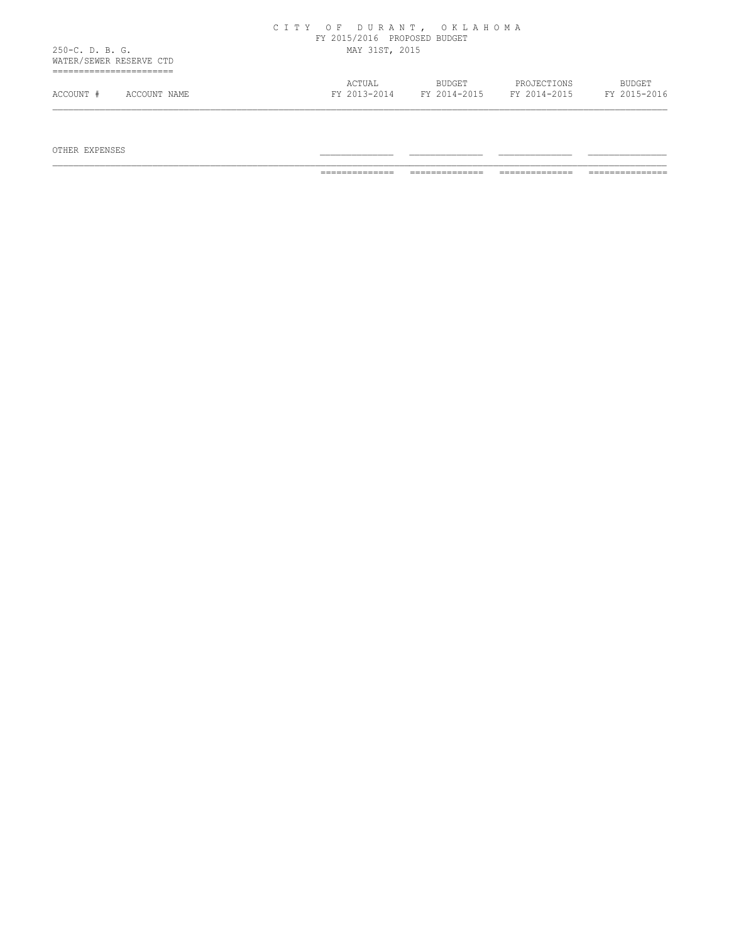|                                            |              | FY 2015/2016 PROPOSED BUDGET |               |              |              |
|--------------------------------------------|--------------|------------------------------|---------------|--------------|--------------|
| 250-C. D. B. G.<br>WATER/SEWER RESERVE CTD |              | MAY 31ST, 2015               |               |              |              |
|                                            |              | ACTUAL                       | <b>BUDGET</b> | PROJECTIONS  | BUDGET       |
| ACCOUNT #                                  | ACCOUNT NAME | FY 2013-2014                 | FY 2014-2015  | FY 2014-2015 | FY 2015-2016 |

C I T Y O F D U R A N T , O K L A H O M A

OTHER EXPENSES \_\_\_\_\_\_\_\_\_\_\_\_\_\_ \_\_\_\_\_\_\_\_\_\_\_\_\_\_ \_\_\_\_\_\_\_\_\_\_\_\_\_\_ \_\_\_\_\_\_\_\_\_\_\_\_\_\_\_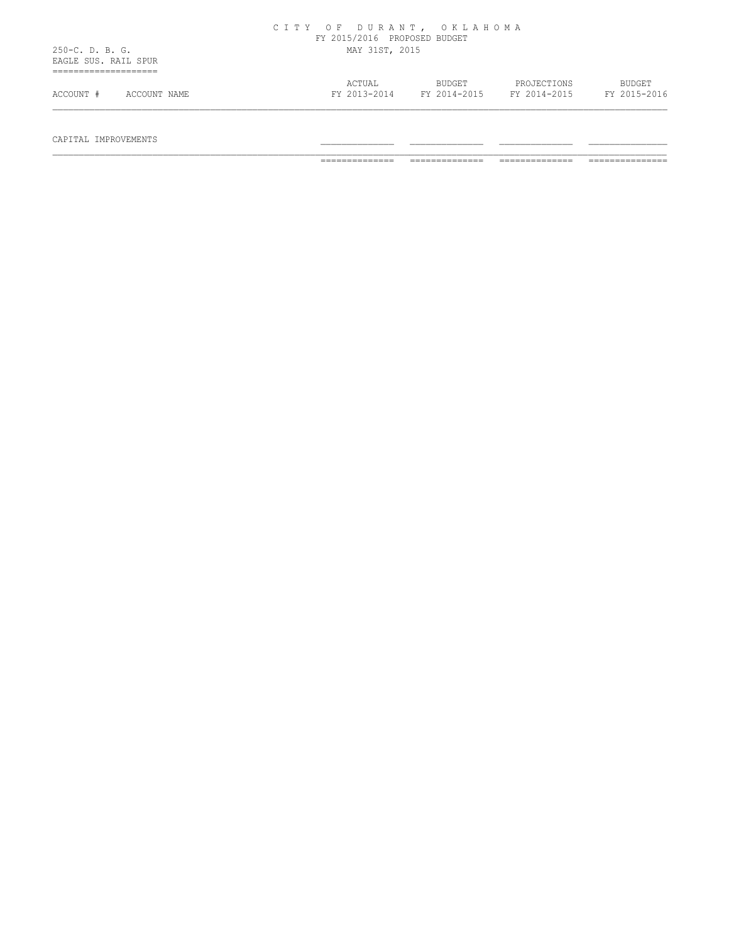|                                           | CITY OF DURANT, OKLAHOMA<br>FY 2015/2016 PROPOSED BUDGET                                                         |
|-------------------------------------------|------------------------------------------------------------------------------------------------------------------|
| $250-C. D. B. G.$<br>EAGLE SUS. RAIL SPUR | MAY 31ST, 2015                                                                                                   |
| .<br>ACCOUNT #<br>ACCOUNT NAME            | ACTUAL<br>BUDGET<br>PROJECTIONS<br><b>BUDGET</b><br>FY 2015-2016<br>FY 2013-2014<br>FY 2014-2015<br>FY 2014-2015 |

# $\begin{array}{cccccccccccccc} \texttt{CAPTIAL} & \texttt{IMPROVEMENTS} & & & & & \texttt{-----} & \texttt{-----} & \texttt{-----} & \texttt{-----} & \texttt{-----} & \texttt{-----} & \texttt{-----} & \end{array}$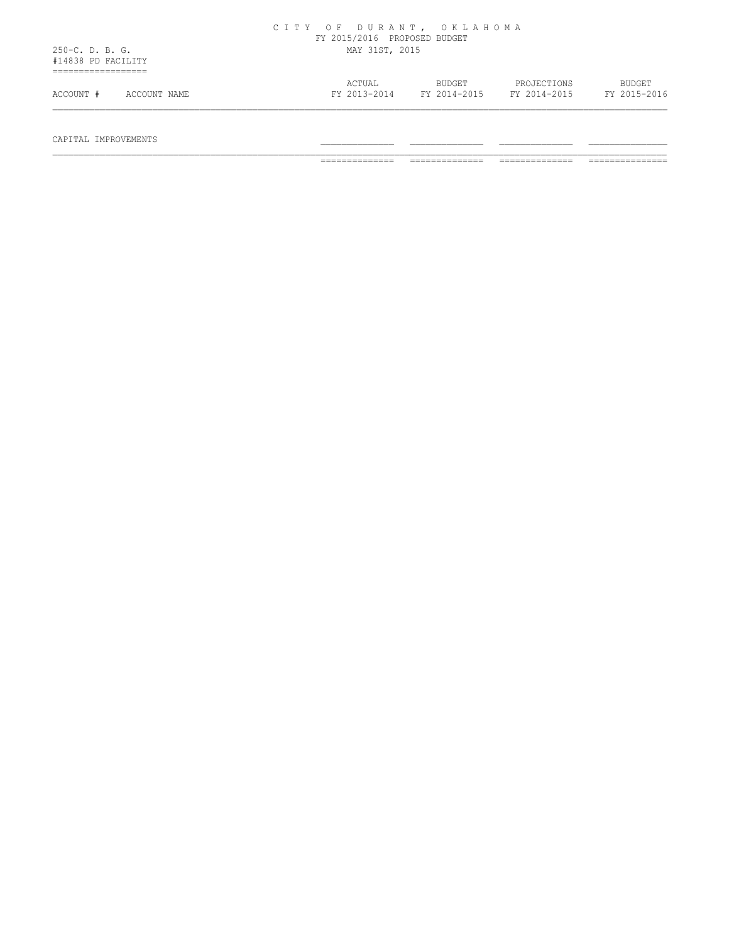|                                       | CITY OF DURANT, OKLAHOMA<br>FY 2015/2016 PROPOSED BUDGET |                        |                             |                               |
|---------------------------------------|----------------------------------------------------------|------------------------|-----------------------------|-------------------------------|
| 250-C. D. B. G.<br>#14838 PD FACILITY | MAY 31ST, 2015                                           |                        |                             |                               |
| ACCOUNT #<br>ACCOUNT NAME             | ACTUAL<br>FY 2013-2014                                   | BUDGET<br>FY 2014-2015 | PROJECTIONS<br>FY 2014-2015 | <b>BUDGET</b><br>FY 2015-2016 |

 $\begin{array}{cccccccccccccc} \texttt{CAPTIAL} & \texttt{IMPROVEMENTS} & & & & & \texttt{-----} & \texttt{-----} & \texttt{-----} & \texttt{-----} & \texttt{-----} & \texttt{-----} & \texttt{-----} & \end{array}$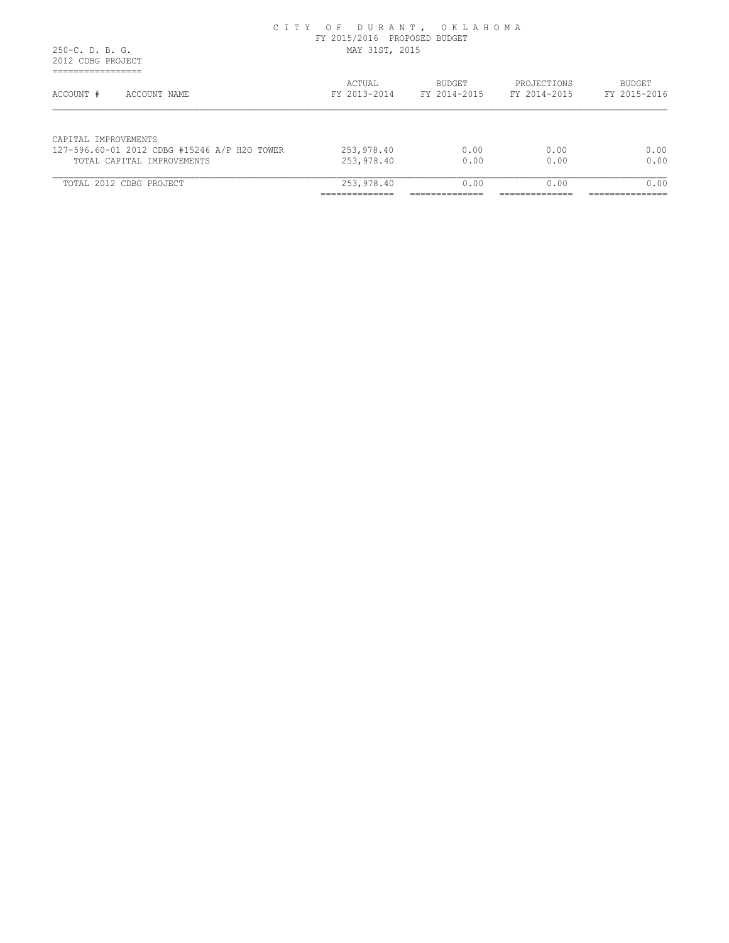#### C I T Y O F D U R A N T , O K L A H O M A FY 2015/2016 PROPOSED BUDGET 250-C. D. B. G. MAY 31ST, 2015

 2012 CDBG PROJECT =================

| ACCOUNT #<br>ACCOUNT NAME                                                  | ACTUAL<br>FY 2013-2014   | BUDGET<br>FY 2014-2015 | PROJECTIONS<br>FY 2014-2015 | <b>BUDGET</b><br>FY 2015-2016 |
|----------------------------------------------------------------------------|--------------------------|------------------------|-----------------------------|-------------------------------|
|                                                                            |                          |                        |                             |                               |
| CAPITAL IMPROVEMENTS                                                       |                          | 0.00                   | 0.00                        | 0.00                          |
| 127-596.60-01 2012 CDBG #15246 A/P H2O TOWER<br>TOTAL CAPITAL IMPROVEMENTS | 253,978.40<br>253,978.40 | 0.00                   | 0.00                        | 0.00                          |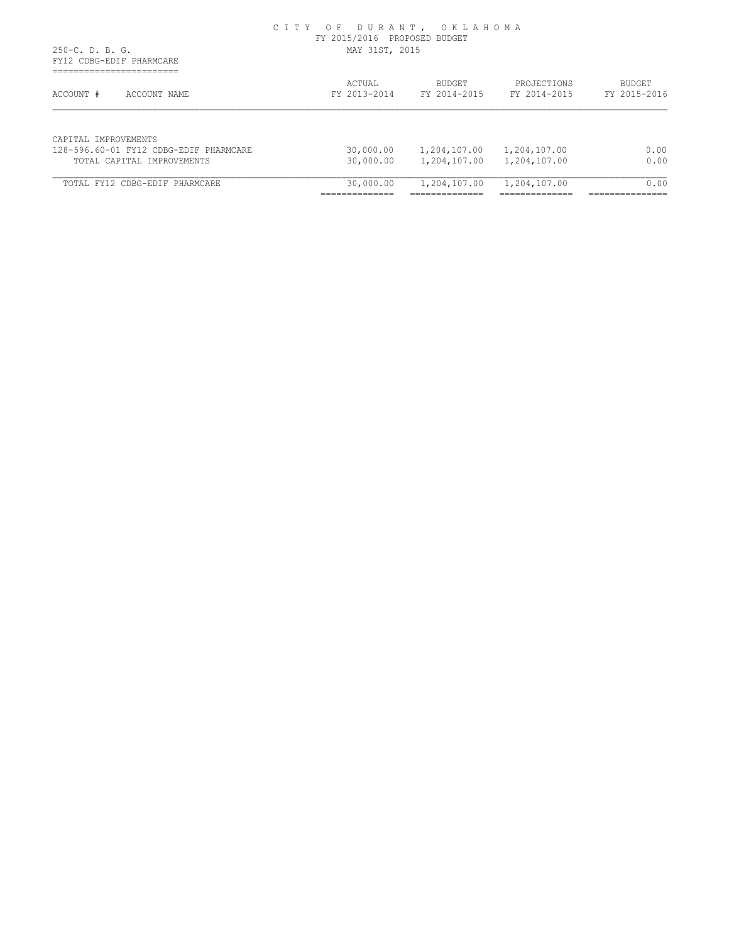## C I T Y O F D U R A N T , O K L A H O M A FY 2015/2016 PROPOSED BUDGET

 250-C. D. B. G. MAY 31ST, 2015 FY12 CDBG-EDIF PHARMCARE ======================== ACTUAL BUDGET PROJECTIONS BUDGET ACCOUNT # ACCOUNT NAME FY 2013-2014 FY 2014-2015 FY 2014-2015 FY 2015-2016 CAPITAL IMPROVEMENTS 128-596.60-01 FY12 CDBG-EDIF PHARMCARE 30,000.00 1,204,107.00 1,204,107.00 0.00 TOTAL CAPITAL IMPROVEMENTS 30,000.00 1,204,107.00 1,204,107.00 0.00 TOTAL FY12 CDBG-EDIF PHARMCARE 30,000.00 1,204,107.00 1,204,107.00 0.00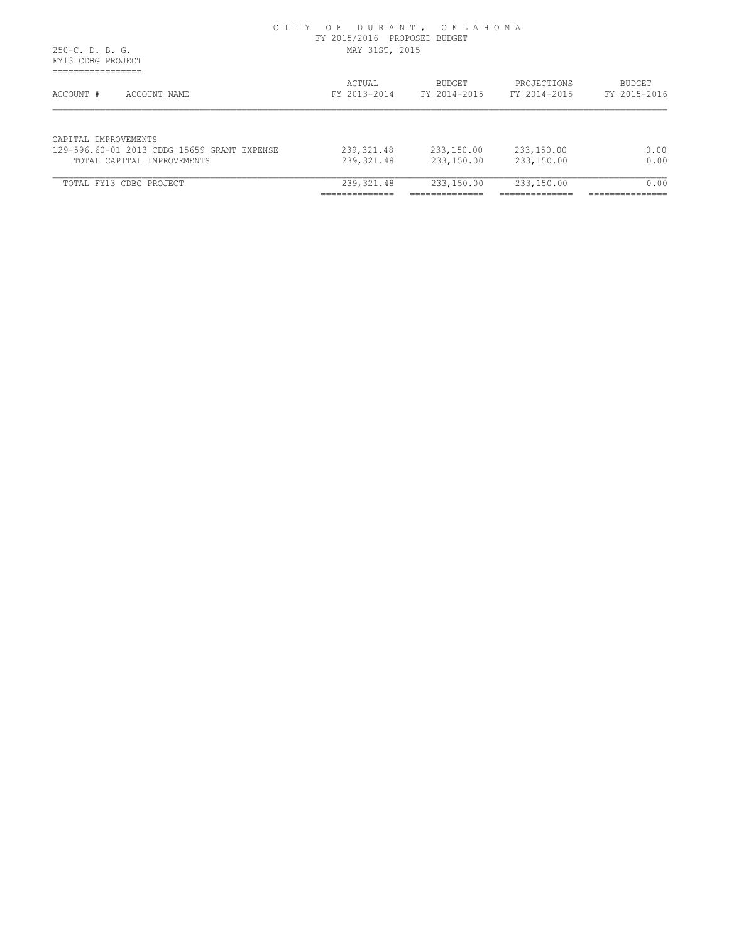#### C I T Y O F D U R A N T , O K L A H O M A FY 2015/2016 PROPOSED BUDGET 250-C. D. B. G. MAY 31ST, 2015

 FY13 CDBG PROJECT =================

| ACCOUNT #<br>ACCOUNT NAME                                           | ACTUAL<br>FY 2013-2014 | <b>BUDGET</b><br>FY 2014-2015 | PROJECTIONS<br>FY 2014-2015 | <b>BUDGET</b><br>FY 2015-2016 |
|---------------------------------------------------------------------|------------------------|-------------------------------|-----------------------------|-------------------------------|
| CAPITAL IMPROVEMENTS<br>129-596.60-01 2013 CDBG 15659 GRANT EXPENSE | 239,321.48             | 233,150.00                    | 233,150.00                  | 0.00                          |
|                                                                     |                        |                               |                             |                               |
| TOTAL CAPITAL IMPROVEMENTS                                          | 239,321.48             | 233,150.00                    | 233,150.00                  | 0.00                          |
| TOTAL FY13 CDBG PROJECT                                             | 239,321.48             | 233,150.00                    | 233,150.00                  | 0.00                          |
|                                                                     |                        |                               |                             |                               |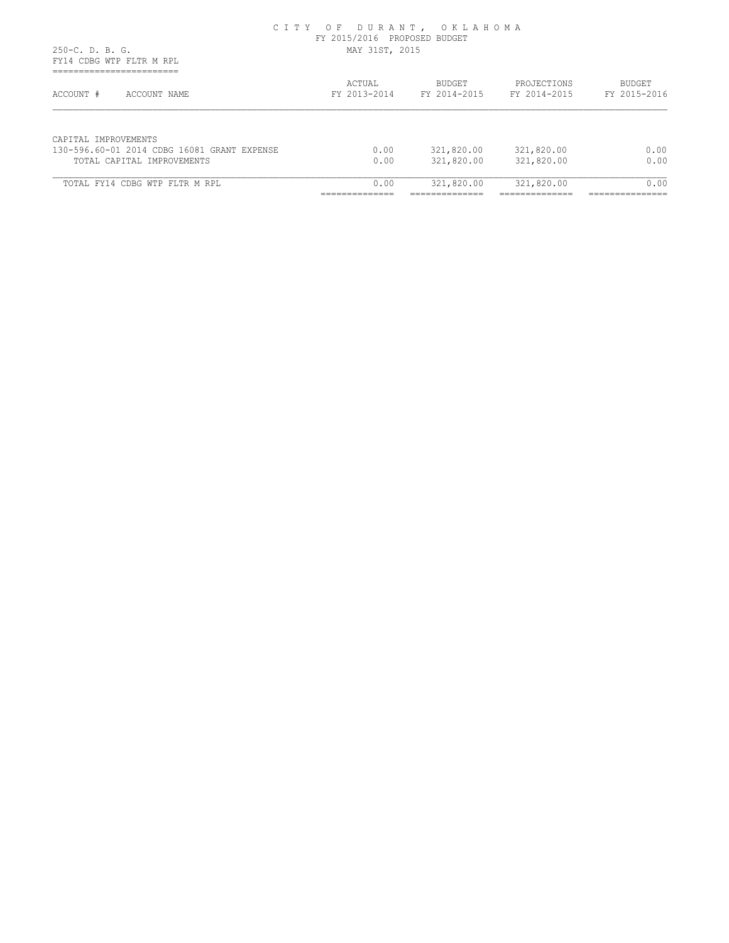#### C I T Y O F D U R A N T , O K L A H O M A FY 2015/2016 PROPOSED BUDGET 250-C. D. B. G. MAY 31ST, 2015

 FY14 CDBG WTP FLTR M RPL ===========================

| ACCOUNT #<br>ACCOUNT NAME                                           | ACTUAL<br>FY 2013-2014 | <b>BUDGET</b><br>FY 2014-2015 | PROJECTIONS<br>FY 2014-2015 | <b>BUDGET</b><br>FY 2015-2016 |
|---------------------------------------------------------------------|------------------------|-------------------------------|-----------------------------|-------------------------------|
| CAPITAL IMPROVEMENTS<br>130-596.60-01 2014 CDBG 16081 GRANT EXPENSE | 0.00                   | 321,820.00                    | 321,820.00                  | 0.00                          |
|                                                                     |                        |                               |                             | 0.00                          |
| TOTAL CAPITAL IMPROVEMENTS                                          | 0.00                   | 321,820.00                    | 321,820.00                  |                               |
| TOTAL FY14 CDBG WTP FLTR M RPL                                      | 0.00                   | 321,820.00                    | 321,820.00                  | 0.00                          |
|                                                                     |                        |                               |                             |                               |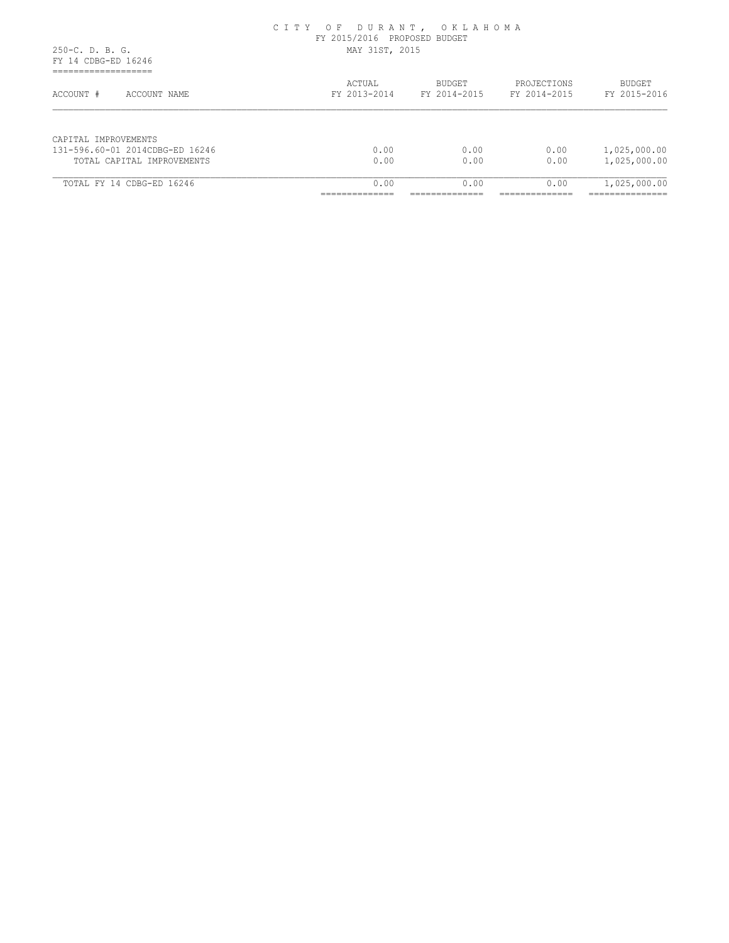|                                                                                          | CIII VI DURIRI, VRIIRIDIN<br>FY 2015/2016 PROPOSED BUDGET |                                          |                                          |                                                      |
|------------------------------------------------------------------------------------------|-----------------------------------------------------------|------------------------------------------|------------------------------------------|------------------------------------------------------|
| $250-C. D. B. G.$<br>FY 14 CDBG-ED 16246<br>____________________<br>-------------------- | MAY 31ST, 2015                                            |                                          |                                          |                                                      |
| ACCOUNT #<br>ACCOUNT NAME                                                                | ACTUAL<br>FY 2013-2014                                    | <b>BUDGET</b><br>FY 2014-2015            | PROJECTIONS<br>FY 2014-2015              | <b>BUDGET</b><br>FY 2015-2016                        |
| CAPITAL IMPROVEMENTS<br>131-596.60-01 2014CDBG-ED 16246                                  | 0.00                                                      | 0.00                                     | 0.00                                     | 1,025,000.00                                         |
| TOTAL CAPITAL IMPROVEMENTS                                                               | 0.00                                                      | 0.00                                     | 0.00                                     | 1,025,000.00                                         |
| TOTAL FY 14 CDBG-ED 16246                                                                | 0.00<br>_____________<br>______________                   | 0.00<br>______________<br>______________ | 0.00<br>______________<br>______________ | 1,025,000.00<br>________________<br>________________ |

# C I T Y O F D U R A N T , O K L A H O M A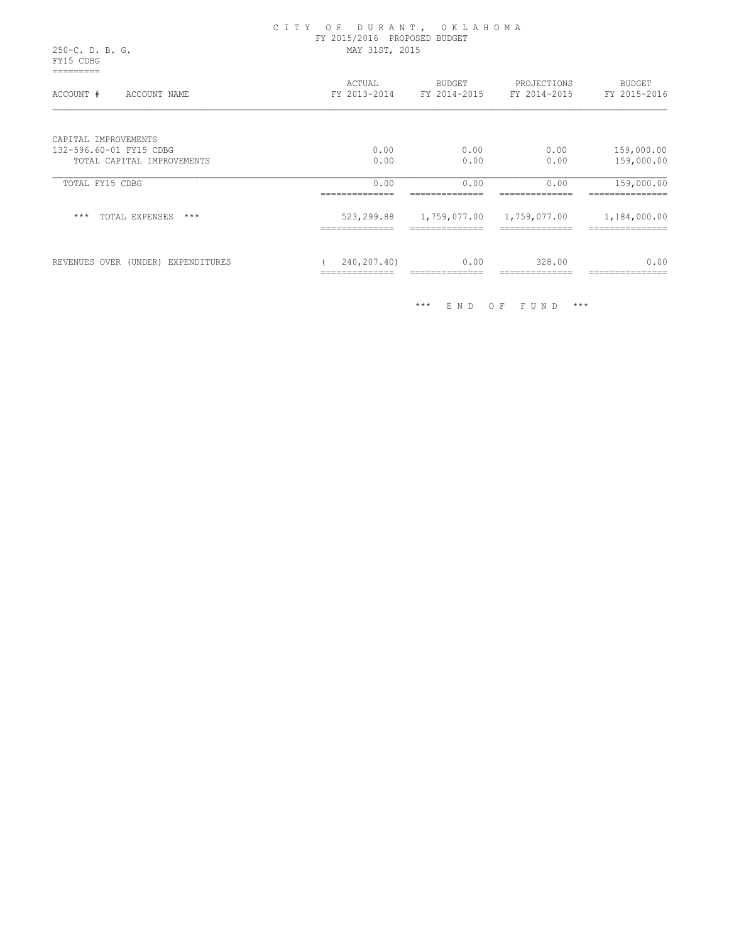|                                                 | CITY OF DURANT, OKLAHOMA<br>FY 2015/2016 PROPOSED BUDGET<br>MAY 31ST, 2015 |                                                  |             |                          |  |
|-------------------------------------------------|----------------------------------------------------------------------------|--------------------------------------------------|-------------|--------------------------|--|
| 250-C. D. B. G.<br>FY15 CDBG                    |                                                                            |                                                  |             |                          |  |
| ACCOUNT #<br>ACCOUNT NAME                       | ACTUAL                                                                     | BUDGET<br>FY 2013-2014 FY 2014-2015 FY 2014-2015 | PROJECTIONS | BUDGET<br>FY 2015-2016   |  |
| CAPITAL IMPROVEMENTS<br>132-596.60-01 FY15 CDBG | 0.00                                                                       | 0.00                                             | 0.00        |                          |  |
| TOTAL CAPITAL IMPROVEMENTS                      | 0.00                                                                       | 0.00                                             | 0.00        | 159,000.00<br>159,000.00 |  |
| TOTAL FY15 CDBG                                 | 0.00                                                                       | 0.00                                             | 0.00        | 159,000.00               |  |
| $***$<br>TOTAL EXPENSES ***                     | 523,299.88                                                                 | 1,759,077.00 1,759,077.00                        |             | 1,184,000.00             |  |
| REVENUES OVER (UNDER) EXPENDITURES              | 240,207.40)<br>==============                                              | 0.00<br>==============                           | 328.00      | 0.00<br>===============  |  |

\*\*\* E N D O F F U N D \*\*\*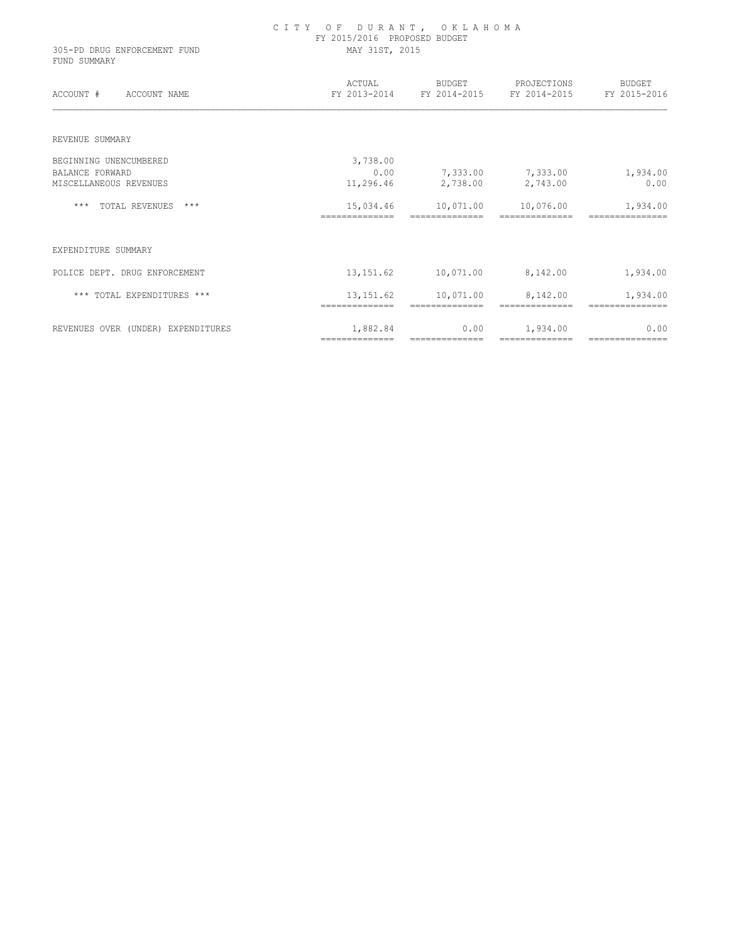| 305-PD DRUG ENFORCEMENT FUND<br>FUND SUMMARY | CITY OF DURANT, OKLAHOMA<br>FY 2015/2016 PROPOSED BUDGET<br>MAY 31ST, 2015 |                                       |                                                                     |                        |  |
|----------------------------------------------|----------------------------------------------------------------------------|---------------------------------------|---------------------------------------------------------------------|------------------------|--|
| ACCOUNT # ACCOUNT NAME                       |                                                                            |                                       | ACTUAL BUDGET PROJECTIONS<br>FY 2013-2014 FY 2014-2015 FY 2014-2015 | BUDGET<br>FY 2015-2016 |  |
| REVENUE SUMMARY                              |                                                                            |                                       |                                                                     |                        |  |
| BEGINNING UNENCUMBERED                       | 3,738.00                                                                   |                                       |                                                                     |                        |  |
| <b>BALANCE FORWARD</b>                       | 0.00                                                                       |                                       | 7,333.00 7,333.00                                                   | 1,934.00               |  |
| MISCELLANEOUS REVENUES                       | 11,296.46                                                                  |                                       | 2,738.00 2,743.00                                                   | 0.00                   |  |
| *** TOTAL REVENUES ***                       |                                                                            | 15,034.46    10,071.00    10,076.00   |                                                                     | 1,934.00               |  |
|                                              | --------------                                                             | ==============                        | ==============                                                      |                        |  |
| EXPENDITURE SUMMARY                          |                                                                            |                                       |                                                                     |                        |  |
| POLICE DEPT. DRUG ENFORCEMENT                |                                                                            | 13,151.62    10,071.00    8,142.00    |                                                                     | 1,934.00               |  |
| *** TOTAL EXPENDITURES ***                   |                                                                            | 13, 151.62    10, 071.00    8, 142.00 |                                                                     | 1,934.00               |  |
| REVENUES OVER (UNDER) EXPENDITURES           | 1,882.84                                                                   | 0.00                                  | 1,934.00                                                            | 0.00                   |  |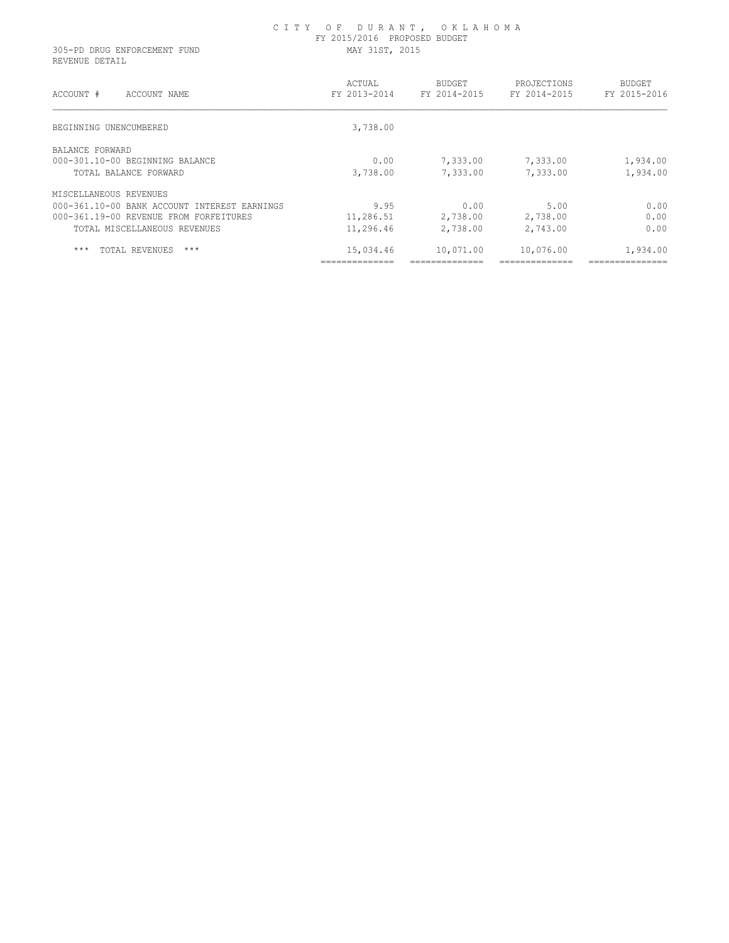#### C I T Y O F D U R A N T , O K L A H O M A FY 2015/2016 PROPOSED BUDGET 305-PD DRUG ENFORCEMENT FUND MAY 31ST, 2015

REVENUE DETAIL

| ACCOUNT #<br>ACCOUNT NAME                    | ACTUAL<br>FY 2013-2014 | <b>BUDGET</b><br>FY 2014-2015 | PROJECTIONS<br>FY 2014-2015 | <b>BUDGET</b><br>FY 2015-2016         |
|----------------------------------------------|------------------------|-------------------------------|-----------------------------|---------------------------------------|
| BEGINNING UNENCUMBERED                       | 3,738.00               |                               |                             |                                       |
| BALANCE FORWARD                              |                        |                               |                             |                                       |
| 000-301.10-00 BEGINNING BALANCE              | 0.00                   | 7,333.00                      | 7,333.00                    | 1,934.00                              |
| TOTAL BALANCE FORWARD                        | 3,738.00               | 7,333.00                      | 7,333.00                    | 1,934.00                              |
| MISCELLANEOUS REVENUES                       |                        |                               |                             |                                       |
| 000-361.10-00 BANK ACCOUNT INTEREST EARNINGS | 9.95                   | 0.00                          | 5.00                        | 0.00                                  |
| 000-361.19-00 REVENUE FROM FORFEITURES       | 11,286.51              | 2,738.00                      | 2,738.00                    | 0.00                                  |
| TOTAL MISCELLANEOUS REVENUES                 | 11,296.46              | 2,738.00                      | 2,743.00                    | 0.00                                  |
| $***$<br>TOTAL REVENUES<br>$***$             | 15,034.46              | 10,071.00                     | 10,076.00                   | 1,934.00                              |
|                                              | ______________         | _______________               | ---------------             | -----------------<br>---------------- |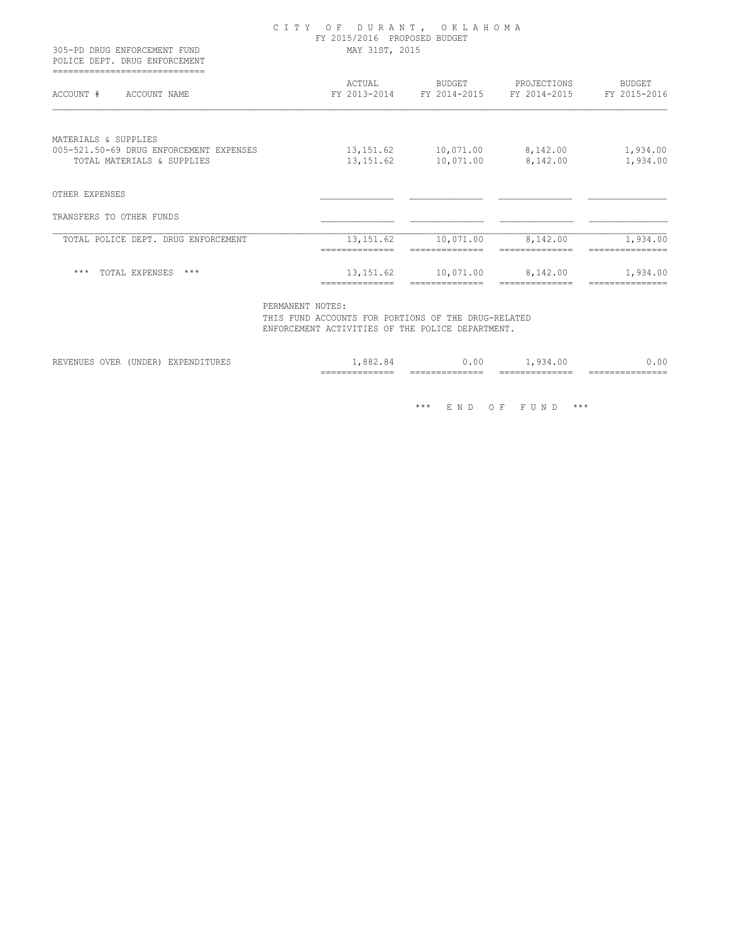| 305-PD DRUG ENFORCEMENT FUND<br>POLICE DEPT. DRUG ENFORCEMENT                                 | CITY OF DURANT, OKLAHOMA<br>FY 2015/2016 PROPOSED BUDGET<br>MAY 31ST, 2015 |                                    |                                                       |                        |  |
|-----------------------------------------------------------------------------------------------|----------------------------------------------------------------------------|------------------------------------|-------------------------------------------------------|------------------------|--|
| ACCOUNT # ACCOUNT NAME                                                                        | ACTUAL                                                                     | <b>BUDGET</b>                      | PROJECTIONS<br>FY 2013-2014 FY 2014-2015 FY 2014-2015 | BUDGET<br>FY 2015-2016 |  |
| MATERIALS & SUPPLIES<br>005-521.50-69 DRUG ENFORCEMENT EXPENSES<br>TOTAL MATERIALS & SUPPLIES |                                                                            | 13,151.62    10,071.00    8,142.00 | 13,151.62    10,071.00    8,142.00                    | 1,934.00<br>1,934.00   |  |
| OTHER EXPENSES                                                                                |                                                                            |                                    |                                                       |                        |  |
| TRANSFERS TO OTHER FUNDS                                                                      |                                                                            |                                    |                                                       |                        |  |
| TOTAL POLICE DEPT. DRUG ENFORCEMENT                                                           | 13, 151.62                                                                 | 10,071.00                          | 8,142.00                                              | 1,934.00               |  |
| *** TOTAL EXPENSES ***                                                                        | 13,151.62                                                                  | 10,071.00                          | 8,142.00                                              | 1,934.00               |  |

PERMANENT NOTES:

 THIS FUND ACCOUNTS FOR PORTIONS OF THE DRUG-RELATED ENFORCEMENT ACTIVITIES OF THE POLICE DEPARTMENT.

| OVER<br>00 <sup>o</sup><br>----<br>'UNDER<br>$\cdot$ .00<br>84<br>$Q \prec R$<br>RF.VF.<br>:X PH<br>UU<br><b>BAFBNUIIURBU</b><br><b>VIIIVAJI 16.</b><br>,,,,,<br>______________<br>______________<br>______________<br>___<br>____ |  | ______________ | ______________ | ______________ | _____<br>_____ |
|------------------------------------------------------------------------------------------------------------------------------------------------------------------------------------------------------------------------------------|--|----------------|----------------|----------------|----------------|
|                                                                                                                                                                                                                                    |  |                |                |                | .00.           |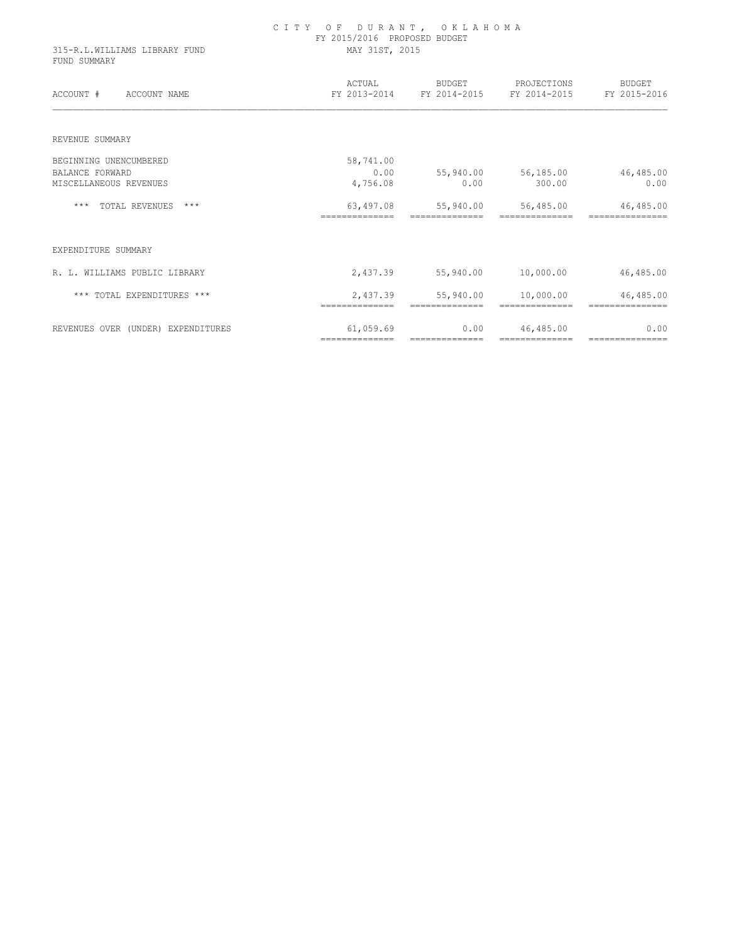| 315-R.L.WILLIAMS LIBRARY FUND<br>FUND SUMMARY | CITY OF DURANT, OKLAHOMA<br>FY 2015/2016 PROPOSED BUDGET<br>MAY 31ST, 2015 |                             |                                                              |                               |  |
|-----------------------------------------------|----------------------------------------------------------------------------|-----------------------------|--------------------------------------------------------------|-------------------------------|--|
| ACCOUNT # ACCOUNT NAME                        | ACTUAL                                                                     |                             | BUDGET PROJECTIONS<br>FY 2013-2014 FY 2014-2015 FY 2014-2015 | <b>BUDGET</b><br>FY 2015-2016 |  |
| REVENUE SUMMARY                               |                                                                            |                             |                                                              |                               |  |
| BEGINNING UNENCUMBERED                        | 58,741.00                                                                  |                             |                                                              |                               |  |
| <b>BALANCE FORWARD</b>                        | 0.00                                                                       | 55,940.00                   | 56,185.00                                                    | 46,485.00                     |  |
| MISCELLANEOUS REVENUES                        | 4,756.08                                                                   | 0.00                        | 300.00                                                       | 0.00                          |  |
| *** TOTAL REVENUES ***                        | 63,497.08<br>==============                                                | 55,940.00<br>============== | 56,485.00<br>==============                                  | 46,485.00                     |  |
| EXPENDITURE SUMMARY                           |                                                                            |                             |                                                              |                               |  |
| R. L. WILLIAMS PUBLIC LIBRARY                 | 2,437.39                                                                   |                             | 55,940.00 10,000.00                                          | 46,485.00                     |  |
| *** TOTAL EXPENDITURES ***                    |                                                                            | 2,437.39 55,940.00          | 10,000.00                                                    | 46,485.00                     |  |
| REVENUES OVER (UNDER) EXPENDITURES            | 61,059.69                                                                  | 0.00                        | 46,485.00                                                    | 0.00                          |  |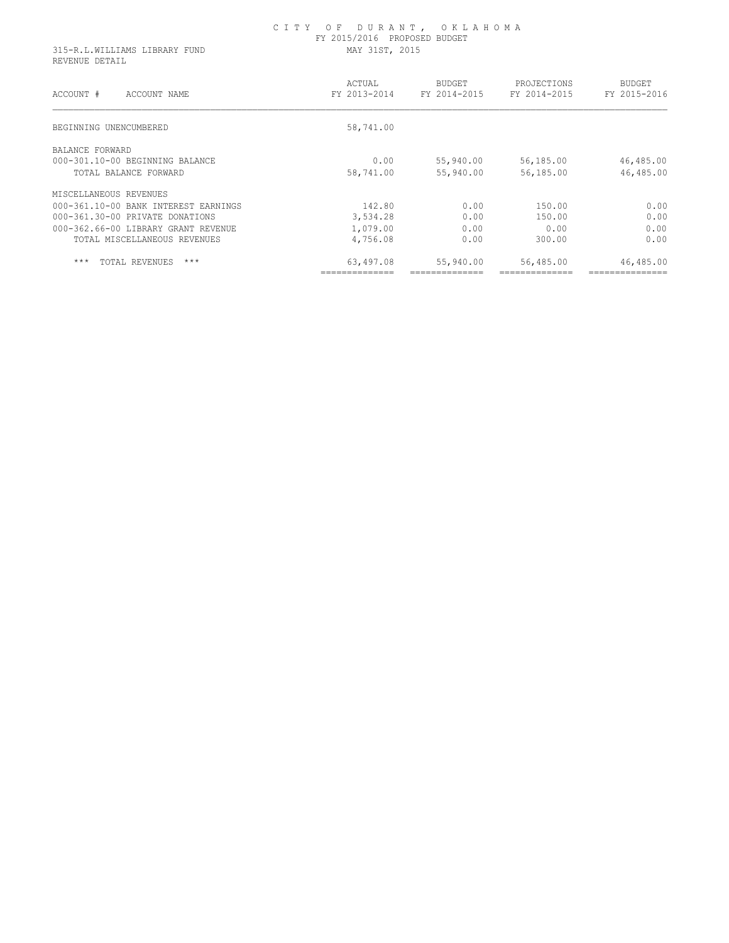#### C I T Y O F D U R A N T , O K L A H O M A FY 2015/2016 PROPOSED BUDGET 315-R.L.WILLIAMS LIBRARY FUND MAY 31ST, 2015

REVENUE DETAIL

| ACCOUNT #<br>ACCOUNT NAME            | ACTUAL<br>FY 2013-2014 | <b>BUDGET</b><br>FY 2014-2015 | PROJECTIONS<br>FY 2014-2015 | <b>BUDGET</b><br>FY 2015-2016 |
|--------------------------------------|------------------------|-------------------------------|-----------------------------|-------------------------------|
| BEGINNING UNENCUMBERED               | 58,741.00              |                               |                             |                               |
| BALANCE FORWARD                      |                        |                               |                             |                               |
| 000-301.10-00 BEGINNING BALANCE      | 0.00                   | 55,940.00                     | 56,185.00                   | 46,485.00                     |
| TOTAL BALANCE FORWARD                | 58,741.00              | 55,940.00                     | 56,185.00                   | 46,485.00                     |
| MISCELLANEOUS REVENUES               |                        |                               |                             |                               |
| 000-361.10-00 BANK INTEREST EARNINGS | 142.80                 | 0.00                          | 150.00                      | 0.00                          |
| 000-361.30-00 PRIVATE DONATIONS      | 3,534.28               | 0.00                          | 150.00                      | 0.00                          |
| 000-362.66-00 LIBRARY GRANT REVENUE  | 1,079.00               | 0.00                          | 0.00                        | 0.00                          |
| TOTAL MISCELLANEOUS REVENUES         | 4,756.08               | 0.00                          | 300.00                      | 0.00                          |
| $***$<br>$***$<br>TOTAL REVENUES     | 63,497.08              | 55,940.00                     | 56,485.00                   | 46,485.00                     |
|                                      |                        |                               |                             |                               |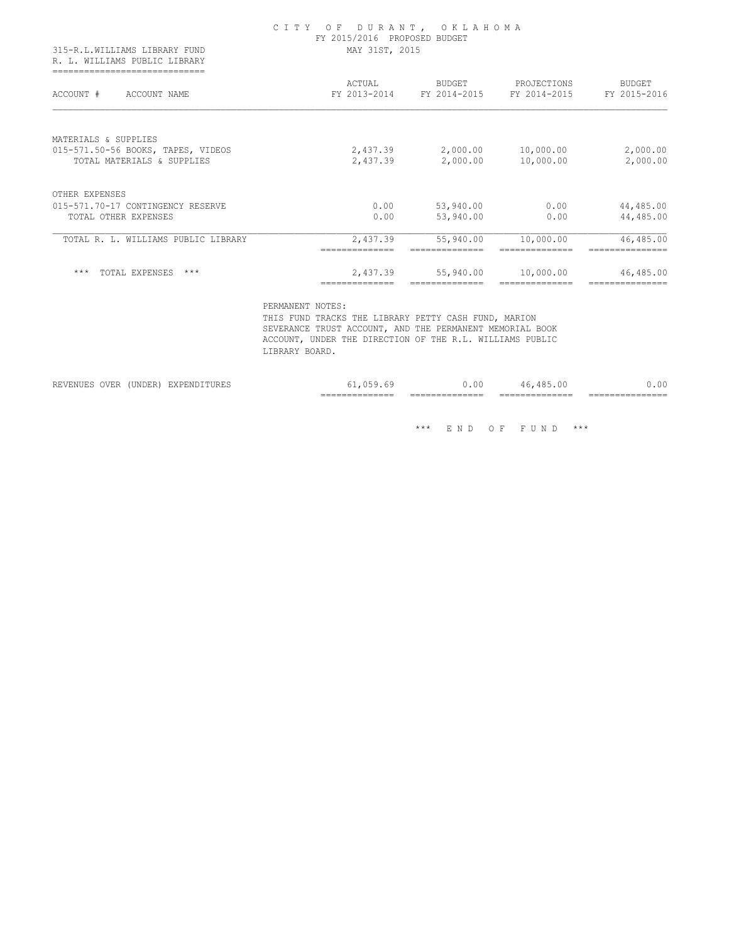| 315-R.L.WILLIAMS LIBRARY FUND<br>R. L. WILLIAMS PUBLIC LIBRARY   | CITY OF DURANT, OKLAHOMA<br>FY 2015/2016 PROPOSED BUDGET<br>MAY 31ST, 2015 |                                     |                             |                        |  |
|------------------------------------------------------------------|----------------------------------------------------------------------------|-------------------------------------|-----------------------------|------------------------|--|
| ------------------------------<br>ACCOUNT #<br>ACCOUNT NAME      | ACTUAL                                                                     | BUDGET<br>FY 2013-2014 FY 2014-2015 | PROJECTIONS<br>FY 2014-2015 | BUDGET<br>FY 2015-2016 |  |
| MATERIALS & SUPPLIES                                             |                                                                            |                                     |                             |                        |  |
| 015-571.50-56 BOOKS, TAPES, VIDEOS<br>TOTAL MATERIALS & SUPPLIES | 2,437.39<br>2,437.39                                                       | 2,000.00<br>2,000.00                | 10,000.00<br>10,000.00      | 2,000.00<br>2,000.00   |  |
| OTHER EXPENSES                                                   |                                                                            |                                     |                             |                        |  |
| 015-571.70-17 CONTINGENCY RESERVE                                | 0.00                                                                       | 53,940.00                           | 0.00                        | 44,485.00              |  |
| TOTAL OTHER EXPENSES                                             | 0.00                                                                       | 53,940.00                           | 0.00                        | 44,485.00              |  |
| TOTAL R. L. WILLIAMS PUBLIC LIBRARY                              | 2,437.39                                                                   | 55,940.00                           | 10,000.00                   | 46,485.00              |  |
| ***<br>TOTAL EXPENSES ***                                        | 2,437.39                                                                   | 55,940.00                           | 10,000.00                   | 46,485.00              |  |

 PERMANENT NOTES: THIS FUND TRACKS THE LIBRARY PETTY CASH FUND, MARION SEVERANCE TRUST ACCOUNT, AND THE PERMANENT MEMORIAL BOOK ACCOUNT, UNDER THE DIRECTION OF THE R.L. WILLIAMS PUBLIC LIBRARY BOARD.

|                                                                                                                               |                                                                                                                                                                            |                | ------------<br>$- - -$<br>________________ | $-$<br>------<br>_______________ | $-$<br>-------<br>________________ | ________________ |
|-------------------------------------------------------------------------------------------------------------------------------|----------------------------------------------------------------------------------------------------------------------------------------------------------------------------|----------------|---------------------------------------------|----------------------------------|------------------------------------|------------------|
| ---<br>11H<br>the contract of the contract of the contract of the contract of the contract of the contract of the contract of | <b>*******</b><br>. $\overline{\phantom{a}}$<br>◡▴◥◡▭▴◝<br>the contract of the contract of the contract of the contract of the contract of the contract of the contract of | ----<br>.<br>. |                                             | '.ul                             |                                    |                  |

 $\hspace{0.1cm}^{\star\star\star}$   $\hspace{0.1cm}$  E N D  $\hspace{0.1cm}$  O F  $\hspace{0.1cm}$  F U N D  $\hspace{0.1cm}$   $\hspace{0.1cm}^{\star\star\star}$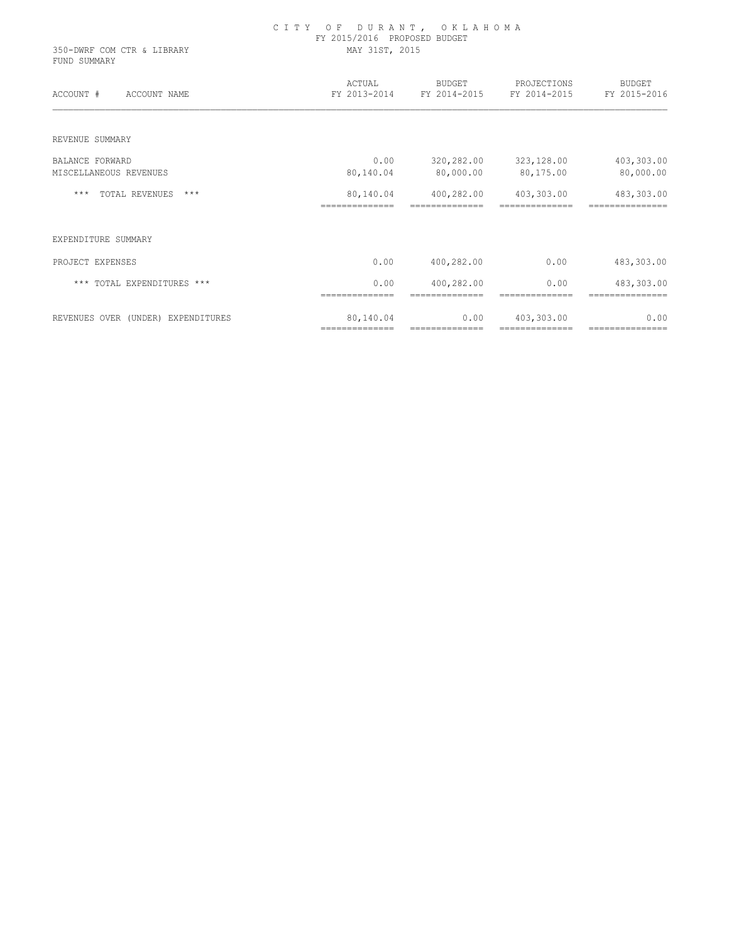| 350-DWRF COM CTR & LIBRARY<br>FUND SUMMARY | CITY OF DURANT, OKLAHOMA<br>FY 2015/2016 PROPOSED BUDGET<br>MAY 31ST, 2015 |                              |                             |                               |  |
|--------------------------------------------|----------------------------------------------------------------------------|------------------------------|-----------------------------|-------------------------------|--|
| ACCOUNT #<br>ACCOUNT NAME                  | ACTUAL<br>FY 2013-2014                                                     | BUDGET<br>FY 2014-2015       | PROJECTIONS<br>FY 2014-2015 | BUDGET<br>FY 2015-2016        |  |
| REVENUE SUMMARY                            |                                                                            |                              |                             |                               |  |
| <b>BALANCE FORWARD</b>                     | 0.00                                                                       | 320,282.00                   | 323,128.00                  | 403,303.00                    |  |
| MISCELLANEOUS REVENUES                     | 80,140.04                                                                  | 80,000.00                    | 80,175.00                   | 80,000.00                     |  |
| TOTAL REVENUES ***<br>$***$                | 80,140.04                                                                  | 400,282.00                   | 403,303.00                  | 483,303.00                    |  |
| EXPENDITURE SUMMARY                        |                                                                            |                              |                             |                               |  |
| PROJECT EXPENSES                           | 0.00                                                                       | 400,282.00                   | 0.00                        | 483,303.00                    |  |
| *** TOTAL EXPENDITURES ***                 | 0.00<br>==============                                                     | 400,282.00<br>============== | 0.00<br>==============      | 483,303.00<br>=============== |  |
| REVENUES OVER (UNDER) EXPENDITURES         | 80,140.04                                                                  | 0.00                         | 403,303.00                  | 0.00                          |  |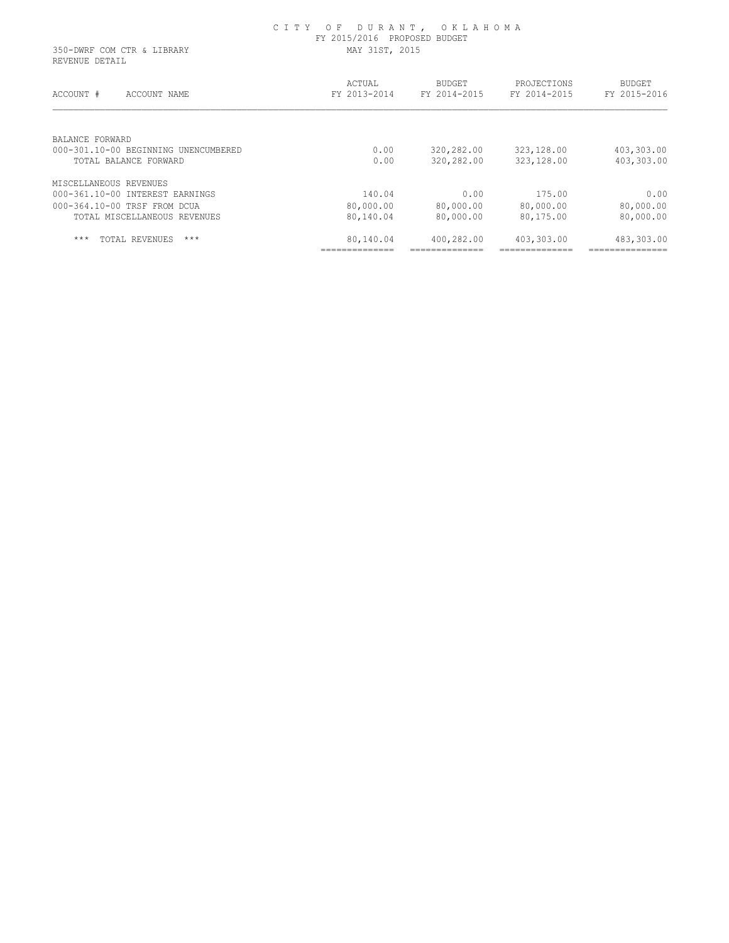| 350-DWRF COM CTR & LIBRARY<br>REVENUE DETAIL                  | FY 2015/2016 PROPOSED BUDGET<br>MAY 31ST, 2015 |                               |                             |                               |  |
|---------------------------------------------------------------|------------------------------------------------|-------------------------------|-----------------------------|-------------------------------|--|
| ACCOUNT #<br>ACCOUNT NAME                                     | ACTUAL<br>FY 2013-2014                         | <b>BUDGET</b><br>FY 2014-2015 | PROJECTIONS<br>FY 2014-2015 | <b>BUDGET</b><br>FY 2015-2016 |  |
| BALANCE FORWARD                                               |                                                |                               |                             |                               |  |
| 000-301.10-00 BEGINNING UNENCUMBERED<br>TOTAL BALANCE FORWARD | 0.00<br>0.00                                   | 320,282.00<br>320,282.00      | 323,128.00<br>323,128.00    | 403,303.00<br>403,303.00      |  |
| MISCELLANEOUS REVENUES                                        |                                                |                               |                             |                               |  |
| 000-361.10-00 INTEREST EARNINGS                               | 140.04                                         | 0.00                          | 175.00                      | 0.00                          |  |
| 000-364.10-00 TRSF FROM DCUA                                  | 80,000.00                                      | 80,000.00                     | 80,000.00                   | 80,000.00                     |  |
| TOTAL MISCELLANEOUS REVENUES                                  | 80,140.04                                      | 80,000.00                     | 80,175.00                   | 80,000.00                     |  |
| $***$<br>$***$<br>TOTAL REVENUES                              | 80,140.04                                      | 400,282.00                    | 403,303.00                  | 483,303.00                    |  |
|                                                               |                                                |                               |                             |                               |  |

C I T Y O F D U R A N T , O K L A H O M A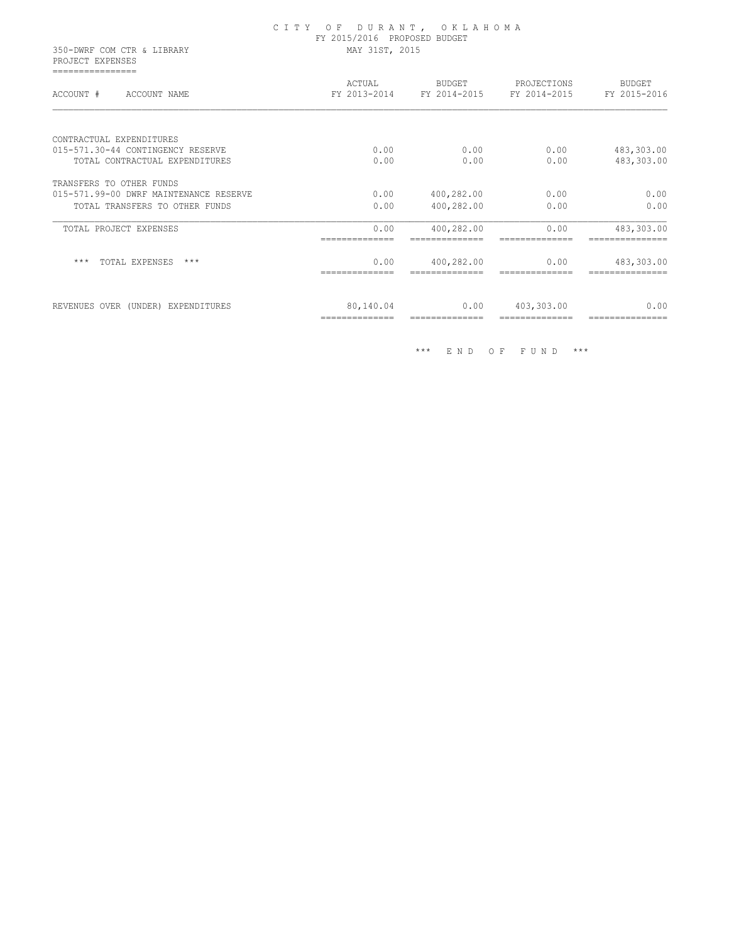|                                                | CITY OF DURANT, OKLAHOMA<br>FY 2015/2016 PROPOSED BUDGET |                |                                                       |                        |  |
|------------------------------------------------|----------------------------------------------------------|----------------|-------------------------------------------------------|------------------------|--|
| 350-DWRF COM CTR & LIBRARY<br>PROJECT EXPENSES | MAY 31ST, 2015                                           |                |                                                       |                        |  |
| ================<br>ACCOUNT # ACCOUNT NAME     | ACTUAL                                                   | BUDGET         | PROJECTIONS<br>FY 2013-2014 FY 2014-2015 FY 2014-2015 | BUDGET<br>FY 2015-2016 |  |
| CONTRACTUAL EXPENDITURES                       |                                                          |                |                                                       |                        |  |
| 015-571.30-44 CONTINGENCY RESERVE              | 0.00                                                     | 0.00           | 0.00                                                  | 483,303.00             |  |
| TOTAL CONTRACTUAL EXPENDITURES                 | 0.00                                                     | 0.00           | 0.00                                                  | 483,303.00             |  |
| TRANSFERS TO OTHER FUNDS                       |                                                          |                |                                                       |                        |  |
| 015-571.99-00 DWRF MAINTENANCE RESERVE         | 0.00                                                     | 400,282.00     | 0.00                                                  | 0.00                   |  |
| TOTAL TRANSFERS TO OTHER FUNDS                 | 0.00                                                     | 400,282.00     | 0.00                                                  | 0.00                   |  |
| TOTAL PROJECT EXPENSES                         | 0.00                                                     | 400,282.00     | 0.00                                                  | 483,303.00             |  |
|                                                | ==============                                           | ============== | ==============                                        |                        |  |
| *** TOTAL EXPENSES ***                         | 0.00                                                     | 400,282.00     | 0.00                                                  | 483,303.00             |  |
|                                                | ==============                                           | ============== | ==============                                        |                        |  |
| REVENUES OVER (UNDER) EXPENDITURES             | 80,140.04                                                | 0.00           | 403,303.00                                            | 0.00                   |  |
|                                                | ==============                                           | ============== | ==============                                        | ==============         |  |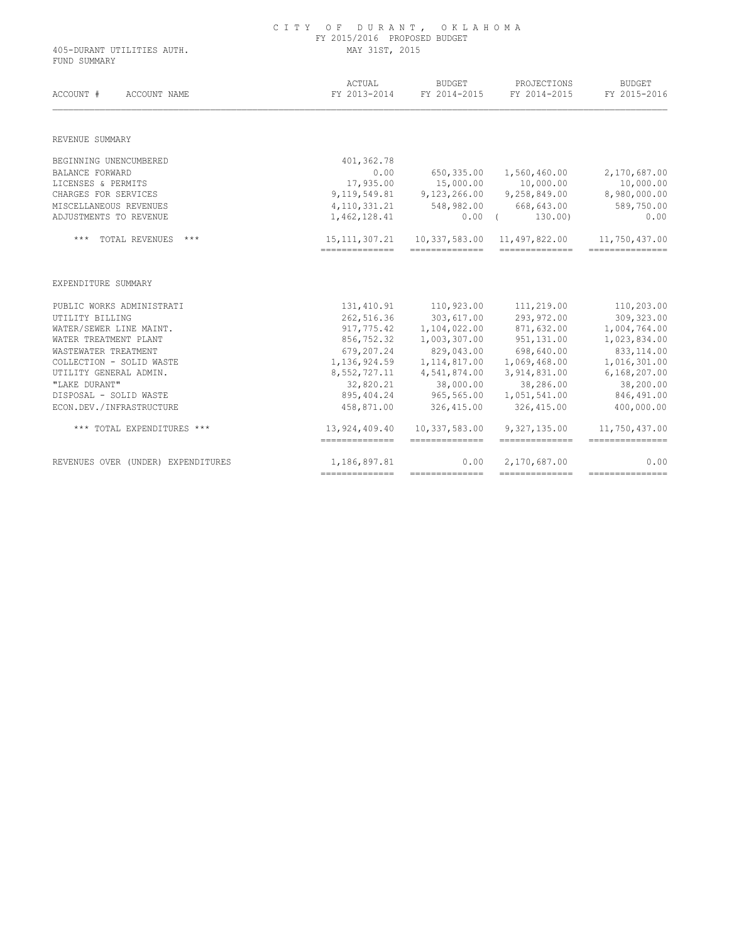| FUND SUMMARY                                                                                                                                                                                                                                                                              | MAY 31ST, 2015                     |                                   |                                 |                                                                                                                                                                                                          |  |
|-------------------------------------------------------------------------------------------------------------------------------------------------------------------------------------------------------------------------------------------------------------------------------------------|------------------------------------|-----------------------------------|---------------------------------|----------------------------------------------------------------------------------------------------------------------------------------------------------------------------------------------------------|--|
| ACCOUNT #<br>ACCOUNT NAME                                                                                                                                                                                                                                                                 | ACTUAL<br>FY 2013-2014             | BUDGET<br>FY 2014-2015            | PROJECTIONS<br>FY 2014-2015     | <b>BUDGET</b><br>FY 2015-2016                                                                                                                                                                            |  |
| REVENUE SUMMARY                                                                                                                                                                                                                                                                           |                                    |                                   |                                 |                                                                                                                                                                                                          |  |
| BEGINNING UNENCUMBERED                                                                                                                                                                                                                                                                    | 401,362.78                         |                                   |                                 |                                                                                                                                                                                                          |  |
| <b>BALANCE FORWARD</b>                                                                                                                                                                                                                                                                    | 0.00                               | 650,335.00                        | 1,560,460.00                    | 2,170,687.00                                                                                                                                                                                             |  |
| LICENSES & PERMITS                                                                                                                                                                                                                                                                        | 17,935.00                          | 15,000.00                         | 10,000.00                       | 10,000.00                                                                                                                                                                                                |  |
| CHARGES FOR SERVICES                                                                                                                                                                                                                                                                      |                                    | $9, 119, 549.81$ $9, 123, 266.00$ | 9,258,849.00                    | 8,980,000.00                                                                                                                                                                                             |  |
| MISCELLANEOUS REVENUES                                                                                                                                                                                                                                                                    | 4, 110, 331.21                     |                                   | 548,982.00 668,643.00           | 589,750.00                                                                                                                                                                                               |  |
| ADJUSTMENTS TO REVENUE                                                                                                                                                                                                                                                                    | 1,462,128.41                       |                                   | $0.00$ (<br>130.00)             | 0.00                                                                                                                                                                                                     |  |
| *** TOTAL REVENUES<br>***                                                                                                                                                                                                                                                                 |                                    |                                   |                                 | 11,750,437.00                                                                                                                                                                                            |  |
|                                                                                                                                                                                                                                                                                           | 15, 111, 307. 21<br>-------------- | 10,337,583.00<br>==============   | 11,497,822.00<br>============== |                                                                                                                                                                                                          |  |
|                                                                                                                                                                                                                                                                                           |                                    |                                   |                                 |                                                                                                                                                                                                          |  |
|                                                                                                                                                                                                                                                                                           | 131,410.91                         | 110,923.00                        | 111,219.00                      |                                                                                                                                                                                                          |  |
|                                                                                                                                                                                                                                                                                           | 262,516.36                         | 303,617.00                        | 293,972.00                      |                                                                                                                                                                                                          |  |
|                                                                                                                                                                                                                                                                                           | 917,775.42                         | 1,104,022.00                      | 871,632.00                      |                                                                                                                                                                                                          |  |
|                                                                                                                                                                                                                                                                                           | 856,752.32                         | 1,003,307.00                      | 951, 131.00                     |                                                                                                                                                                                                          |  |
|                                                                                                                                                                                                                                                                                           | 679,207.24                         | 829,043.00                        | 698,640.00                      |                                                                                                                                                                                                          |  |
|                                                                                                                                                                                                                                                                                           | 1, 136, 924.59                     | 1, 114, 817.00                    | 1,069,468.00                    |                                                                                                                                                                                                          |  |
|                                                                                                                                                                                                                                                                                           | 8,552,727.11                       | 4,541,874.00                      | 3,914,831.00                    |                                                                                                                                                                                                          |  |
|                                                                                                                                                                                                                                                                                           | 32,820.21                          | 38,000.00                         | 38,286.00                       |                                                                                                                                                                                                          |  |
|                                                                                                                                                                                                                                                                                           | 895,404.24                         | 965,565.00                        | 1,051,541.00                    |                                                                                                                                                                                                          |  |
| "LAKE DURANT"                                                                                                                                                                                                                                                                             | 458,871.00                         | 326,415.00                        | 326,415.00                      |                                                                                                                                                                                                          |  |
| EXPENDITURE SUMMARY<br>PUBLIC WORKS ADMINISTRATI<br>UTILITY BILLING<br>WATER/SEWER LINE MAINT.<br>WATER TREATMENT PLANT<br>WASTEWATER TREATMENT<br>COLLECTION - SOLID WASTE<br>UTILITY GENERAL ADMIN.<br>DISPOSAL - SOLID WASTE<br>ECON.DEV./INFRASTRUCTURE<br>*** TOTAL EXPENDITURES *** | 13,924,409.40<br>--------------    | 10,337,583.00<br>--------------   | 9,327,135.00<br>--------------  | ================<br>110,203.00<br>309,323.00<br>1,004,764.00<br>1,023,834.00<br>833, 114.00<br>1,016,301.00<br>6,168,207.00<br>38,200.00<br>846,491.00<br>400,000.00<br>11,750,437.00<br>--------------- |  |

## C I T Y O F D U R A N T , O K L A H O M A FY 2015/2016 PROPOSED BUDGET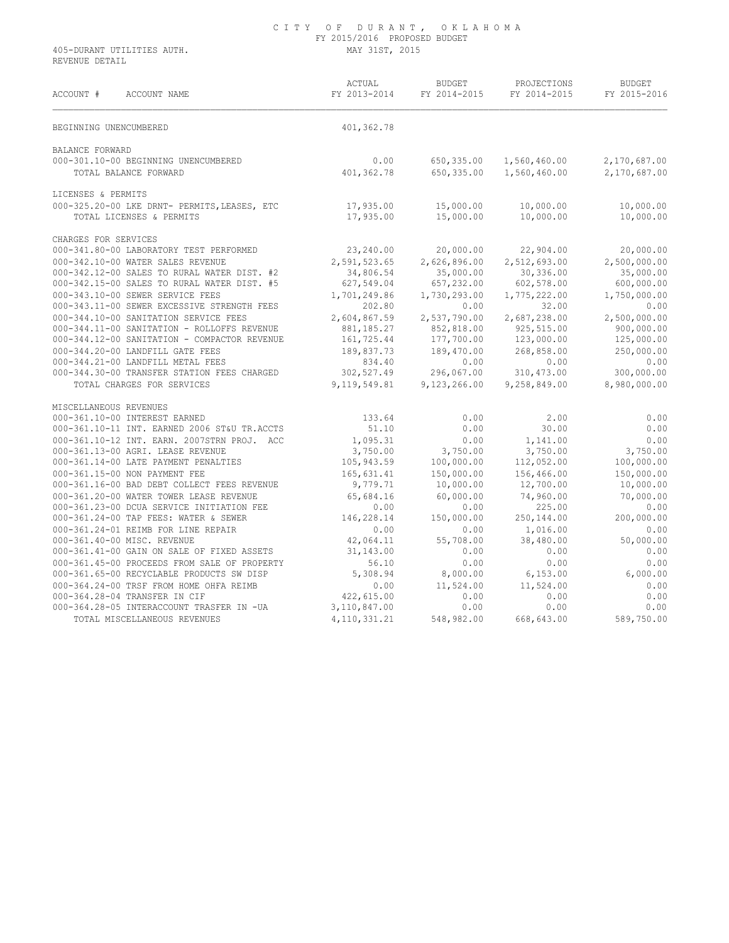REVENUE DETAIL

| ACCOUNT #<br>ACCOUNT NAME                                                          | ACTUAL<br>FY 2013-2014 | BUDGET<br>FY 2014-2015 | PROJECTIONS<br>FY 2014-2015 | <b>BUDGET</b><br>FY 2015-2016 |
|------------------------------------------------------------------------------------|------------------------|------------------------|-----------------------------|-------------------------------|
| BEGINNING UNENCUMBERED                                                             | 401,362.78             |                        |                             |                               |
| BALANCE FORWARD                                                                    |                        |                        |                             |                               |
| 000-301.10-00 BEGINNING UNENCUMBERED                                               | 0.00                   | 650,335.00             | 1,560,460.00                | 2,170,687.00                  |
| TOTAL BALANCE FORWARD                                                              | 401,362.78             | 650,335.00             | 1,560,460.00                | 2,170,687.00                  |
| LICENSES & PERMITS                                                                 |                        |                        |                             |                               |
| 000-325.20-00 LKE DRNT- PERMITS, LEASES, ETC 17,935.00<br>TOTAL LICENSES & PERMITS | 17,935.00              | 15,000.00<br>15,000.00 | 10,000.00<br>10,000.00      | 10,000.00<br>10,000.00        |
| CHARGES FOR SERVICES                                                               |                        |                        |                             |                               |
| 000-341.80-00 LABORATORY TEST PERFORMED                                            | 23,240.00              | 20,000.00              | 22,904.00                   | 20,000.00                     |
| 000-342.10-00 WATER SALES REVENUE                                                  | 2,591,523.65           | 2,626,896.00           | 2,512,693.00                | 2,500,000.00                  |
| 000-342.12-00 SALES TO RURAL WATER DIST. #2                                        | 34,806.54              | 35,000.00              | 30,336.00                   | 35,000.00                     |
| 000-342.15-00 SALES TO RURAL WATER DIST. #5                                        | 627,549.04             | 657,232.00             | 602,578.00                  | 600,000.00                    |
| 000-343.10-00 SEWER SERVICE FEES                                                   | 1,701,249.86           | 1,730,293.00           | 1,775,222.00                | 1,750,000.00                  |
| 000-343.11-00 SEWER EXCESSIVE STRENGTH FEES                                        | 202.80                 | 0.00                   | 32.00                       | 0.00                          |
| 000-344.10-00 SANITATION SERVICE FEES                                              | 2,604,867.59           | 2,537,790.00           | 2,687,238.00                | 2,500,000.00                  |
| 000-344.11-00 SANITATION - ROLLOFFS REVENUE                                        | 881,185.27             | 852,818.00             | 925,515.00                  | 900,000.00                    |
| 000-344.12-00 SANITATION - COMPACTOR REVENUE                                       | 161,725.44             | 177,700.00             | 123,000.00                  | 125,000.00                    |
| 000-344.20-00 LANDFILL GATE FEES                                                   | 189,837.73             | 189,470.00             | 268,858.00                  | 250,000.00                    |
| 000-344.21-00 LANDFILL METAL FEES                                                  | 834.40                 | 0.00                   | 0.00                        | 0.00                          |
| 000-344.30-00 TRANSFER STATION FEES CHARGED                                        | 302,527.49             | 296,067.00             | 310,473.00                  | 300,000.00                    |
| TOTAL CHARGES FOR SERVICES                                                         | 9, 119, 549.81         | 9,123,266.00           | 9,258,849.00                | 8,980,000.00                  |
| MISCELLANEOUS REVENUES                                                             |                        |                        |                             |                               |
| 000-361.10-00 INTEREST EARNED                                                      | 133.64                 | 0.00                   | 2.00                        | 0.00                          |
| 000-361.10-11 INT. EARNED 2006 ST&U TR.ACCTS                                       | 51.10                  | 0.00                   | 30.00                       | 0.00                          |
| 000-361.10-12 INT. EARN. 2007STRN PROJ. ACC                                        | 1,095.31               | 0.00                   | 1,141.00                    | 0.00                          |
| 000-361.13-00 AGRI. LEASE REVENUE                                                  | 3,750.00               | 3,750.00               | 3,750.00                    | 3,750.00                      |
| 000-361.14-00 LATE PAYMENT PENALTIES                                               | 105,943.59             | 100,000.00             | 112,052.00                  | 100,000.00                    |
| 000-361.15-00 NON PAYMENT FEE                                                      | 165,631.41             | 150,000.00             | 156,466.00                  | 150,000.00                    |
| 000-361.16-00 BAD DEBT COLLECT FEES REVENUE                                        | 9,779.71               | 10,000.00              | 12,700.00                   | 10,000.00                     |
| 000-361.20-00 WATER TOWER LEASE REVENUE                                            | 65,684.16              | 60,000.00              | 74,960.00                   | 70,000.00                     |
| 000-361.23-00 DCUA SERVICE INITIATION FEE                                          | 0.00                   | 0.00                   | 225.00                      | 0.00                          |
| 000-361.24-00 TAP FEES: WATER & SEWER                                              | 146,228.14             | 150,000.00             | 250,144.00                  | 200,000.00                    |
| 000-361.24-01 REIMB FOR LINE REPAIR                                                | 0.00                   | 0.00                   | 1,016.00                    | 0.00                          |
| 000-361.40-00 MISC. REVENUE                                                        | 42,064.11              | 55,708.00              | 38,480.00                   | 50,000.00                     |
| 000-361.41-00 GAIN ON SALE OF FIXED ASSETS                                         | 31,143.00              | 0.00                   | 0.00                        | 0.00                          |
| 000-361.45-00 PROCEEDS FROM SALE OF PROPERTY                                       | 56.10                  | 0.00                   | 0.00                        | 0.00                          |
| 000-361.65-00 RECYCLABLE PRODUCTS SW DISP                                          | 5,308.94               | 8,000.00               | 6,153.00                    | 6,000.00                      |
| 000-364.24-00 TRSF FROM HOME OHFA REIMB                                            | 0.00                   | 11,524.00              | 11,524.00                   | 0.00                          |
| 000-364.28-04 TRANSFER IN CIF                                                      | 422,615.00             | 0.00                   | 0.00                        | 0.00                          |
| 000-364.28-05 INTERACCOUNT TRASFER IN -UA                                          | 3, 110, 847.00         | 0.00                   | 0.00                        | 0.00                          |
| TOTAL MISCELLANEOUS REVENUES                                                       | 4, 110, 331.21         | 548,982.00             | 668,643.00                  | 589,750.00                    |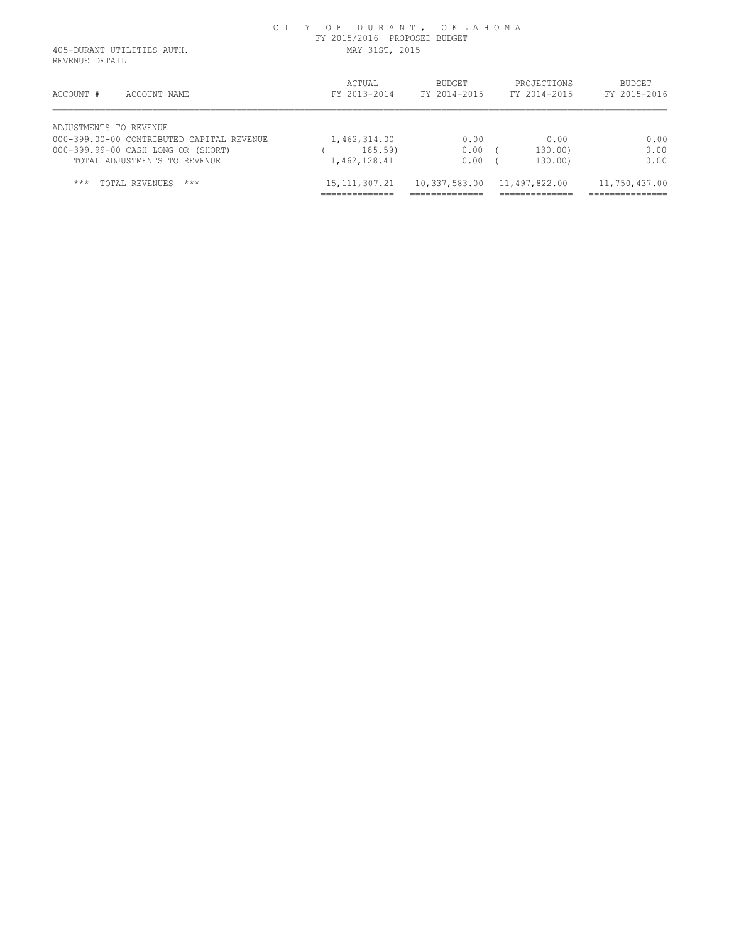REVENUE DETAIL

| ACCOUNT #<br>ACCOUNT NAME                 | ACTUAL<br>FY 2013-2014 | <b>BUDGET</b><br>FY 2014-2015 | PROJECTIONS<br>FY 2014-2015 | BUDGET<br>FY 2015-2016 |
|-------------------------------------------|------------------------|-------------------------------|-----------------------------|------------------------|
| ADJUSTMENTS TO REVENUE                    |                        |                               |                             |                        |
| 000-399.00-00 CONTRIBUTED CAPITAL REVENUE | 1,462,314.00           | 0.00                          | 0.00                        | 0.00                   |
| 000-399.99-00 CASH LONG OR (SHORT)        | 185.59                 | 0.00                          | 130.00)                     | 0.00                   |
| TOTAL ADJUSTMENTS TO REVENUE              | 1,462,128.41           | 0.00                          | 130.00)                     | 0.00                   |
| $***$<br>$***$<br>TOTAL REVENUES          | 15, 111, 307. 21       | 10,337,583.00                 | 11,497,822.00               | 11,750,437.00          |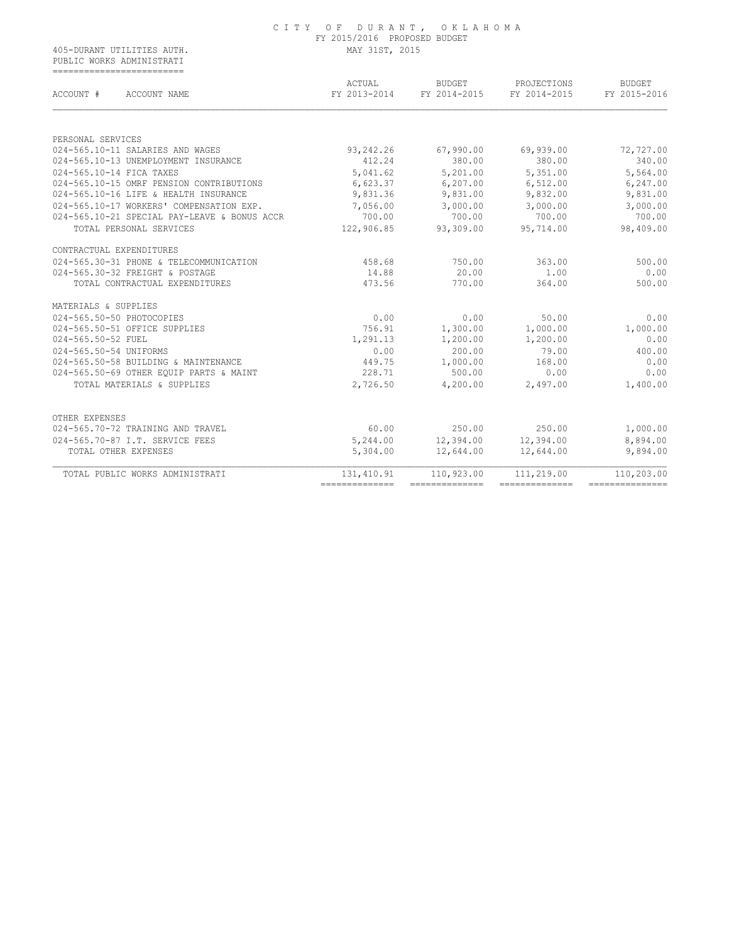PUBLIC WORKS ADMINISTRATI ===========================

| ACCOUNT #<br>ACCOUNT NAME                    | ACTUAL<br>FY 2013-2014         | <b>BUDGET</b><br>FY 2014-2015 | PROJECTIONS<br>FY 2014-2015  | <b>BUDGET</b><br>FY 2015-2016  |
|----------------------------------------------|--------------------------------|-------------------------------|------------------------------|--------------------------------|
|                                              |                                |                               |                              |                                |
| PERSONAL SERVICES                            |                                |                               |                              |                                |
| 024-565.10-11 SALARIES AND WAGES             | 93,242.26                      | 67,990.00                     | 69,939.00                    | 72,727.00                      |
| 024-565.10-13 UNEMPLOYMENT INSURANCE         | 412.24                         | 380.00                        | 380.00                       | 340.00                         |
| 024-565.10-14 FICA TAXES                     | 5,041.62                       | 5,201.00                      | 5,351.00                     | 5,564.00                       |
| 024-565.10-15 OMRF PENSION CONTRIBUTIONS     | 6,623.37                       | 6, 207.00                     | 6,512.00                     | 6, 247.00                      |
| 024-565.10-16 LIFE & HEALTH INSURANCE        | 9,831.36                       | 9,831.00                      | 9,832.00                     | 9,831.00                       |
| 024-565.10-17 WORKERS' COMPENSATION EXP.     | 7,056.00                       | 3,000.00                      | 3,000.00                     | 3,000.00                       |
| 024-565.10-21 SPECIAL PAY-LEAVE & BONUS ACCR | 700.00                         | 700.00                        | 700.00                       | 700.00                         |
| TOTAL PERSONAL SERVICES                      | 122,906.85                     | 93,309.00                     | 95,714.00                    | 98,409.00                      |
| CONTRACTUAL EXPENDITURES                     |                                |                               |                              |                                |
| 024-565.30-31 PHONE & TELECOMMUNICATION      | 458.68                         | 750.00                        | 363.00                       | 500.00                         |
| 024-565.30-32 FREIGHT & POSTAGE              | 14.88                          | 20.00                         | 1.00                         | 0.00                           |
| TOTAL CONTRACTUAL EXPENDITURES               | 473.56                         | 770.00                        | 364.00                       | 500.00                         |
| MATERIALS & SUPPLIES                         |                                |                               |                              |                                |
| 024-565.50-50 PHOTOCOPIES                    | 0.00                           | 0.00                          | 50.00                        | 0.00                           |
| 024-565.50-51 OFFICE SUPPLIES                | 756.91                         | 1,300.00                      | 1,000.00                     | 1,000.00                       |
| 024-565.50-52 FUEL                           | 1,291.13                       | 1,200.00                      | 1,200.00                     | 0.00                           |
| 024-565.50-54 UNIFORMS                       | 0.00                           | 200.00                        | 79.00                        | 400.00                         |
| 024-565.50-58 BUILDING & MAINTENANCE         | 449.75                         | 1,000.00                      | 168.00                       | 0.00                           |
| 024-565.50-69 OTHER EQUIP PARTS & MAINT      | 228.71                         | 500.00                        | 0.00                         | 0.00                           |
| TOTAL MATERIALS & SUPPLIES                   | 2,726.50                       | 4,200.00                      | 2,497.00                     | 1,400.00                       |
| OTHER EXPENSES                               |                                |                               |                              |                                |
| 024-565.70-72 TRAINING AND TRAVEL            | 60.00                          | 250.00                        | 250.00                       | 1,000.00                       |
| 024-565.70-87 I.T. SERVICE FEES              | 5,244.00                       | 12,394.00                     | 12,394.00                    | 8,894.00                       |
| TOTAL OTHER EXPENSES                         | 5,304.00                       | 12,644.00                     | 12,644.00                    | 9,894.00                       |
|                                              |                                |                               |                              |                                |
| TOTAL PUBLIC WORKS ADMINISTRATI              | 131, 410.91<br>--------------- | 110,923.00<br>--------------- | 111,219.00<br>-------------- | 110,203.00<br>---------------- |
|                                              |                                |                               |                              |                                |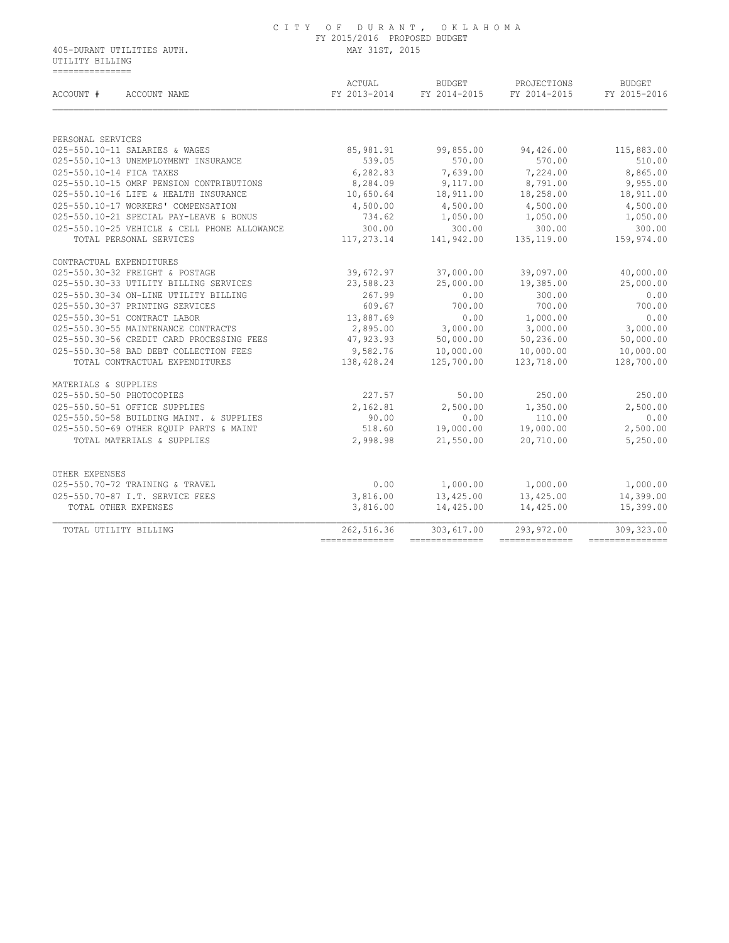### C I T Y O F D U R A N T , O K L A H O M A FY 2015/2016 PROPOSED BUDGET

405-DURANT UTILITIES AUTH. MAY 31ST, 2015 UTILITY BILLING ===============

| ACTUAL<br>FY 2013-2014 | <b>BUDGET</b><br>FY 2014-2015                                                                                                           | PROJECTIONS<br>FY 2014-2015                                                                                                                                                      | <b>BUDGET</b><br>FY 2015-2016                                                                                                                                                                                                   |
|------------------------|-----------------------------------------------------------------------------------------------------------------------------------------|----------------------------------------------------------------------------------------------------------------------------------------------------------------------------------|---------------------------------------------------------------------------------------------------------------------------------------------------------------------------------------------------------------------------------|
|                        |                                                                                                                                         |                                                                                                                                                                                  |                                                                                                                                                                                                                                 |
|                        |                                                                                                                                         |                                                                                                                                                                                  | 115,883.00                                                                                                                                                                                                                      |
|                        |                                                                                                                                         |                                                                                                                                                                                  | 510.00                                                                                                                                                                                                                          |
|                        |                                                                                                                                         |                                                                                                                                                                                  | 8,865.00                                                                                                                                                                                                                        |
|                        |                                                                                                                                         |                                                                                                                                                                                  | 9,955.00                                                                                                                                                                                                                        |
|                        |                                                                                                                                         |                                                                                                                                                                                  | 18,911.00                                                                                                                                                                                                                       |
|                        |                                                                                                                                         |                                                                                                                                                                                  | 4,500.00                                                                                                                                                                                                                        |
|                        |                                                                                                                                         |                                                                                                                                                                                  | 1,050.00                                                                                                                                                                                                                        |
|                        |                                                                                                                                         |                                                                                                                                                                                  | 300.00                                                                                                                                                                                                                          |
|                        |                                                                                                                                         |                                                                                                                                                                                  | 159,974.00                                                                                                                                                                                                                      |
|                        |                                                                                                                                         |                                                                                                                                                                                  |                                                                                                                                                                                                                                 |
|                        |                                                                                                                                         |                                                                                                                                                                                  |                                                                                                                                                                                                                                 |
| 39,672.97              | 37,000.00                                                                                                                               | 39,097.00                                                                                                                                                                        | 40,000.00                                                                                                                                                                                                                       |
| 23,588.23              | 25,000.00                                                                                                                               | 19,385.00                                                                                                                                                                        | 25,000.00                                                                                                                                                                                                                       |
| 267.99                 | 0.00                                                                                                                                    | 300.00                                                                                                                                                                           | 0.00                                                                                                                                                                                                                            |
| 609.67                 | 700.00                                                                                                                                  | 700.00                                                                                                                                                                           | 700.00                                                                                                                                                                                                                          |
| 13,887.69              | 0.00                                                                                                                                    | 1,000.00                                                                                                                                                                         | 0.00                                                                                                                                                                                                                            |
| 2,895.00               | 3,000.00                                                                                                                                | 3,000.00                                                                                                                                                                         | 3,000.00                                                                                                                                                                                                                        |
| 47,923.93              | 50,000.00                                                                                                                               | 50,236.00                                                                                                                                                                        | 50,000.00                                                                                                                                                                                                                       |
|                        |                                                                                                                                         | 10,000.00                                                                                                                                                                        | 10,000.00                                                                                                                                                                                                                       |
|                        |                                                                                                                                         | 123,718.00                                                                                                                                                                       | 128,700.00                                                                                                                                                                                                                      |
|                        |                                                                                                                                         |                                                                                                                                                                                  |                                                                                                                                                                                                                                 |
| 227.57                 | 50.00                                                                                                                                   | 250.00                                                                                                                                                                           | 250.00                                                                                                                                                                                                                          |
|                        |                                                                                                                                         |                                                                                                                                                                                  | 2,500.00                                                                                                                                                                                                                        |
| 90.00                  | 0.00                                                                                                                                    | 110.00                                                                                                                                                                           | 0.00                                                                                                                                                                                                                            |
| 518.60                 |                                                                                                                                         | 19,000.00                                                                                                                                                                        | 2,500.00                                                                                                                                                                                                                        |
| 2,998.98               | 21,550.00                                                                                                                               | 20,710.00                                                                                                                                                                        | 5,250.00                                                                                                                                                                                                                        |
|                        |                                                                                                                                         |                                                                                                                                                                                  |                                                                                                                                                                                                                                 |
|                        |                                                                                                                                         |                                                                                                                                                                                  | 1,000.00                                                                                                                                                                                                                        |
|                        |                                                                                                                                         |                                                                                                                                                                                  | 14,399.00                                                                                                                                                                                                                       |
| 3,816.00               | 14,425.00                                                                                                                               | 14,425.00                                                                                                                                                                        | 15,399.00                                                                                                                                                                                                                       |
| 262,516.36             | 303,617.00                                                                                                                              | 293,972.00                                                                                                                                                                       | 309,323.00                                                                                                                                                                                                                      |
|                        | 85,981.91<br>539.05<br>6,282.83<br>8,284.09<br>10,650.64<br>4,500.00<br>734.62<br>300.00<br>2,162.81<br>0.00<br>3,816.00<br>----------- | 99,855.00<br>570.00<br>7,639.00<br>9,117.00<br>18,911.00<br>4,500.00<br>1,050.00<br>117,273.14<br>9,582.76<br>138, 428.24<br>2,500.00<br>1,000.00<br>13,425.00<br>-------------- | 94,426.00<br>570.00<br>7,224.00<br>8,791.00<br>18,258.00<br>4,500.00<br>1,050.00<br>300.00<br>300.00<br>141,942.00<br>135,119.00<br>10,000.00<br>125,700.00<br>1,350.00<br>19,000.00<br>1,000.00<br>13,425.00<br>-------------- |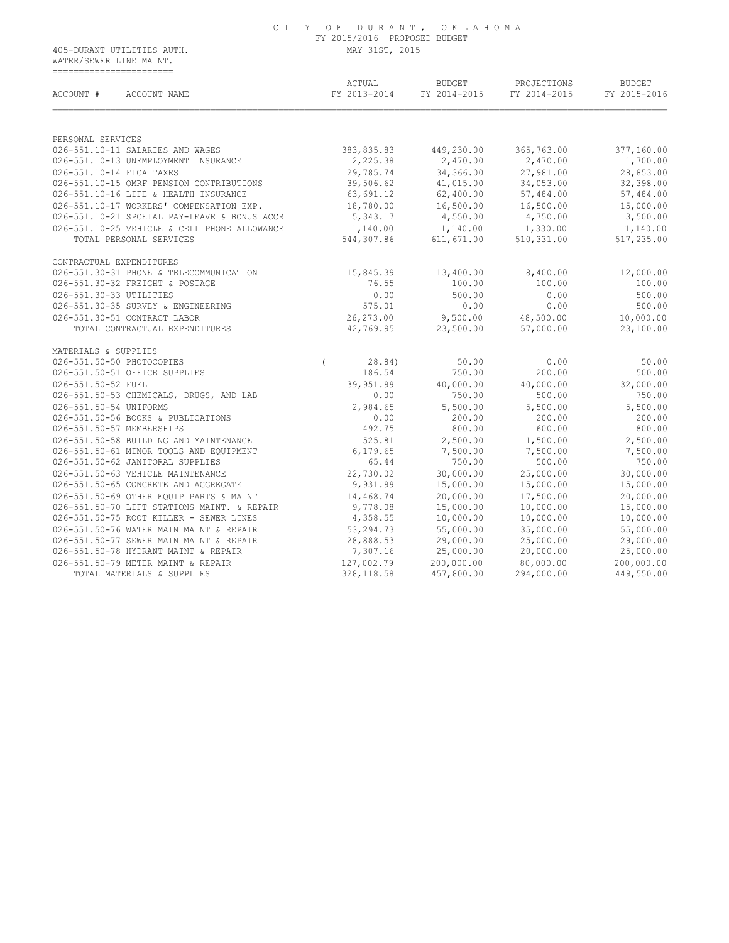WATER/SEWER LINE MAINT. =======================

| ACCOUNT #<br>ACCOUNT NAME                    |          | ACTUAL<br>FY 2013-2014 | BUDGET<br>FY 2014-2015 | PROJECTIONS<br>FY 2014-2015 | <b>BUDGET</b><br>FY 2015-2016 |
|----------------------------------------------|----------|------------------------|------------------------|-----------------------------|-------------------------------|
|                                              |          |                        |                        |                             |                               |
| PERSONAL SERVICES                            |          |                        |                        |                             |                               |
| 026-551.10-11 SALARIES AND WAGES             |          | 383,835.83             | 449,230.00             | 365,763.00                  | 377,160.00                    |
| 026-551.10-13 UNEMPLOYMENT INSURANCE         |          | 2,225.38               | 2,470.00               | 2,470.00                    | 1,700.00                      |
| 026-551.10-14 FICA TAXES                     |          | 29,785.74              | 34,366.00              | 27,981.00                   | 28,853.00                     |
| 026-551.10-15 OMRF PENSION CONTRIBUTIONS     |          | 39,506.62              | 41,015.00              | 34,053.00                   | 32,398.00                     |
| 026-551.10-16 LIFE & HEALTH INSURANCE        |          | 63,691.12              | 62,400.00              | 57,484.00                   | 57,484.00                     |
| 026-551.10-17 WORKERS' COMPENSATION EXP.     |          | 18,780.00              | 16,500.00              | 16,500.00                   | 15,000.00                     |
| 026-551.10-21 SPCEIAL PAY-LEAVE & BONUS ACCR |          | 5,343.17               | 4,550.00               | 4,750.00                    | 3,500.00                      |
| 026-551.10-25 VEHICLE & CELL PHONE ALLOWANCE |          | 1,140.00               | 1,140.00               | 1,330.00                    | 1,140.00                      |
| TOTAL PERSONAL SERVICES                      |          | 544,307.86             | 611, 671.00            | 510, 331.00                 | 517,235.00                    |
| CONTRACTUAL EXPENDITURES                     |          |                        |                        |                             |                               |
| 026-551.30-31 PHONE & TELECOMMUNICATION      |          | 15,845.39              | 13,400.00              | 8,400.00                    | 12,000.00                     |
| 026-551.30-32 FREIGHT & POSTAGE              |          | 76.55                  | 100.00                 | 100.00                      | 100.00                        |
| 026-551.30-33 UTILITIES                      |          | 0.00                   | 500.00                 | 0.00                        | 500.00                        |
| 026-551.30-35 SURVEY & ENGINEERING           |          | 575.01                 | 0.00                   | 0.00                        | 500.00                        |
| 026-551.30-51 CONTRACT LABOR                 |          | 26,273.00              | 9,500.00               | 48,500.00                   | 10,000.00                     |
| TOTAL CONTRACTUAL EXPENDITURES               |          | 42,769.95              | 23,500.00              | 57,000.00                   | 23,100.00                     |
| MATERIALS & SUPPLIES                         |          |                        |                        |                             |                               |
| 026-551.50-50 PHOTOCOPIES                    | $\left($ | 28.84)                 | 50.00                  | 0.00                        | 50.00                         |
| 026-551.50-51 OFFICE SUPPLIES                |          | 186.54                 | 750.00                 | 200.00                      | 500.00                        |
| 026-551.50-52 FUEL                           |          | 39,951.99              | 40,000.00              | 40,000.00                   | 32,000.00                     |
| 026-551.50-53 CHEMICALS, DRUGS, AND LAB      |          | 0.00                   | 750.00                 | 500.00                      | 750.00                        |
| 026-551.50-54 UNIFORMS                       |          | 2,984.65               | 5,500.00               | 5,500.00                    | 5,500.00                      |
| 026-551.50-56 BOOKS & PUBLICATIONS           |          | 0.00                   | 200.00                 | 200.00                      | 200.00                        |
| 026-551.50-57 MEMBERSHIPS                    |          | 492.75                 | 800.00                 | 600.00                      | 800.00                        |
| 026-551.50-58 BUILDING AND MAINTENANCE       |          | 525.81                 | 2,500.00               | 1,500.00                    | 2,500.00                      |
| 026-551.50-61 MINOR TOOLS AND EQUIPMENT      |          | 6, 179.65              | 7,500.00               | 7,500.00                    | 7,500.00                      |
| 026-551.50-62 JANITORAL SUPPLIES             |          | 65.44                  | 750.00                 | 500.00                      | 750.00                        |
| 026-551.50-63 VEHICLE MAINTENANCE            |          | 22,730.02              | 30,000.00              | 25,000.00                   | 30,000.00                     |
| 026-551.50-65 CONCRETE AND AGGREGATE         |          | 9,931.99               | 15,000.00              | 15,000.00                   | 15,000.00                     |
| 026-551.50-69 OTHER EQUIP PARTS & MAINT      |          | 14,468.74              | 20,000.00              | 17,500.00                   | 20,000.00                     |
| 026-551.50-70 LIFT STATIONS MAINT. & REPAIR  |          | 9,778.08               | 15,000.00              | 10,000.00                   | 15,000.00                     |
| 026-551.50-75 ROOT KILLER - SEWER LINES      |          | 4,358.55               | 10,000.00              | 10,000.00                   | 10,000.00                     |
| 026-551.50-76 WATER MAIN MAINT & REPAIR      |          | 53,294.73              | 55,000.00              | 35,000.00                   | 55,000.00                     |
| 026-551.50-77 SEWER MAIN MAINT & REPAIR      |          | 28,888.53              | 29,000.00              | 25,000.00                   | 29,000.00                     |
| 026-551.50-78 HYDRANT MAINT & REPAIR         |          | 7,307.16               | 25,000.00              | 20,000.00                   | 25,000.00                     |
| 026-551.50-79 METER MAINT & REPAIR           |          | 127,002.79             | 200,000.00             | 80,000.00                   | 200,000.00                    |
|                                              |          |                        |                        |                             |                               |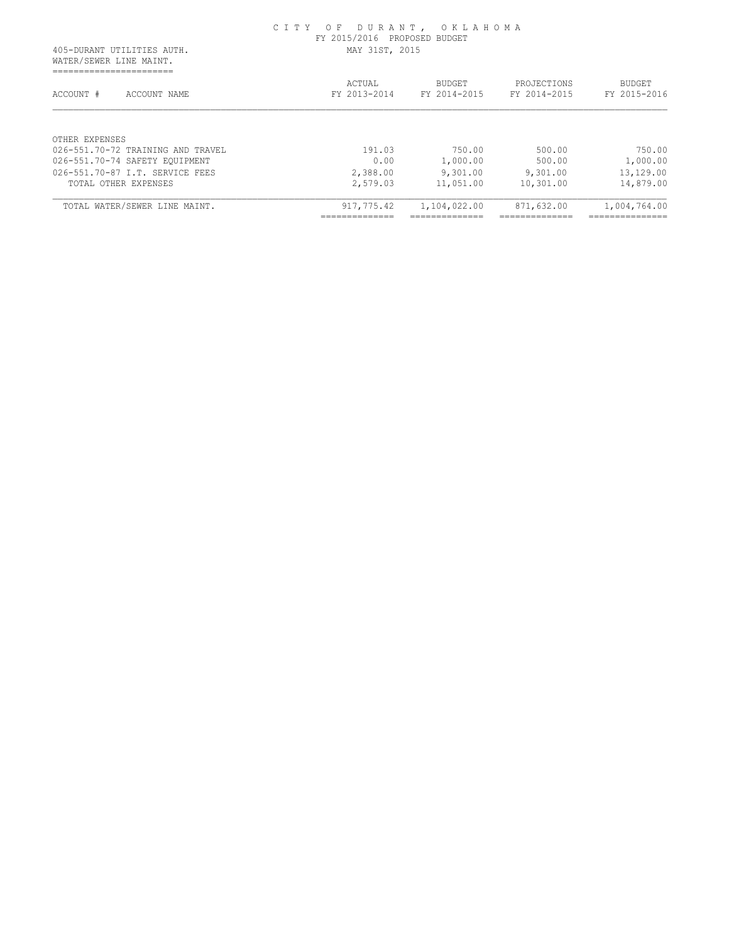| 405-DURANT UTILITIES AUTH.                             | CITY OF DURANT, OKLAHOMA<br>FY 2015/2016 PROPOSED BUDGET<br>MAY 31ST, 2015 |                        |                             |                                 |
|--------------------------------------------------------|----------------------------------------------------------------------------|------------------------|-----------------------------|---------------------------------|
| WATER/SEWER LINE MAINT.<br>-------------------         |                                                                            |                        |                             |                                 |
| ACCOUNT #<br>ACCOUNT NAME                              | ACTUAL<br>FY 2013-2014                                                     | BUDGET<br>FY 2014-2015 | PROJECTIONS<br>FY 2014-2015 | <b>BUDGET</b><br>FY 2015-2016   |
|                                                        |                                                                            |                        |                             |                                 |
|                                                        |                                                                            |                        |                             |                                 |
| OTHER EXPENSES                                         |                                                                            |                        |                             |                                 |
| 026-551.70-72 TRAINING AND TRAVEL                      | 191.03                                                                     | 750.00                 | 500.00                      |                                 |
| 026-551.70-87 T.T. SERVICE FEES                        | 0.00                                                                       | 1,000.00               | 500.00                      | 750.00<br>1,000.00<br>13,129.00 |
| 026-551.70-74 SAFETY EOUIPMENT<br>TOTAL OTHER EXPENSES | 2,388.00<br>2,579.03                                                       | 9,301.00<br>11,051.00  | 9,301.00<br>10,301.00       | 14,879.00                       |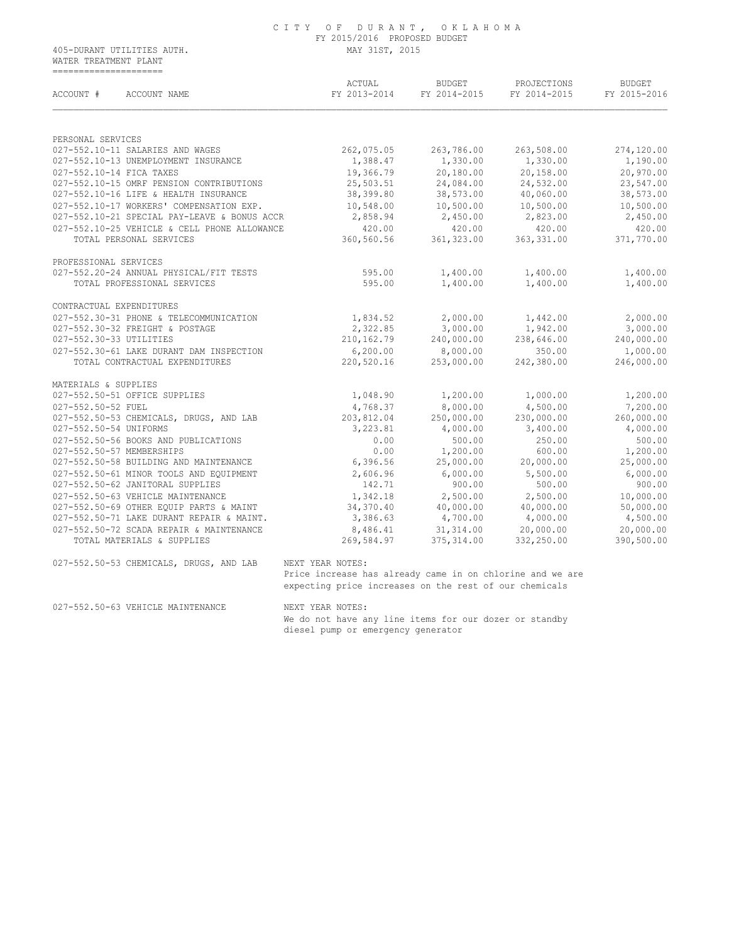WATER TREATMENT PLANT =====================

| ACCOUNT #<br>ACCOUNT NAME                                         | ACTUAL<br>FY 2013-2014 | BUDGET<br>FY 2014-2015 | PROJECTIONS<br>FY 2014-2015 | <b>BUDGET</b><br>FY 2015-2016 |
|-------------------------------------------------------------------|------------------------|------------------------|-----------------------------|-------------------------------|
| PERSONAL SERVICES                                                 |                        |                        |                             |                               |
| 027-552.10-11 SALARIES AND WAGES                                  | 262,075.05             | 263,786.00             | 263,508.00                  | 274,120.00                    |
| 027-552.10-13 UNEMPLOYMENT INSURANCE                              | 1,388.47               | 1,330.00               | 1,330.00                    | 1,190.00                      |
| 027-552.10-14 FICA TAXES                                          | 19,366.79              | 20,180.00              | 20,158.00                   | 20,970.00                     |
| 027-552.10-15 OMRF PENSION CONTRIBUTIONS                          | 25,503.51              | 24,084.00              | 24,532.00                   | 23,547.00                     |
| 027-552.10-16 LIFE & HEALTH INSURANCE                             | 38,399.80              | 38,573.00              | 40,060.00                   | 38,573.00                     |
| 027-552.10-17 WORKERS' COMPENSATION EXP.                          | 10,548.00              | 10,500.00              | 10,500.00                   | 10,500.00                     |
| 027-552.10-21 SPECIAL PAY-LEAVE & BONUS ACCR                      | 2,858.94               | 2,450.00               | 2,823.00                    | 2,450.00                      |
| 027-552.10-25 VEHICLE & CELL PHONE ALLOWANCE                      | 420.00                 | 420.00                 | 420.00                      | 420.00                        |
| TOTAL PERSONAL SERVICES                                           | 360,560.56             | 361, 323.00            | 363, 331.00                 | 371,770.00                    |
| PROFESSIONAL SERVICES                                             |                        |                        |                             |                               |
| 027-552.20-24 ANNUAL PHYSICAL/FIT TESTS                           | 595.00                 | 1,400.00               | 1,400.00                    | 1,400.00                      |
| TOTAL PROFESSIONAL SERVICES                                       | 595.00                 | 1,400.00               | 1,400.00                    | 1,400.00                      |
| CONTRACTUAL EXPENDITURES                                          |                        |                        |                             |                               |
| 027-552.30-31 PHONE & TELECOMMUNICATION                           | 1,834.52               | 2,000.00               | 1,442.00                    | 2,000.00                      |
| 027-552.30-32 FREIGHT & POSTAGE                                   | 2,322.85               | 3,000.00               | 1,942.00                    | 3,000.00                      |
| 027-552.30-33 UTILITIES                                           | 210,162.79             | 240,000.00             | 238,646.00                  | 240,000.00                    |
| 027-552.30-61 LAKE DURANT DAM INSPECTION                          | 6, 200.00              | 8,000.00               | 350.00                      | 1,000.00                      |
| TOTAL CONTRACTUAL EXPENDITURES                                    | 220,520.16             | 253,000.00             | 242,380.00                  | 246,000.00                    |
| MATERIALS & SUPPLIES                                              |                        |                        |                             |                               |
| 027-552.50-51 OFFICE SUPPLIES                                     | 1,048.90               | 1,200.00               | 1,000.00                    | 1,200.00                      |
| 027-552.50-52 FUEL                                                | 4,768.37               | 8,000.00               | 4,500.00                    | 7,200.00                      |
| 027-552.50-53 CHEMICALS, DRUGS, AND LAB<br>027-552.50-54 UNIFORMS | 203,812.04<br>3,223.81 | 250,000.00<br>4,000.00 | 230,000.00<br>3,400.00      | 260,000.00<br>4,000.00        |
| 027-552.50-56 BOOKS AND PUBLICATIONS                              | 0.00                   | 500.00                 | 250.00                      | 500.00                        |
| 027-552.50-57 MEMBERSHIPS                                         | 0.00                   | 1,200.00               | 600.00                      | 1,200.00                      |
| 027-552.50-58 BUILDING AND MAINTENANCE                            | 6, 396.56              | 25,000.00              | 20,000.00                   | 25,000.00                     |
| 027-552.50-61 MINOR TOOLS AND EQUIPMENT                           | 2,606.96               | 6,000.00               | 5,500.00                    | 6,000.00                      |
| 027-552.50-62 JANITORAL SUPPLIES                                  | 142.71                 | 900.00                 | 500.00                      | 900.00                        |
| 027-552.50-63 VEHICLE MAINTENANCE                                 | 1,342.18               | 2,500.00               | 2,500.00                    | 10,000.00                     |
| 027-552.50-69 OTHER EQUIP PARTS & MAINT                           | 34,370.40              | 40,000.00              | 40,000.00                   | 50,000.00                     |
| 027-552.50-71 LAKE DURANT REPAIR & MAINT.                         | 3,386.63               | 4,700.00               | 4,000.00                    | 4,500.00                      |
| 027-552.50-72 SCADA REPAIR & MAINTENANCE                          | 8,486.41               | 31, 314.00             | 20,000.00                   | 20,000.00                     |
|                                                                   | 269,584.97             | 375, 314.00            | 332,250.00                  | 390,500.00                    |

expecting price increases on the rest of our chemicals

027-552.50-63 VEHICLE MAINTENANCE NEXT YEAR NOTES:

 We do not have any line items for our dozer or standby diesel pump or emergency generator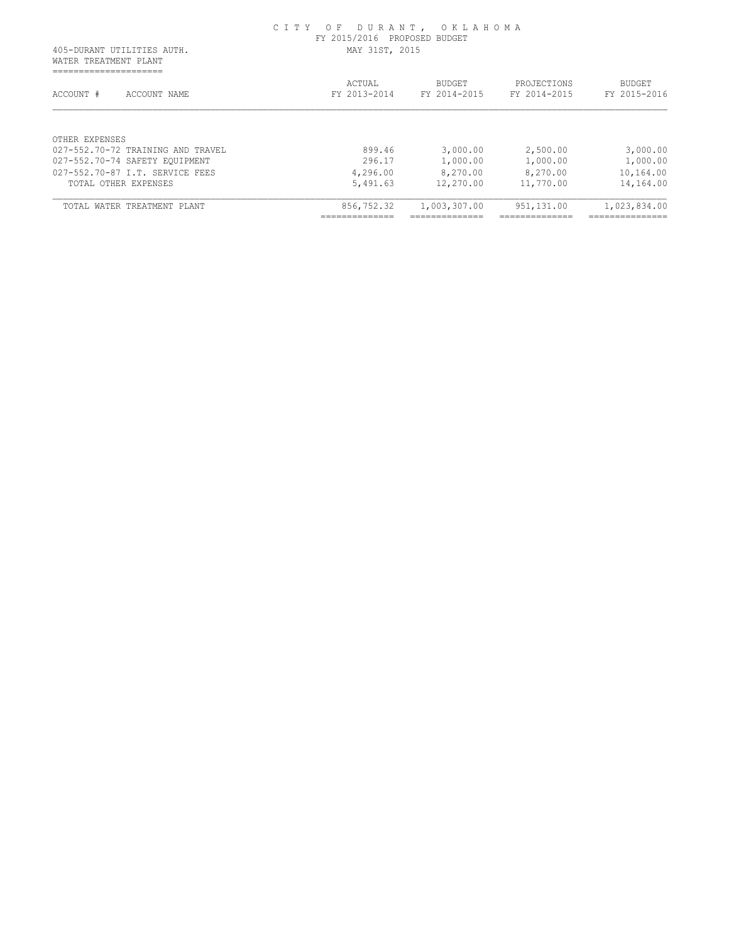| MAY 31ST, 2015         |                        |                             |                               |
|------------------------|------------------------|-----------------------------|-------------------------------|
|                        |                        |                             |                               |
| ACTUAL<br>FY 2013-2014 | BUDGET<br>FY 2014-2015 | PROJECTIONS<br>FY 2014-2015 | <b>BUDGET</b><br>FY 2015-2016 |
|                        |                        |                             |                               |
| 899.46                 | 3,000.00               | 2,500.00                    | 3,000.00                      |
| 296.17                 | 1,000.00               | 1,000.00                    | 1,000.00                      |
| 4,296.00               | 8,270.00               | 8,270.00                    | 10,164.00                     |
| 5,491.63               | 12,270.00              | 11,770.00                   | 14,164.00                     |
|                        | 1,003,307.00           | 951,131.00                  | 1,023,834.00                  |
|                        | 856,752.32             |                             |                               |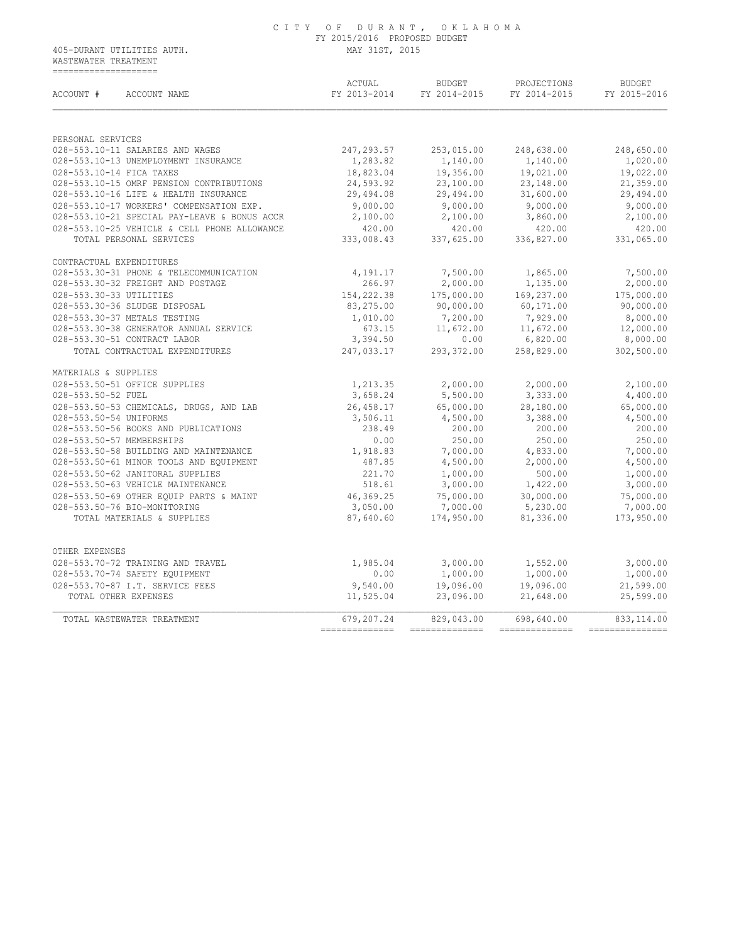WASTEWATER TREATMENT ====================

| ACCOUNT #<br>ACCOUNT NAME                                                                                                                                                                                                                                                                                                                                                 | ACTUAL<br>FY 2013-2014 FY 2014-2015 FY 2014-2015 FY 2015-2016                                                                                                            | <b>BUDGET</b>                                                         | PROJECTIONS                                                                            | <b>BUDGET</b>         |
|---------------------------------------------------------------------------------------------------------------------------------------------------------------------------------------------------------------------------------------------------------------------------------------------------------------------------------------------------------------------------|--------------------------------------------------------------------------------------------------------------------------------------------------------------------------|-----------------------------------------------------------------------|----------------------------------------------------------------------------------------|-----------------------|
| PERSONAL SERVICES                                                                                                                                                                                                                                                                                                                                                         |                                                                                                                                                                          |                                                                       |                                                                                        |                       |
| 028-553.10-11 SALARIES AND WAGES                                                                                                                                                                                                                                                                                                                                          |                                                                                                                                                                          |                                                                       | 247,293.57 253,015.00 248,638.00 248,650.00                                            |                       |
| 028-553.10-13 UNEMPLOYMENT INSURANCE                                                                                                                                                                                                                                                                                                                                      |                                                                                                                                                                          |                                                                       |                                                                                        | 1,020.00              |
| 028-553.10-14 FICA TAXES                                                                                                                                                                                                                                                                                                                                                  |                                                                                                                                                                          | $1,283.82$ $1,140.00$ $1,140.00$<br>18,823.04 $19,356.00$ $19,021.00$ |                                                                                        | 19,022.00             |
| 028-553.10-15 OMRF PENSION CONTRIBUTIONS                                                                                                                                                                                                                                                                                                                                  |                                                                                                                                                                          |                                                                       |                                                                                        | 21,359.00             |
| 028-553.10-16 LIFE & HEALTH INSURANCE                                                                                                                                                                                                                                                                                                                                     | 29,494.08                                                                                                                                                                |                                                                       | $24,593.92$<br>$24,593.92$<br>$29,494.08$<br>$29,494.00$<br>$21,600.00$<br>$31,600.00$ | 29,494.00             |
|                                                                                                                                                                                                                                                                                                                                                                           | 9,000.00                                                                                                                                                                 |                                                                       |                                                                                        |                       |
|                                                                                                                                                                                                                                                                                                                                                                           |                                                                                                                                                                          |                                                                       |                                                                                        |                       |
|                                                                                                                                                                                                                                                                                                                                                                           |                                                                                                                                                                          |                                                                       |                                                                                        |                       |
| 028-553.10-17 WORKERS' COMPENSATION EXP.<br>028-553.10-21 SPECIAL PAY-LEAVE & BONUS ACCR<br>028-553.10-25 VEHICLE & CELL PHONE ALLOWANCE<br>028-553.10-25 VEHICLE & CELL PHONE ALLOWANCE<br>028-553.10-25 VEHICLE & CELL PHONE ALLOWAN                                                                                                                                    |                                                                                                                                                                          |                                                                       |                                                                                        |                       |
| CONTRACTUAL EXPENDITURES                                                                                                                                                                                                                                                                                                                                                  |                                                                                                                                                                          |                                                                       |                                                                                        |                       |
| 028-553.30-31 PHONE & TELECOMMUNICATION                                                                                                                                                                                                                                                                                                                                   | 4,191.17                                                                                                                                                                 | 7,500.00                                                              | 1,865.00                                                                               | 7,500.00              |
| 028-553.30-32 FREIGHT AND POSTAGE                                                                                                                                                                                                                                                                                                                                         | 266.97                                                                                                                                                                   | 2,000.00                                                              | 1,135.00                                                                               | 2,000.00              |
| 028-553.30-33 UTILITIES                                                                                                                                                                                                                                                                                                                                                   | $266.97$<br>154, 222. 38<br>83, 275. 00<br>83, 275. 00<br>90, 000. 00<br>60, 171. 00                                                                                     |                                                                       |                                                                                        | 175,000.00            |
| 028-553.30-36 SLUDGE DISPOSAL                                                                                                                                                                                                                                                                                                                                             |                                                                                                                                                                          |                                                                       |                                                                                        | 90,000.00             |
| 028-553.30-37 METALS TESTING                                                                                                                                                                                                                                                                                                                                              |                                                                                                                                                                          |                                                                       |                                                                                        | 8,000.00              |
| 028-553.30-38 GENERATOR ANNUAL SERVICE                                                                                                                                                                                                                                                                                                                                    |                                                                                                                                                                          |                                                                       |                                                                                        | 12,000.00             |
| 028-553.30-51 CONTRACT LABOR                                                                                                                                                                                                                                                                                                                                              |                                                                                                                                                                          |                                                                       |                                                                                        | 8,000.00              |
| TOTAL CONTRACTUAL EXPENDITURES                                                                                                                                                                                                                                                                                                                                            | $\begin{array}{cccc} 1,010.00 & 7,200.00 & 7,929.00 \\ 673.15 & 11,672.00 & 11,672.00 \\ 3,394.50 & 0.00 & 6,820.00 \\ 247,033.17 & 293,372.00 & 258,829.00 \end{array}$ |                                                                       |                                                                                        | 258,829.00 302,500.00 |
| MATERIALS & SUPPLIES                                                                                                                                                                                                                                                                                                                                                      |                                                                                                                                                                          |                                                                       |                                                                                        |                       |
| 028-553.50-51 OFFICE SUPPLIES                                                                                                                                                                                                                                                                                                                                             | 1,213.35<br>3,658.24                                                                                                                                                     | $2,000.00$<br>5,500.00                                                | 2,000.00                                                                               | 2,100.00              |
| 028-553.50-52 FUEL                                                                                                                                                                                                                                                                                                                                                        |                                                                                                                                                                          |                                                                       | 3,333.00                                                                               | 4,400.00              |
| 028-553.50-53 CHEMICALS, DRUGS, AND LAB 26,458.17 65,000.00 28,180.00                                                                                                                                                                                                                                                                                                     |                                                                                                                                                                          |                                                                       |                                                                                        | 65,000.00             |
| 028-553.50-54 UNIFORMS<br>$\begin{array}{cccccc} 028-553.50-54 & \text{UNIFORMS} & & & & & 3,506.11 & & 4,500.00 & & & 5,386.00 \\ 028-553.50-55 & \text{BOOKS AND PUBLICATIONS} & & & & & 238.49 & & 200.00 & & 200.00 & & 200.00 \\ 028-553.50-57 & \text{MEMBERSHIPS} & & & & & & 0.00 & & 250.00 & & 250.00 \\ 028-553.50-68 & \text{BULLDING AND MAINTERANCE} & & &$ | 3,506.11                                                                                                                                                                 | 4,500.00                                                              | 3,388.00                                                                               | 4,500.00              |
|                                                                                                                                                                                                                                                                                                                                                                           |                                                                                                                                                                          |                                                                       |                                                                                        | 200.00                |
|                                                                                                                                                                                                                                                                                                                                                                           |                                                                                                                                                                          |                                                                       |                                                                                        | 250.00                |
|                                                                                                                                                                                                                                                                                                                                                                           |                                                                                                                                                                          |                                                                       |                                                                                        | 7,000.00              |
|                                                                                                                                                                                                                                                                                                                                                                           |                                                                                                                                                                          |                                                                       |                                                                                        | 4,500.00              |
|                                                                                                                                                                                                                                                                                                                                                                           |                                                                                                                                                                          |                                                                       |                                                                                        | 1,000.00              |
|                                                                                                                                                                                                                                                                                                                                                                           |                                                                                                                                                                          |                                                                       |                                                                                        | 3,000.00              |
|                                                                                                                                                                                                                                                                                                                                                                           |                                                                                                                                                                          |                                                                       |                                                                                        | 75,000.00             |
| 028-553.50-76 BIO-MONITORING<br>TOTAL MATERIALS & SUPPLIES                                                                                                                                                                                                                                                                                                                | 3,050.00                                                                                                                                                                 | 7,000.00                                                              | 5,230.00                                                                               | 7,000.00              |
|                                                                                                                                                                                                                                                                                                                                                                           |                                                                                                                                                                          | 87,640.60 174,950.00                                                  |                                                                                        | 81,336.00 173,950.00  |
| OTHER EXPENSES                                                                                                                                                                                                                                                                                                                                                            |                                                                                                                                                                          |                                                                       |                                                                                        |                       |
|                                                                                                                                                                                                                                                                                                                                                                           |                                                                                                                                                                          |                                                                       |                                                                                        | 3,000.00              |
| 028-553.70-72 TRAINING AND TRAVEL 1,985.04<br>028-553.70-74 SAFETY EQUIPMENT 0.00<br>028-553.70-87 I.T. SERVICE FEES 9,540.00                                                                                                                                                                                                                                             |                                                                                                                                                                          |                                                                       |                                                                                        | 1,000.00              |
|                                                                                                                                                                                                                                                                                                                                                                           |                                                                                                                                                                          | 9,540.00 19,096.00                                                    | 19,096.00                                                                              | 21,599.00             |
| TOTAL OTHER EXPENSES                                                                                                                                                                                                                                                                                                                                                      | 11,525.04                                                                                                                                                                | 23,096.00                                                             | 21,648.00                                                                              | 25,599.00             |
|                                                                                                                                                                                                                                                                                                                                                                           | 679,207.24                                                                                                                                                               |                                                                       |                                                                                        |                       |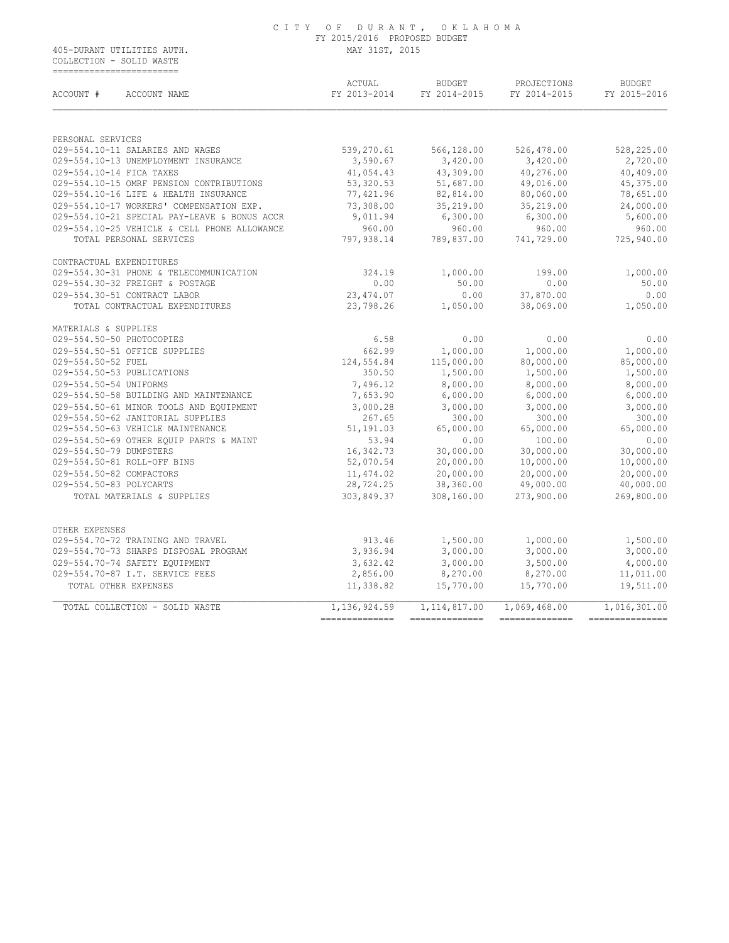COLLECTION - SOLID WASTE ==========================

| ACCOUNT #<br>ACCOUNT NAME                                                    | ACTUAL<br>FY 2013-2014 | BUDGET<br>FY 2014-2015 | PROJECTIONS<br>FY 2014-2015 | <b>BUDGET</b><br>FY 2015-2016 |
|------------------------------------------------------------------------------|------------------------|------------------------|-----------------------------|-------------------------------|
| PERSONAL SERVICES                                                            |                        |                        |                             |                               |
| 029-554.10-11 SALARIES AND WAGES                                             | 539,270.61             | 566,128.00             | 526,478.00                  | 528,225.00                    |
| 029-554.10-13 UNEMPLOYMENT INSURANCE                                         | 3,590.67               | 3,420.00               | 3,420.00                    | 2,720.00                      |
| 029-554.10-14 FICA TAXES                                                     | 41,054.43              | 43,309.00              | 40,276.00                   | 40,409.00                     |
| 029-554.10-15 OMRF PENSION CONTRIBUTIONS                                     | 53,320.53              | 51,687.00              | 49,016.00                   | 45,375.00                     |
| 029-554.10-16 LIFE & HEALTH INSURANCE                                        | 77,421.96              | 82,814.00              | 80,060.00                   | 78,651.00                     |
| 029-554.10-17 WORKERS' COMPENSATION EXP.                                     | 73,308.00              | 35,219.00              | 35,219.00                   | 24,000.00                     |
| 029-554.10-21 SPECIAL PAY-LEAVE & BONUS ACCR                                 | 9,011.94               | 6,300.00               | 6,300.00                    | 5,600.00                      |
| 029-554.10-25 VEHICLE & CELL PHONE ALLOWANCE                                 | 960.00                 | 960.00                 | 960.00                      | 960.00                        |
| TOTAL PERSONAL SERVICES                                                      | 797,938.14             | 789,837.00             | 741,729.00                  | 725,940.00                    |
| CONTRACTUAL EXPENDITURES                                                     |                        |                        |                             |                               |
| 029-554.30-31 PHONE & TELECOMMUNICATION                                      | 324.19                 | 1,000.00               | 199.00                      | 1,000.00                      |
| 029-554.30-32 FREIGHT & POSTAGE                                              | 0.00                   | 50.00                  | 0.00                        | 50.00                         |
| 029-554.30-51 CONTRACT LABOR                                                 | 23, 474.07             | 0.00                   | 37,870.00                   | 0.00                          |
| TOTAL CONTRACTUAL EXPENDITURES                                               | 23,798.26              | 1,050.00               | 38,069.00                   | 1,050.00                      |
| MATERIALS & SUPPLIES                                                         |                        |                        |                             |                               |
| 029-554.50-50 PHOTOCOPIES                                                    | 6.58                   | 0.00                   | 0.00                        | 0.00                          |
| 029-554.50-51 OFFICE SUPPLIES                                                | 662.99                 | 1,000.00               | 1,000.00                    | 1,000.00                      |
| 029-554.50-52 FUEL                                                           | 124,554.84             | 115,000.00             | 80,000.00                   | 85,000.00                     |
| 029-554.50-53 PUBLICATIONS                                                   | 350.50                 | 1,500.00               | 1,500.00                    | 1,500.00                      |
| 029-554.50-54 UNIFORMS<br>029-554.50-58 BUILDING AND MAINTENANCE             | 7,496.12<br>7,653.90   | 8,000.00<br>6,000.00   | 8,000.00                    | 8,000.00<br>6,000.00          |
|                                                                              |                        |                        | 6,000.00                    |                               |
| 029-554.50-61 MINOR TOOLS AND EQUIPMENT<br>029-554.50-62 JANITORIAL SUPPLIES | 3,000.28<br>267.65     | 3,000.00<br>300.00     | 3,000.00<br>300.00          | 3,000.00<br>300.00            |
| 029-554.50-63 VEHICLE MAINTENANCE                                            | 51,191.03              | 65,000.00              | 65,000.00                   | 65,000.00                     |
| 029-554.50-69 OTHER EOUIP PARTS & MAINT                                      | 53.94                  | 0.00                   | 100.00                      | 0.00                          |
| 029-554.50-79 DUMPSTERS                                                      | 16,342.73              | 30,000.00              | 30,000.00                   | 30,000.00                     |
| 029-554.50-81 ROLL-OFF BINS                                                  | 52,070.54              | 20,000.00              | 10,000.00                   | 10,000.00                     |
| 029-554.50-82 COMPACTORS                                                     | 11,474.02              | 20,000.00              | 20,000.00                   | 20,000.00                     |
| 029-554.50-83 POLYCARTS                                                      | 28,724.25              | 38,360.00              | 49,000.00                   | 40,000.00                     |
| TOTAL MATERIALS & SUPPLIES                                                   | 303,849.37             | 308,160.00             | 273,900.00                  | 269,800.00                    |
| OTHER EXPENSES                                                               |                        |                        |                             |                               |
| 029-554.70-72 TRAINING AND TRAVEL                                            | 913.46                 | 1,500.00               | 1,000.00                    | 1,500.00                      |
| 029-554.70-73 SHARPS DISPOSAL PROGRAM                                        | 3,936.94               | 3,000.00               | 3,000.00                    | 3,000.00                      |
| 029-554.70-74 SAFETY EOUIPMENT                                               | 3,632.42               | 3,000.00               | 3,500.00                    | 4,000.00                      |
| 029-554.70-87 I.T. SERVICE FEES                                              | 2,856.00               | 8,270.00               | 8,270.00                    | 11,011.00                     |
| TOTAL OTHER EXPENSES                                                         | 11,338.82              | 15,770.00              | 15,770.00                   | 19,511.00                     |
| TOTAL COLLECTION - SOLID WASTE                                               | 1,136,924.59           | 1, 114, 817.00         | 1,069,468.00                | 1,016,301.00                  |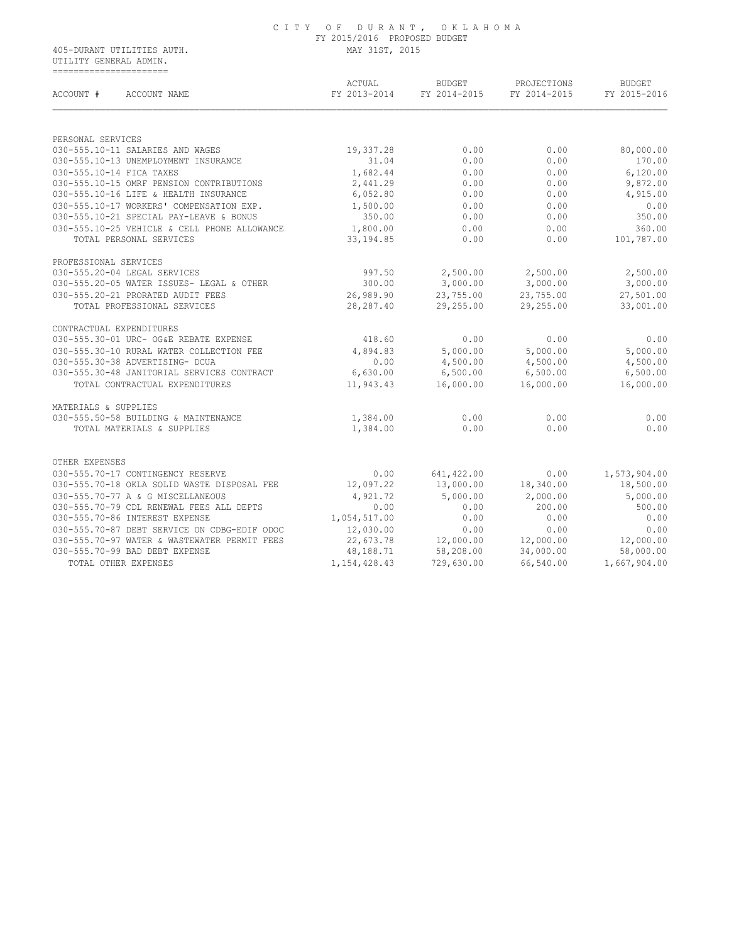UTILITY GENERAL ADMIN. ======================

| ACCOUNT #<br>ACCOUNT NAME                    | ACTUAL<br>FY 2013-2014 | <b>BUDGET</b><br>FY 2014-2015 | PROJECTIONS<br>FY 2014-2015 | <b>BUDGET</b><br>FY 2015-2016 |
|----------------------------------------------|------------------------|-------------------------------|-----------------------------|-------------------------------|
|                                              |                        |                               |                             |                               |
| PERSONAL SERVICES                            |                        |                               |                             |                               |
| 030-555.10-11 SALARIES AND WAGES             | 19,337.28              | 0.00                          | 0.00                        | 80,000.00                     |
| 030-555.10-13 UNEMPLOYMENT INSURANCE         | 31.04                  | 0.00                          | 0.00                        | 170.00                        |
| 030-555.10-14 FICA TAXES                     | 1,682.44               | 0.00                          | 0.00                        | 6,120.00                      |
| 030-555.10-15 OMRF PENSION CONTRIBUTIONS     | 2,441.29               | 0.00                          | 0.00                        | 9,872.00                      |
| 030-555.10-16 LIFE & HEALTH INSURANCE        | 6,052.80               | 0.00                          | 0.00                        | 4,915.00                      |
| 030-555.10-17 WORKERS' COMPENSATION EXP.     | 1,500.00               | 0.00                          | 0.00                        | 0.00                          |
| 030-555.10-21 SPECIAL PAY-LEAVE & BONUS      | 350.00                 | 0.00                          | 0.00                        | 350.00                        |
| 030-555.10-25 VEHICLE & CELL PHONE ALLOWANCE | 1,800.00               | 0.00                          | 0.00                        | 360.00                        |
| TOTAL PERSONAL SERVICES                      | 33, 194.85             | 0.00                          | 0.00                        | 101,787.00                    |
| PROFESSIONAL SERVICES                        |                        |                               |                             |                               |
| 030-555.20-04 LEGAL SERVICES                 | 997.50                 | 2,500.00                      | 2,500.00                    | 2,500.00                      |
| 030-555.20-05 WATER ISSUES- LEGAL & OTHER    | 300.00                 | 3,000.00                      | 3,000.00                    | 3,000.00                      |
| 030-555.20-21 PRORATED AUDIT FEES            | 26,989.90              | 23,755.00                     | 23,755.00                   | 27,501.00                     |
| TOTAL PROFESSIONAL SERVICES                  | 28, 287.40             | 29,255.00                     | 29,255.00                   | 33,001.00                     |
| CONTRACTUAL EXPENDITURES                     |                        |                               |                             |                               |
| 030-555.30-01 URC- OG&E REBATE EXPENSE       | 418.60                 | 0.00                          | 0.00                        | 0.00                          |
| 030-555.30-10 RURAL WATER COLLECTION FEE     | 4,894.83               | 5,000.00                      | 5,000.00                    | 5,000.00                      |
| 030-555.30-38 ADVERTISING- DCUA              | 0.00                   | 4,500.00                      | 4,500.00                    | 4,500.00                      |
| 030-555.30-48 JANITORIAL SERVICES CONTRACT   | 6,630.00               | 6,500.00                      | 6,500.00                    | 6,500.00                      |
| TOTAL CONTRACTUAL EXPENDITURES               | 11,943.43              | 16,000.00                     | 16,000.00                   | 16,000.00                     |
| MATERIALS & SUPPLIES                         |                        |                               |                             |                               |
| 030-555.50-58 BUILDING & MAINTENANCE         | 1,384.00               | 0.00                          | 0.00                        | 0.00                          |
| TOTAL MATERIALS & SUPPLIES                   | 1,384.00               | 0.00                          | 0.00                        | 0.00                          |
| OTHER EXPENSES                               |                        |                               |                             |                               |
| 030-555.70-17 CONTINGENCY RESERVE            | 0.00                   |                               |                             |                               |
| 030-555.70-18 OKLA SOLID WASTE DISPOSAL FEE  |                        | 641, 422.00                   | 0.00                        | 1,573,904.00                  |
|                                              | 12,097.22              | 13,000.00                     | 18,340.00                   | 18,500.00                     |
| 030-555.70-77 A & G MISCELLANEOUS            | 4,921.72               | 5,000.00                      | 2,000.00                    | 5,000.00                      |
| 030-555.70-79 CDL RENEWAL FEES ALL DEPTS     | 0.00                   | 0.00                          | 200.00                      | 500.00                        |
| 030-555.70-86 INTEREST EXPENSE               | 1,054,517.00           | 0.00                          | 0.00                        | 0.00                          |
| 030-555.70-87 DEBT SERVICE ON CDBG-EDIF ODOC | 12,030.00              | 0.00                          | 0.00                        | 0.00                          |
| 030-555.70-97 WATER & WASTEWATER PERMIT FEES | 22,673.78              | 12,000.00                     | 12,000.00                   | 12,000.00                     |
| 030-555.70-99 BAD DEBT EXPENSE               | 48,188.71              | 58,208.00                     | 34,000.00                   | 58,000.00                     |
| TOTAL OTHER EXPENSES                         | 1, 154, 428.43         | 729,630.00                    | 66,540.00                   | 1,667,904.00                  |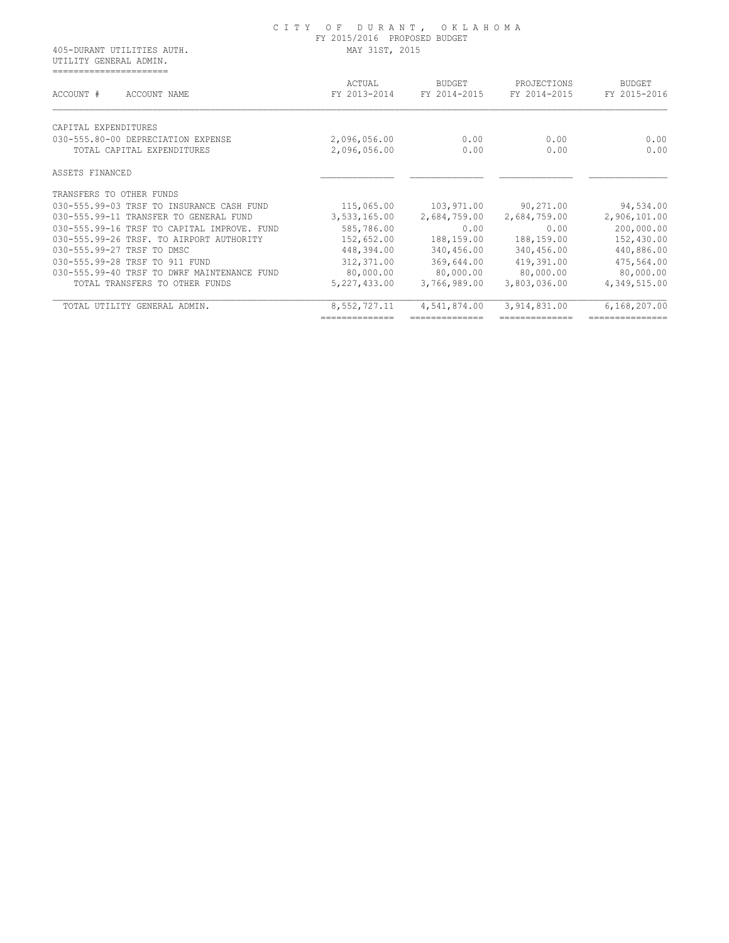|                                                      | C I T Y<br>OF DURANT, OKLAHOMA<br>FY 2015/2016 PROPOSED BUDGET |                        |                             |                        |  |
|------------------------------------------------------|----------------------------------------------------------------|------------------------|-----------------------------|------------------------|--|
| 405-DURANT UTILITIES AUTH.<br>UTILITY GENERAL ADMIN. | MAY 31ST, 2015                                                 |                        |                             |                        |  |
| =======================<br>ACCOUNT #<br>ACCOUNT NAME | ACTUAL<br>FY 2013-2014                                         | BUDGET<br>FY 2014-2015 | PROJECTIONS<br>FY 2014-2015 | BUDGET<br>FY 2015-2016 |  |
| CAPITAL EXPENDITURES                                 |                                                                |                        |                             |                        |  |
| 030-555.80-00 DEPRECIATION EXPENSE                   | 2,096,056.00                                                   | 0.00                   | 0.00                        | 0.00                   |  |
| TOTAL CAPITAL EXPENDITURES                           | 2,096,056.00                                                   | 0.00                   | 0.00                        | 0.00                   |  |
| ASSETS FINANCED                                      |                                                                |                        |                             |                        |  |
| TRANSFERS TO OTHER FUNDS                             |                                                                |                        |                             |                        |  |
| 030-555.99-03 TRSF TO INSURANCE CASH FUND            | 115,065.00                                                     | 103,971.00             | 90,271.00                   | 94,534.00              |  |
| 030-555.99-11 TRANSFER TO GENERAL FUND               | 3,533,165.00                                                   | 2,684,759.00           | 2,684,759.00                | 2,906,101.00           |  |
| 030-555.99-16 TRSF TO CAPITAL IMPROVE. FUND          | 585,786.00                                                     | 0.00                   | 0.00                        | 200,000.00             |  |
| 030-555.99-26 TRSF. TO AIRPORT AUTHORITY             | 152,652.00                                                     | 188,159.00             | 188,159.00                  | 152,430.00             |  |
| 030-555.99-27 TRSF TO DMSC                           | 448,394.00                                                     | 340,456.00             | 340,456.00                  | 440,886.00             |  |
| 030-555.99-28 TRSF TO 911 FUND                       | 312,371.00                                                     | 369,644.00             | 419,391.00                  | 475,564.00             |  |
| 030-555.99-40 TRSF TO DWRF MAINTENANCE FUND          | 80,000.00                                                      | 80,000.00              | 80,000.00                   | 80,000.00              |  |
| TOTAL TRANSFERS TO OTHER FUNDS                       | 5, 227, 433.00                                                 | 3,766,989.00           | 3,803,036.00                | 4,349,515.00           |  |
| TOTAL UTILITY GENERAL ADMIN.                         | 8,552,727.11                                                   | 4,541,874.00           | 3,914,831.00                | 6,168,207.00           |  |
|                                                      | ==============                                                 | --------------         |                             |                        |  |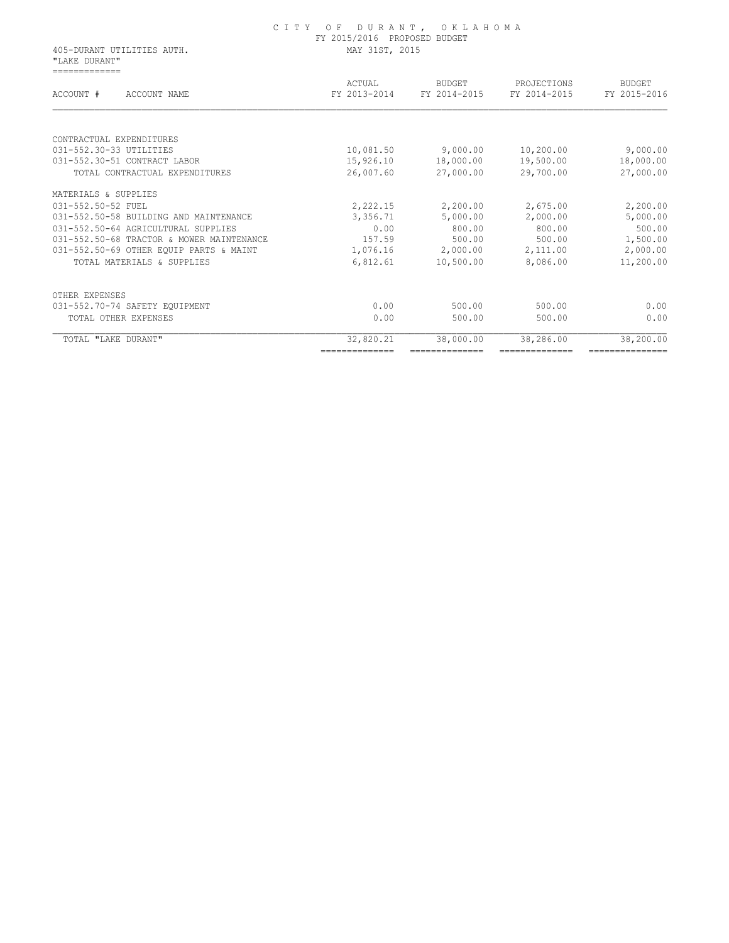|                                             | FY 2015/2016 PROPOSED BUDGET |                        |                             |                        |  |
|---------------------------------------------|------------------------------|------------------------|-----------------------------|------------------------|--|
| 405-DURANT UTILITIES AUTH.<br>"LAKE DURANT" | MAY 31ST, 2015               |                        |                             |                        |  |
| =============<br>ACCOUNT #<br>ACCOUNT NAME  | ACTUAL<br>FY 2013-2014       | BUDGET<br>FY 2014-2015 | PROJECTIONS<br>FY 2014-2015 | BUDGET<br>FY 2015-2016 |  |
|                                             |                              |                        |                             |                        |  |
| CONTRACTUAL EXPENDITURES                    |                              |                        |                             |                        |  |
| 031-552.30-33 UTILITIES                     | 10,081.50                    | 9,000.00               | 10,200.00                   | 9,000.00               |  |
| 031-552.30-51 CONTRACT LABOR                | 15,926.10                    | 18,000.00              | 19,500.00                   | 18,000.00              |  |
| TOTAL CONTRACTUAL EXPENDITURES              | 26,007.60                    | 27,000.00              | 29,700.00                   | 27,000.00              |  |
| MATERIALS & SUPPLIES                        |                              |                        |                             |                        |  |
| 031-552.50-52 FUEL                          | 2,222.15                     | 2,200.00               | 2,675.00                    | 2,200.00               |  |
| 031-552.50-58 BUILDING AND MAINTENANCE      | 3,356.71                     | 5,000.00               | 2,000.00                    | 5,000.00               |  |
| 031-552.50-64 AGRICULTURAL SUPPLIES         | 0.00                         | 800.00                 | 800.00                      | 500.00                 |  |
| 031-552.50-68 TRACTOR & MOWER MAINTENANCE   | 157.59                       | 500.00                 | 500.00                      | 1,500.00               |  |
| 031-552.50-69 OTHER EQUIP PARTS & MAINT     | 1,076.16                     | 2,000.00               | 2,111.00                    | 2,000.00               |  |
| TOTAL MATERIALS & SUPPLIES                  | 6,812.61                     | 10,500.00              | 8,086.00                    | 11,200.00              |  |
| OTHER EXPENSES                              |                              |                        |                             |                        |  |
| 031-552.70-74 SAFETY EQUIPMENT              | 0.00                         | 500.00                 | 500.00                      | 0.00                   |  |
| TOTAL OTHER EXPENSES                        | 0.00                         | 500.00                 | 500.00                      | 0.00                   |  |
| TOTAL "LAKE DURANT"                         | 32,820.21                    | 38,000.00              | 38,286.00                   | 38,200.00              |  |
|                                             | ==============               | ==============         | ==============              | ===============        |  |

C I T Y O F D U R A N T , O K L A H O M A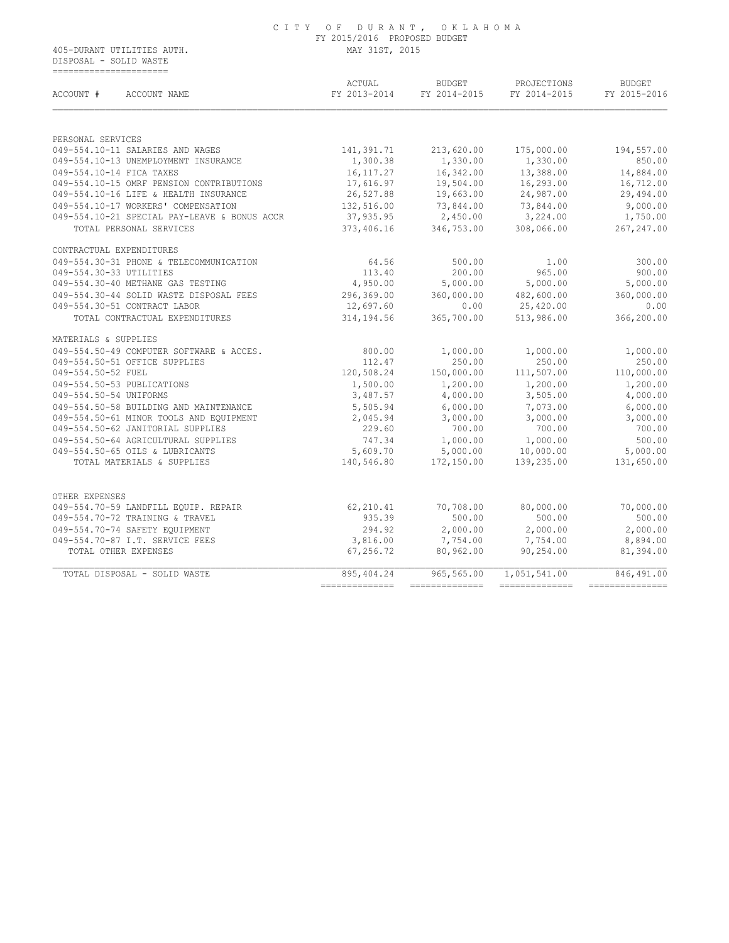DISPOSAL - SOLID WASTE ======================

| ACCOUNT #               | ACCOUNT NAME                                 | ACTUAL<br>FY 2013-2014 | <b>BUDGET</b><br>FY 2014-2015 | PROJECTIONS<br>FY 2014-2015 | <b>BUDGET</b><br>FY 2015-2016 |
|-------------------------|----------------------------------------------|------------------------|-------------------------------|-----------------------------|-------------------------------|
|                         |                                              |                        |                               |                             |                               |
| PERSONAL SERVICES       |                                              |                        |                               |                             |                               |
|                         | 049-554.10-11 SALARIES AND WAGES             | 141,391.71             | 213,620.00                    | 175,000.00                  | 194,557.00                    |
|                         | 049-554.10-13 UNEMPLOYMENT INSURANCE         | 1,300.38               | 1,330.00                      | 1,330.00                    | 850.00                        |
|                         | 049-554.10-14 FICA TAXES                     | 16, 117. 27            | 16,342.00                     | 13,388.00                   | 14,884.00                     |
|                         | 049-554.10-15 OMRF PENSION CONTRIBUTIONS     | 17,616.97              | 19,504.00                     | 16,293.00                   | 16,712.00                     |
|                         | 049-554.10-16 LIFE & HEALTH INSURANCE        | 26,527.88              | 19,663.00                     | 24,987.00                   | 29,494.00                     |
|                         | 049-554.10-17 WORKERS' COMPENSATION          | 132,516.00             | 73,844.00                     | 73,844.00                   | 9,000.00                      |
|                         | 049-554.10-21 SPECIAL PAY-LEAVE & BONUS ACCR | 37,935.95              | 2,450.00                      | 3,224.00                    | 1,750.00                      |
|                         | TOTAL PERSONAL SERVICES                      | 373,406.16             | 346,753.00                    | 308,066.00                  | 267, 247.00                   |
|                         | CONTRACTUAL EXPENDITURES                     |                        |                               |                             |                               |
|                         | 049-554.30-31 PHONE & TELECOMMUNICATION      | 64.56                  | 500.00                        | 1.00                        | 300.00                        |
| 049-554.30-33 UTILITIES |                                              | 113.40                 | 200.00                        | 965.00                      | 900.00                        |
|                         | 049-554.30-40 METHANE GAS TESTING            | 4,950.00               | 5,000.00                      | 5,000.00                    | 5,000.00                      |
|                         | 049-554.30-44 SOLID WASTE DISPOSAL FEES      | 296,369.00             | 360,000.00                    | 482,600.00                  | 360,000.00                    |
|                         | 049-554.30-51 CONTRACT LABOR                 | 12,697.60              | 0.00                          | 25,420.00                   | 0.00                          |
|                         | TOTAL CONTRACTUAL EXPENDITURES               | 314,194.56             | 365,700.00                    | 513,986.00                  | 366,200.00                    |
| MATERIALS & SUPPLIES    |                                              |                        |                               |                             |                               |
|                         | 049-554.50-49 COMPUTER SOFTWARE & ACCES.     | 800.00                 | 1,000.00                      | 1,000.00                    | 1,000.00                      |
|                         | 049-554.50-51 OFFICE SUPPLIES                | 112.47                 | 250.00                        | 250.00                      | 250.00                        |
| 049-554.50-52 FUEL      |                                              | 120,508.24             | 150,000.00                    | 111,507.00                  | 110,000.00                    |
|                         | 049-554.50-53 PUBLICATIONS                   | 1,500.00               | 1,200.00                      | 1,200.00                    | 1,200.00                      |
| 049-554.50-54 UNIFORMS  |                                              | 3,487.57               | 4,000.00                      | 3,505.00                    | 4,000.00                      |
|                         | 049-554.50-58 BUILDING AND MAINTENANCE       | 5,505.94               | 6,000.00                      | 7,073.00                    | 6,000.00                      |
|                         | 049-554.50-61 MINOR TOOLS AND EQUIPMENT      | 2,045.94               | 3,000.00                      | 3,000.00                    | 3,000.00                      |
|                         | 049-554.50-62 JANITORIAL SUPPLIES            | 229.60                 | 700.00                        | 700.00                      | 700.00                        |
|                         | 049-554.50-64 AGRICULTURAL SUPPLIES          | 747.34                 | 1,000.00                      | 1,000.00                    | 500.00                        |
|                         | 049-554.50-65 OILS & LUBRICANTS              | 5,609.70               | 5,000.00                      | 10,000.00                   | 5,000.00                      |
|                         | TOTAL MATERIALS & SUPPLIES                   | 140,546.80             | 172,150.00                    | 139,235.00                  | 131,650.00                    |
| OTHER EXPENSES          |                                              |                        |                               |                             |                               |
|                         | 049-554.70-59 LANDFILL EQUIP. REPAIR         | 62,210.41              | 70,708.00                     | 80,000.00                   | 70,000.00                     |
|                         | 049-554.70-72 TRAINING & TRAVEL              | 935.39                 | 500.00                        | 500.00                      | 500.00                        |
|                         | 049-554.70-74 SAFETY EOUIPMENT               | 294.92                 | 2,000.00                      | 2,000.00                    | 2,000.00                      |
|                         | 049-554.70-87 I.T. SERVICE FEES              | 3,816.00               | 7,754.00                      | 7,754.00                    | 8,894.00                      |
|                         | TOTAL OTHER EXPENSES                         | 67,256.72              | 80,962.00                     | 90,254.00                   | 81,394.00                     |
|                         | TOTAL DISPOSAL - SOLID WASTE                 | 895, 404.24            | 965,565.00                    | 1,051,541.00                | 846,491.00                    |
|                         |                                              | -----------            |                               |                             |                               |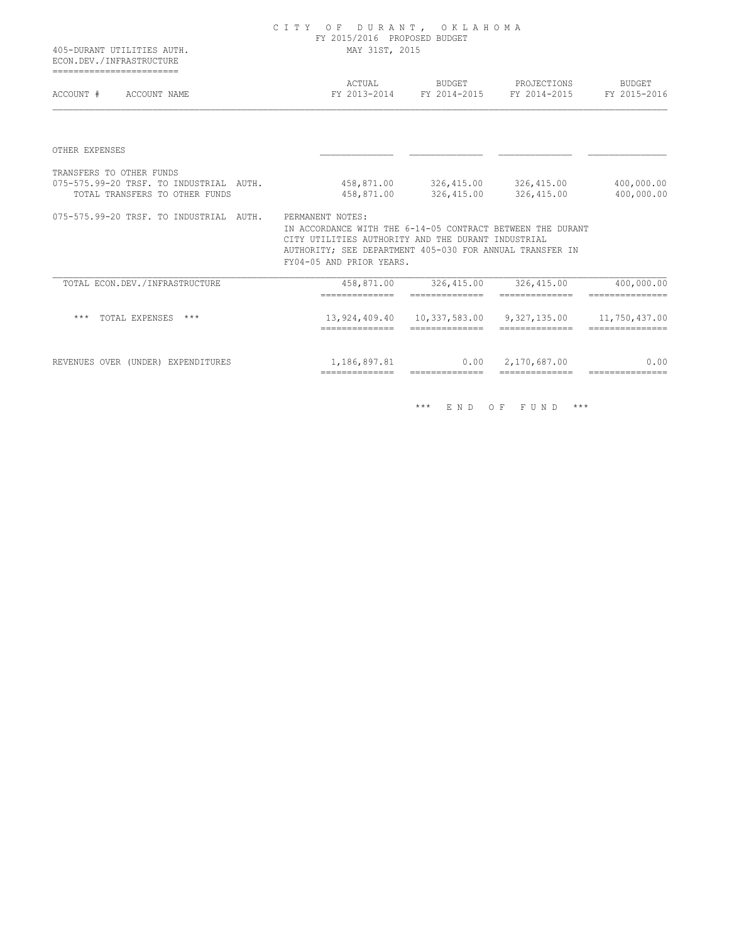| 405-DURANT UTILITIES AUTH.<br>ECON.DEV./INFRASTRUCTURE                                                | CITY OF DURANT, OKLAHOMA<br>FY 2015/2016 PROPOSED BUDGET<br>MAY 31ST, 2015                                                                                                                               |                                                |                                                              |                               |  |  |
|-------------------------------------------------------------------------------------------------------|----------------------------------------------------------------------------------------------------------------------------------------------------------------------------------------------------------|------------------------------------------------|--------------------------------------------------------------|-------------------------------|--|--|
| =========================<br>ACCOUNT #<br>ACCOUNT NAME                                                | ACTUAL                                                                                                                                                                                                   |                                                | BUDGET PROJECTIONS<br>FY 2013-2014 FY 2014-2015 FY 2014-2015 | BUDGET<br>FY 2015-2016        |  |  |
| OTHER EXPENSES                                                                                        |                                                                                                                                                                                                          |                                                |                                                              |                               |  |  |
| TRANSFERS TO OTHER FUNDS<br>075-575.99-20 TRSF. TO INDUSTRIAL AUTH.<br>TOTAL TRANSFERS TO OTHER FUNDS | 458,871.00                                                                                                                                                                                               |                                                | 458,871.00 326,415.00 326,415.00<br>326,415.00 326,415.00    | 400,000.00<br>400,000.00      |  |  |
| 075-575.99-20 TRSF. TO INDUSTRIAL AUTH. PERMANENT NOTES:                                              | IN ACCORDANCE WITH THE 6-14-05 CONTRACT BETWEEN THE DURANT<br>CITY UTILITIES AUTHORITY AND THE DURANT INDUSTRIAL<br>AUTHORITY; SEE DEPARTMENT 405-030 FOR ANNUAL TRANSFER IN<br>FY04-05 AND PRIOR YEARS. |                                                |                                                              |                               |  |  |
| TOTAL ECON.DEV. / INFRASTRUCTURE                                                                      | 458,871.00<br>---------------                                                                                                                                                                            | 326,415.00<br>---------------                  | 326, 415.00<br>--------------                                | 400,000.00<br>=============== |  |  |
| TOTAL EXPENSES ***<br>***                                                                             | ---------------                                                                                                                                                                                          | 13,924,409.40  10,337,583.00<br>============== | 9,327,135.00 11,750,437.00<br>--------------                 | ---------------               |  |  |
| REVENUES OVER (UNDER) EXPENDITURES                                                                    | 1,186,897.81<br>==============                                                                                                                                                                           | 0.00<br>==============                         | 2,170,687.00<br>==============                               | 0.00<br>===============       |  |  |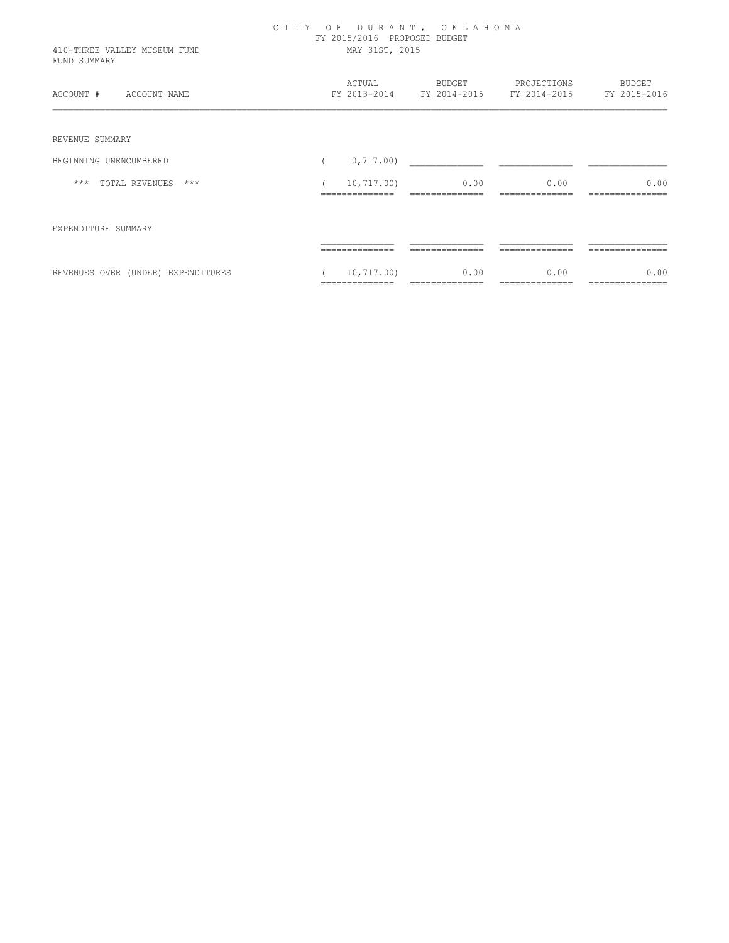| 410-THREE VALLEY MUSEUM FUND<br>FUND SUMMARY | CITY OF DURANT, OKLAHOMA<br>FY 2015/2016 PROPOSED BUDGET<br>MAY 31ST, 2015 |                                |                        |                                          |                        |
|----------------------------------------------|----------------------------------------------------------------------------|--------------------------------|------------------------|------------------------------------------|------------------------|
| ACCOUNT #<br>ACCOUNT NAME                    |                                                                            | ACTUAL<br>FY 2013-2014         | BUDGET                 | PROJECTIONS<br>FY 2014-2015 FY 2014-2015 | BUDGET<br>FY 2015-2016 |
| REVENUE SUMMARY                              |                                                                            |                                |                        |                                          |                        |
| BEGINNING UNENCUMBERED                       |                                                                            | 10, 717.00)                    |                        |                                          |                        |
| *** TOTAL REVENUES<br>$***$                  |                                                                            | 10,717.00)                     | 0.00                   | 0.00                                     |                        |
| EXPENDITURE SUMMARY                          |                                                                            |                                |                        |                                          |                        |
|                                              |                                                                            |                                |                        |                                          |                        |
| REVENUES OVER (UNDER) EXPENDITURES           |                                                                            | 10, 717, 00)<br>============== | 0.00<br>============== | 0.00<br>==============                   | ===============        |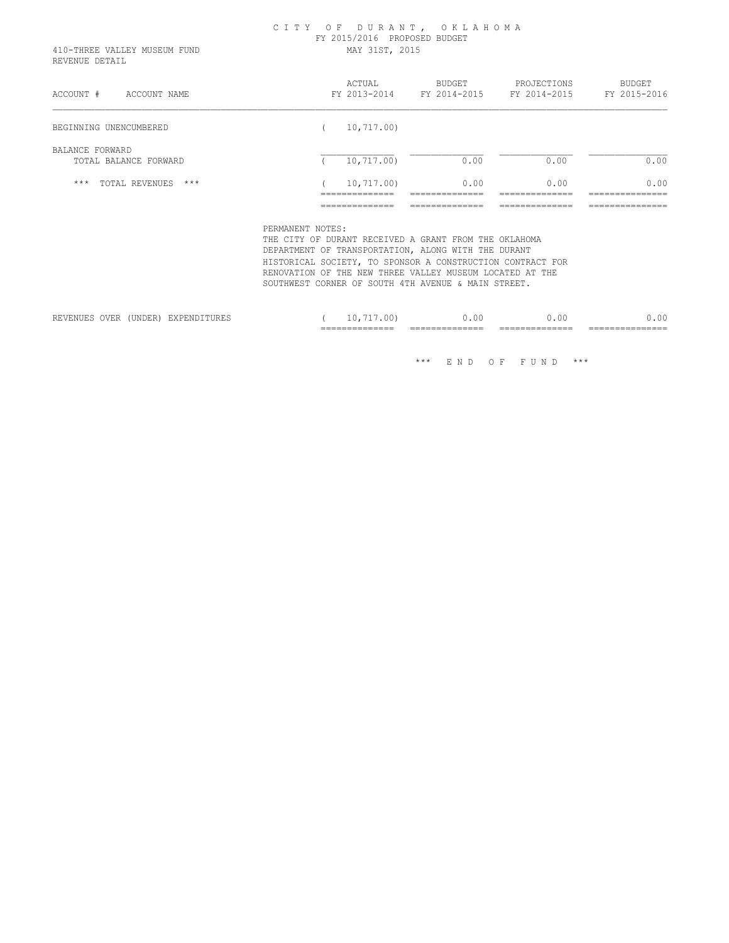# C I T Y O F D U R A N T , O K L A H O M A FY 2015/2016 PROPOSED BUDGET

 410-THREE VALLEY MUSEUM FUND MAY 31ST, 2015 REVENUE DETAIL

| ACCOUNT #<br>ACCOUNT NAME                | ACTUAL<br>FY 2013-2014                       | <b>BUDGET</b><br>FY 2014-2015          | PROJECTIONS<br>FY 2014-2015            | BUDGET<br>FY 2015-2016                     |
|------------------------------------------|----------------------------------------------|----------------------------------------|----------------------------------------|--------------------------------------------|
| BEGINNING UNENCUMBERED                   | 10,717.00)                                   |                                        |                                        |                                            |
| BALANCE FORWARD<br>TOTAL BALANCE FORWARD | 10, 717, 00)                                 | 0.00                                   | 0.00                                   | 0.00                                       |
| $***$<br>TOTAL REVENUES<br>$***$         | 10,717.00)<br>_____________<br>------------- | 0.00<br>_____________<br>------------- | 0.00<br>_____________<br>------------- | 0.00<br>_______________<br>--------------- |
|                                          | ______________<br>-------------              | ______________<br>------------         | ______________<br>-------------        | _______________<br>.                       |

PERMANENT NOTES:

 THE CITY OF DURANT RECEIVED A GRANT FROM THE OKLAHOMA DEPARTMENT OF TRANSPORTATION, ALONG WITH THE DURANT HISTORICAL SOCIETY, TO SPONSOR A CONSTRUCTION CONTRACT FOR RENOVATION OF THE NEW THREE VALLEY MUSEUM LOCATED AT THE SOUTHWEST CORNER OF SOUTH 4TH AVENUE & MAIN STREET.

|      |                                 |       |                              | ____ | __________<br>_______________ | ---<br>--------<br>______________ | ___<br>_______<br>_______________ | ---<br>____<br>________________ |
|------|---------------------------------|-------|------------------------------|------|-------------------------------|-----------------------------------|-----------------------------------|---------------------------------|
| ---- | 2.77<br>REVENUES<br><b>OVER</b> | UNDER | х шн<br><i>BAFBNDII</i> URBƏ |      | . v v                         | $\sim$<br>. U U                   | 0.00                              | . .<br>ιC                       |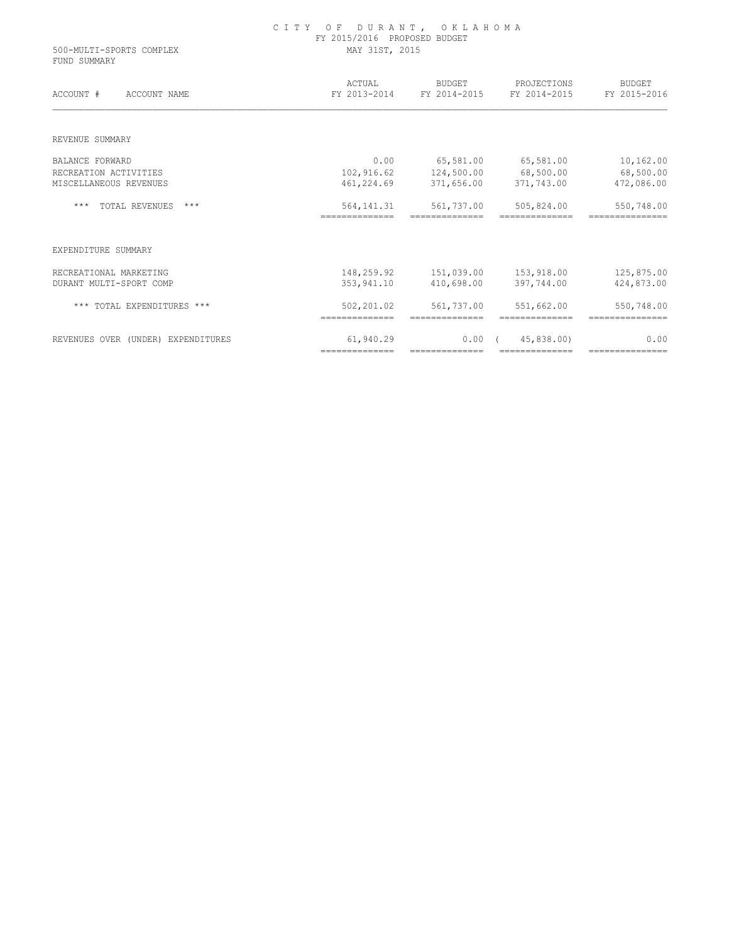|                                          | FY 2015/2016 PROPOSED BUDGET  |                              |                              |                               |  |
|------------------------------------------|-------------------------------|------------------------------|------------------------------|-------------------------------|--|
| 500-MULTI-SPORTS COMPLEX<br>FUND SUMMARY | MAY 31ST, 2015                |                              |                              |                               |  |
| ACCOUNT #<br>ACCOUNT NAME                | ACTUAL<br>FY 2013-2014        | BUDGET<br>FY 2014-2015       | PROJECTIONS<br>FY 2014-2015  | BUDGET<br>FY 2015-2016        |  |
| REVENUE SUMMARY                          |                               |                              |                              |                               |  |
| <b>BALANCE FORWARD</b>                   | 0.00                          | 65,581.00                    | 65,581.00                    | 10,162.00                     |  |
| RECREATION ACTIVITIES                    | 102,916.62                    | 124,500.00                   | 68,500.00                    | 68,500.00                     |  |
| MISCELLANEOUS REVENUES                   | 461,224.69                    | 371,656.00                   | 371,743.00                   | 472,086.00                    |  |
| <b>TOTAL REVENUES</b><br>$***$<br>$***$  | 564, 141.31<br>============== | 561,737.00<br>============== | 505,824.00<br>============== | 550,748.00<br>=============== |  |
| EXPENDITURE SUMMARY                      |                               |                              |                              |                               |  |
| RECREATIONAL MARKETING                   | 148,259.92                    | 151,039.00                   | 153,918.00                   | 125,875.00                    |  |
| DURANT MULTI-SPORT COMP                  | 353,941.10                    | 410,698.00                   | 397,744.00                   | 424,873.00                    |  |
| *** TOTAL EXPENDITURES ***               | 502,201.02<br>==============  | 561,737.00<br>============== | 551,662.00<br>============== | 550,748.00<br>=============== |  |
| REVENUES OVER (UNDER) EXPENDITURES       | 61,940.29                     | $0.00$ (                     | 45,838,00)                   | 0.00                          |  |

============== ============== ============== ===============

C I T Y O F D U R A N T , O K L A H O M A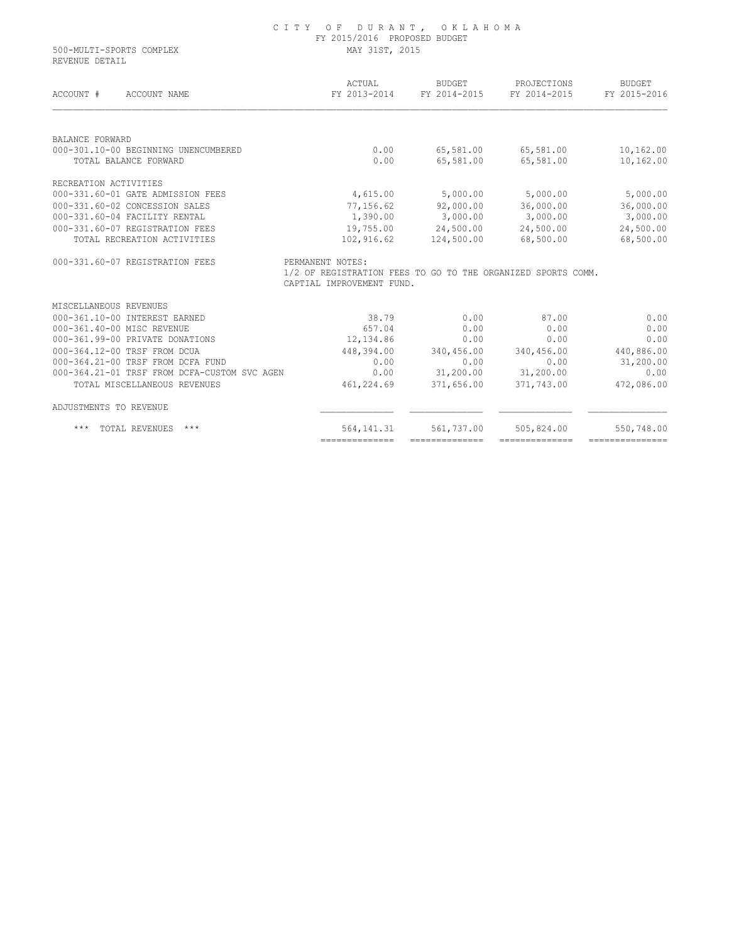| 500-MULTI-SPORTS COMPLEX                     | FY 2015/2016 PROPOSED BUDGET<br>MAY 31ST, 2015                                   |                        |                             |                               |
|----------------------------------------------|----------------------------------------------------------------------------------|------------------------|-----------------------------|-------------------------------|
| REVENUE DETAIL<br>ACCOUNT #<br>ACCOUNT NAME  | ACTUAL<br>FY 2013-2014                                                           | BUDGET<br>FY 2014-2015 | PROJECTIONS<br>FY 2014-2015 | <b>BUDGET</b><br>FY 2015-2016 |
|                                              |                                                                                  |                        |                             |                               |
| <b>BALANCE FORWARD</b>                       |                                                                                  |                        |                             |                               |
| 000-301.10-00 BEGINNING UNENCUMBERED         | 0.00                                                                             | 65,581.00              | 65,581.00                   | 10,162.00                     |
| TOTAL BALANCE FORWARD                        | 0.00                                                                             | 65,581.00              | 65,581.00                   | 10,162.00                     |
| RECREATION ACTIVITIES                        |                                                                                  |                        |                             |                               |
| 000-331.60-01 GATE ADMISSION FEES            | 4,615.00                                                                         | 5,000.00               | 5,000.00                    | 5,000.00                      |
| 000-331.60-02 CONCESSION SALES               | 77,156.62                                                                        | 92,000.00              | 36,000.00                   | 36,000.00                     |
| 000-331.60-04 FACILITY RENTAL                | 1,390.00                                                                         | 3,000.00               | 3,000.00                    | 3,000.00                      |
| 000-331.60-07 REGISTRATION FEES              |                                                                                  | 19,755.00 24,500.00    | 24,500.00                   | 24,500.00                     |
| TOTAL RECREATION ACTIVITIES                  | 102,916.62                                                                       | 124,500.00             | 68,500.00                   | 68,500.00                     |
| 000-331.60-07 REGISTRATION FEES              | PERMANENT NOTES:<br>1/2 OF REGISTRATION FEES TO GO TO THE ORGANIZED SPORTS COMM. |                        |                             |                               |
|                                              | CAPTIAL IMPROVEMENT FUND.                                                        |                        |                             |                               |
| MISCELLANEOUS REVENUES                       |                                                                                  |                        |                             |                               |
| 000-361.10-00 INTEREST EARNED                | 38.79                                                                            | 0.00                   | 87.00                       | 0.00                          |
| 000-361.40-00 MISC REVENUE                   | 657.04                                                                           | 0.00                   | 0.00                        | 0.00                          |
| 000-361.99-00 PRIVATE DONATIONS              | 12,134.86                                                                        | 0.00                   | 0.00                        | 0.00                          |
| 000-364.12-00 TRSF FROM DCUA                 | 448,394.00                                                                       | 340,456.00             | 340,456.00                  | 440,886.00                    |
| 000-364.21-00 TRSF FROM DCFA FUND            | 0.00                                                                             | 0.00                   | 0.00                        | 31,200.00                     |
| 000-364.21-01 TRSF FROM DCFA-CUSTOM SVC AGEN | 0.00                                                                             | 31,200.00              | 31,200.00                   | 0.00                          |
| TOTAL MISCELLANEOUS REVENUES                 | 461,224.69                                                                       | 371,656.00             | 371,743.00                  | 472,086.00                    |
| ADJUSTMENTS TO REVENUE                       |                                                                                  |                        |                             |                               |
| TOTAL REVENUES<br>***<br>***                 | 564, 141.31                                                                      | 561,737.00             | 505,824.00                  | 550,748.00                    |

C I T Y O F D U R A N T , O K L A H O M A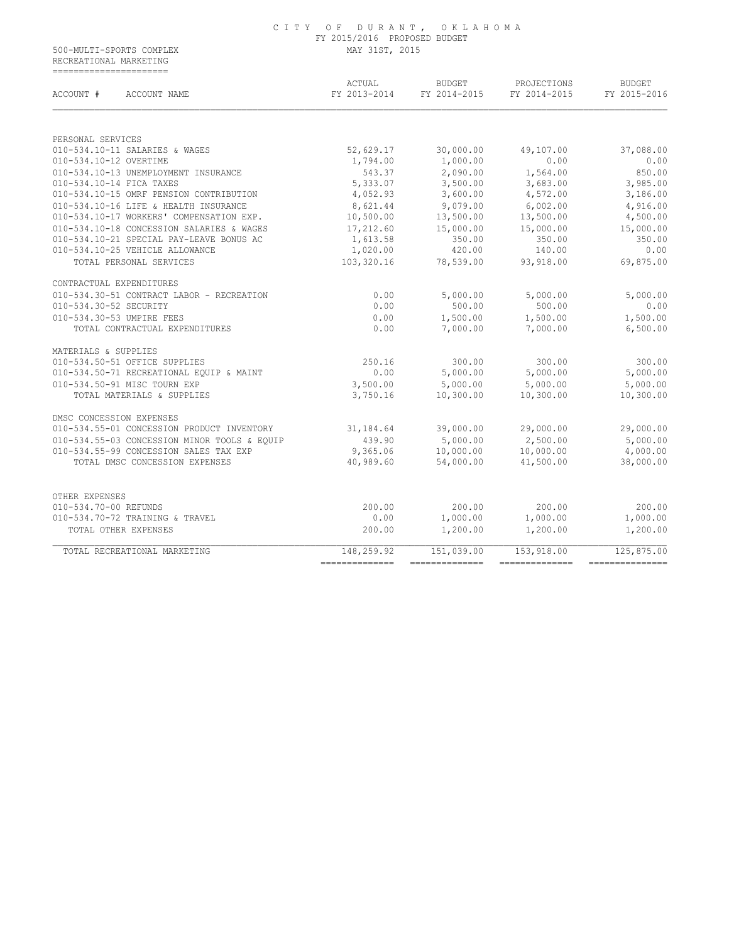#### C I T Y O F D U R A N T , O K L A H O M A FY 2015/2016 PROPOSED BUDGET 500-MULTI-SPORTS COMPLEX MAY 31ST, 2015

 RECREATIONAL MARKETING ======================

| ACCOUNT #<br>ACCOUNT NAME                    | ACTUAL<br>FY 2013-2014 | <b>BUDGET</b><br>FY 2014-2015 | PROJECTIONS<br>FY 2014-2015 | <b>BUDGET</b><br>FY 2015-2016 |
|----------------------------------------------|------------------------|-------------------------------|-----------------------------|-------------------------------|
| PERSONAL SERVICES                            |                        |                               |                             |                               |
| 010-534.10-11 SALARIES & WAGES               | 52,629.17              | 30,000.00                     | 49,107.00                   | 37,088.00                     |
| 010-534.10-12 OVERTIME                       | 1,794.00               | 1,000.00                      | 0.00                        | 0.00                          |
| 010-534.10-13 UNEMPLOYMENT INSURANCE         | 543.37                 | 2,090.00                      | 1,564.00                    | 850.00                        |
| 010-534.10-14 FICA TAXES                     | 5,333.07               | 3,500.00                      | 3,683.00                    | 3,985.00                      |
| 010-534.10-15 OMRF PENSION CONTRIBUTION      | 4,052.93               | 3,600.00                      | 4,572.00                    | 3,186.00                      |
| 010-534.10-16 LIFE & HEALTH INSURANCE        | 8,621.44               | 9,079.00                      | 6,002.00                    | 4,916.00                      |
| 010-534.10-17 WORKERS' COMPENSATION EXP.     | 10,500.00              | 13,500.00                     | 13,500.00                   | 4,500.00                      |
| 010-534.10-18 CONCESSION SALARIES & WAGES    | 17,212.60              | 15,000.00                     | 15,000.00                   | 15,000.00                     |
| 010-534.10-21 SPECIAL PAY-LEAVE BONUS AC     | 1,613.58               | 350.00                        | 350.00                      | 350.00                        |
| 010-534.10-25 VEHICLE ALLOWANCE              | 1,020.00               | 420.00                        | 140.00                      | 0.00                          |
| TOTAL PERSONAL SERVICES                      | 103,320.16             | 78,539.00                     | 93,918.00                   | 69,875.00                     |
| CONTRACTUAL EXPENDITURES                     |                        |                               |                             |                               |
| 010-534.30-51 CONTRACT LABOR - RECREATION    | 0.00                   | 5,000.00                      | 5,000.00                    | 5,000.00                      |
| 010-534.30-52 SECURITY                       | 0.00                   | 500.00                        | 500.00                      | 0.00                          |
| 010-534.30-53 UMPIRE FEES                    | 0.00                   | 1,500.00                      | 1,500.00                    | 1,500.00                      |
| TOTAL CONTRACTUAL EXPENDITURES               | 0.00                   | 7,000.00                      | 7,000.00                    | 6,500.00                      |
| MATERIALS & SUPPLIES                         |                        |                               |                             |                               |
| 010-534.50-51 OFFICE SUPPLIES                | 250.16                 | 300.00                        | 300.00                      | 300.00                        |
| 010-534.50-71 RECREATIONAL EQUIP & MAINT     | 0.00                   | 5,000.00                      | 5,000.00                    | 5,000.00                      |
| 010-534.50-91 MISC TOURN EXP                 | 3,500.00               | 5,000.00                      | 5,000.00                    | 5,000.00                      |
| TOTAL MATERIALS & SUPPLIES                   | 3,750.16               | 10,300.00                     | 10,300.00                   | 10,300.00                     |
| DMSC CONCESSION EXPENSES                     |                        |                               |                             |                               |
| 010-534.55-01 CONCESSION PRODUCT INVENTORY   | 31,184.64              | 39,000.00                     | 29,000.00                   | 29,000.00                     |
| 010-534.55-03 CONCESSION MINOR TOOLS & EQUIP | 439.90                 | 5,000.00                      | 2,500.00                    | 5,000.00                      |
| 010-534.55-99 CONCESSION SALES TAX EXP       | 9,365.06               | 10,000.00                     | 10,000.00                   | 4,000.00                      |
| TOTAL DMSC CONCESSION EXPENSES               | 40,989.60              | 54,000.00                     | 41,500.00                   | 38,000.00                     |
| OTHER EXPENSES                               |                        |                               |                             |                               |
| 010-534.70-00 REFUNDS                        | 200.00                 | 200.00                        | 200.00                      | 200.00                        |
| 010-534.70-72 TRAINING & TRAVEL              | 0.00                   | 1,000.00                      | 1,000.00                    | 1,000.00                      |
| TOTAL OTHER EXPENSES                         | 200.00                 | 1,200.00                      | 1,200.00                    | 1,200.00                      |
| TOTAL RECREATIONAL MARKETING                 | 148,259.92             | 151,039.00                    | 153,918.00                  | 125,875.00                    |
|                                              | ---------------        | --------------                | ==============              | ===============               |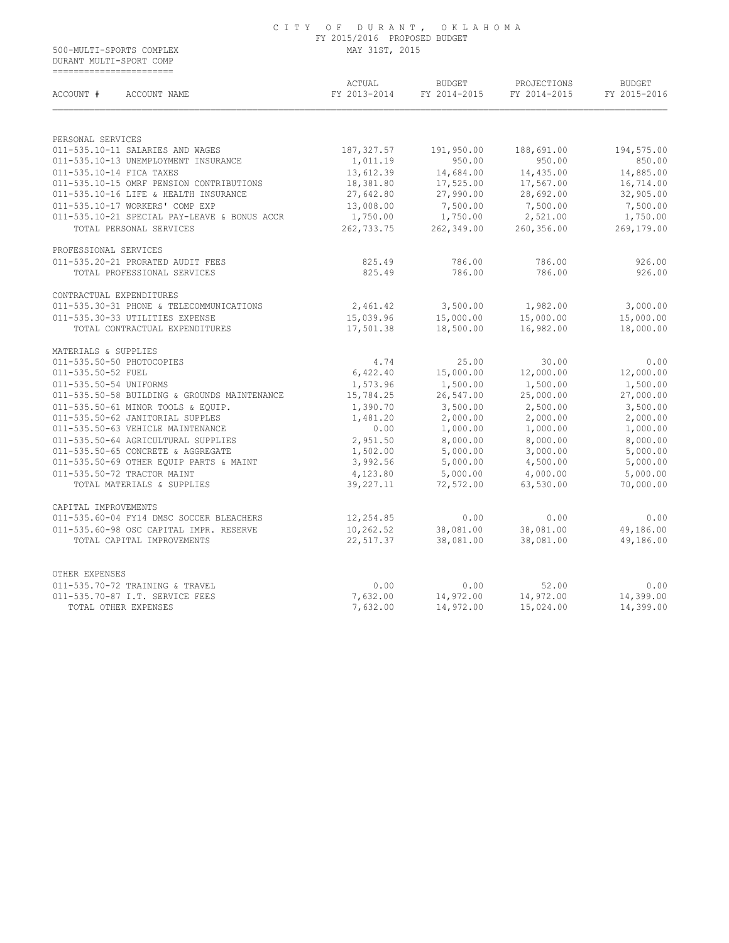#### C I T Y O F D U R A N T , O K L A H O M A FY 2015/2016 PROPOSED BUDGET 500-MULTI-SPORTS COMPLEX MAY 31ST, 2015

 DURANT MULTI-SPORT COMP ==========================

| ACCOUNT #<br>ACCOUNT NAME                         | ACTUAL<br>FY 2013-2014 | <b>BUDGET</b><br>FY 2014-2015 | PROJECTIONS<br>FY 2014-2015 | <b>BUDGET</b><br>FY 2015-2016 |
|---------------------------------------------------|------------------------|-------------------------------|-----------------------------|-------------------------------|
|                                                   |                        |                               |                             |                               |
| PERSONAL SERVICES                                 |                        |                               |                             |                               |
| 011-535.10-11 SALARIES AND WAGES                  | 187, 327.57            | 191,950.00                    | 188,691.00                  | 194,575.00                    |
| 011-535.10-13 UNEMPLOYMENT INSURANCE              | 1,011.19               | 950.00                        | 950.00                      | 850.00                        |
| 011-535.10-14 FICA TAXES                          | 13,612.39              | 14,684.00                     | 14,435.00                   | 14,885.00                     |
| 011-535.10-15 OMRF PENSION CONTRIBUTIONS          | 18,381.80              | 17,525.00                     | 17,567.00                   | 16,714.00                     |
| 011-535.10-16 LIFE & HEALTH INSURANCE             | 27,642.80              | 27,990.00                     | 28,692.00                   | 32,905.00                     |
| 011-535.10-17 WORKERS' COMP EXP                   | 13,008.00              | 7,500.00                      | 7,500.00                    | 7,500.00                      |
| 011-535.10-21 SPECIAL PAY-LEAVE & BONUS ACCR      | 1,750.00               | 1,750.00                      | 2,521.00                    | 1,750.00                      |
| TOTAL PERSONAL SERVICES                           | 262,733.75             | 262,349.00                    | 260,356.00                  | 269,179.00                    |
| PROFESSIONAL SERVICES                             |                        |                               |                             |                               |
| 011-535.20-21 PRORATED AUDIT FEES                 | 825.49                 | 786.00                        | 786.00                      | 926.00                        |
| TOTAL PROFESSIONAL SERVICES                       | 825.49                 | 786.00                        | 786.00                      | 926.00                        |
| CONTRACTUAL EXPENDITURES                          |                        |                               |                             |                               |
| 011-535.30-31 PHONE & TELECOMMUNICATIONS          | 2,461.42               | 3,500.00                      | 1,982.00                    | 3,000.00                      |
| 011-535.30-33 UTILITIES EXPENSE                   | 15,039.96              | 15,000.00                     | 15,000.00                   | 15,000.00                     |
| TOTAL CONTRACTUAL EXPENDITURES                    | 17,501.38              | 18,500.00                     | 16,982.00                   | 18,000.00                     |
| MATERIALS & SUPPLIES                              |                        |                               |                             |                               |
| 011-535.50-50 PHOTOCOPIES                         | 4.74                   | 25.00                         | 30.00                       | 0.00                          |
| 011-535.50-52 FUEL                                | 6,422.40               | 15,000.00                     | 12,000.00                   | 12,000.00                     |
| 011-535.50-54 UNIFORMS                            | 1,573.96               | 1,500.00                      | 1,500.00                    | 1,500.00                      |
| 011-535.50-58 BUILDING & GROUNDS MAINTENANCE      | 15,784.25              | 26,547.00                     | 25,000.00                   | 27,000.00                     |
| 011-535.50-61 MINOR TOOLS & EQUIP.                | 1,390.70               | 3,500.00                      | 2,500.00                    | 3,500.00                      |
| 011-535.50-62 JANITORIAL SUPPLES                  | 1,481.20               | 2,000.00                      | 2,000.00                    | 2,000.00                      |
| 011-535.50-63 VEHICLE MAINTENANCE                 | 0.00                   | 1,000.00                      | 1,000.00                    | 1,000.00                      |
| 011-535.50-64 AGRICULTURAL SUPPLIES               | 2,951.50               | 8,000.00                      | 8,000.00                    | 8,000.00                      |
| 011-535.50-65 CONCRETE & AGGREGATE                | 1,502.00               | 5,000.00                      | 3,000.00                    | 5,000.00                      |
| 011-535.50-69 OTHER EQUIP PARTS & MAINT           | 3,992.56               | 5,000.00                      | 4,500.00                    | 5,000.00                      |
| 011-535.50-72 TRACTOR MAINT                       | 4,123.80               | 5,000.00                      | 4,000.00                    | 5,000.00                      |
| TOTAL MATERIALS & SUPPLIES                        | 39,227.11              | 72,572.00                     | 63,530.00                   | 70,000.00                     |
| CAPITAL IMPROVEMENTS                              |                        |                               |                             |                               |
| 011-535.60-04 FY14 DMSC SOCCER BLEACHERS          | 12,254.85              | 0.00                          | 0.00                        | 0.00                          |
| 011-535.60-98 OSC CAPITAL IMPR. RESERVE           | 10,262.52              | 38,081.00                     | 38,081.00                   | 49,186.00                     |
| TOTAL CAPITAL IMPROVEMENTS                        | 22,517.37              | 38,081.00                     | 38,081.00                   | 49,186.00                     |
|                                                   |                        |                               |                             |                               |
| OTHER EXPENSES<br>011-535.70-72 TRAINING & TRAVEL | 0.00                   | 0.00                          | 52.00                       | 0.00                          |
| 011-535.70-87 I.T. SERVICE FEES                   | 7,632.00               | 14,972.00                     | 14,972.00                   | 14,399.00                     |
| TOTAL OTHER EXPENSES                              | 7,632.00               | 14,972.00                     | 15,024.00                   | 14,399.00                     |
|                                                   |                        |                               |                             |                               |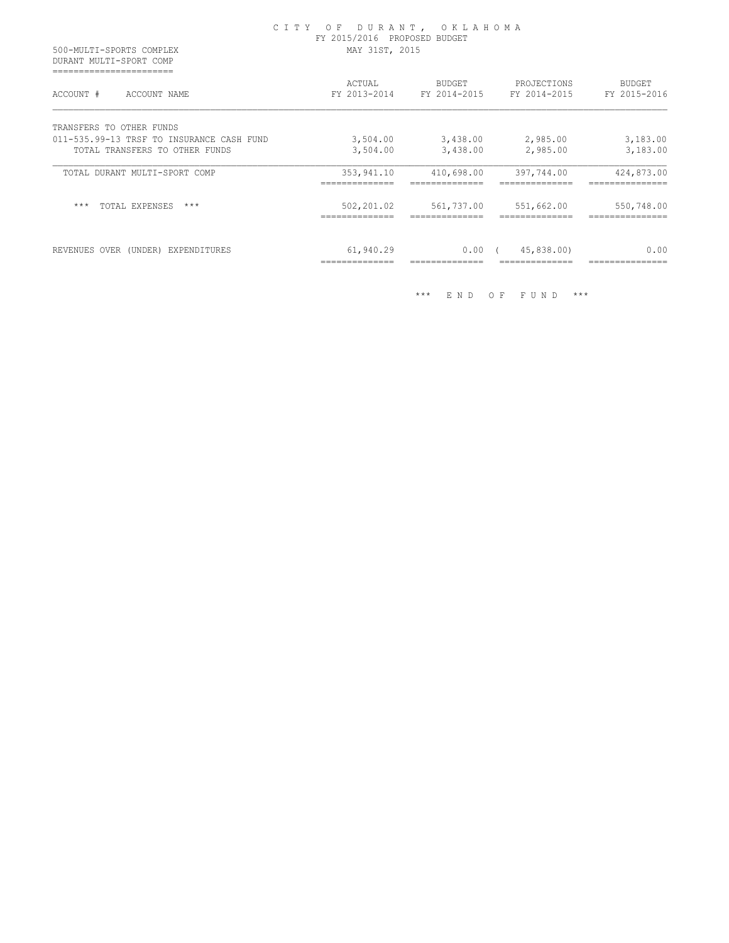| 500-MULTI-SPORTS COMPLEX<br>DURANT MULTI-SPORT COMP                         | CITY OF DURANT, OKLAHOMA<br>FY 2015/2016 PROPOSED BUDGET<br>MAY 31ST, 2015 |                                        |                                                       |                               |
|-----------------------------------------------------------------------------|----------------------------------------------------------------------------|----------------------------------------|-------------------------------------------------------|-------------------------------|
| ACCOUNT #<br>ACCOUNT NAME                                                   | ACTUAL                                                                     | BUDGET                                 | PROJECTIONS<br>FY 2013-2014 FY 2014-2015 FY 2014-2015 | <b>BUDGET</b><br>FY 2015-2016 |
| TRANSFERS TO OTHER FUNDS                                                    |                                                                            |                                        |                                                       |                               |
| 011-535.99-13 TRSF TO INSURANCE CASH FUND<br>TOTAL TRANSFERS TO OTHER FUNDS | 3,504.00                                                                   | 3,504.00 3,438.00 2,985.00<br>3,438.00 | 2,985.00                                              | 3,183.00<br>3,183.00          |
| TOTAL DURANT MULTI-SPORT COMP                                               | 353,941.10                                                                 | 410,698.00                             | 397,744.00                                            | 424,873.00                    |
| $***$<br>TOTAL EXPENSES<br>$***$                                            | 502,201.02                                                                 | 561,737.00                             | 551,662.00                                            | 550,748.00                    |
| REVENUES OVER (UNDER) EXPENDITURES                                          | 61,940.29                                                                  | $0.00$ (                               | 45,838.00)                                            | 0.00                          |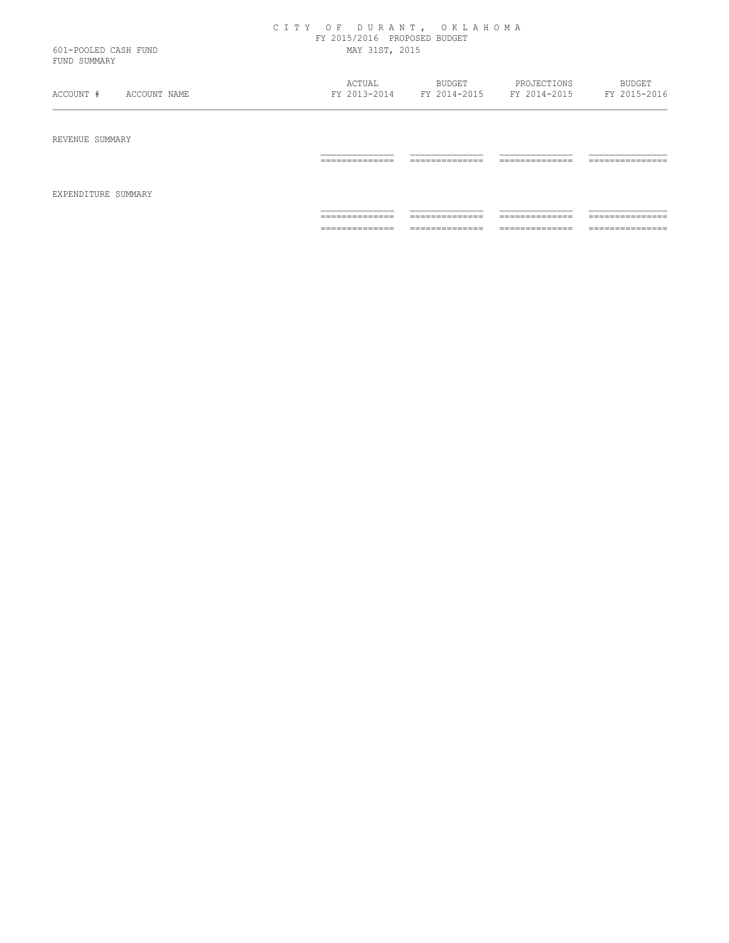|                                      | CITY OF DURANT, OKLAHOMA<br>FY 2015/2016 PROPOSED BUDGET |                           |                |                 |
|--------------------------------------|----------------------------------------------------------|---------------------------|----------------|-----------------|
| 601-POOLED CASH FUND<br>FUND SUMMARY | MAY 31ST, 2015                                           |                           |                |                 |
|                                      | ACTUAL                                                   | <b>BUDGET</b>             | PROJECTIONS    | BUDGET          |
| ACCOUNT #<br>ACCOUNT NAME            | FY 2013-2014                                             | FY 2014-2015 FY 2014-2015 |                | FY 2015-2016    |
| REVENUE SUMMARY                      | ==============                                           | ==============            | -------------- | =============== |
|                                      |                                                          |                           |                |                 |
| EXPENDITURE SUMMARY                  |                                                          |                           |                |                 |

============== ============== ============== ===============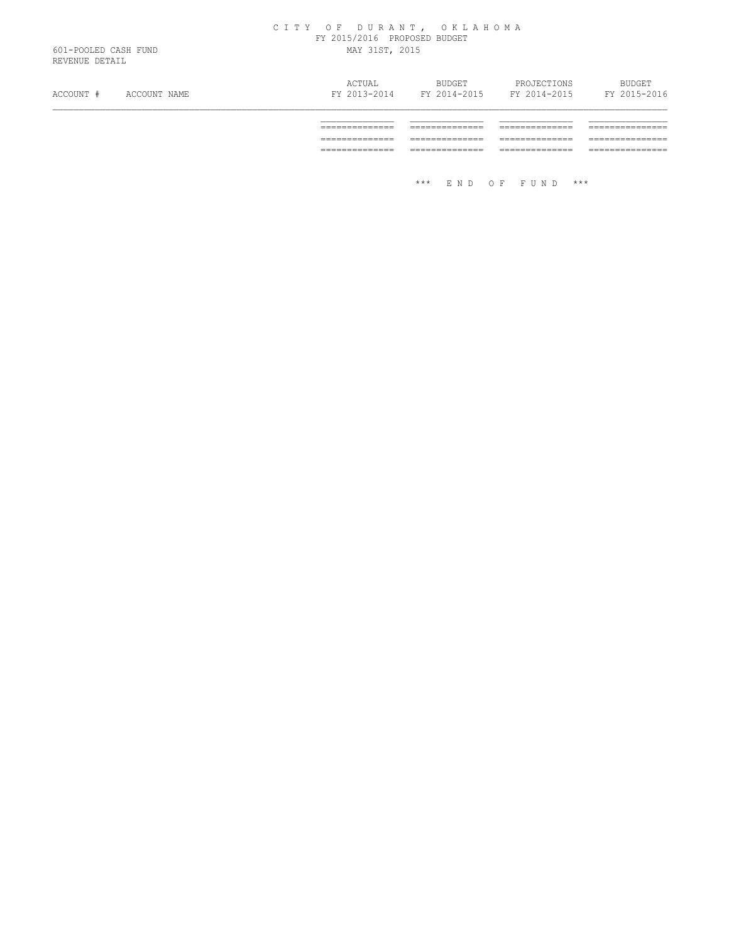#### C I T Y O F D U R A N T , O K L A H O M A FY 2015/2016 PROPOSED BUDGET 601-POOLED CASH FUND MAY 31ST, 2015

REVENUE DETAIL

| ACCOUNT # | ACCOUNT NAME | ACTUAL<br>FY 2013-2014 | <b>BUDGET</b><br>FY 2014-2015 | PROJECTIONS | <b>BUDGET</b><br>FY 2014-2015 FY 2015-2016 |
|-----------|--------------|------------------------|-------------------------------|-------------|--------------------------------------------|
|           |              |                        |                               |             |                                            |
|           |              |                        |                               |             |                                            |
|           |              |                        |                               |             |                                            |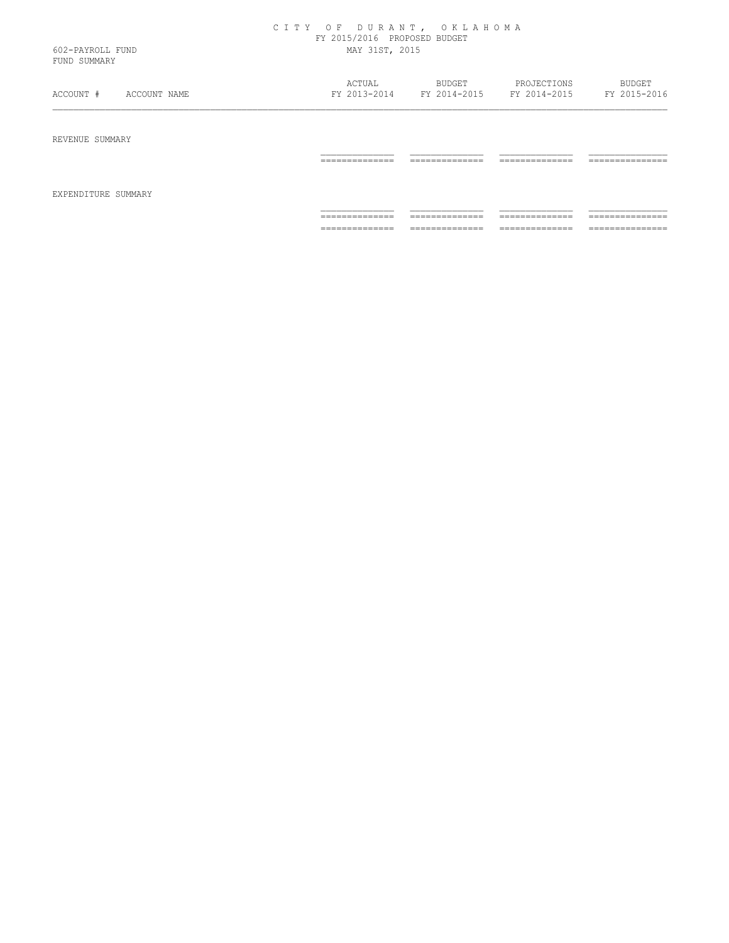|                  | CITY OF DURANT, OKLAHOMA     |  |  |  |
|------------------|------------------------------|--|--|--|
|                  | FY 2015/2016 PROPOSED BUDGET |  |  |  |
| 602-PAYROLL FUND | MAY 31ST, 2015               |  |  |  |
|                  |                              |  |  |  |

FUND SUMMARY

| ACCOUNT #           | ACTUAL          | BUDGET          | PROJECTIONS     | BUDGET           |
|---------------------|-----------------|-----------------|-----------------|------------------|
| ACCOUNT NAME        | FY 2013-2014    | FY 2014-2015    | FY 2014-2015    | FY 2015-2016     |
| REVENUE SUMMARY     | ______________  | _____________   | ______________  | _______________  |
| EXPENDITURE SUMMARY | .               | -------------   | -------------   | .                |
|                     | ______________  | _____________   | ______________  | _______________  |
|                     | _______________ | -------------   | -------------   | ---------------- |
|                     | ______________  | ______________  | ______________  | _______________  |
|                     | _______________ | --------------- | _______________ | ---------------- |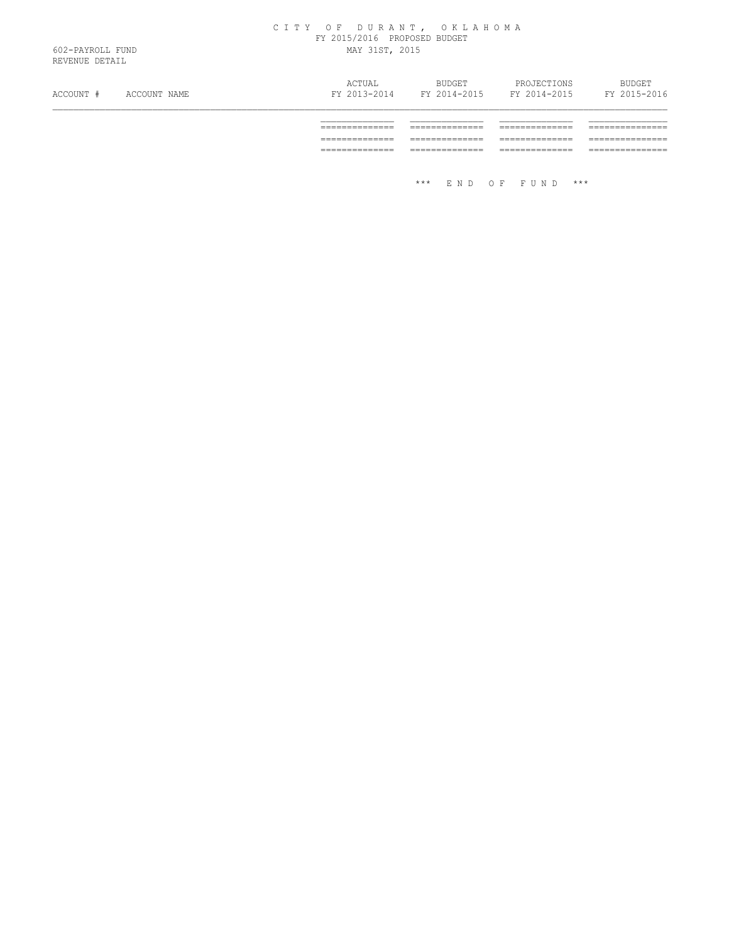#### C I T Y O F D U R A N T , O K L A H O M A FY 2015/2016 PROPOSED BUDGET 602-PAYROLL FUND MAY 31ST, 2015

REVENUE DETAIL

| ACCOUNT # | ACCOUNT NAME | ACTUAL<br>FY 2013-2014 | BUDGET | PROJECTIONS<br>FY 2014-2015 FY 2014-2015 | <b>BUDGET</b><br>FY 2015-2016 |
|-----------|--------------|------------------------|--------|------------------------------------------|-------------------------------|
|           |              |                        |        |                                          |                               |
|           |              |                        |        |                                          |                               |
|           |              |                        |        |                                          |                               |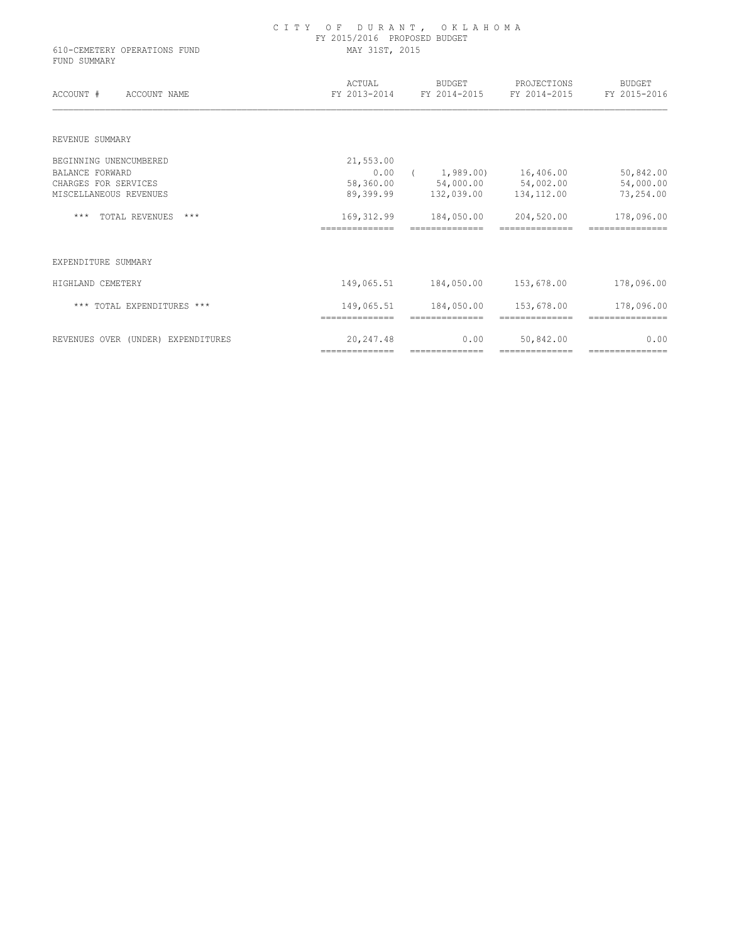| 610-CEMETERY OPERATIONS FUND<br>FUND SUMMARY | FY 2015/2016 PROPOSED BUDGET<br>MAY 31ST, 2015 |                                     |                              |                               |  |
|----------------------------------------------|------------------------------------------------|-------------------------------------|------------------------------|-------------------------------|--|
| ACCOUNT #<br>ACCOUNT NAME                    | ACTUAL                                         | BUDGET<br>FY 2013-2014 FY 2014-2015 | PROJECTIONS<br>FY 2014-2015  | <b>BUDGET</b><br>FY 2015-2016 |  |
| REVENUE SUMMARY                              |                                                |                                     |                              |                               |  |
| BEGINNING UNENCUMBERED                       | 21,553.00                                      |                                     |                              |                               |  |
| <b>BALANCE FORWARD</b>                       | 0.00                                           | (1, 989.00)                         | 16,406.00                    | 50,842.00                     |  |
| CHARGES FOR SERVICES                         | 58,360.00                                      | 54,000.00 54,002.00                 |                              | 54,000.00                     |  |
| MISCELLANEOUS REVENUES                       | 89,399.99                                      |                                     | 132,039.00 134,112.00        | 73,254.00                     |  |
| $***$<br>TOTAL REVENUES<br>$***$             | 169, 312.99                                    | 184,050.00                          | 204,520.00                   | 178,096.00                    |  |
|                                              |                                                |                                     |                              |                               |  |
| EXPENDITURE SUMMARY                          |                                                |                                     |                              |                               |  |
| HIGHLAND CEMETERY                            | 149,065.51                                     | 184,050.00                          | 153,678.00                   | 178,096.00                    |  |
| *** TOTAL EXPENDITURES ***                   | 149,065.51<br>==============                   | 184,050.00<br>==============        | 153,678.00<br>============== | 178,096.00<br>=============== |  |
| REVENUES OVER (UNDER) EXPENDITURES           | 20,247.48                                      | 0.00                                | 50,842.00                    | 0.00                          |  |

============== ============== ============== ===============

C I T Y O F D U R A N T , O K L A H O M A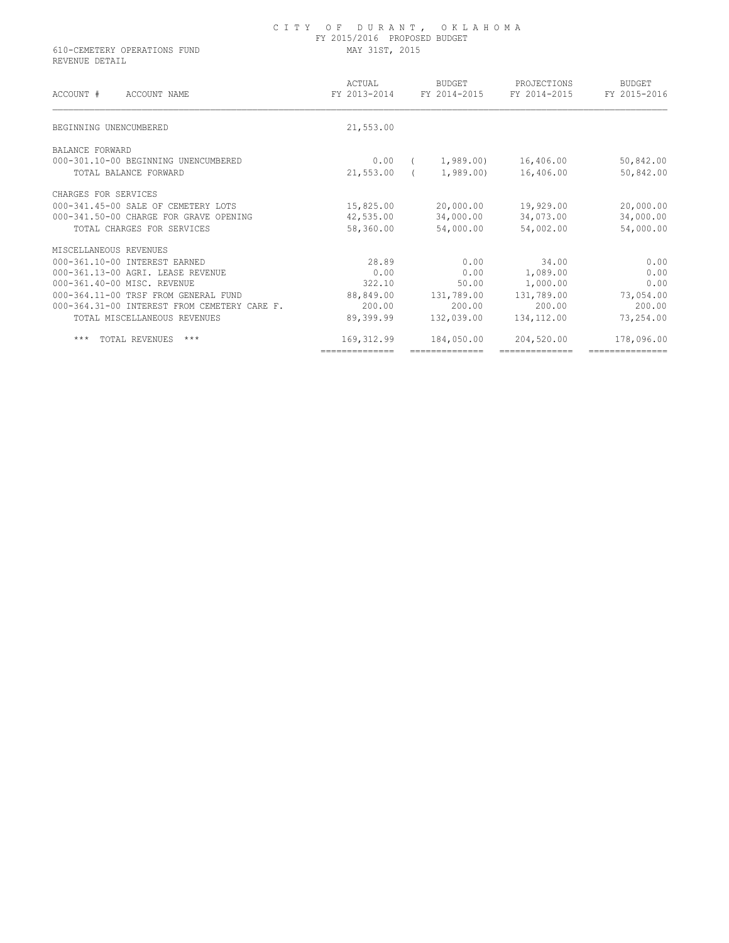## C I T Y O F D U R A N T , O K L A H O M A FY 2015/2016 PROPOSED BUDGET 610-CEMETERY OPERATIONS FUND MAY 31ST, 2015

REVENUE DETAIL

| ACCOUNT #<br>ACCOUNT NAME                    | ACTUAL<br>FY 2013-2014 | <b>BUDGET</b><br>FY 2014-2015 | PROJECTIONS<br>FY 2014-2015 | <b>BUDGET</b><br>FY 2015-2016 |
|----------------------------------------------|------------------------|-------------------------------|-----------------------------|-------------------------------|
| BEGINNING UNENCUMBERED                       | 21,553.00              |                               |                             |                               |
| BALANCE FORWARD                              |                        |                               |                             |                               |
| 000-301.10-00 BEGINNING UNENCUMBERED         | 0.00                   | 1,989.00                      | 16,406.00                   | 50,842.00                     |
| TOTAL BALANCE FORWARD                        | 21,553.00              | 1,989.00                      | 16,406.00                   | 50,842.00                     |
| CHARGES FOR SERVICES                         |                        |                               |                             |                               |
| 000-341.45-00 SALE OF CEMETERY LOTS          | 15,825.00              | 20,000.00                     | 19,929.00                   | 20,000.00                     |
| 000-341.50-00 CHARGE FOR GRAVE OPENING       | 42,535.00              | 34,000.00                     | 34,073.00                   | 34,000.00                     |
| TOTAL CHARGES FOR SERVICES                   | 58,360.00              | 54,000.00                     | 54,002.00                   | 54,000.00                     |
| MISCELLANEOUS REVENUES                       |                        |                               |                             |                               |
| 000-361.10-00 INTEREST EARNED                | 28.89                  | 0.00                          | 34.00                       | 0.00                          |
| 000-361.13-00 AGRI. LEASE REVENUE            | 0.00                   | 0.00                          | 1,089.00                    | 0.00                          |
| 000-361.40-00 MISC. REVENUE                  | 322.10                 | 50.00                         | 1,000.00                    | 0.00                          |
| 000-364.11-00 TRSF FROM GENERAL FUND         | 88,849.00              | 131,789.00                    | 131,789.00                  | 73,054.00                     |
| 000-364.31-00 INTEREST FROM CEMETERY CARE F. | 200.00                 | 200.00                        | 200.00                      | 200.00                        |
| TOTAL MISCELLANEOUS REVENUES                 | 89,399.99              | 132,039.00                    | 134,112.00                  | 73,254.00                     |
| $***$<br>TOTAL REVENUES<br>$***$             | 169, 312.99            | 184,050.00                    | 204,520.00                  | 178,096.00                    |
|                                              | ==============         |                               | ==============              | ===============               |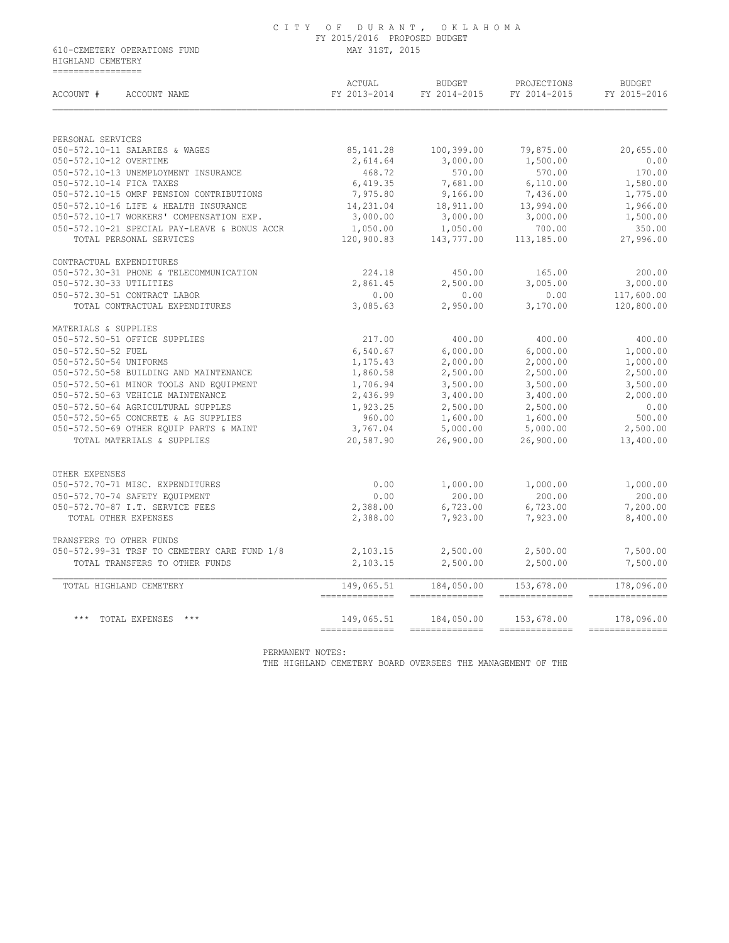# C I T Y O F D U R A N T , O K L A H O M A FY 2015/2016 PROPOSED BUDGET

610-CEMETERY OPERATIONS FUND MAY 31ST, 2015 HIGHLAND CEMETERY =================

| ACCOUNT #<br>ACCOUNT NAME                          | ACTUAL<br>FY 2013-2014       | BUDGET<br>FY 2014-2015                                                                                                                                                                                                                                                                                                                                                                                                                                                                               | PROJECTIONS<br>FY 2014-2015 | BUDGET<br>FY 2015-2016         |
|----------------------------------------------------|------------------------------|------------------------------------------------------------------------------------------------------------------------------------------------------------------------------------------------------------------------------------------------------------------------------------------------------------------------------------------------------------------------------------------------------------------------------------------------------------------------------------------------------|-----------------------------|--------------------------------|
| PERSONAL SERVICES                                  |                              |                                                                                                                                                                                                                                                                                                                                                                                                                                                                                                      |                             |                                |
| 050-572.10-11 SALARIES & WAGES                     | 85,141.28                    | 100,399.00                                                                                                                                                                                                                                                                                                                                                                                                                                                                                           | 79,875.00                   | 20,655.00                      |
| 050-572.10-12 OVERTIME                             | 2,614.64                     | 3,000.00                                                                                                                                                                                                                                                                                                                                                                                                                                                                                             | 1,500.00                    | 0.00                           |
| 050-572.10-13 UNEMPLOYMENT INSURANCE               | 468.72                       | 570.00                                                                                                                                                                                                                                                                                                                                                                                                                                                                                               | 570.00                      | 170.00                         |
| 050-572.10-14 FICA TAXES                           | 6,419.35                     | 7,681.00                                                                                                                                                                                                                                                                                                                                                                                                                                                                                             | 6,110.00                    | 1,580.00                       |
| 050-572.10-15 OMRF PENSION CONTRIBUTIONS           | 7,975.80                     | 9,166.00                                                                                                                                                                                                                                                                                                                                                                                                                                                                                             | 7,436.00                    | 1,775.00                       |
| 050-572.10-16 LIFE & HEALTH INSURANCE              | 14,231.04                    | 18,911.00                                                                                                                                                                                                                                                                                                                                                                                                                                                                                            | 13,994.00                   | 1,966.00                       |
| 050-572.10-17 WORKERS' COMPENSATION EXP.           | 3,000.00                     | 3,000.00                                                                                                                                                                                                                                                                                                                                                                                                                                                                                             | 3,000.00                    | 1,500.00                       |
| 050-572.10-21 SPECIAL PAY-LEAVE & BONUS ACCR       | 1,050.00                     | 1,050.00                                                                                                                                                                                                                                                                                                                                                                                                                                                                                             | 700.00                      | 350.00                         |
| TOTAL PERSONAL SERVICES                            | 120,900.83                   | 143,777.00                                                                                                                                                                                                                                                                                                                                                                                                                                                                                           | 113,185.00                  | 27,996.00                      |
|                                                    |                              |                                                                                                                                                                                                                                                                                                                                                                                                                                                                                                      |                             |                                |
| CONTRACTUAL EXPENDITURES                           |                              |                                                                                                                                                                                                                                                                                                                                                                                                                                                                                                      |                             |                                |
| 050-572.30-31 PHONE & TELECOMMUNICATION            | 224.18                       | 450.00                                                                                                                                                                                                                                                                                                                                                                                                                                                                                               | 165.00                      | 200.00                         |
| 050-572.30-33 UTILITIES                            | 2,861.45                     | 2,500.00                                                                                                                                                                                                                                                                                                                                                                                                                                                                                             | 3,005.00                    | 3,000.00                       |
| 050-572.30-51 CONTRACT LABOR                       | 0.00                         | 0.00                                                                                                                                                                                                                                                                                                                                                                                                                                                                                                 | 0.00                        | 117,600.00                     |
| TOTAL CONTRACTUAL EXPENDITURES                     | 3,085.63                     | 2,950.00                                                                                                                                                                                                                                                                                                                                                                                                                                                                                             | 3,170.00                    | 120,800.00                     |
| MATERIALS & SUPPLIES                               |                              |                                                                                                                                                                                                                                                                                                                                                                                                                                                                                                      |                             |                                |
| 050-572.50-51 OFFICE SUPPLIES                      | 217.00                       | 400.00                                                                                                                                                                                                                                                                                                                                                                                                                                                                                               | 400.00                      | 400.00                         |
| 050-572.50-52 FUEL                                 | 6,540.67                     | 6,000.00                                                                                                                                                                                                                                                                                                                                                                                                                                                                                             | 6,000.00                    | 1,000.00                       |
| 050-572.50-54 UNIFORMS                             | 1,175.43                     | 2,000.00                                                                                                                                                                                                                                                                                                                                                                                                                                                                                             | 2,000.00                    | 1,000.00                       |
| 050-572.50-58 BUILDING AND MAINTENANCE             | 1,860.58                     | 2,500.00                                                                                                                                                                                                                                                                                                                                                                                                                                                                                             | 2,500.00                    | 2,500.00                       |
| 050-572.50-61 MINOR TOOLS AND EQUIPMENT            | 1,706.94                     | 3,500.00                                                                                                                                                                                                                                                                                                                                                                                                                                                                                             |                             | 3,500.00                       |
| 050-572.50-63 VEHICLE MAINTENANCE                  | 2,436.99                     | 3,400.00                                                                                                                                                                                                                                                                                                                                                                                                                                                                                             | 3,500.00<br>3,400.00        | 2,000.00                       |
| 050-572.50-64 AGRICULTURAL SUPPLES                 | 1,923.25                     | 2,500.00                                                                                                                                                                                                                                                                                                                                                                                                                                                                                             | 2,500.00                    | 0.00                           |
| 050-572.50-65 CONCRETE & AG SUPPLIES               | 960.00                       | 1,600.00                                                                                                                                                                                                                                                                                                                                                                                                                                                                                             | 1,600.00                    | 500.00                         |
| 050-572.50-69 OTHER EQUIP PARTS & MAINT            | 3,767.04                     | 5,000.00                                                                                                                                                                                                                                                                                                                                                                                                                                                                                             | 5,000.00                    | 2,500.00                       |
| TOTAL MATERIALS & SUPPLIES                         | 20,587.90                    | 26,900.00                                                                                                                                                                                                                                                                                                                                                                                                                                                                                            | 26,900.00                   | 13,400.00                      |
|                                                    |                              |                                                                                                                                                                                                                                                                                                                                                                                                                                                                                                      |                             |                                |
| OTHER EXPENSES<br>050-572.70-71 MISC. EXPENDITURES | 0.00                         | 1,000.00                                                                                                                                                                                                                                                                                                                                                                                                                                                                                             | 1,000.00                    | 1,000.00                       |
| 050-572.70-74 SAFETY EQUIPMENT                     | 0.00                         | 200.00                                                                                                                                                                                                                                                                                                                                                                                                                                                                                               | 200.00                      | 200.00                         |
| 050-572.70-87 I.T. SERVICE FEES                    | 2,388.00                     | 6,723.00                                                                                                                                                                                                                                                                                                                                                                                                                                                                                             | 6,723.00                    | 7,200.00                       |
| TOTAL OTHER EXPENSES                               | 2,388.00                     |                                                                                                                                                                                                                                                                                                                                                                                                                                                                                                      | 7,923.00 7,923.00           | 8,400.00                       |
|                                                    |                              |                                                                                                                                                                                                                                                                                                                                                                                                                                                                                                      |                             |                                |
| TRANSFERS TO OTHER FUNDS                           |                              |                                                                                                                                                                                                                                                                                                                                                                                                                                                                                                      |                             |                                |
| 050-572.99-31 TRSF TO CEMETERY CARE FUND 1/8       | 2,103.15                     |                                                                                                                                                                                                                                                                                                                                                                                                                                                                                                      | 2,500.00 2,500.00           | 7,500.00                       |
| TOTAL TRANSFERS TO OTHER FUNDS                     |                              | 2,103.15 2,500.00                                                                                                                                                                                                                                                                                                                                                                                                                                                                                    | 2,500.00                    | 7,500.00                       |
| TOTAL HIGHLAND CEMETERY                            | 149,065.51<br>============== | 184,050.00<br>$\begin{array}{cccccccccc} \multicolumn{2}{c}{} & \multicolumn{2}{c}{} & \multicolumn{2}{c}{} & \multicolumn{2}{c}{} & \multicolumn{2}{c}{} & \multicolumn{2}{c}{} & \multicolumn{2}{c}{} & \multicolumn{2}{c}{} & \multicolumn{2}{c}{} & \multicolumn{2}{c}{} & \multicolumn{2}{c}{} & \multicolumn{2}{c}{} & \multicolumn{2}{c}{} & \multicolumn{2}{c}{} & \multicolumn{2}{c}{} & \multicolumn{2}{c}{} & \multicolumn{2}{c}{} & \multicolumn{2}{c}{} & \multicolumn{2}{c}{} & \mult$ | 153,678.00                  | 178,096.00<br>---------------- |
| *** TOTAL EXPENSES ***                             | 149,065.51                   | 184,050.00                                                                                                                                                                                                                                                                                                                                                                                                                                                                                           | 153,678.00                  | 178,096.00                     |

PERMANENT NOTES:

THE HIGHLAND CEMETERY BOARD OVERSEES THE MANAGEMENT OF THE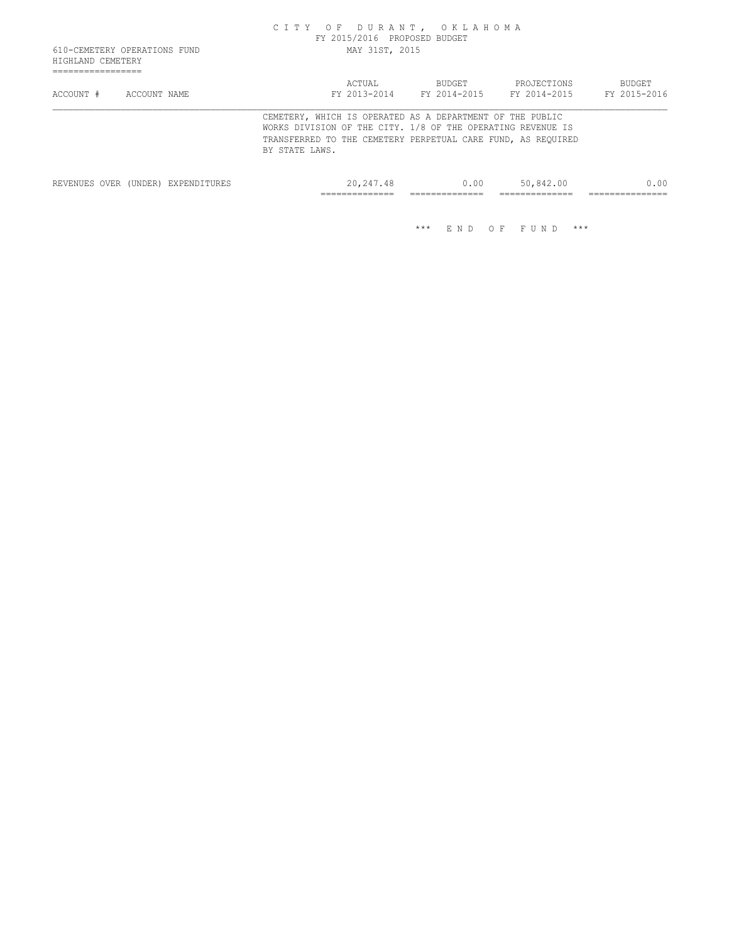| HIGHLAND CEMETERY | 610-CEMETERY OPERATIONS FUND       | CITY OF DURANT, OKLAHOMA                                                                                                                   | FY 2015/2016 PROPOSED BUDGET<br>MAY 31ST, 2015 |                               |      |                                                              |                        |
|-------------------|------------------------------------|--------------------------------------------------------------------------------------------------------------------------------------------|------------------------------------------------|-------------------------------|------|--------------------------------------------------------------|------------------------|
| ACCOUNT #         | ACCOUNT NAME                       |                                                                                                                                            | ACTUAL<br>FY 2013-2014                         | <b>BUDGET</b><br>FY 2014-2015 |      | PROJECTIONS<br>FY 2014-2015                                  | BUDGET<br>FY 2015-2016 |
|                   |                                    | CEMETERY, WHICH IS OPERATED AS A DEPARTMENT OF THE PUBLIC<br>WORKS DIVISION OF THE CITY. 1/8 OF THE OPERATING REVENUE IS<br>BY STATE LAWS. |                                                |                               |      | TRANSFERRED TO THE CEMETERY PERPETUAL CARE FUND, AS REQUIRED |                        |
|                   | REVENUES OVER (UNDER) EXPENDITURES |                                                                                                                                            | 20,247.48                                      |                               | 0.00 | 50,842.00                                                    | 0.00                   |

============== ============== ============== ===============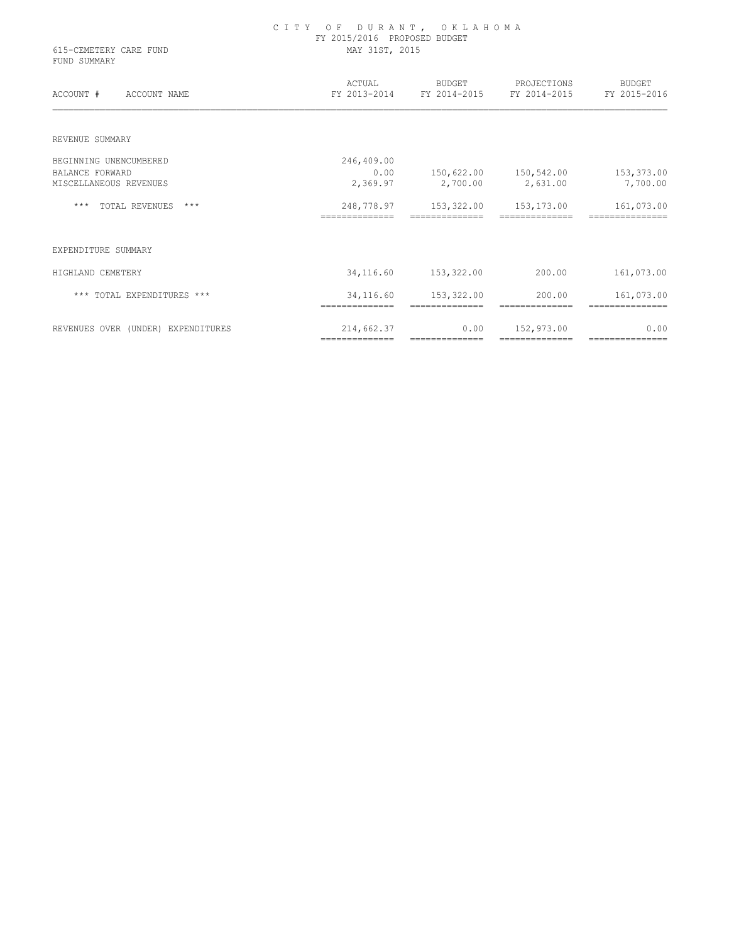| 615-CEMETERY CARE FUND<br>FUND SUMMARY | CITY OF DURANT, OKLAHOMA<br>FY 2015/2016 PROPOSED BUDGET<br>MAY 31ST, 2015 |                        |                                                                     |                              |  |
|----------------------------------------|----------------------------------------------------------------------------|------------------------|---------------------------------------------------------------------|------------------------------|--|
| ACCOUNT # ACCOUNT NAME                 |                                                                            |                        | ACTUAL BUDGET PROJECTIONS<br>FY 2013-2014 FY 2014-2015 FY 2014-2015 | BUDGET<br>FY 2015-2016       |  |
| REVENUE SUMMARY                        |                                                                            |                        |                                                                     |                              |  |
| BEGINNING UNENCUMBERED                 | 246,409.00                                                                 |                        |                                                                     |                              |  |
| <b>BALANCE FORWARD</b>                 | 0.00                                                                       |                        | 150,622.00 150,542.00 153,373.00                                    |                              |  |
| MISCELLANEOUS REVENUES                 |                                                                            | 2,369.97 2,700.00      | 2,631.00                                                            | 7,700.00                     |  |
| *** TOTAL REVENUES ***                 | ==============                                                             | ==============         | 248,778.97    153,322.00    153,173.00<br>==============            | 161,073.00<br>============== |  |
| EXPENDITURE SUMMARY                    |                                                                            |                        |                                                                     |                              |  |
| HIGHLAND CEMETERY                      |                                                                            | 34, 116.60 153, 322.00 | 200.00                                                              | 161,073.00                   |  |
| *** TOTAL EXPENDITURES ***             |                                                                            | 34, 116.60 153, 322.00 | 200.00                                                              | 161,073.00                   |  |
| REVENUES OVER (UNDER) EXPENDITURES     | 214,662.37<br>--------------                                               | 0.00<br>============== | 152,973.00<br>---------------                                       | 0.00<br>===============      |  |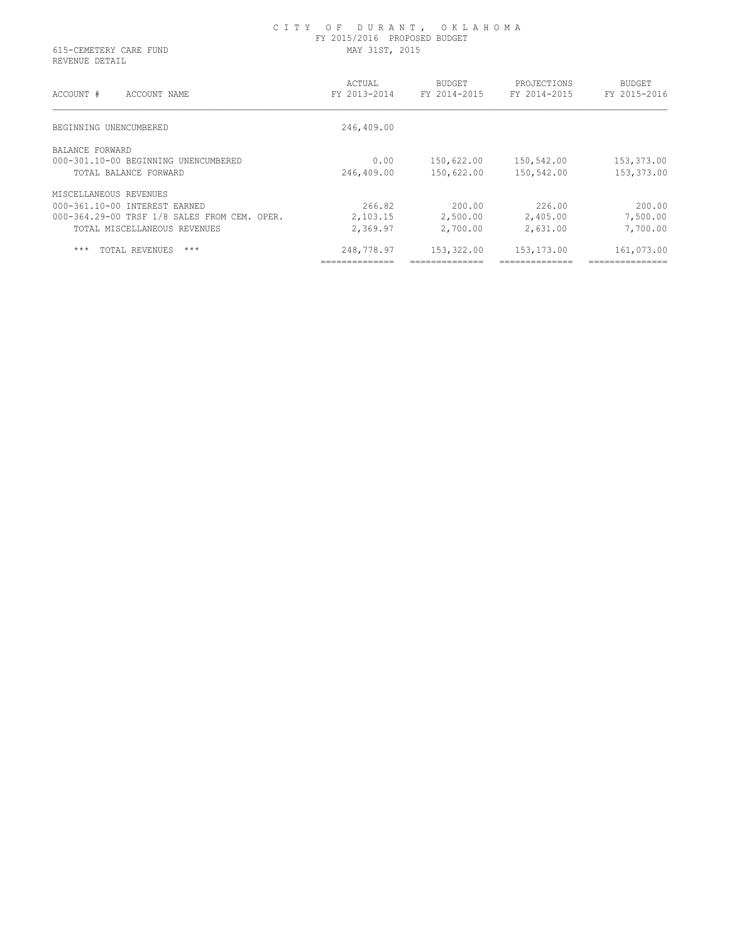## C I T Y O F D U R A N T , O K L A H O M A FY 2015/2016 PROPOSED BUDGET 615-CEMETERY CARE FUND MAY 31ST, 2015

REVENUE DETAIL

| ACCOUNT #<br>ACCOUNT NAME                    | ACTUAL<br>FY 2013-2014 | <b>BUDGET</b><br>FY 2014-2015 | PROJECTIONS<br>FY 2014-2015 | <b>BUDGET</b><br>FY 2015-2016 |
|----------------------------------------------|------------------------|-------------------------------|-----------------------------|-------------------------------|
| BEGINNING UNENCUMBERED                       | 246,409.00             |                               |                             |                               |
| BALANCE FORWARD                              |                        |                               |                             |                               |
| 000-301.10-00 BEGINNING UNENCUMBERED         | 0.00                   | 150,622.00                    | 150,542.00                  | 153,373.00                    |
| TOTAL BALANCE FORWARD                        | 246,409.00             | 150,622.00                    | 150,542.00                  | 153,373.00                    |
| MISCELLANEOUS REVENUES                       |                        |                               |                             |                               |
| 000-361.10-00 INTEREST EARNED                | 266.82                 | 200.00                        | 226.00                      | 200.00                        |
| 000-364.29-00 TRSF 1/8 SALES FROM CEM. OPER. | 2,103.15               | 2,500.00                      | 2,405.00                    | 7,500.00                      |
| TOTAL MISCELLANEOUS REVENUES                 | 2,369.97               | 2,700.00                      | 2,631.00                    | 7,700.00                      |
| $***$<br>TOTAL REVENUES<br>$***$             | 248,778.97             | 153,322.00                    | 153,173.00                  | 161,073.00                    |
|                                              | ______________         | _______________               | ---------------             | ----------------              |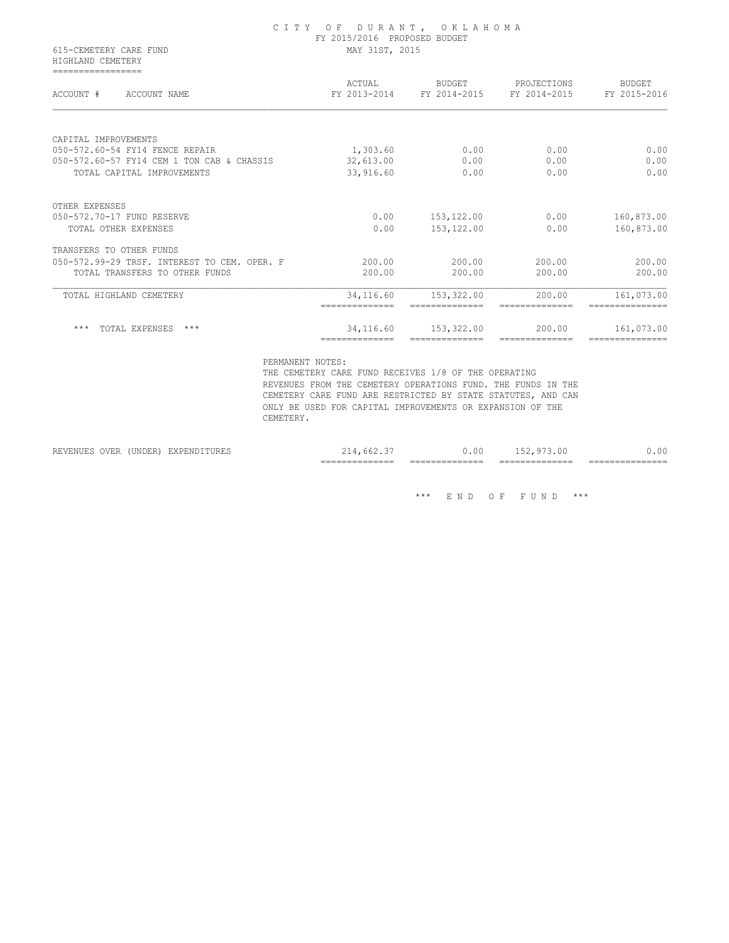## C I T Y O F D U R A N T , O K L A H O M A FY 2015/2016 PROPOSED BUDGET 615-CEMETERY CARE FUND MAY 31ST, 2015

 HIGHLAND CEMETERY =================

| ACCOUNT #<br>ACCOUNT NAME                    | ACTUAL<br>FY 2013-2014 | <b>BUDGET</b><br>FY 2014-2015 | PROJECTIONS<br>FY 2014-2015 | <b>BUDGET</b><br>FY 2015-2016 |
|----------------------------------------------|------------------------|-------------------------------|-----------------------------|-------------------------------|
|                                              |                        |                               |                             |                               |
| CAPITAL IMPROVEMENTS                         |                        |                               |                             |                               |
| 050-572.60-54 FY14 FENCE REPAIR              | 1,303.60               | 0.00                          | 0.00                        | 0.00                          |
| 050-572.60-57 FY14 CEM 1 TON CAB & CHASSIS   | 32,613.00              | 0.00                          | 0.00                        | 0.00                          |
| TOTAL CAPITAL IMPROVEMENTS                   | 33,916.60              | 0.00                          | 0.00                        | 0.00                          |
| OTHER EXPENSES                               |                        |                               |                             |                               |
| 050-572.70-17 FUND RESERVE                   | 0.00                   | 153,122.00                    | 0.00                        | 160,873.00                    |
| TOTAL OTHER EXPENSES                         | 0.00                   | 153, 122.00                   | 0.00                        | 160,873.00                    |
| TRANSFERS TO OTHER FUNDS                     |                        |                               |                             |                               |
| 050-572.99-29 TRSF. INTEREST TO CEM. OPER. F | 200.00                 | 200.00                        | 200.00                      | 200.00                        |
| TOTAL TRANSFERS TO OTHER FUNDS               | 200.00                 | 200.00                        | 200.00                      | 200.00                        |
| TOTAL HIGHLAND CEMETERY                      | 34,116.60              | 153,322.00                    | 200.00                      | 161,073.00                    |
| $***$<br>TOTAL EXPENSES<br>$***$             | 34,116.60              | 153,322.00                    | 200.00                      | 161,073.00                    |

PERMANENT NOTES:

 THE CEMETERY CARE FUND RECEIVES 1/8 OF THE OPERATING REVENUES FROM THE CEMETERY OPERATIONS FUND. THE FUNDS IN THE CEMETERY CARE FUND ARE RESTRICTED BY STATE STATUTES, AND CAN ONLY BE USED FOR CAPITAL IMPROVEMENTS OR EXPANSION OF THE CEMETERY.

|                                                                                                                          |                  |                          | -------------<br>$- - -$<br>________________ | -------<br>$- -$<br>_______________ | $-$<br>-------<br>________________ | _____<br>____________ |
|--------------------------------------------------------------------------------------------------------------------------|------------------|--------------------------|----------------------------------------------|-------------------------------------|------------------------------------|-----------------------|
| 11/14<br>the contract of the contract of the contract of the contract of the contract of the contract of the contract of | פתחוחוז<br>UNDEN | -----<br>.<br>. שואב באב | h h<br>--<br>.                               | 1.UU                                |                                    | $\cap$                |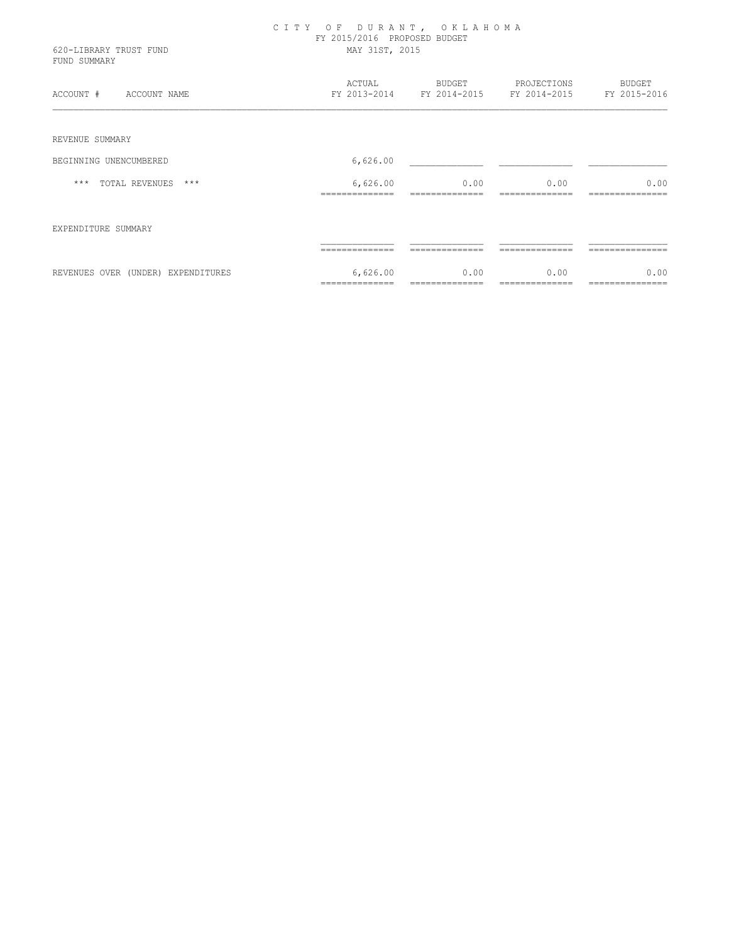| CITY OF DURANT, OKLAHOMA<br>FY 2015/2016 PROPOSED BUDGET<br>MAY 31ST, 2015 |      |               |                                                                    |  |
|----------------------------------------------------------------------------|------|---------------|--------------------------------------------------------------------|--|
| ACTUAL                                                                     |      |               | BUDGET                                                             |  |
|                                                                            |      |               |                                                                    |  |
| 6,626.00                                                                   |      |               |                                                                    |  |
| 6,626.00                                                                   | 0.00 | 0.00          | 0.00                                                               |  |
|                                                                            |      |               |                                                                    |  |
|                                                                            |      |               |                                                                    |  |
| 6,626.00<br>==============                                                 | 0.00 | 0.00          | 0.00                                                               |  |
|                                                                            |      | <b>BUDGET</b> | PROJECTIONS<br>FY 2013-2014 FY 2014-2015 FY 2014-2015 FY 2015-2016 |  |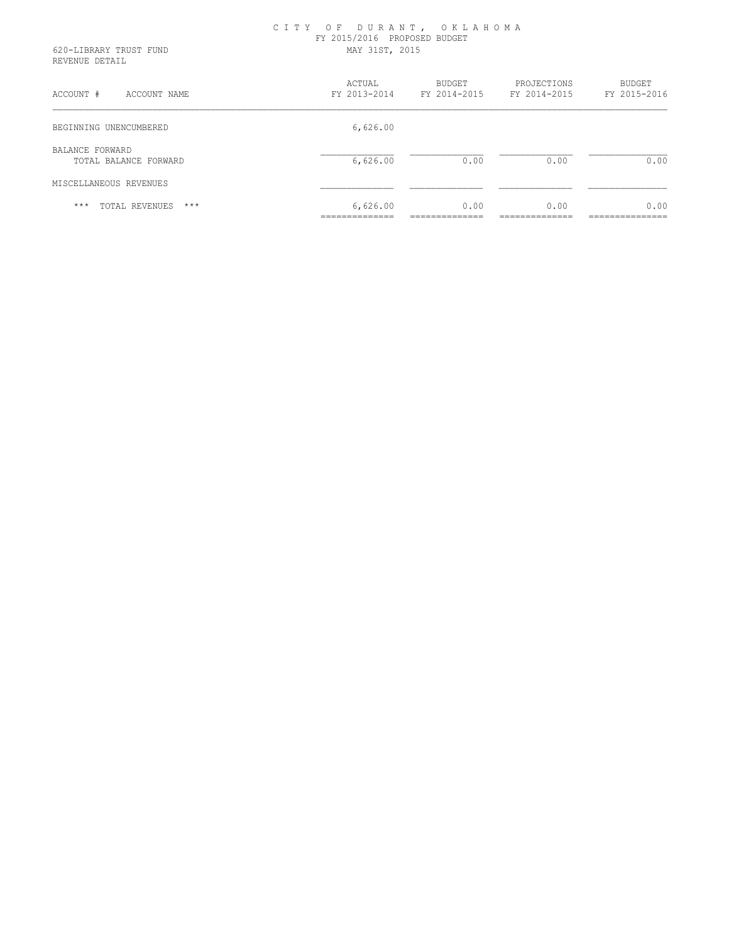| ACTUAL | <b>BUDGET</b> | PROJECTIONS<br>FY 2014-2015                                                                        | BUDGET<br>FY 2015-2016                                   |
|--------|---------------|----------------------------------------------------------------------------------------------------|----------------------------------------------------------|
|        |               |                                                                                                    |                                                          |
|        |               | 0.00                                                                                               | 0.00                                                     |
|        |               |                                                                                                    |                                                          |
|        |               | 0.00                                                                                               | 0.00                                                     |
|        |               | FY 2015/2016 PROPOSED BUDGET<br>MAY 31ST, 2015<br>FY 2013-2014<br>6,626.00<br>6,626.00<br>6,626.00 | CITY OF DURANT, OKLAHOMA<br>FY 2014-2015<br>0.00<br>0.00 |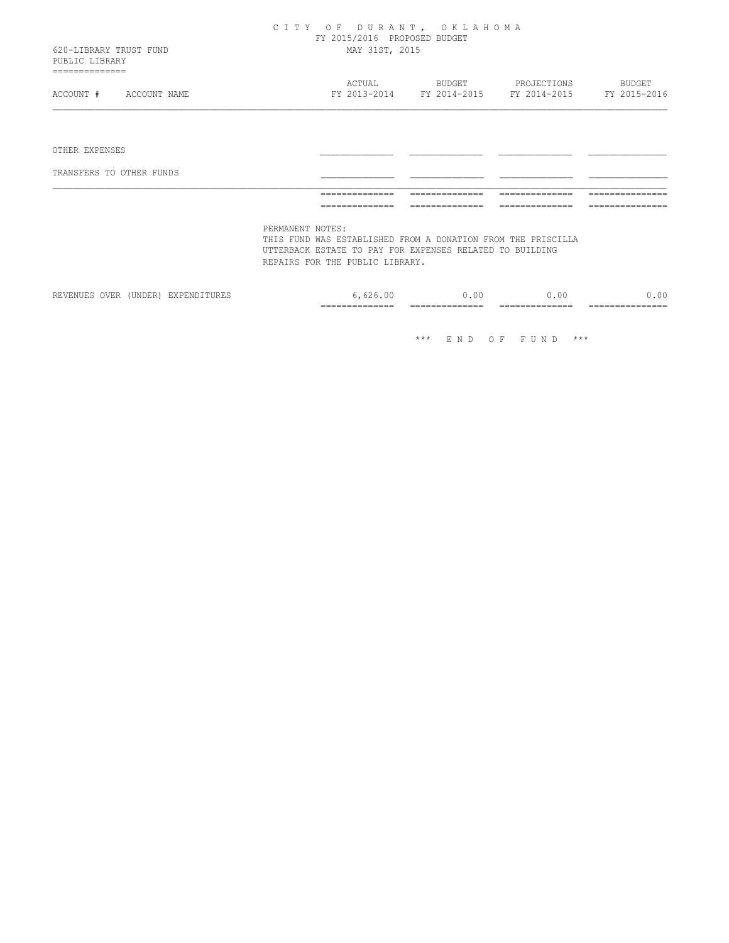| 620-LIBRARY TRUST FUND                      | CITY OF DURANT, OKLAHOMA<br>FY 2015/2016 PROPOSED BUDGET<br>MAY 31ST, 2015                                                                                                      |                                            |                             |                        |  |
|---------------------------------------------|---------------------------------------------------------------------------------------------------------------------------------------------------------------------------------|--------------------------------------------|-----------------------------|------------------------|--|
| PUBLIC LIBRARY                              |                                                                                                                                                                                 |                                            |                             |                        |  |
| ==============<br>ACCOUNT #<br>ACCOUNT NAME | ACTUAL                                                                                                                                                                          | <b>BUDGET</b><br>FY 2013-2014 FY 2014-2015 | PROJECTIONS<br>FY 2014-2015 | BUDGET<br>FY 2015-2016 |  |
|                                             |                                                                                                                                                                                 |                                            |                             |                        |  |
| OTHER EXPENSES                              |                                                                                                                                                                                 |                                            |                             |                        |  |
| TRANSFERS TO OTHER FUNDS                    |                                                                                                                                                                                 |                                            |                             |                        |  |
|                                             |                                                                                                                                                                                 |                                            |                             |                        |  |
|                                             | ==============                                                                                                                                                                  |                                            |                             |                        |  |
|                                             | PERMANENT NOTES:<br>THIS FUND WAS ESTABLISHED FROM A DONATION FROM THE PRISCILLA<br>UTTERBACK ESTATE TO PAY FOR EXPENSES RELATED TO BUILDING<br>REPAIRS FOR THE PUBLIC LIBRARY. |                                            |                             |                        |  |
| REVENUES OVER (UNDER) EXPENDITURES          | 6,626.00                                                                                                                                                                        | 0.00                                       | 0.00                        | 0.00                   |  |

============== ============== ============== ===============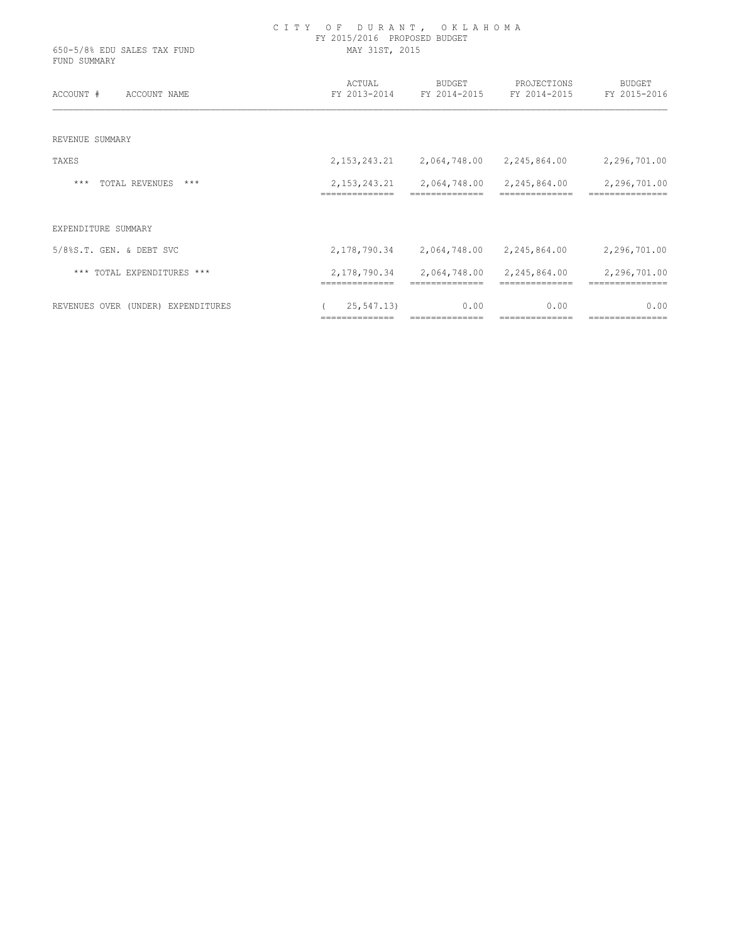| 650-5/8% EDU SALES TAX FUND<br>FUND SUMMARY | CITY OF DURANT, OKLAHOMA<br>FY 2015/2016 PROPOSED BUDGET<br>MAY 31ST, 2015 |                                 |                                                       |                        |  |
|---------------------------------------------|----------------------------------------------------------------------------|---------------------------------|-------------------------------------------------------|------------------------|--|
| ACCOUNT #<br>ACCOUNT NAME                   | ACTUAL                                                                     | BUDGET                          | PROJECTIONS<br>FY 2013-2014 FY 2014-2015 FY 2014-2015 | BUDGET<br>FY 2015-2016 |  |
| REVENUE SUMMARY                             |                                                                            |                                 |                                                       |                        |  |
| TAXES                                       |                                                                            | 2, 153, 243. 21 2, 064, 748. 00 | 2, 245, 864.00                                        | 2,296,701.00           |  |
| $***$<br>TOTAL REVENUES ***                 |                                                                            | 2, 153, 243. 21 2, 064, 748. 00 | 2,245,864.00                                          | 2,296,701.00           |  |
| EXPENDITURE SUMMARY                         |                                                                            |                                 |                                                       |                        |  |
| 5/8%S.T. GEN. & DEBT SVC                    |                                                                            | 2, 178, 790. 34 2, 064, 748. 00 | 2, 245, 864.00                                        | 2,296,701.00           |  |
| *** TOTAL EXPENDITURES ***                  | 2,178,790.34                                                               | 2,064,748.00                    | 2,245,864.00                                          | 2,296,701.00           |  |
| REVENUES OVER (UNDER) EXPENDITURES          | 25,547.13)                                                                 | 0.00                            | 0.00                                                  | 0.00                   |  |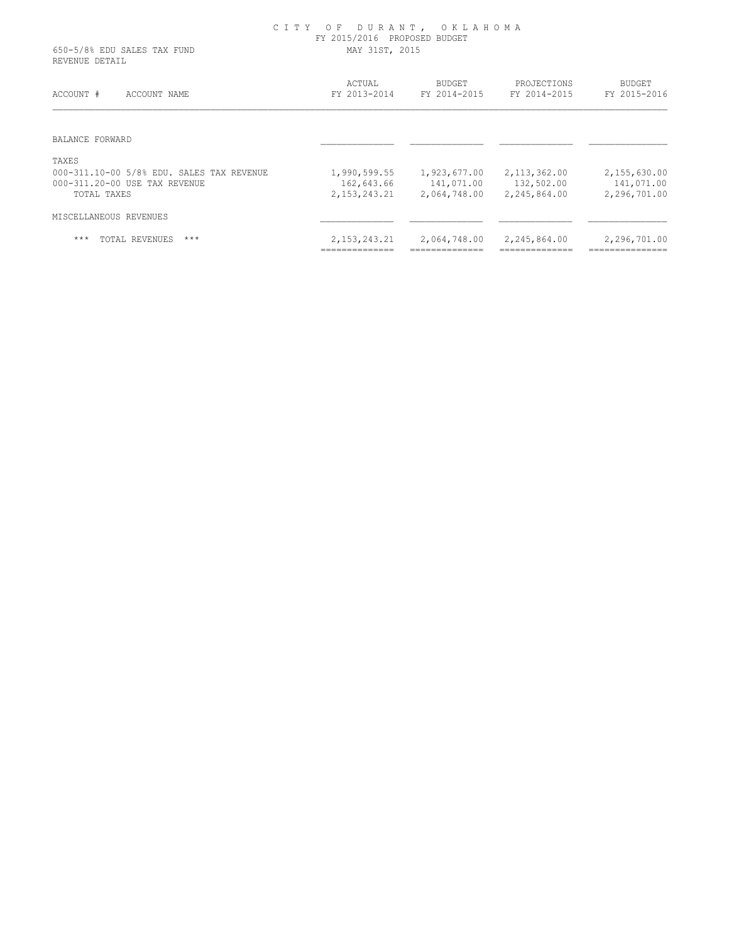## C I T Y O F D U R A N T , O K L A H O M A FY 2015/2016 PROPOSED BUDGET 650-5/8% EDU SALES TAX FUND MAY 31ST, 2015

REVENUE DETAIL

| ACCOUNT #<br>ACCOUNT NAME                 | ACTUAL<br>FY 2013-2014 | <b>BUDGET</b><br>FY 2014-2015 | PROJECTIONS<br>FY 2014-2015 | <b>BUDGET</b><br>FY 2015-2016 |
|-------------------------------------------|------------------------|-------------------------------|-----------------------------|-------------------------------|
| BALANCE FORWARD                           |                        |                               |                             |                               |
| TAXES                                     |                        |                               |                             |                               |
| 000-311.10-00 5/8% EDU. SALES TAX REVENUE | 1,990,599.55           | 1,923,677.00                  | 2,113,362.00                | 2,155,630.00                  |
| 000-311.20-00 USE TAX REVENUE             | 162,643.66             | 141,071.00                    | 132,502.00                  | 141,071.00                    |
| TOTAL TAXES                               | 2, 153, 243. 21        | 2,064,748.00                  | 2,245,864.00                | 2,296,701.00                  |
| MISCELLANEOUS REVENUES                    |                        |                               |                             |                               |
| $***$<br>$***$<br>TOTAL REVENUES          | 2, 153, 243. 21        | 2,064,748.00                  | 2,245,864.00                | 2,296,701.00                  |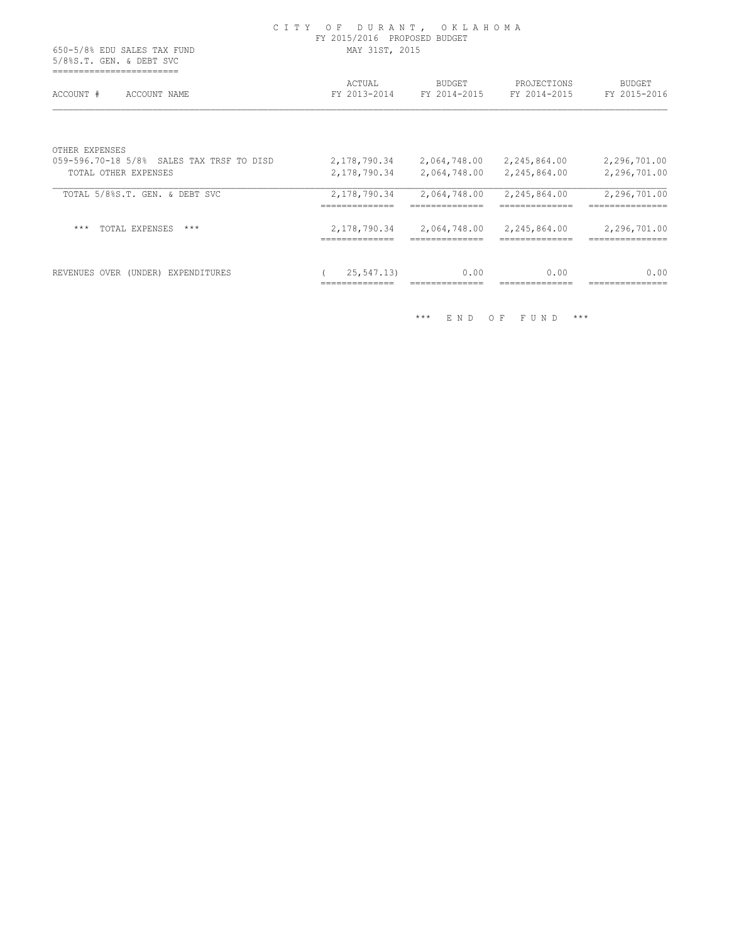|                                                             | CITY OF DURANT, OKLAHOMA<br>FY 2015/2016 PROPOSED BUDGET |                                                 |                              |                                              |  |
|-------------------------------------------------------------|----------------------------------------------------------|-------------------------------------------------|------------------------------|----------------------------------------------|--|
| 650-5/8% EDU SALES TAX FUND<br>5/8%S.T. GEN. & DEBT SVC     |                                                          | MAY 31ST, 2015                                  |                              |                                              |  |
| ACCOUNT #<br>ACCOUNT NAME                                   | ACTUAL<br>FY 2013-2014                                   | BUDGET<br>FY 2014-2015                          | PROJECTIONS<br>FY 2014-2015  | BUDGET<br>FY 2015-2016                       |  |
|                                                             |                                                          |                                                 |                              |                                              |  |
| OTHER EXPENSES<br>059-596.70-18 5/8% SALES TAX TRSF TO DISD |                                                          |                                                 |                              |                                              |  |
|                                                             |                                                          |                                                 |                              |                                              |  |
| TOTAL OTHER EXPENSES                                        | 2,178,790.34                                             | 2,064,748.00<br>2, 178, 790. 34 2, 064, 748. 00 | 2,245,864.00<br>2,245,864.00 |                                              |  |
| TOTAL 5/8%S.T. GEN. & DEBT SVC                              | 2,178,790.34<br>--------------                           | 2,064,748.00                                    | 2,245,864.00                 | 2,296,701.00<br>2,296,701.00<br>2,296,701.00 |  |
| TOTAL EXPENSES<br>$***$<br>$***$                            | 2,178,790.34                                             | 2,064,748.00                                    | 2,245,864.00                 | 2,296,701.00                                 |  |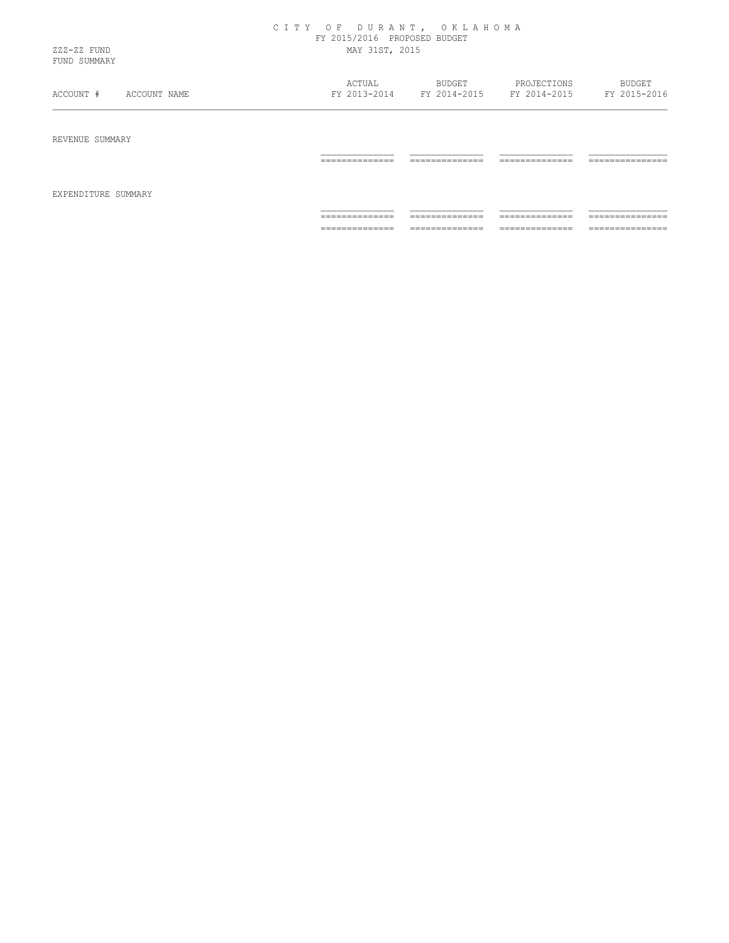## C I T Y O F D U R A N T , O K L A H O M A FY 2015/2016 PROPOSED BUDGET ZZZ-ZZ FUND MAY 31ST, 2015

FUND SUMMARY

| ACCOUNT #       | ACTUAL         | BUDGET         | PROJECTIONS    | BUDGET          |
|-----------------|----------------|----------------|----------------|-----------------|
| ACCOUNT NAME    | FY 2013-2014   | FY 2014-2015   | FY 2014-2015   | FY 2015-2016    |
| REVENUE SUMMARY |                |                |                |                 |
|                 | ______________ | ______________ | ______________ | _______________ |
|                 | .              | .              | .              | .               |